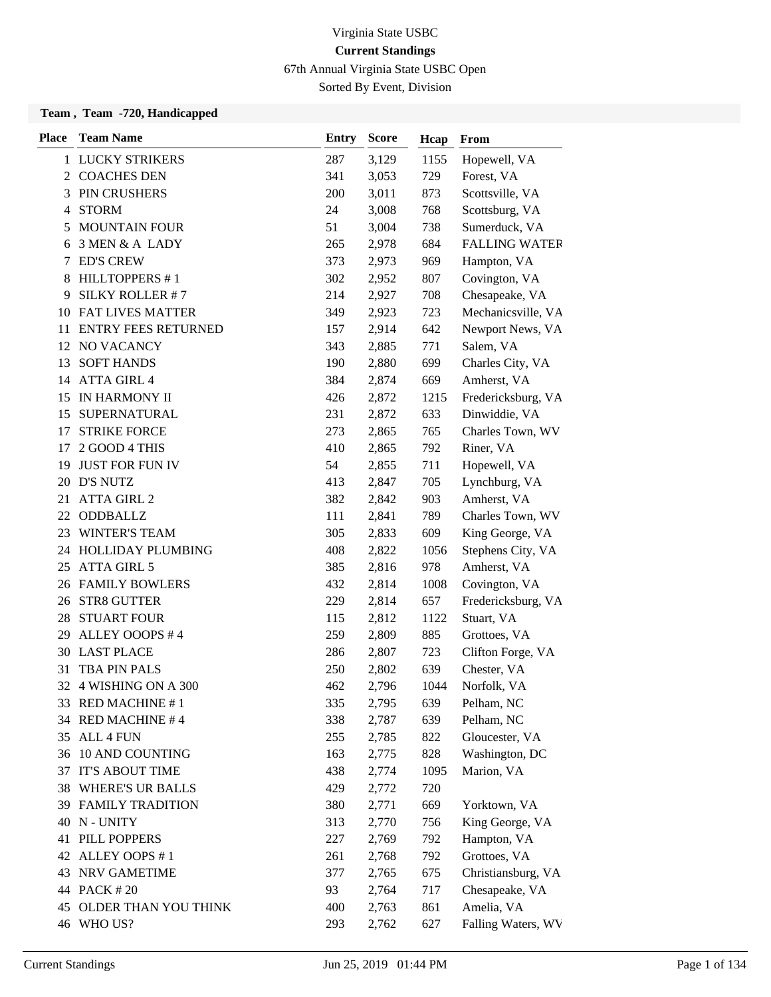67th Annual Virginia State USBC Open

Sorted By Event, Division

| <b>Place</b> | <b>Team Name</b>           | <b>Entry</b> | <b>Score</b> | Hcap | From                 |
|--------------|----------------------------|--------------|--------------|------|----------------------|
|              | 1 LUCKY STRIKERS           | 287          | 3,129        | 1155 | Hopewell, VA         |
|              | 2 COACHES DEN              | 341          | 3,053        | 729  | Forest, VA           |
| 3            | PIN CRUSHERS               | 200          | 3,011        | 873  | Scottsville, VA      |
| 4            | <b>STORM</b>               | 24           | 3,008        | 768  | Scottsburg, VA       |
| 5            | <b>MOUNTAIN FOUR</b>       | 51           | 3,004        | 738  | Sumerduck, VA        |
| 6            | 3 MEN & A LADY             | 265          | 2,978        | 684  | <b>FALLING WATER</b> |
| 7            | <b>ED'S CREW</b>           | 373          | 2,973        | 969  | Hampton, VA          |
| 8            | <b>HILLTOPPERS #1</b>      | 302          | 2,952        | 807  | Covington, VA        |
| 9            | SILKY ROLLER #7            | 214          | 2,927        | 708  | Chesapeake, VA       |
| 10           | <b>FAT LIVES MATTER</b>    | 349          | 2,923        | 723  | Mechanicsville, VA   |
| 11           | <b>ENTRY FEES RETURNED</b> | 157          | 2,914        | 642  | Newport News, VA     |
| 12           | NO VACANCY                 | 343          | 2,885        | 771  | Salem, VA            |
| 13           | <b>SOFT HANDS</b>          | 190          | 2,880        | 699  | Charles City, VA     |
| 14           | <b>ATTA GIRL 4</b>         | 384          | 2,874        | 669  | Amherst, VA          |
| 15           | IN HARMONY II              | 426          | 2,872        | 1215 | Fredericksburg, VA   |
| 15           | SUPERNATURAL               | 231          | 2,872        | 633  | Dinwiddie, VA        |
| 17           | <b>STRIKE FORCE</b>        | 273          | 2,865        | 765  | Charles Town, WV     |
| 17           | 2 GOOD 4 THIS              | 410          | 2,865        | 792  | Riner, VA            |
| 19           | <b>JUST FOR FUN IV</b>     | 54           | 2,855        | 711  | Hopewell, VA         |
| 20           | <b>D'S NUTZ</b>            | 413          | 2,847        | 705  | Lynchburg, VA        |
| 21           | <b>ATTA GIRL 2</b>         | 382          | 2,842        | 903  | Amherst, VA          |
| 22           | ODDBALLZ                   | 111          | 2,841        | 789  | Charles Town, WV     |
| 23           | <b>WINTER'S TEAM</b>       | 305          | 2,833        | 609  | King George, VA      |
| 24           | HOLLIDAY PLUMBING          | 408          | 2,822        | 1056 | Stephens City, VA    |
| 25           | <b>ATTA GIRL 5</b>         | 385          | 2,816        | 978  | Amherst, VA          |
| 26           | <b>FAMILY BOWLERS</b>      | 432          | 2,814        | 1008 | Covington, VA        |
| 26           | STR8 GUTTER                | 229          | 2,814        | 657  | Fredericksburg, VA   |
|              | <b>28 STUART FOUR</b>      | 115          | 2,812        | 1122 | Stuart, VA           |
| 29           | ALLEY OOOPS #4             | 259          | 2,809        | 885  | Grottoes, VA         |
|              | 30 LAST PLACE              | 286          | 2,807        | 723  | Clifton Forge, VA    |
| 31           | <b>TBA PIN PALS</b>        | 250          | 2,802        | 639  | Chester, VA          |
|              | 32 4 WISHING ON A 300      | 462          | 2,796        | 1044 | Norfolk, VA          |
|              | 33 RED MACHINE #1          | 335          | 2,795        | 639  | Pelham, NC           |
|              | 34 RED MACHINE #4          | 338          | 2,787        | 639  | Pelham, NC           |
| 35           | ALL 4 FUN                  | 255          | 2,785        | 822  | Gloucester, VA       |
| 36           | 10 AND COUNTING            | 163          | 2,775        | 828  | Washington, DC       |
| 37           | <b>IT'S ABOUT TIME</b>     | 438          | 2,774        | 1095 | Marion, VA           |
| 38           | <b>WHERE'S UR BALLS</b>    | 429          | 2,772        | 720  |                      |
| 39           | <b>FAMILY TRADITION</b>    | 380          | 2,771        | 669  | Yorktown, VA         |
| 40           | N - UNITY                  | 313          | 2,770        | 756  | King George, VA      |
| 41           | PILL POPPERS               | 227          | 2,769        | 792  | Hampton, VA          |
| 42           | ALLEY OOPS #1              | 261          | 2,768        | 792  | Grottoes, VA         |
| 43           | NRV GAMETIME               | 377          | 2,765        | 675  | Christiansburg, VA   |
|              | 44 PACK #20                | 93           | 2,764        | 717  | Chesapeake, VA       |
| 45           | OLDER THAN YOU THINK       | 400          | 2,763        | 861  | Amelia, VA           |
|              | 46 WHO US?                 | 293          | 2,762        | 627  | Falling Waters, WV   |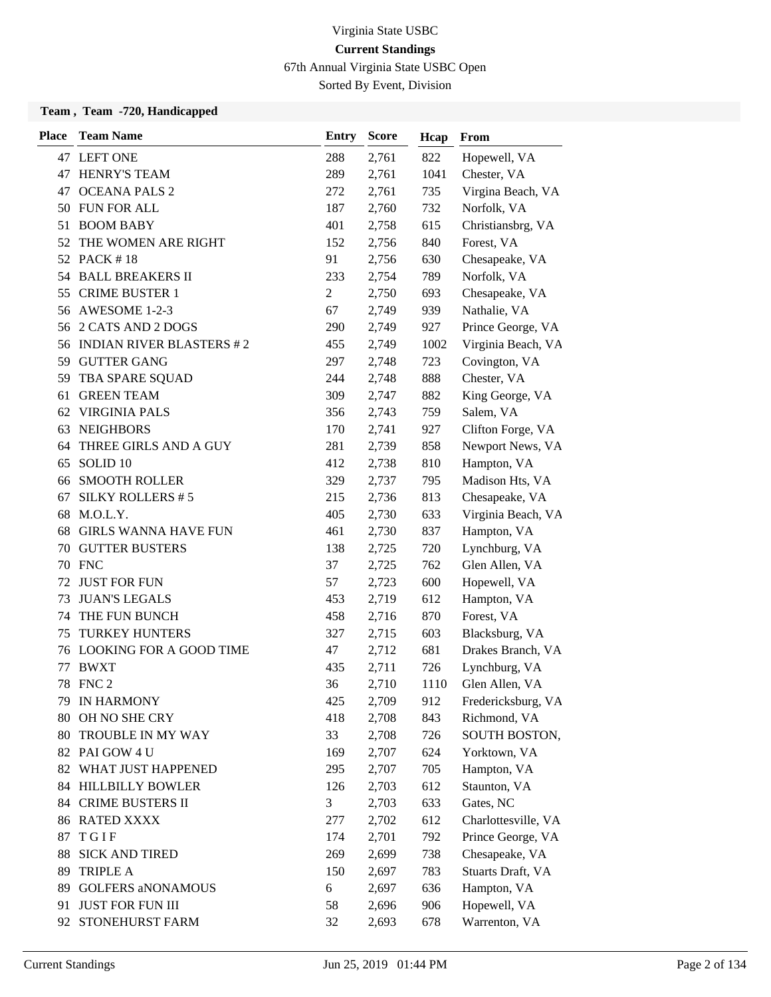67th Annual Virginia State USBC Open

Sorted By Event, Division

| <b>Place</b> | <b>Team Name</b>            | <b>Entry</b>   | <b>Score</b> | Hcap | From                |
|--------------|-----------------------------|----------------|--------------|------|---------------------|
|              | 47 LEFT ONE                 | 288            | 2,761        | 822  | Hopewell, VA        |
| 47           | <b>HENRY'S TEAM</b>         | 289            | 2,761        | 1041 | Chester, VA         |
| 47           | <b>OCEANA PALS 2</b>        | 272            | 2,761        | 735  | Virgina Beach, VA   |
|              | 50 FUN FOR ALL              | 187            | 2,760        | 732  | Norfolk, VA         |
| 51           | <b>BOOM BABY</b>            | 401            | 2,758        | 615  | Christiansbrg, VA   |
| 52           | THE WOMEN ARE RIGHT         | 152            | 2,756        | 840  | Forest, VA          |
|              | 52 PACK #18                 | 91             | 2,756        | 630  | Chesapeake, VA      |
|              | 54 BALL BREAKERS II         | 233            | 2,754        | 789  | Norfolk, VA         |
| 55           | <b>CRIME BUSTER 1</b>       | $\overline{c}$ | 2,750        | 693  | Chesapeake, VA      |
| 56           | AWESOME 1-2-3               | 67             | 2,749        | 939  | Nathalie, VA        |
|              | 56 2 CATS AND 2 DOGS        | 290            | 2,749        | 927  | Prince George, VA   |
|              | 56 INDIAN RIVER BLASTERS #2 | 455            | 2,749        | 1002 | Virginia Beach, VA  |
| 59           | <b>GUTTER GANG</b>          | 297            | 2,748        | 723  | Covington, VA       |
| 59           | TBA SPARE SQUAD             | 244            | 2,748        | 888  | Chester, VA         |
| 61           | <b>GREEN TEAM</b>           | 309            | 2,747        | 882  | King George, VA     |
|              | 62 VIRGINIA PALS            | 356            | 2,743        | 759  | Salem, VA           |
| 63           | <b>NEIGHBORS</b>            | 170            | 2,741        | 927  | Clifton Forge, VA   |
| 64           | THREE GIRLS AND A GUY       | 281            | 2,739        | 858  | Newport News, VA    |
| 65           | SOLID <sub>10</sub>         | 412            | 2,738        | 810  | Hampton, VA         |
| 66           | <b>SMOOTH ROLLER</b>        | 329            | 2,737        | 795  | Madison Hts, VA     |
| 67           | SILKY ROLLERS #5            | 215            | 2,736        | 813  | Chesapeake, VA      |
| 68           | M.O.L.Y.                    | 405            | 2,730        | 633  | Virginia Beach, VA  |
| 68           | <b>GIRLS WANNA HAVE FUN</b> | 461            | 2,730        | 837  | Hampton, VA         |
| 70           | <b>GUTTER BUSTERS</b>       | 138            | 2,725        | 720  | Lynchburg, VA       |
|              | <b>70 FNC</b>               | 37             | 2,725        | 762  | Glen Allen, VA      |
| 72           | <b>JUST FOR FUN</b>         | 57             | 2,723        | 600  | Hopewell, VA        |
| 73           | <b>JUAN'S LEGALS</b>        | 453            | 2,719        | 612  | Hampton, VA         |
| 74           | THE FUN BUNCH               | 458            | 2,716        | 870  | Forest, VA          |
| 75           | <b>TURKEY HUNTERS</b>       | 327            | 2,715        | 603  | Blacksburg, VA      |
| 76           | LOOKING FOR A GOOD TIME     | 47             | 2,712        | 681  | Drakes Branch, VA   |
| 77           | <b>BWXT</b>                 | 435            | 2,711        | 726  | Lynchburg, VA       |
|              | 78 FNC 2                    | 36             | 2,710        | 1110 | Glen Allen, VA      |
|              | 79 IN HARMONY               | 425            | 2,709        | 912  | Fredericksburg, VA  |
| 80           | OH NO SHE CRY               | 418            | 2,708        | 843  | Richmond, VA        |
| 80           | TROUBLE IN MY WAY           | 33             | 2,708        | 726  | SOUTH BOSTON,       |
|              | 82 PAI GOW 4 U              | 169            | 2,707        | 624  | Yorktown, VA        |
|              | 82 WHAT JUST HAPPENED       | 295            | 2,707        | 705  | Hampton, VA         |
|              | 84 HILLBILLY BOWLER         | 126            | 2,703        | 612  | Staunton, VA        |
| 84           | <b>CRIME BUSTERS II</b>     | 3              | 2,703        | 633  | Gates, NC           |
|              | 86 RATED XXXX               | 277            | 2,702        | 612  | Charlottesville, VA |
| 87           | TGIF                        | 174            | 2,701        | 792  | Prince George, VA   |
| 88           | <b>SICK AND TIRED</b>       | 269            | 2,699        | 738  | Chesapeake, VA      |
| 89           | <b>TRIPLE A</b>             | 150            | 2,697        | 783  | Stuarts Draft, VA   |
|              | 89 GOLFERS aNONAMOUS        | 6              | 2,697        | 636  | Hampton, VA         |
| 91           | <b>JUST FOR FUN III</b>     | 58             | 2,696        | 906  | Hopewell, VA        |
| 92           | STONEHURST FARM             | 32             | 2,693        | 678  | Warrenton, VA       |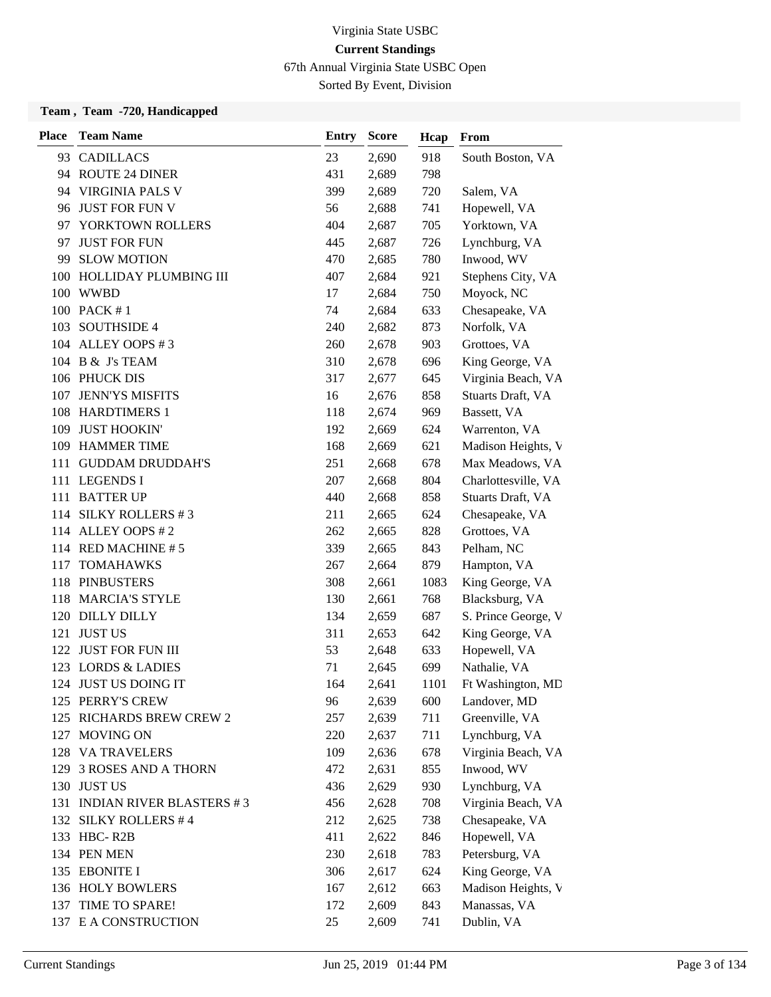67th Annual Virginia State USBC Open

Sorted By Event, Division

| <b>Place</b> | <b>Team Name</b>                | <b>Entry</b> | <b>Score</b> | Hcap | From                |
|--------------|---------------------------------|--------------|--------------|------|---------------------|
| 93           | <b>CADILLACS</b>                | 23           | 2,690        | 918  | South Boston, VA    |
|              | 94 ROUTE 24 DINER               | 431          | 2,689        | 798  |                     |
| 94           | <b>VIRGINIA PALS V</b>          | 399          | 2,689        | 720  | Salem, VA           |
|              | 96 JUST FOR FUN V               | 56           | 2,688        | 741  | Hopewell, VA        |
| 97           | YORKTOWN ROLLERS                | 404          | 2,687        | 705  | Yorktown, VA        |
| 97           | <b>JUST FOR FUN</b>             | 445          | 2,687        | 726  | Lynchburg, VA       |
| 99           | <b>SLOW MOTION</b>              | 470          | 2,685        | 780  | Inwood, WV          |
| 100          | HOLLIDAY PLUMBING III           | 407          | 2,684        | 921  | Stephens City, VA   |
|              | 100 WWBD                        | 17           | 2,684        | 750  | Moyock, NC          |
|              | 100 PACK #1                     | 74           | 2,684        | 633  | Chesapeake, VA      |
| 103          | <b>SOUTHSIDE 4</b>              | 240          | 2,682        | 873  | Norfolk, VA         |
|              | 104 ALLEY OOPS #3               | 260          | 2,678        | 903  | Grottoes, VA        |
|              | 104 B & J's TEAM                | 310          | 2,678        | 696  | King George, VA     |
|              | 106 PHUCK DIS                   | 317          | 2,677        | 645  | Virginia Beach, VA  |
| 107          | <b>JENN'YS MISFITS</b>          | 16           | 2,676        | 858  | Stuarts Draft, VA   |
|              | 108 HARDTIMERS 1                | 118          | 2,674        | 969  | Bassett, VA         |
| 109          | <b>JUST HOOKIN'</b>             | 192          | 2,669        | 624  | Warrenton, VA       |
| 109          | <b>HAMMER TIME</b>              | 168          | 2,669        | 621  | Madison Heights, V  |
| 111          | <b>GUDDAM DRUDDAH'S</b>         | 251          | 2,668        | 678  | Max Meadows, VA     |
|              | 111 LEGENDS I                   | 207          | 2,668        | 804  | Charlottesville, VA |
| 111          | <b>BATTER UP</b>                | 440          | 2,668        | 858  | Stuarts Draft, VA   |
|              | 114 SILKY ROLLERS #3            | 211          | 2,665        | 624  | Chesapeake, VA      |
|              | 114 ALLEY OOPS #2               | 262          | 2,665        | 828  | Grottoes, VA        |
|              | 114 RED MACHINE #5              | 339          | 2,665        | 843  | Pelham, NC          |
| 117          | <b>TOMAHAWKS</b>                | 267          | 2,664        | 879  | Hampton, VA         |
|              | 118 PINBUSTERS                  | 308          | 2,661        | 1083 | King George, VA     |
| 118          | <b>MARCIA'S STYLE</b>           | 130          | 2,661        | 768  | Blacksburg, VA      |
| 120          | <b>DILLY DILLY</b>              | 134          | 2,659        | 687  | S. Prince George, V |
| 121          | <b>JUST US</b>                  | 311          | 2,653        | 642  | King George, VA     |
| 122          | <b>JUST FOR FUN III</b>         | 53           | 2,648        | 633  | Hopewell, VA        |
| 123          | <b>LORDS &amp; LADIES</b>       | 71           | 2,645        | 699  | Nathalie, VA        |
|              | 124 JUST US DOING IT            | 164          | 2,641        | 1101 | Ft Washington, MD   |
|              | 125 PERRY'S CREW                | 96           | 2,639        | 600  | Landover, MD        |
|              | 125 RICHARDS BREW CREW 2        | 257          | 2,639        | 711  | Greenville, VA      |
| 127          | <b>MOVING ON</b>                | 220          | 2,637        | 711  | Lynchburg, VA       |
|              | 128 VA TRAVELERS                | 109          | 2,636        | 678  | Virginia Beach, VA  |
| 129          | <b>3 ROSES AND A THORN</b>      | 472          | 2,631        | 855  | Inwood, WV          |
|              | 130 JUST US                     | 436          | 2,629        | 930  | Lynchburg, VA       |
| 131          | <b>INDIAN RIVER BLASTERS #3</b> | 456          | 2,628        | 708  | Virginia Beach, VA  |
|              | 132 SILKY ROLLERS #4            | 212          | 2,625        | 738  | Chesapeake, VA      |
|              | 133 HBC-R2B                     | 411          | 2,622        | 846  | Hopewell, VA        |
|              | 134 PEN MEN                     | 230          | 2,618        | 783  | Petersburg, VA      |
|              | 135 EBONITE I                   | 306          | 2,617        | 624  | King George, VA     |
|              | 136 HOLY BOWLERS                | 167          | 2,612        | 663  | Madison Heights, V  |
| 137          | TIME TO SPARE!                  | 172          | 2,609        | 843  | Manassas, VA        |
|              | 137 E A CONSTRUCTION            | 25           | 2,609        | 741  | Dublin, VA          |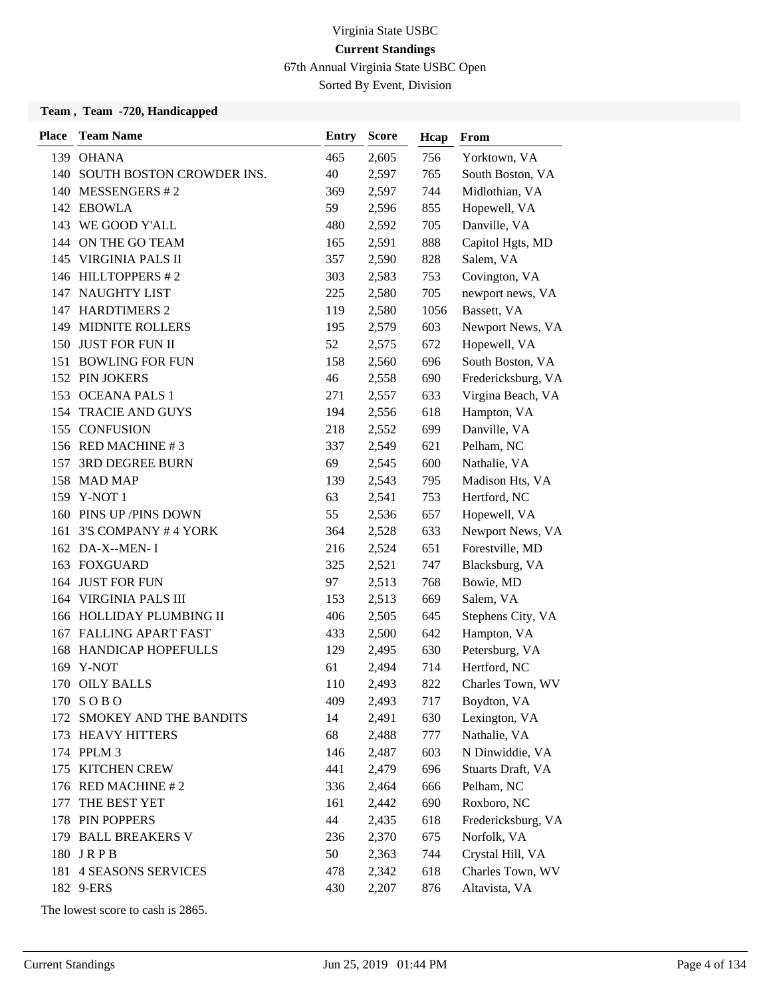67th Annual Virginia State USBC Open

Sorted By Event, Division

#### **Team , Team -720, Handicapped**

| <b>Place</b> | <b>Team Name</b>              | Entry | <b>Score</b> | Hcap | From               |
|--------------|-------------------------------|-------|--------------|------|--------------------|
|              | 139 OHANA                     | 465   | 2,605        | 756  | Yorktown, VA       |
|              | 140 SOUTH BOSTON CROWDER INS. | 40    | 2,597        | 765  | South Boston, VA   |
|              | 140 MESSENGERS #2             | 369   | 2,597        | 744  | Midlothian, VA     |
|              | 142 EBOWLA                    | 59    | 2,596        | 855  | Hopewell, VA       |
|              | 143 WE GOOD Y'ALL             | 480   | 2,592        | 705  | Danville, VA       |
|              | 144 ON THE GO TEAM            | 165   | 2,591        | 888  | Capitol Hgts, MD   |
|              | 145 VIRGINIA PALS II          | 357   | 2,590        | 828  | Salem, VA          |
|              | 146 HILLTOPPERS #2            | 303   | 2,583        | 753  | Covington, VA      |
| 147          | <b>NAUGHTY LIST</b>           | 225   | 2,580        | 705  | newport news, VA   |
|              | 147 HARDTIMERS 2              | 119   | 2,580        | 1056 | Bassett, VA        |
|              | 149 MIDNITE ROLLERS           | 195   | 2,579        | 603  | Newport News, VA   |
|              | 150 JUST FOR FUN II           | 52    | 2,575        | 672  | Hopewell, VA       |
| 151          | <b>BOWLING FOR FUN</b>        | 158   | 2,560        | 696  | South Boston, VA   |
|              | 152 PIN JOKERS                | 46    | 2,558        | 690  | Fredericksburg, VA |
|              | 153 OCEANA PALS 1             | 271   | 2,557        | 633  | Virgina Beach, VA  |
|              | 154 TRACIE AND GUYS           | 194   | 2,556        | 618  | Hampton, VA        |
|              | 155 CONFUSION                 | 218   | 2,552        | 699  | Danville, VA       |
|              | 156 RED MACHINE #3            | 337   | 2,549        | 621  | Pelham, NC         |
| 157          | <b>3RD DEGREE BURN</b>        | 69    | 2,545        | 600  | Nathalie, VA       |
|              | 158 MAD MAP                   | 139   | 2,543        | 795  | Madison Hts, VA    |
|              | 159 Y-NOT 1                   | 63    | 2,541        | 753  | Hertford, NC       |
|              | 160 PINS UP / PINS DOWN       | 55    | 2,536        | 657  | Hopewell, VA       |
| 161          | 3'S COMPANY #4 YORK           | 364   | 2,528        | 633  | Newport News, VA   |
|              | 162 DA-X--MEN- I              | 216   | 2,524        | 651  | Forestville, MD    |
|              | 163 FOXGUARD                  | 325   | 2,521        | 747  | Blacksburg, VA     |
| 164          | <b>JUST FOR FUN</b>           | 97    | 2,513        | 768  | Bowie, MD          |
| 164          | <b>VIRGINIA PALS III</b>      | 153   | 2,513        | 669  | Salem, VA          |
|              | 166 HOLLIDAY PLUMBING II      | 406   | 2,505        | 645  | Stephens City, VA  |
|              | 167 FALLING APART FAST        | 433   | 2,500        | 642  | Hampton, VA        |
|              | <b>168 HANDICAP HOPEFULLS</b> | 129   | 2,495        | 630  | Petersburg, VA     |
|              | 169 Y-NOT                     | 61    | 2,494        | 714  | Hertford, NC       |
|              | 170 OILY BALLS                | 110   | 2,493        | 822  | Charles Town, WV   |
|              | 170 SOBO                      | 409   | 2,493        | 717  | Boydton, VA        |
| 172          | SMOKEY AND THE BANDITS        | 14    | 2,491        | 630  | Lexington, VA      |
|              | 173 HEAVY HITTERS             | 68    | 2,488        | 777  | Nathalie, VA       |
|              | 174 PPLM 3                    | 146   | 2,487        | 603  | N Dinwiddie, VA    |
| 175          | <b>KITCHEN CREW</b>           | 441   | 2,479        | 696  | Stuarts Draft, VA  |
|              | 176 RED MACHINE #2            | 336   | 2,464        | 666  | Pelham, NC         |
| 177          | THE BEST YET                  | 161   | 2,442        | 690  | Roxboro, NC        |
|              | 178 PIN POPPERS               | 44    | 2,435        | 618  | Fredericksburg, VA |
|              | 179 BALL BREAKERS V           | 236   | 2,370        | 675  | Norfolk, VA        |
|              | 180 JRPB                      | 50    | 2,363        | 744  | Crystal Hill, VA   |
|              | 181 4 SEASONS SERVICES        | 478   | 2,342        | 618  | Charles Town, WV   |
|              | 182 9-ERS                     | 430   | 2,207        | 876  | Altavista, VA      |

The lowest score to cash is 2865.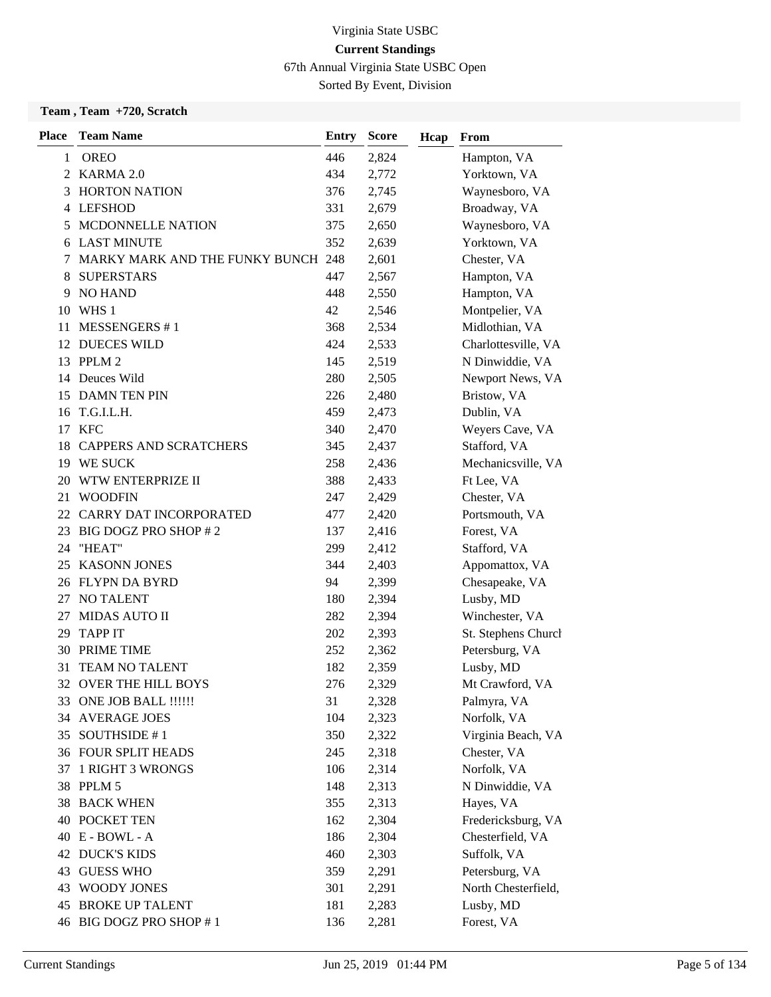67th Annual Virginia State USBC Open

Sorted By Event, Division

#### **Team , Team +720, Scratch**

| <b>Place</b> | <b>Team Name</b>                   | Entry | <b>Score</b> | Hcap | From                |
|--------------|------------------------------------|-------|--------------|------|---------------------|
| 1            | <b>OREO</b>                        | 446   | 2,824        |      | Hampton, VA         |
|              | 2 KARMA 2.0                        | 434   | 2,772        |      | Yorktown, VA        |
| 3            | <b>HORTON NATION</b>               | 376   | 2,745        |      | Waynesboro, VA      |
| 4            | <b>LEFSHOD</b>                     | 331   | 2,679        |      | Broadway, VA        |
| 5            | <b>MCDONNELLE NATION</b>           | 375   | 2,650        |      | Waynesboro, VA      |
| 6            | <b>LAST MINUTE</b>                 | 352   | 2,639        |      | Yorktown, VA        |
| 7            | MARKY MARK AND THE FUNKY BUNCH 248 |       | 2,601        |      | Chester, VA         |
| 8            | <b>SUPERSTARS</b>                  | 447   | 2,567        |      | Hampton, VA         |
| 9            | <b>NO HAND</b>                     | 448   | 2,550        |      | Hampton, VA         |
| 10           | WHS 1                              | 42    | 2,546        |      | Montpelier, VA      |
| 11           | <b>MESSENGERS #1</b>               | 368   | 2,534        |      | Midlothian, VA      |
|              | 12 DUECES WILD                     | 424   | 2,533        |      | Charlottesville, VA |
|              | 13 PPLM 2                          | 145   | 2,519        |      | N Dinwiddie, VA     |
| 14           | Deuces Wild                        | 280   | 2,505        |      | Newport News, VA    |
| 15           | <b>DAMN TEN PIN</b>                | 226   | 2,480        |      | Bristow, VA         |
| 16           | T.G.I.L.H.                         | 459   | 2,473        |      | Dublin, VA          |
|              | 17 KFC                             | 340   | 2,470        |      | Weyers Cave, VA     |
| 18           | <b>CAPPERS AND SCRATCHERS</b>      | 345   | 2,437        |      | Stafford, VA        |
|              | 19 WE SUCK                         | 258   | 2,436        |      | Mechanicsville, VA  |
| 20           | WTW ENTERPRIZE II                  | 388   | 2,433        |      | Ft Lee, VA          |
| 21           | <b>WOODFIN</b>                     | 247   | 2,429        |      | Chester, VA         |
| 22           | CARRY DAT INCORPORATED             | 477   | 2,420        |      | Portsmouth, VA      |
| 23           | BIG DOGZ PRO SHOP #2               | 137   | 2,416        |      | Forest, VA          |
| 24           | "HEAT"                             | 299   | 2,412        |      | Stafford, VA        |
| 25           | <b>KASONN JONES</b>                | 344   | 2,403        |      | Appomattox, VA      |
|              | 26 FLYPN DA BYRD                   | 94    | 2,399        |      | Chesapeake, VA      |
|              | 27 NO TALENT                       | 180   | 2,394        |      | Lusby, MD           |
| 27           | <b>MIDAS AUTO II</b>               | 282   | 2,394        |      | Winchester, VA      |
| 29           | <b>TAPP IT</b>                     | 202   | 2,393        |      | St. Stephens Church |
| 30           | PRIME TIME                         | 252   | 2,362        |      | Petersburg, VA      |
| 31           | TEAM NO TALENT                     | 182   | 2,359        |      | Lusby, MD           |
| 32           | <b>OVER THE HILL BOYS</b>          | 276   | 2,329        |      | Mt Crawford, VA     |
|              | 33 ONE JOB BALL !!!!!!             | 31    | 2,328        |      | Palmyra, VA         |
|              | 34 AVERAGE JOES                    | 104   | 2,323        |      | Norfolk, VA         |
|              | 35 SOUTHSIDE #1                    | 350   | 2,322        |      | Virginia Beach, VA  |
|              | 36 FOUR SPLIT HEADS                | 245   | 2,318        |      | Chester, VA         |
| 37           | <b>1 RIGHT 3 WRONGS</b>            | 106   | 2,314        |      | Norfolk, VA         |
|              | 38 PPLM 5                          | 148   | 2,313        |      | N Dinwiddie, VA     |
|              | <b>38 BACK WHEN</b>                | 355   | 2,313        |      | Hayes, VA           |
|              | <b>40 POCKET TEN</b>               | 162   | 2,304        |      | Fredericksburg, VA  |
|              | 40 E - BOWL - A                    | 186   | 2,304        |      | Chesterfield, VA    |
|              | <b>42 DUCK'S KIDS</b>              | 460   | 2,303        |      | Suffolk, VA         |
|              | 43 GUESS WHO                       | 359   | 2,291        |      | Petersburg, VA      |
| 43           | <b>WOODY JONES</b>                 | 301   | 2,291        |      | North Chesterfield, |
| 45           | <b>BROKE UP TALENT</b>             | 181   | 2,283        |      | Lusby, MD           |
|              | 46 BIG DOGZ PRO SHOP #1            | 136   | 2,281        |      | Forest, VA          |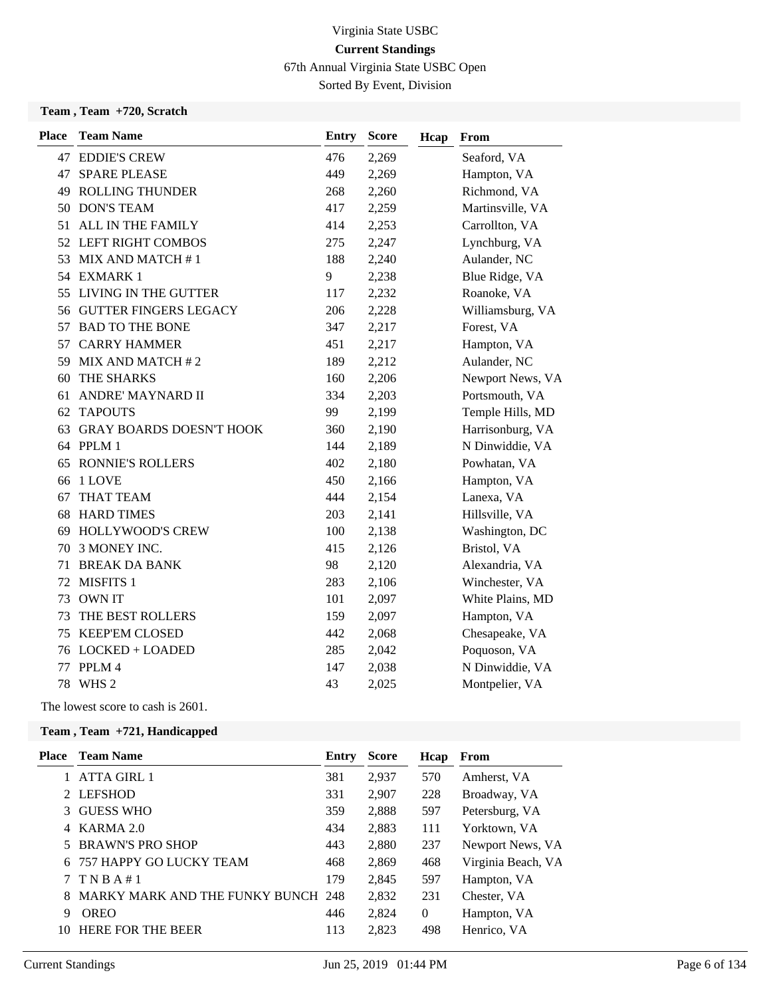67th Annual Virginia State USBC Open

Sorted By Event, Division

#### **Team , Team +720, Scratch**

| <b>Team Name</b>        | <b>Entry</b>                                                                                                                                                                                                                                                                                                                                                                      | <b>Score</b> | Hcap | From             |
|-------------------------|-----------------------------------------------------------------------------------------------------------------------------------------------------------------------------------------------------------------------------------------------------------------------------------------------------------------------------------------------------------------------------------|--------------|------|------------------|
|                         | 476                                                                                                                                                                                                                                                                                                                                                                               | 2,269        |      | Seaford, VA      |
| <b>SPARE PLEASE</b>     | 449                                                                                                                                                                                                                                                                                                                                                                               | 2,269        |      | Hampton, VA      |
| <b>ROLLING THUNDER</b>  | 268                                                                                                                                                                                                                                                                                                                                                                               | 2,260        |      | Richmond, VA     |
|                         | 417                                                                                                                                                                                                                                                                                                                                                                               | 2,259        |      | Martinsville, VA |
|                         | 414                                                                                                                                                                                                                                                                                                                                                                               | 2,253        |      | Carrollton, VA   |
|                         | 275                                                                                                                                                                                                                                                                                                                                                                               | 2,247        |      | Lynchburg, VA    |
|                         | 188                                                                                                                                                                                                                                                                                                                                                                               | 2,240        |      | Aulander, NC     |
|                         | 9                                                                                                                                                                                                                                                                                                                                                                                 | 2,238        |      | Blue Ridge, VA   |
|                         | 117                                                                                                                                                                                                                                                                                                                                                                               | 2,232        |      | Roanoke, VA      |
|                         | 206                                                                                                                                                                                                                                                                                                                                                                               | 2,228        |      | Williamsburg, VA |
| <b>BAD TO THE BONE</b>  | 347                                                                                                                                                                                                                                                                                                                                                                               | 2,217        |      | Forest, VA       |
|                         | 451                                                                                                                                                                                                                                                                                                                                                                               | 2,217        |      | Hampton, VA      |
|                         | 189                                                                                                                                                                                                                                                                                                                                                                               | 2,212        |      | Aulander, NC     |
| THE SHARKS              | 160                                                                                                                                                                                                                                                                                                                                                                               | 2,206        |      | Newport News, VA |
| ANDRE' MAYNARD II       | 334                                                                                                                                                                                                                                                                                                                                                                               | 2,203        |      | Portsmouth, VA   |
| <b>TAPOUTS</b>          | 99                                                                                                                                                                                                                                                                                                                                                                                | 2,199        |      | Temple Hills, MD |
|                         | 360                                                                                                                                                                                                                                                                                                                                                                               | 2,190        |      | Harrisonburg, VA |
|                         | 144                                                                                                                                                                                                                                                                                                                                                                               | 2,189        |      | N Dinwiddie, VA  |
| <b>RONNIE'S ROLLERS</b> | 402                                                                                                                                                                                                                                                                                                                                                                               | 2,180        |      | Powhatan, VA     |
| 1 LOVE                  | 450                                                                                                                                                                                                                                                                                                                                                                               | 2,166        |      | Hampton, VA      |
| <b>THAT TEAM</b>        | 444                                                                                                                                                                                                                                                                                                                                                                               | 2,154        |      | Lanexa, VA       |
|                         | 203                                                                                                                                                                                                                                                                                                                                                                               | 2,141        |      | Hillsville, VA   |
| <b>HOLLYWOOD'S CREW</b> | 100                                                                                                                                                                                                                                                                                                                                                                               | 2,138        |      | Washington, DC   |
| 3 MONEY INC.            | 415                                                                                                                                                                                                                                                                                                                                                                               | 2,126        |      | Bristol, VA      |
| <b>BREAK DA BANK</b>    | 98                                                                                                                                                                                                                                                                                                                                                                                | 2,120        |      | Alexandria, VA   |
|                         | 283                                                                                                                                                                                                                                                                                                                                                                               | 2,106        |      | Winchester, VA   |
| <b>OWN IT</b>           | 101                                                                                                                                                                                                                                                                                                                                                                               | 2,097        |      | White Plains, MD |
| THE BEST ROLLERS        | 159                                                                                                                                                                                                                                                                                                                                                                               | 2,097        |      | Hampton, VA      |
|                         | 442                                                                                                                                                                                                                                                                                                                                                                               | 2,068        |      | Chesapeake, VA   |
|                         | 285                                                                                                                                                                                                                                                                                                                                                                               | 2,042        |      | Poquoson, VA     |
| PPLM 4                  | 147                                                                                                                                                                                                                                                                                                                                                                               | 2,038        |      | N Dinwiddie, VA  |
|                         | 43                                                                                                                                                                                                                                                                                                                                                                                | 2,025        |      | Montpelier, VA   |
|                         | <b>47 EDDIE'S CREW</b><br><b>DON'S TEAM</b><br>ALL IN THE FAMILY<br>52 LEFT RIGHT COMBOS<br>MIX AND MATCH #1<br>54 EXMARK 1<br>55 LIVING IN THE GUTTER<br>56 GUTTER FINGERS LEGACY<br><b>CARRY HAMMER</b><br>59 MIX AND MATCH #2<br>63 GRAY BOARDS DOESN'T HOOK<br>64 PPLM 1<br><b>HARD TIMES</b><br>MISFITS 1<br><b>KEEP'EM CLOSED</b><br>76 LOCKED + LOADED<br>WHS <sub>2</sub> |              |      |                  |

The lowest score to cash is 2601.

| Place | <b>Team Name</b>                   | <b>Entry</b> | <b>Score</b> | Hcap     | From               |
|-------|------------------------------------|--------------|--------------|----------|--------------------|
|       | <b>ATTA GIRL 1</b>                 | 381          | 2,937        | 570      | Amherst, VA        |
|       | 2 LEFSHOD                          | 331          | 2,907        | 228      | Broadway, VA       |
|       | 3 GUESS WHO                        | 359          | 2,888        | 597      | Petersburg, VA     |
|       | 4 KARMA 2.0                        | 434          | 2,883        | 111      | Yorktown, VA       |
|       | 5 BRAWN'S PRO SHOP                 | 443          | 2,880        | 237      | Newport News, VA   |
|       | 6 757 HAPPY GO LUCKY TEAM          | 468          | 2,869        | 468      | Virginia Beach, VA |
|       | 7 TNBA#1                           | 179          | 2,845        | 597      | Hampton, VA        |
| 8     | MARKY MARK AND THE FUNKY BUNCH 248 |              | 2,832        | 231      | Chester, VA        |
| 9     | <b>OREO</b>                        | 446          | 2,824        | $\theta$ | Hampton, VA        |
| 10    | <b>HERE FOR THE BEER</b>           | 113          | 2,823        | 498      | Henrico, VA        |
|       |                                    |              |              |          |                    |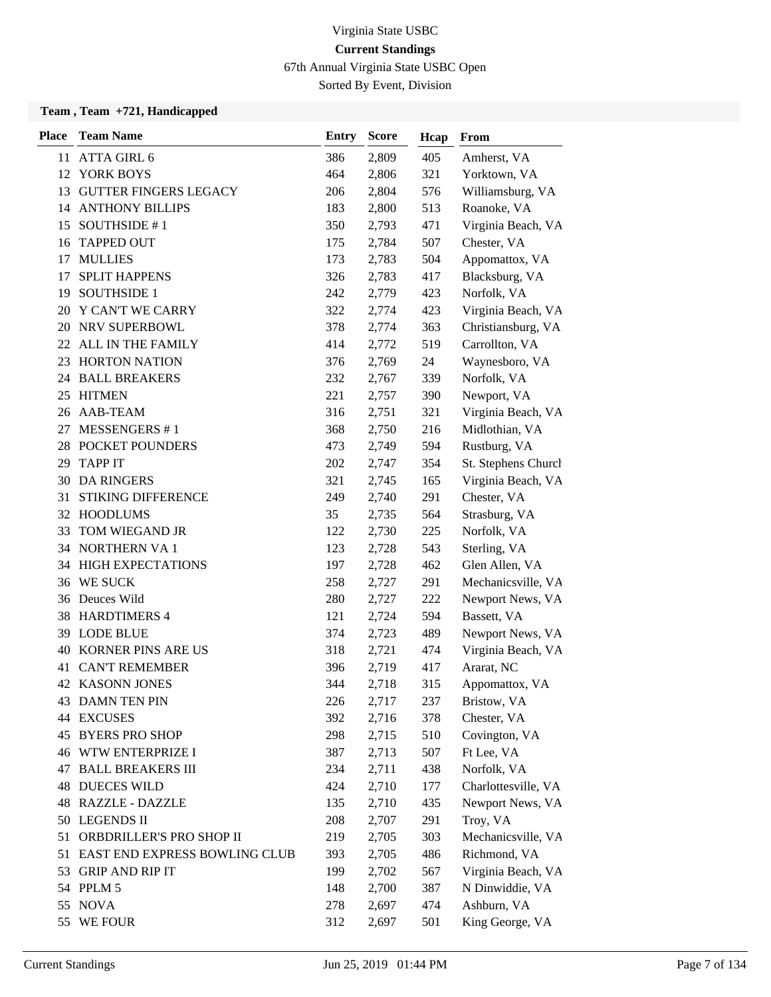67th Annual Virginia State USBC Open

Sorted By Event, Division

| <b>Place</b> | <b>Team Name</b>                 | Entry | <b>Score</b> | Hcap | From                |
|--------------|----------------------------------|-------|--------------|------|---------------------|
|              | 11 ATTA GIRL 6                   | 386   | 2,809        | 405  | Amherst, VA         |
|              | 12 YORK BOYS                     | 464   | 2,806        | 321  | Yorktown, VA        |
|              | 13 GUTTER FINGERS LEGACY         | 206   | 2,804        | 576  | Williamsburg, VA    |
|              | <b>14 ANTHONY BILLIPS</b>        | 183   | 2,800        | 513  | Roanoke, VA         |
| 15           | SOUTHSIDE #1                     | 350   | 2,793        | 471  | Virginia Beach, VA  |
| 16           | <b>TAPPED OUT</b>                | 175   | 2,784        | 507  | Chester, VA         |
| 17           | <b>MULLIES</b>                   | 173   | 2,783        | 504  | Appomattox, VA      |
| 17           | <b>SPLIT HAPPENS</b>             | 326   | 2,783        | 417  | Blacksburg, VA      |
| 19           | <b>SOUTHSIDE 1</b>               | 242   | 2,779        | 423  | Norfolk, VA         |
| 20           | Y CAN'T WE CARRY                 | 322   | 2,774        | 423  | Virginia Beach, VA  |
| 20           | NRV SUPERBOWL                    | 378   | 2,774        | 363  | Christiansburg, VA  |
|              | 22 ALL IN THE FAMILY             | 414   | 2,772        | 519  | Carrollton, VA      |
| 23           | <b>HORTON NATION</b>             | 376   | 2,769        | 24   | Waynesboro, VA      |
| 24           | <b>BALL BREAKERS</b>             | 232   | 2,767        | 339  | Norfolk, VA         |
| 25           | HITMEN                           | 221   | 2,757        | 390  | Newport, VA         |
|              | 26 AAB-TEAM                      | 316   | 2,751        | 321  | Virginia Beach, VA  |
| 27           | MESSENGERS #1                    | 368   | 2,750        | 216  | Midlothian, VA      |
|              | 28 POCKET POUNDERS               | 473   | 2,749        | 594  | Rustburg, VA        |
| 29           | <b>TAPP IT</b>                   | 202   | 2,747        | 354  | St. Stephens Church |
|              | 30 DA RINGERS                    | 321   | 2,745        | 165  | Virginia Beach, VA  |
| 31           | <b>STIKING DIFFERENCE</b>        | 249   | 2,740        | 291  | Chester, VA         |
|              | 32 HOODLUMS                      | 35    | 2,735        | 564  | Strasburg, VA       |
| 33           | TOM WIEGAND JR                   | 122   | 2,730        | 225  | Norfolk, VA         |
|              | 34 NORTHERN VA 1                 | 123   | 2,728        | 543  | Sterling, VA        |
|              | 34 HIGH EXPECTATIONS             | 197   | 2,728        | 462  | Glen Allen, VA      |
|              | 36 WE SUCK                       | 258   | 2,727        | 291  | Mechanicsville, VA  |
|              | 36 Deuces Wild                   | 280   | 2,727        | 222  | Newport News, VA    |
|              | 38 HARDTIMERS 4                  | 121   | 2,724        | 594  | Bassett, VA         |
| 39           | LODE BLUE                        | 374   | 2,723        | 489  | Newport News, VA    |
| 40           | KORNER PINS ARE US               | 318   | 2,721        | 474  | Virginia Beach, VA  |
| 41           | <b>CAN'T REMEMBER</b>            | 396   | 2,719        | 417  | Ararat, NC          |
|              | <b>42 KASONN JONES</b>           | 344   | 2,718        | 315  | Appomattox, VA      |
|              | 43 DAMN TEN PIN                  | 226   | 2,717        | 237  | Bristow, VA         |
|              | 44 EXCUSES                       | 392   | 2,716        | 378  | Chester, VA         |
| 45           | <b>BYERS PRO SHOP</b>            | 298   | 2,715        | 510  | Covington, VA       |
|              | <b>46 WTW ENTERPRIZE I</b>       | 387   | 2,713        | 507  | Ft Lee, VA          |
| 47           | <b>BALL BREAKERS III</b>         | 234   | 2,711        | 438  | Norfolk, VA         |
| 48           | <b>DUECES WILD</b>               | 424   | 2,710        | 177  | Charlottesville, VA |
|              | 48 RAZZLE - DAZZLE               | 135   | 2,710        | 435  | Newport News, VA    |
|              | 50 LEGENDS II                    | 208   | 2,707        | 291  | Troy, VA            |
|              | 51 ORBDRILLER'S PRO SHOP II      | 219   | 2,705        | 303  | Mechanicsville, VA  |
|              | 51 EAST END EXPRESS BOWLING CLUB | 393   | 2,705        | 486  | Richmond, VA        |
|              | 53 GRIP AND RIP IT               | 199   | 2,702        | 567  | Virginia Beach, VA  |
|              | 54 PPLM 5                        | 148   | 2,700        | 387  | N Dinwiddie, VA     |
|              | 55 NOVA                          | 278   | 2,697        | 474  | Ashburn, VA         |
| 55           | WE FOUR                          | 312   | 2,697        | 501  | King George, VA     |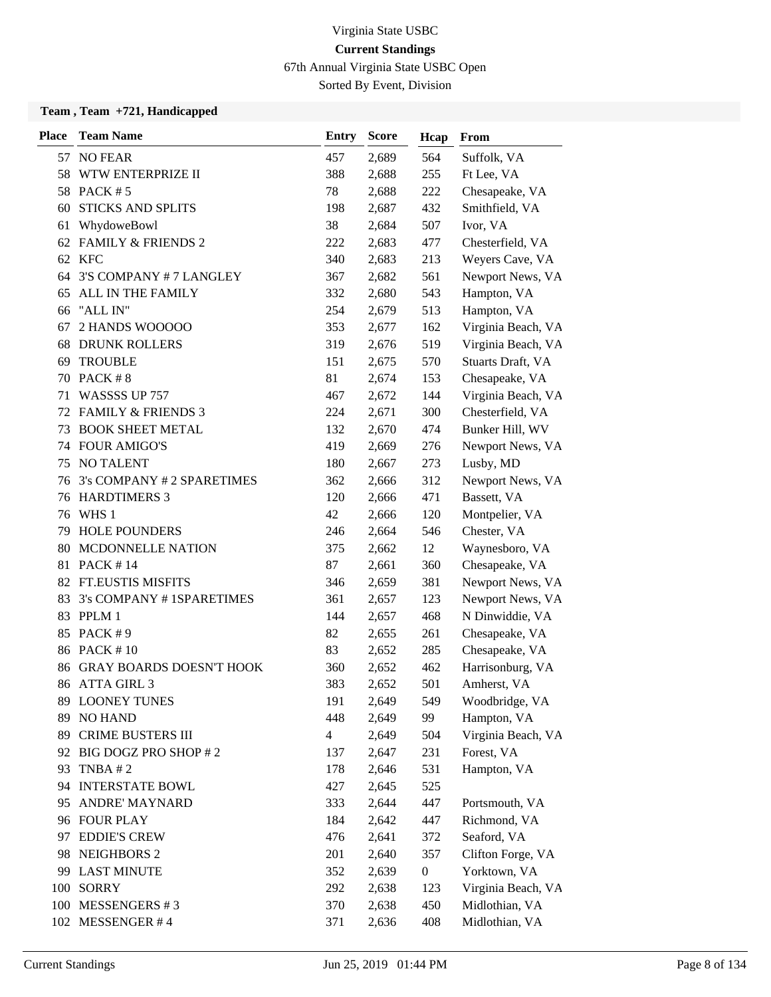67th Annual Virginia State USBC Open

Sorted By Event, Division

| <b>Place</b> | <b>Team Name</b>                | <b>Entry</b> | <b>Score</b> | Hcap             | From               |
|--------------|---------------------------------|--------------|--------------|------------------|--------------------|
|              | 57 NO FEAR                      | 457          | 2,689        | 564              | Suffolk, VA        |
| 58           | WTW ENTERPRIZE II               | 388          | 2,688        | 255              | Ft Lee, VA         |
|              | 58 PACK #5                      | 78           | 2,688        | 222              | Chesapeake, VA     |
| 60           | <b>STICKS AND SPLITS</b>        | 198          | 2,687        | 432              | Smithfield, VA     |
| 61           | WhydoweBowl                     | 38           | 2,684        | 507              | Ivor, VA           |
|              | 62 FAMILY & FRIENDS 2           | 222          | 2,683        | 477              | Chesterfield, VA   |
|              | 62 KFC                          | 340          | 2,683        | 213              | Weyers Cave, VA    |
| 64           | 3'S COMPANY # 7 LANGLEY         | 367          | 2,682        | 561              | Newport News, VA   |
| 65           | ALL IN THE FAMILY               | 332          | 2,680        | 543              | Hampton, VA        |
| 66           | "ALL IN"                        | 254          | 2,679        | 513              | Hampton, VA        |
| 67           | 2 HANDS WOOOOO                  | 353          | 2,677        | 162              | Virginia Beach, VA |
| 68           | <b>DRUNK ROLLERS</b>            | 319          | 2,676        | 519              | Virginia Beach, VA |
| 69           | <b>TROUBLE</b>                  | 151          | 2,675        | 570              | Stuarts Draft, VA  |
| 70           | PACK # 8                        | 81           | 2,674        | 153              | Chesapeake, VA     |
| 71           | WASSSS UP 757                   | 467          | 2,672        | 144              | Virginia Beach, VA |
|              | 72 FAMILY & FRIENDS 3           | 224          | 2,671        | 300              | Chesterfield, VA   |
| 73           | <b>BOOK SHEET METAL</b>         | 132          | 2,670        | 474              | Bunker Hill, WV    |
| 74           | <b>FOUR AMIGO'S</b>             | 419          | 2,669        | 276              | Newport News, VA   |
| 75           | NO TALENT                       | 180          | 2,667        | 273              | Lusby, MD          |
| 76           | 3's COMPANY # 2 SPARETIMES      | 362          | 2,666        | 312              | Newport News, VA   |
| 76           | <b>HARDTIMERS 3</b>             | 120          | 2,666        | 471              | Bassett, VA        |
|              | 76 WHS 1                        | 42           | 2,666        | 120              | Montpelier, VA     |
| 79           | <b>HOLE POUNDERS</b>            | 246          | 2,664        | 546              | Chester, VA        |
| 80           | MCDONNELLE NATION               | 375          | 2,662        | 12               | Waynesboro, VA     |
| 81           | <b>PACK #14</b>                 | 87           | 2,661        | 360              | Chesapeake, VA     |
|              | 82 FT.EUSTIS MISFITS            | 346          | 2,659        | 381              | Newport News, VA   |
| 83           | 3's COMPANY #1SPARETIMES        | 361          | 2,657        | 123              | Newport News, VA   |
|              | 83 PPLM 1                       | 144          | 2,657        | 468              | N Dinwiddie, VA    |
| 85           | PACK #9                         | 82           | 2,655        | 261              | Chesapeake, VA     |
|              | 86 PACK #10                     | 83           | 2,652        | 285              | Chesapeake, VA     |
| 86           | <b>GRAY BOARDS DOESN'T HOOK</b> | 360          | 2,652        | 462              | Harrisonburg, VA   |
|              | 86 ATTA GIRL 3                  | 383          | 2,652        | 501              | Amherst, VA        |
| 89.          | <b>LOONEY TUNES</b>             | 191          | 2,649        | 549              | Woodbridge, VA     |
| 89           | <b>NO HAND</b>                  | 448          | 2,649        | 99               | Hampton, VA        |
| 89           | <b>CRIME BUSTERS III</b>        | 4            | 2,649        | 504              | Virginia Beach, VA |
|              | 92 BIG DOGZ PRO SHOP #2         | 137          | 2,647        | 231              | Forest, VA         |
| 93           | TNBA $# 2$                      | 178          | 2,646        | 531              | Hampton, VA        |
|              | 94 INTERSTATE BOWL              | 427          | 2,645        | 525              |                    |
| 95           | <b>ANDRE' MAYNARD</b>           | 333          | 2,644        | 447              | Portsmouth, VA     |
|              | 96 FOUR PLAY                    | 184          | 2,642        | 447              | Richmond, VA       |
| 97           | <b>EDDIE'S CREW</b>             | 476          | 2,641        | 372              | Seaford, VA        |
|              | 98 NEIGHBORS 2                  | 201          | 2,640        | 357              | Clifton Forge, VA  |
| 99           | <b>LAST MINUTE</b>              | 352          | 2,639        | $\boldsymbol{0}$ | Yorktown, VA       |
| 100          | <b>SORRY</b>                    | 292          | 2,638        | 123              | Virginia Beach, VA |
| 100          | MESSENGERS #3                   | 370          | 2,638        | 450              | Midlothian, VA     |
|              | 102 MESSENGER #4                | 371          | 2,636        | 408              | Midlothian, VA     |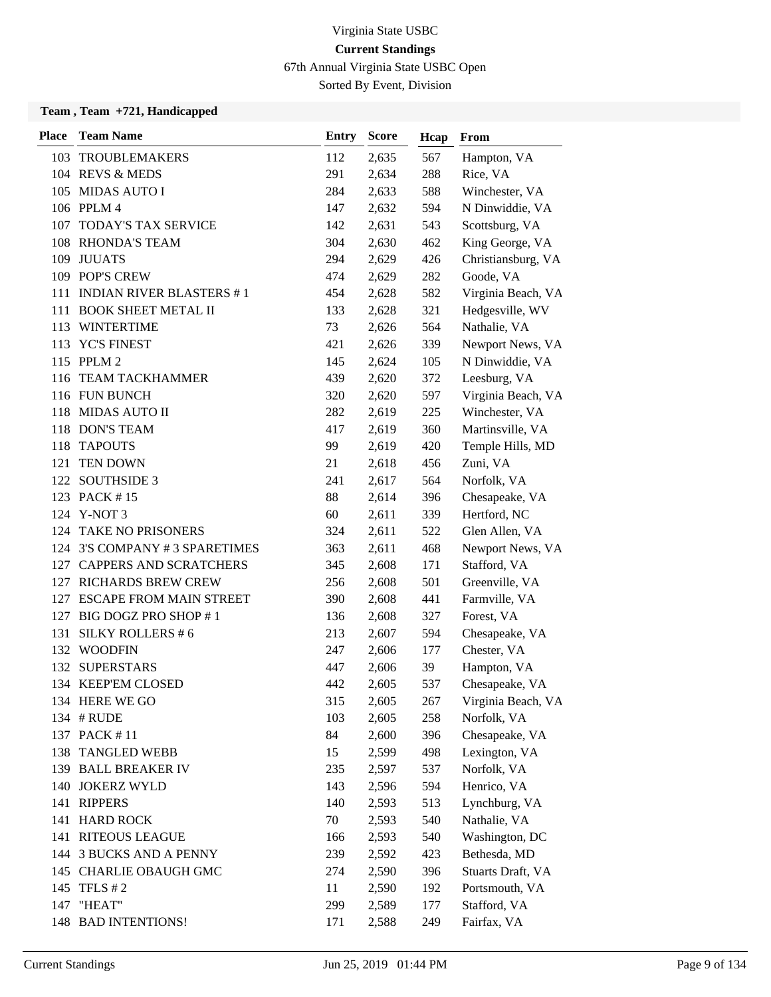67th Annual Virginia State USBC Open

Sorted By Event, Division

| <b>Place</b> | <b>Team Name</b>                | Entry     | <b>Score</b>   | Hcap       | From                            |
|--------------|---------------------------------|-----------|----------------|------------|---------------------------------|
|              | 103 TROUBLEMAKERS               | 112       | 2,635          | 567        | Hampton, VA                     |
|              | 104 REVS & MEDS                 | 291       | 2,634          | 288        | Rice, VA                        |
|              | 105 MIDAS AUTO I                | 284       | 2,633          | 588        | Winchester, VA                  |
|              | 106 PPLM 4                      | 147       | 2,632          | 594        | N Dinwiddie, VA                 |
|              | 107 TODAY'S TAX SERVICE         | 142       | 2,631          | 543        | Scottsburg, VA                  |
| 108          | <b>RHONDA'S TEAM</b>            | 304       | 2,630          | 462        | King George, VA                 |
|              | 109 JUUATS                      | 294       | 2,629          | 426        | Christiansburg, VA              |
|              | 109 POP'S CREW                  | 474       | 2,629          | 282        | Goode, VA                       |
| 111          | <b>INDIAN RIVER BLASTERS #1</b> | 454       | 2,628          | 582        | Virginia Beach, VA              |
| 111          | <b>BOOK SHEET METAL II</b>      | 133       | 2,628          | 321        | Hedgesville, WV                 |
|              | 113 WINTERTIME                  | 73        | 2,626          | 564        | Nathalie, VA                    |
|              | 113 YC'S FINEST                 | 421       | 2,626          | 339        | Newport News, VA                |
|              | 115 PPLM 2                      | 145       | 2,624          | 105        | N Dinwiddie, VA                 |
|              | 116 TEAM TACKHAMMER             | 439       | 2,620          | 372        | Leesburg, VA                    |
|              | 116 FUN BUNCH                   | 320       | 2,620          | 597        | Virginia Beach, VA              |
|              | 118 MIDAS AUTO II               | 282       | 2,619          | 225        | Winchester, VA                  |
|              | 118 DON'S TEAM                  | 417       | 2,619          | 360        | Martinsville, VA                |
| 118          | <b>TAPOUTS</b>                  | 99        | 2,619          | 420        | Temple Hills, MD                |
| 121          | TEN DOWN                        | 21        | 2,618          | 456        | Zuni, VA                        |
|              | 122 SOUTHSIDE 3                 | 241       | 2,617          | 564        | Norfolk, VA                     |
|              | 123 PACK #15                    | 88        | 2,614          | 396        | Chesapeake, VA                  |
|              | 124 Y-NOT 3                     | 60        | 2,611          | 339        | Hertford, NC                    |
| 124          | <b>TAKE NO PRISONERS</b>        | 324       | 2,611          | 522        | Glen Allen, VA                  |
|              | 124 3'S COMPANY #3 SPARETIMES   | 363       | 2,611          | 468        | Newport News, VA                |
|              | 127 CAPPERS AND SCRATCHERS      | 345       | 2,608          | 171        | Stafford, VA                    |
| 127          | <b>RICHARDS BREW CREW</b>       | 256       | 2,608          | 501        | Greenville, VA                  |
| 127          | <b>ESCAPE FROM MAIN STREET</b>  | 390       | 2,608          | 441        | Farmville, VA                   |
|              | 127 BIG DOGZ PRO SHOP #1        | 136       | 2,608          | 327        | Forest, VA                      |
| 131          | <b>SILKY ROLLERS #6</b>         | 213       | 2,607          | 594        | Chesapeake, VA                  |
|              | 132 WOODFIN                     | 247       | 2,606          | 177        | Chester, VA                     |
|              | 132 SUPERSTARS                  | 447       | 2,606          | 39         | Hampton, VA                     |
|              | 134 KEEP'EM CLOSED              | 442       | 2,605          | 537        | Chesapeake, VA                  |
|              | 134 HERE WE GO                  | 315       | 2,605          | 267        | Virginia Beach, VA              |
|              | 134 # RUDE<br>137 PACK #11      | 103<br>84 | 2,605          | 258        | Norfolk, VA                     |
|              | 138 TANGLED WEBB                | 15        | 2,600<br>2,599 | 396<br>498 | Chesapeake, VA<br>Lexington, VA |
|              | 139 BALL BREAKER IV             | 235       | 2,597          | 537        | Norfolk, VA                     |
|              | 140 JOKERZ WYLD                 | 143       | 2,596          | 594        | Henrico, VA                     |
| 141          | <b>RIPPERS</b>                  | 140       | 2,593          | 513        | Lynchburg, VA                   |
|              | 141 HARD ROCK                   | 70        | 2,593          | 540        | Nathalie, VA                    |
| 141          | <b>RITEOUS LEAGUE</b>           | 166       | 2,593          | 540        | Washington, DC                  |
|              | 144 3 BUCKS AND A PENNY         | 239       | 2,592          | 423        | Bethesda, MD                    |
|              | 145 CHARLIE OBAUGH GMC          | 274       | 2,590          | 396        | Stuarts Draft, VA               |
|              | 145 TFLS # 2                    | 11        | 2,590          | 192        | Portsmouth, VA                  |
| 147          | "HEAT"                          | 299       | 2,589          | 177        | Stafford, VA                    |
|              | 148 BAD INTENTIONS!             | 171       | 2,588          | 249        | Fairfax, VA                     |
|              |                                 |           |                |            |                                 |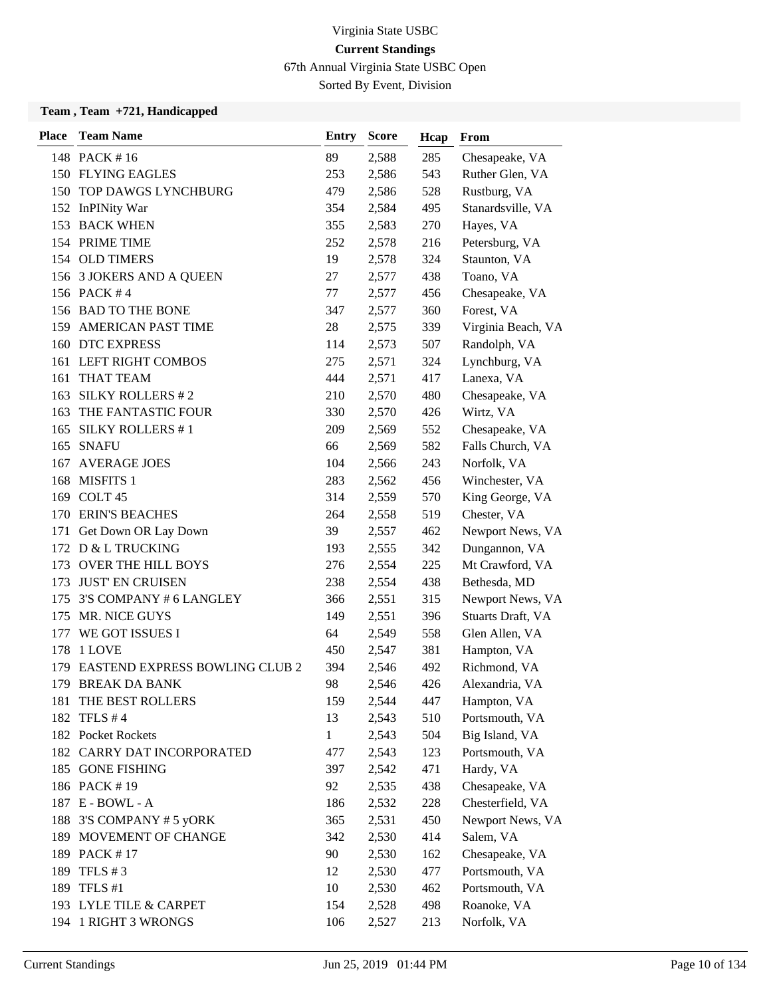67th Annual Virginia State USBC Open

Sorted By Event, Division

| <b>Place</b> | <b>Team Name</b>                      | <b>Entry</b> | <b>Score</b> | Hcap | From               |
|--------------|---------------------------------------|--------------|--------------|------|--------------------|
|              | 148 PACK #16                          | 89           | 2,588        | 285  | Chesapeake, VA     |
|              | 150 FLYING EAGLES                     | 253          | 2,586        | 543  | Ruther Glen, VA    |
| 150          | TOP DAWGS LYNCHBURG                   | 479          | 2,586        | 528  | Rustburg, VA       |
|              | 152 InPINity War                      | 354          | 2,584        | 495  | Stanardsville, VA  |
|              | 153 BACK WHEN                         | 355          | 2,583        | 270  | Hayes, VA          |
|              | 154 PRIME TIME                        | 252          | 2,578        | 216  | Petersburg, VA     |
|              | 154 OLD TIMERS                        | 19           | 2,578        | 324  | Staunton, VA       |
|              | 156 3 JOKERS AND A QUEEN              | 27           | 2,577        | 438  | Toano, VA          |
|              | 156 PACK #4                           | 77           | 2,577        | 456  | Chesapeake, VA     |
|              | 156 BAD TO THE BONE                   | 347          | 2,577        | 360  | Forest, VA         |
|              | 159 AMERICAN PAST TIME                | 28           | 2,575        | 339  | Virginia Beach, VA |
|              | 160 DTC EXPRESS                       | 114          | 2,573        | 507  | Randolph, VA       |
|              | 161 LEFT RIGHT COMBOS                 | 275          | 2,571        | 324  | Lynchburg, VA      |
| 161          | <b>THAT TEAM</b>                      | 444          | 2,571        | 417  | Lanexa, VA         |
| 163          | <b>SILKY ROLLERS #2</b>               | 210          | 2,570        | 480  | Chesapeake, VA     |
|              | 163 THE FANTASTIC FOUR                | 330          | 2,570        | 426  | Wirtz, VA          |
| 165          | <b>SILKY ROLLERS #1</b>               | 209          | 2,569        | 552  | Chesapeake, VA     |
|              | 165 SNAFU                             | 66           | 2,569        | 582  | Falls Church, VA   |
| 167          | <b>AVERAGE JOES</b>                   | 104          | 2,566        | 243  | Norfolk, VA        |
| 168          | <b>MISFITS 1</b>                      | 283          | 2,562        | 456  | Winchester, VA     |
|              | 169 COLT 45                           | 314          | 2,559        | 570  | King George, VA    |
|              | 170 ERIN'S BEACHES                    | 264          | 2,558        | 519  | Chester, VA        |
| 171          | Get Down OR Lay Down                  | 39           | 2,557        | 462  | Newport News, VA   |
|              | 172 D & L TRUCKING                    | 193          | 2,555        | 342  | Dungannon, VA      |
| 173          | OVER THE HILL BOYS                    | 276          | 2,554        | 225  | Mt Crawford, VA    |
| 173          | <b>JUST' EN CRUISEN</b>               | 238          | 2,554        | 438  | Bethesda, MD       |
| 175          | 3'S COMPANY # 6 LANGLEY               | 366          | 2,551        | 315  | Newport News, VA   |
| 175          | MR. NICE GUYS                         | 149          | 2,551        | 396  | Stuarts Draft, VA  |
| 177          | WE GOT ISSUES I                       | 64           | 2,549        | 558  | Glen Allen, VA     |
| 178          | 1 LOVE                                | 450          | 2,547        | 381  | Hampton, VA        |
| 179          | <b>EASTEND EXPRESS BOWLING CLUB 2</b> | 394          | 2,546        | 492  | Richmond, VA       |
|              | 179 BREAK DA BANK                     | 98           | 2,546        | 426  | Alexandria, VA     |
|              | 181 THE BEST ROLLERS                  | 159          | 2,544        | 447  | Hampton, VA        |
| 182          | TFLS $#4$                             | 13           | 2,543        | 510  | Portsmouth, VA     |
|              | 182 Pocket Rockets                    | $\mathbf{1}$ | 2,543        | 504  | Big Island, VA     |
|              | 182 CARRY DAT INCORPORATED            | 477          | 2,543        | 123  | Portsmouth, VA     |
|              | 185 GONE FISHING                      | 397          | 2,542        | 471  | Hardy, VA          |
|              | 186 PACK #19                          | 92           | 2,535        | 438  | Chesapeake, VA     |
|              | 187 E - BOWL - A                      | 186          | 2,532        | 228  | Chesterfield, VA   |
|              | 188 3'S COMPANY # 5 yORK              | 365          | 2,531        | 450  | Newport News, VA   |
|              | 189 MOVEMENT OF CHANGE                | 342          | 2,530        | 414  | Salem, VA          |
|              | 189 PACK #17                          | 90           | 2,530        | 162  | Chesapeake, VA     |
|              | 189 TFLS # 3                          | 12           | 2,530        | 477  | Portsmouth, VA     |
|              | 189 TFLS #1                           | 10           | 2,530        | 462  | Portsmouth, VA     |
|              | 193 LYLE TILE & CARPET                | 154          | 2,528        | 498  | Roanoke, VA        |
|              | 194 1 RIGHT 3 WRONGS                  | 106          | 2,527        | 213  | Norfolk, VA        |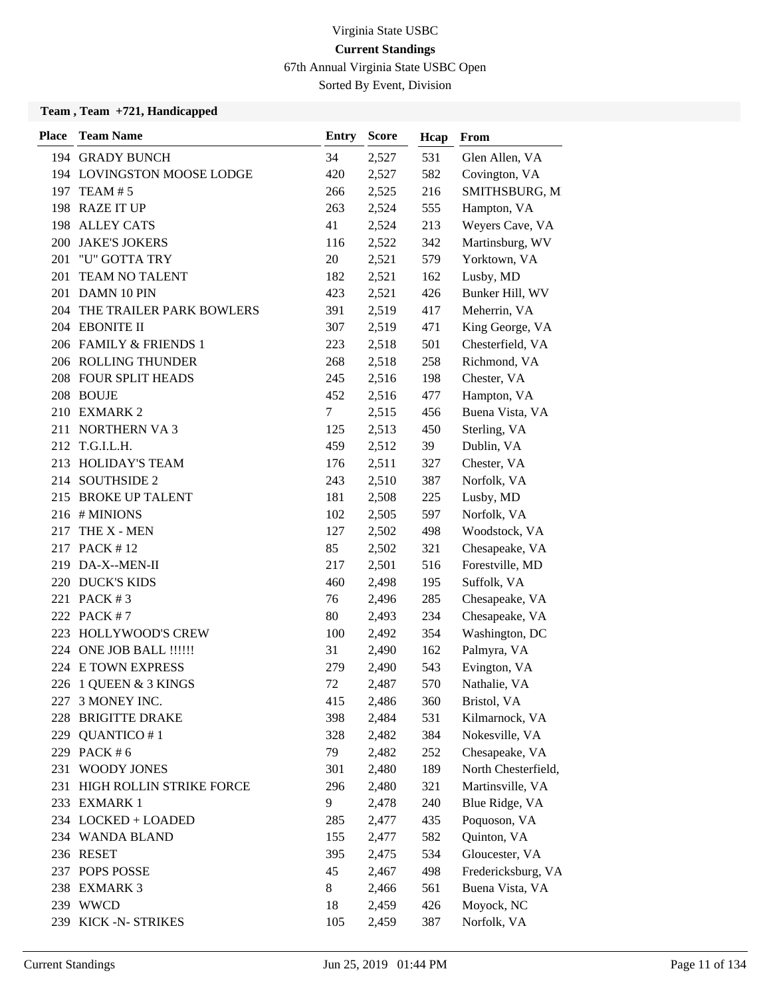67th Annual Virginia State USBC Open

Sorted By Event, Division

| <b>Place</b> | <b>Team Name</b>             | <b>Entry</b> | <b>Score</b> | Hcap | From                |
|--------------|------------------------------|--------------|--------------|------|---------------------|
|              | 194 GRADY BUNCH              | 34           | 2,527        | 531  | Glen Allen, VA      |
|              | 194 LOVINGSTON MOOSE LODGE   | 420          | 2,527        | 582  | Covington, VA       |
|              | 197 TEAM # 5                 | 266          | 2,525        | 216  | SMITHSBURG, M       |
|              | 198 RAZE IT UP               | 263          | 2,524        | 555  | Hampton, VA         |
|              | 198 ALLEY CATS               | 41           | 2,524        | 213  | Weyers Cave, VA     |
|              | 200 JAKE'S JOKERS            | 116          | 2,522        | 342  | Martinsburg, WV     |
| 201          | "U" GOTTA TRY                | 20           | 2,521        | 579  | Yorktown, VA        |
| 201          | <b>TEAM NO TALENT</b>        | 182          | 2,521        | 162  | Lusby, MD           |
| 201          | DAMN 10 PIN                  | 423          | 2,521        | 426  | Bunker Hill, WV     |
|              | 204 THE TRAILER PARK BOWLERS | 391          | 2,519        | 417  | Meherrin, VA        |
|              | 204 EBONITE II               | 307          | 2,519        | 471  | King George, VA     |
|              | 206 FAMILY & FRIENDS 1       | 223          | 2,518        | 501  | Chesterfield, VA    |
|              | 206 ROLLING THUNDER          | 268          | 2,518        | 258  | Richmond, VA        |
|              | 208 FOUR SPLIT HEADS         | 245          | 2,516        | 198  | Chester, VA         |
|              | 208 BOUJE                    | 452          | 2,516        | 477  | Hampton, VA         |
|              | 210 EXMARK 2                 | 7            | 2,515        | 456  | Buena Vista, VA     |
|              | 211 NORTHERN VA 3            | 125          | 2,513        | 450  | Sterling, VA        |
|              | 212 T.G.I.L.H.               | 459          | 2,512        | 39   | Dublin, VA          |
|              | 213 HOLIDAY'S TEAM           | 176          | 2,511        | 327  | Chester, VA         |
|              | 214 SOUTHSIDE 2              | 243          | 2,510        | 387  | Norfolk, VA         |
| 215          | <b>BROKE UP TALENT</b>       | 181          | 2,508        | 225  | Lusby, MD           |
|              | 216 # MINIONS                | 102          | 2,505        | 597  | Norfolk, VA         |
| 217          | THE X - MEN                  | 127          | 2,502        | 498  | Woodstock, VA       |
|              | 217 PACK #12                 | 85           | 2,502        | 321  | Chesapeake, VA      |
|              | 219 DA-X--MEN-II             | 217          | 2,501        | 516  | Forestville, MD     |
|              | 220 DUCK'S KIDS              | 460          | 2,498        | 195  | Suffolk, VA         |
|              | 221 PACK #3                  | 76           | 2,496        | 285  | Chesapeake, VA      |
|              | 222 PACK #7                  | 80           | 2,493        | 234  | Chesapeake, VA      |
| 223          | HOLLYWOOD'S CREW             | 100          | 2,492        | 354  | Washington, DC      |
|              | 224 ONE JOB BALL !!!!!!      | 31           | 2,490        | 162  | Palmyra, VA         |
|              | 224 E TOWN EXPRESS           | 279          | 2,490        | 543  | Evington, VA        |
|              | 226 1 QUEEN & 3 KINGS        | 72           | 2,487        | 570  | Nathalie, VA        |
| 227          | 3 MONEY INC.                 | 415          | 2,486        | 360  | Bristol, VA         |
| 228          | <b>BRIGITTE DRAKE</b>        | 398          | 2,484        | 531  | Kilmarnock, VA      |
| 229          | QUANTICO #1                  | 328          | 2,482        | 384  | Nokesville, VA      |
|              | 229 PACK #6                  | 79           | 2,482        | 252  | Chesapeake, VA      |
| 231          | <b>WOODY JONES</b>           | 301          | 2,480        | 189  | North Chesterfield, |
| 231          | HIGH ROLLIN STRIKE FORCE     | 296          | 2,480        | 321  | Martinsville, VA    |
|              | 233 EXMARK 1                 | 9            | 2,478        | 240  | Blue Ridge, VA      |
|              | 234 LOCKED + LOADED          | 285          | 2,477        | 435  | Poquoson, VA        |
|              | 234 WANDA BLAND              | 155          | 2,477        | 582  | Quinton, VA         |
|              | 236 RESET                    | 395          | 2,475        | 534  | Gloucester, VA      |
|              | 237 POPS POSSE               | 45           | 2,467        | 498  | Fredericksburg, VA  |
|              | 238 EXMARK 3                 | 8            | 2,466        | 561  | Buena Vista, VA     |
|              | 239 WWCD                     | 18           | 2,459        | 426  | Moyock, NC          |
|              | 239 KICK-N-STRIKES           | 105          | 2,459        | 387  | Norfolk, VA         |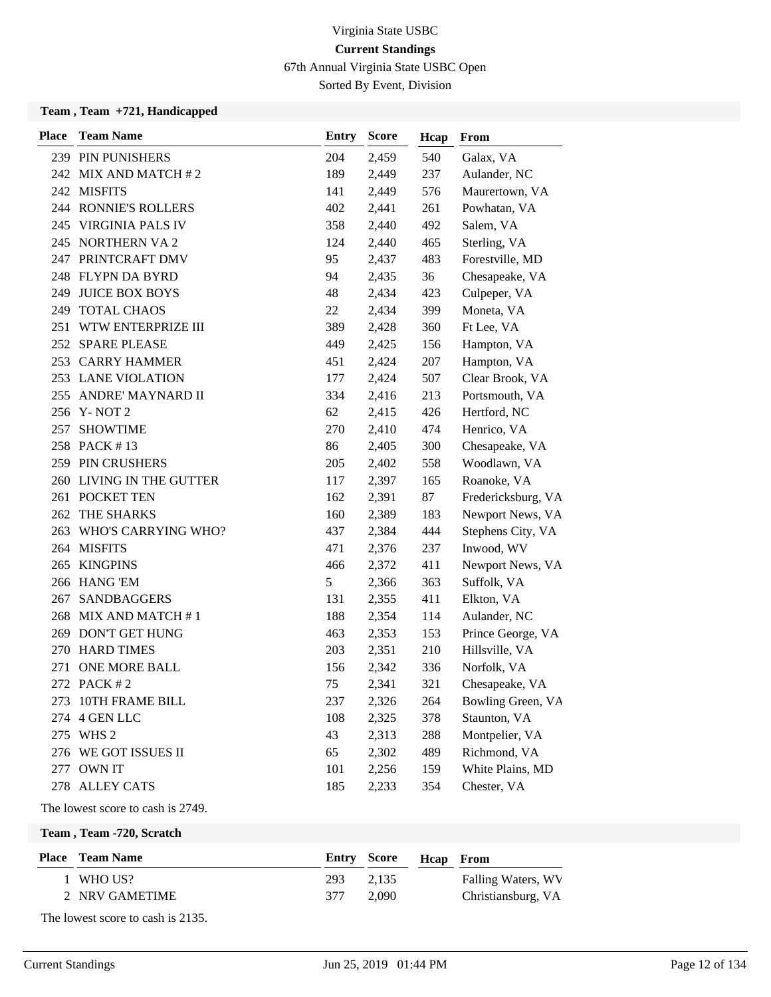67th Annual Virginia State USBC Open

Sorted By Event, Division

#### **Team , Team +721, Handicapped**

| <b>Place</b> | <b>Team Name</b>         | <b>Entry</b> | <b>Score</b> | Hcap | From               |
|--------------|--------------------------|--------------|--------------|------|--------------------|
|              | 239 PIN PUNISHERS        | 204          | 2,459        | 540  | Galax, VA          |
|              | 242 MIX AND MATCH #2     | 189          | 2,449        | 237  | Aulander, NC       |
|              | 242 MISFITS              | 141          | 2,449        | 576  | Maurertown, VA     |
|              | 244 RONNIE'S ROLLERS     | 402          | 2,441        | 261  | Powhatan, VA       |
|              | 245 VIRGINIA PALS IV     | 358          | 2,440        | 492  | Salem, VA          |
|              | 245 NORTHERN VA 2        | 124          | 2,440        | 465  | Sterling, VA       |
|              | 247 PRINTCRAFT DMV       | 95           | 2,437        | 483  | Forestville, MD    |
|              | 248 FLYPN DA BYRD        | 94           | 2,435        | 36   | Chesapeake, VA     |
|              | 249 JUICE BOX BOYS       | 48           | 2,434        | 423  | Culpeper, VA       |
| 249          | <b>TOTAL CHAOS</b>       | 22           | 2,434        | 399  | Moneta, VA         |
| 251          | WTW ENTERPRIZE III       | 389          | 2,428        | 360  | Ft Lee, VA         |
|              | 252 SPARE PLEASE         | 449          | 2,425        | 156  | Hampton, VA        |
|              | 253 CARRY HAMMER         | 451          | 2,424        | 207  | Hampton, VA        |
|              | 253 LANE VIOLATION       | 177          | 2,424        | 507  | Clear Brook, VA    |
|              | 255 ANDRE' MAYNARD II    | 334          | 2,416        | 213  | Portsmouth, VA     |
|              | 256 Y-NOT 2              | 62           | 2,415        | 426  | Hertford, NC       |
| 257          | <b>SHOWTIME</b>          | 270          | 2,410        | 474  | Henrico, VA        |
|              | 258 PACK #13             | 86           | 2,405        | 300  | Chesapeake, VA     |
|              | 259 PIN CRUSHERS         | 205          | 2,402        | 558  | Woodlawn, VA       |
|              | 260 LIVING IN THE GUTTER | 117          | 2,397        | 165  | Roanoke, VA        |
|              | 261 POCKET TEN           | 162          | 2,391        | 87   | Fredericksburg, VA |
| 262          | THE SHARKS               | 160          | 2,389        | 183  | Newport News, VA   |
|              | 263 WHO'S CARRYING WHO?  | 437          | 2,384        | 444  | Stephens City, VA  |
|              | 264 MISFITS              | 471          | 2,376        | 237  | Inwood, WV         |
| 265          | <b>KINGPINS</b>          | 466          | 2,372        | 411  | Newport News, VA   |
|              | 266 HANG 'EM             | 5            | 2,366        | 363  | Suffolk, VA        |
| 267          | <b>SANDBAGGERS</b>       | 131          | 2,355        | 411  | Elkton, VA         |
|              | 268 MIX AND MATCH #1     | 188          | 2,354        | 114  | Aulander, NC       |
|              | 269 DON'T GET HUNG       | 463          | 2,353        | 153  | Prince George, VA  |
|              | 270 HARD TIMES           | 203          | 2,351        | 210  | Hillsville, VA     |
| 271          | <b>ONE MORE BALL</b>     | 156          | 2,342        | 336  | Norfolk, VA        |
|              | 272 PACK #2              | 75           | 2,341        | 321  | Chesapeake, VA     |
| 273          | 10TH FRAME BILL          | 237          | 2,326        | 264  | Bowling Green, VA  |
| 274          | 4 GEN LLC                | 108          | 2,325        | 378  | Staunton, VA       |
|              | 275 WHS 2                | 43           | 2,313        | 288  | Montpelier, VA     |
|              | 276 WE GOT ISSUES II     | 65           | 2,302        | 489  | Richmond, VA       |
| 277          | <b>OWN IT</b>            | 101          | 2,256        | 159  | White Plains, MD   |
|              | 278 ALLEY CATS           | 185          | 2,233        | 354  | Chester, VA        |

The lowest score to cash is 2749.

**Team , Team -720, Scratch**

| <b>Place</b> Team Name |     | <b>Entry Score</b> | <b>Heap</b> From |                    |
|------------------------|-----|--------------------|------------------|--------------------|
| 1 WHO US?              | 293 | 2.135              |                  | Falling Waters, WV |
| 2 NRV GAMETIME         | 377 | 2.090              |                  | Christiansburg, VA |

The lowest score to cash is 2135.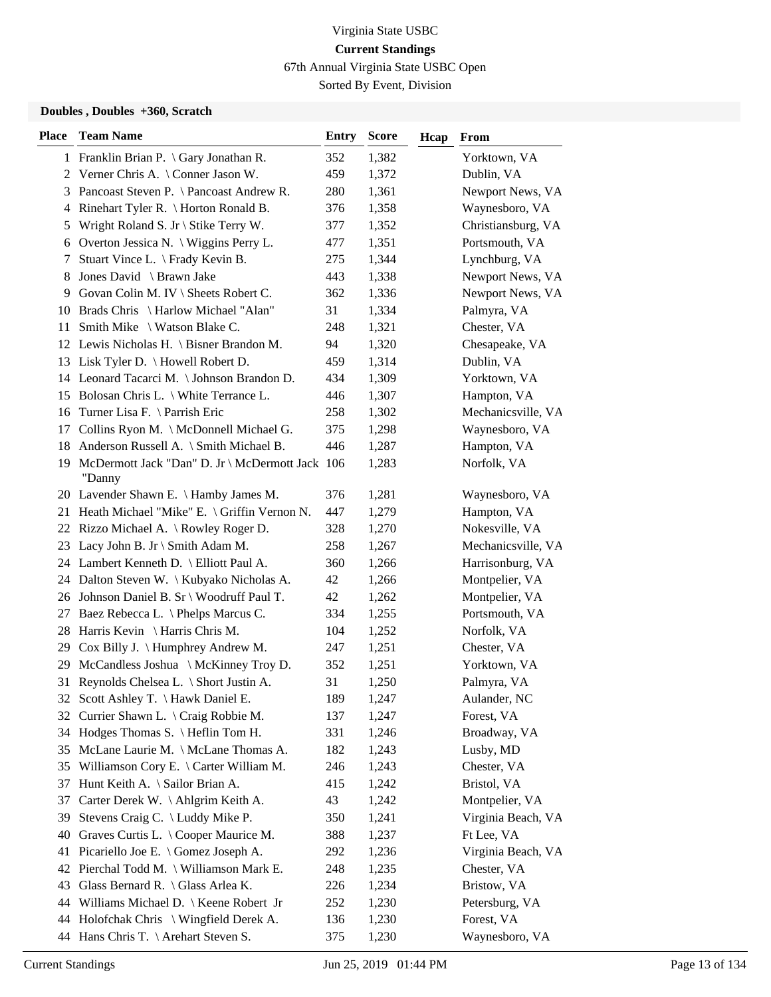67th Annual Virginia State USBC Open

Sorted By Event, Division

#### **Doubles , Doubles +360, Scratch**

| 1 Franklin Brian P. \ Gary Jonathan R.<br>352<br>1,382<br>Yorktown, VA<br>459<br>Verner Chris A. \ Conner Jason W.<br>1,372<br>Dublin, VA<br>2<br>Pancoast Steven P. \ Pancoast Andrew R.<br>280<br>1,361<br>Newport News, VA<br>3<br>4 Rinehart Tyler R. \ Horton Ronald B.<br>376<br>1,358<br>Waynesboro, VA<br>Wright Roland S. Jr \ Stike Terry W.<br>377<br>1,352<br>Christiansburg, VA<br>5<br>1,351<br>Overton Jessica N. \ Wiggins Perry L.<br>477<br>Portsmouth, VA<br>6<br>1,344<br>Lynchburg, VA<br>Stuart Vince L. \ Frady Kevin B.<br>275<br>7<br>Jones David \ Brawn Jake<br>443<br>1,338<br>Newport News, VA<br>8<br>Govan Colin M. IV \ Sheets Robert C.<br>362<br>1,336<br>Newport News, VA<br>9.<br>Brads Chris \ Harlow Michael "Alan"<br>31<br>1,334<br>Palmyra, VA<br>10<br>Smith Mike \ Watson Blake C.<br>248<br>1,321<br>Chester, VA<br>11<br>1,320<br>12 Lewis Nicholas H. \ Bisner Brandon M.<br>94<br>Chesapeake, VA<br>1,314<br>Lisk Tyler D. $\{$ Howell Robert D.<br>459<br>Dublin, VA<br>13<br>14 Leonard Tacarci M. \ Johnson Brandon D.<br>434<br>1,309<br>Yorktown, VA<br>15 Bolosan Chris L. \ White Terrance L.<br>446<br>1,307<br>Hampton, VA<br>1,302<br>Mechanicsville, VA<br>16 Turner Lisa F. \Parrish Eric<br>258<br>Collins Ryon M. \ McDonnell Michael G.<br>375<br>1,298<br>Waynesboro, VA<br>17 |                    |
|-----------------------------------------------------------------------------------------------------------------------------------------------------------------------------------------------------------------------------------------------------------------------------------------------------------------------------------------------------------------------------------------------------------------------------------------------------------------------------------------------------------------------------------------------------------------------------------------------------------------------------------------------------------------------------------------------------------------------------------------------------------------------------------------------------------------------------------------------------------------------------------------------------------------------------------------------------------------------------------------------------------------------------------------------------------------------------------------------------------------------------------------------------------------------------------------------------------------------------------------------------------------------------------------------------------------------------------------------|--------------------|
|                                                                                                                                                                                                                                                                                                                                                                                                                                                                                                                                                                                                                                                                                                                                                                                                                                                                                                                                                                                                                                                                                                                                                                                                                                                                                                                                               |                    |
|                                                                                                                                                                                                                                                                                                                                                                                                                                                                                                                                                                                                                                                                                                                                                                                                                                                                                                                                                                                                                                                                                                                                                                                                                                                                                                                                               |                    |
|                                                                                                                                                                                                                                                                                                                                                                                                                                                                                                                                                                                                                                                                                                                                                                                                                                                                                                                                                                                                                                                                                                                                                                                                                                                                                                                                               |                    |
|                                                                                                                                                                                                                                                                                                                                                                                                                                                                                                                                                                                                                                                                                                                                                                                                                                                                                                                                                                                                                                                                                                                                                                                                                                                                                                                                               |                    |
|                                                                                                                                                                                                                                                                                                                                                                                                                                                                                                                                                                                                                                                                                                                                                                                                                                                                                                                                                                                                                                                                                                                                                                                                                                                                                                                                               |                    |
|                                                                                                                                                                                                                                                                                                                                                                                                                                                                                                                                                                                                                                                                                                                                                                                                                                                                                                                                                                                                                                                                                                                                                                                                                                                                                                                                               |                    |
|                                                                                                                                                                                                                                                                                                                                                                                                                                                                                                                                                                                                                                                                                                                                                                                                                                                                                                                                                                                                                                                                                                                                                                                                                                                                                                                                               |                    |
|                                                                                                                                                                                                                                                                                                                                                                                                                                                                                                                                                                                                                                                                                                                                                                                                                                                                                                                                                                                                                                                                                                                                                                                                                                                                                                                                               |                    |
|                                                                                                                                                                                                                                                                                                                                                                                                                                                                                                                                                                                                                                                                                                                                                                                                                                                                                                                                                                                                                                                                                                                                                                                                                                                                                                                                               |                    |
|                                                                                                                                                                                                                                                                                                                                                                                                                                                                                                                                                                                                                                                                                                                                                                                                                                                                                                                                                                                                                                                                                                                                                                                                                                                                                                                                               |                    |
|                                                                                                                                                                                                                                                                                                                                                                                                                                                                                                                                                                                                                                                                                                                                                                                                                                                                                                                                                                                                                                                                                                                                                                                                                                                                                                                                               |                    |
|                                                                                                                                                                                                                                                                                                                                                                                                                                                                                                                                                                                                                                                                                                                                                                                                                                                                                                                                                                                                                                                                                                                                                                                                                                                                                                                                               |                    |
|                                                                                                                                                                                                                                                                                                                                                                                                                                                                                                                                                                                                                                                                                                                                                                                                                                                                                                                                                                                                                                                                                                                                                                                                                                                                                                                                               |                    |
|                                                                                                                                                                                                                                                                                                                                                                                                                                                                                                                                                                                                                                                                                                                                                                                                                                                                                                                                                                                                                                                                                                                                                                                                                                                                                                                                               |                    |
|                                                                                                                                                                                                                                                                                                                                                                                                                                                                                                                                                                                                                                                                                                                                                                                                                                                                                                                                                                                                                                                                                                                                                                                                                                                                                                                                               |                    |
|                                                                                                                                                                                                                                                                                                                                                                                                                                                                                                                                                                                                                                                                                                                                                                                                                                                                                                                                                                                                                                                                                                                                                                                                                                                                                                                                               |                    |
|                                                                                                                                                                                                                                                                                                                                                                                                                                                                                                                                                                                                                                                                                                                                                                                                                                                                                                                                                                                                                                                                                                                                                                                                                                                                                                                                               |                    |
| 446<br>Hampton, VA                                                                                                                                                                                                                                                                                                                                                                                                                                                                                                                                                                                                                                                                                                                                                                                                                                                                                                                                                                                                                                                                                                                                                                                                                                                                                                                            |                    |
| Anderson Russell A. \ Smith Michael B.<br>1,287<br>18                                                                                                                                                                                                                                                                                                                                                                                                                                                                                                                                                                                                                                                                                                                                                                                                                                                                                                                                                                                                                                                                                                                                                                                                                                                                                         |                    |
| 19 McDermott Jack "Dan" D. Jr \ McDermott Jack 106<br>Norfolk, VA<br>1,283<br>"Danny                                                                                                                                                                                                                                                                                                                                                                                                                                                                                                                                                                                                                                                                                                                                                                                                                                                                                                                                                                                                                                                                                                                                                                                                                                                          |                    |
| 1,281<br>20 Lavender Shawn E. \ Hamby James M.<br>376<br>Waynesboro, VA                                                                                                                                                                                                                                                                                                                                                                                                                                                                                                                                                                                                                                                                                                                                                                                                                                                                                                                                                                                                                                                                                                                                                                                                                                                                       |                    |
| 21 Heath Michael "Mike" E. \ Griffin Vernon N.<br>447<br>1,279<br>Hampton, VA                                                                                                                                                                                                                                                                                                                                                                                                                                                                                                                                                                                                                                                                                                                                                                                                                                                                                                                                                                                                                                                                                                                                                                                                                                                                 |                    |
| Nokesville, VA<br>22 Rizzo Michael A. \ Rowley Roger D.<br>328<br>1,270                                                                                                                                                                                                                                                                                                                                                                                                                                                                                                                                                                                                                                                                                                                                                                                                                                                                                                                                                                                                                                                                                                                                                                                                                                                                       |                    |
| Mechanicsville, VA<br>23 Lacy John B. Jr \ Smith Adam M.<br>258<br>1,267                                                                                                                                                                                                                                                                                                                                                                                                                                                                                                                                                                                                                                                                                                                                                                                                                                                                                                                                                                                                                                                                                                                                                                                                                                                                      |                    |
| 24 Lambert Kenneth D. \ Elliott Paul A.<br>Harrisonburg, VA<br>360<br>1,266                                                                                                                                                                                                                                                                                                                                                                                                                                                                                                                                                                                                                                                                                                                                                                                                                                                                                                                                                                                                                                                                                                                                                                                                                                                                   |                    |
| 24 Dalton Steven W. \ Kubyako Nicholas A.<br>42<br>1,266<br>Montpelier, VA                                                                                                                                                                                                                                                                                                                                                                                                                                                                                                                                                                                                                                                                                                                                                                                                                                                                                                                                                                                                                                                                                                                                                                                                                                                                    |                    |
| Montpelier, VA<br>26 Johnson Daniel B. Sr \ Woodruff Paul T.<br>42<br>1,262                                                                                                                                                                                                                                                                                                                                                                                                                                                                                                                                                                                                                                                                                                                                                                                                                                                                                                                                                                                                                                                                                                                                                                                                                                                                   |                    |
| Portsmouth, VA<br>27 Baez Rebecca L. \ Phelps Marcus C.<br>334<br>1,255                                                                                                                                                                                                                                                                                                                                                                                                                                                                                                                                                                                                                                                                                                                                                                                                                                                                                                                                                                                                                                                                                                                                                                                                                                                                       |                    |
| 28 Harris Kevin \ Harris Chris M.<br>104<br>1,252<br>Norfolk, VA                                                                                                                                                                                                                                                                                                                                                                                                                                                                                                                                                                                                                                                                                                                                                                                                                                                                                                                                                                                                                                                                                                                                                                                                                                                                              |                    |
| 29 Cox Billy J. \ Humphrey Andrew M.<br>247<br>1,251<br>Chester, VA                                                                                                                                                                                                                                                                                                                                                                                                                                                                                                                                                                                                                                                                                                                                                                                                                                                                                                                                                                                                                                                                                                                                                                                                                                                                           |                    |
| McCandless Joshua \ McKinney Troy D.<br>352<br>1,251<br>Yorktown, VA<br>29                                                                                                                                                                                                                                                                                                                                                                                                                                                                                                                                                                                                                                                                                                                                                                                                                                                                                                                                                                                                                                                                                                                                                                                                                                                                    |                    |
| 31 Reynolds Chelsea L. \ Short Justin A.<br>31<br>1,250<br>Palmyra, VA                                                                                                                                                                                                                                                                                                                                                                                                                                                                                                                                                                                                                                                                                                                                                                                                                                                                                                                                                                                                                                                                                                                                                                                                                                                                        |                    |
| 32 Scott Ashley T. \ Hawk Daniel E.<br>Aulander, NC<br>189<br>1,247                                                                                                                                                                                                                                                                                                                                                                                                                                                                                                                                                                                                                                                                                                                                                                                                                                                                                                                                                                                                                                                                                                                                                                                                                                                                           |                    |
| 32 Currier Shawn L. \ Craig Robbie M.<br>137<br>1,247<br>Forest, VA                                                                                                                                                                                                                                                                                                                                                                                                                                                                                                                                                                                                                                                                                                                                                                                                                                                                                                                                                                                                                                                                                                                                                                                                                                                                           |                    |
| Hodges Thomas S. \ Heflin Tom H.<br>331<br>1,246<br>Broadway, VA<br>34                                                                                                                                                                                                                                                                                                                                                                                                                                                                                                                                                                                                                                                                                                                                                                                                                                                                                                                                                                                                                                                                                                                                                                                                                                                                        |                    |
| McLane Laurie M. \ McLane Thomas A.<br>182<br>Lusby, MD<br>1,243<br>35                                                                                                                                                                                                                                                                                                                                                                                                                                                                                                                                                                                                                                                                                                                                                                                                                                                                                                                                                                                                                                                                                                                                                                                                                                                                        |                    |
| 35 Williamson Cory E. \ Carter William M.<br>246<br>1,243<br>Chester, VA                                                                                                                                                                                                                                                                                                                                                                                                                                                                                                                                                                                                                                                                                                                                                                                                                                                                                                                                                                                                                                                                                                                                                                                                                                                                      |                    |
| Hunt Keith A. \ Sailor Brian A.<br>415<br>1,242<br>Bristol, VA<br>37                                                                                                                                                                                                                                                                                                                                                                                                                                                                                                                                                                                                                                                                                                                                                                                                                                                                                                                                                                                                                                                                                                                                                                                                                                                                          |                    |
| Montpelier, VA<br>Carter Derek W. \ Ahlgrim Keith A.<br>43<br>37<br>1,242                                                                                                                                                                                                                                                                                                                                                                                                                                                                                                                                                                                                                                                                                                                                                                                                                                                                                                                                                                                                                                                                                                                                                                                                                                                                     |                    |
| Stevens Craig C. \ Luddy Mike P.<br>350<br>1,241<br>39                                                                                                                                                                                                                                                                                                                                                                                                                                                                                                                                                                                                                                                                                                                                                                                                                                                                                                                                                                                                                                                                                                                                                                                                                                                                                        | Virginia Beach, VA |
| Graves Curtis L. \ Cooper Maurice M.<br>Ft Lee, VA<br>388<br>1,237<br>40                                                                                                                                                                                                                                                                                                                                                                                                                                                                                                                                                                                                                                                                                                                                                                                                                                                                                                                                                                                                                                                                                                                                                                                                                                                                      |                    |
| Picariello Joe E. \ Gomez Joseph A.<br>1,236<br>41<br>292                                                                                                                                                                                                                                                                                                                                                                                                                                                                                                                                                                                                                                                                                                                                                                                                                                                                                                                                                                                                                                                                                                                                                                                                                                                                                     | Virginia Beach, VA |
| Chester, VA<br>Pierchal Todd M. \ Williamson Mark E.<br>1,235<br>248<br>42                                                                                                                                                                                                                                                                                                                                                                                                                                                                                                                                                                                                                                                                                                                                                                                                                                                                                                                                                                                                                                                                                                                                                                                                                                                                    |                    |
| Glass Bernard R. $\setminus$ Glass Arlea K.<br>1,234<br>Bristow, VA<br>226<br>43                                                                                                                                                                                                                                                                                                                                                                                                                                                                                                                                                                                                                                                                                                                                                                                                                                                                                                                                                                                                                                                                                                                                                                                                                                                              |                    |
| 44 Williams Michael D.   Keene Robert Jr<br>252<br>1,230<br>Petersburg, VA                                                                                                                                                                                                                                                                                                                                                                                                                                                                                                                                                                                                                                                                                                                                                                                                                                                                                                                                                                                                                                                                                                                                                                                                                                                                    |                    |
| 44 Holofchak Chris \ Wingfield Derek A.<br>136<br>1,230<br>Forest, VA                                                                                                                                                                                                                                                                                                                                                                                                                                                                                                                                                                                                                                                                                                                                                                                                                                                                                                                                                                                                                                                                                                                                                                                                                                                                         |                    |
| 44 Hans Chris T. \ Arehart Steven S.<br>375<br>Waynesboro, VA<br>1,230                                                                                                                                                                                                                                                                                                                                                                                                                                                                                                                                                                                                                                                                                                                                                                                                                                                                                                                                                                                                                                                                                                                                                                                                                                                                        |                    |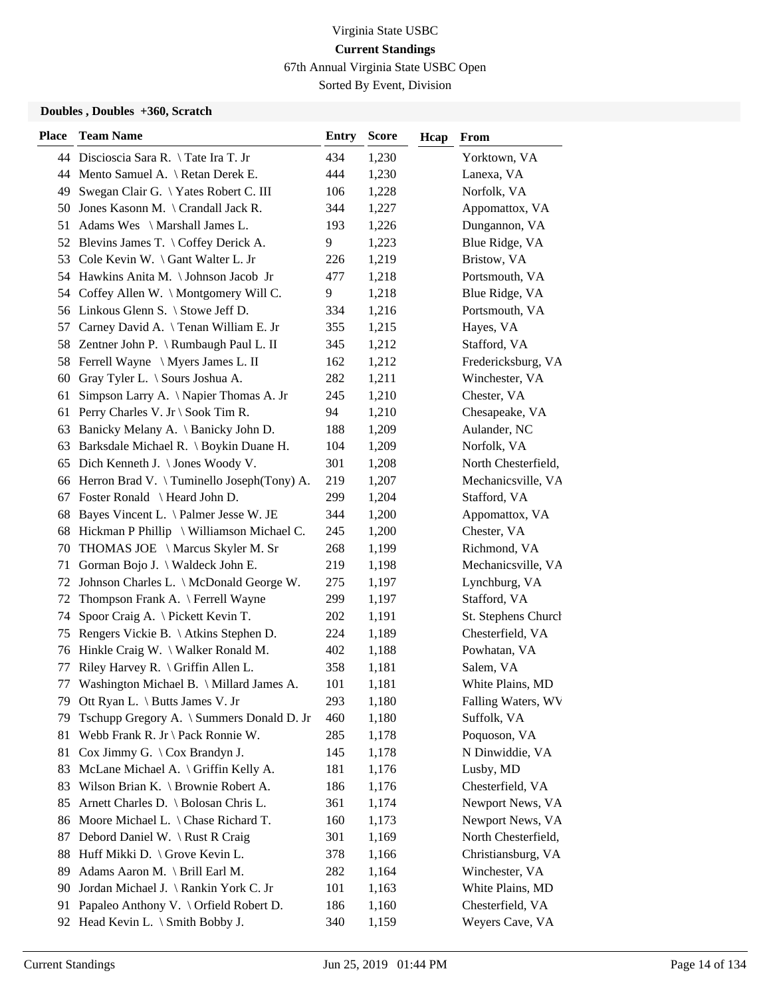67th Annual Virginia State USBC Open

Sorted By Event, Division

#### **Doubles , Doubles +360, Scratch**

| <b>Place</b> | <b>Team Name</b>                                    | <b>Entry</b> | <b>Score</b> | Hcap | From                |
|--------------|-----------------------------------------------------|--------------|--------------|------|---------------------|
|              | 44 Discioscia Sara R. \Tate Ira T. Jr               | 434          | 1,230        |      | Yorktown, VA        |
|              | 44 Mento Samuel A. \ Retan Derek E.                 | 444          | 1,230        |      | Lanexa, VA          |
| 49           | Swegan Clair G. \Yates Robert C. III                | 106          | 1,228        |      | Norfolk, VA         |
| 50           | Jones Kasonn M. $\operatorname{Crandall}$ Jack R.   | 344          | 1,227        |      | Appomattox, VA      |
| 51           | Adams Wes \ Marshall James L.                       | 193          | 1,226        |      | Dungannon, VA       |
|              | 52 Blevins James T. \Coffey Derick A.               | 9            | 1,223        |      | Blue Ridge, VA      |
| 53           | Cole Kevin W. \ Gant Walter L. Jr                   | 226          | 1,219        |      | Bristow, VA         |
|              | 54 Hawkins Anita M. \ Johnson Jacob Jr              | 477          | 1,218        |      | Portsmouth, VA      |
|              | 54 Coffey Allen W. \ Montgomery Will C.             | 9            | 1,218        |      | Blue Ridge, VA      |
|              | 56 Linkous Glenn S. \ Stowe Jeff D.                 | 334          | 1,216        |      | Portsmouth, VA      |
| 57           | Carney David A. \Tenan William E. Jr                | 355          | 1,215        |      | Hayes, VA           |
|              | 58 Zentner John P. \ Rumbaugh Paul L. II            | 345          | 1,212        |      | Stafford, VA        |
| 58           | Ferrell Wayne \ Myers James L. II                   | 162          | 1,212        |      | Fredericksburg, VA  |
| 60           | Gray Tyler L. \ Sours Joshua A.                     | 282          | 1,211        |      | Winchester, VA      |
| 61           | Simpson Larry A. \ Napier Thomas A. Jr              | 245          | 1,210        |      | Chester, VA         |
|              | 61 Perry Charles V. Jr \ Sook Tim R.                | 94           | 1,210        |      | Chesapeake, VA      |
| 63           | Banicky Melany A. \ Banicky John D.                 | 188          | 1,209        |      | Aulander, NC        |
| 63           | Barksdale Michael R. \ Boykin Duane H.              | 104          | 1,209        |      | Norfolk, VA         |
| 65           | Dich Kenneth J. \ Jones Woody V.                    | 301          | 1,208        |      | North Chesterfield, |
|              | 66 Herron Brad V. \Tuminello Joseph(Tony) A.        | 219          | 1,207        |      | Mechanicsville, VA  |
| 67           | Foster Ronald \ Heard John D.                       | 299          | 1,204        |      | Stafford, VA        |
| 68           | Bayes Vincent L. \ Palmer Jesse W. JE               | 344          | 1,200        |      | Appomattox, VA      |
| 68           | Hickman P Phillip $\setminus$ Williamson Michael C. | 245          | 1,200        |      | Chester, VA         |
| 70           | THOMAS JOE \ Marcus Skyler M. Sr                    | 268          | 1,199        |      | Richmond, VA        |
| 71           | Gorman Bojo J. \ Waldeck John E.                    | 219          | 1,198        |      | Mechanicsville, VA  |
| 72           | Johnson Charles L. \ McDonald George W.             | 275          | 1,197        |      | Lynchburg, VA       |
| 72           | Thompson Frank A. \ Ferrell Wayne                   | 299          | 1,197        |      | Stafford, VA        |
| 74           | Spoor Craig A. \ Pickett Kevin T.                   | 202          | 1,191        |      | St. Stephens Church |
| 75           | Rengers Vickie B. \ Atkins Stephen D.               | 224          | 1,189        |      | Chesterfield, VA    |
| 76           | Hinkle Craig W. \ Walker Ronald M.                  | 402          | 1,188        |      | Powhatan, VA        |
| 77           | Riley Harvey R. \ Griffin Allen L.                  | 358          | 1,181        |      | Salem, VA           |
| 77           | Washington Michael B. \ Millard James A.            | 101          | 1,181        |      | White Plains, MD    |
|              | 79 Ott Ryan L. \ Butts James V. Jr                  | 293          | 1,180        |      | Falling Waters, WV  |
| 79           | Tschupp Gregory A. \ Summers Donald D. Jr           | 460          | 1,180        |      | Suffolk, VA         |
| 81           | Webb Frank R. Jr \ Pack Ronnie W.                   | 285          | 1,178        |      | Poquoson, VA        |
| 81           | Cox Jimmy G. $\setminus$ Cox Brandyn J.             | 145          | 1,178        |      | N Dinwiddie, VA     |
| 83           | McLane Michael A. \ Griffin Kelly A.                | 181          | 1,176        |      | Lusby, MD           |
| 83           | Wilson Brian K. \ Brownie Robert A.                 | 186          | 1,176        |      | Chesterfield, VA    |
| 85           | Arnett Charles D. \ Bolosan Chris L.                | 361          | 1,174        |      | Newport News, VA    |
| 86           | Moore Michael L. \ Chase Richard T.                 | 160          | 1,173        |      | Newport News, VA    |
| 87           | Debord Daniel W. \ Rust R Craig                     | 301          | 1,169        |      | North Chesterfield, |
| 88           | Huff Mikki D. \ Grove Kevin L.                      | 378          | 1,166        |      | Christiansburg, VA  |
| 89           | Adams Aaron M. \ Brill Earl M.                      | 282          | 1,164        |      | Winchester, VA      |
| 90           | Jordan Michael J. \ Rankin York C. Jr               | 101          | 1,163        |      | White Plains, MD    |
| 91           | Papaleo Anthony V. \ Orfield Robert D.              | 186          | 1,160        |      | Chesterfield, VA    |
|              | 92 Head Kevin L. \ Smith Bobby J.                   | 340          | 1,159        |      | Weyers Cave, VA     |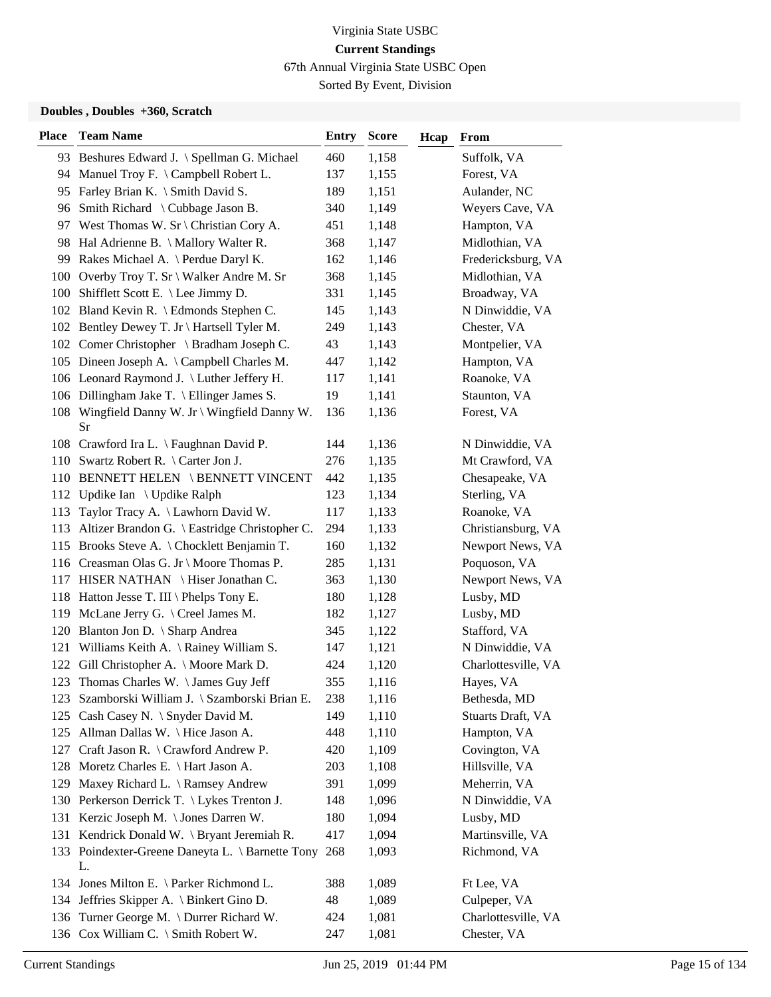67th Annual Virginia State USBC Open

Sorted By Event, Division

#### **Doubles , Doubles +360, Scratch**

| <b>Place</b> | <b>Team Name</b>                                       | <b>Entry</b> | <b>Score</b> | Hcap | <b>From</b>         |
|--------------|--------------------------------------------------------|--------------|--------------|------|---------------------|
|              | 93 Beshures Edward J. \ Spellman G. Michael            | 460          | 1,158        |      | Suffolk, VA         |
|              | 94 Manuel Troy F. \ Campbell Robert L.                 | 137          | 1,155        |      | Forest, VA          |
|              | 95 Farley Brian K. \ Smith David S.                    | 189          | 1,151        |      | Aulander, NC        |
|              | 96 Smith Richard \ Cubbage Jason B.                    | 340          | 1,149        |      | Weyers Cave, VA     |
|              | 97 West Thomas W. Sr \ Christian Cory A.               | 451          | 1,148        |      | Hampton, VA         |
|              | 98 Hal Adrienne B. \ Mallory Walter R.                 | 368          | 1,147        |      | Midlothian, VA      |
|              | 99 Rakes Michael A. \ Perdue Daryl K.                  | 162          | 1,146        |      | Fredericksburg, VA  |
|              | 100 Overby Troy T. Sr \ Walker Andre M. Sr             | 368          | 1,145        |      | Midlothian, VA      |
|              | 100 Shifflett Scott E. \ Lee Jimmy D.                  | 331          | 1,145        |      | Broadway, VA        |
|              | 102 Bland Kevin R. \ Edmonds Stephen C.                | 145          | 1,143        |      | N Dinwiddie, VA     |
|              | 102 Bentley Dewey T. Jr \ Hartsell Tyler M.            | 249          | 1,143        |      | Chester, VA         |
|              | 102 Comer Christopher \ Bradham Joseph C.              | 43           | 1,143        |      | Montpelier, VA      |
|              | 105 Dineen Joseph A. \ Campbell Charles M.             | 447          | 1,142        |      | Hampton, VA         |
|              | 106 Leonard Raymond J. \ Luther Jeffery H.             | 117          | 1,141        |      | Roanoke, VA         |
|              | 106 Dillingham Jake T. \ Ellinger James S.             | 19           | 1,141        |      | Staunton, VA        |
|              | 108 Wingfield Danny W. Jr \ Wingfield Danny W.<br>Sr   | 136          | 1,136        |      | Forest, VA          |
|              | 108 Crawford Ira L. \ Faughnan David P.                | 144          | 1,136        |      | N Dinwiddie, VA     |
|              | 110 Swartz Robert R. \ Carter Jon J.                   | 276          | 1,135        |      | Mt Crawford, VA     |
|              | 110 BENNETT HELEN \BENNETT VINCENT                     | 442          | 1,135        |      | Chesapeake, VA      |
|              | 112 Updike Ian \ Updike Ralph                          | 123          | 1,134        |      | Sterling, VA        |
| 113          | Taylor Tracy A. \ Lawhorn David W.                     | 117          | 1,133        |      | Roanoke, VA         |
| 113          | Altizer Brandon G. \ Eastridge Christopher C.          | 294          | 1,133        |      | Christiansburg, VA  |
|              | 115 Brooks Steve A. \ Chocklett Benjamin T.            | 160          | 1,132        |      | Newport News, VA    |
|              | 116 Creasman Olas G. Jr \ Moore Thomas P.              | 285          | 1,131        |      | Poquoson, VA        |
|              | 117 HISER NATHAN \ Hiser Jonathan C.                   | 363          | 1,130        |      | Newport News, VA    |
|              | 118 Hatton Jesse T. III \ Phelps Tony E.               | 180          | 1,128        |      | Lusby, MD           |
|              | 119 McLane Jerry G. \ Creel James M.                   | 182          | 1,127        |      | Lusby, MD           |
|              | 120 Blanton Jon D. \ Sharp Andrea                      | 345          | 1,122        |      | Stafford, VA        |
|              | 121 Williams Keith A. \ Rainey William S.              | 147          | 1,121        |      | N Dinwiddie, VA     |
| 122          | Gill Christopher A. \ Moore Mark D.                    | 424          | 1,120        |      | Charlottesville, VA |
|              | 123 Thomas Charles W. \James Guy Jeff                  | 355          | 1,116        |      | Hayes, VA           |
|              |                                                        |              |              |      |                     |
|              | 123 Szamborski William J. \ Szamborski Brian E.        | 238          | 1,116        |      | Bethesda, MD        |
|              | 125 Cash Casey N. \ Snyder David M.                    | 149          | 1,110        |      | Stuarts Draft, VA   |
|              | 125 Allman Dallas W. \ Hice Jason A.                   | 448          | 1,110        |      | Hampton, VA         |
| 127          | Craft Jason R. \ Crawford Andrew P.                    | 420          | 1,109        |      | Covington, VA       |
|              | 128 Moretz Charles E. \ Hart Jason A.                  | 203          | 1,108        |      | Hillsville, VA      |
|              | 129 Maxey Richard L. \ Ramsey Andrew                   | 391          | 1,099        |      | Meherrin, VA        |
|              | 130 Perkerson Derrick T. \ Lykes Trenton J.            | 148          | 1,096        |      | N Dinwiddie, VA     |
|              | 131 Kerzic Joseph M. \ Jones Darren W.                 | 180          | 1,094        |      | Lusby, MD           |
|              | 131 Kendrick Donald W. \ Bryant Jeremiah R.            | 417          | 1,094        |      | Martinsville, VA    |
|              | 133 Poindexter-Greene Daneyta L. \ Barnette Tony<br>L. | 268          | 1,093        |      | Richmond, VA        |
|              | 134 Jones Milton E. \ Parker Richmond L.               | 388          | 1,089        |      | Ft Lee, VA          |
|              | 134 Jeffries Skipper A. \ Binkert Gino D.              | 48           | 1,089        |      | Culpeper, VA        |
|              | 136 Turner George M. \ Durrer Richard W.               | 424          | 1,081        |      | Charlottesville, VA |
|              | 136 Cox William C. \ Smith Robert W.                   | 247          | 1,081        |      | Chester, VA         |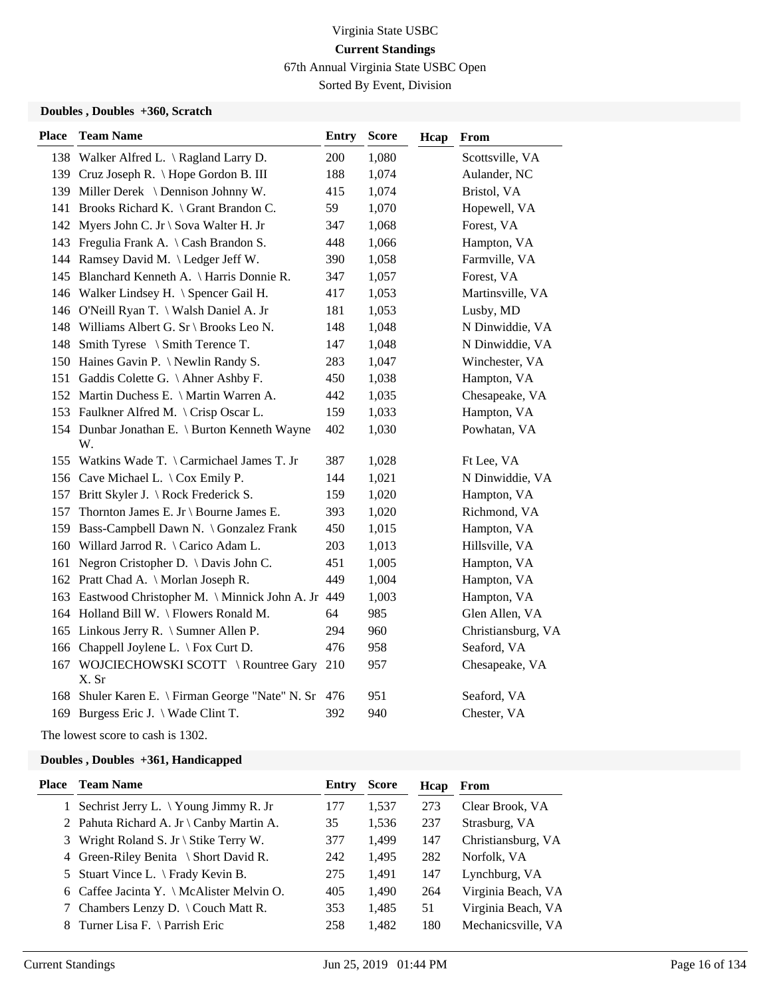67th Annual Virginia State USBC Open

Sorted By Event, Division

#### **Doubles , Doubles +360, Scratch**

| <b>Place</b> | <b>Team Name</b>                                     | <b>Entry</b> | <b>Score</b> | Hcap | From               |
|--------------|------------------------------------------------------|--------------|--------------|------|--------------------|
|              | 138 Walker Alfred L. \ Ragland Larry D.              | 200          | 1,080        |      | Scottsville, VA    |
|              | 139 Cruz Joseph R. \ Hope Gordon B. III              | 188          | 1,074        |      | Aulander, NC       |
|              | 139 Miller Derek \ Dennison Johnny W.                | 415          | 1,074        |      | Bristol, VA        |
|              | 141 Brooks Richard K. \ Grant Brandon C.             | 59           | 1,070        |      | Hopewell, VA       |
|              | 142 Myers John C. Jr \ Sova Walter H. Jr             | 347          | 1,068        |      | Forest, VA         |
|              | 143 Fregulia Frank A. \Cash Brandon S.               | 448          | 1,066        |      | Hampton, VA        |
|              | 144 Ramsey David M. \ Ledger Jeff W.                 | 390          | 1,058        |      | Farmville, VA      |
|              | 145 Blanchard Kenneth A. \ Harris Donnie R.          | 347          | 1,057        |      | Forest, VA         |
|              | 146 Walker Lindsey H. \ Spencer Gail H.              | 417          | 1,053        |      | Martinsville, VA   |
|              | 146 O'Neill Ryan T. \ Walsh Daniel A. Jr             | 181          | 1,053        |      | Lusby, MD          |
|              | 148 Williams Albert G. Sr \ Brooks Leo N.            | 148          | 1,048        |      | N Dinwiddie, VA    |
|              | 148 Smith Tyrese \ Smith Terence T.                  | 147          | 1,048        |      | N Dinwiddie, VA    |
|              | 150 Haines Gavin P. \Newlin Randy S.                 | 283          | 1,047        |      | Winchester, VA     |
|              | 151 Gaddis Colette G. \ Ahner Ashby F.               | 450          | 1,038        |      | Hampton, VA        |
|              | 152 Martin Duchess E. \ Martin Warren A.             | 442          | 1,035        |      | Chesapeake, VA     |
|              | 153 Faulkner Alfred M. \ Crisp Oscar L.              | 159          | 1,033        |      | Hampton, VA        |
|              | 154 Dunbar Jonathan E. \ Burton Kenneth Wayne<br>W.  | 402          | 1,030        |      | Powhatan, VA       |
|              | 155 Watkins Wade T. \ Carmichael James T. Jr         | 387          | 1,028        |      | Ft Lee, VA         |
|              | 156 Cave Michael L. \ Cox Emily P.                   | 144          | 1,021        |      | N Dinwiddie, VA    |
|              | 157 Britt Skyler J. \ Rock Frederick S.              | 159          | 1,020        |      | Hampton, VA        |
| 157          | Thornton James E. Jr \ Bourne James E.               | 393          | 1,020        |      | Richmond, VA       |
|              | 159 Bass-Campbell Dawn N. \ Gonzalez Frank           | 450          | 1,015        |      | Hampton, VA        |
|              | 160 Willard Jarrod R. \ Carico Adam L.               | 203          | 1,013        |      | Hillsville, VA     |
| 161          | Negron Cristopher D. \ Davis John C.                 | 451          | 1,005        |      | Hampton, VA        |
|              | 162 Pratt Chad A. \ Morlan Joseph R.                 | 449          | 1,004        |      | Hampton, VA        |
|              | 163 Eastwood Christopher M. \ Minnick John A. Jr 449 |              | 1,003        |      | Hampton, VA        |
|              | 164 Holland Bill W. \ Flowers Ronald M.              | 64           | 985          |      | Glen Allen, VA     |
|              | 165 Linkous Jerry R. \ Sumner Allen P.               | 294          | 960          |      | Christiansburg, VA |
|              | 166 Chappell Joylene L. \ Fox Curt D.                | 476          | 958          |      | Seaford, VA        |
| 167          | WOJCIECHOWSKI SCOTT \Rountree Gary<br>X. Sr          | 210          | 957          |      | Chesapeake, VA     |
|              | 168 Shuler Karen E. \ Firman George "Nate" N. Sr     | 476          | 951          |      | Seaford, VA        |
|              | 169 Burgess Eric J. \ Wade Clint T.                  | 392          | 940          |      | Chester, VA        |

The lowest score to cash is 1302.

| Place | <b>Team Name</b>                                | Entry | <b>Score</b> | Hcap | From               |
|-------|-------------------------------------------------|-------|--------------|------|--------------------|
|       | 1 Sechrist Jerry L. $\forall$ Young Jimmy R. Jr | 177   | 1,537        | 273  | Clear Brook, VA    |
|       | 2 Pahuta Richard A. Jr \ Canby Martin A.        | 35    | 1,536        | 237  | Strasburg, VA      |
|       | 3 Wright Roland S. Jr \ Stike Terry W.          | 377   | 1,499        | 147  | Christiansburg, VA |
|       | 4 Green-Riley Benita \ Short David R.           | 242   | 1,495        | 282  | Norfolk, VA        |
|       | 5 Stuart Vince L. \ Frady Kevin B.              | 275   | 1,491        | 147  | Lynchburg, VA      |
|       | 6 Caffee Jacinta Y. \ McAlister Melvin O.       | 405   | 1,490        | 264  | Virginia Beach, VA |
|       | 7 Chambers Lenzy D. \ Couch Matt R.             | 353   | 1,485        | 51   | Virginia Beach, VA |
|       | 8 Turner Lisa F. \ Parrish Eric                 | 258   | 1,482        | 180  | Mechanicsville, VA |
|       |                                                 |       |              |      |                    |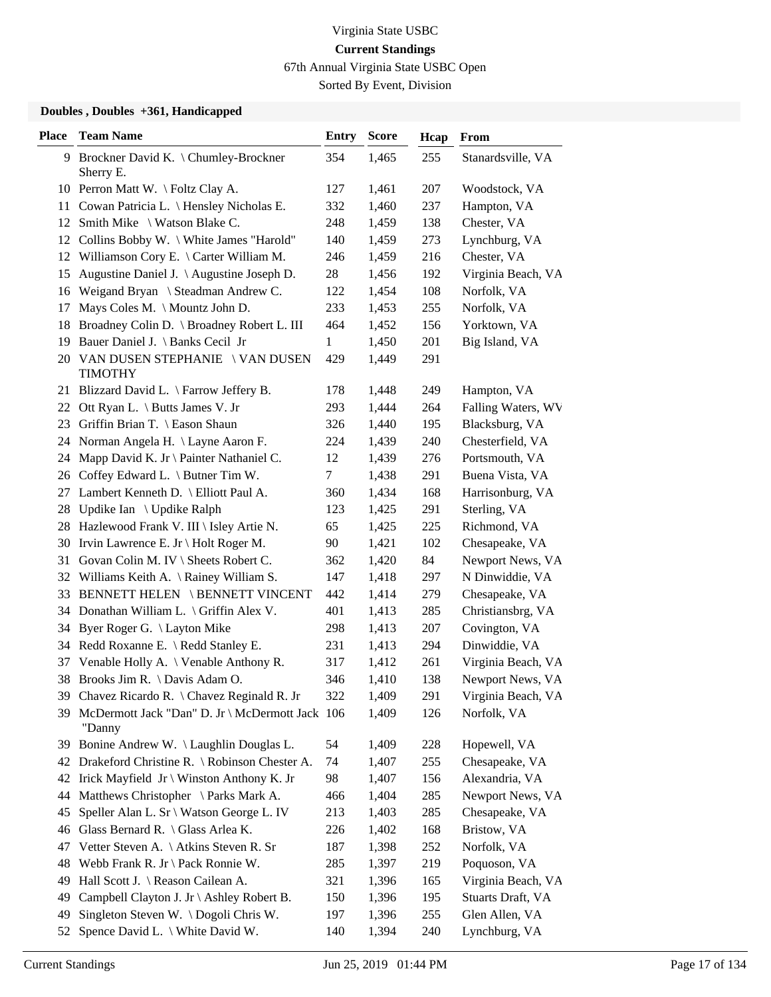67th Annual Virginia State USBC Open

Sorted By Event, Division

| Place | <b>Team Name</b>                                             | <b>Entry</b> | <b>Score</b> | Hcap | From               |
|-------|--------------------------------------------------------------|--------------|--------------|------|--------------------|
|       | 9 Brockner David K. \ Chumley-Brockner<br>Sherry E.          | 354          | 1,465        | 255  | Stanardsville, VA  |
|       | 10 Perron Matt W. \Foltz Clay A.                             | 127          | 1,461        | 207  | Woodstock, VA      |
| 11    | Cowan Patricia L. \ Hensley Nicholas E.                      | 332          | 1,460        | 237  | Hampton, VA        |
|       | 12 Smith Mike \ Watson Blake C.                              | 248          | 1,459        | 138  | Chester, VA        |
|       | 12 Collins Bobby W. \ White James "Harold"                   | 140          | 1,459        | 273  | Lynchburg, VA      |
|       | 12 Williamson Cory E. \ Carter William M.                    | 246          | 1,459        | 216  | Chester, VA        |
| 15    | Augustine Daniel J. \Augustine Joseph D.                     | 28           | 1,456        | 192  | Virginia Beach, VA |
|       | 16 Weigand Bryan \ Steadman Andrew C.                        | 122          | 1,454        | 108  | Norfolk, VA        |
| 17    | Mays Coles M. \ Mountz John D.                               | 233          | 1,453        | 255  | Norfolk, VA        |
|       | 18 Broadney Colin D. \ Broadney Robert L. III                | 464          | 1,452        | 156  | Yorktown, VA       |
| 19.   | Bauer Daniel J. \ Banks Cecil Jr                             | 1            | 1,450        | 201  | Big Island, VA     |
|       | 20 VAN DUSEN STEPHANIE \ VAN DUSEN<br><b>TIMOTHY</b>         | 429          | 1,449        | 291  |                    |
|       | 21 Blizzard David L. \ Farrow Jeffery B.                     | 178          | 1,448        | 249  | Hampton, VA        |
| 22    | Ott Ryan L. \ Butts James V. Jr                              | 293          | 1,444        | 264  | Falling Waters, WV |
| 23    | Griffin Brian T. \ Eason Shaun                               | 326          | 1,440        | 195  | Blacksburg, VA     |
|       | 24 Norman Angela H. \ Layne Aaron F.                         | 224          | 1,439        | 240  | Chesterfield, VA   |
|       | 24 Mapp David K. Jr \ Painter Nathaniel C.                   | 12           | 1,439        | 276  | Portsmouth, VA     |
|       | 26 Coffey Edward L. \ Butner Tim W.                          | 7            | 1,438        | 291  | Buena Vista, VA    |
| 27    | Lambert Kenneth D. \ Elliott Paul A.                         | 360          | 1,434        | 168  | Harrisonburg, VA   |
| 28    | Updike Ian $\setminus$ Updike Ralph                          | 123          | 1,425        | 291  | Sterling, VA       |
|       | 28 Hazlewood Frank V. III \ Isley Artie N.                   | 65           | 1,425        | 225  | Richmond, VA       |
|       | 30 Irvin Lawrence E. Jr \ Holt Roger M.                      | 90           | 1,421        | 102  | Chesapeake, VA     |
| 31    | Govan Colin M. IV \ Sheets Robert C.                         | 362          | 1,420        | 84   | Newport News, VA   |
|       | 32 Williams Keith A. \ Rainey William S.                     | 147          | 1,418        | 297  | N Dinwiddie, VA    |
|       | 33 BENNETT HELEN \ BENNETT VINCENT                           | 442          | 1,414        | 279  | Chesapeake, VA     |
|       | 34 Donathan William L. \ Griffin Alex V.                     | 401          | 1,413        | 285  | Christiansbrg, VA  |
| 34    | Byer Roger G. \ Layton Mike                                  | 298          | 1,413        | 207  | Covington, VA      |
|       | 34 Redd Roxanne E. \ Redd Stanley E.                         | 231          | 1,413        | 294  | Dinwiddie, VA      |
|       | 37 Venable Holly A. \ Venable Anthony R.                     | 317          | 1,412        | 261  | Virginia Beach, VA |
|       | 38 Brooks Jim R. \ Davis Adam O.                             | 346          | 1,410        | 138  | Newport News, VA   |
|       | 39 Chavez Ricardo R. \ Chavez Reginald R. Jr                 | 322          | 1,409        | 291  | Virginia Beach, VA |
|       | 39 McDermott Jack "Dan" D. Jr \ McDermott Jack 106<br>"Danny |              | 1,409        | 126  | Norfolk, VA        |
| 39    | Bonine Andrew W. \ Laughlin Douglas L.                       | 54           | 1,409        | 228  | Hopewell, VA       |
| 42    | Drakeford Christine R. \ Robinson Chester A.                 | 74           | 1,407        | 255  | Chesapeake, VA     |
| 42    | Irick Mayfield $Jr \setminus$ Winston Anthony K. Jr          | 98           | 1,407        | 156  | Alexandria, VA     |
| 44    | Matthews Christopher \ Parks Mark A.                         | 466          | 1,404        | 285  | Newport News, VA   |
| 45    | Speller Alan L. Sr \ Watson George L. IV                     | 213          | 1,403        | 285  | Chesapeake, VA     |
| 46    | Glass Bernard R. \ Glass Arlea K.                            | 226          | 1,402        | 168  | Bristow, VA        |
| 47    | Vetter Steven A. \ Atkins Steven R. Sr                       | 187          | 1,398        | 252  | Norfolk, VA        |
| 48    | Webb Frank R. Jr \ Pack Ronnie W.                            | 285          | 1,397        | 219  | Poquoson, VA       |
| 49    | Hall Scott J. \ Reason Cailean A.                            | 321          | 1,396        | 165  | Virginia Beach, VA |
| 49    | Campbell Clayton J. Jr \ Ashley Robert B.                    | 150          | 1,396        | 195  | Stuarts Draft, VA  |
| 49    | Singleton Steven W. \Dogoli Chris W.                         | 197          | 1,396        | 255  | Glen Allen, VA     |
| 52    | Spence David L. \ White David W.                             | 140          | 1,394        | 240  | Lynchburg, VA      |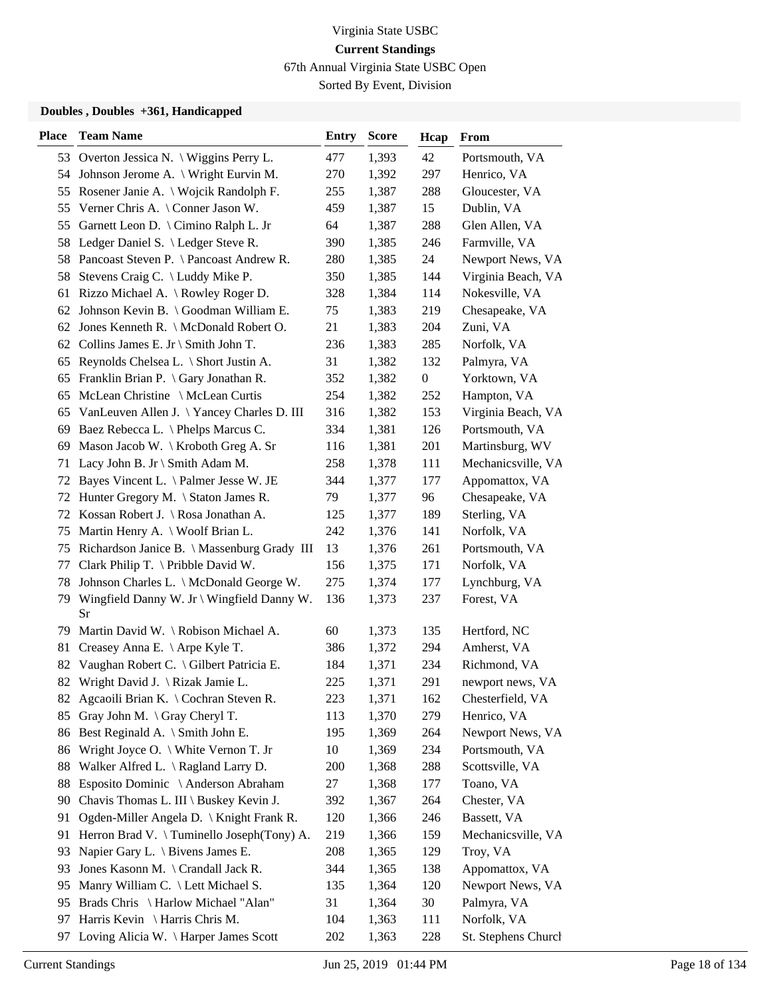67th Annual Virginia State USBC Open

Sorted By Event, Division

| <b>Place</b> | <b>Team Name</b>                              | <b>Entry</b> | <b>Score</b> | Hcap             | From                |
|--------------|-----------------------------------------------|--------------|--------------|------------------|---------------------|
|              | 53 Overton Jessica N. \ Wiggins Perry L.      | 477          | 1,393        | 42               | Portsmouth, VA      |
|              | 54 Johnson Jerome A. \ Wright Eurvin M.       | 270          | 1,392        | 297              | Henrico, VA         |
| 55           | Rosener Janie A. \ Wojcik Randolph F.         | 255          | 1,387        | 288              | Gloucester, VA      |
| 55           | Verner Chris A. \ Conner Jason W.             | 459          | 1,387        | 15               | Dublin, VA          |
| 55           | Garnett Leon D. \ Cimino Ralph L. Jr          | 64           | 1,387        | 288              | Glen Allen, VA      |
| 58           | Ledger Daniel S. \ Ledger Steve R.            | 390          | 1,385        | 246              | Farmville, VA       |
| 58           | Pancoast Steven P. \ Pancoast Andrew R.       | 280          | 1,385        | 24               | Newport News, VA    |
| 58           | Stevens Craig C. $\setminus$ Luddy Mike P.    | 350          | 1,385        | 144              | Virginia Beach, VA  |
| 61           | Rizzo Michael A. \ Rowley Roger D.            | 328          | 1,384        | 114              | Nokesville, VA      |
| 62           | Johnson Kevin B. \ Goodman William E.         | 75           | 1,383        | 219              | Chesapeake, VA      |
| 62           | Jones Kenneth R. \ McDonald Robert O.         | 21           | 1,383        | 204              | Zuni, VA            |
|              | 62 Collins James E. Jr \ Smith John T.        | 236          | 1,383        | 285              | Norfolk, VA         |
| 65           | Reynolds Chelsea L. \ Short Justin A.         | 31           | 1,382        | 132              | Palmyra, VA         |
| 65           | Franklin Brian P. \ Gary Jonathan R.          | 352          | 1,382        | $\boldsymbol{0}$ | Yorktown, VA        |
| 65           | McLean Christine \ McLean Curtis              | 254          | 1,382        | 252              | Hampton, VA         |
| 65           | VanLeuven Allen J. \Yancey Charles D. III     | 316          | 1,382        | 153              | Virginia Beach, VA  |
| 69           | Baez Rebecca L. \ Phelps Marcus C.            | 334          | 1,381        | 126              | Portsmouth, VA      |
| 69           | Mason Jacob W. \ Kroboth Greg A. Sr           | 116          | 1,381        | 201              | Martinsburg, WV     |
| 71           | Lacy John B. Jr \ Smith Adam M.               | 258          | 1,378        | 111              | Mechanicsville, VA  |
| 72           | Bayes Vincent L. \ Palmer Jesse W. JE         | 344          | 1,377        | 177              | Appomattox, VA      |
| 72           | Hunter Gregory M. \ Staton James R.           | 79           | 1,377        | 96               | Chesapeake, VA      |
|              | 72 Kossan Robert J. \ Rosa Jonathan A.        | 125          | 1,377        | 189              | Sterling, VA        |
| 75           | Martin Henry A. \ Woolf Brian L.              | 242          | 1,376        | 141              | Norfolk, VA         |
| 75           | Richardson Janice B. \ Massenburg Grady III   | 13           | 1,376        | 261              | Portsmouth, VA      |
| 77           | Clark Philip T. \ Pribble David W.            | 156          | 1,375        | 171              | Norfolk, VA         |
| 78           | Johnson Charles L. \ McDonald George W.       | 275          | 1,374        | 177              | Lynchburg, VA       |
| 79           | Wingfield Danny W. Jr \ Wingfield Danny W.    | 136          | 1,373        | 237              | Forest, VA          |
|              | Sr                                            |              |              |                  |                     |
| 79           | Martin David W. \ Robison Michael A.          | 60           | 1,373        | 135              | Hertford, NC        |
| 81           | Creasey Anna E. \ Arpe Kyle T.                | 386          | 1,372        | 294              | Amherst, VA         |
| 82           | Vaughan Robert C. \ Gilbert Patricia E.       | 184          | 1,371        | 234              | Richmond, VA        |
|              | 82 Wright David J. \ Rizak Jamie L.           | 225          | 1,371        | 291              | newport news, VA    |
|              | 82 Agcaoili Brian K. \ Cochran Steven R.      | 223          | 1,371        | 162              | Chesterfield, VA    |
| 85           | Gray John M. \ Gray Cheryl T.                 | 113          | 1,370        | 279              | Henrico, VA         |
| 86           | Best Reginald A. \ Smith John E.              | 195          | 1,369        | 264              | Newport News, VA    |
| 86           | Wright Joyce O. \ White Vernon T. Jr          | 10           | 1,369        | 234              | Portsmouth, VA      |
| 88           | Walker Alfred L. $\setminus$ Ragland Larry D. | 200          | 1,368        | 288              | Scottsville, VA     |
| 88           | Esposito Dominic \ Anderson Abraham           | 27           | 1,368        | 177              | Toano, VA           |
| 90           | Chavis Thomas L. III \ Buskey Kevin J.        | 392          | 1,367        | 264              | Chester, VA         |
| 91           | Ogden-Miller Angela D. \ Knight Frank R.      | 120          | 1,366        | 246              | Bassett, VA         |
| 91           | Herron Brad V. \Tuminello Joseph(Tony) A.     | 219          | 1,366        | 159              | Mechanicsville, VA  |
| 93           | Napier Gary L. \ Bivens James E.              | 208          | 1,365        | 129              | Troy, VA            |
| 93           | Jones Kasonn M. \ Crandall Jack R.            | 344          | 1,365        | 138              | Appomattox, VA      |
| 95           | Manry William C. \ Lett Michael S.            | 135          | 1,364        | 120              | Newport News, VA    |
| 95           | Brads Chris \ Harlow Michael "Alan"           | 31           | 1,364        | 30               | Palmyra, VA         |
| 97           | Harris Kevin \ Harris Chris M.                | 104          | 1,363        | 111              | Norfolk, VA         |
| 97           | Loving Alicia W. \Harper James Scott          | 202          | 1,363        | 228              | St. Stephens Church |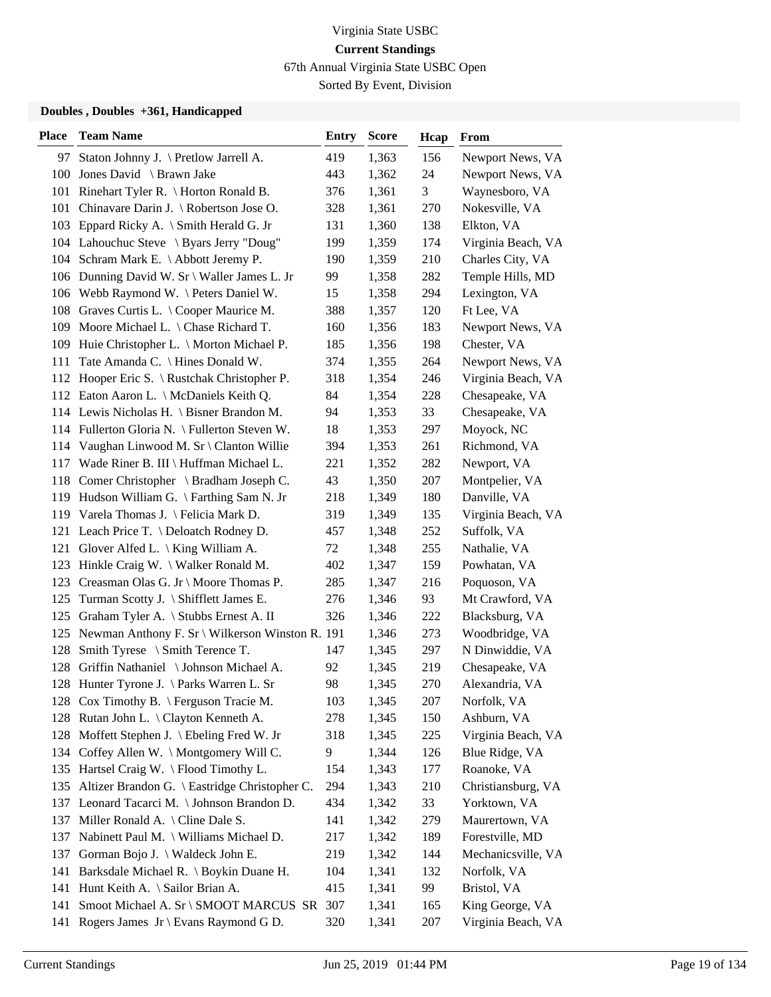67th Annual Virginia State USBC Open

Sorted By Event, Division

| <b>Place</b> | <b>Team Name</b>                                    | <b>Entry</b> | <b>Score</b> | Hcap | From               |
|--------------|-----------------------------------------------------|--------------|--------------|------|--------------------|
|              | 97 Staton Johnny J. \ Pretlow Jarrell A.            | 419          | 1,363        | 156  | Newport News, VA   |
|              | 100 Jones David \ Brawn Jake                        | 443          | 1,362        | 24   | Newport News, VA   |
|              | 101 Rinehart Tyler R. \ Horton Ronald B.            | 376          | 1,361        | 3    | Waynesboro, VA     |
|              | 101 Chinavare Darin J. \ Robertson Jose O.          | 328          | 1,361        | 270  | Nokesville, VA     |
|              | 103 Eppard Ricky A. \ Smith Herald G. Jr            | 131          | 1,360        | 138  | Elkton, VA         |
|              | 104 Lahouchuc Steve \ Byars Jerry "Doug"            | 199          | 1,359        | 174  | Virginia Beach, VA |
|              | 104 Schram Mark E. \Abbott Jeremy P.                | 190          | 1,359        | 210  | Charles City, VA   |
|              | 106 Dunning David W. Sr \ Waller James L. Jr        | 99           | 1,358        | 282  | Temple Hills, MD   |
|              | 106 Webb Raymond W. \ Peters Daniel W.              | 15           | 1,358        | 294  | Lexington, VA      |
|              | 108 Graves Curtis L. \ Cooper Maurice M.            | 388          | 1,357        | 120  | Ft Lee, VA         |
|              | 109 Moore Michael L. \ Chase Richard T.             | 160          | 1,356        | 183  | Newport News, VA   |
|              | 109 Huie Christopher L. \ Morton Michael P.         | 185          | 1,356        | 198  | Chester, VA        |
| 111          | Tate Amanda C. \ Hines Donald W.                    | 374          | 1,355        | 264  | Newport News, VA   |
|              | 112 Hooper Eric S. \ Rustchak Christopher P.        | 318          | 1,354        | 246  | Virginia Beach, VA |
|              | 112 Eaton Aaron L. \ McDaniels Keith Q.             | 84           | 1,354        | 228  | Chesapeake, VA     |
|              | 114 Lewis Nicholas H. \ Bisner Brandon M.           | 94           | 1,353        | 33   | Chesapeake, VA     |
|              | 114 Fullerton Gloria N. \ Fullerton Steven W.       | 18           | 1,353        | 297  | Moyock, NC         |
|              | 114 Vaughan Linwood M. Sr \ Clanton Willie          | 394          | 1,353        | 261  | Richmond, VA       |
|              | 117 Wade Riner B. III \ Huffman Michael L.          | 221          | 1,352        | 282  | Newport, VA        |
|              | 118 Comer Christopher \ Bradham Joseph C.           | 43           | 1,350        | 207  | Montpelier, VA     |
|              | 119 Hudson William G. \ Farthing Sam N. Jr          | 218          | 1,349        | 180  | Danville, VA       |
|              | 119 Varela Thomas J. \ Felicia Mark D.              | 319          | 1,349        | 135  | Virginia Beach, VA |
|              | 121 Leach Price T. \ Deloatch Rodney D.             | 457          | 1,348        | 252  | Suffolk, VA        |
|              | 121 Glover Alfed L. \ King William A.               | 72           | 1,348        | 255  | Nathalie, VA       |
|              | 123 Hinkle Craig W. \ Walker Ronald M.              | 402          | 1,347        | 159  | Powhatan, VA       |
|              | 123 Creasman Olas G. Jr \ Moore Thomas P.           | 285          | 1,347        | 216  | Poquoson, VA       |
|              | 125 Turman Scotty J. \ Shifflett James E.           | 276          | 1,346        | 93   | Mt Crawford, VA    |
|              | 125 Graham Tyler A. \ Stubbs Ernest A. II           | 326          | 1,346        | 222  | Blacksburg, VA     |
|              | 125 Newman Anthony F. Sr \ Wilkerson Winston R. 191 |              | 1,346        | 273  | Woodbridge, VA     |
| 128          | Smith Tyrese $\setminus$ Smith Terence T.           | 147          | 1,345        | 297  | N Dinwiddie, VA    |
|              | 128 Griffin Nathaniel \Johnson Michael A.           | 92           | 1,345        | 219  | Chesapeake, VA     |
|              | 128 Hunter Tyrone J. \ Parks Warren L. Sr           | 98           | 1,345        | 270  | Alexandria, VA     |
|              | 128 Cox Timothy B. \ Ferguson Tracie M.             | 103          | 1,345        | 207  | Norfolk, VA        |
|              | 128 Rutan John L. \ Clayton Kenneth A.              | 278          | 1,345        | 150  | Ashburn, VA        |
|              | 128 Moffett Stephen J. \ Ebeling Fred W. Jr         | 318          | 1,345        | 225  | Virginia Beach, VA |
|              | 134 Coffey Allen W. \ Montgomery Will C.            | 9            | 1,344        | 126  | Blue Ridge, VA     |
|              | 135 Hartsel Craig W. \ Flood Timothy L.             | 154          | 1,343        | 177  | Roanoke, VA        |
|              | 135 Altizer Brandon G. \ Eastridge Christopher C.   | 294          | 1,343        | 210  | Christiansburg, VA |
|              | 137 Leonard Tacarci M. \ Johnson Brandon D.         | 434          | 1,342        | 33   | Yorktown, VA       |
|              | 137 Miller Ronald A. \ Cline Dale S.                | 141          | 1,342        | 279  | Maurertown, VA     |
| 137          | Nabinett Paul M. \ Williams Michael D.              | 217          | 1,342        | 189  | Forestville, MD    |
| 137          | Gorman Bojo J. \ Waldeck John E.                    | 219          | 1,342        | 144  | Mechanicsville, VA |
| 141          | Barksdale Michael R. \ Boykin Duane H.              | 104          | 1,341        | 132  | Norfolk, VA        |
| 141          | Hunt Keith A. \ Sailor Brian A.                     | 415          | 1,341        | 99   | Bristol, VA        |
| 141          | Smoot Michael A. Sr \ SMOOT MARCUS SR               | 307          | 1,341        | 165  | King George, VA    |
| 141          | Rogers James $Jr \ Bvans Raymond G D$ .             | 320          | 1,341        | 207  | Virginia Beach, VA |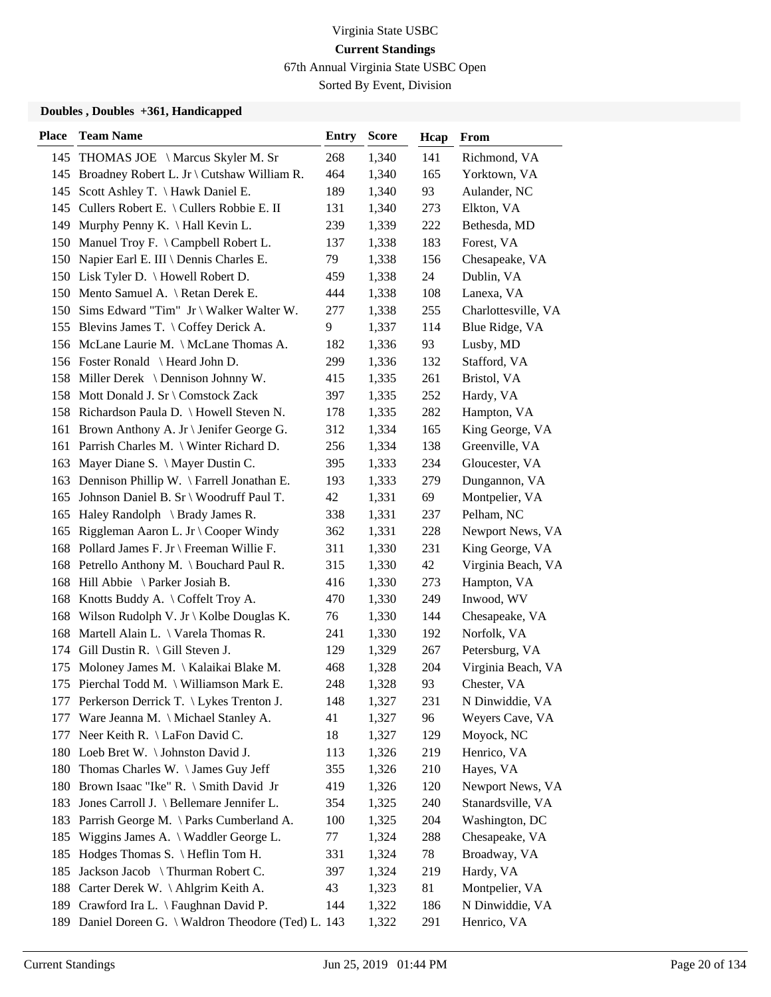67th Annual Virginia State USBC Open

Sorted By Event, Division

| <b>Place</b> | <b>Team Name</b>                                 | <b>Entry</b> | <b>Score</b> | Hcap | <b>From</b>         |
|--------------|--------------------------------------------------|--------------|--------------|------|---------------------|
|              | 145 THOMAS JOE \ Marcus Skyler M. Sr             | 268          | 1,340        | 141  | Richmond, VA        |
|              | 145 Broadney Robert L. Jr \ Cutshaw William R.   | 464          | 1,340        | 165  | Yorktown, VA        |
| 145          | Scott Ashley T. \ Hawk Daniel E.                 | 189          | 1,340        | 93   | Aulander, NC        |
|              | 145 Cullers Robert E. \ Cullers Robbie E. II     | 131          | 1,340        | 273  | Elkton, VA          |
| 149          | Murphy Penny K. $\hat{H}$ Hall Kevin L.          | 239          | 1,339        | 222  | Bethesda, MD        |
| 150          | Manuel Troy F. \ Campbell Robert L.              | 137          | 1,338        | 183  | Forest, VA          |
| 150          | Napier Earl E. III \ Dennis Charles E.           | 79           | 1,338        | 156  | Chesapeake, VA      |
|              | 150 Lisk Tyler D. \ Howell Robert D.             | 459          | 1,338        | 24   | Dublin, VA          |
|              | 150 Mento Samuel A. \ Retan Derek E.             | 444          | 1,338        | 108  | Lanexa, VA          |
|              | 150 Sims Edward "Tim" Jr \ Walker Walter W.      | 277          | 1,338        | 255  | Charlottesville, VA |
|              | 155 Blevins James T. \ Coffey Derick A.          | 9            | 1,337        | 114  | Blue Ridge, VA      |
|              | 156 McLane Laurie M. \ McLane Thomas A.          | 182          | 1,336        | 93   | Lusby, MD           |
|              | 156 Foster Ronald \ Heard John D.                | 299          | 1,336        | 132  | Stafford, VA        |
| 158          | Miller Derek \ Dennison Johnny W.                | 415          | 1,335        | 261  | Bristol, VA         |
| 158          | Mott Donald J. Sr \ Comstock Zack                | 397          | 1,335        | 252  | Hardy, VA           |
|              | 158 Richardson Paula D. \ Howell Steven N.       | 178          | 1,335        | 282  | Hampton, VA         |
|              | 161 Brown Anthony A. Jr \ Jenifer George G.      | 312          | 1,334        | 165  | King George, VA     |
|              | 161 Parrish Charles M. \ Winter Richard D.       | 256          | 1,334        | 138  | Greenville, VA      |
| 163          | Mayer Diane S. \ Mayer Dustin C.                 | 395          | 1,333        | 234  | Gloucester, VA      |
|              | 163 Dennison Phillip W. \ Farrell Jonathan E.    | 193          | 1,333        | 279  | Dungannon, VA       |
| 165          | Johnson Daniel B. Sr \ Woodruff Paul T.          | 42           | 1,331        | 69   | Montpelier, VA      |
| 165          | Haley Randolph \ Brady James R.                  | 338          | 1,331        | 237  | Pelham, NC          |
| 165          | Riggleman Aaron L. Jr $\setminus$ Cooper Windy   | 362          | 1,331        | 228  | Newport News, VA    |
|              | 168 Pollard James F. Jr \ Freeman Willie F.      | 311          | 1,330        | 231  | King George, VA     |
|              | 168 Petrello Anthony M. \ Bouchard Paul R.       | 315          | 1,330        | 42   | Virginia Beach, VA  |
|              | 168 Hill Abbie \ Parker Josiah B.                | 416          | 1,330        | 273  | Hampton, VA         |
|              | 168 Knotts Buddy A. \Coffelt Troy A.             | 470          | 1,330        | 249  | Inwood, WV          |
|              | 168 Wilson Rudolph V. Jr \ Kolbe Douglas K.      | 76           | 1,330        | 144  | Chesapeake, VA      |
| 168          | Martell Alain L. \ Varela Thomas R.              | 241          | 1,330        | 192  | Norfolk, VA         |
| 174          | Gill Dustin R. $\setminus$ Gill Steven J.        | 129          | 1,329        | 267  | Petersburg, VA      |
| 175          | Moloney James M. \ Kalaikai Blake M.             | 468          | 1,328        | 204  | Virginia Beach, VA  |
|              | 175 Pierchal Todd M. \ Williamson Mark E.        | 248          | 1,328        | 93   | Chester, VA         |
|              | 177 Perkerson Derrick T. \ Lykes Trenton J.      | 148          | 1,327        | 231  | N Dinwiddie, VA     |
| 177          | Ware Jeanna M. \ Michael Stanley A.              | 41           | 1,327        | 96   | Weyers Cave, VA     |
| 177          | Neer Keith R. \ LaFon David C.                   | 18           | 1,327        | 129  | Moyock, NC          |
|              | 180 Loeb Bret W. \ Johnston David J.             | 113          | 1,326        | 219  | Henrico, VA         |
|              | 180 Thomas Charles W. \ James Guy Jeff           | 355          | 1,326        | 210  | Hayes, VA           |
| 180          | Brown Isaac "Ike" R. \ Smith David Jr            | 419          | 1,326        | 120  | Newport News, VA    |
| 183          | Jones Carroll J. \ Bellemare Jennifer L.         | 354          | 1,325        | 240  | Stanardsville, VA   |
| 183          | Parrish George M. \ Parks Cumberland A.          | 100          | 1,325        | 204  | Washington, DC      |
| 185          | Wiggins James A. \ Waddler George L.             | 77           | 1,324        | 288  | Chesapeake, VA      |
| 185          | Hodges Thomas S. \ Heflin Tom H.                 | 331          | 1,324        | 78   | Broadway, VA        |
| 185          | Jackson Jacob \ Thurman Robert C.                | 397          | 1,324        | 219  | Hardy, VA           |
| 188          | Carter Derek W. \ Ahlgrim Keith A.               | 43           | 1,323        | 81   | Montpelier, VA      |
| 189          | Crawford Ira L. \ Faughnan David P.              | 144          | 1,322        | 186  | N Dinwiddie, VA     |
| 189          | Daniel Doreen G. \ Waldron Theodore (Ted) L. 143 |              | 1,322        | 291  | Henrico, VA         |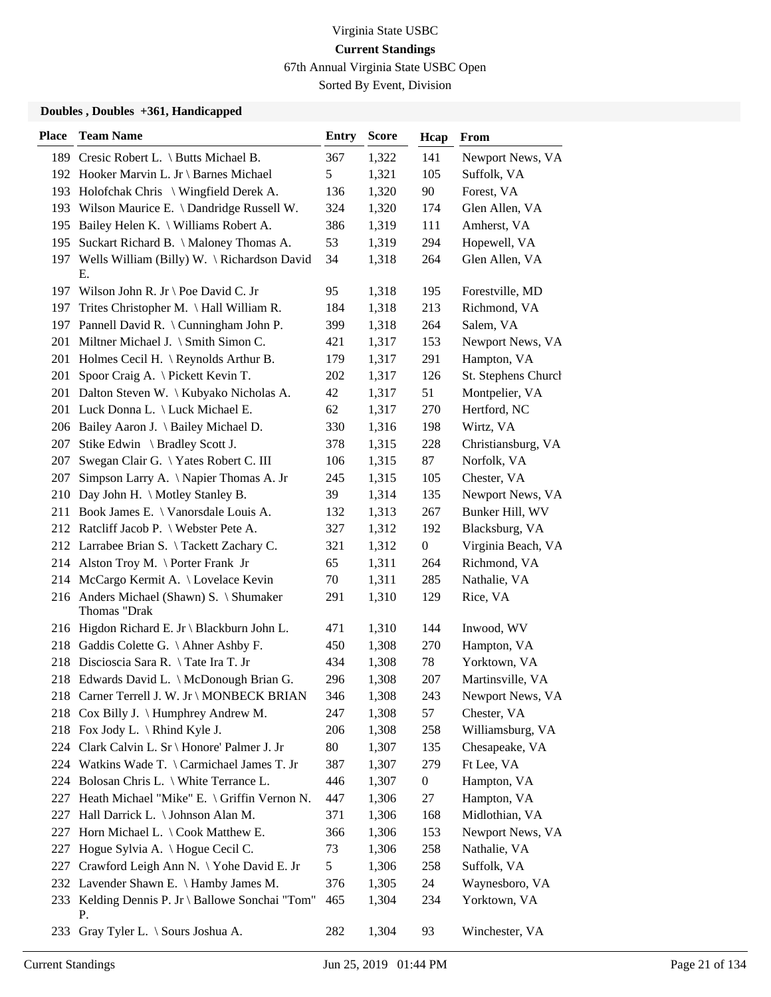67th Annual Virginia State USBC Open

Sorted By Event, Division

| <b>Place</b> | <b>Team Name</b>                                         | <b>Entry</b>  | <b>Score</b> | Hcap             | From                |
|--------------|----------------------------------------------------------|---------------|--------------|------------------|---------------------|
|              | 189 Cresic Robert L. \ Butts Michael B.                  | 367           | 1,322        | 141              | Newport News, VA    |
|              | 192 Hooker Marvin L. Jr \ Barnes Michael                 | $\mathfrak s$ | 1,321        | 105              | Suffolk, VA         |
|              | 193 Holofchak Chris \ Wingfield Derek A.                 | 136           | 1,320        | 90               | Forest, VA          |
|              | 193 Wilson Maurice E. \ Dandridge Russell W.             | 324           | 1,320        | 174              | Glen Allen, VA      |
|              | 195 Bailey Helen K. \ Williams Robert A.                 | 386           | 1,319        | 111              | Amherst, VA         |
| 195          | Suckart Richard B. \ Maloney Thomas A.                   | 53            | 1,319        | 294              | Hopewell, VA        |
|              | 197 Wells William (Billy) W. \Richardson David<br>Е.     | 34            | 1,318        | 264              | Glen Allen, VA      |
|              | 197 Wilson John R. Jr \ Poe David C. Jr                  | 95            | 1,318        | 195              | Forestville, MD     |
| 197          | Trites Christopher M. $\langle$ Hall William R.          | 184           | 1,318        | 213              | Richmond, VA        |
|              | 197 Pannell David R. \ Cunningham John P.                | 399           | 1,318        | 264              | Salem, VA           |
|              | 201 Miltner Michael J. \ Smith Simon C.                  | 421           | 1,317        | 153              | Newport News, VA    |
|              | 201 Holmes Cecil H. \ Reynolds Arthur B.                 | 179           | 1,317        | 291              | Hampton, VA         |
| 201          | Spoor Craig A. \ Pickett Kevin T.                        | 202           | 1,317        | 126              | St. Stephens Church |
|              | 201 Dalton Steven W. \ Kubyako Nicholas A.               | 42            | 1,317        | 51               | Montpelier, VA      |
|              | 201 Luck Donna L. \ Luck Michael E.                      | 62            | 1,317        | 270              | Hertford, NC        |
|              | 206 Bailey Aaron J. \ Bailey Michael D.                  | 330           | 1,316        | 198              | Wirtz, VA           |
| 207          | Stike Edwin \ Bradley Scott J.                           | 378           | 1,315        | 228              | Christiansburg, VA  |
| 207          | Swegan Clair G. \Yates Robert C. III                     | 106           | 1,315        | 87               | Norfolk, VA         |
| 207          | Simpson Larry A. \Napier Thomas A. Jr                    | 245           | 1,315        | 105              | Chester, VA         |
|              | 210 Day John H. \ Motley Stanley B.                      | 39            | 1,314        | 135              | Newport News, VA    |
|              | 211 Book James E. \ Vanorsdale Louis A.                  | 132           | 1,313        | 267              | Bunker Hill, WV     |
|              | 212 Ratcliff Jacob P. \ Webster Pete A.                  | 327           | 1,312        | 192              | Blacksburg, VA      |
|              | 212 Larrabee Brian S. \Tackett Zachary C.                | 321           | 1,312        | $\boldsymbol{0}$ | Virginia Beach, VA  |
|              | 214 Alston Troy M. \Porter Frank Jr                      | 65            | 1,311        | 264              | Richmond, VA        |
|              | 214 McCargo Kermit A. \ Lovelace Kevin                   | 70            | 1,311        | 285              | Nathalie, VA        |
|              | 216 Anders Michael (Shawn) S. \ Shumaker<br>Thomas "Drak | 291           | 1,310        | 129              | Rice, VA            |
|              | 216 Higdon Richard E. Jr \ Blackburn John L.             | 471           | 1,310        | 144              | Inwood, WV          |
|              | 218 Gaddis Colette G. \ Ahner Ashby F.                   | 450           | 1,308        | 270              | Hampton, VA         |
|              | 218 Discioscia Sara R. \Tate Ira T. Jr                   | 434           | 1,308        | 78               | Yorktown, VA        |
|              | 218 Edwards David L. \ McDonough Brian G.                | 296           | 1,308        | 207              | Martinsville, VA    |
|              | 218 Carner Terrell J. W. Jr \ MONBECK BRIAN              | 346           | 1,308        | 243              | Newport News, VA    |
|              | 218 Cox Billy J. \ Humphrey Andrew M.                    | 247           | 1,308        | 57               | Chester, VA         |
|              | 218 Fox Jody L. \ Rhind Kyle J.                          | 206           | 1,308        | 258              | Williamsburg, VA    |
|              | 224 Clark Calvin L. Sr \ Honore' Palmer J. Jr            | 80            | 1,307        | 135              | Chesapeake, VA      |
|              | 224 Watkins Wade T. \ Carmichael James T. Jr             | 387           | 1,307        | 279              | Ft Lee, VA          |
|              | 224 Bolosan Chris L. \ White Terrance L.                 | 446           | 1,307        | $\boldsymbol{0}$ | Hampton, VA         |
|              | 227 Heath Michael "Mike" E. \ Griffin Vernon N.          | 447           | 1,306        | 27               | Hampton, VA         |
| 227          | Hall Darrick L. \ Johnson Alan M.                        | 371           | 1,306        | 168              | Midlothian, VA      |
| 227          | Horn Michael L. \ Cook Matthew E.                        | 366           | 1,306        | 153              | Newport News, VA    |
| 227          | Hogue Sylvia A. \ Hogue Cecil C.                         | 73            | 1,306        | 258              | Nathalie, VA        |
| 227          | Crawford Leigh Ann N. \ Yohe David E. Jr                 | 5             | 1,306        | 258              | Suffolk, VA         |
|              | 232 Lavender Shawn E. \ Hamby James M.                   | 376           | 1,305        | 24               | Waynesboro, VA      |
|              | 233 Kelding Dennis P. Jr \ Ballowe Sonchai "Tom"<br>Р.   | 465           | 1,304        | 234              | Yorktown, VA        |
|              | 233 Gray Tyler L. \ Sours Joshua A.                      | 282           | 1,304        | 93               | Winchester, VA      |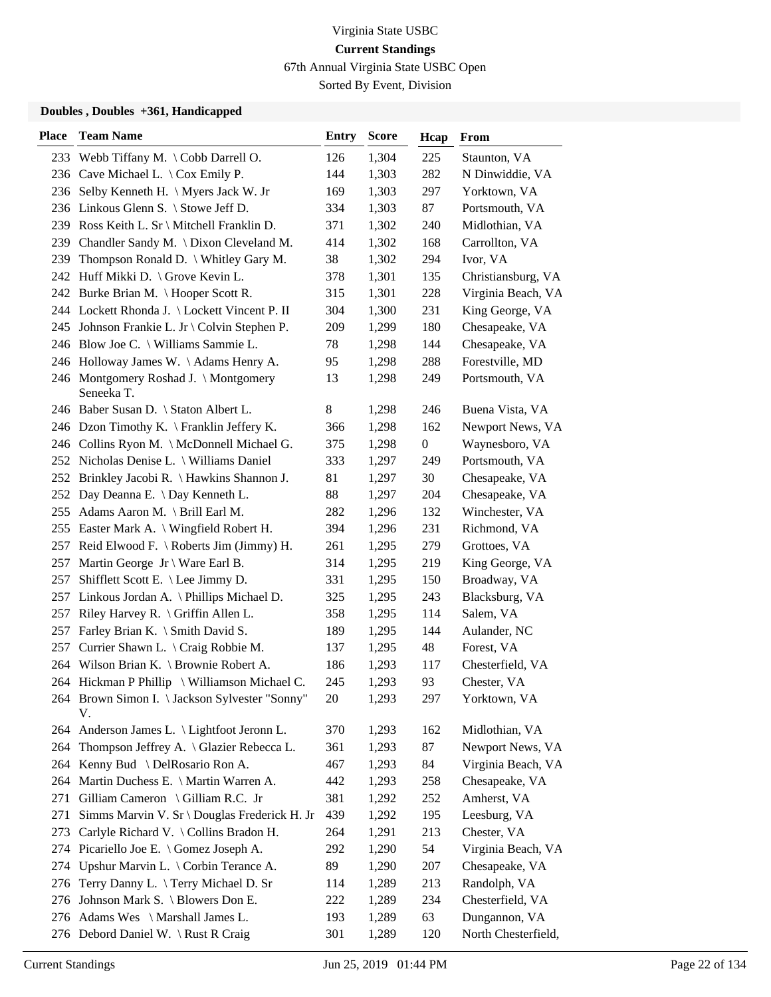67th Annual Virginia State USBC Open

Sorted By Event, Division

| <b>Place</b> | <b>Team Name</b>                                     | <b>Entry</b> | <b>Score</b> | Hcap             | <b>From</b>         |
|--------------|------------------------------------------------------|--------------|--------------|------------------|---------------------|
|              | 233 Webb Tiffany M. \Cobb Darrell O.                 | 126          | 1,304        | 225              | Staunton, VA        |
|              | 236 Cave Michael L. \ Cox Emily P.                   | 144          | 1,303        | 282              | N Dinwiddie, VA     |
|              | 236 Selby Kenneth H. \ Myers Jack W. Jr              | 169          | 1,303        | 297              | Yorktown, VA        |
|              | 236 Linkous Glenn S. \ Stowe Jeff D.                 | 334          | 1,303        | 87               | Portsmouth, VA      |
|              | 239 Ross Keith L. Sr \ Mitchell Franklin D.          | 371          | 1,302        | 240              | Midlothian, VA      |
| 239          | Chandler Sandy M. \ Dixon Cleveland M.               | 414          | 1,302        | 168              | Carrollton, VA      |
|              | 239 Thompson Ronald D. \ Whitley Gary M.             | 38           | 1,302        | 294              | Ivor, VA            |
|              | 242 Huff Mikki D. \ Grove Kevin L.                   | 378          | 1,301        | 135              | Christiansburg, VA  |
|              | 242 Burke Brian M. \Hooper Scott R.                  | 315          | 1,301        | 228              | Virginia Beach, VA  |
|              | 244 Lockett Rhonda J. \ Lockett Vincent P. II        | 304          | 1,300        | 231              | King George, VA     |
|              | 245 Johnson Frankie L. Jr \ Colvin Stephen P.        | 209          | 1,299        | 180              | Chesapeake, VA      |
|              | 246 Blow Joe C. \ Williams Sammie L.                 | 78           | 1,298        | 144              | Chesapeake, VA      |
|              | 246 Holloway James W. \Adams Henry A.                | 95           | 1,298        | 288              | Forestville, MD     |
|              | 246 Montgomery Roshad J. \Montgomery<br>Seneeka T.   | 13           | 1,298        | 249              | Portsmouth, VA      |
|              | 246 Baber Susan D. \ Staton Albert L.                | 8            | 1,298        | 246              | Buena Vista, VA     |
|              | 246 Dzon Timothy K. \ Franklin Jeffery K.            | 366          | 1,298        | 162              | Newport News, VA    |
|              | 246 Collins Ryon M. \ McDonnell Michael G.           | 375          | 1,298        | $\boldsymbol{0}$ | Waynesboro, VA      |
|              | 252 Nicholas Denise L. \ Williams Daniel             | 333          | 1,297        | 249              | Portsmouth, VA      |
|              | 252 Brinkley Jacobi R. \ Hawkins Shannon J.          | 81           | 1,297        | 30               | Chesapeake, VA      |
|              | 252 Day Deanna E. \ Day Kenneth L.                   | 88           | 1,297        | 204              | Chesapeake, VA      |
|              | 255 Adams Aaron M. \ Brill Earl M.                   | 282          | 1,296        | 132              | Winchester, VA      |
|              | 255 Easter Mark A. \ Wingfield Robert H.             | 394          | 1,296        | 231              | Richmond, VA        |
|              | 257 Reid Elwood F. \ Roberts Jim (Jimmy) H.          | 261          | 1,295        | 279              | Grottoes, VA        |
|              | 257 Martin George Jr \ Ware Earl B.                  | 314          | 1,295        | 219              | King George, VA     |
| 257          | Shifflett Scott E. $\leq$ Lee Jimmy D.               | 331          | 1,295        | 150              | Broadway, VA        |
|              | 257 Linkous Jordan A. \Phillips Michael D.           | 325          | 1,295        | 243              | Blacksburg, VA      |
| 257          | Riley Harvey R. $\langle$ Griffin Allen L.           | 358          | 1,295        | 114              | Salem, VA           |
| 257          | Farley Brian K. \ Smith David S.                     | 189          | 1,295        | 144              | Aulander, NC        |
| 257          | Currier Shawn L. \ Craig Robbie M.                   | 137          | 1,295        | 48               | Forest, VA          |
|              | 264 Wilson Brian K. \ Brownie Robert A.              | 186          | 1,293        | 117              | Chesterfield, VA    |
|              | 264 Hickman P Phillip \ Williamson Michael C.        | 245          | 1,293        | 93               | Chester, VA         |
|              | 264 Brown Simon I. \ Jackson Sylvester "Sonny"<br>V. | 20           | 1,293        | 297              | Yorktown, VA        |
|              | 264 Anderson James L. \ Lightfoot Jeronn L.          | 370          | 1,293        | 162              | Midlothian, VA      |
| 264          | Thompson Jeffrey A. \ Glazier Rebecca L.             | 361          | 1,293        | 87               | Newport News, VA    |
| 264          | Kenny Bud \ DelRosario Ron A.                        | 467          | 1,293        | 84               | Virginia Beach, VA  |
|              | 264 Martin Duchess E. \ Martin Warren A.             | 442          | 1,293        | 258              | Chesapeake, VA      |
| 271          | Gilliam Cameron \ Gilliam R.C. Jr                    | 381          | 1,292        | 252              | Amherst, VA         |
| 271          | Simms Marvin V. Sr \ Douglas Frederick H. Jr         | 439          | 1,292        | 195              | Leesburg, VA        |
| 273          | Carlyle Richard V. \ Collins Bradon H.               | 264          | 1,291        | 213              | Chester, VA         |
|              | 274 Picariello Joe E. \ Gomez Joseph A.              | 292          | 1,290        | 54               | Virginia Beach, VA  |
| 274          | Upshur Marvin L. \ Corbin Terance A.                 | 89           | 1,290        | 207              | Chesapeake, VA      |
| 276          | Terry Danny L. \Terry Michael D. Sr                  | 114          | 1,289        | 213              | Randolph, VA        |
| 276          | Johnson Mark S. \ Blowers Don E.                     | 222          | 1,289        | 234              | Chesterfield, VA    |
|              | 276 Adams Wes \ Marshall James L.                    | 193          | 1,289        | 63               | Dungannon, VA       |
|              | 276 Debord Daniel W. \Rust R Craig                   | 301          | 1,289        | 120              | North Chesterfield, |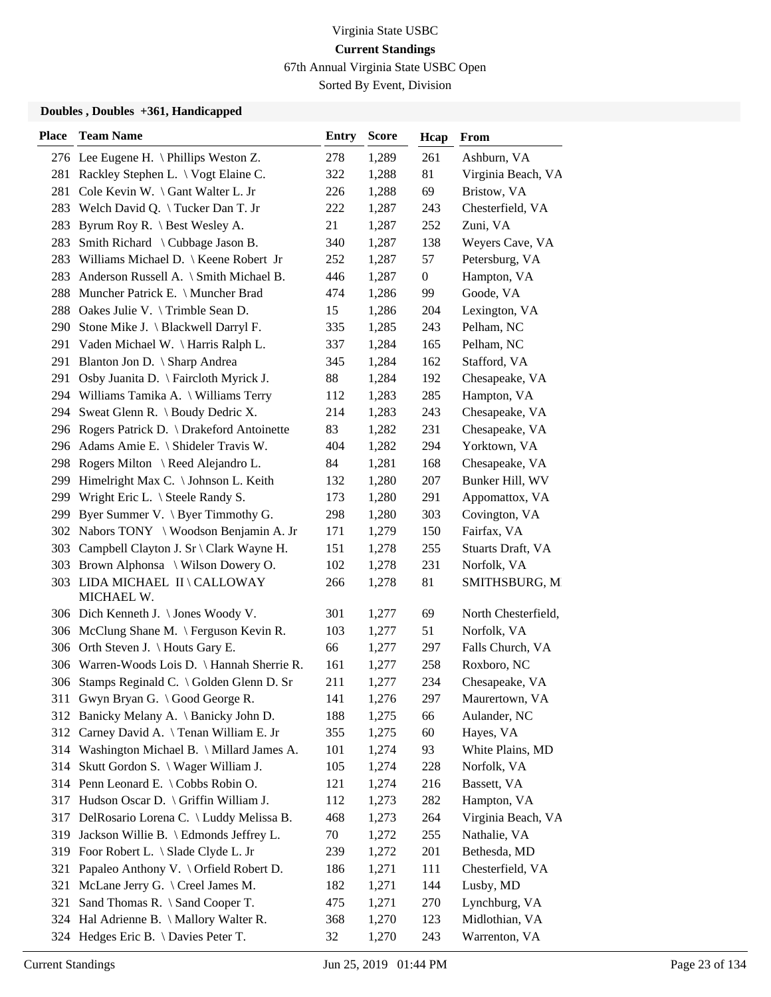67th Annual Virginia State USBC Open

Sorted By Event, Division

| <b>Place</b> | <b>Team Name</b>                             | <b>Entry</b> | <b>Score</b> | Hcap           | From                |
|--------------|----------------------------------------------|--------------|--------------|----------------|---------------------|
|              | 276 Lee Eugene H. \Phillips Weston Z.        | 278          | 1,289        | 261            | Ashburn, VA         |
|              | 281 Rackley Stephen L. \ Vogt Elaine C.      | 322          | 1,288        | 81             | Virginia Beach, VA  |
| 281          | Cole Kevin W. \ Gant Walter L. Jr            | 226          | 1,288        | 69             | Bristow, VA         |
|              | 283 Welch David Q. \Tucker Dan T. Jr         | 222          | 1,287        | 243            | Chesterfield, VA    |
| 283          | Byrum Roy R. \ Best Wesley A.                | 21           | 1,287        | 252            | Zuni, VA            |
| 283          | Smith Richard \ Cubbage Jason B.             | 340          | 1,287        | 138            | Weyers Cave, VA     |
| 283          | Williams Michael D.   Keene Robert Jr        | 252          | 1,287        | 57             | Petersburg, VA      |
|              | 283 Anderson Russell A. \ Smith Michael B.   | 446          | 1,287        | $\overline{0}$ | Hampton, VA         |
|              | 288 Muncher Patrick E. \ Muncher Brad        | 474          | 1,286        | 99             | Goode, VA           |
|              | 288 Oakes Julie V. \ Trimble Sean D.         | 15           | 1,286        | 204            | Lexington, VA       |
|              | 290 Stone Mike J. \ Blackwell Darryl F.      | 335          | 1,285        | 243            | Pelham, NC          |
|              | 291 Vaden Michael W. \Harris Ralph L.        | 337          | 1,284        | 165            | Pelham, NC          |
|              | 291 Blanton Jon D. \ Sharp Andrea            | 345          | 1,284        | 162            | Stafford, VA        |
| 291          | Osby Juanita D. \ Faircloth Myrick J.        | 88           | 1,284        | 192            | Chesapeake, VA      |
|              | 294 Williams Tamika A. \ Williams Terry      | 112          | 1,283        | 285            | Hampton, VA         |
|              | 294 Sweat Glenn R. \ Boudy Dedric X.         | 214          | 1,283        | 243            | Chesapeake, VA      |
|              | 296 Rogers Patrick D. \ Drakeford Antoinette | 83           | 1,282        | 231            | Chesapeake, VA      |
|              | 296 Adams Amie E. \ Shideler Travis W.       | 404          | 1,282        | 294            | Yorktown, VA        |
|              | 298 Rogers Milton \ Reed Alejandro L.        | 84           | 1,281        | 168            | Chesapeake, VA      |
| 299          | Himelright Max C. \ Johnson L. Keith         | 132          | 1,280        | 207            | Bunker Hill, WV     |
|              | 299 Wright Eric L. \ Steele Randy S.         | 173          | 1,280        | 291            | Appomattox, VA      |
| 299          | Byer Summer V. $\setminus$ Byer Timmothy G.  | 298          | 1,280        | 303            | Covington, VA       |
|              | 302 Nabors TONY \ Woodson Benjamin A. Jr     | 171          | 1,279        | 150            | Fairfax, VA         |
|              | 303 Campbell Clayton J. Sr \ Clark Wayne H.  | 151          | 1,278        | 255            | Stuarts Draft, VA   |
|              | 303 Brown Alphonsa \ Wilson Dowery O.        | 102          | 1,278        | 231            | Norfolk, VA         |
|              | 303 LIDA MICHAEL II \ CALLOWAY<br>MICHAEL W. | 266          | 1,278        | 81             | SMITHSBURG, M       |
|              | 306 Dich Kenneth J. \ Jones Woody V.         | 301          | 1,277        | 69             | North Chesterfield, |
|              | 306 McClung Shane M. \ Ferguson Kevin R.     | 103          | 1,277        | 51             | Norfolk, VA         |
|              | 306 Orth Steven J. \ Houts Gary E.           | 66           | 1,277        | 297            | Falls Church, VA    |
|              | 306 Warren-Woods Lois D. \ Hannah Sherrie R. | 161          | 1,277        | 258            | Roxboro, NC         |
|              | 306 Stamps Reginald C. \ Golden Glenn D. Sr  | 211          | 1,277        | 234            | Chesapeake, VA      |
|              | 311 Gwyn Bryan G. \ Good George R.           | 141          | 1,276        | 297            | Maurertown, VA      |
|              | 312 Banicky Melany A. \ Banicky John D.      | 188          | 1,275        | 66             | Aulander, NC        |
|              | 312 Carney David A. \Tenan William E. Jr     | 355          | 1,275        | 60             | Hayes, VA           |
|              | 314 Washington Michael B. \ Millard James A. | 101          | 1,274        | 93             | White Plains, MD    |
|              | 314 Skutt Gordon S. \ Wager William J.       | 105          | 1,274        | 228            | Norfolk, VA         |
|              | 314 Penn Leonard E. \ Cobbs Robin O.         | 121          | 1,274        | 216            | Bassett, VA         |
| 317          | Hudson Oscar D. \ Griffin William J.         | 112          | 1,273        | 282            | Hampton, VA         |
|              | 317 DelRosario Lorena C. \ Luddy Melissa B.  | 468          | 1,273        | 264            | Virginia Beach, VA  |
| 319          | Jackson Willie B. \ Edmonds Jeffrey L.       | 70           | 1,272        | 255            | Nathalie, VA        |
|              | 319 Foor Robert L. \ Slade Clyde L. Jr       | 239          | 1,272        | 201            | Bethesda, MD        |
| 321          | Papaleo Anthony V. \ Orfield Robert D.       | 186          | 1,271        | 111            | Chesterfield, VA    |
| 321          | McLane Jerry G. \ Creel James M.             | 182          | 1,271        | 144            | Lusby, MD           |
| 321          | Sand Thomas R. \ Sand Cooper T.              | 475          | 1,271        | 270            | Lynchburg, VA       |
|              | 324 Hal Adrienne B. \ Mallory Walter R.      | 368          | 1,270        | 123            | Midlothian, VA      |
|              | 324 Hedges Eric B. \Davies Peter T.          | 32           | 1,270        | 243            | Warrenton, VA       |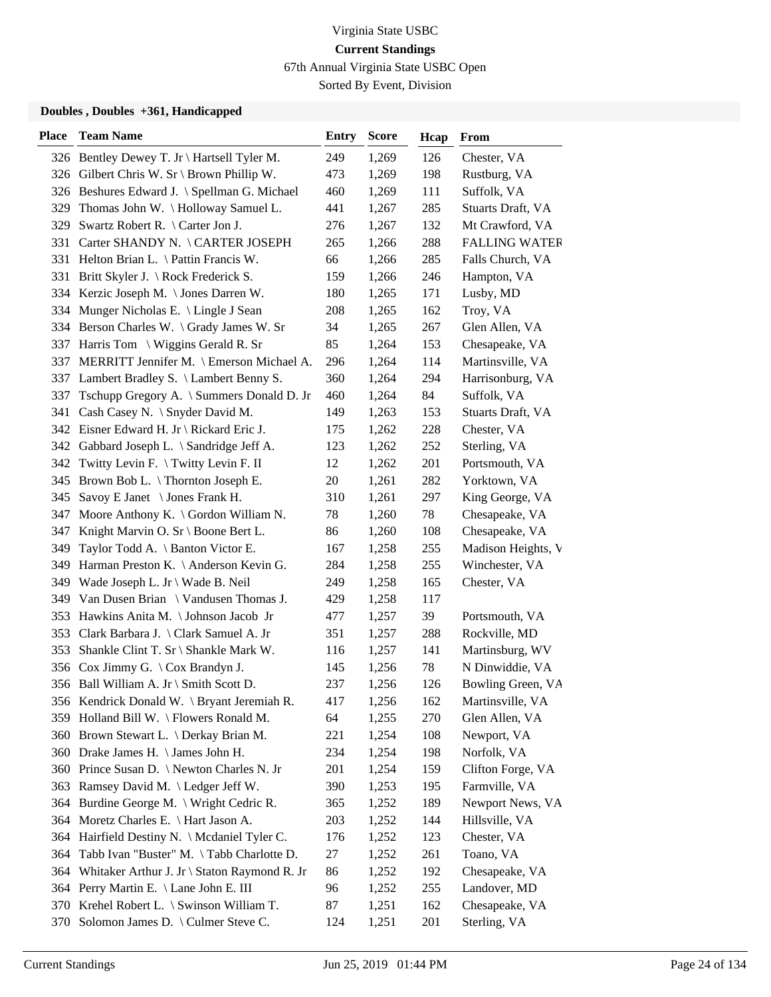67th Annual Virginia State USBC Open

Sorted By Event, Division

| <b>Place</b> | <b>Team Name</b>                                 | Entry | <b>Score</b> | Hcap | From                 |
|--------------|--------------------------------------------------|-------|--------------|------|----------------------|
|              | 326 Bentley Dewey T. Jr \ Hartsell Tyler M.      | 249   | 1,269        | 126  | Chester, VA          |
|              | 326 Gilbert Chris W. Sr \ Brown Phillip W.       | 473   | 1,269        | 198  | Rustburg, VA         |
|              | 326 Beshures Edward J. \ Spellman G. Michael     | 460   | 1,269        | 111  | Suffolk, VA          |
|              | 329 Thomas John W. \Holloway Samuel L.           | 441   | 1,267        | 285  | Stuarts Draft, VA    |
| 329          | Swartz Robert R. $\setminus$ Carter Jon J.       | 276   | 1,267        | 132  | Mt Crawford, VA      |
|              | 331 Carter SHANDY N. \CARTER JOSEPH              | 265   | 1,266        | 288  | <b>FALLING WATER</b> |
|              | 331 Helton Brian L. \ Pattin Francis W.          | 66    | 1,266        | 285  | Falls Church, VA     |
|              | 331 Britt Skyler J. \Rock Frederick S.           | 159   | 1,266        | 246  | Hampton, VA          |
|              | 334 Kerzic Joseph M. \ Jones Darren W.           | 180   | 1,265        | 171  | Lusby, MD            |
| 334          | Munger Nicholas E. \ Lingle J Sean               | 208   | 1,265        | 162  | Troy, VA             |
|              | 334 Berson Charles W. \ Grady James W. Sr        | 34    | 1,265        | 267  | Glen Allen, VA       |
|              | 337 Harris Tom \ Wiggins Gerald R. Sr            | 85    | 1,264        | 153  | Chesapeake, VA       |
| 337          | MERRITT Jennifer M. \ Emerson Michael A.         | 296   | 1,264        | 114  | Martinsville, VA     |
| 337          | Lambert Bradley S. \ Lambert Benny S.            | 360   | 1,264        | 294  | Harrisonburg, VA     |
|              | 337 Tschupp Gregory A. \ Summers Donald D. Jr    | 460   | 1,264        | 84   | Suffolk, VA          |
|              | 341 Cash Casey N. \ Snyder David M.              | 149   | 1,263        | 153  | Stuarts Draft, VA    |
|              | 342 Eisner Edward H. Jr \ Rickard Eric J.        | 175   | 1,262        | 228  | Chester, VA          |
|              | 342 Gabbard Joseph L. \ Sandridge Jeff A.        | 123   | 1,262        | 252  | Sterling, VA         |
|              | 342 Twitty Levin F. \Twitty Levin F. II          | 12    | 1,262        | 201  | Portsmouth, VA       |
|              | 345 Brown Bob L. \Thornton Joseph E.             | 20    | 1,261        | 282  | Yorktown, VA         |
| 345          | Savoy E Janet \ Jones Frank H.                   | 310   | 1,261        | 297  | King George, VA      |
| 347          | Moore Anthony K. $\setminus$ Gordon William N.   | 78    | 1,260        | 78   | Chesapeake, VA       |
|              | 347 Knight Marvin O. Sr \ Boone Bert L.          | 86    | 1,260        | 108  | Chesapeake, VA       |
|              | 349 Taylor Todd A. \ Banton Victor E.            | 167   | 1,258        | 255  | Madison Heights, V   |
| 349          | Harman Preston K. \ Anderson Kevin G.            | 284   | 1,258        | 255  | Winchester, VA       |
|              | 349 Wade Joseph L. Jr \ Wade B. Neil             | 249   | 1,258        | 165  | Chester, VA          |
|              | 349 Van Dusen Brian \ Vandusen Thomas J.         | 429   | 1,258        | 117  |                      |
|              | 353 Hawkins Anita M. \Johnson Jacob Jr           | 477   | 1,257        | 39   | Portsmouth, VA       |
|              | 353 Clark Barbara J. \ Clark Samuel A. Jr        | 351   | 1,257        | 288  | Rockville, MD        |
| 353          | Shankle Clint T. Sr \ Shankle Mark W.            | 116   | 1,257        | 141  | Martinsburg, WV      |
|              | 356 Cox Jimmy G. \ Cox Brandyn J.                | 145   | 1,256        | 78   | N Dinwiddie, VA      |
|              | 356 Ball William A. Jr \ Smith Scott D.          | 237   | 1,256        | 126  | Bowling Green, VA    |
|              | 356 Kendrick Donald W. \ Bryant Jeremiah R.      | 417   | 1,256        | 162  | Martinsville, VA     |
| 359          | Holland Bill W. \ Flowers Ronald M.              | 64    | 1,255        | 270  | Glen Allen, VA       |
|              | 360 Brown Stewart L. \ Derkay Brian M.           | 221   | 1,254        | 108  | Newport, VA          |
|              | 360 Drake James H. \ James John H.               | 234   | 1,254        | 198  | Norfolk, VA          |
|              | 360 Prince Susan D. \ Newton Charles N. Jr       | 201   | 1,254        | 159  | Clifton Forge, VA    |
| 363          | Ramsey David M. \ Ledger Jeff W.                 | 390   | 1,253        | 195  | Farmville, VA        |
|              | 364 Burdine George M. \ Wright Cedric R.         | 365   | 1,252        | 189  | Newport News, VA     |
| 364          | Moretz Charles E. \ Hart Jason A.                | 203   | 1,252        | 144  | Hillsville, VA       |
| 364          | Hairfield Destiny N. \ Mcdaniel Tyler C.         | 176   | 1,252        | 123  | Chester, VA          |
| 364          | Tabb Ivan "Buster" M. \Tabb Charlotte D.         | 27    | 1,252        | 261  | Toano, VA            |
|              | 364 Whitaker Arthur J. Jr \ Staton Raymond R. Jr | 86    | 1,252        | 192  | Chesapeake, VA       |
|              | 364 Perry Martin E. \ Lane John E. III           | 96    | 1,252        | 255  | Landover, MD         |
| 370          | Krehel Robert L. $\setminus$ Swinson William T.  | 87    | 1,251        | 162  | Chesapeake, VA       |
| 370          | Solomon James D. \ Culmer Steve C.               | 124   | 1,251        | 201  | Sterling, VA         |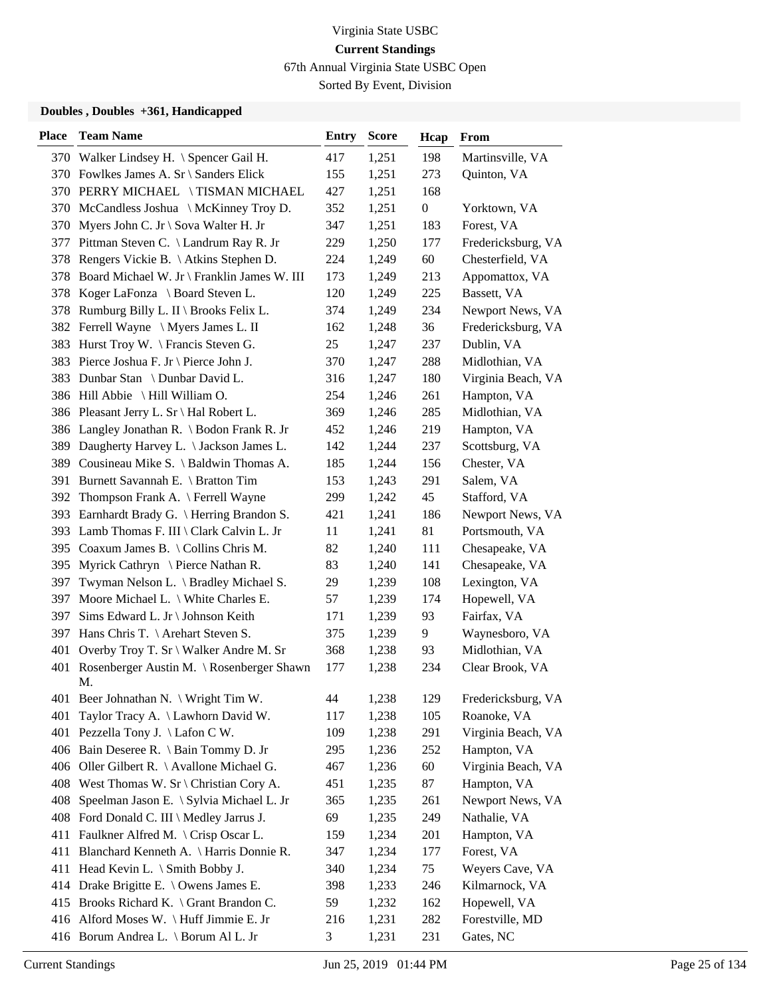67th Annual Virginia State USBC Open

Sorted By Event, Division

| <b>Place</b> | <b>Team Name</b>                                | <b>Entry</b> | <b>Score</b> | Hcap             | From               |
|--------------|-------------------------------------------------|--------------|--------------|------------------|--------------------|
|              | 370 Walker Lindsey H. \ Spencer Gail H.         | 417          | 1,251        | 198              | Martinsville, VA   |
|              | 370 Fowlkes James A. Sr \ Sanders Elick         | 155          | 1,251        | 273              | Quinton, VA        |
|              | 370 PERRY MICHAEL \TISMAN MICHAEL               | 427          | 1,251        | 168              |                    |
|              | 370 McCandless Joshua \ McKinney Troy D.        | 352          | 1,251        | $\boldsymbol{0}$ | Yorktown, VA       |
| 370          | Myers John C. Jr \ Sova Walter H. Jr            | 347          | 1,251        | 183              | Forest, VA         |
| 377          | Pittman Steven C. \ Landrum Ray R. Jr           | 229          | 1,250        | 177              | Fredericksburg, VA |
|              | 378 Rengers Vickie B. \Atkins Stephen D.        | 224          | 1,249        | 60               | Chesterfield, VA   |
|              | 378 Board Michael W. Jr \ Franklin James W. III | 173          | 1,249        | 213              | Appomattox, VA     |
|              | 378 Koger LaFonza \ Board Steven L.             | 120          | 1,249        | 225              | Bassett, VA        |
|              | 378 Rumburg Billy L. II \ Brooks Felix L.       | 374          | 1,249        | 234              | Newport News, VA   |
|              | 382 Ferrell Wayne \ Myers James L. II           | 162          | 1,248        | 36               | Fredericksburg, VA |
|              | 383 Hurst Troy W. \ Francis Steven G.           | 25           | 1,247        | 237              | Dublin, VA         |
| 383          | Pierce Joshua F. Jr \ Pierce John J.            | 370          | 1,247        | 288              | Midlothian, VA     |
| 383          | Dunbar Stan \ Dunbar David L.                   | 316          | 1,247        | 180              | Virginia Beach, VA |
|              | 386 Hill Abbie \ Hill William O.                | 254          | 1,246        | 261              | Hampton, VA        |
|              | 386 Pleasant Jerry L. Sr \ Hal Robert L.        | 369          | 1,246        | 285              | Midlothian, VA     |
|              | 386 Langley Jonathan R. \ Bodon Frank R. Jr     | 452          | 1,246        | 219              | Hampton, VA        |
| 389          | Daugherty Harvey L. \ Jackson James L.          | 142          | 1,244        | 237              | Scottsburg, VA     |
|              | 389 Cousineau Mike S. \ Baldwin Thomas A.       | 185          | 1,244        | 156              | Chester, VA        |
|              | 391 Burnett Savannah E. \ Bratton Tim           | 153          | 1,243        | 291              | Salem, VA          |
|              | 392 Thompson Frank A. \ Ferrell Wayne           | 299          | 1,242        | 45               | Stafford, VA       |
| 393          | Earnhardt Brady G. \ Herring Brandon S.         | 421          | 1,241        | 186              | Newport News, VA   |
|              | 393 Lamb Thomas F. III \ Clark Calvin L. Jr     | 11           | 1,241        | 81               | Portsmouth, VA     |
|              | 395 Coaxum James B. \ Collins Chris M.          | 82           | 1,240        | 111              | Chesapeake, VA     |
| 395          | Myrick Cathryn $\setminus$ Pierce Nathan R.     | 83           | 1,240        | 141              | Chesapeake, VA     |
| 397          | Twyman Nelson L. \ Bradley Michael S.           | 29           | 1,239        | 108              | Lexington, VA      |
| 397          | Moore Michael L. $\setminus$ White Charles E.   | 57           | 1,239        | 174              | Hopewell, VA       |
| 397          | Sims Edward L. Jr \ Johnson Keith               | 171          | 1,239        | 93               | Fairfax, VA        |
| 397          | Hans Chris T. $\backslash$ Arehart Steven S.    | 375          | 1,239        | 9                | Waynesboro, VA     |
| 401          | Overby Troy T. Sr \ Walker Andre M. Sr          | 368          | 1,238        | 93               | Midlothian, VA     |
| 401          | Rosenberger Austin M. \ Rosenberger Shawn<br>M. | 177          | 1,238        | 234              | Clear Brook, VA    |
|              | 401 Beer Johnathan N. \ Wright Tim W.           | 44           | 1,238        | 129              | Fredericksburg, VA |
| 401          | Taylor Tracy A. \ Lawhorn David W.              | 117          | 1,238        | 105              | Roanoke, VA        |
| 401          | Pezzella Tony J. \ Lafon C W.                   | 109          | 1,238        | 291              | Virginia Beach, VA |
|              | 406 Bain Deseree R. \ Bain Tommy D. Jr          | 295          | 1,236        | 252              | Hampton, VA        |
|              | 406 Oller Gilbert R. \ Avallone Michael G.      | 467          | 1,236        | 60               | Virginia Beach, VA |
|              | 408 West Thomas W. Sr \ Christian Cory A.       | 451          | 1,235        | 87               | Hampton, VA        |
| 408          | Speelman Jason E. \ Sylvia Michael L. Jr        | 365          | 1,235        | 261              | Newport News, VA   |
|              | 408 Ford Donald C. III \ Medley Jarrus J.       | 69           | 1,235        | 249              | Nathalie, VA       |
|              | 411 Faulkner Alfred M. \ Crisp Oscar L.         | 159          | 1,234        | 201              | Hampton, VA        |
|              | 411 Blanchard Kenneth A. \ Harris Donnie R.     | 347          | 1,234        | 177              | Forest, VA         |
|              | 411 Head Kevin L. \ Smith Bobby J.              | 340          | 1,234        | 75               | Weyers Cave, VA    |
|              | 414 Drake Brigitte E. \ Owens James E.          | 398          | 1,233        | 246              | Kilmarnock, VA     |
|              | 415 Brooks Richard K. \ Grant Brandon C.        | 59           | 1,232        | 162              | Hopewell, VA       |
|              | 416 Alford Moses W. \Huff Jimmie E. Jr          | 216          | 1,231        | 282              | Forestville, MD    |
|              | 416 Borum Andrea L. \ Borum Al L. Jr            | 3            | 1,231        | 231              | Gates, NC          |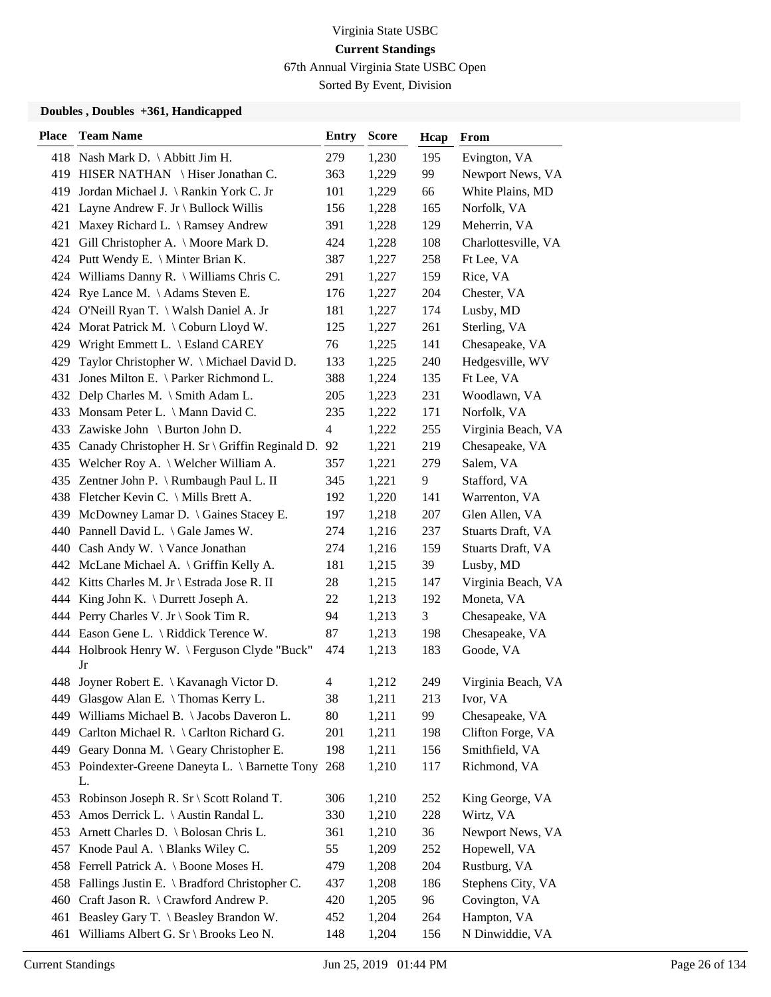67th Annual Virginia State USBC Open

Sorted By Event, Division

| <b>Place</b> | <b>Team Name</b>                                       | <b>Entry</b>   | <b>Score</b> | Hcap | From                |
|--------------|--------------------------------------------------------|----------------|--------------|------|---------------------|
|              | 418 Nash Mark D. \Abbitt Jim H.                        | 279            | 1,230        | 195  | Evington, VA        |
|              | 419 HISER NATHAN \Hiser Jonathan C.                    | 363            | 1,229        | 99   | Newport News, VA    |
|              | 419 Jordan Michael J. \ Rankin York C. Jr              | 101            | 1,229        | 66   | White Plains, MD    |
|              | 421 Layne Andrew F. Jr \ Bullock Willis                | 156            | 1,228        | 165  | Norfolk, VA         |
| 421          | Maxey Richard L. \ Ramsey Andrew                       | 391            | 1,228        | 129  | Meherrin, VA        |
| 421          | Gill Christopher A. \ Moore Mark D.                    | 424            | 1,228        | 108  | Charlottesville, VA |
|              | 424 Putt Wendy E. \ Minter Brian K.                    | 387            | 1,227        | 258  | Ft Lee, VA          |
|              | 424 Williams Danny R. \ Williams Chris C.              | 291            | 1,227        | 159  | Rice, VA            |
|              | 424 Rye Lance M. \Adams Steven E.                      | 176            | 1,227        | 204  | Chester, VA         |
|              | 424 O'Neill Ryan T. \ Walsh Daniel A. Jr               | 181            | 1,227        | 174  | Lusby, MD           |
|              | 424 Morat Patrick M. \ Coburn Lloyd W.                 | 125            | 1,227        | 261  | Sterling, VA        |
|              | 429 Wright Emmett L. \ Esland CAREY                    | 76             | 1,225        | 141  | Chesapeake, VA      |
| 429          | Taylor Christopher W. \ Michael David D.               | 133            | 1,225        | 240  | Hedgesville, WV     |
| 431          | Jones Milton E. \ Parker Richmond L.                   | 388            | 1,224        | 135  | Ft Lee, VA          |
|              | 432 Delp Charles M. \ Smith Adam L.                    | 205            | 1,223        | 231  | Woodlawn, VA        |
|              | 433 Monsam Peter L. \ Mann David C.                    | 235            | 1,222        | 171  | Norfolk, VA         |
|              | 433 Zawiske John \ Burton John D.                      | $\overline{4}$ | 1,222        | 255  | Virginia Beach, VA  |
| 435          | Canady Christopher H. Sr \ Griffin Reginald D.         | 92             | 1,221        | 219  | Chesapeake, VA      |
|              | 435 Welcher Roy A. \ Welcher William A.                | 357            | 1,221        | 279  | Salem, VA           |
|              | 435 Zentner John P. \ Rumbaugh Paul L. II              | 345            | 1,221        | 9    | Stafford, VA        |
|              | 438 Fletcher Kevin C. \ Mills Brett A.                 | 192            | 1,220        | 141  | Warrenton, VA       |
|              | 439 McDowney Lamar D. \ Gaines Stacey E.               | 197            | 1,218        | 207  | Glen Allen, VA      |
|              | 440 Pannell David L. \ Gale James W.                   | 274            | 1,216        | 237  | Stuarts Draft, VA   |
|              | 440 Cash Andy W. \ Vance Jonathan                      | 274            | 1,216        | 159  | Stuarts Draft, VA   |
|              | 442 McLane Michael A. \ Griffin Kelly A.               | 181            | 1,215        | 39   | Lusby, MD           |
|              | 442 Kitts Charles M. Jr \ Estrada Jose R. II           | 28             | 1,215        | 147  | Virginia Beach, VA  |
|              | 444 King John K. \ Durrett Joseph A.                   | 22             | 1,213        | 192  | Moneta, VA          |
|              | 444 Perry Charles V. Jr \ Sook Tim R.                  | 94             | 1,213        | 3    | Chesapeake, VA      |
|              | 444 Eason Gene L. \ Riddick Terence W.                 | 87             | 1,213        | 198  | Chesapeake, VA      |
|              | 444 Holbrook Henry W. \ Ferguson Clyde "Buck"<br>Jr    | 474            | 1,213        | 183  | Goode, VA           |
|              | 448 Joyner Robert E. \ Kavanagh Victor D.              | 4              | 1,212        | 249  | Virginia Beach, VA  |
|              | 449 Glasgow Alan E. \ Thomas Kerry L.                  | 38             | 1,211        | 213  | Ivor, VA            |
| 449          | Williams Michael B. \ Jacobs Daveron L.                | 80             | 1,211        | 99   | Chesapeake, VA      |
|              | 449 Carlton Michael R. \ Carlton Richard G.            | 201            | 1,211        | 198  | Clifton Forge, VA   |
|              | 449 Geary Donna M. \Geary Christopher E.               | 198            | 1,211        | 156  | Smithfield, VA      |
|              | 453 Poindexter-Greene Daneyta L. \ Barnette Tony<br>L. | 268            | 1,210        | 117  | Richmond, VA        |
|              | 453 Robinson Joseph R. Sr \ Scott Roland T.            | 306            | 1,210        | 252  | King George, VA     |
|              | 453 Amos Derrick L. \ Austin Randal L.                 | 330            | 1,210        | 228  | Wirtz, VA           |
|              | 453 Arnett Charles D. \ Bolosan Chris L.               | 361            | 1,210        | 36   | Newport News, VA    |
|              | 457 Knode Paul A. \ Blanks Wiley C.                    | 55             | 1,209        | 252  | Hopewell, VA        |
|              | 458 Ferrell Patrick A. \ Boone Moses H.                | 479            | 1,208        | 204  | Rustburg, VA        |
|              | 458 Fallings Justin E. \ Bradford Christopher C.       | 437            | 1,208        | 186  | Stephens City, VA   |
| 460          | Craft Jason R. \ Crawford Andrew P.                    | 420            | 1,205        | 96   | Covington, VA       |
|              | 461 Beasley Gary T. \ Beasley Brandon W.               | 452            | 1,204        | 264  | Hampton, VA         |
| 461          | Williams Albert G. Sr \ Brooks Leo N.                  | 148            | 1,204        | 156  | N Dinwiddie, VA     |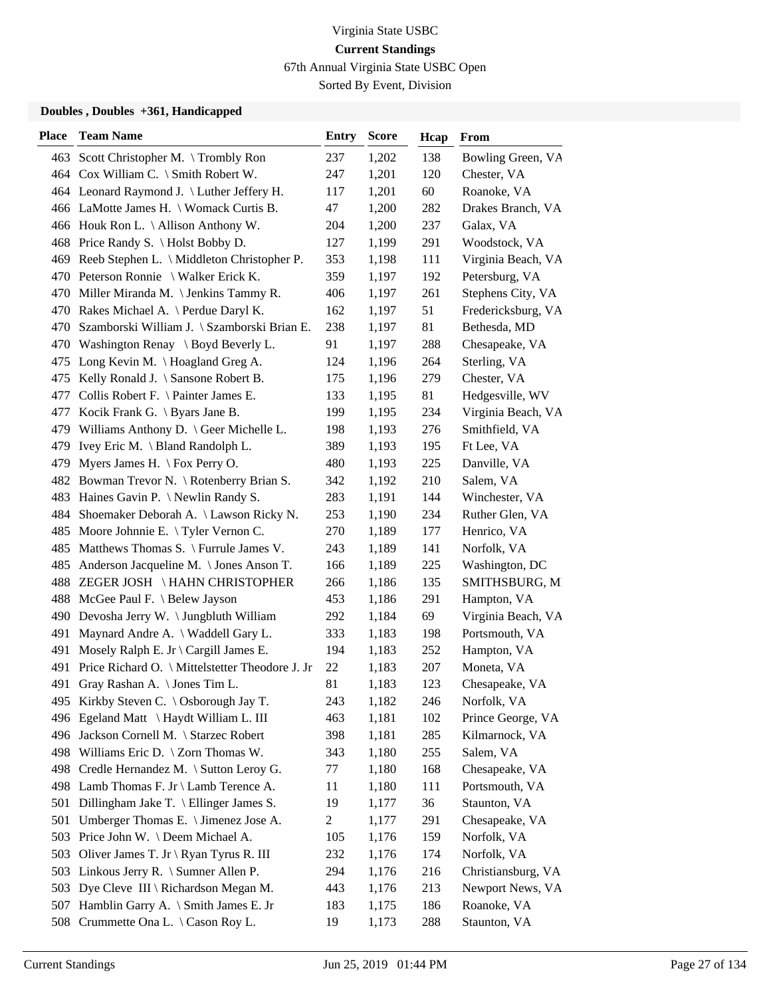67th Annual Virginia State USBC Open

Sorted By Event, Division

| <b>Place</b> | <b>Team Name</b>                                           | <b>Entry</b>   | <b>Score</b> | Hcap | From               |
|--------------|------------------------------------------------------------|----------------|--------------|------|--------------------|
|              | 463 Scott Christopher M. \Trombly Ron                      | 237            | 1,202        | 138  | Bowling Green, VA  |
|              | 464 Cox William C. \ Smith Robert W.                       | 247            | 1,201        | 120  | Chester, VA        |
|              | 464 Leonard Raymond J. \ Luther Jeffery H.                 | 117            | 1,201        | 60   | Roanoke, VA        |
|              | 466 LaMotte James H. \ Womack Curtis B.                    | 47             | 1,200        | 282  | Drakes Branch, VA  |
|              | 466 Houk Ron L. \ Allison Anthony W.                       | 204            | 1,200        | 237  | Galax, VA          |
|              | 468 Price Randy S. \Holst Bobby D.                         | 127            | 1,199        | 291  | Woodstock, VA      |
|              | 469 Reeb Stephen L. \ Middleton Christopher P.             | 353            | 1,198        | 111  | Virginia Beach, VA |
|              | 470 Peterson Ronnie \ Walker Erick K.                      | 359            | 1,197        | 192  | Petersburg, VA     |
|              | 470 Miller Miranda M. \ Jenkins Tammy R.                   | 406            | 1,197        | 261  | Stephens City, VA  |
|              | 470 Rakes Michael A. \ Perdue Daryl K.                     | 162            | 1,197        | 51   | Fredericksburg, VA |
| 470          | Szamborski William J. \ Szamborski Brian E.                | 238            | 1,197        | 81   | Bethesda, MD       |
|              | 470 Washington Renay \ Boyd Beverly L.                     | 91             | 1,197        | 288  | Chesapeake, VA     |
| 475          | Long Kevin M. $\operatorname{\backslash}$ Hoagland Greg A. | 124            | 1,196        | 264  | Sterling, VA       |
| 475          | Kelly Ronald J. \ Sansone Robert B.                        | 175            | 1,196        | 279  | Chester, VA        |
| 477          | Collis Robert F. \ Painter James E.                        | 133            | 1,195        | 81   | Hedgesville, WV    |
|              | 477 Kocik Frank G. \ Byars Jane B.                         | 199            | 1,195        | 234  | Virginia Beach, VA |
|              | 479 Williams Anthony D. \ Geer Michelle L.                 | 198            | 1,193        | 276  | Smithfield, VA     |
| 479          | Ivey Eric M. \ Bland Randolph L.                           | 389            | 1,193        | 195  | Ft Lee, VA         |
| 479          | Myers James H. $\operatorname{\backslash}$ Fox Perry O.    | 480            | 1,193        | 225  | Danville, VA       |
|              | 482 Bowman Trevor N. \ Rotenberry Brian S.                 | 342            | 1,192        | 210  | Salem, VA          |
| 483          | Haines Gavin P. $\N$ ewlin Randy S.                        | 283            | 1,191        | 144  | Winchester, VA     |
| 484          | Shoemaker Deborah A. \ Lawson Ricky N.                     | 253            | 1,190        | 234  | Ruther Glen, VA    |
| 485          | Moore Johnnie E. $\Upsilon$ Tyler Vernon C.                | 270            | 1,189        | 177  | Henrico, VA        |
|              | 485 Matthews Thomas S. \ Furrule James V.                  | 243            | 1,189        | 141  | Norfolk, VA        |
| 485          | Anderson Jacqueline M. \Jones Anson T.                     | 166            | 1,189        | 225  | Washington, DC     |
|              | 488 ZEGER JOSH \HAHN CHRISTOPHER                           | 266            | 1,186        | 135  | SMITHSBURG, M      |
|              | 488 McGee Paul F. \ Belew Jayson                           | 453            | 1,186        | 291  | Hampton, VA        |
|              | 490 Devosha Jerry W. \ Jungbluth William                   | 292            | 1,184        | 69   | Virginia Beach, VA |
| 491          | Maynard Andre A. \ Waddell Gary L.                         | 333            | 1,183        | 198  | Portsmouth, VA     |
| 491          | Mosely Ralph E. Jr $\operatorname{Cargill}$ James E.       | 194            | 1,183        | 252  | Hampton, VA        |
| 491          | Price Richard O. \ Mittelstetter Theodore J. Jr            | 22             | 1,183        | 207  | Moneta, VA         |
| 491          | Gray Rashan A. \ Jones Tim L.                              | 81             | 1,183        | 123  | Chesapeake, VA     |
|              | 495 Kirkby Steven C. \Osborough Jay T.                     | 243            | 1,182        | 246  | Norfolk, VA        |
| 496          | Egeland Matt \ Haydt William L. III                        | 463            | 1,181        | 102  | Prince George, VA  |
|              | 496 Jackson Cornell M. \ Starzec Robert                    | 398            | 1,181        | 285  | Kilmarnock, VA     |
|              | 498 Williams Eric D. \ Zorn Thomas W.                      | 343            | 1,180        | 255  | Salem, VA          |
|              | 498 Credle Hernandez M. \ Sutton Leroy G.                  | 77             | 1,180        | 168  | Chesapeake, VA     |
|              | 498 Lamb Thomas F. Jr \ Lamb Terence A.                    | 11             | 1,180        | 111  | Portsmouth, VA     |
| 501          | Dillingham Jake T. \ Ellinger James S.                     | 19             | 1,177        | 36   | Staunton, VA       |
| 501          | Umberger Thomas E. \ Jimenez Jose A.                       | $\overline{c}$ | 1,177        | 291  | Chesapeake, VA     |
| 503          | Price John W. \ Deem Michael A.                            | 105            | 1,176        | 159  | Norfolk, VA        |
| 503          | Oliver James T. Jr \ Ryan Tyrus R. III                     | 232            | 1,176        | 174  | Norfolk, VA        |
| 503          | Linkous Jerry R. $\langle$ Sumner Allen P.                 | 294            | 1,176        | 216  | Christiansburg, VA |
|              | 503 Dye Cleve III \ Richardson Megan M.                    | 443            | 1,176        | 213  | Newport News, VA   |
| 507          | Hamblin Garry A. \ Smith James E. Jr                       | 183            | 1,175        | 186  | Roanoke, VA        |
| 508          | Crummette Ona L. \ Cason Roy L.                            | 19             | 1,173        | 288  | Staunton, VA       |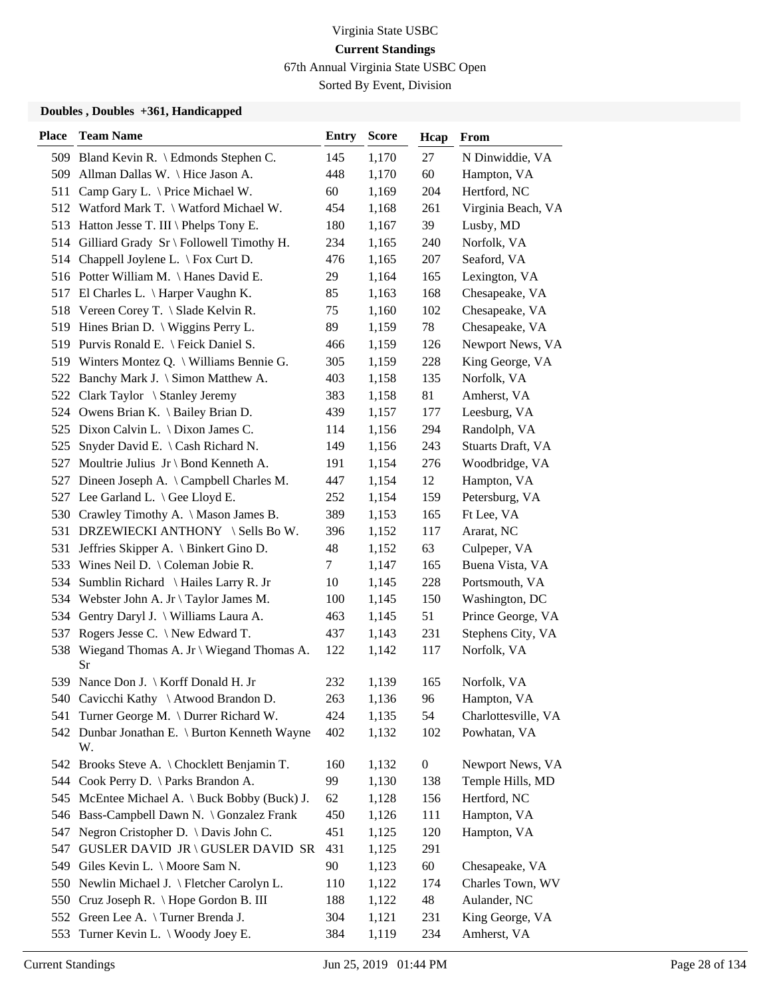67th Annual Virginia State USBC Open

Sorted By Event, Division

| <b>Place</b> | <b>Team Name</b>                                    | Entry | <b>Score</b> | Hcap             | <b>From</b>         |
|--------------|-----------------------------------------------------|-------|--------------|------------------|---------------------|
|              | 509 Bland Kevin R. \ Edmonds Stephen C.             | 145   | 1,170        | 27               | N Dinwiddie, VA     |
|              | 509 Allman Dallas W. \Hice Jason A.                 | 448   | 1,170        | 60               | Hampton, VA         |
|              | 511 Camp Gary L. \ Price Michael W.                 | 60    | 1,169        | 204              | Hertford, NC        |
|              | 512 Watford Mark T. \ Watford Michael W.            | 454   | 1,168        | 261              | Virginia Beach, VA  |
|              | 513 Hatton Jesse T. III \ Phelps Tony E.            | 180   | 1,167        | 39               | Lusby, MD           |
|              | 514 Gilliard Grady Sr \ Followell Timothy H.        | 234   | 1,165        | 240              | Norfolk, VA         |
|              | 514 Chappell Joylene L. \ Fox Curt D.               | 476   | 1,165        | 207              | Seaford, VA         |
|              | 516 Potter William M. \Hanes David E.               | 29    | 1,164        | 165              | Lexington, VA       |
|              | 517 El Charles L. \ Harper Vaughn K.                | 85    | 1,163        | 168              | Chesapeake, VA      |
|              | 518 Vereen Corey T. \ Slade Kelvin R.               | 75    | 1,160        | 102              | Chesapeake, VA      |
|              | 519 Hines Brian D. \ Wiggins Perry L.               | 89    | 1,159        | 78               | Chesapeake, VA      |
|              | 519 Purvis Ronald E. \ Feick Daniel S.              | 466   | 1,159        | 126              | Newport News, VA    |
|              | 519 Winters Montez Q. \ Williams Bennie G.          | 305   | 1,159        | 228              | King George, VA     |
|              | 522 Banchy Mark J. \ Simon Matthew A.               | 403   | 1,158        | 135              | Norfolk, VA         |
|              | 522 Clark Taylor \ Stanley Jeremy                   | 383   | 1,158        | 81               | Amherst, VA         |
|              | 524 Owens Brian K. \ Bailey Brian D.                | 439   | 1,157        | 177              | Leesburg, VA        |
|              | 525 Dixon Calvin L. \ Dixon James C.                | 114   | 1,156        | 294              | Randolph, VA        |
| 525          | Snyder David E. \ Cash Richard N.                   | 149   | 1,156        | 243              | Stuarts Draft, VA   |
| 527          | Moultrie Julius $Jr \ Bond$ Kenneth A.              | 191   | 1,154        | 276              | Woodbridge, VA      |
|              | 527 Dineen Joseph A. \ Campbell Charles M.          | 447   | 1,154        | 12               | Hampton, VA         |
|              | 527 Lee Garland L. \ Gee Lloyd E.                   | 252   | 1,154        | 159              | Petersburg, VA      |
|              | 530 Crawley Timothy A. \ Mason James B.             | 389   | 1,153        | 165              | Ft Lee, VA          |
|              | 531 DRZEWIECKI ANTHONY \ Sells Bo W.                | 396   | 1,152        | 117              | Ararat, NC          |
|              | 531 Jeffries Skipper A. \ Binkert Gino D.           | 48    | 1,152        | 63               | Culpeper, VA        |
|              | 533 Wines Neil D. \ Coleman Jobie R.                | 7     | 1,147        | 165              | Buena Vista, VA     |
|              | 534 Sumblin Richard \ Hailes Larry R. Jr            | 10    | 1,145        | 228              | Portsmouth, VA      |
|              | 534 Webster John A. Jr \ Taylor James M.            | 100   | 1,145        | 150              | Washington, DC      |
|              | 534 Gentry Daryl J. \ Williams Laura A.             | 463   | 1,145        | 51               | Prince George, VA   |
| 537          | Rogers Jesse C. $\setminus$ New Edward T.           | 437   | 1,143        | 231              | Stephens City, VA   |
| 538          | Wiegand Thomas A. Jr \ Wiegand Thomas A.<br>Sr      | 122   | 1,142        | 117              | Norfolk, VA         |
|              | 539 Nance Don J. \ Korff Donald H. Jr               | 232   | 1,139        | 165              | Norfolk, VA         |
|              | 540 Cavicchi Kathy \ Atwood Brandon D.              | 263   | 1,136        | 96               | Hampton, VA         |
| 541          | Turner George M. \ Durrer Richard W.                | 424   | 1,135        | 54               | Charlottesville, VA |
|              | 542 Dunbar Jonathan E. \ Burton Kenneth Wayne<br>W. | 402   | 1,132        | 102              | Powhatan, VA        |
|              | 542 Brooks Steve A. \ Chocklett Benjamin T.         | 160   | 1,132        | $\boldsymbol{0}$ | Newport News, VA    |
|              | 544 Cook Perry D. \ Parks Brandon A.                | 99    | 1,130        | 138              | Temple Hills, MD    |
|              | 545 McEntee Michael A. \ Buck Bobby (Buck) J.       | 62    | 1,128        | 156              | Hertford, NC        |
|              | 546 Bass-Campbell Dawn N. \ Gonzalez Frank          | 450   | 1,126        | 111              | Hampton, VA         |
| 547          | Negron Cristopher D. \ Davis John C.                | 451   | 1,125        | 120              | Hampton, VA         |
| 547          | GUSLER DAVID JR \ GUSLER DAVID SR                   | 431   | 1,125        | 291              |                     |
|              | 549 Giles Kevin L. \ Moore Sam N.                   | 90    | 1,123        | 60               | Chesapeake, VA      |
|              | 550 Newlin Michael J. \ Fletcher Carolyn L.         | 110   | 1,122        | 174              | Charles Town, WV    |
|              | 550 Cruz Joseph R. \ Hope Gordon B. III             | 188   | 1,122        | 48               | Aulander, NC        |
|              | 552 Green Lee A. \Turner Brenda J.                  | 304   | 1,121        | 231              | King George, VA     |
| 553          | Turner Kevin L. \ Woody Joey E.                     | 384   | 1,119        | 234              | Amherst, VA         |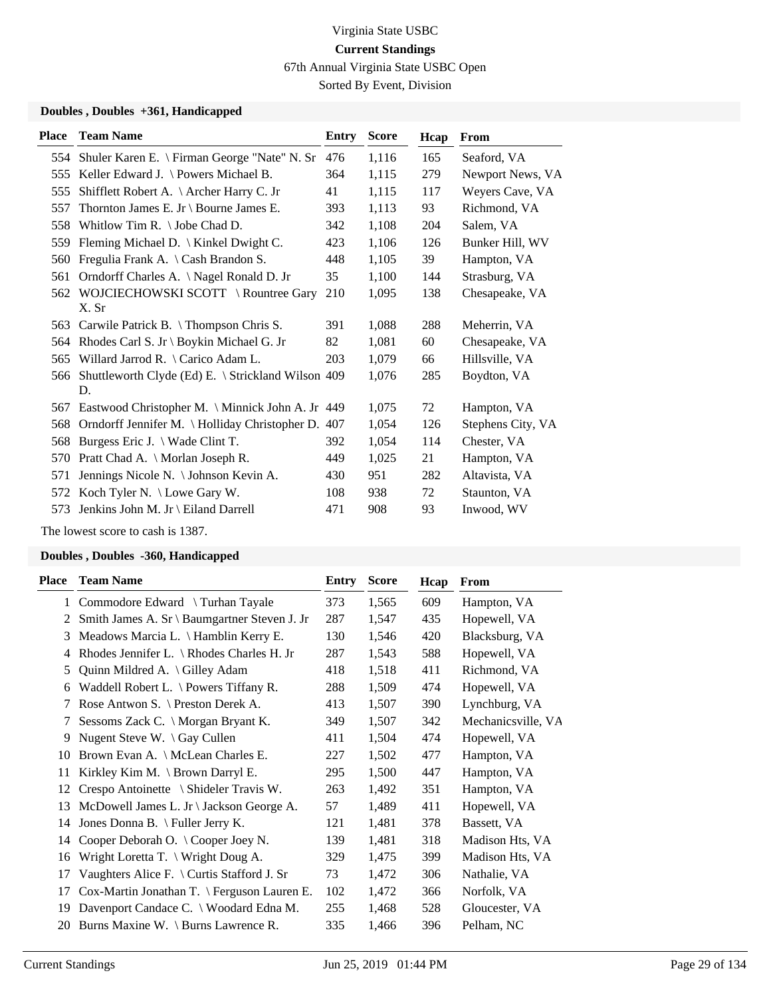67th Annual Virginia State USBC Open

Sorted By Event, Division

#### **Doubles , Doubles +361, Handicapped**

| <b>Place</b> | <b>Team Name</b>                                   | <b>Entry</b> | <b>Score</b> | Hcap | <b>From</b>       |
|--------------|----------------------------------------------------|--------------|--------------|------|-------------------|
| 554          | Shuler Karen E. \ Firman George "Nate" N. Sr       | 476          | 1,116        | 165  | Seaford, VA       |
| 555          | Keller Edward J. \ Powers Michael B.               | 364          | 1,115        | 279  | Newport News, VA  |
| 555          | Shifflett Robert A. \ Archer Harry C. Jr           | 41           | 1,115        | 117  | Weyers Cave, VA   |
| 557          | Thornton James E. Jr \ Bourne James E.             | 393          | 1,113        | 93   | Richmond, VA      |
| 558          | Whitlow Tim R. $\setminus$ Jobe Chad D.            | 342          | 1,108        | 204  | Salem, VA         |
| 559          | Fleming Michael D.   Kinkel Dwight C.              | 423          | 1,106        | 126  | Bunker Hill, WV   |
| 560          | Fregulia Frank A. $\setminus$ Cash Brandon S.      | 448          | 1,105        | 39   | Hampton, VA       |
| 561          | Orndorff Charles A. \Nagel Ronald D. Jr            | 35           | 1,100        | 144  | Strasburg, VA     |
|              | 562 WOJCIECHOWSKI SCOTT \ Rountree Gary            | 210          | 1,095        | 138  | Chesapeake, VA    |
|              | X. Sr                                              |              |              |      |                   |
| 563          | Carwile Patrick B. $\{Thompson Chris S.$           | 391          | 1,088        | 288  | Meherrin, VA      |
| 564          | Rhodes Carl S. Jr \ Boykin Michael G. Jr           | 82           | 1,081        | 60   | Chesapeake, VA    |
| 565          | Willard Jarrod R. $\setminus$ Carico Adam L.       | 203          | 1,079        | 66   | Hillsville, VA    |
| 566          | Shuttleworth Clyde (Ed) E. \ Strickland Wilson 409 |              | 1,076        | 285  | Boydton, VA       |
|              | D.                                                 |              |              |      |                   |
| 567          | Eastwood Christopher M. \ Minnick John A. Jr 449   |              | 1,075        | 72   | Hampton, VA       |
| 568          | Orndorff Jennifer M. \ Holliday Christopher D.     | 407          | 1,054        | 126  | Stephens City, VA |
| 568          | Burgess Eric J. $\setminus$ Wade Clint T.          | 392          | 1,054        | 114  | Chester, VA       |
| 570          | Pratt Chad A. \ Morlan Joseph R.                   | 449          | 1,025        | 21   | Hampton, VA       |
| 571          | Jennings Nicole N. \ Johnson Kevin A.              | 430          | 951          | 282  | Altavista, VA     |
|              | 572 Koch Tyler N. \ Lowe Gary W.                   | 108          | 938          | 72   | Staunton, VA      |
| 573          | Jenkins John M. Jr \ Eiland Darrell                | 471          | 908          | 93   | Inwood, WV        |
|              |                                                    |              |              |      |                   |

The lowest score to cash is 1387.

| Place | <b>Team Name</b>                                     | Entry | <b>Score</b> | Hcap | From               |
|-------|------------------------------------------------------|-------|--------------|------|--------------------|
|       | 1 Commodore Edward \ Turhan Tayale                   | 373   | 1,565        | 609  | Hampton, VA        |
| 2     | Smith James A. Sr \ Baumgartner Steven J. Jr         | 287   | 1,547        | 435  | Hopewell, VA       |
| 3     | Meadows Marcia L. \ Hamblin Kerry E.                 | 130   | 1,546        | 420  | Blacksburg, VA     |
| 4     | Rhodes Jennifer L. $\backslash$ Rhodes Charles H. Jr | 287   | 1,543        | 588  | Hopewell, VA       |
| 5     | Quinn Mildred A. \Gilley Adam                        | 418   | 1,518        | 411  | Richmond, VA       |
| 6     | Waddell Robert L. $\backslash$ Powers Tiffany R.     | 288   | 1,509        | 474  | Hopewell, VA       |
| 7     | Rose Antwon S. \ Preston Derek A.                    | 413   | 1,507        | 390  | Lynchburg, VA      |
| 7     | Sessoms Zack C. \ Morgan Bryant K.                   | 349   | 1,507        | 342  | Mechanicsville, VA |
| 9     | Nugent Steve W. \ Gay Cullen                         | 411   | 1,504        | 474  | Hopewell, VA       |
| 10    | Brown Evan A. \ McLean Charles E.                    | 227   | 1,502        | 477  | Hampton, VA        |
| 11    | Kirkley Kim M. \ Brown Darryl E.                     | 295   | 1,500        | 447  | Hampton, VA        |
| 12    | Crespo Antoinette \ Shideler Travis W.               | 263   | 1,492        | 351  | Hampton, VA        |
| 13    | McDowell James L. Jr \ Jackson George A.             | 57    | 1,489        | 411  | Hopewell, VA       |
| 14    | Jones Donna B. \ Fuller Jerry K.                     | 121   | 1,481        | 378  | Bassett, VA        |
| 14    | Cooper Deborah O. \Cooper Joey N.                    | 139   | 1,481        | 318  | Madison Hts, VA    |
| 16    | Wright Loretta T. \ Wright Doug A.                   | 329   | 1,475        | 399  | Madison Hts, VA    |
| 17    | Vaughters Alice F. \ Curtis Stafford J. Sr           | 73    | 1,472        | 306  | Nathalie, VA       |
| 17    | Cox-Martin Jonathan T. \ Ferguson Lauren E.          | 102   | 1,472        | 366  | Norfolk, VA        |
| 19    | Davenport Candace C. \ Woodard Edna M.               | 255   | 1,468        | 528  | Gloucester, VA     |
| 20    | Burns Maxine W. \ Burns Lawrence R.                  | 335   | 1,466        | 396  | Pelham, NC         |
|       |                                                      |       |              |      |                    |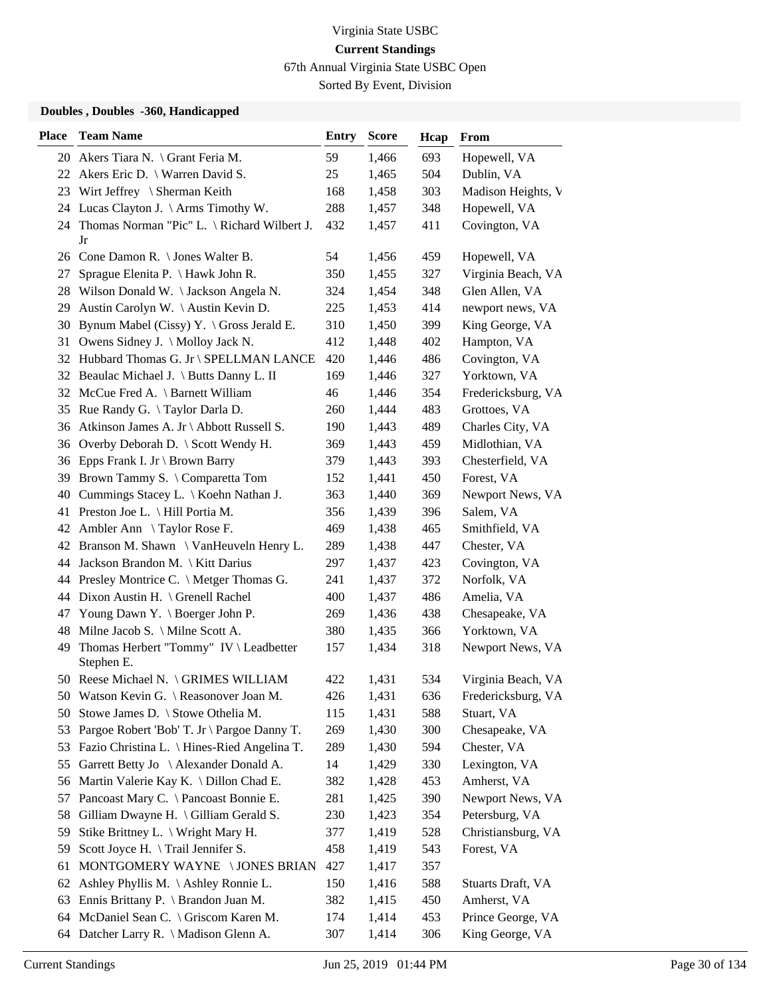67th Annual Virginia State USBC Open

Sorted By Event, Division

| <b>Place</b> | <b>Team Name</b>                                     | <b>Entry</b> | <b>Score</b> | Hcap | From               |
|--------------|------------------------------------------------------|--------------|--------------|------|--------------------|
|              | 20 Akers Tiara N. \ Grant Feria M.                   | 59           | 1,466        | 693  | Hopewell, VA       |
|              | 22 Akers Eric D. \ Warren David S.                   | 25           | 1,465        | 504  | Dublin, VA         |
| 23           | Wirt Jeffrey \ Sherman Keith                         | 168          | 1,458        | 303  | Madison Heights, V |
|              | 24 Lucas Clayton J. \ Arms Timothy W.                | 288          | 1,457        | 348  | Hopewell, VA       |
|              | 24 Thomas Norman "Pic" L. \ Richard Wilbert J.<br>Jr | 432          | 1,457        | 411  | Covington, VA      |
|              | 26 Cone Damon R. \ Jones Walter B.                   | 54           | 1,456        | 459  | Hopewell, VA       |
| 27           | Sprague Elenita P. \ Hawk John R.                    | 350          | 1,455        | 327  | Virginia Beach, VA |
|              | 28 Wilson Donald W. \Jackson Angela N.               | 324          | 1,454        | 348  | Glen Allen, VA     |
| 29           | Austin Carolyn W. \ Austin Kevin D.                  | 225          | 1,453        | 414  | newport news, VA   |
| 30           | Bynum Mabel (Cissy) Y. \ Gross Jerald E.             | 310          | 1,450        | 399  | King George, VA    |
| 31           | Owens Sidney J. \ Molloy Jack N.                     | 412          | 1,448        | 402  | Hampton, VA        |
|              | 32 Hubbard Thomas G. Jr \ SPELLMAN LANCE             | 420          | 1,446        | 486  | Covington, VA      |
|              | 32 Beaulac Michael J. \ Butts Danny L. II            | 169          | 1,446        | 327  | Yorktown, VA       |
|              | 32 McCue Fred A. \ Barnett William                   | 46           | 1,446        | 354  | Fredericksburg, VA |
| 35           | Rue Randy G. \Taylor Darla D.                        | 260          | 1,444        | 483  | Grottoes, VA       |
|              | 36 Atkinson James A. Jr \ Abbott Russell S.          | 190          | 1,443        | 489  | Charles City, VA   |
|              | 36 Overby Deborah D. \ Scott Wendy H.                | 369          | 1,443        | 459  | Midlothian, VA     |
| 36           | Epps Frank I. Jr \ Brown Barry                       | 379          | 1,443        | 393  | Chesterfield, VA   |
| 39           | Brown Tammy S. \ Comparetta Tom                      | 152          | 1,441        | 450  | Forest, VA         |
|              | 40 Cummings Stacey L. \ Koehn Nathan J.              | 363          | 1,440        | 369  | Newport News, VA   |
|              | 41 Preston Joe L. \ Hill Portia M.                   | 356          | 1,439        | 396  | Salem, VA          |
|              | 42 Ambler Ann \ Taylor Rose F.                       | 469          | 1,438        | 465  | Smithfield, VA     |
|              | 42 Branson M. Shawn \ VanHeuveln Henry L.            | 289          | 1,438        | 447  | Chester, VA        |
|              | 44 Jackson Brandon M. \ Kitt Darius                  | 297          | 1,437        | 423  | Covington, VA      |
| 44           | Presley Montrice C. \ Metger Thomas G.               | 241          | 1,437        | 372  | Norfolk, VA        |
|              | 44 Dixon Austin H. \ Grenell Rachel                  | 400          | 1,437        | 486  | Amelia, VA         |
| 47           | Young Dawn Y. \ Boerger John P.                      | 269          | 1,436        | 438  | Chesapeake, VA     |
| 48           | Milne Jacob S. \ Milne Scott A.                      | 380          | 1,435        | 366  | Yorktown, VA       |
| 49           | Thomas Herbert "Tommy" IV \ Leadbetter<br>Stephen E. | 157          | 1,434        | 318  | Newport News, VA   |
|              | 50 Reese Michael N. \ GRIMES WILLIAM                 | 422          | 1,431        | 534  | Virginia Beach, VA |
| 50           | Watson Kevin G. \ Reasonover Joan M.                 | 426          | 1,431        | 636  | Fredericksburg, VA |
| 50           | Stowe James D. \ Stowe Othelia M.                    | 115          | 1,431        | 588  | Stuart, VA         |
| 53           | Pargoe Robert 'Bob' T. Jr \ Pargoe Danny T.          | 269          | 1,430        | 300  | Chesapeake, VA     |
| 53           | Fazio Christina L. \ Hines-Ried Angelina T.          | 289          | 1,430        | 594  | Chester, VA        |
| 55           | Garrett Betty Jo \ Alexander Donald A.               | 14           | 1,429        | 330  | Lexington, VA      |
| 56           | Martin Valerie Kay K. \ Dillon Chad E.               | 382          | 1,428        | 453  | Amherst, VA        |
| 57           | Pancoast Mary C. \ Pancoast Bonnie E.                | 281          | 1,425        | 390  | Newport News, VA   |
| 58           | Gilliam Dwayne H. \ Gilliam Gerald S.                | 230          | 1,423        | 354  | Petersburg, VA     |
| 59           | Stike Brittney L. \ Wright Mary H.                   | 377          | 1,419        | 528  | Christiansburg, VA |
| 59           | Scott Joyce H. \Trail Jennifer S.                    | 458          | 1,419        | 543  | Forest, VA         |
| 61           | MONTGOMERY WAYNE \ JONES BRIAN                       | 427          | 1,417        | 357  |                    |
| 62           | Ashley Phyllis M. \Ashley Ronnie L.                  | 150          | 1,416        | 588  | Stuarts Draft, VA  |
| 63           | Ennis Brittany P. \ Brandon Juan M.                  | 382          | 1,415        | 450  | Amherst, VA        |
| 64           | McDaniel Sean C. \ Griscom Karen M.                  | 174          | 1,414        | 453  | Prince George, VA  |
|              | 64 Datcher Larry R. \ Madison Glenn A.               | 307          | 1,414        | 306  | King George, VA    |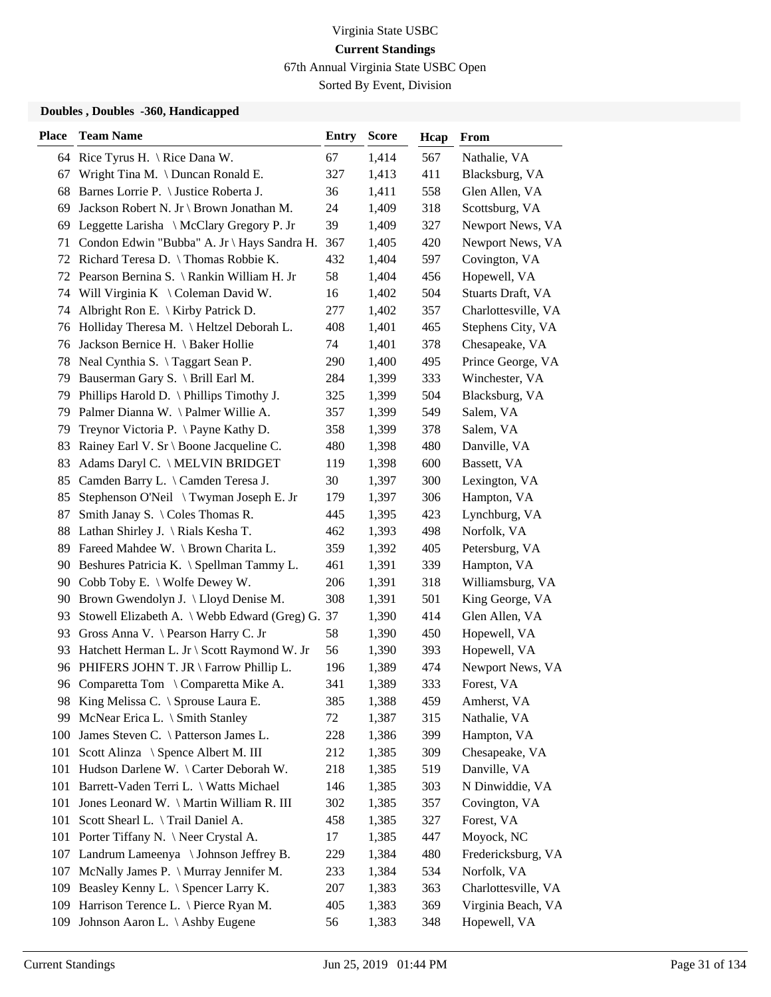67th Annual Virginia State USBC Open

Sorted By Event, Division

| <b>Place</b> | <b>Team Name</b>                                | <b>Entry</b> | <b>Score</b> | Hcap | From                |
|--------------|-------------------------------------------------|--------------|--------------|------|---------------------|
|              | 64 Rice Tyrus H. \ Rice Dana W.                 | 67           | 1,414        | 567  | Nathalie, VA        |
| 67           | Wright Tina M. \ Duncan Ronald E.               | 327          | 1,413        | 411  | Blacksburg, VA      |
| 68           | Barnes Lorrie P. \ Justice Roberta J.           | 36           | 1,411        | 558  | Glen Allen, VA      |
| 69           | Jackson Robert N. Jr \ Brown Jonathan M.        | 24           | 1,409        | 318  | Scottsburg, VA      |
| 69           | Leggette Larisha \ McClary Gregory P. Jr        | 39           | 1,409        | 327  | Newport News, VA    |
| 71           | Condon Edwin "Bubba" A. Jr \ Hays Sandra H.     | 367          | 1,405        | 420  | Newport News, VA    |
|              | 72 Richard Teresa D. \Thomas Robbie K.          | 432          | 1,404        | 597  | Covington, VA       |
|              | 72 Pearson Bernina S. \ Rankin William H. Jr    | 58           | 1,404        | 456  | Hopewell, VA        |
|              | 74 Will Virginia K \ Coleman David W.           | 16           | 1,402        | 504  | Stuarts Draft, VA   |
| 74           | Albright Ron E. $\langle$ Kirby Patrick D.      | 277          | 1,402        | 357  | Charlottesville, VA |
| 76           | Holliday Theresa M. \ Heltzel Deborah L.        | 408          | 1,401        | 465  | Stephens City, VA   |
| 76           | Jackson Bernice H. \ Baker Hollie               | 74           | 1,401        | 378  | Chesapeake, VA      |
| 78           | Neal Cynthia S. \Taggart Sean P.                | 290          | 1,400        | 495  | Prince George, VA   |
| 79           | Bauserman Gary S. \ Brill Earl M.               | 284          | 1,399        | 333  | Winchester, VA      |
| 79           | Phillips Harold D. $\Phi$ Phillips Timothy J.   | 325          | 1,399        | 504  | Blacksburg, VA      |
|              | 79 Palmer Dianna W. \Palmer Willie A.           | 357          | 1,399        | 549  | Salem, VA           |
| 79           | Treynor Victoria P. \ Payne Kathy D.            | 358          | 1,399        | 378  | Salem, VA           |
| 83           | Rainey Earl V. Sr \ Boone Jacqueline C.         | 480          | 1,398        | 480  | Danville, VA        |
| 83           | Adams Daryl C. \ MELVIN BRIDGET                 | 119          | 1,398        | 600  | Bassett, VA         |
| 85           | Camden Barry L. \ Camden Teresa J.              | 30           | 1,397        | 300  | Lexington, VA       |
| 85           | Stephenson O'Neil \ Twyman Joseph E. Jr         | 179          | 1,397        | 306  | Hampton, VA         |
| 87           | Smith Janay S. $\setminus$ Coles Thomas R.      | 445          | 1,395        | 423  | Lynchburg, VA       |
| 88           | Lathan Shirley J. \ Rials Kesha T.              | 462          | 1,393        | 498  | Norfolk, VA         |
| 89           | Fareed Mahdee W. \ Brown Charita L.             | 359          | 1,392        | 405  | Petersburg, VA      |
| 90           | Beshures Patricia K. \ Spellman Tammy L.        | 461          | 1,391        | 339  | Hampton, VA         |
| 90           | Cobb Toby E. $\setminus$ Wolfe Dewey W.         | 206          | 1,391        | 318  | Williamsburg, VA    |
| 90           | Brown Gwendolyn J. \ Lloyd Denise M.            | 308          | 1,391        | 501  | King George, VA     |
| 93           | Stowell Elizabeth A. \ Webb Edward (Greg) G. 37 |              | 1,390        | 414  | Glen Allen, VA      |
| 93           | Gross Anna V. \ Pearson Harry C. Jr             | 58           | 1,390        | 450  | Hopewell, VA        |
| 93           | Hatchett Herman L. Jr \ Scott Raymond W. Jr     | 56           | 1,390        | 393  | Hopewell, VA        |
|              | 96 PHIFERS JOHN T. JR \ Farrow Phillip L.       | 196          | 1,389        | 474  | Newport News, VA    |
|              | 96 Comparetta Tom \ Comparetta Mike A.          | 341          | 1,389        | 333  | Forest, VA          |
|              | 98 King Melissa C. \ Sprouse Laura E.           | 385          | 1,388        | 459  | Amherst, VA         |
| 99           | McNear Erica L. \ Smith Stanley                 | 72           | 1,387        | 315  | Nathalie, VA        |
| 100          | James Steven C. \ Patterson James L.            | 228          | 1,386        | 399  | Hampton, VA         |
| 101          | Scott Alinza \ Spence Albert M. III             | 212          | 1,385        | 309  | Chesapeake, VA      |
| 101          | Hudson Darlene W. \ Carter Deborah W.           | 218          | 1,385        | 519  | Danville, VA        |
| 101          | Barrett-Vaden Terri L. \ Watts Michael          | 146          | 1,385        | 303  | N Dinwiddie, VA     |
| 101          | Jones Leonard W. \ Martin William R. III        | 302          | 1,385        | 357  | Covington, VA       |
| 101          | Scott Shearl L. \Trail Daniel A.                | 458          | 1,385        | 327  | Forest, VA          |
| 101          | Porter Tiffany N. \ Neer Crystal A.             | 17           | 1,385        | 447  | Moyock, NC          |
| 107          | Landrum Lameenya \ Johnson Jeffrey B.           | 229          | 1,384        | 480  | Fredericksburg, VA  |
| 107          | McNally James P. \ Murray Jennifer M.           | 233          | 1,384        | 534  | Norfolk, VA         |
| 109          | Beasley Kenny L. \ Spencer Larry K.             | 207          | 1,383        | 363  | Charlottesville, VA |
| 109          | Harrison Terence L. \ Pierce Ryan M.            | 405          | 1,383        | 369  | Virginia Beach, VA  |
| 109          | Johnson Aaron L. \ Ashby Eugene                 | 56           | 1,383        | 348  | Hopewell, VA        |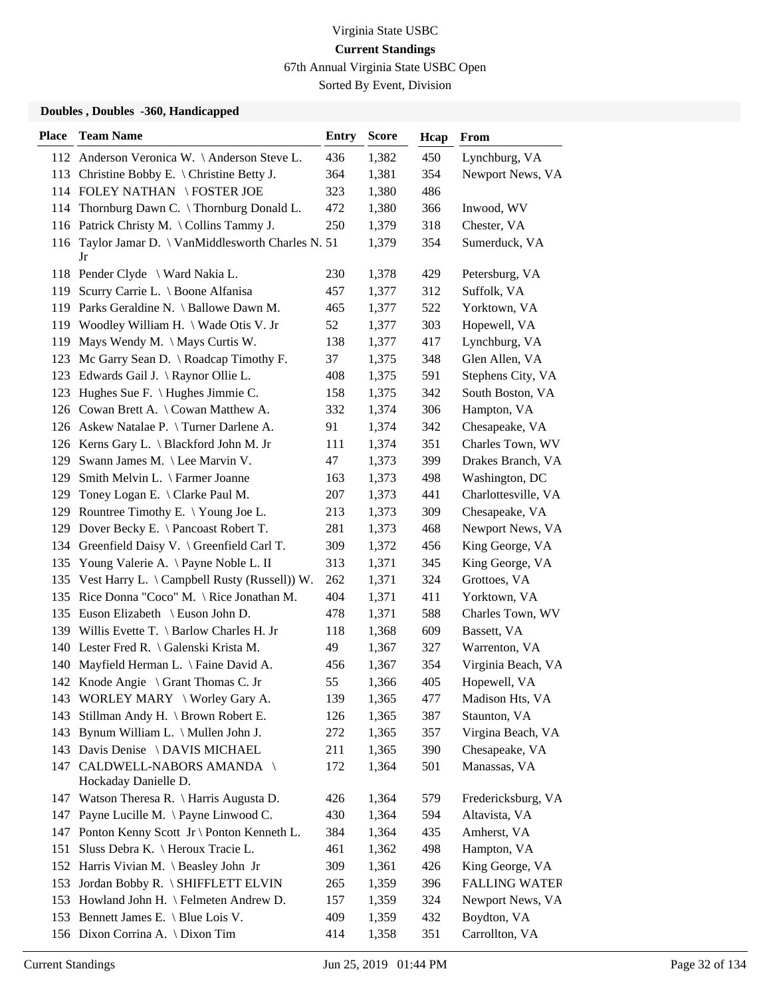67th Annual Virginia State USBC Open

Sorted By Event, Division

| <b>Place</b> | <b>Team Name</b>                                          | <b>Entry</b> | <b>Score</b> | Hcap | <b>From</b>          |
|--------------|-----------------------------------------------------------|--------------|--------------|------|----------------------|
|              | 112 Anderson Veronica W. \Anderson Steve L.               | 436          | 1,382        | 450  | Lynchburg, VA        |
|              | 113 Christine Bobby E. \ Christine Betty J.               | 364          | 1,381        | 354  | Newport News, VA     |
|              | 114 FOLEY NATHAN \FOSTER JOE                              | 323          | 1,380        | 486  |                      |
|              | 114 Thornburg Dawn C. \ Thornburg Donald L.               | 472          | 1,380        | 366  | Inwood, WV           |
|              | 116 Patrick Christy M. \ Collins Tammy J.                 | 250          | 1,379        | 318  | Chester, VA          |
|              | 116 Taylor Jamar D. \ VanMiddlesworth Charles N. 51<br>Jr |              | 1,379        | 354  | Sumerduck, VA        |
|              | 118 Pender Clyde \ Ward Nakia L.                          | 230          | 1,378        | 429  | Petersburg, VA       |
|              | 119 Scurry Carrie L. \ Boone Alfanisa                     | 457          | 1,377        | 312  | Suffolk, VA          |
|              | 119 Parks Geraldine N. \ Ballowe Dawn M.                  | 465          | 1,377        | 522  | Yorktown, VA         |
|              | 119 Woodley William H. \ Wade Otis V. Jr                  | 52           | 1,377        | 303  | Hopewell, VA         |
| 119          | Mays Wendy M. $\langle$ Mays Curtis W.                    | 138          | 1,377        | 417  | Lynchburg, VA        |
|              | 123 Mc Garry Sean D. \ Roadcap Timothy F.                 | 37           | 1,375        | 348  | Glen Allen, VA       |
|              | 123 Edwards Gail J. \ Raynor Ollie L.                     | 408          | 1,375        | 591  | Stephens City, VA    |
|              | 123 Hughes Sue F. \ Hughes Jimmie C.                      | 158          | 1,375        | 342  | South Boston, VA     |
|              | 126 Cowan Brett A. \ Cowan Matthew A.                     | 332          | 1,374        | 306  | Hampton, VA          |
|              | 126 Askew Natalae P. \Turner Darlene A.                   | 91           | 1,374        | 342  | Chesapeake, VA       |
|              | 126 Kerns Gary L. \ Blackford John M. Jr                  | 111          | 1,374        | 351  | Charles Town, WV     |
| 129          | Swann James M. \Lee Marvin V.                             | 47           | 1,373        | 399  | Drakes Branch, VA    |
| 129          | Smith Melvin L. \ Farmer Joanne                           | 163          | 1,373        | 498  | Washington, DC       |
|              | 129 Toney Logan E. \ Clarke Paul M.                       | 207          | 1,373        | 441  | Charlottesville, VA  |
|              | 129 Rountree Timothy E. \Young Joe L.                     | 213          | 1,373        | 309  | Chesapeake, VA       |
|              | 129 Dover Becky E. \ Pancoast Robert T.                   | 281          | 1,373        | 468  | Newport News, VA     |
|              | 134 Greenfield Daisy V. \ Greenfield Carl T.              | 309          | 1,372        | 456  | King George, VA      |
|              | 135 Young Valerie A. \Payne Noble L. II                   | 313          | 1,371        | 345  | King George, VA      |
|              | 135 Vest Harry L. \ Campbell Rusty (Russell)) W.          | 262          | 1,371        | 324  | Grottoes, VA         |
|              | 135 Rice Donna "Coco" M. \ Rice Jonathan M.               | 404          | 1,371        | 411  | Yorktown, VA         |
|              | 135 Euson Elizabeth \ Euson John D.                       | 478          | 1,371        | 588  | Charles Town, WV     |
|              | 139 Willis Evette T. \ Barlow Charles H. Jr               | 118          | 1,368        | 609  | Bassett, VA          |
|              | 140 Lester Fred R. \ Galenski Krista M.                   | 49           | 1,367        | 327  | Warrenton, VA        |
| 140          | Mayfield Herman L. \ Faine David A.                       | 456          | 1,367        | 354  | Virginia Beach, VA   |
|              | 142 Knode Angie \ Grant Thomas C. Jr                      | 55           | 1,366        | 405  | Hopewell, VA         |
|              | 143 WORLEY MARY \ Worley Gary A.                          | 139          | 1,365        | 477  | Madison Hts, VA      |
| 143          | Stillman Andy H. \ Brown Robert E.                        | 126          | 1,365        | 387  | Staunton, VA         |
| 143          | Bynum William L. \ Mullen John J.                         | 272          | 1,365        | 357  | Virgina Beach, VA    |
|              | 143 Davis Denise \ DAVIS MICHAEL                          | 211          | 1,365        | 390  | Chesapeake, VA       |
|              | 147 CALDWELL-NABORS AMANDA \<br>Hockaday Danielle D.      | 172          | 1,364        | 501  | Manassas, VA         |
|              | 147 Watson Theresa R. \ Harris Augusta D.                 | 426          | 1,364        | 579  | Fredericksburg, VA   |
| 147          | Payne Lucille M. \ Payne Linwood C.                       | 430          | 1,364        | 594  | Altavista, VA        |
| 147          | Ponton Kenny Scott Jr \ Ponton Kenneth L.                 | 384          | 1,364        | 435  | Amherst, VA          |
| 151          | Sluss Debra K.   Heroux Tracie L.                         | 461          | 1,362        | 498  | Hampton, VA          |
|              | 152 Harris Vivian M. \ Beasley John Jr                    | 309          | 1,361        | 426  | King George, VA      |
|              | 153 Jordan Bobby R. \ SHIFFLETT ELVIN                     | 265          | 1,359        | 396  | <b>FALLING WATER</b> |
|              | 153 Howland John H. \ Felmeten Andrew D.                  | 157          | 1,359        | 324  | Newport News, VA     |
|              | 153 Bennett James E. \ Blue Lois V.                       | 409          | 1,359        | 432  | Boydton, VA          |
|              | 156 Dixon Corrina A. \ Dixon Tim                          | 414          | 1,358        | 351  | Carrollton, VA       |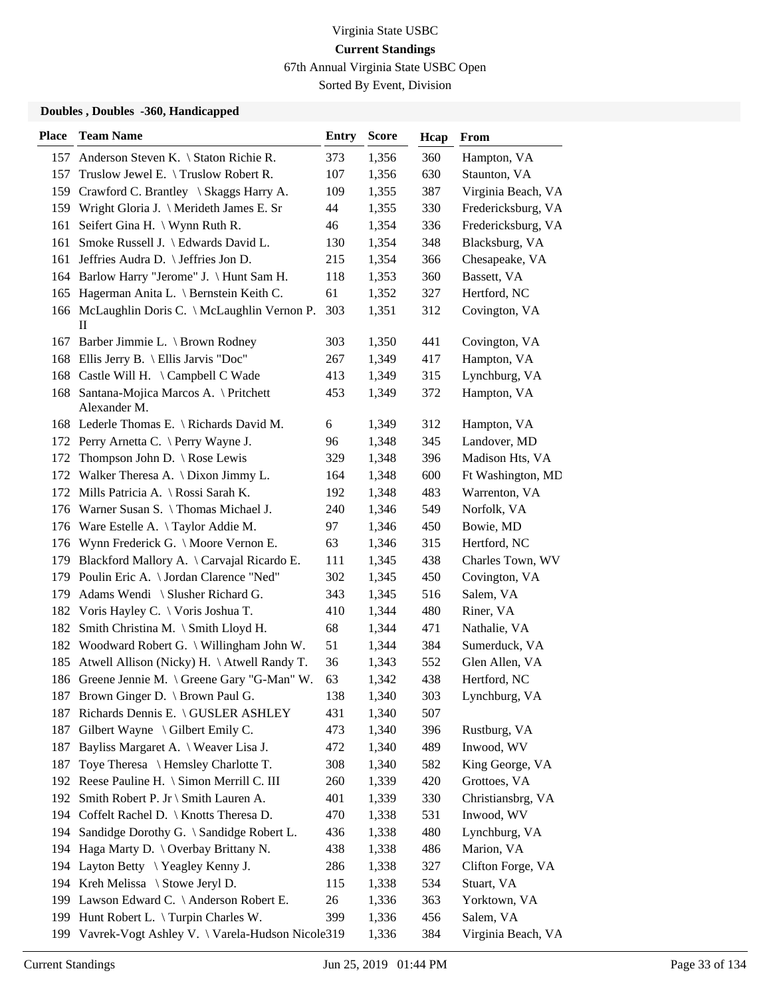67th Annual Virginia State USBC Open

Sorted By Event, Division

| <b>Place</b> | <b>Team Name</b>                                         | <b>Entry</b> | <b>Score</b> | Hcap | <b>From</b>        |
|--------------|----------------------------------------------------------|--------------|--------------|------|--------------------|
| 157          | Anderson Steven K. \ Staton Richie R.                    | 373          | 1,356        | 360  | Hampton, VA        |
| 157          | Truslow Jewel E. \Truslow Robert R.                      | 107          | 1,356        | 630  | Staunton, VA       |
|              | 159 Crawford C. Brantley \ Skaggs Harry A.               | 109          | 1,355        | 387  | Virginia Beach, VA |
|              | 159 Wright Gloria J. \ Merideth James E. Sr              | 44           | 1,355        | 330  | Fredericksburg, VA |
| 161          | Seifert Gina H. $\forall$ Wynn Ruth R.                   | 46           | 1,354        | 336  | Fredericksburg, VA |
| 161          | Smoke Russell J. \ Edwards David L.                      | 130          | 1,354        | 348  | Blacksburg, VA     |
| 161          | Jeffries Audra D. \ Jeffries Jon D.                      | 215          | 1,354        | 366  | Chesapeake, VA     |
|              | 164 Barlow Harry "Jerome" J. \ Hunt Sam H.               | 118          | 1,353        | 360  | Bassett, VA        |
|              | 165 Hagerman Anita L. \ Bernstein Keith C.               | 61           | 1,352        | 327  | Hertford, NC       |
|              | 166 McLaughlin Doris C. \ McLaughlin Vernon P.<br>П      | 303          | 1,351        | 312  | Covington, VA      |
|              | 167 Barber Jimmie L. \ Brown Rodney                      | 303          | 1,350        | 441  | Covington, VA      |
|              | 168 Ellis Jerry B. \ Ellis Jarvis "Doc"                  | 267          | 1,349        | 417  | Hampton, VA        |
|              | 168 Castle Will H. \ Campbell C Wade                     | 413          | 1,349        | 315  | Lynchburg, VA      |
|              | 168 Santana-Mojica Marcos A. \ Pritchett<br>Alexander M. | 453          | 1,349        | 372  | Hampton, VA        |
|              | 168 Lederle Thomas E. \ Richards David M.                | 6            | 1,349        | 312  | Hampton, VA        |
|              | 172 Perry Arnetta C. \ Perry Wayne J.                    | 96           | 1,348        | 345  | Landover, MD       |
|              | 172 Thompson John D. \ Rose Lewis                        | 329          | 1,348        | 396  | Madison Hts, VA    |
|              | 172 Walker Theresa A. \ Dixon Jimmy L.                   | 164          | 1,348        | 600  | Ft Washington, MD  |
|              | 172 Mills Patricia A. \ Rossi Sarah K.                   | 192          | 1,348        | 483  | Warrenton, VA      |
|              | 176 Warner Susan S. \Thomas Michael J.                   | 240          | 1,346        | 549  | Norfolk, VA        |
|              | 176 Ware Estelle A. \Taylor Addie M.                     | 97           | 1,346        | 450  | Bowie, MD          |
|              | 176 Wynn Frederick G. \ Moore Vernon E.                  | 63           | 1,346        | 315  | Hertford, NC       |
| 179          | Blackford Mallory A. \ Carvajal Ricardo E.               | 111          | 1,345        | 438  | Charles Town, WV   |
|              | 179 Poulin Eric A. \ Jordan Clarence "Ned"               | 302          | 1,345        | 450  | Covington, VA      |
| 179          | Adams Wendi \ Slusher Richard G.                         | 343          | 1,345        | 516  | Salem, VA          |
|              | 182 Voris Hayley C. \ Voris Joshua T.                    | 410          | 1,344        | 480  | Riner, VA          |
| 182          | Smith Christina M. \ Smith Lloyd H.                      | 68           | 1,344        | 471  | Nathalie, VA       |
|              | 182 Woodward Robert G. \ Willingham John W.              | 51           | 1,344        | 384  | Sumerduck, VA      |
| 185          | Atwell Allison (Nicky) H. \ Atwell Randy T.              | 36           | 1,343        | 552  | Glen Allen, VA     |
|              | 186 Greene Jennie M. \ Greene Gary "G-Man" W.            | 63           | 1,342        | 438  | Hertford, NC       |
|              | 187 Brown Ginger D. \ Brown Paul G.                      | 138          | 1,340        | 303  | Lynchburg, VA      |
|              | 187 Richards Dennis E. \GUSLER ASHLEY                    | 431          | 1,340        | 507  |                    |
| 187          | Gilbert Wayne $\setminus$ Gilbert Emily C.               | 473          | 1,340        | 396  | Rustburg, VA       |
| 187          | Bayliss Margaret A. \ Weaver Lisa J.                     | 472          | 1,340        | 489  | Inwood, WV         |
| 187          | Toye Theresa \ Hemsley Charlotte T.                      | 308          | 1,340        | 582  | King George, VA    |
|              | 192 Reese Pauline H. \ Simon Merrill C. III              | 260          | 1,339        | 420  | Grottoes, VA       |
|              | 192 Smith Robert P. Jr \ Smith Lauren A.                 | 401          | 1,339        | 330  | Christiansbrg, VA  |
|              | 194 Coffelt Rachel D. \ Knotts Theresa D.                | 470          | 1,338        | 531  | Inwood, WV         |
|              | 194 Sandidge Dorothy G. \ Sandidge Robert L.             | 436          | 1,338        | 480  | Lynchburg, VA      |
|              | 194 Haga Marty D. \ Overbay Brittany N.                  | 438          | 1,338        | 486  | Marion, VA         |
|              | 194 Layton Betty \Yeagley Kenny J.                       | 286          | 1,338        | 327  | Clifton Forge, VA  |
|              | 194 Kreh Melissa \ Stowe Jeryl D.                        | 115          | 1,338        | 534  | Stuart, VA         |
|              | 199 Lawson Edward C. \ Anderson Robert E.                | 26           | 1,336        | 363  | Yorktown, VA       |
|              | 199 Hunt Robert L. \Turpin Charles W.                    | 399          | 1,336        | 456  | Salem, VA          |
|              | 199 Vavrek-Vogt Ashley V. \ Varela-Hudson Nicole319      |              | 1,336        | 384  | Virginia Beach, VA |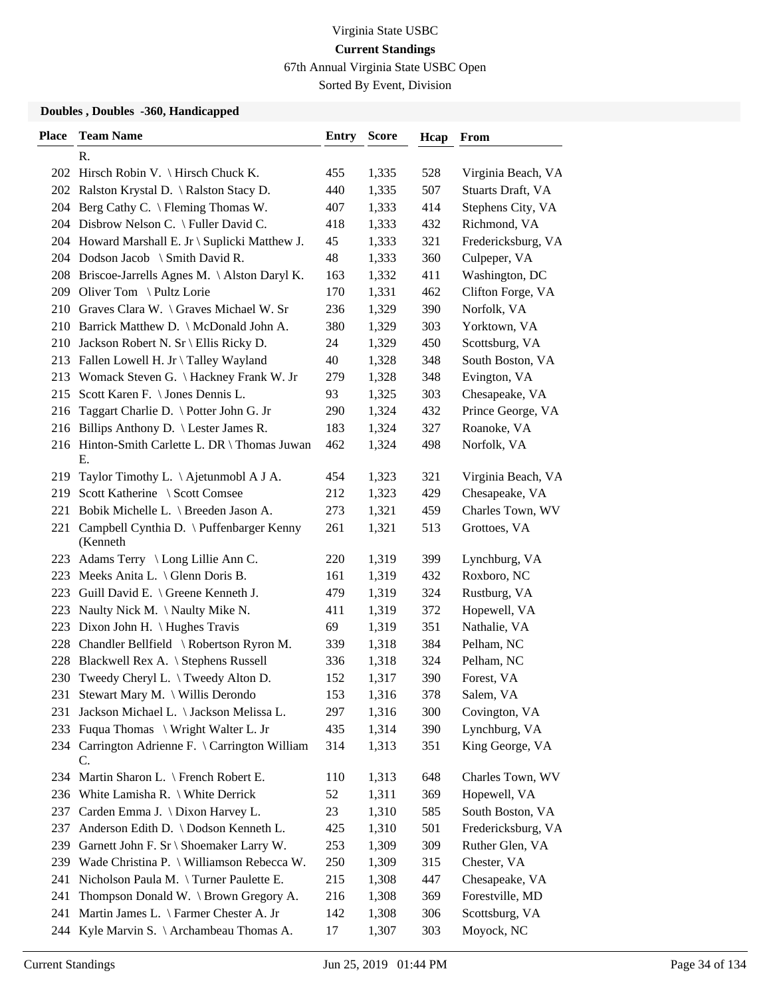67th Annual Virginia State USBC Open

Sorted By Event, Division

| <b>Place</b> | <b>Team Name</b>                                      | <b>Entry</b> | <b>Score</b> | Hcap | From               |
|--------------|-------------------------------------------------------|--------------|--------------|------|--------------------|
|              | R.                                                    |              |              |      |                    |
|              | 202 Hirsch Robin V. \ Hirsch Chuck K.                 | 455          | 1,335        | 528  | Virginia Beach, VA |
|              | 202 Ralston Krystal D. \ Ralston Stacy D.             | 440          | 1,335        | 507  | Stuarts Draft, VA  |
|              | 204 Berg Cathy C. \ Fleming Thomas W.                 | 407          | 1,333        | 414  | Stephens City, VA  |
|              | 204 Disbrow Nelson C. \ Fuller David C.               | 418          | 1,333        | 432  | Richmond, VA       |
|              | 204 Howard Marshall E. Jr \ Suplicki Matthew J.       | 45           | 1,333        | 321  | Fredericksburg, VA |
|              | 204 Dodson Jacob \ Smith David R.                     | 48           | 1,333        | 360  | Culpeper, VA       |
|              | 208 Briscoe-Jarrells Agnes M. \Alston Daryl K.        | 163          | 1,332        | 411  | Washington, DC     |
|              | 209 Oliver Tom \Pultz Lorie                           | 170          | 1,331        | 462  | Clifton Forge, VA  |
|              | 210 Graves Clara W. \ Graves Michael W. Sr            | 236          | 1,329        | 390  | Norfolk, VA        |
|              | 210 Barrick Matthew D. \ McDonald John A.             | 380          | 1,329        | 303  | Yorktown, VA       |
| 210          | Jackson Robert N. Sr \ Ellis Ricky D.                 | 24           | 1,329        | 450  | Scottsburg, VA     |
|              | 213 Fallen Lowell H. Jr \ Talley Wayland              | 40           | 1,328        | 348  | South Boston, VA   |
| 213          | Womack Steven G. \ Hackney Frank W. Jr                | 279          | 1,328        | 348  | Evington, VA       |
|              | 215 Scott Karen F. \ Jones Dennis L.                  | 93           | 1,325        | 303  | Chesapeake, VA     |
|              | 216 Taggart Charlie D. \ Potter John G. Jr            | 290          | 1,324        | 432  | Prince George, VA  |
|              | 216 Billips Anthony D. \ Lester James R.              | 183          | 1,324        | 327  | Roanoke, VA        |
|              | 216 Hinton-Smith Carlette L. DR \ Thomas Juwan<br>Е.  | 462          | 1,324        | 498  | Norfolk, VA        |
|              | 219 Taylor Timothy L. \Ajetunmobl A J A.              | 454          | 1,323        | 321  | Virginia Beach, VA |
|              | 219 Scott Katherine \ Scott Comsee                    | 212          | 1,323        | 429  | Chesapeake, VA     |
| 221          | Bobik Michelle L. \ Breeden Jason A.                  | 273          | 1,321        | 459  | Charles Town, WV   |
| 221          | Campbell Cynthia D. \ Puffenbarger Kenny<br>(Kenneth  | 261          | 1,321        | 513  | Grottoes, VA       |
|              | 223 Adams Terry \ Long Lillie Ann C.                  | 220          | 1,319        | 399  | Lynchburg, VA      |
|              | 223 Meeks Anita L. \ Glenn Doris B.                   | 161          | 1,319        | 432  | Roxboro, NC        |
|              | 223 Guill David E. \ Greene Kenneth J.                | 479          | 1,319        | 324  | Rustburg, VA       |
| 223          | Naulty Nick M. $\setminus$ Naulty Mike N.             | 411          | 1,319        | 372  | Hopewell, VA       |
|              | 223 Dixon John H. \ Hughes Travis                     | 69           | 1,319        | 351  | Nathalie, VA       |
|              | 228 Chandler Bellfield \ Robertson Ryron M.           | 339          | 1,318        | 384  | Pelham, NC         |
| 228          | Blackwell Rex A. \ Stephens Russell                   | 336          | 1,318        | 324  | Pelham, NC         |
|              | 230 Tweedy Cheryl L. \Tweedy Alton D.                 | 152          | 1,317        | 390  | Forest, VA         |
|              | 231 Stewart Mary M. \ Willis Derondo                  | 153          | 1,316        | 378  | Salem, VA          |
| 231          | Jackson Michael L. \ Jackson Melissa L.               | 297          | 1,316        | 300  | Covington, VA      |
|              | 233 Fuqua Thomas \ Wright Walter L. Jr                | 435          | 1,314        | 390  | Lynchburg, VA      |
|              | 234 Carrington Adrienne F. \ Carrington William<br>C. | 314          | 1,313        | 351  | King George, VA    |
|              | 234 Martin Sharon L. \ French Robert E.               | 110          | 1,313        | 648  | Charles Town, WV   |
|              | 236 White Lamisha R. \ White Derrick                  | 52           | 1,311        | 369  | Hopewell, VA       |
|              | 237 Carden Emma J. \ Dixon Harvey L.                  | 23           | 1,310        | 585  | South Boston, VA   |
| 237          | Anderson Edith D. \ Dodson Kenneth L.                 | 425          | 1,310        | 501  | Fredericksburg, VA |
| 239          | Garnett John F. Sr \ Shoemaker Larry W.               | 253          | 1,309        | 309  | Ruther Glen, VA    |
|              | 239 Wade Christina P. \ Williamson Rebecca W.         | 250          | 1,309        | 315  | Chester, VA        |
| 241          | Nicholson Paula M. \Turner Paulette E.                | 215          | 1,308        | 447  | Chesapeake, VA     |
| 241          | Thompson Donald W. \ Brown Gregory A.                 | 216          | 1,308        | 369  | Forestville, MD    |
| 241          | Martin James L. \ Farmer Chester A. Jr                | 142          | 1,308        | 306  | Scottsburg, VA     |
|              | 244 Kyle Marvin S. \ Archambeau Thomas A.             | 17           | 1,307        | 303  | Moyock, NC         |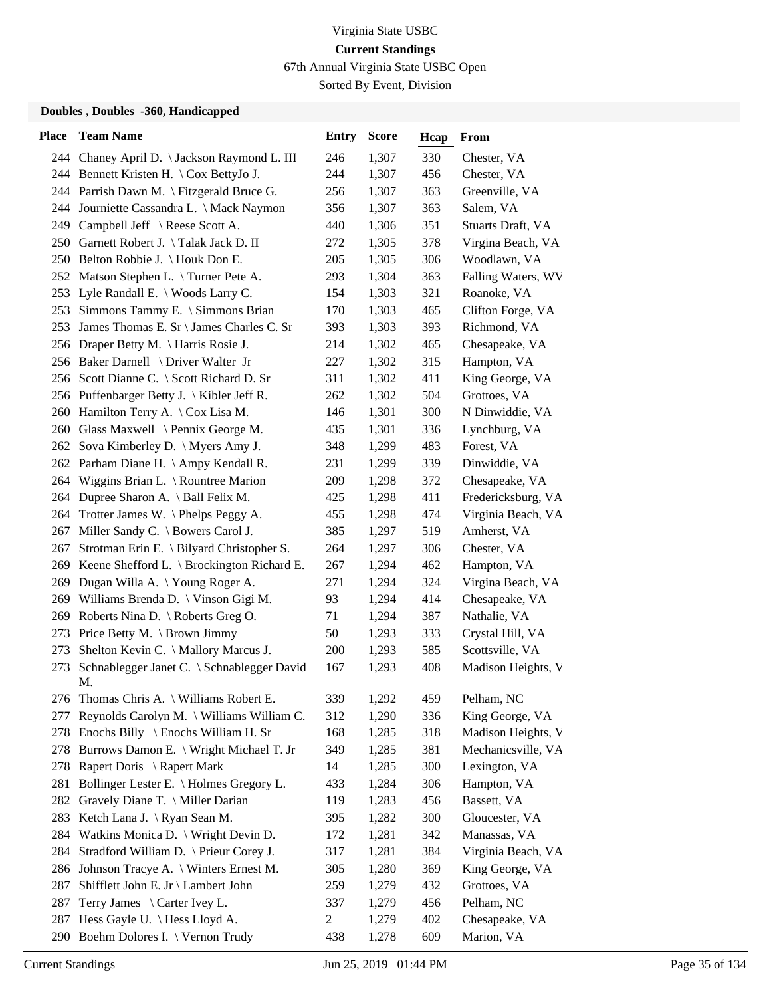67th Annual Virginia State USBC Open

Sorted By Event, Division

| 244 Chaney April D. \ Jackson Raymond L. III<br>246<br>1,307<br>330<br>Chester, VA<br>1,307<br>456<br>244 Bennett Kristen H. \ Cox BettyJo J.<br>244<br>Chester, VA<br>244 Parrish Dawn M. \ Fitzgerald Bruce G.<br>256<br>1,307<br>363<br>Greenville, VA<br>244 Journiette Cassandra L. \ Mack Naymon<br>356<br>1,307<br>363<br>Salem, VA<br>1,306<br>249 Campbell Jeff \ Reese Scott A.<br>440<br>351<br>Stuarts Draft, VA<br>250 Garnett Robert J. \Talak Jack D. II<br>272<br>1,305<br>378<br>Virgina Beach, VA<br>1,305<br>306<br>250 Belton Robbie J. \Houk Don E.<br>205<br>Woodlawn, VA<br>1,304<br>252 Matson Stephen L. \Turner Pete A.<br>293<br>363<br>Falling Waters, WV<br>1,303<br>253 Lyle Randall E. \ Woods Larry C.<br>154<br>321<br>Roanoke, VA<br>253 Simmons Tammy E. \ Simmons Brian<br>170<br>1,303<br>465<br>Clifton Forge, VA<br>393<br>1,303<br>393<br>Richmond, VA<br>James Thomas E. Sr \ James Charles C. Sr<br>253<br>1,302<br>256 Draper Betty M. \ Harris Rosie J.<br>214<br>465<br>Chesapeake, VA<br>1,302<br>Hampton, VA<br>256 Baker Darnell \ Driver Walter Jr<br>227<br>315<br>King George, VA<br>256 Scott Dianne C. \ Scott Richard D. Sr<br>311<br>1,302<br>411<br>262<br>1,302<br>504<br>256 Puffenbarger Betty J. \ Kibler Jeff R.<br>Grottoes, VA<br>260 Hamilton Terry A. \ Cox Lisa M.<br>146<br>1,301<br>300<br>N Dinwiddie, VA<br>1,301<br>260 Glass Maxwell \ Pennix George M.<br>435<br>336<br>Lynchburg, VA<br>262 Sova Kimberley D. \ Myers Amy J.<br>348<br>1,299<br>483<br>Forest, VA<br>231<br>1,299<br>262 Parham Diane H. \Ampy Kendall R.<br>339<br>Dinwiddie, VA<br>1,298<br>Chesapeake, VA<br>264 Wiggins Brian L. \ Rountree Marion<br>209<br>372<br>1,298<br>411<br>Fredericksburg, VA<br>Dupree Sharon A. \ Ball Felix M.<br>425<br>264<br>Trotter James W. $\Phi$ Phelps Peggy A.<br>455<br>1,298<br>474<br>Virginia Beach, VA<br>264<br>1,297<br>Amherst, VA<br>267 Miller Sandy C. \ Bowers Carol J.<br>385<br>519<br>1,297<br>267 Strotman Erin E. \ Bilyard Christopher S.<br>264<br>306<br>Chester, VA<br>1,294<br>Keene Shefford L. $\setminus$ Brockington Richard E.<br>267<br>462<br>Hampton, VA<br>269<br>Dugan Willa A. \Young Roger A.<br>271<br>1,294<br>324<br>Virgina Beach, VA<br>269<br>93<br>1,294<br>414<br>Williams Brenda D. \ Vinson Gigi M.<br>Chesapeake, VA<br>269<br>1,294<br>Roberts Nina D. $\backslash$ Roberts Greg O.<br>71<br>387<br>Nathalie, VA<br>269<br>1,293<br>Price Betty M. $\operatorname{\backslash}$ Brown Jimmy<br>50<br>333<br>Crystal Hill, VA<br>273<br>Shelton Kevin C. \ Mallory Marcus J.<br>200<br>1,293<br>585<br>Scottsville, VA<br>273<br>Schnablegger Janet C. \ Schnablegger David<br>408<br>167<br>1,293<br>Madison Heights, V<br>273<br>M.<br>276 Thomas Chris A. \ Williams Robert E.<br>339<br>1,292<br>459<br>Pelham, NC<br>Reynolds Carolyn M. \ Williams William C.<br>1,290<br>312<br>336<br>King George, VA<br>277<br>Enochs Billy $\langle$ Enochs William H. Sr<br>168<br>1,285<br>318<br>Madison Heights, V<br>278<br>Burrows Damon E. \ Wright Michael T. Jr<br>349<br>381<br>Mechanicsville, VA<br>278<br>1,285<br>Rapert Doris \ Rapert Mark<br>1,285<br>300<br>Lexington, VA<br>14<br>278<br>Bollinger Lester E. \ Holmes Gregory L.<br>433<br>1,284<br>306<br>Hampton, VA<br>281<br>Gravely Diane T. \ Miller Darian<br>119<br>456<br>Bassett, VA<br>282<br>1,283<br>Ketch Lana J. \ Ryan Sean M.<br>395<br>1,282<br>300<br>Gloucester, VA<br>283<br>Watkins Monica D. $\forall$ Wright Devin D.<br>1,281<br>342<br>Manassas, VA<br>284<br>172<br>284<br>Stradford William D. \ Prieur Corey J.<br>317<br>1,281<br>384<br>Virginia Beach, VA<br>Johnson Tracye A. \ Winters Ernest M.<br>305<br>1,280<br>369<br>King George, VA<br>286<br>287<br>Shifflett John E. Jr \ Lambert John<br>259<br>1,279<br>432<br>Grottoes, VA<br>Terry James \ Carter Ivey L.<br>1,279<br>456<br>Pelham, NC<br>287<br>337<br>Hess Gayle U. \ Hess Lloyd A.<br>$\overline{c}$<br>1,279<br>402<br>Chesapeake, VA<br>287<br>290 | <b>Place</b> | <b>Team Name</b>                | <b>Entry</b> | <b>Score</b> | Hcap | From       |
|-----------------------------------------------------------------------------------------------------------------------------------------------------------------------------------------------------------------------------------------------------------------------------------------------------------------------------------------------------------------------------------------------------------------------------------------------------------------------------------------------------------------------------------------------------------------------------------------------------------------------------------------------------------------------------------------------------------------------------------------------------------------------------------------------------------------------------------------------------------------------------------------------------------------------------------------------------------------------------------------------------------------------------------------------------------------------------------------------------------------------------------------------------------------------------------------------------------------------------------------------------------------------------------------------------------------------------------------------------------------------------------------------------------------------------------------------------------------------------------------------------------------------------------------------------------------------------------------------------------------------------------------------------------------------------------------------------------------------------------------------------------------------------------------------------------------------------------------------------------------------------------------------------------------------------------------------------------------------------------------------------------------------------------------------------------------------------------------------------------------------------------------------------------------------------------------------------------------------------------------------------------------------------------------------------------------------------------------------------------------------------------------------------------------------------------------------------------------------------------------------------------------------------------------------------------------------------------------------------------------------------------------------------------------------------------------------------------------------------------------------------------------------------------------------------------------------------------------------------------------------------------------------------------------------------------------------------------------------------------------------------------------------------------------------------------------------------------------------------------------------------------------------------------------------------------------------------------------------------------------------------------------------------------------------------------------------------------------------------------------------------------------------------------------------------------------------------------------------------------------------------------------------------------------------------------------------------------------------------------------------------------------------------------------------------------------------------------------------------------------------------------------------------------------------------------------------------------------------------------------------------------------------------------------------------------------------------------------------------------------------------------------------------------------------------|--------------|---------------------------------|--------------|--------------|------|------------|
|                                                                                                                                                                                                                                                                                                                                                                                                                                                                                                                                                                                                                                                                                                                                                                                                                                                                                                                                                                                                                                                                                                                                                                                                                                                                                                                                                                                                                                                                                                                                                                                                                                                                                                                                                                                                                                                                                                                                                                                                                                                                                                                                                                                                                                                                                                                                                                                                                                                                                                                                                                                                                                                                                                                                                                                                                                                                                                                                                                                                                                                                                                                                                                                                                                                                                                                                                                                                                                                                                                                                                                                                                                                                                                                                                                                                                                                                                                                                                                                                                                                     |              |                                 |              |              |      |            |
|                                                                                                                                                                                                                                                                                                                                                                                                                                                                                                                                                                                                                                                                                                                                                                                                                                                                                                                                                                                                                                                                                                                                                                                                                                                                                                                                                                                                                                                                                                                                                                                                                                                                                                                                                                                                                                                                                                                                                                                                                                                                                                                                                                                                                                                                                                                                                                                                                                                                                                                                                                                                                                                                                                                                                                                                                                                                                                                                                                                                                                                                                                                                                                                                                                                                                                                                                                                                                                                                                                                                                                                                                                                                                                                                                                                                                                                                                                                                                                                                                                                     |              |                                 |              |              |      |            |
|                                                                                                                                                                                                                                                                                                                                                                                                                                                                                                                                                                                                                                                                                                                                                                                                                                                                                                                                                                                                                                                                                                                                                                                                                                                                                                                                                                                                                                                                                                                                                                                                                                                                                                                                                                                                                                                                                                                                                                                                                                                                                                                                                                                                                                                                                                                                                                                                                                                                                                                                                                                                                                                                                                                                                                                                                                                                                                                                                                                                                                                                                                                                                                                                                                                                                                                                                                                                                                                                                                                                                                                                                                                                                                                                                                                                                                                                                                                                                                                                                                                     |              |                                 |              |              |      |            |
|                                                                                                                                                                                                                                                                                                                                                                                                                                                                                                                                                                                                                                                                                                                                                                                                                                                                                                                                                                                                                                                                                                                                                                                                                                                                                                                                                                                                                                                                                                                                                                                                                                                                                                                                                                                                                                                                                                                                                                                                                                                                                                                                                                                                                                                                                                                                                                                                                                                                                                                                                                                                                                                                                                                                                                                                                                                                                                                                                                                                                                                                                                                                                                                                                                                                                                                                                                                                                                                                                                                                                                                                                                                                                                                                                                                                                                                                                                                                                                                                                                                     |              |                                 |              |              |      |            |
|                                                                                                                                                                                                                                                                                                                                                                                                                                                                                                                                                                                                                                                                                                                                                                                                                                                                                                                                                                                                                                                                                                                                                                                                                                                                                                                                                                                                                                                                                                                                                                                                                                                                                                                                                                                                                                                                                                                                                                                                                                                                                                                                                                                                                                                                                                                                                                                                                                                                                                                                                                                                                                                                                                                                                                                                                                                                                                                                                                                                                                                                                                                                                                                                                                                                                                                                                                                                                                                                                                                                                                                                                                                                                                                                                                                                                                                                                                                                                                                                                                                     |              |                                 |              |              |      |            |
|                                                                                                                                                                                                                                                                                                                                                                                                                                                                                                                                                                                                                                                                                                                                                                                                                                                                                                                                                                                                                                                                                                                                                                                                                                                                                                                                                                                                                                                                                                                                                                                                                                                                                                                                                                                                                                                                                                                                                                                                                                                                                                                                                                                                                                                                                                                                                                                                                                                                                                                                                                                                                                                                                                                                                                                                                                                                                                                                                                                                                                                                                                                                                                                                                                                                                                                                                                                                                                                                                                                                                                                                                                                                                                                                                                                                                                                                                                                                                                                                                                                     |              |                                 |              |              |      |            |
|                                                                                                                                                                                                                                                                                                                                                                                                                                                                                                                                                                                                                                                                                                                                                                                                                                                                                                                                                                                                                                                                                                                                                                                                                                                                                                                                                                                                                                                                                                                                                                                                                                                                                                                                                                                                                                                                                                                                                                                                                                                                                                                                                                                                                                                                                                                                                                                                                                                                                                                                                                                                                                                                                                                                                                                                                                                                                                                                                                                                                                                                                                                                                                                                                                                                                                                                                                                                                                                                                                                                                                                                                                                                                                                                                                                                                                                                                                                                                                                                                                                     |              |                                 |              |              |      |            |
|                                                                                                                                                                                                                                                                                                                                                                                                                                                                                                                                                                                                                                                                                                                                                                                                                                                                                                                                                                                                                                                                                                                                                                                                                                                                                                                                                                                                                                                                                                                                                                                                                                                                                                                                                                                                                                                                                                                                                                                                                                                                                                                                                                                                                                                                                                                                                                                                                                                                                                                                                                                                                                                                                                                                                                                                                                                                                                                                                                                                                                                                                                                                                                                                                                                                                                                                                                                                                                                                                                                                                                                                                                                                                                                                                                                                                                                                                                                                                                                                                                                     |              |                                 |              |              |      |            |
|                                                                                                                                                                                                                                                                                                                                                                                                                                                                                                                                                                                                                                                                                                                                                                                                                                                                                                                                                                                                                                                                                                                                                                                                                                                                                                                                                                                                                                                                                                                                                                                                                                                                                                                                                                                                                                                                                                                                                                                                                                                                                                                                                                                                                                                                                                                                                                                                                                                                                                                                                                                                                                                                                                                                                                                                                                                                                                                                                                                                                                                                                                                                                                                                                                                                                                                                                                                                                                                                                                                                                                                                                                                                                                                                                                                                                                                                                                                                                                                                                                                     |              |                                 |              |              |      |            |
|                                                                                                                                                                                                                                                                                                                                                                                                                                                                                                                                                                                                                                                                                                                                                                                                                                                                                                                                                                                                                                                                                                                                                                                                                                                                                                                                                                                                                                                                                                                                                                                                                                                                                                                                                                                                                                                                                                                                                                                                                                                                                                                                                                                                                                                                                                                                                                                                                                                                                                                                                                                                                                                                                                                                                                                                                                                                                                                                                                                                                                                                                                                                                                                                                                                                                                                                                                                                                                                                                                                                                                                                                                                                                                                                                                                                                                                                                                                                                                                                                                                     |              |                                 |              |              |      |            |
|                                                                                                                                                                                                                                                                                                                                                                                                                                                                                                                                                                                                                                                                                                                                                                                                                                                                                                                                                                                                                                                                                                                                                                                                                                                                                                                                                                                                                                                                                                                                                                                                                                                                                                                                                                                                                                                                                                                                                                                                                                                                                                                                                                                                                                                                                                                                                                                                                                                                                                                                                                                                                                                                                                                                                                                                                                                                                                                                                                                                                                                                                                                                                                                                                                                                                                                                                                                                                                                                                                                                                                                                                                                                                                                                                                                                                                                                                                                                                                                                                                                     |              |                                 |              |              |      |            |
|                                                                                                                                                                                                                                                                                                                                                                                                                                                                                                                                                                                                                                                                                                                                                                                                                                                                                                                                                                                                                                                                                                                                                                                                                                                                                                                                                                                                                                                                                                                                                                                                                                                                                                                                                                                                                                                                                                                                                                                                                                                                                                                                                                                                                                                                                                                                                                                                                                                                                                                                                                                                                                                                                                                                                                                                                                                                                                                                                                                                                                                                                                                                                                                                                                                                                                                                                                                                                                                                                                                                                                                                                                                                                                                                                                                                                                                                                                                                                                                                                                                     |              |                                 |              |              |      |            |
|                                                                                                                                                                                                                                                                                                                                                                                                                                                                                                                                                                                                                                                                                                                                                                                                                                                                                                                                                                                                                                                                                                                                                                                                                                                                                                                                                                                                                                                                                                                                                                                                                                                                                                                                                                                                                                                                                                                                                                                                                                                                                                                                                                                                                                                                                                                                                                                                                                                                                                                                                                                                                                                                                                                                                                                                                                                                                                                                                                                                                                                                                                                                                                                                                                                                                                                                                                                                                                                                                                                                                                                                                                                                                                                                                                                                                                                                                                                                                                                                                                                     |              |                                 |              |              |      |            |
|                                                                                                                                                                                                                                                                                                                                                                                                                                                                                                                                                                                                                                                                                                                                                                                                                                                                                                                                                                                                                                                                                                                                                                                                                                                                                                                                                                                                                                                                                                                                                                                                                                                                                                                                                                                                                                                                                                                                                                                                                                                                                                                                                                                                                                                                                                                                                                                                                                                                                                                                                                                                                                                                                                                                                                                                                                                                                                                                                                                                                                                                                                                                                                                                                                                                                                                                                                                                                                                                                                                                                                                                                                                                                                                                                                                                                                                                                                                                                                                                                                                     |              |                                 |              |              |      |            |
|                                                                                                                                                                                                                                                                                                                                                                                                                                                                                                                                                                                                                                                                                                                                                                                                                                                                                                                                                                                                                                                                                                                                                                                                                                                                                                                                                                                                                                                                                                                                                                                                                                                                                                                                                                                                                                                                                                                                                                                                                                                                                                                                                                                                                                                                                                                                                                                                                                                                                                                                                                                                                                                                                                                                                                                                                                                                                                                                                                                                                                                                                                                                                                                                                                                                                                                                                                                                                                                                                                                                                                                                                                                                                                                                                                                                                                                                                                                                                                                                                                                     |              |                                 |              |              |      |            |
|                                                                                                                                                                                                                                                                                                                                                                                                                                                                                                                                                                                                                                                                                                                                                                                                                                                                                                                                                                                                                                                                                                                                                                                                                                                                                                                                                                                                                                                                                                                                                                                                                                                                                                                                                                                                                                                                                                                                                                                                                                                                                                                                                                                                                                                                                                                                                                                                                                                                                                                                                                                                                                                                                                                                                                                                                                                                                                                                                                                                                                                                                                                                                                                                                                                                                                                                                                                                                                                                                                                                                                                                                                                                                                                                                                                                                                                                                                                                                                                                                                                     |              |                                 |              |              |      |            |
|                                                                                                                                                                                                                                                                                                                                                                                                                                                                                                                                                                                                                                                                                                                                                                                                                                                                                                                                                                                                                                                                                                                                                                                                                                                                                                                                                                                                                                                                                                                                                                                                                                                                                                                                                                                                                                                                                                                                                                                                                                                                                                                                                                                                                                                                                                                                                                                                                                                                                                                                                                                                                                                                                                                                                                                                                                                                                                                                                                                                                                                                                                                                                                                                                                                                                                                                                                                                                                                                                                                                                                                                                                                                                                                                                                                                                                                                                                                                                                                                                                                     |              |                                 |              |              |      |            |
|                                                                                                                                                                                                                                                                                                                                                                                                                                                                                                                                                                                                                                                                                                                                                                                                                                                                                                                                                                                                                                                                                                                                                                                                                                                                                                                                                                                                                                                                                                                                                                                                                                                                                                                                                                                                                                                                                                                                                                                                                                                                                                                                                                                                                                                                                                                                                                                                                                                                                                                                                                                                                                                                                                                                                                                                                                                                                                                                                                                                                                                                                                                                                                                                                                                                                                                                                                                                                                                                                                                                                                                                                                                                                                                                                                                                                                                                                                                                                                                                                                                     |              |                                 |              |              |      |            |
|                                                                                                                                                                                                                                                                                                                                                                                                                                                                                                                                                                                                                                                                                                                                                                                                                                                                                                                                                                                                                                                                                                                                                                                                                                                                                                                                                                                                                                                                                                                                                                                                                                                                                                                                                                                                                                                                                                                                                                                                                                                                                                                                                                                                                                                                                                                                                                                                                                                                                                                                                                                                                                                                                                                                                                                                                                                                                                                                                                                                                                                                                                                                                                                                                                                                                                                                                                                                                                                                                                                                                                                                                                                                                                                                                                                                                                                                                                                                                                                                                                                     |              |                                 |              |              |      |            |
|                                                                                                                                                                                                                                                                                                                                                                                                                                                                                                                                                                                                                                                                                                                                                                                                                                                                                                                                                                                                                                                                                                                                                                                                                                                                                                                                                                                                                                                                                                                                                                                                                                                                                                                                                                                                                                                                                                                                                                                                                                                                                                                                                                                                                                                                                                                                                                                                                                                                                                                                                                                                                                                                                                                                                                                                                                                                                                                                                                                                                                                                                                                                                                                                                                                                                                                                                                                                                                                                                                                                                                                                                                                                                                                                                                                                                                                                                                                                                                                                                                                     |              |                                 |              |              |      |            |
|                                                                                                                                                                                                                                                                                                                                                                                                                                                                                                                                                                                                                                                                                                                                                                                                                                                                                                                                                                                                                                                                                                                                                                                                                                                                                                                                                                                                                                                                                                                                                                                                                                                                                                                                                                                                                                                                                                                                                                                                                                                                                                                                                                                                                                                                                                                                                                                                                                                                                                                                                                                                                                                                                                                                                                                                                                                                                                                                                                                                                                                                                                                                                                                                                                                                                                                                                                                                                                                                                                                                                                                                                                                                                                                                                                                                                                                                                                                                                                                                                                                     |              |                                 |              |              |      |            |
|                                                                                                                                                                                                                                                                                                                                                                                                                                                                                                                                                                                                                                                                                                                                                                                                                                                                                                                                                                                                                                                                                                                                                                                                                                                                                                                                                                                                                                                                                                                                                                                                                                                                                                                                                                                                                                                                                                                                                                                                                                                                                                                                                                                                                                                                                                                                                                                                                                                                                                                                                                                                                                                                                                                                                                                                                                                                                                                                                                                                                                                                                                                                                                                                                                                                                                                                                                                                                                                                                                                                                                                                                                                                                                                                                                                                                                                                                                                                                                                                                                                     |              |                                 |              |              |      |            |
|                                                                                                                                                                                                                                                                                                                                                                                                                                                                                                                                                                                                                                                                                                                                                                                                                                                                                                                                                                                                                                                                                                                                                                                                                                                                                                                                                                                                                                                                                                                                                                                                                                                                                                                                                                                                                                                                                                                                                                                                                                                                                                                                                                                                                                                                                                                                                                                                                                                                                                                                                                                                                                                                                                                                                                                                                                                                                                                                                                                                                                                                                                                                                                                                                                                                                                                                                                                                                                                                                                                                                                                                                                                                                                                                                                                                                                                                                                                                                                                                                                                     |              |                                 |              |              |      |            |
|                                                                                                                                                                                                                                                                                                                                                                                                                                                                                                                                                                                                                                                                                                                                                                                                                                                                                                                                                                                                                                                                                                                                                                                                                                                                                                                                                                                                                                                                                                                                                                                                                                                                                                                                                                                                                                                                                                                                                                                                                                                                                                                                                                                                                                                                                                                                                                                                                                                                                                                                                                                                                                                                                                                                                                                                                                                                                                                                                                                                                                                                                                                                                                                                                                                                                                                                                                                                                                                                                                                                                                                                                                                                                                                                                                                                                                                                                                                                                                                                                                                     |              |                                 |              |              |      |            |
|                                                                                                                                                                                                                                                                                                                                                                                                                                                                                                                                                                                                                                                                                                                                                                                                                                                                                                                                                                                                                                                                                                                                                                                                                                                                                                                                                                                                                                                                                                                                                                                                                                                                                                                                                                                                                                                                                                                                                                                                                                                                                                                                                                                                                                                                                                                                                                                                                                                                                                                                                                                                                                                                                                                                                                                                                                                                                                                                                                                                                                                                                                                                                                                                                                                                                                                                                                                                                                                                                                                                                                                                                                                                                                                                                                                                                                                                                                                                                                                                                                                     |              |                                 |              |              |      |            |
|                                                                                                                                                                                                                                                                                                                                                                                                                                                                                                                                                                                                                                                                                                                                                                                                                                                                                                                                                                                                                                                                                                                                                                                                                                                                                                                                                                                                                                                                                                                                                                                                                                                                                                                                                                                                                                                                                                                                                                                                                                                                                                                                                                                                                                                                                                                                                                                                                                                                                                                                                                                                                                                                                                                                                                                                                                                                                                                                                                                                                                                                                                                                                                                                                                                                                                                                                                                                                                                                                                                                                                                                                                                                                                                                                                                                                                                                                                                                                                                                                                                     |              |                                 |              |              |      |            |
|                                                                                                                                                                                                                                                                                                                                                                                                                                                                                                                                                                                                                                                                                                                                                                                                                                                                                                                                                                                                                                                                                                                                                                                                                                                                                                                                                                                                                                                                                                                                                                                                                                                                                                                                                                                                                                                                                                                                                                                                                                                                                                                                                                                                                                                                                                                                                                                                                                                                                                                                                                                                                                                                                                                                                                                                                                                                                                                                                                                                                                                                                                                                                                                                                                                                                                                                                                                                                                                                                                                                                                                                                                                                                                                                                                                                                                                                                                                                                                                                                                                     |              |                                 |              |              |      |            |
|                                                                                                                                                                                                                                                                                                                                                                                                                                                                                                                                                                                                                                                                                                                                                                                                                                                                                                                                                                                                                                                                                                                                                                                                                                                                                                                                                                                                                                                                                                                                                                                                                                                                                                                                                                                                                                                                                                                                                                                                                                                                                                                                                                                                                                                                                                                                                                                                                                                                                                                                                                                                                                                                                                                                                                                                                                                                                                                                                                                                                                                                                                                                                                                                                                                                                                                                                                                                                                                                                                                                                                                                                                                                                                                                                                                                                                                                                                                                                                                                                                                     |              |                                 |              |              |      |            |
|                                                                                                                                                                                                                                                                                                                                                                                                                                                                                                                                                                                                                                                                                                                                                                                                                                                                                                                                                                                                                                                                                                                                                                                                                                                                                                                                                                                                                                                                                                                                                                                                                                                                                                                                                                                                                                                                                                                                                                                                                                                                                                                                                                                                                                                                                                                                                                                                                                                                                                                                                                                                                                                                                                                                                                                                                                                                                                                                                                                                                                                                                                                                                                                                                                                                                                                                                                                                                                                                                                                                                                                                                                                                                                                                                                                                                                                                                                                                                                                                                                                     |              |                                 |              |              |      |            |
|                                                                                                                                                                                                                                                                                                                                                                                                                                                                                                                                                                                                                                                                                                                                                                                                                                                                                                                                                                                                                                                                                                                                                                                                                                                                                                                                                                                                                                                                                                                                                                                                                                                                                                                                                                                                                                                                                                                                                                                                                                                                                                                                                                                                                                                                                                                                                                                                                                                                                                                                                                                                                                                                                                                                                                                                                                                                                                                                                                                                                                                                                                                                                                                                                                                                                                                                                                                                                                                                                                                                                                                                                                                                                                                                                                                                                                                                                                                                                                                                                                                     |              |                                 |              |              |      |            |
|                                                                                                                                                                                                                                                                                                                                                                                                                                                                                                                                                                                                                                                                                                                                                                                                                                                                                                                                                                                                                                                                                                                                                                                                                                                                                                                                                                                                                                                                                                                                                                                                                                                                                                                                                                                                                                                                                                                                                                                                                                                                                                                                                                                                                                                                                                                                                                                                                                                                                                                                                                                                                                                                                                                                                                                                                                                                                                                                                                                                                                                                                                                                                                                                                                                                                                                                                                                                                                                                                                                                                                                                                                                                                                                                                                                                                                                                                                                                                                                                                                                     |              |                                 |              |              |      |            |
|                                                                                                                                                                                                                                                                                                                                                                                                                                                                                                                                                                                                                                                                                                                                                                                                                                                                                                                                                                                                                                                                                                                                                                                                                                                                                                                                                                                                                                                                                                                                                                                                                                                                                                                                                                                                                                                                                                                                                                                                                                                                                                                                                                                                                                                                                                                                                                                                                                                                                                                                                                                                                                                                                                                                                                                                                                                                                                                                                                                                                                                                                                                                                                                                                                                                                                                                                                                                                                                                                                                                                                                                                                                                                                                                                                                                                                                                                                                                                                                                                                                     |              |                                 |              |              |      |            |
|                                                                                                                                                                                                                                                                                                                                                                                                                                                                                                                                                                                                                                                                                                                                                                                                                                                                                                                                                                                                                                                                                                                                                                                                                                                                                                                                                                                                                                                                                                                                                                                                                                                                                                                                                                                                                                                                                                                                                                                                                                                                                                                                                                                                                                                                                                                                                                                                                                                                                                                                                                                                                                                                                                                                                                                                                                                                                                                                                                                                                                                                                                                                                                                                                                                                                                                                                                                                                                                                                                                                                                                                                                                                                                                                                                                                                                                                                                                                                                                                                                                     |              |                                 |              |              |      |            |
|                                                                                                                                                                                                                                                                                                                                                                                                                                                                                                                                                                                                                                                                                                                                                                                                                                                                                                                                                                                                                                                                                                                                                                                                                                                                                                                                                                                                                                                                                                                                                                                                                                                                                                                                                                                                                                                                                                                                                                                                                                                                                                                                                                                                                                                                                                                                                                                                                                                                                                                                                                                                                                                                                                                                                                                                                                                                                                                                                                                                                                                                                                                                                                                                                                                                                                                                                                                                                                                                                                                                                                                                                                                                                                                                                                                                                                                                                                                                                                                                                                                     |              |                                 |              |              |      |            |
|                                                                                                                                                                                                                                                                                                                                                                                                                                                                                                                                                                                                                                                                                                                                                                                                                                                                                                                                                                                                                                                                                                                                                                                                                                                                                                                                                                                                                                                                                                                                                                                                                                                                                                                                                                                                                                                                                                                                                                                                                                                                                                                                                                                                                                                                                                                                                                                                                                                                                                                                                                                                                                                                                                                                                                                                                                                                                                                                                                                                                                                                                                                                                                                                                                                                                                                                                                                                                                                                                                                                                                                                                                                                                                                                                                                                                                                                                                                                                                                                                                                     |              |                                 |              |              |      |            |
|                                                                                                                                                                                                                                                                                                                                                                                                                                                                                                                                                                                                                                                                                                                                                                                                                                                                                                                                                                                                                                                                                                                                                                                                                                                                                                                                                                                                                                                                                                                                                                                                                                                                                                                                                                                                                                                                                                                                                                                                                                                                                                                                                                                                                                                                                                                                                                                                                                                                                                                                                                                                                                                                                                                                                                                                                                                                                                                                                                                                                                                                                                                                                                                                                                                                                                                                                                                                                                                                                                                                                                                                                                                                                                                                                                                                                                                                                                                                                                                                                                                     |              |                                 |              |              |      |            |
|                                                                                                                                                                                                                                                                                                                                                                                                                                                                                                                                                                                                                                                                                                                                                                                                                                                                                                                                                                                                                                                                                                                                                                                                                                                                                                                                                                                                                                                                                                                                                                                                                                                                                                                                                                                                                                                                                                                                                                                                                                                                                                                                                                                                                                                                                                                                                                                                                                                                                                                                                                                                                                                                                                                                                                                                                                                                                                                                                                                                                                                                                                                                                                                                                                                                                                                                                                                                                                                                                                                                                                                                                                                                                                                                                                                                                                                                                                                                                                                                                                                     |              |                                 |              |              |      |            |
|                                                                                                                                                                                                                                                                                                                                                                                                                                                                                                                                                                                                                                                                                                                                                                                                                                                                                                                                                                                                                                                                                                                                                                                                                                                                                                                                                                                                                                                                                                                                                                                                                                                                                                                                                                                                                                                                                                                                                                                                                                                                                                                                                                                                                                                                                                                                                                                                                                                                                                                                                                                                                                                                                                                                                                                                                                                                                                                                                                                                                                                                                                                                                                                                                                                                                                                                                                                                                                                                                                                                                                                                                                                                                                                                                                                                                                                                                                                                                                                                                                                     |              |                                 |              |              |      |            |
|                                                                                                                                                                                                                                                                                                                                                                                                                                                                                                                                                                                                                                                                                                                                                                                                                                                                                                                                                                                                                                                                                                                                                                                                                                                                                                                                                                                                                                                                                                                                                                                                                                                                                                                                                                                                                                                                                                                                                                                                                                                                                                                                                                                                                                                                                                                                                                                                                                                                                                                                                                                                                                                                                                                                                                                                                                                                                                                                                                                                                                                                                                                                                                                                                                                                                                                                                                                                                                                                                                                                                                                                                                                                                                                                                                                                                                                                                                                                                                                                                                                     |              |                                 |              |              |      |            |
|                                                                                                                                                                                                                                                                                                                                                                                                                                                                                                                                                                                                                                                                                                                                                                                                                                                                                                                                                                                                                                                                                                                                                                                                                                                                                                                                                                                                                                                                                                                                                                                                                                                                                                                                                                                                                                                                                                                                                                                                                                                                                                                                                                                                                                                                                                                                                                                                                                                                                                                                                                                                                                                                                                                                                                                                                                                                                                                                                                                                                                                                                                                                                                                                                                                                                                                                                                                                                                                                                                                                                                                                                                                                                                                                                                                                                                                                                                                                                                                                                                                     |              |                                 |              |              |      |            |
|                                                                                                                                                                                                                                                                                                                                                                                                                                                                                                                                                                                                                                                                                                                                                                                                                                                                                                                                                                                                                                                                                                                                                                                                                                                                                                                                                                                                                                                                                                                                                                                                                                                                                                                                                                                                                                                                                                                                                                                                                                                                                                                                                                                                                                                                                                                                                                                                                                                                                                                                                                                                                                                                                                                                                                                                                                                                                                                                                                                                                                                                                                                                                                                                                                                                                                                                                                                                                                                                                                                                                                                                                                                                                                                                                                                                                                                                                                                                                                                                                                                     |              |                                 |              |              |      |            |
|                                                                                                                                                                                                                                                                                                                                                                                                                                                                                                                                                                                                                                                                                                                                                                                                                                                                                                                                                                                                                                                                                                                                                                                                                                                                                                                                                                                                                                                                                                                                                                                                                                                                                                                                                                                                                                                                                                                                                                                                                                                                                                                                                                                                                                                                                                                                                                                                                                                                                                                                                                                                                                                                                                                                                                                                                                                                                                                                                                                                                                                                                                                                                                                                                                                                                                                                                                                                                                                                                                                                                                                                                                                                                                                                                                                                                                                                                                                                                                                                                                                     |              |                                 |              |              |      |            |
|                                                                                                                                                                                                                                                                                                                                                                                                                                                                                                                                                                                                                                                                                                                                                                                                                                                                                                                                                                                                                                                                                                                                                                                                                                                                                                                                                                                                                                                                                                                                                                                                                                                                                                                                                                                                                                                                                                                                                                                                                                                                                                                                                                                                                                                                                                                                                                                                                                                                                                                                                                                                                                                                                                                                                                                                                                                                                                                                                                                                                                                                                                                                                                                                                                                                                                                                                                                                                                                                                                                                                                                                                                                                                                                                                                                                                                                                                                                                                                                                                                                     |              |                                 |              |              |      |            |
|                                                                                                                                                                                                                                                                                                                                                                                                                                                                                                                                                                                                                                                                                                                                                                                                                                                                                                                                                                                                                                                                                                                                                                                                                                                                                                                                                                                                                                                                                                                                                                                                                                                                                                                                                                                                                                                                                                                                                                                                                                                                                                                                                                                                                                                                                                                                                                                                                                                                                                                                                                                                                                                                                                                                                                                                                                                                                                                                                                                                                                                                                                                                                                                                                                                                                                                                                                                                                                                                                                                                                                                                                                                                                                                                                                                                                                                                                                                                                                                                                                                     |              |                                 |              |              |      |            |
|                                                                                                                                                                                                                                                                                                                                                                                                                                                                                                                                                                                                                                                                                                                                                                                                                                                                                                                                                                                                                                                                                                                                                                                                                                                                                                                                                                                                                                                                                                                                                                                                                                                                                                                                                                                                                                                                                                                                                                                                                                                                                                                                                                                                                                                                                                                                                                                                                                                                                                                                                                                                                                                                                                                                                                                                                                                                                                                                                                                                                                                                                                                                                                                                                                                                                                                                                                                                                                                                                                                                                                                                                                                                                                                                                                                                                                                                                                                                                                                                                                                     |              |                                 |              |              |      |            |
|                                                                                                                                                                                                                                                                                                                                                                                                                                                                                                                                                                                                                                                                                                                                                                                                                                                                                                                                                                                                                                                                                                                                                                                                                                                                                                                                                                                                                                                                                                                                                                                                                                                                                                                                                                                                                                                                                                                                                                                                                                                                                                                                                                                                                                                                                                                                                                                                                                                                                                                                                                                                                                                                                                                                                                                                                                                                                                                                                                                                                                                                                                                                                                                                                                                                                                                                                                                                                                                                                                                                                                                                                                                                                                                                                                                                                                                                                                                                                                                                                                                     |              | Boehm Dolores I. \ Vernon Trudy | 438          | 1,278        | 609  | Marion, VA |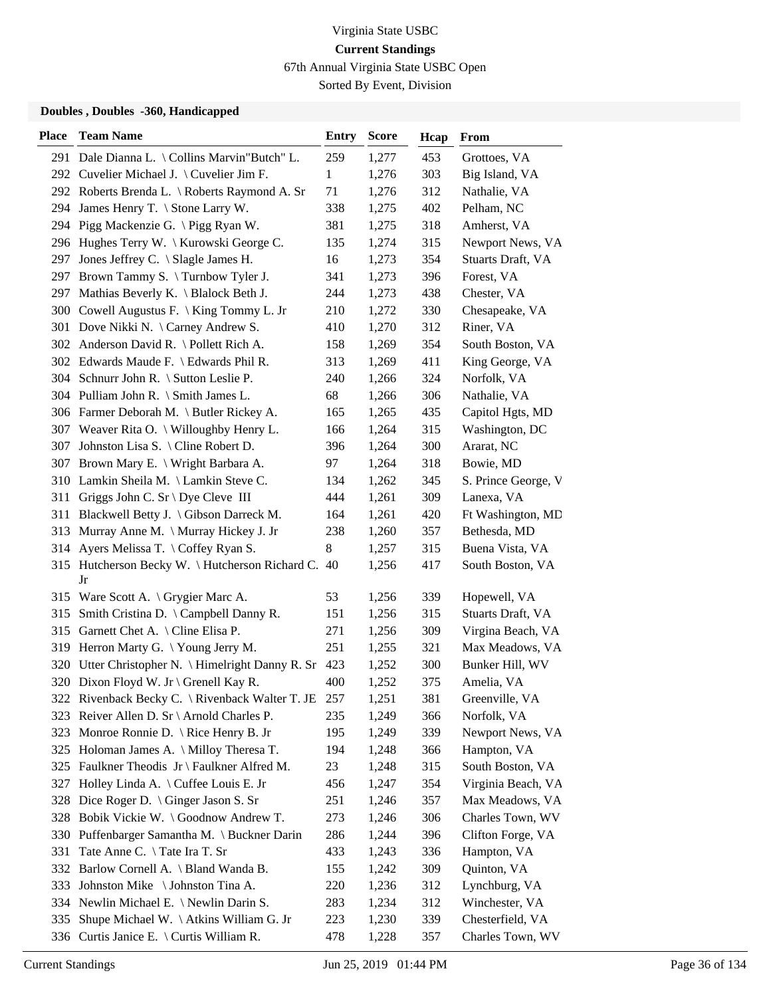67th Annual Virginia State USBC Open

Sorted By Event, Division

| <b>Place</b> | <b>Team Name</b>                                    | Entry        | <b>Score</b> | Hcap | From                |
|--------------|-----------------------------------------------------|--------------|--------------|------|---------------------|
|              | 291 Dale Dianna L. \ Collins Marvin"Butch" L.       | 259          | 1,277        | 453  | Grottoes, VA        |
|              | 292 Cuvelier Michael J. \ Cuvelier Jim F.           | $\mathbf{1}$ | 1,276        | 303  | Big Island, VA      |
|              | 292 Roberts Brenda L. \ Roberts Raymond A. Sr       | 71           | 1,276        | 312  | Nathalie, VA        |
|              | 294 James Henry T. \ Stone Larry W.                 | 338          | 1,275        | 402  | Pelham, NC          |
|              | 294 Pigg Mackenzie G. \ Pigg Ryan W.                | 381          | 1,275        | 318  | Amherst, VA         |
|              | 296 Hughes Terry W. \ Kurowski George C.            | 135          | 1,274        | 315  | Newport News, VA    |
|              | 297 Jones Jeffrey C. \ Slagle James H.              | 16           | 1,273        | 354  | Stuarts Draft, VA   |
|              | 297 Brown Tammy S. \Turnbow Tyler J.                | 341          | 1,273        | 396  | Forest, VA          |
| 297          | Mathias Beverly K. \ Blalock Beth J.                | 244          | 1,273        | 438  | Chester, VA         |
|              | 300 Cowell Augustus F. \ King Tommy L. Jr           | 210          | 1,272        | 330  | Chesapeake, VA      |
|              | 301 Dove Nikki N. \ Carney Andrew S.                | 410          | 1,270        | 312  | Riner, VA           |
|              | 302 Anderson David R. \ Pollett Rich A.             | 158          | 1,269        | 354  | South Boston, VA    |
|              | 302 Edwards Maude F. \ Edwards Phil R.              | 313          | 1,269        | 411  | King George, VA     |
|              | 304 Schnurr John R. \ Sutton Leslie P.              | 240          | 1,266        | 324  | Norfolk, VA         |
|              | 304 Pulliam John R. \ Smith James L.                | 68           | 1,266        | 306  | Nathalie, VA        |
|              | 306 Farmer Deborah M. \ Butler Rickey A.            | 165          | 1,265        | 435  | Capitol Hgts, MD    |
|              | 307 Weaver Rita O. \ Willoughby Henry L.            | 166          | 1,264        | 315  | Washington, DC      |
| 307          | Johnston Lisa S. \ Cline Robert D.                  | 396          | 1,264        | 300  | Ararat, NC          |
|              | 307 Brown Mary E. \ Wright Barbara A.               | 97           | 1,264        | 318  | Bowie, MD           |
|              | 310 Lamkin Sheila M. \Lamkin Steve C.               | 134          | 1,262        | 345  | S. Prince George, V |
| 311          | Griggs John C. Sr \ Dye Cleve III                   | 444          | 1,261        | 309  | Lanexa, VA          |
| 311          | Blackwell Betty J. \ Gibson Darreck M.              | 164          | 1,261        | 420  | Ft Washington, MD   |
|              | 313 Murray Anne M. \ Murray Hickey J. Jr            | 238          | 1,260        | 357  | Bethesda, MD        |
|              | 314 Ayers Melissa T. \Coffey Ryan S.                | 8            | 1,257        | 315  | Buena Vista, VA     |
|              | 315 Hutcherson Becky W. \ Hutcherson Richard C.     | 40           | 1,256        | 417  | South Boston, VA    |
|              | Jr                                                  |              |              |      |                     |
|              | 315 Ware Scott A. \ Grygier Marc A.                 | 53           | 1,256        | 339  | Hopewell, VA        |
|              | 315 Smith Cristina D. \ Campbell Danny R.           | 151          | 1,256        | 315  | Stuarts Draft, VA   |
|              | 315 Garnett Chet A. \ Cline Elisa P.                | 271          | 1,256        | 309  | Virgina Beach, VA   |
|              | 319 Herron Marty G. \Young Jerry M.                 | 251          | 1,255        | 321  | Max Meadows, VA     |
|              | 320 Utter Christopher N. \ Himelright Danny R. Sr   | 423          | 1,252        | 300  | Bunker Hill, WV     |
|              | 320 Dixon Floyd W. Jr \ Grenell Kay R.              | 400          | 1,252        | 375  | Amelia, VA          |
|              | 322 Rivenback Becky C. \ Rivenback Walter T. JE 257 |              | 1,251        | 381  | Greenville, VA      |
|              | 323 Reiver Allen D. Sr \ Arnold Charles P.          | 235          | 1,249        | 366  | Norfolk, VA         |
| 323          | Monroe Ronnie D. \ Rice Henry B. Jr                 | 195          | 1,249        | 339  | Newport News, VA    |
|              | 325 Holoman James A. \ Milloy Theresa T.            | 194          | 1,248        | 366  | Hampton, VA         |
|              | 325 Faulkner Theodis Jr \ Faulkner Alfred M.        | 23           | 1,248        | 315  | South Boston, VA    |
| 327          | Holley Linda A. \ Cuffee Louis E. Jr                | 456          | 1,247        | 354  | Virginia Beach, VA  |
| 328          | Dice Roger D. \ Ginger Jason S. Sr                  | 251          | 1,246        | 357  | Max Meadows, VA     |
| 328          | Bobik Vickie W. \ Goodnow Andrew T.                 | 273          | 1,246        | 306  | Charles Town, WV    |
|              | 330 Puffenbarger Samantha M. \ Buckner Darin        | 286          | 1,244        | 396  | Clifton Forge, VA   |
| 331          | Tate Anne C. \Tate Ira T. Sr                        | 433          | 1,243        | 336  | Hampton, VA         |
| 332          | Barlow Cornell A. \ Bland Wanda B.                  | 155          | 1,242        | 309  | Quinton, VA         |
| 333          | Johnston Mike \Johnston Tina A.                     | 220          | 1,236        | 312  | Lynchburg, VA       |
|              | 334 Newlin Michael E. \ Newlin Darin S.             | 283          | 1,234        | 312  | Winchester, VA      |
| 335          | Shupe Michael W. \ Atkins William G. Jr             | 223          | 1,230        | 339  | Chesterfield, VA    |
| 336          | Curtis Janice E. $\setminus$ Curtis William R.      | 478          | 1,228        | 357  | Charles Town, WV    |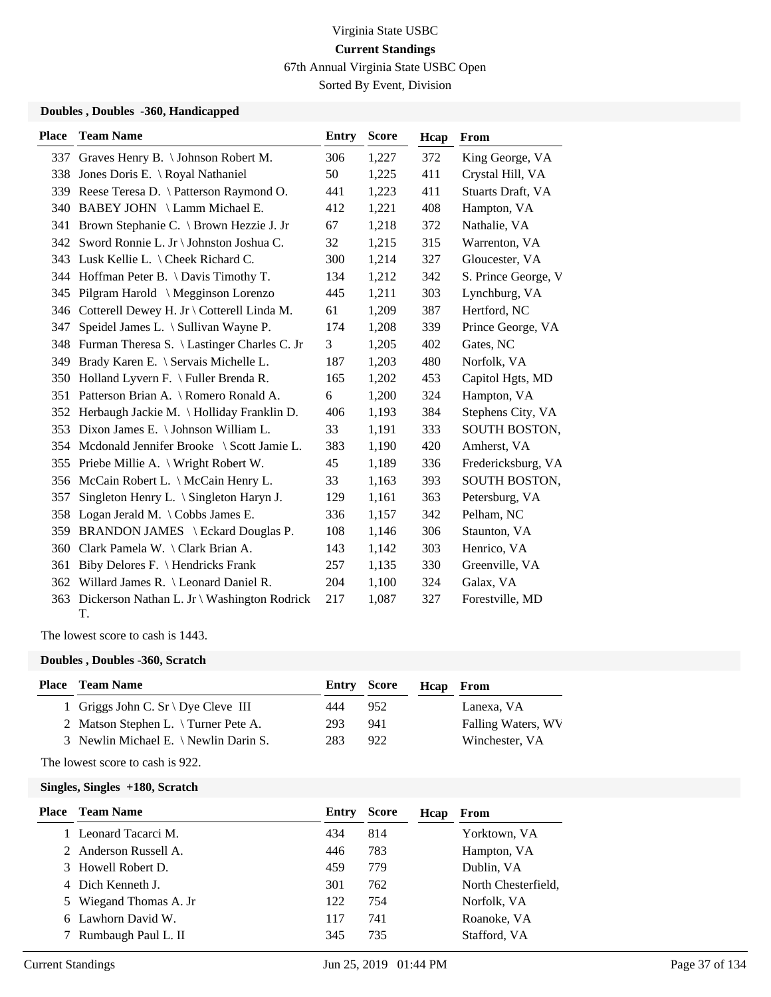67th Annual Virginia State USBC Open

Sorted By Event, Division

#### **Doubles , Doubles -360, Handicapped**

| <b>Place</b> | <b>Team Name</b>                                      | <b>Entry</b> | <b>Score</b> | Hcap | <b>From</b>         |
|--------------|-------------------------------------------------------|--------------|--------------|------|---------------------|
|              | 337 Graves Henry B. \ Johnson Robert M.               | 306          | 1,227        | 372  | King George, VA     |
|              | 338 Jones Doris E. \ Royal Nathaniel                  | 50           | 1,225        | 411  | Crystal Hill, VA    |
|              | 339 Reese Teresa D. \ Patterson Raymond O.            | 441          | 1,223        | 411  | Stuarts Draft, VA   |
|              | 340 BABEY JOHN \ Lamm Michael E.                      | 412          | 1,221        | 408  | Hampton, VA         |
| 341          | Brown Stephanie C. \ Brown Hezzie J. Jr               | 67           | 1,218        | 372  | Nathalie, VA        |
|              | 342 Sword Ronnie L. Jr \ Johnston Joshua C.           | 32           | 1,215        | 315  | Warrenton, VA       |
|              | 343 Lusk Kellie L. \ Cheek Richard C.                 | 300          | 1,214        | 327  | Gloucester, VA      |
|              | 344 Hoffman Peter B. \ Davis Timothy T.               | 134          | 1,212        | 342  | S. Prince George, V |
| 345          | Pilgram Harold \ Megginson Lorenzo                    | 445          | 1,211        | 303  | Lynchburg, VA       |
|              | 346 Cotterell Dewey H. Jr \ Cotterell Linda M.        | 61           | 1,209        | 387  | Hertford, NC        |
| 347          | Speidel James L. \ Sullivan Wayne P.                  | 174          | 1,208        | 339  | Prince George, VA   |
| 348          | Furman Theresa S. \ Lastinger Charles C. Jr           | 3            | 1,205        | 402  | Gates, NC           |
| 349          | Brady Karen E. \ Servais Michelle L.                  | 187          | 1,203        | 480  | Norfolk, VA         |
| 350          | Holland Lyvern F. \ Fuller Brenda R.                  | 165          | 1,202        | 453  | Capitol Hgts, MD    |
|              | 351 Patterson Brian A. \ Romero Ronald A.             | 6            | 1,200        | 324  | Hampton, VA         |
|              | 352 Herbaugh Jackie M. \ Holliday Franklin D.         | 406          | 1,193        | 384  | Stephens City, VA   |
|              | 353 Dixon James E. \ Johnson William L.               | 33           | 1,191        | 333  | SOUTH BOSTON,       |
| 354          | Mcdonald Jennifer Brooke \ Scott Jamie L.             | 383          | 1,190        | 420  | Amherst, VA         |
|              | 355 Priebe Millie A. \ Wright Robert W.               | 45           | 1,189        | 336  | Fredericksburg, VA  |
|              | 356 McCain Robert L. \ McCain Henry L.                | 33           | 1,163        | 393  | SOUTH BOSTON,       |
| 357          | Singleton Henry L. $\Im$ Singleton Haryn J.           | 129          | 1,161        | 363  | Petersburg, VA      |
| 358          | Logan Jerald M. $\setminus$ Cobbs James E.            | 336          | 1,157        | 342  | Pelham, NC          |
| 359          | BRANDON JAMES \ Eckard Douglas P.                     | 108          | 1,146        | 306  | Staunton, VA        |
| 360          | Clark Pamela W. \ Clark Brian A.                      | 143          | 1,142        | 303  | Henrico, VA         |
| 361          | Biby Delores F. \ Hendricks Frank                     | 257          | 1,135        | 330  | Greenville, VA      |
|              | 362 Willard James R. \ Leonard Daniel R.              | 204          | 1,100        | 324  | Galax, VA           |
|              | 363 Dickerson Nathan L. Jr \ Washington Rodrick<br>T. | 217          | 1,087        | 327  | Forestville, MD     |

The lowest score to cash is 1443.

#### **Doubles , Doubles -360, Scratch**

| <b>Place</b> Team Name                |     |     |                           | <b>Hcap</b> From   |
|---------------------------------------|-----|-----|---------------------------|--------------------|
| 1 Griggs John C. Sr \ Dye Cleve III   | 444 |     |                           | Lanexa, VA         |
| 2 Matson Stephen L. \Turner Pete A.   | 293 | 941 |                           | Falling Waters, WV |
| 3 Newlin Michael E. \ Newlin Darin S. | 283 | 922 |                           | Winchester, VA     |
|                                       |     |     | <b>Entry Score</b><br>952 |                    |

The lowest score to cash is 922.

| Entry                                                                                                                                                                                 | <b>Score</b> | Hcap | From                |
|---------------------------------------------------------------------------------------------------------------------------------------------------------------------------------------|--------------|------|---------------------|
| 434                                                                                                                                                                                   | 814          |      | Yorktown, VA        |
| 446                                                                                                                                                                                   | 783          |      | Hampton, VA         |
| 459                                                                                                                                                                                   | 779          |      | Dublin, VA          |
| 301                                                                                                                                                                                   | 762          |      | North Chesterfield, |
| 122                                                                                                                                                                                   | 754          |      | Norfolk, VA         |
| 117                                                                                                                                                                                   | 741          |      | Roanoke, VA         |
| 345                                                                                                                                                                                   | 735          |      | Stafford, VA        |
| <b>Team Name</b><br>1 Leonard Tacarci M.<br>2 Anderson Russell A.<br>3 Howell Robert D.<br>4 Dich Kenneth J.<br>5 Wiegand Thomas A. Jr<br>6 Lawhorn David W.<br>7 Rumbaugh Paul L. II |              |      |                     |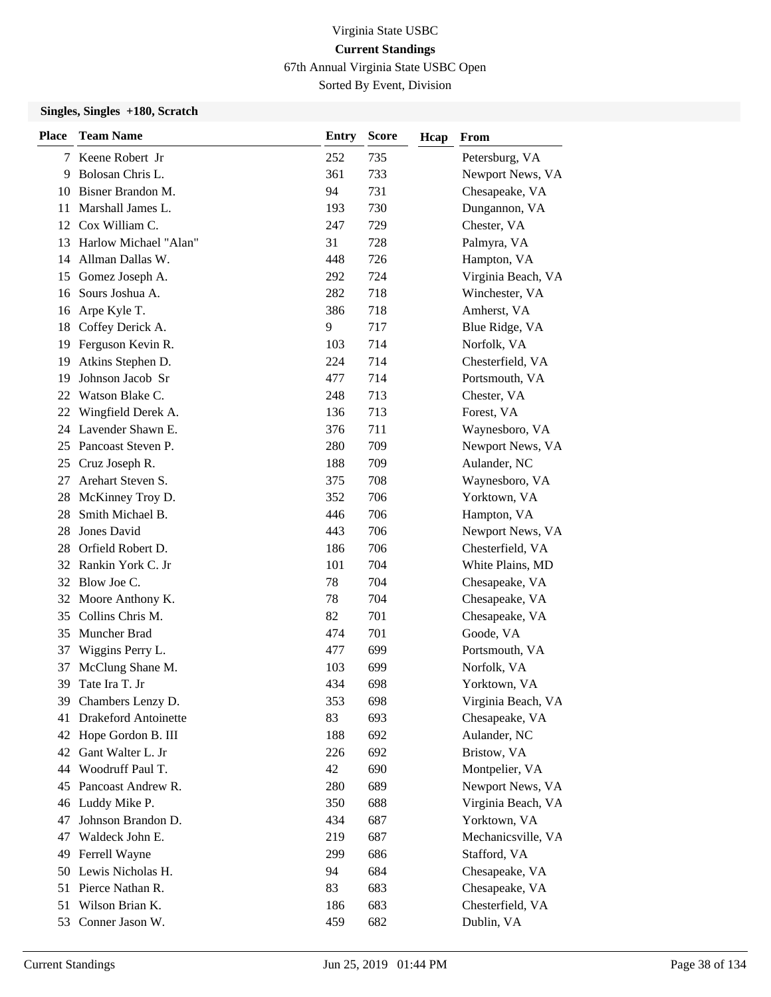67th Annual Virginia State USBC Open

Sorted By Event, Division

| <b>Place</b> | <b>Team Name</b>            | <b>Entry</b> | <b>Score</b> | Hcap | From               |
|--------------|-----------------------------|--------------|--------------|------|--------------------|
|              | 7 Keene Robert Jr           | 252          | 735          |      | Petersburg, VA     |
| 9            | Bolosan Chris L.            | 361          | 733          |      | Newport News, VA   |
| 10           | Bisner Brandon M.           | 94           | 731          |      | Chesapeake, VA     |
| 11           | Marshall James L.           | 193          | 730          |      | Dungannon, VA      |
|              | 12 Cox William C.           | 247          | 729          |      | Chester, VA        |
| 13           | Harlow Michael "Alan"       | 31           | 728          |      | Palmyra, VA        |
| 14           | Allman Dallas W.            | 448          | 726          |      | Hampton, VA        |
| 15           | Gomez Joseph A.             | 292          | 724          |      | Virginia Beach, VA |
| 16           | Sours Joshua A.             | 282          | 718          |      | Winchester, VA     |
| 16           | Arpe Kyle T.                | 386          | 718          |      | Amherst, VA        |
| 18           | Coffey Derick A.            | 9            | 717          |      | Blue Ridge, VA     |
| 19           | Ferguson Kevin R.           | 103          | 714          |      | Norfolk, VA        |
| 19           | Atkins Stephen D.           | 224          | 714          |      | Chesterfield, VA   |
| 19           | Johnson Jacob Sr            | 477          | 714          |      | Portsmouth, VA     |
| 22           | Watson Blake C.             | 248          | 713          |      | Chester, VA        |
| 22           | Wingfield Derek A.          | 136          | 713          |      | Forest, VA         |
|              | 24 Lavender Shawn E.        | 376          | 711          |      | Waynesboro, VA     |
| 25           | Pancoast Steven P.          | 280          | 709          |      | Newport News, VA   |
| 25           | Cruz Joseph R.              | 188          | 709          |      | Aulander, NC       |
| 27           | Arehart Steven S.           | 375          | 708          |      | Waynesboro, VA     |
| 28           | McKinney Troy D.            | 352          | 706          |      | Yorktown, VA       |
| 28           | Smith Michael B.            | 446          | 706          |      | Hampton, VA        |
| 28           | Jones David                 | 443          | 706          |      | Newport News, VA   |
| 28           | Orfield Robert D.           | 186          | 706          |      | Chesterfield, VA   |
| 32           | Rankin York C. Jr           | 101          | 704          |      | White Plains, MD   |
| 32           | Blow Joe C.                 | 78           | 704          |      | Chesapeake, VA     |
| 32           | Moore Anthony K.            | 78           | 704          |      | Chesapeake, VA     |
| 35           | Collins Chris M.            | 82           | 701          |      | Chesapeake, VA     |
| 35           | Muncher Brad                | 474          | 701          |      | Goode, VA          |
| 37           | Wiggins Perry L.            | 477          | 699          |      | Portsmouth, VA     |
| 37           | McClung Shane M.            | 103          | 699          |      | Norfolk, VA        |
| 39           | Tate Ira T. Jr              | 434          | 698          |      | Yorktown, VA       |
|              | 39 Chambers Lenzy D.        | 353          | 698          |      | Virginia Beach, VA |
| 41           | <b>Drakeford Antoinette</b> | 83           | 693          |      | Chesapeake, VA     |
| 42           | Hope Gordon B. III          | 188          | 692          |      | Aulander, NC       |
| 42           | Gant Walter L. Jr           | 226          | 692          |      | Bristow, VA        |
| 44           | Woodruff Paul T.            | 42           | 690          |      | Montpelier, VA     |
| 45           | Pancoast Andrew R.          | 280          | 689          |      | Newport News, VA   |
| 46           | Luddy Mike P.               | 350          | 688          |      | Virginia Beach, VA |
| 47           | Johnson Brandon D.          | 434          | 687          |      | Yorktown, VA       |
| 47           | Waldeck John E.             | 219          | 687          |      | Mechanicsville, VA |
| 49           | Ferrell Wayne               | 299          | 686          |      | Stafford, VA       |
| 50           | Lewis Nicholas H.           | 94           | 684          |      | Chesapeake, VA     |
| 51           | Pierce Nathan R.            | 83           | 683          |      | Chesapeake, VA     |
| 51           | Wilson Brian K.             | 186          | 683          |      | Chesterfield, VA   |
| 53           | Conner Jason W.             | 459          | 682          |      | Dublin, VA         |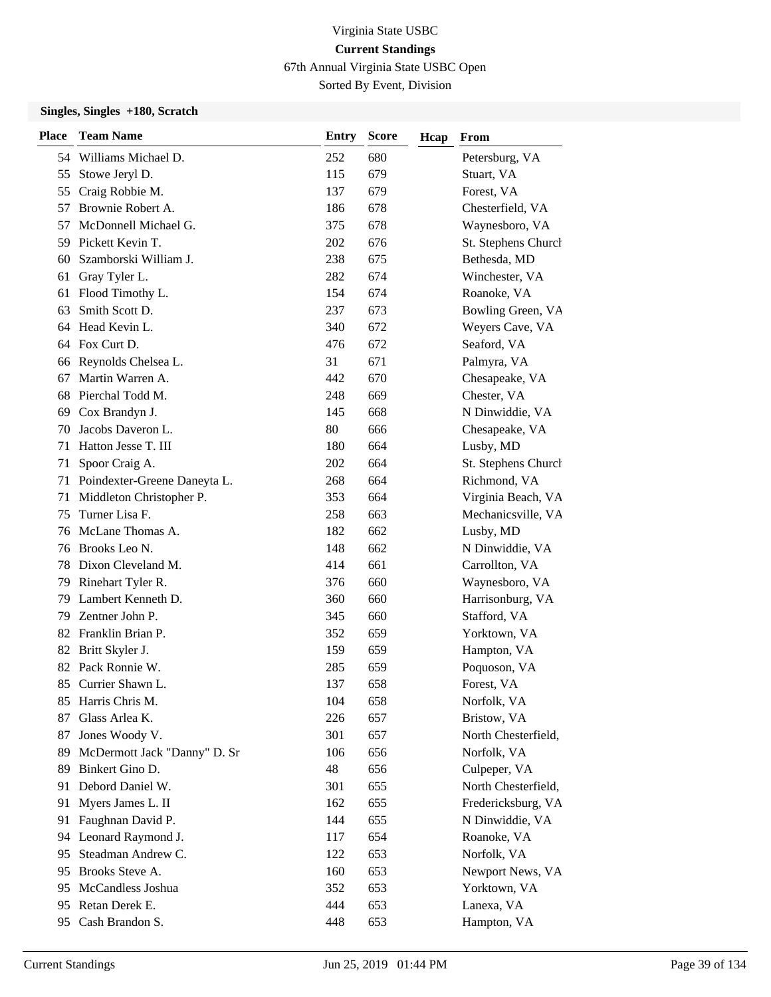67th Annual Virginia State USBC Open

Sorted By Event, Division

| <b>Place</b> | <b>Team Name</b>             | <b>Entry</b> | <b>Score</b> | Hcap | From                |
|--------------|------------------------------|--------------|--------------|------|---------------------|
|              | 54 Williams Michael D.       | 252          | 680          |      | Petersburg, VA      |
| 55           | Stowe Jeryl D.               | 115          | 679          |      | Stuart, VA          |
| 55           | Craig Robbie M.              | 137          | 679          |      | Forest, VA          |
| 57           | Brownie Robert A.            | 186          | 678          |      | Chesterfield, VA    |
| 57           | McDonnell Michael G.         | 375          | 678          |      | Waynesboro, VA      |
| 59           | Pickett Kevin T.             | 202          | 676          |      | St. Stephens Church |
| 60           | Szamborski William J.        | 238          | 675          |      | Bethesda, MD        |
| 61           | Gray Tyler L.                | 282          | 674          |      | Winchester, VA      |
| 61           | Flood Timothy L.             | 154          | 674          |      | Roanoke, VA         |
| 63           | Smith Scott D.               | 237          | 673          |      | Bowling Green, VA   |
| 64           | Head Kevin L.                | 340          | 672          |      | Weyers Cave, VA     |
| 64           | Fox Curt D.                  | 476          | 672          |      | Seaford, VA         |
| 66           | Reynolds Chelsea L.          | 31           | 671          |      | Palmyra, VA         |
| 67           | Martin Warren A.             | 442          | 670          |      | Chesapeake, VA      |
| 68           | Pierchal Todd M.             | 248          | 669          |      | Chester, VA         |
| 69           | Cox Brandyn J.               | 145          | 668          |      | N Dinwiddie, VA     |
| 70           | Jacobs Daveron L.            | 80           | 666          |      | Chesapeake, VA      |
| 71           | Hatton Jesse T. III          | 180          | 664          |      | Lusby, MD           |
| 71           | Spoor Craig A.               | 202          | 664          |      | St. Stephens Church |
| 71           | Poindexter-Greene Daneyta L. | 268          | 664          |      | Richmond, VA        |
| 71           | Middleton Christopher P.     | 353          | 664          |      | Virginia Beach, VA  |
| 75           | Turner Lisa F.               | 258          | 663          |      | Mechanicsville, VA  |
| 76           | McLane Thomas A.             | 182          | 662          |      | Lusby, MD           |
| 76           | Brooks Leo N.                | 148          | 662          |      | N Dinwiddie, VA     |
| 78           | Dixon Cleveland M.           | 414          | 661          |      | Carrollton, VA      |
| 79           | Rinehart Tyler R.            | 376          | 660          |      | Waynesboro, VA      |
| 79           | Lambert Kenneth D.           | 360          | 660          |      | Harrisonburg, VA    |
| 79           | Zentner John P.              | 345          | 660          |      | Stafford, VA        |
|              | 82 Franklin Brian P.         | 352          | 659          |      | Yorktown, VA        |
| 82           | Britt Skyler J.              | 159          | 659          |      | Hampton, VA         |
| 82           | Pack Ronnie W.               | 285          | 659          |      | Poquoson, VA        |
| 85           | Currier Shawn L.             | 137          | 658          |      | Forest, VA          |
|              | 85 Harris Chris M.           | 104          | 658          |      | Norfolk, VA         |
| 87           | Glass Arlea K.               | 226          | 657          |      | Bristow, VA         |
| 87           | Jones Woody V.               | 301          | 657          |      | North Chesterfield, |
| 89           | McDermott Jack "Danny" D. Sr | 106          | 656          |      | Norfolk, VA         |
| 89           | Binkert Gino D.              | 48           | 656          |      | Culpeper, VA        |
| 91           | Debord Daniel W.             | 301          | 655          |      | North Chesterfield, |
| 91           | Myers James L. II            | 162          | 655          |      | Fredericksburg, VA  |
| 91           | Faughnan David P.            | 144          | 655          |      | N Dinwiddie, VA     |
|              | 94 Leonard Raymond J.        | 117          | 654          |      | Roanoke, VA         |
| 95           | Steadman Andrew C.           | 122          | 653          |      | Norfolk, VA         |
| 95           | Brooks Steve A.              | 160          | 653          |      | Newport News, VA    |
| 95           | McCandless Joshua            | 352          | 653          |      | Yorktown, VA        |
| 95.          | Retan Derek E.               | 444          | 653          |      | Lanexa, VA          |
| 95           | Cash Brandon S.              | 448          | 653          |      | Hampton, VA         |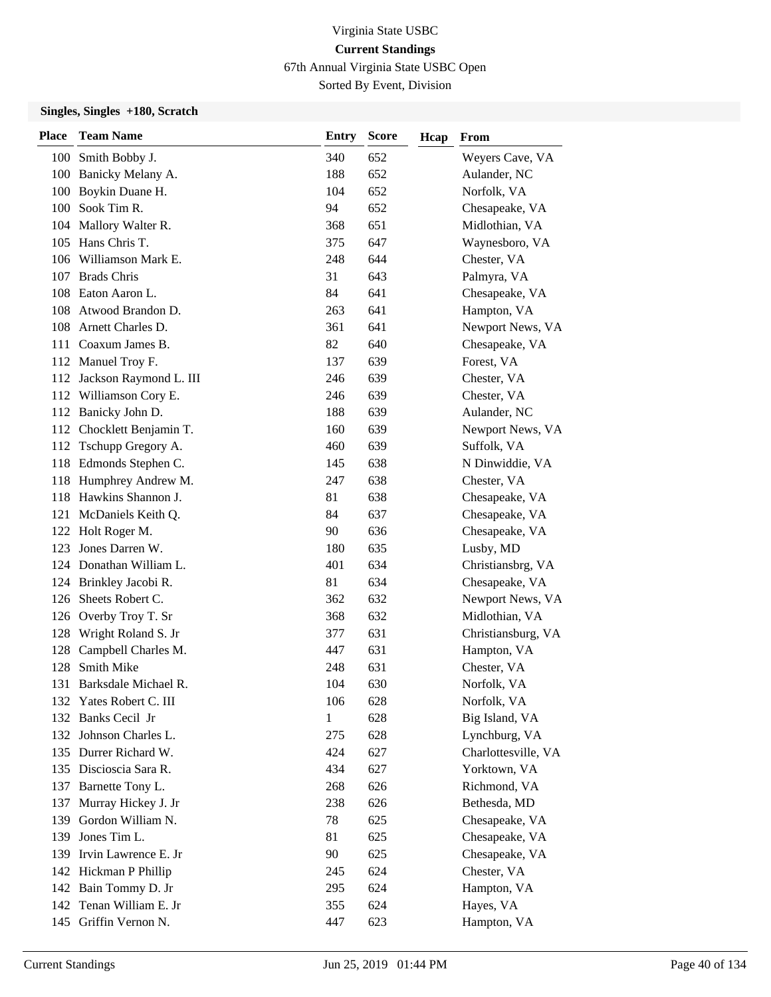67th Annual Virginia State USBC Open

Sorted By Event, Division

| <b>Place</b> | <b>Team Name</b>           | Entry | <b>Score</b> | Hcap | From                |
|--------------|----------------------------|-------|--------------|------|---------------------|
|              | 100 Smith Bobby J.         | 340   | 652          |      | Weyers Cave, VA     |
|              | 100 Banicky Melany A.      | 188   | 652          |      | Aulander, NC        |
|              | 100 Boykin Duane H.        | 104   | 652          |      | Norfolk, VA         |
|              | 100 Sook Tim R.            | 94    | 652          |      | Chesapeake, VA      |
|              | 104 Mallory Walter R.      | 368   | 651          |      | Midlothian, VA      |
|              | 105 Hans Chris T.          | 375   | 647          |      | Waynesboro, VA      |
|              | 106 Williamson Mark E.     | 248   | 644          |      | Chester, VA         |
|              | 107 Brads Chris            | 31    | 643          |      | Palmyra, VA         |
|              | 108 Eaton Aaron L.         | 84    | 641          |      | Chesapeake, VA      |
|              | 108 Atwood Brandon D.      | 263   | 641          |      | Hampton, VA         |
|              | 108 Arnett Charles D.      | 361   | 641          |      | Newport News, VA    |
| 111          | Coaxum James B.            | 82    | 640          |      | Chesapeake, VA      |
|              | 112 Manuel Troy F.         | 137   | 639          |      | Forest, VA          |
|              | 112 Jackson Raymond L. III | 246   | 639          |      | Chester, VA         |
|              | 112 Williamson Cory E.     | 246   | 639          |      | Chester, VA         |
|              | 112 Banicky John D.        | 188   | 639          |      | Aulander, NC        |
|              | 112 Chocklett Benjamin T.  | 160   | 639          |      | Newport News, VA    |
|              | 112 Tschupp Gregory A.     | 460   | 639          |      | Suffolk, VA         |
|              | 118 Edmonds Stephen C.     | 145   | 638          |      | N Dinwiddie, VA     |
|              | 118 Humphrey Andrew M.     | 247   | 638          |      | Chester, VA         |
|              | 118 Hawkins Shannon J.     | 81    | 638          |      | Chesapeake, VA      |
| 121          | McDaniels Keith Q.         | 84    | 637          |      | Chesapeake, VA      |
|              | 122 Holt Roger M.          | 90    | 636          |      | Chesapeake, VA      |
| 123          | Jones Darren W.            | 180   | 635          |      | Lusby, MD           |
|              | 124 Donathan William L.    | 401   | 634          |      | Christiansbrg, VA   |
|              | 124 Brinkley Jacobi R.     | 81    | 634          |      | Chesapeake, VA      |
| 126          | Sheets Robert C.           | 362   | 632          |      | Newport News, VA    |
|              | 126 Overby Troy T. Sr      | 368   | 632          |      | Midlothian, VA      |
| 128          | Wright Roland S. Jr        | 377   | 631          |      | Christiansburg, VA  |
| 128          | Campbell Charles M.        | 447   | 631          |      | Hampton, VA         |
| 128          | Smith Mike                 | 248   | 631          |      | Chester, VA         |
| 131          | Barksdale Michael R.       | 104   | 630          |      | Norfolk, VA         |
|              | 132 Yates Robert C. III    | 106   | 628          |      | Norfolk, VA         |
|              | 132 Banks Cecil Jr         | 1     | 628          |      | Big Island, VA      |
|              | 132 Johnson Charles L.     | 275   | 628          |      | Lynchburg, VA       |
|              | 135 Durrer Richard W.      | 424   | 627          |      | Charlottesville, VA |
|              | 135 Discioscia Sara R.     | 434   | 627          |      | Yorktown, VA        |
|              | 137 Barnette Tony L.       | 268   | 626          |      | Richmond, VA        |
| 137          | Murray Hickey J. Jr        | 238   | 626          |      | Bethesda, MD        |
| 139          | Gordon William N.          | 78    | 625          |      | Chesapeake, VA      |
| 139          | Jones Tim L.               | 81    | 625          |      | Chesapeake, VA      |
| 139          | Irvin Lawrence E. Jr       | 90    | 625          |      | Chesapeake, VA      |
|              | 142 Hickman P Phillip      | 245   | 624          |      | Chester, VA         |
|              | 142 Bain Tommy D. Jr       | 295   | 624          |      | Hampton, VA         |
| 142          | Tenan William E. Jr        | 355   | 624          |      | Hayes, VA           |
| 145          | Griffin Vernon N.          | 447   | 623          |      | Hampton, VA         |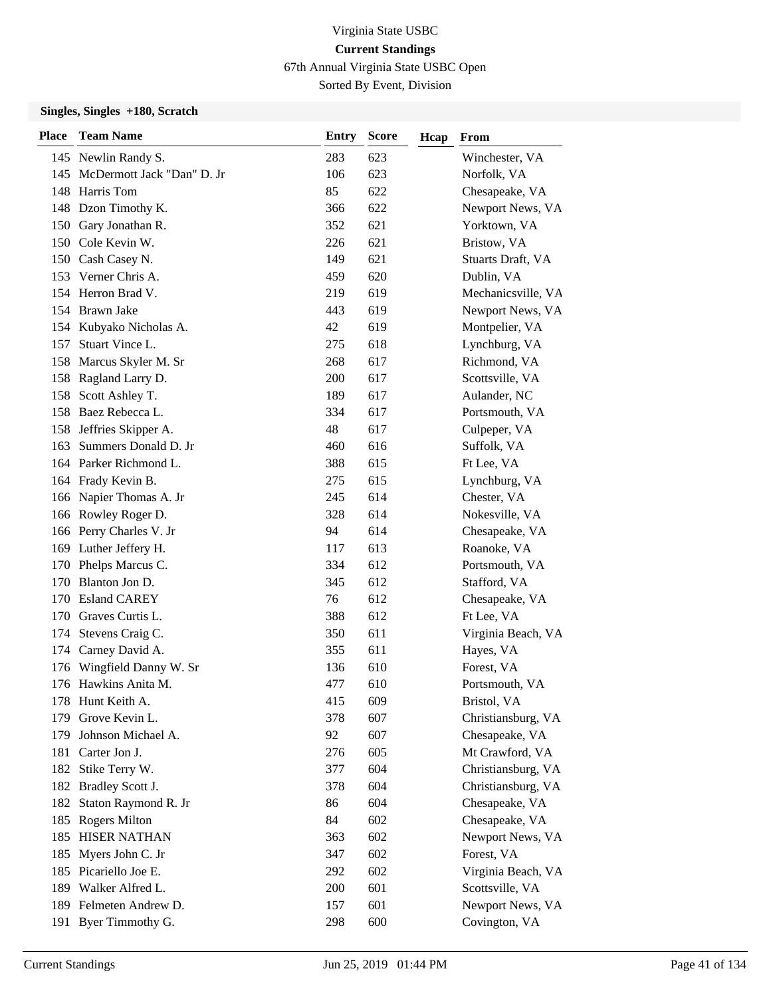67th Annual Virginia State USBC Open

Sorted By Event, Division

| <b>Place</b> | <b>Team Name</b>               | <b>Entry</b> | <b>Score</b> | Hcap | From               |
|--------------|--------------------------------|--------------|--------------|------|--------------------|
|              | 145 Newlin Randy S.            | 283          | 623          |      | Winchester, VA     |
|              | 145 McDermott Jack "Dan" D. Jr | 106          | 623          |      | Norfolk, VA        |
| 148          | Harris Tom                     | 85           | 622          |      | Chesapeake, VA     |
|              | 148 Dzon Timothy K.            | 366          | 622          |      | Newport News, VA   |
|              | 150 Gary Jonathan R.           | 352          | 621          |      | Yorktown, VA       |
|              | 150 Cole Kevin W.              | 226          | 621          |      | Bristow, VA        |
|              | 150 Cash Casey N.              | 149          | 621          |      | Stuarts Draft, VA  |
|              | 153 Verner Chris A.            | 459          | 620          |      | Dublin, VA         |
|              | 154 Herron Brad V.             | 219          | 619          |      | Mechanicsville, VA |
|              | 154 Brawn Jake                 | 443          | 619          |      | Newport News, VA   |
|              | 154 Kubyako Nicholas A.        | 42           | 619          |      | Montpelier, VA     |
| 157          | Stuart Vince L.                | 275          | 618          |      | Lynchburg, VA      |
| 158          | Marcus Skyler M. Sr            | 268          | 617          |      | Richmond, VA       |
| 158          | Ragland Larry D.               | 200          | 617          |      | Scottsville, VA    |
|              | 158 Scott Ashley T.            | 189          | 617          |      | Aulander, NC       |
|              | 158 Baez Rebecca L.            | 334          | 617          |      | Portsmouth, VA     |
| 158          | Jeffries Skipper A.            | 48           | 617          |      | Culpeper, VA       |
| 163          | Summers Donald D. Jr           | 460          | 616          |      | Suffolk, VA        |
|              | 164 Parker Richmond L.         | 388          | 615          |      | Ft Lee, VA         |
|              | 164 Frady Kevin B.             | 275          | 615          |      | Lynchburg, VA      |
|              | 166 Napier Thomas A. Jr        | 245          | 614          |      | Chester, VA        |
|              | 166 Rowley Roger D.            | 328          | 614          |      | Nokesville, VA     |
|              | 166 Perry Charles V. Jr        | 94           | 614          |      | Chesapeake, VA     |
|              | 169 Luther Jeffery H.          | 117          | 613          |      | Roanoke, VA        |
| 170          | Phelps Marcus C.               | 334          | 612          |      | Portsmouth, VA     |
| 170          | Blanton Jon D.                 | 345          | 612          |      | Stafford, VA       |
| 170          | <b>Esland CAREY</b>            | 76           | 612          |      | Chesapeake, VA     |
|              | 170 Graves Curtis L.           | 388          | 612          |      | Ft Lee, VA         |
| 174          | Stevens Craig C.               | 350          | 611          |      | Virginia Beach, VA |
| 174          | Carney David A.                | 355          | 611          |      | Hayes, VA          |
| 176          | Wingfield Danny W. Sr          | 136          | 610          |      | Forest, VA         |
|              | 176 Hawkins Anita M.           | 477          | 610          |      | Portsmouth, VA     |
|              | 178 Hunt Keith A.              | 415          | 609          |      | Bristol, VA        |
| 179          | Grove Kevin L.                 | 378          | 607          |      | Christiansburg, VA |
| 179          | Johnson Michael A.             | 92           | 607          |      | Chesapeake, VA     |
|              | 181 Carter Jon J.              | 276          | 605          |      | Mt Crawford, VA    |
|              | 182 Stike Terry W.             | 377          | 604          |      | Christiansburg, VA |
| 182          | <b>Bradley Scott J.</b>        | 378          | 604          |      | Christiansburg, VA |
| 182          | Staton Raymond R. Jr           | 86           | 604          |      | Chesapeake, VA     |
|              | 185 Rogers Milton              | 84           | 602          |      | Chesapeake, VA     |
| 185          | <b>HISER NATHAN</b>            | 363          | 602          |      | Newport News, VA   |
| 185          | Myers John C. Jr               | 347          | 602          |      | Forest, VA         |
|              | 185 Picariello Joe E.          | 292          | 602          |      | Virginia Beach, VA |
|              | 189 Walker Alfred L.           | 200          | 601          |      | Scottsville, VA    |
|              | 189 Felmeten Andrew D.         | 157          | 601          |      | Newport News, VA   |
| 191          | Byer Timmothy G.               | 298          | 600          |      | Covington, VA      |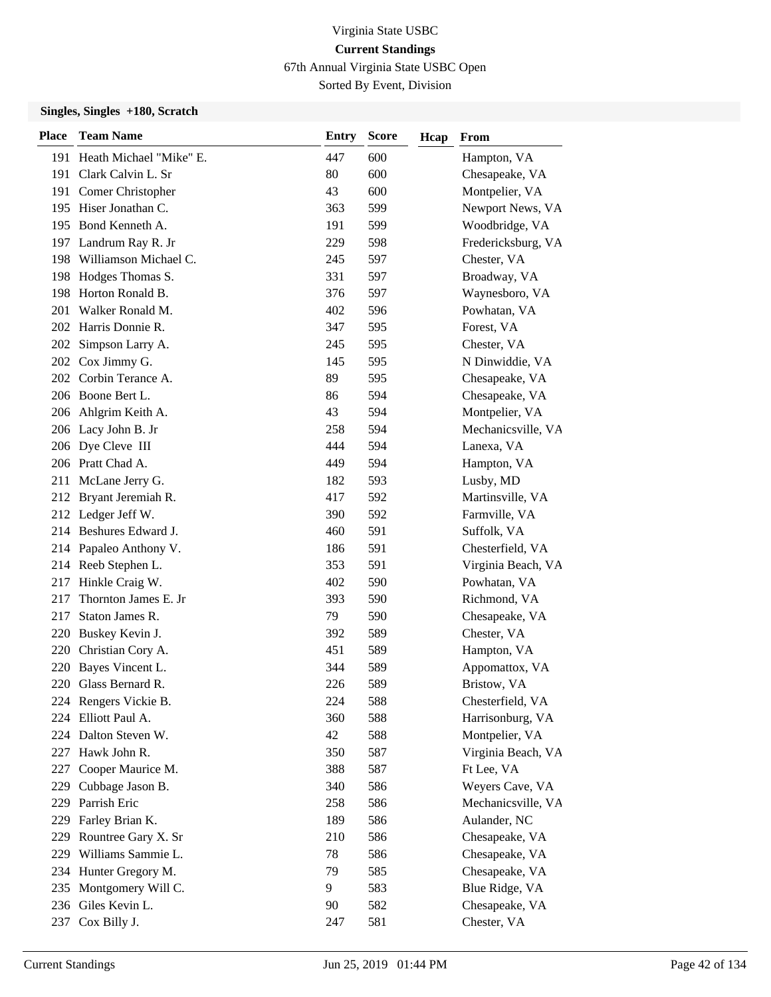67th Annual Virginia State USBC Open

Sorted By Event, Division

| <b>Place</b> | <b>Team Name</b>            | <b>Entry</b> | <b>Score</b> | Hcap | From               |
|--------------|-----------------------------|--------------|--------------|------|--------------------|
|              | 191 Heath Michael "Mike" E. | 447          | 600          |      | Hampton, VA        |
| 191          | Clark Calvin L. Sr          | 80           | 600          |      | Chesapeake, VA     |
| 191          | Comer Christopher           | 43           | 600          |      | Montpelier, VA     |
|              | 195 Hiser Jonathan C.       | 363          | 599          |      | Newport News, VA   |
|              | 195 Bond Kenneth A.         | 191          | 599          |      | Woodbridge, VA     |
|              | 197 Landrum Ray R. Jr       | 229          | 598          |      | Fredericksburg, VA |
| 198          | Williamson Michael C.       | 245          | 597          |      | Chester, VA        |
|              | 198 Hodges Thomas S.        | 331          | 597          |      | Broadway, VA       |
|              | 198 Horton Ronald B.        | 376          | 597          |      | Waynesboro, VA     |
| 201          | Walker Ronald M.            | 402          | 596          |      | Powhatan, VA       |
|              | 202 Harris Donnie R.        | 347          | 595          |      | Forest, VA         |
|              | 202 Simpson Larry A.        | 245          | 595          |      | Chester, VA        |
|              | 202 Cox Jimmy G.            | 145          | 595          |      | N Dinwiddie, VA    |
|              | 202 Corbin Terance A.       | 89           | 595          |      | Chesapeake, VA     |
|              | 206 Boone Bert L.           | 86           | 594          |      | Chesapeake, VA     |
|              | 206 Ahlgrim Keith A.        | 43           | 594          |      | Montpelier, VA     |
|              | 206 Lacy John B. Jr         | 258          | 594          |      | Mechanicsville, VA |
|              | 206 Dye Cleve III           | 444          | 594          |      | Lanexa, VA         |
|              | 206 Pratt Chad A.           | 449          | 594          |      | Hampton, VA        |
|              | 211 McLane Jerry G.         | 182          | 593          |      | Lusby, MD          |
|              | 212 Bryant Jeremiah R.      | 417          | 592          |      | Martinsville, VA   |
|              | 212 Ledger Jeff W.          | 390          | 592          |      | Farmville, VA      |
|              | 214 Beshures Edward J.      | 460          | 591          |      | Suffolk, VA        |
|              | 214 Papaleo Anthony V.      | 186          | 591          |      | Chesterfield, VA   |
|              | 214 Reeb Stephen L.         | 353          | 591          |      | Virginia Beach, VA |
|              | 217 Hinkle Craig W.         | 402          | 590          |      | Powhatan, VA       |
| 217          | Thornton James E. Jr        | 393          | 590          |      | Richmond, VA       |
| 217          | Staton James R.             | 79           | 590          |      | Chesapeake, VA     |
|              | 220 Buskey Kevin J.         | 392          | 589          |      | Chester, VA        |
| 220          | Christian Cory A.           | 451          | 589          |      | Hampton, VA        |
| 220          | Bayes Vincent L.            | 344          | 589          |      | Appomattox, VA     |
|              | 220 Glass Bernard R.        | 226          | 589          |      | Bristow, VA        |
|              | 224 Rengers Vickie B.       | 224          | 588          |      | Chesterfield, VA   |
| 224          | Elliott Paul A.             | 360          | 588          |      | Harrisonburg, VA   |
|              | 224 Dalton Steven W.        | 42           | 588          |      | Montpelier, VA     |
|              | 227 Hawk John R.            | 350          | 587          |      | Virginia Beach, VA |
| 227          | Cooper Maurice M.           | 388          | 587          |      | Ft Lee, VA         |
| 229          | Cubbage Jason B.            | 340          | 586          |      | Weyers Cave, VA    |
| 229          | Parrish Eric                | 258          | 586          |      | Mechanicsville, VA |
| 229          | Farley Brian K.             | 189          | 586          |      | Aulander, NC       |
| 229          | Rountree Gary X. Sr         | 210          | 586          |      | Chesapeake, VA     |
| 229          | Williams Sammie L.          | 78           | 586          |      | Chesapeake, VA     |
|              | 234 Hunter Gregory M.       | 79           | 585          |      | Chesapeake, VA     |
|              | 235 Montgomery Will C.      | 9            | 583          |      | Blue Ridge, VA     |
|              | 236 Giles Kevin L.          | 90           | 582          |      | Chesapeake, VA     |
| 237          | Cox Billy J.                | 247          | 581          |      | Chester, VA        |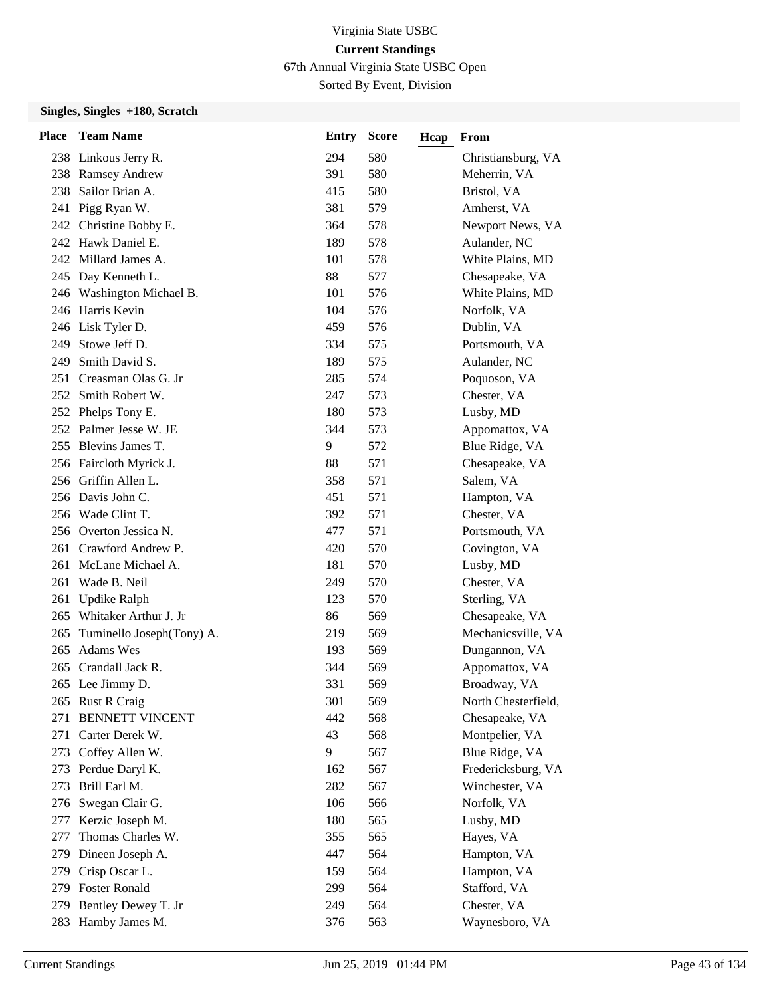67th Annual Virginia State USBC Open

Sorted By Event, Division

| <b>Place</b> | <b>Team Name</b>              | <b>Entry</b> | <b>Score</b> | Hcap | From                |
|--------------|-------------------------------|--------------|--------------|------|---------------------|
|              | 238 Linkous Jerry R.          | 294          | 580          |      | Christiansburg, VA  |
| 238          | <b>Ramsey Andrew</b>          | 391          | 580          |      | Meherrin, VA        |
| 238          | Sailor Brian A.               | 415          | 580          |      | Bristol, VA         |
| 241          | Pigg Ryan W.                  | 381          | 579          |      | Amherst, VA         |
|              | 242 Christine Bobby E.        | 364          | 578          |      | Newport News, VA    |
|              | 242 Hawk Daniel E.            | 189          | 578          |      | Aulander, NC        |
|              | 242 Millard James A.          | 101          | 578          |      | White Plains, MD    |
|              | 245 Day Kenneth L.            | 88           | 577          |      | Chesapeake, VA      |
|              | 246 Washington Michael B.     | 101          | 576          |      | White Plains, MD    |
|              | 246 Harris Kevin              | 104          | 576          |      | Norfolk, VA         |
|              | 246 Lisk Tyler D.             | 459          | 576          |      | Dublin, VA          |
|              | 249 Stowe Jeff D.             | 334          | 575          |      | Portsmouth, VA      |
| 249          | Smith David S.                | 189          | 575          |      | Aulander, NC        |
| 251          | Creasman Olas G. Jr           | 285          | 574          |      | Poquoson, VA        |
|              | 252 Smith Robert W.           | 247          | 573          |      | Chester, VA         |
|              | 252 Phelps Tony E.            | 180          | 573          |      | Lusby, MD           |
|              | 252 Palmer Jesse W. JE        | 344          | 573          |      | Appomattox, VA      |
|              | 255 Blevins James T.          | 9            | 572          |      | Blue Ridge, VA      |
|              | 256 Faircloth Myrick J.       | 88           | 571          |      | Chesapeake, VA      |
|              | 256 Griffin Allen L.          | 358          | 571          |      | Salem, VA           |
|              | 256 Davis John C.             | 451          | 571          |      | Hampton, VA         |
|              | 256 Wade Clint T.             | 392          | 571          |      | Chester, VA         |
|              | 256 Overton Jessica N.        | 477          | 571          |      | Portsmouth, VA      |
|              | 261 Crawford Andrew P.        | 420          | 570          |      | Covington, VA       |
|              | 261 McLane Michael A.         | 181          | 570          |      | Lusby, MD           |
| 261          | Wade B. Neil                  | 249          | 570          |      | Chester, VA         |
| 261          | <b>Updike Ralph</b>           | 123          | 570          |      | Sterling, VA        |
|              | 265 Whitaker Arthur J. Jr     | 86           | 569          |      | Chesapeake, VA      |
|              | 265 Tuminello Joseph(Tony) A. | 219          | 569          |      | Mechanicsville, VA  |
| 265          | <b>Adams Wes</b>              | 193          | 569          |      | Dungannon, VA       |
|              | 265 Crandall Jack R.          | 344          | 569          |      | Appomattox, VA      |
|              | 265 Lee Jimmy D.              | 331          | 569          |      | Broadway, VA        |
|              | 265 Rust R Craig              | 301          | 569          |      | North Chesterfield, |
| 271          | <b>BENNETT VINCENT</b>        | 442          | 568          |      | Chesapeake, VA      |
| 271          | Carter Derek W.               | 43           | 568          |      | Montpelier, VA      |
|              | 273 Coffey Allen W.           | 9            | 567          |      | Blue Ridge, VA      |
|              | 273 Perdue Daryl K.           | 162          | 567          |      | Fredericksburg, VA  |
| 273          | Brill Earl M.                 | 282          | 567          |      | Winchester, VA      |
| 276          | Swegan Clair G.               | 106          | 566          |      | Norfolk, VA         |
| 277          | Kerzic Joseph M.              | 180          | 565          |      | Lusby, MD           |
| 277          | Thomas Charles W.             | 355          | 565          |      | Hayes, VA           |
| 279          | Dineen Joseph A.              | 447          | 564          |      | Hampton, VA         |
| 279          | Crisp Oscar L.                | 159          | 564          |      | Hampton, VA         |
|              | 279 Foster Ronald             | 299          | 564          |      | Stafford, VA        |
| 279          | Bentley Dewey T. Jr           | 249          | 564          |      | Chester, VA         |
|              | 283 Hamby James M.            | 376          | 563          |      | Waynesboro, VA      |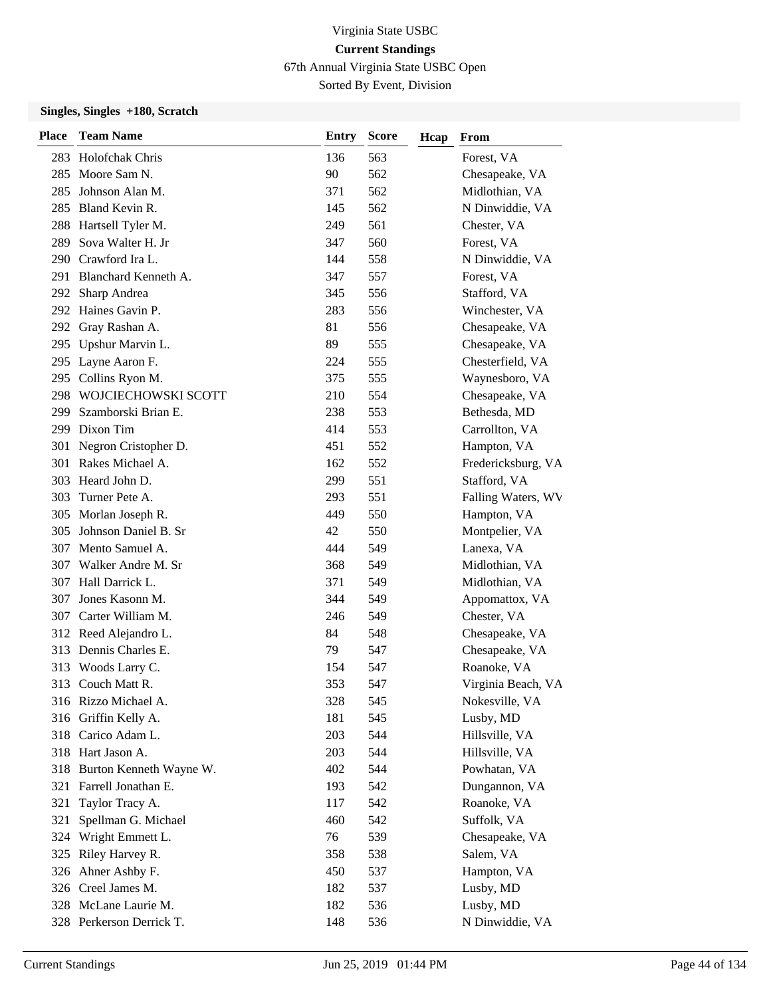67th Annual Virginia State USBC Open

Sorted By Event, Division

| <b>Place</b> | <b>Team Name</b>            | <b>Entry</b> | <b>Score</b> | Hcap | From               |
|--------------|-----------------------------|--------------|--------------|------|--------------------|
|              | 283 Holofchak Chris         | 136          | 563          |      | Forest, VA         |
| 285          | Moore Sam N.                | 90           | 562          |      | Chesapeake, VA     |
| 285          | Johnson Alan M.             | 371          | 562          |      | Midlothian, VA     |
|              | 285 Bland Kevin R.          | 145          | 562          |      | N Dinwiddie, VA    |
|              | 288 Hartsell Tyler M.       | 249          | 561          |      | Chester, VA        |
| 289          | Sova Walter H. Jr           | 347          | 560          |      | Forest, VA         |
|              | 290 Crawford Ira L.         | 144          | 558          |      | N Dinwiddie, VA    |
|              | 291 Blanchard Kenneth A.    | 347          | 557          |      | Forest, VA         |
|              | 292 Sharp Andrea            | 345          | 556          |      | Stafford, VA       |
|              | 292 Haines Gavin P.         | 283          | 556          |      | Winchester, VA     |
| 292          | Gray Rashan A.              | 81           | 556          |      | Chesapeake, VA     |
|              | 295 Upshur Marvin L.        | 89           | 555          |      | Chesapeake, VA     |
| 295          | Layne Aaron F.              | 224          | 555          |      | Chesterfield, VA   |
| 295          | Collins Ryon M.             | 375          | 555          |      | Waynesboro, VA     |
| 298          | WOJCIECHOWSKI SCOTT         | 210          | 554          |      | Chesapeake, VA     |
| 299          | Szamborski Brian E.         | 238          | 553          |      | Bethesda, MD       |
|              | 299 Dixon Tim               | 414          | 553          |      | Carrollton, VA     |
| 301          | Negron Cristopher D.        | 451          | 552          |      | Hampton, VA        |
| 301          | Rakes Michael A.            | 162          | 552          |      | Fredericksburg, VA |
|              | 303 Heard John D.           | 299          | 551          |      | Stafford, VA       |
| 303          | Turner Pete A.              | 293          | 551          |      | Falling Waters, WV |
|              | 305 Morlan Joseph R.        | 449          | 550          |      | Hampton, VA        |
| 305          | Johnson Daniel B. Sr        | 42           | 550          |      | Montpelier, VA     |
|              | 307 Mento Samuel A.         | 444          | 549          |      | Lanexa, VA         |
|              | 307 Walker Andre M. Sr      | 368          | 549          |      | Midlothian, VA     |
|              | 307 Hall Darrick L.         | 371          | 549          |      | Midlothian, VA     |
| 307          | Jones Kasonn M.             | 344          | 549          |      | Appomattox, VA     |
|              | 307 Carter William M.       | 246          | 549          |      | Chester, VA        |
|              | 312 Reed Alejandro L.       | 84           | 548          |      | Chesapeake, VA     |
| 313          | Dennis Charles E.           | 79           | 547          |      | Chesapeake, VA     |
| 313          | Woods Larry C.              | 154          | 547          |      | Roanoke, VA        |
|              | 313 Couch Matt R.           | 353          | 547          |      | Virginia Beach, VA |
|              | 316 Rizzo Michael A.        | 328          | 545          |      | Nokesville, VA     |
|              | 316 Griffin Kelly A.        | 181          | 545          |      | Lusby, MD          |
|              | 318 Carico Adam L.          | 203          | 544          |      | Hillsville, VA     |
|              | 318 Hart Jason A.           | 203          | 544          |      | Hillsville, VA     |
|              | 318 Burton Kenneth Wayne W. | 402          | 544          |      | Powhatan, VA       |
|              | 321 Farrell Jonathan E.     | 193          | 542          |      | Dungannon, VA      |
| 321          | Taylor Tracy A.             | 117          | 542          |      | Roanoke, VA        |
| 321          | Spellman G. Michael         | 460          | 542          |      | Suffolk, VA        |
| 324          | Wright Emmett L.            | 76           | 539          |      | Chesapeake, VA     |
| 325          | Riley Harvey R.             | 358          | 538          |      | Salem, VA          |
|              | 326 Ahner Ashby F.          | 450          | 537          |      | Hampton, VA        |
|              | 326 Creel James M.          | 182          | 537          |      | Lusby, MD          |
|              | 328 McLane Laurie M.        | 182          | 536          |      | Lusby, MD          |
|              | 328 Perkerson Derrick T.    | 148          | 536          |      | N Dinwiddie, VA    |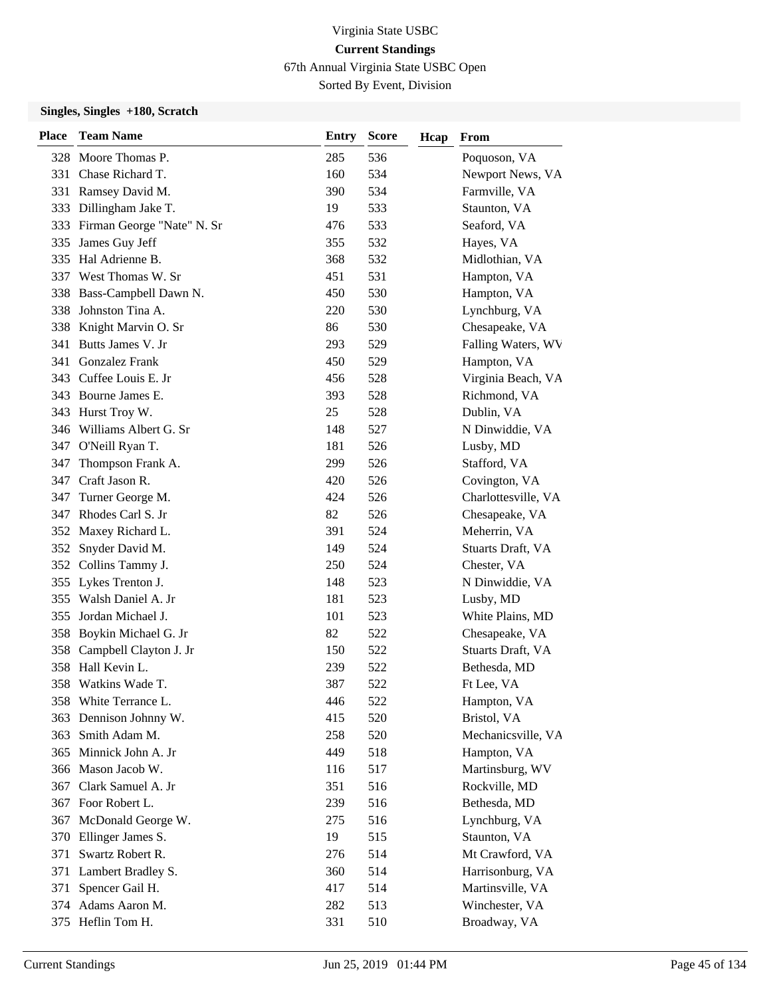67th Annual Virginia State USBC Open

Sorted By Event, Division

| <b>Place</b> | <b>Team Name</b>               | <b>Entry</b> | <b>Score</b> | Hcap | From                |
|--------------|--------------------------------|--------------|--------------|------|---------------------|
|              | 328 Moore Thomas P.            | 285          | 536          |      | Poquoson, VA        |
| 331          | Chase Richard T.               | 160          | 534          |      | Newport News, VA    |
|              | 331 Ramsey David M.            | 390          | 534          |      | Farmville, VA       |
|              | 333 Dillingham Jake T.         | 19           | 533          |      | Staunton, VA        |
|              | 333 Firman George "Nate" N. Sr | 476          | 533          |      | Seaford, VA         |
| 335          | James Guy Jeff                 | 355          | 532          |      | Hayes, VA           |
|              | 335 Hal Adrienne B.            | 368          | 532          |      | Midlothian, VA      |
|              | 337 West Thomas W. Sr          | 451          | 531          |      | Hampton, VA         |
|              | 338 Bass-Campbell Dawn N.      | 450          | 530          |      | Hampton, VA         |
| 338          | Johnston Tina A.               | 220          | 530          |      | Lynchburg, VA       |
|              | 338 Knight Marvin O. Sr        | 86           | 530          |      | Chesapeake, VA      |
|              | 341 Butts James V. Jr          | 293          | 529          |      | Falling Waters, WV  |
|              | 341 Gonzalez Frank             | 450          | 529          |      | Hampton, VA         |
|              | 343 Cuffee Louis E. Jr         | 456          | 528          |      | Virginia Beach, VA  |
|              | 343 Bourne James E.            | 393          | 528          |      | Richmond, VA        |
|              | 343 Hurst Troy W.              | 25           | 528          |      | Dublin, VA          |
|              | 346 Williams Albert G. Sr      | 148          | 527          |      | N Dinwiddie, VA     |
| 347          | O'Neill Ryan T.                | 181          | 526          |      | Lusby, MD           |
| 347          | Thompson Frank A.              | 299          | 526          |      | Stafford, VA        |
|              | 347 Craft Jason R.             | 420          | 526          |      | Covington, VA       |
| 347          | Turner George M.               | 424          | 526          |      | Charlottesville, VA |
|              | 347 Rhodes Carl S. Jr          | 82           | 526          |      | Chesapeake, VA      |
|              | 352 Maxey Richard L.           | 391          | 524          |      | Meherrin, VA        |
|              | 352 Snyder David M.            | 149          | 524          |      | Stuarts Draft, VA   |
|              | 352 Collins Tammy J.           | 250          | 524          |      | Chester, VA         |
|              | 355 Lykes Trenton J.           | 148          | 523          |      | N Dinwiddie, VA     |
|              | 355 Walsh Daniel A. Jr         | 181          | 523          |      | Lusby, MD           |
|              | 355 Jordan Michael J.          | 101          | 523          |      | White Plains, MD    |
|              | 358 Boykin Michael G. Jr       | 82           | 522          |      | Chesapeake, VA      |
| 358          | Campbell Clayton J. Jr         | 150          | 522          |      | Stuarts Draft, VA   |
|              | 358 Hall Kevin L.              | 239          | 522          |      | Bethesda, MD        |
|              | 358 Watkins Wade T.            | 387          | 522          |      | Ft Lee, VA          |
|              | 358 White Terrance L.          | 446          | 522          |      | Hampton, VA         |
| 363          | Dennison Johnny W.             | 415          | 520          |      | Bristol, VA         |
| 363          | Smith Adam M.                  | 258          | 520          |      | Mechanicsville, VA  |
|              | 365 Minnick John A. Jr         | 449          | 518          |      | Hampton, VA         |
|              | 366 Mason Jacob W.             | 116          | 517          |      | Martinsburg, WV     |
| 367          | Clark Samuel A. Jr             | 351          | 516          |      | Rockville, MD       |
|              | 367 Foor Robert L.             | 239          | 516          |      | Bethesda, MD        |
|              | 367 McDonald George W.         | 275          | 516          |      | Lynchburg, VA       |
|              | 370 Ellinger James S.          | 19           | 515          |      | Staunton, VA        |
| 371          | Swartz Robert R.               | 276          | 514          |      | Mt Crawford, VA     |
| 371          | Lambert Bradley S.             | 360          | 514          |      | Harrisonburg, VA    |
| 371          | Spencer Gail H.                | 417          | 514          |      | Martinsville, VA    |
|              | 374 Adams Aaron M.             | 282          | 513          |      | Winchester, VA      |
|              | 375 Heflin Tom H.              | 331          | 510          |      | Broadway, VA        |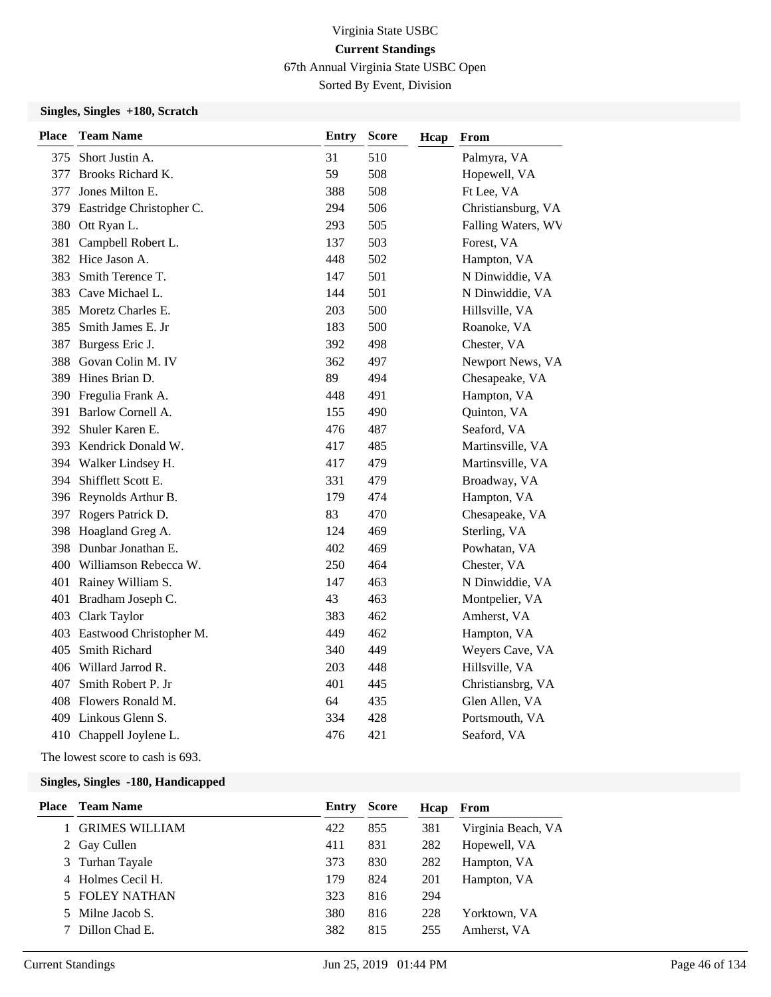67th Annual Virginia State USBC Open

Sorted By Event, Division

#### **Singles, Singles +180, Scratch**

| <b>Place</b> | <b>Team Name</b>             | <b>Entry</b> | <b>Score</b> | Hcap | From               |
|--------------|------------------------------|--------------|--------------|------|--------------------|
|              | 375 Short Justin A.          | 31           | 510          |      | Palmyra, VA        |
| 377          | Brooks Richard K.            | 59           | 508          |      | Hopewell, VA       |
| 377          | Jones Milton E.              | 388          | 508          |      | Ft Lee, VA         |
|              | 379 Eastridge Christopher C. | 294          | 506          |      | Christiansburg, VA |
|              | 380 Ott Ryan L.              | 293          | 505          |      | Falling Waters, WV |
|              | 381 Campbell Robert L.       | 137          | 503          |      | Forest, VA         |
|              | 382 Hice Jason A.            | 448          | 502          |      | Hampton, VA        |
| 383          | Smith Terence T.             | 147          | 501          |      | N Dinwiddie, VA    |
|              | 383 Cave Michael L.          | 144          | 501          |      | N Dinwiddie, VA    |
|              | 385 Moretz Charles E.        | 203          | 500          |      | Hillsville, VA     |
|              | 385 Smith James E. Jr        | 183          | 500          |      | Roanoke, VA        |
| 387          | Burgess Eric J.              | 392          | 498          |      | Chester, VA        |
|              | 388 Govan Colin M. IV        | 362          | 497          |      | Newport News, VA   |
| 389          | Hines Brian D.               | 89           | 494          |      | Chesapeake, VA     |
| 390          | Fregulia Frank A.            | 448          | 491          |      | Hampton, VA        |
| 391          | Barlow Cornell A.            | 155          | 490          |      | Quinton, VA        |
|              | 392 Shuler Karen E.          | 476          | 487          |      | Seaford, VA        |
|              | 393 Kendrick Donald W.       | 417          | 485          |      | Martinsville, VA   |
|              | 394 Walker Lindsey H.        | 417          | 479          |      | Martinsville, VA   |
|              | 394 Shifflett Scott E.       | 331          | 479          |      | Broadway, VA       |
|              | 396 Reynolds Arthur B.       | 179          | 474          |      | Hampton, VA        |
|              | 397 Rogers Patrick D.        | 83           | 470          |      | Chesapeake, VA     |
|              | 398 Hoagland Greg A.         | 124          | 469          |      | Sterling, VA       |
|              | 398 Dunbar Jonathan E.       | 402          | 469          |      | Powhatan, VA       |
|              | 400 Williamson Rebecca W.    | 250          | 464          |      | Chester, VA        |
|              | 401 Rainey William S.        | 147          | 463          |      | N Dinwiddie, VA    |
| 401          | Bradham Joseph C.            | 43           | 463          |      | Montpelier, VA     |
|              | 403 Clark Taylor             | 383          | 462          |      | Amherst, VA        |
|              | 403 Eastwood Christopher M.  | 449          | 462          |      | Hampton, VA        |
| 405          | Smith Richard                | 340          | 449          |      | Weyers Cave, VA    |
|              | 406 Willard Jarrod R.        | 203          | 448          |      | Hillsville, VA     |
| 407          | Smith Robert P. Jr           | 401          | 445          |      | Christiansbrg, VA  |
|              | 408 Flowers Ronald M.        | 64           | 435          |      | Glen Allen, VA     |
|              | 409 Linkous Glenn S.         | 334          | 428          |      | Portsmouth, VA     |
|              | 410 Chappell Joylene L.      | 476          | 421          |      | Seaford, VA        |

The lowest score to cash is 693.

| <b>Place</b> | <b>Team Name</b>      | Entry | <b>Score</b> | Hcap | From               |
|--------------|-----------------------|-------|--------------|------|--------------------|
|              | <b>GRIMES WILLIAM</b> | 422   | 855          | 381  | Virginia Beach, VA |
|              | 2 Gay Cullen          | 411   | 831          | 282  | Hopewell, VA       |
|              | 3 Turhan Tayale       | 373   | 830          | 282  | Hampton, VA        |
| 4            | Holmes Cecil H.       | 179   | 824          | 201  | Hampton, VA        |
|              | 5 FOLEY NATHAN        | 323   | 816          | 294  |                    |
| 5.           | Milne Jacob S.        | 380   | 816          | 228  | Yorktown, VA       |
|              | Dillon Chad E.        | 382   | 815          | 255  | Amherst. VA        |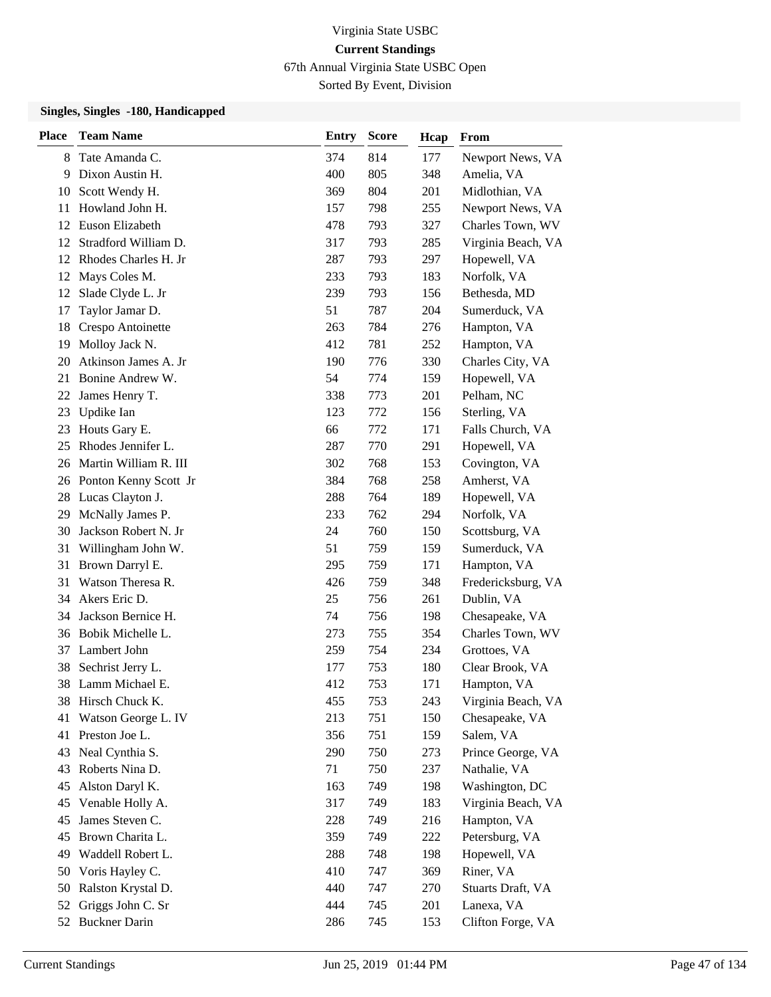67th Annual Virginia State USBC Open

Sorted By Event, Division

| Place | <b>Team Name</b>         | <b>Entry</b> | <b>Score</b> | Hcap | From               |
|-------|--------------------------|--------------|--------------|------|--------------------|
| 8     | Tate Amanda C.           | 374          | 814          | 177  | Newport News, VA   |
| 9     | Dixon Austin H.          | 400          | 805          | 348  | Amelia, VA         |
| 10    | Scott Wendy H.           | 369          | 804          | 201  | Midlothian, VA     |
| 11    | Howland John H.          | 157          | 798          | 255  | Newport News, VA   |
| 12    | Euson Elizabeth          | 478          | 793          | 327  | Charles Town, WV   |
| 12    | Stradford William D.     | 317          | 793          | 285  | Virginia Beach, VA |
| 12    | Rhodes Charles H. Jr     | 287          | 793          | 297  | Hopewell, VA       |
| 12    | Mays Coles M.            | 233          | 793          | 183  | Norfolk, VA        |
| 12    | Slade Clyde L. Jr        | 239          | 793          | 156  | Bethesda, MD       |
| 17    | Taylor Jamar D.          | 51           | 787          | 204  | Sumerduck, VA      |
| 18    | Crespo Antoinette        | 263          | 784          | 276  | Hampton, VA        |
| 19    | Molloy Jack N.           | 412          | 781          | 252  | Hampton, VA        |
| 20    | Atkinson James A. Jr     | 190          | 776          | 330  | Charles City, VA   |
| 21    | Bonine Andrew W.         | 54           | 774          | 159  | Hopewell, VA       |
| 22    | James Henry T.           | 338          | 773          | 201  | Pelham, NC         |
| 23    | Updike Ian               | 123          | 772          | 156  | Sterling, VA       |
| 23    | Houts Gary E.            | 66           | 772          | 171  | Falls Church, VA   |
| 25    | Rhodes Jennifer L.       | 287          | 770          | 291  | Hopewell, VA       |
| 26    | Martin William R. III    | 302          | 768          | 153  | Covington, VA      |
|       | 26 Ponton Kenny Scott Jr | 384          | 768          | 258  | Amherst, VA        |
|       | 28 Lucas Clayton J.      | 288          | 764          | 189  | Hopewell, VA       |
| 29    | McNally James P.         | 233          | 762          | 294  | Norfolk, VA        |
| 30    | Jackson Robert N. Jr     | 24           | 760          | 150  | Scottsburg, VA     |
| 31    | Willingham John W.       | 51           | 759          | 159  | Sumerduck, VA      |
| 31    | Brown Darryl E.          | 295          | 759          | 171  | Hampton, VA        |
| 31    | Watson Theresa R.        | 426          | 759          | 348  | Fredericksburg, VA |
| 34    | Akers Eric D.            | 25           | 756          | 261  | Dublin, VA         |
| 34    | Jackson Bernice H.       | 74           | 756          | 198  | Chesapeake, VA     |
| 36    | Bobik Michelle L.        | 273          | 755          | 354  | Charles Town, WV   |
| 37    | Lambert John             | 259          | 754          | 234  | Grottoes, VA       |
| 38    | Sechrist Jerry L.        | 177          | 753          | 180  | Clear Brook, VA    |
| 38    | Lamm Michael E.          | 412          | 753          | 171  | Hampton, VA        |
|       | 38 Hirsch Chuck K.       | 455          | 753          | 243  | Virginia Beach, VA |
| 41    | Watson George L. IV      | 213          | 751          | 150  | Chesapeake, VA     |
| 41    | Preston Joe L.           | 356          | 751          | 159  | Salem, VA          |
| 43    | Neal Cynthia S.          | 290          | 750          | 273  | Prince George, VA  |
| 43    | Roberts Nina D.          | 71           | 750          | 237  | Nathalie, VA       |
| 45    | Alston Daryl K.          | 163          | 749          | 198  | Washington, DC     |
| 45    | Venable Holly A.         | 317          | 749          | 183  | Virginia Beach, VA |
| 45    | James Steven C.          | 228          | 749          | 216  | Hampton, VA        |
| 45    | Brown Charita L.         | 359          | 749          | 222  | Petersburg, VA     |
| 49    | Waddell Robert L.        | 288          | 748          | 198  | Hopewell, VA       |
| 50    | Voris Hayley C.          | 410          | 747          | 369  | Riner, VA          |
| 50    | Ralston Krystal D.       | 440          | 747          | 270  | Stuarts Draft, VA  |
| 52    | Griggs John C. Sr        | 444          | 745          | 201  | Lanexa, VA         |
| 52    | <b>Buckner Darin</b>     | 286          | 745          | 153  | Clifton Forge, VA  |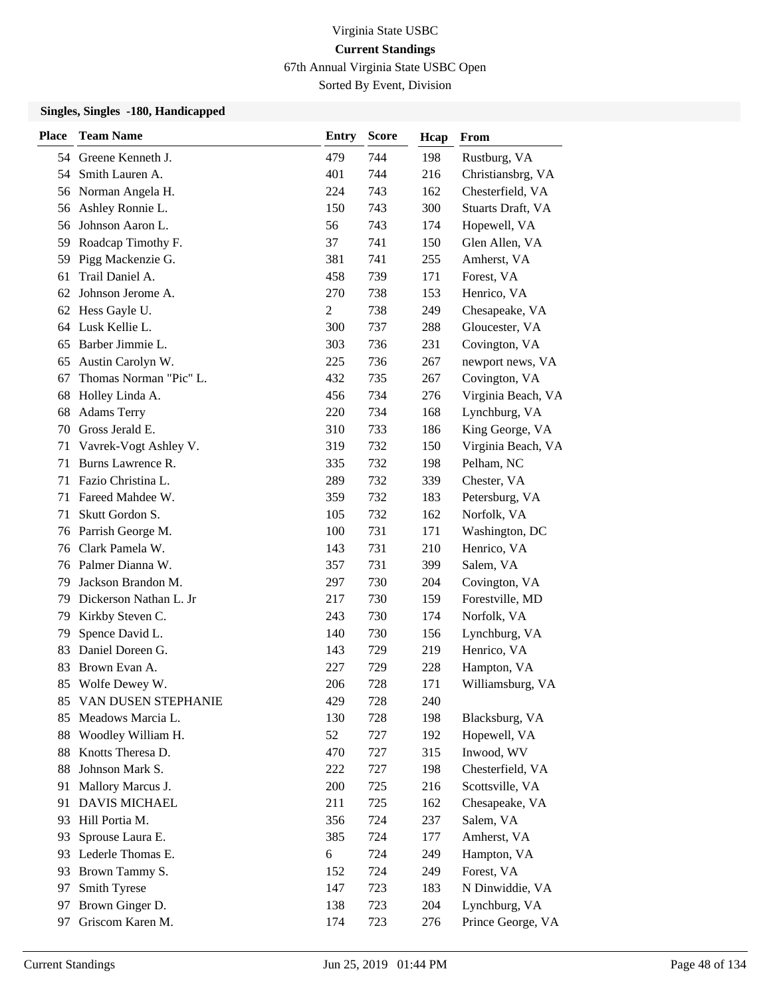67th Annual Virginia State USBC Open

Sorted By Event, Division

| <b>Place</b> | <b>Team Name</b>       | <b>Entry</b>   | <b>Score</b> | Hcap | From               |
|--------------|------------------------|----------------|--------------|------|--------------------|
|              | 54 Greene Kenneth J.   | 479            | 744          | 198  | Rustburg, VA       |
| 54           | Smith Lauren A.        | 401            | 744          | 216  | Christiansbrg, VA  |
| 56           | Norman Angela H.       | 224            | 743          | 162  | Chesterfield, VA   |
| 56           | Ashley Ronnie L.       | 150            | 743          | 300  | Stuarts Draft, VA  |
| 56           | Johnson Aaron L.       | 56             | 743          | 174  | Hopewell, VA       |
| 59           | Roadcap Timothy F.     | 37             | 741          | 150  | Glen Allen, VA     |
| 59           | Pigg Mackenzie G.      | 381            | 741          | 255  | Amherst, VA        |
| 61           | Trail Daniel A.        | 458            | 739          | 171  | Forest, VA         |
| 62           | Johnson Jerome A.      | 270            | 738          | 153  | Henrico, VA        |
| 62           | Hess Gayle U.          | $\overline{c}$ | 738          | 249  | Chesapeake, VA     |
| 64           | Lusk Kellie L.         | 300            | 737          | 288  | Gloucester, VA     |
| 65           | Barber Jimmie L.       | 303            | 736          | 231  | Covington, VA      |
| 65           | Austin Carolyn W.      | 225            | 736          | 267  | newport news, VA   |
| 67           | Thomas Norman "Pic" L. | 432            | 735          | 267  | Covington, VA      |
| 68           | Holley Linda A.        | 456            | 734          | 276  | Virginia Beach, VA |
| 68           | <b>Adams Terry</b>     | 220            | 734          | 168  | Lynchburg, VA      |
| 70           | Gross Jerald E.        | 310            | 733          | 186  | King George, VA    |
| 71           | Vavrek-Vogt Ashley V.  | 319            | 732          | 150  | Virginia Beach, VA |
| 71           | Burns Lawrence R.      | 335            | 732          | 198  | Pelham, NC         |
| 71           | Fazio Christina L.     | 289            | 732          | 339  | Chester, VA        |
| 71           | Fareed Mahdee W.       | 359            | 732          | 183  | Petersburg, VA     |
| 71           | Skutt Gordon S.        | 105            | 732          | 162  | Norfolk, VA        |
| 76           | Parrish George M.      | 100            | 731          | 171  | Washington, DC     |
| 76           | Clark Pamela W.        | 143            | 731          | 210  | Henrico, VA        |
| 76           | Palmer Dianna W.       | 357            | 731          | 399  | Salem, VA          |
| 79           | Jackson Brandon M.     | 297            | 730          | 204  | Covington, VA      |
| 79           | Dickerson Nathan L. Jr | 217            | 730          | 159  | Forestville, MD    |
| 79           | Kirkby Steven C.       | 243            | 730          | 174  | Norfolk, VA        |
| 79           | Spence David L.        | 140            | 730          | 156  | Lynchburg, VA      |
| 83           | Daniel Doreen G.       | 143            | 729          | 219  | Henrico, VA        |
| 83           | Brown Evan A.          | 227            | 729          | 228  | Hampton, VA        |
| 85           | Wolfe Dewey W.         | 206            | 728          | 171  | Williamsburg, VA   |
| 85           | VAN DUSEN STEPHANIE    | 429            | 728          | 240  |                    |
| 85           | Meadows Marcia L.      | 130            | 728          | 198  | Blacksburg, VA     |
| 88           | Woodley William H.     | 52             | 727          | 192  | Hopewell, VA       |
| 88           | Knotts Theresa D.      | 470            | 727          | 315  | Inwood, WV         |
| 88           | Johnson Mark S.        | 222            | 727          | 198  | Chesterfield, VA   |
| 91           | Mallory Marcus J.      | 200            | 725          | 216  | Scottsville, VA    |
| 91           | DAVIS MICHAEL          | 211            | 725          | 162  | Chesapeake, VA     |
| 93           | Hill Portia M.         | 356            | 724          | 237  | Salem, VA          |
| 93           | Sprouse Laura E.       | 385            | 724          | 177  | Amherst, VA        |
| 93           | Lederle Thomas E.      | 6              | 724          | 249  | Hampton, VA        |
| 93           | Brown Tammy S.         | 152            | 724          | 249  | Forest, VA         |
| 97           | Smith Tyrese           | 147            | 723          | 183  | N Dinwiddie, VA    |
| 97           | Brown Ginger D.        | 138            | 723          | 204  | Lynchburg, VA      |
| 97           | Griscom Karen M.       | 174            | 723          | 276  | Prince George, VA  |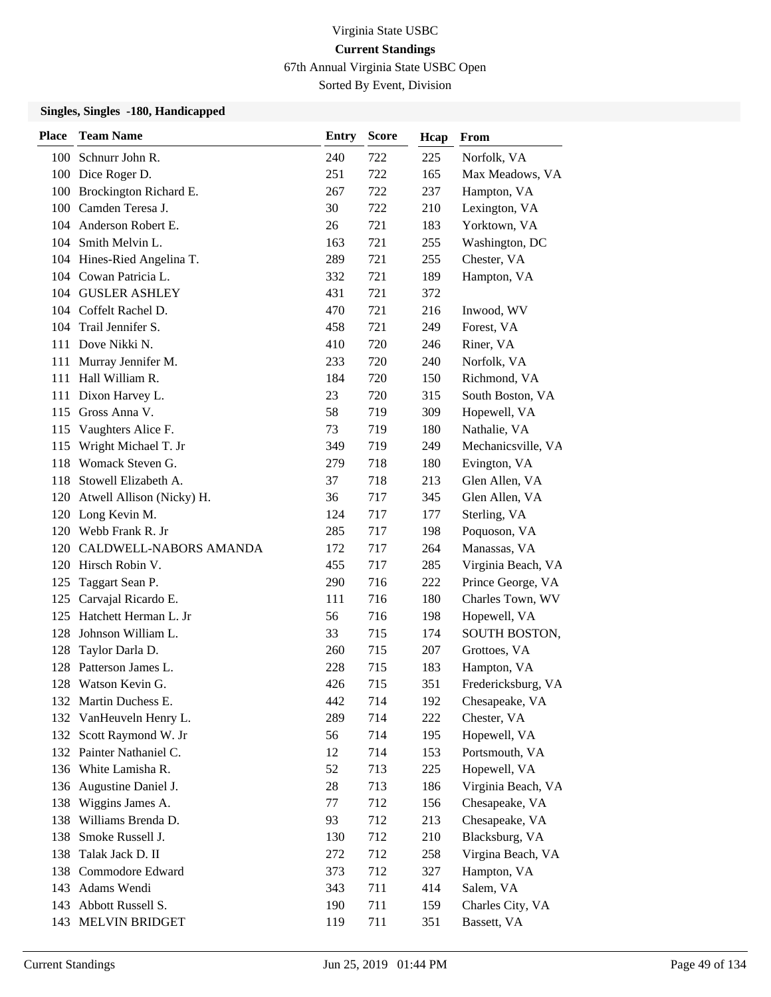67th Annual Virginia State USBC Open

Sorted By Event, Division

| <b>Place</b> | <b>Team Name</b>              | <b>Entry</b> | <b>Score</b> | Hcap | From               |
|--------------|-------------------------------|--------------|--------------|------|--------------------|
|              | 100 Schnurr John R.           | 240          | 722          | 225  | Norfolk, VA        |
|              | 100 Dice Roger D.             | 251          | 722          | 165  | Max Meadows, VA    |
| 100          | Brockington Richard E.        | 267          | 722          | 237  | Hampton, VA        |
|              | 100 Camden Teresa J.          | 30           | 722          | 210  | Lexington, VA      |
|              | 104 Anderson Robert E.        | 26           | 721          | 183  | Yorktown, VA       |
| 104          | Smith Melvin L.               | 163          | 721          | 255  | Washington, DC     |
|              | 104 Hines-Ried Angelina T.    | 289          | 721          | 255  | Chester, VA        |
|              | 104 Cowan Patricia L.         | 332          | 721          | 189  | Hampton, VA        |
|              | 104 GUSLER ASHLEY             | 431          | 721          | 372  |                    |
|              | 104 Coffelt Rachel D.         | 470          | 721          | 216  | Inwood, WV         |
|              | 104 Trail Jennifer S.         | 458          | 721          | 249  | Forest, VA         |
| 111          | Dove Nikki N.                 | 410          | 720          | 246  | Riner, VA          |
|              | 111 Murray Jennifer M.        | 233          | 720          | 240  | Norfolk, VA        |
| 111          | Hall William R.               | 184          | 720          | 150  | Richmond, VA       |
|              | 111 Dixon Harvey L.           | 23           | 720          | 315  | South Boston, VA   |
|              | 115 Gross Anna V.             | 58           | 719          | 309  | Hopewell, VA       |
| 115          | Vaughters Alice F.            | 73           | 719          | 180  | Nathalie, VA       |
| 115          | Wright Michael T. Jr          | 349          | 719          | 249  | Mechanicsville, VA |
| 118          | Womack Steven G.              | 279          | 718          | 180  | Evington, VA       |
| 118          | Stowell Elizabeth A.          | 37           | 718          | 213  | Glen Allen, VA     |
|              | 120 Atwell Allison (Nicky) H. | 36           | 717          | 345  | Glen Allen, VA     |
|              | 120 Long Kevin M.             | 124          | 717          | 177  | Sterling, VA       |
|              | 120 Webb Frank R. Jr          | 285          | 717          | 198  | Poquoson, VA       |
|              | 120 CALDWELL-NABORS AMANDA    | 172          | 717          | 264  | Manassas, VA       |
|              | 120 Hirsch Robin V.           | 455          | 717          | 285  | Virginia Beach, VA |
| 125          | Taggart Sean P.               | 290          | 716          | 222  | Prince George, VA  |
| 125          | Carvajal Ricardo E.           | 111          | 716          | 180  | Charles Town, WV   |
| 125          | Hatchett Herman L. Jr         | 56           | 716          | 198  | Hopewell, VA       |
| 128          | Johnson William L.            | 33           | 715          | 174  | SOUTH BOSTON,      |
| 128          | Taylor Darla D.               | 260          | 715          | 207  | Grottoes, VA       |
| 128          | Patterson James L.            | 228          | 715          | 183  | Hampton, VA        |
| 128          | Watson Kevin G.               | 426          | 715          | 351  | Fredericksburg, VA |
|              | 132 Martin Duchess E.         | 442          | 714          | 192  | Chesapeake, VA     |
|              | 132 VanHeuveln Henry L.       | 289          | 714          | 222  | Chester, VA        |
| 132          | Scott Raymond W. Jr           | 56           | 714          | 195  | Hopewell, VA       |
| 132          | Painter Nathaniel C.          | 12           | 714          | 153  | Portsmouth, VA     |
| 136          | White Lamisha R.              | 52           | 713          | 225  | Hopewell, VA       |
| 136          | Augustine Daniel J.           | 28           | 713          | 186  | Virginia Beach, VA |
| 138          | Wiggins James A.              | 77           | 712          | 156  | Chesapeake, VA     |
| 138          | Williams Brenda D.            | 93           | 712          | 213  | Chesapeake, VA     |
| 138          | Smoke Russell J.              | 130          | 712          | 210  | Blacksburg, VA     |
| 138          | Talak Jack D. II              | 272          | 712          | 258  | Virgina Beach, VA  |
|              | 138 Commodore Edward          | 373          | 712          | 327  | Hampton, VA        |
| 143          | Adams Wendi                   | 343          | 711          | 414  | Salem, VA          |
|              | 143 Abbott Russell S.         | 190          | 711          | 159  | Charles City, VA   |
|              | 143 MELVIN BRIDGET            | 119          | 711          | 351  | Bassett, VA        |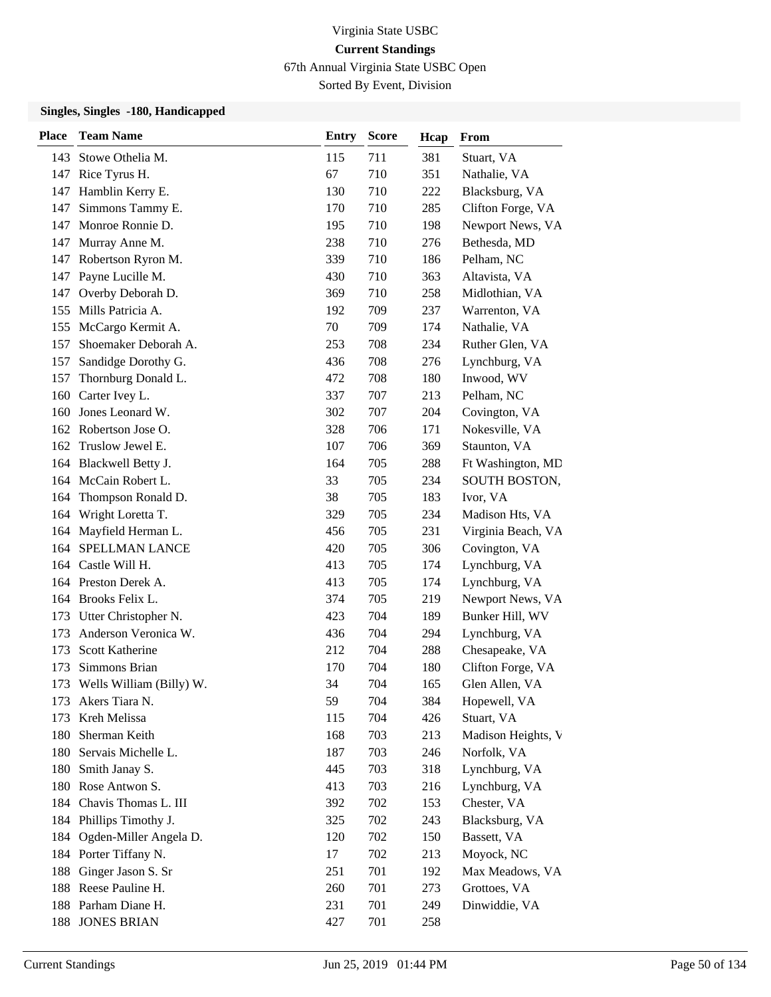67th Annual Virginia State USBC Open

Sorted By Event, Division

| <b>Place</b> | <b>Team Name</b>           | <b>Entry</b> | <b>Score</b> | Hcap | From               |
|--------------|----------------------------|--------------|--------------|------|--------------------|
|              | 143 Stowe Othelia M.       | 115          | 711          | 381  | Stuart, VA         |
|              | 147 Rice Tyrus H.          | 67           | 710          | 351  | Nathalie, VA       |
| 147          | Hamblin Kerry E.           | 130          | 710          | 222  | Blacksburg, VA     |
| 147          | Simmons Tammy E.           | 170          | 710          | 285  | Clifton Forge, VA  |
| 147          | Monroe Ronnie D.           | 195          | 710          | 198  | Newport News, VA   |
| 147          | Murray Anne M.             | 238          | 710          | 276  | Bethesda, MD       |
| 147          | Robertson Ryron M.         | 339          | 710          | 186  | Pelham, NC         |
| 147          | Payne Lucille M.           | 430          | 710          | 363  | Altavista, VA      |
| 147          | Overby Deborah D.          | 369          | 710          | 258  | Midlothian, VA     |
| 155          | Mills Patricia A.          | 192          | 709          | 237  | Warrenton, VA      |
| 155          | McCargo Kermit A.          | 70           | 709          | 174  | Nathalie, VA       |
| 157          | Shoemaker Deborah A.       | 253          | 708          | 234  | Ruther Glen, VA    |
| 157          | Sandidge Dorothy G.        | 436          | 708          | 276  | Lynchburg, VA      |
| 157          | Thornburg Donald L.        | 472          | 708          | 180  | Inwood, WV         |
| 160          | Carter Ivey L.             | 337          | 707          | 213  | Pelham, NC         |
| 160          | Jones Leonard W.           | 302          | 707          | 204  | Covington, VA      |
|              | 162 Robertson Jose O.      | 328          | 706          | 171  | Nokesville, VA     |
| 162          | Truslow Jewel E.           | 107          | 706          | 369  | Staunton, VA       |
| 164          | Blackwell Betty J.         | 164          | 705          | 288  | Ft Washington, MD  |
| 164          | McCain Robert L.           | 33           | 705          | 234  | SOUTH BOSTON,      |
| 164          | Thompson Ronald D.         | 38           | 705          | 183  | Ivor, VA           |
| 164          | Wright Loretta T.          | 329          | 705          | 234  | Madison Hts, VA    |
| 164          | Mayfield Herman L.         | 456          | 705          | 231  | Virginia Beach, VA |
| 164          | SPELLMAN LANCE             | 420          | 705          | 306  | Covington, VA      |
| 164          | Castle Will H.             | 413          | 705          | 174  | Lynchburg, VA      |
| 164          | Preston Derek A.           | 413          | 705          | 174  | Lynchburg, VA      |
|              | 164 Brooks Felix L.        | 374          | 705          | 219  | Newport News, VA   |
| 173          | Utter Christopher N.       | 423          | 704          | 189  | Bunker Hill, WV    |
| 173          | Anderson Veronica W.       | 436          | 704          | 294  | Lynchburg, VA      |
| 173          | Scott Katherine            | 212          | 704          | 288  | Chesapeake, VA     |
| 173          | Simmons Brian              | 170          | 704          | 180  | Clifton Forge, VA  |
| 173          | Wells William (Billy) W.   | 34           | 704          | 165  | Glen Allen, VA     |
| 173          | Akers Tiara N.             | 59           | 704          | 384  | Hopewell, VA       |
| 173          | Kreh Melissa               | 115          | 704          | 426  | Stuart, VA         |
| 180          | Sherman Keith              | 168          | 703          | 213  | Madison Heights, V |
| 180          | Servais Michelle L.        | 187          | 703          | 246  | Norfolk, VA        |
| 180          | Smith Janay S.             | 445          | 703          | 318  | Lynchburg, VA      |
|              | 180 Rose Antwon S.         | 413          | 703          | 216  | Lynchburg, VA      |
| 184          | Chavis Thomas L. III       | 392          | 702          | 153  | Chester, VA        |
|              | 184 Phillips Timothy J.    | 325          | 702          | 243  | Blacksburg, VA     |
|              | 184 Ogden-Miller Angela D. | 120          | 702          | 150  | Bassett, VA        |
|              | 184 Porter Tiffany N.      | 17           | 702          | 213  | Moyock, NC         |
| 188          | Ginger Jason S. Sr         | 251          | 701          | 192  | Max Meadows, VA    |
|              | 188 Reese Pauline H.       | 260          | 701          | 273  | Grottoes, VA       |
|              | 188 Parham Diane H.        | 231          | 701          | 249  | Dinwiddie, VA      |
| 188          | <b>JONES BRIAN</b>         | 427          | 701          | 258  |                    |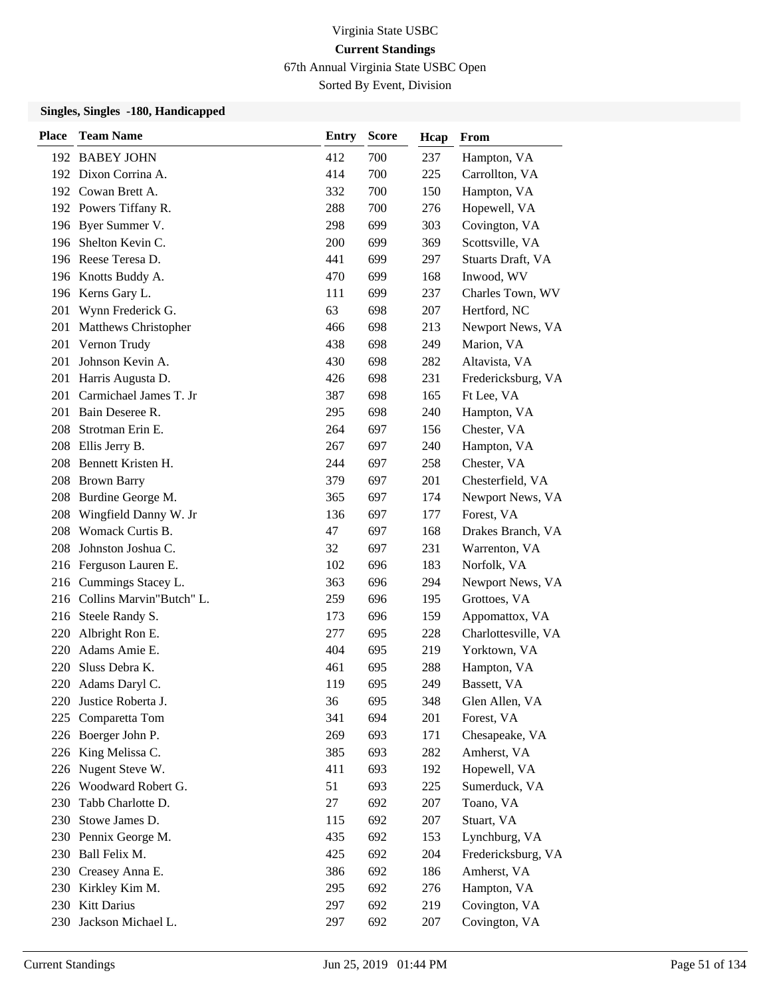67th Annual Virginia State USBC Open

Sorted By Event, Division

| <b>Place</b> | <b>Team Name</b>             | <b>Entry</b> | <b>Score</b> | Hcap | From                |
|--------------|------------------------------|--------------|--------------|------|---------------------|
|              | 192 BABEY JOHN               | 412          | 700          | 237  | Hampton, VA         |
|              | 192 Dixon Corrina A.         | 414          | 700          | 225  | Carrollton, VA      |
|              | 192 Cowan Brett A.           | 332          | 700          | 150  | Hampton, VA         |
|              | 192 Powers Tiffany R.        | 288          | 700          | 276  | Hopewell, VA        |
|              | 196 Byer Summer V.           | 298          | 699          | 303  | Covington, VA       |
| 196          | Shelton Kevin C.             | 200          | 699          | 369  | Scottsville, VA     |
|              | 196 Reese Teresa D.          | 441          | 699          | 297  | Stuarts Draft, VA   |
|              | 196 Knotts Buddy A.          | 470          | 699          | 168  | Inwood, WV          |
|              | 196 Kerns Gary L.            | 111          | 699          | 237  | Charles Town, WV    |
| 201          | Wynn Frederick G.            | 63           | 698          | 207  | Hertford, NC        |
| 201          | <b>Matthews Christopher</b>  | 466          | 698          | 213  | Newport News, VA    |
| 201          | Vernon Trudy                 | 438          | 698          | 249  | Marion, VA          |
| 201          | Johnson Kevin A.             | 430          | 698          | 282  | Altavista, VA       |
| 201          | Harris Augusta D.            | 426          | 698          | 231  | Fredericksburg, VA  |
| 201          | Carmichael James T. Jr       | 387          | 698          | 165  | Ft Lee, VA          |
|              | 201 Bain Deseree R.          | 295          | 698          | 240  | Hampton, VA         |
| 208          | Strotman Erin E.             | 264          | 697          | 156  | Chester, VA         |
|              | 208 Ellis Jerry B.           | 267          | 697          | 240  | Hampton, VA         |
|              | 208 Bennett Kristen H.       | 244          | 697          | 258  | Chester, VA         |
|              | 208 Brown Barry              | 379          | 697          | 201  | Chesterfield, VA    |
|              | 208 Burdine George M.        | 365          | 697          | 174  | Newport News, VA    |
| 208          | Wingfield Danny W. Jr        | 136          | 697          | 177  | Forest, VA          |
| 208          | Womack Curtis B.             | 47           | 697          | 168  | Drakes Branch, VA   |
| 208          | Johnston Joshua C.           | 32           | 697          | 231  | Warrenton, VA       |
|              | 216 Ferguson Lauren E.       | 102          | 696          | 183  | Norfolk, VA         |
|              | 216 Cummings Stacey L.       | 363          | 696          | 294  | Newport News, VA    |
|              | 216 Collins Marvin"Butch" L. | 259          | 696          | 195  | Grottoes, VA        |
| 216          | Steele Randy S.              | 173          | 696          | 159  | Appomattox, VA      |
| 220          | Albright Ron E.              | 277          | 695          | 228  | Charlottesville, VA |
| 220          | Adams Amie E.                | 404          | 695          | 219  | Yorktown, VA        |
| 220          | Sluss Debra K.               | 461          | 695          | 288  | Hampton, VA         |
|              | 220 Adams Daryl C.           | 119          | 695          | 249  | Bassett, VA         |
|              | 220 Justice Roberta J.       | 36           | 695          | 348  | Glen Allen, VA      |
| 225          | Comparetta Tom               | 341          | 694          | 201  | Forest, VA          |
|              | 226 Boerger John P.          | 269          | 693          | 171  | Chesapeake, VA      |
|              | 226 King Melissa C.          | 385          | 693          | 282  | Amherst, VA         |
|              | 226 Nugent Steve W.          | 411          | 693          | 192  | Hopewell, VA        |
|              | 226 Woodward Robert G.       | 51           | 693          | 225  | Sumerduck, VA       |
| 230          | Tabb Charlotte D.            | 27           | 692          | 207  | Toano, VA           |
| 230          | Stowe James D.               | 115          | 692          | 207  | Stuart, VA          |
|              | 230 Pennix George M.         | 435          | 692          | 153  | Lynchburg, VA       |
|              | 230 Ball Felix M.            | 425          | 692          | 204  | Fredericksburg, VA  |
| 230          | Creasey Anna E.              | 386          | 692          | 186  | Amherst, VA         |
|              | 230 Kirkley Kim M.           | 295          | 692          | 276  | Hampton, VA         |
|              | 230 Kitt Darius              | 297          | 692          | 219  | Covington, VA       |
|              | 230 Jackson Michael L.       | 297          | 692          | 207  | Covington, VA       |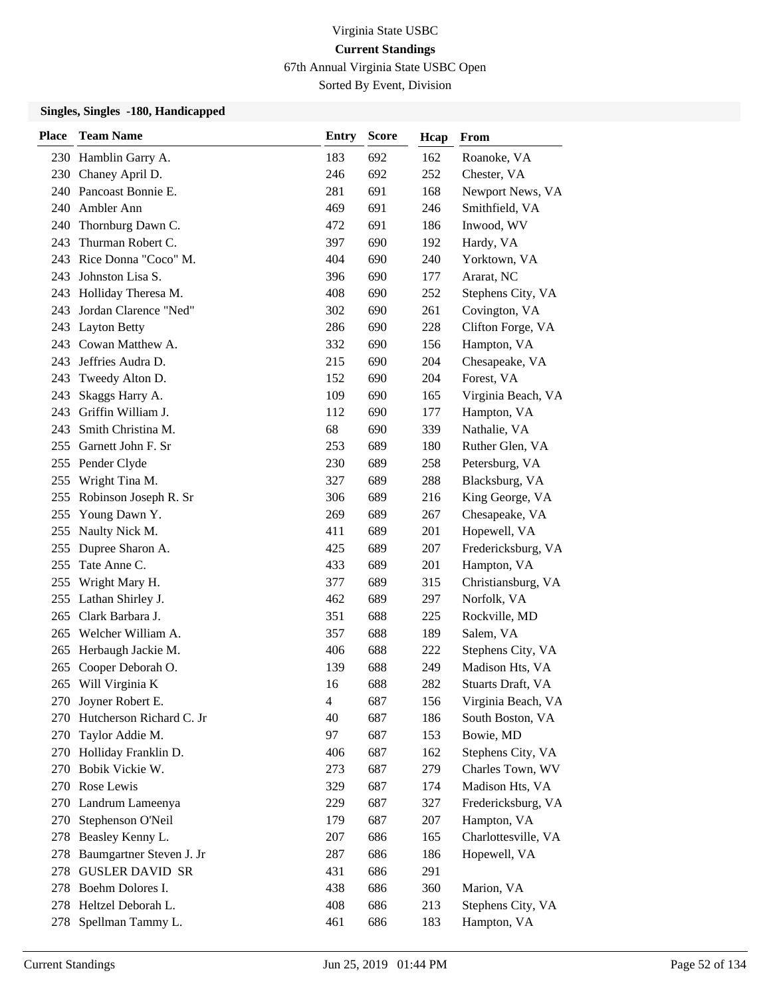67th Annual Virginia State USBC Open

Sorted By Event, Division

| <b>Place</b> | <b>Team Name</b>          | <b>Entry</b> | <b>Score</b> | Hcap | From                |
|--------------|---------------------------|--------------|--------------|------|---------------------|
|              | 230 Hamblin Garry A.      | 183          | 692          | 162  | Roanoke, VA         |
|              | 230 Chaney April D.       | 246          | 692          | 252  | Chester, VA         |
|              | 240 Pancoast Bonnie E.    | 281          | 691          | 168  | Newport News, VA    |
|              | 240 Ambler Ann            | 469          | 691          | 246  | Smithfield, VA      |
|              | 240 Thornburg Dawn C.     | 472          | 691          | 186  | Inwood, WV          |
| 243          | Thurman Robert C.         | 397          | 690          | 192  | Hardy, VA           |
| 243          | Rice Donna "Coco" M.      | 404          | 690          | 240  | Yorktown, VA        |
| 243          | Johnston Lisa S.          | 396          | 690          | 177  | Ararat, NC          |
| 243          | Holliday Theresa M.       | 408          | 690          | 252  | Stephens City, VA   |
| 243          | Jordan Clarence "Ned"     | 302          | 690          | 261  | Covington, VA       |
| 243          | <b>Layton Betty</b>       | 286          | 690          | 228  | Clifton Forge, VA   |
| 243          | Cowan Matthew A.          | 332          | 690          | 156  | Hampton, VA         |
| 243          | Jeffries Audra D.         | 215          | 690          | 204  | Chesapeake, VA      |
| 243          | Tweedy Alton D.           | 152          | 690          | 204  | Forest, VA          |
| 243          | Skaggs Harry A.           | 109          | 690          | 165  | Virginia Beach, VA  |
| 243          | Griffin William J.        | 112          | 690          | 177  | Hampton, VA         |
| 243          | Smith Christina M.        | 68           | 690          | 339  | Nathalie, VA        |
| 255          | Garnett John F. Sr        | 253          | 689          | 180  | Ruther Glen, VA     |
|              | 255 Pender Clyde          | 230          | 689          | 258  | Petersburg, VA      |
| 255          | Wright Tina M.            | 327          | 689          | 288  | Blacksburg, VA      |
|              | 255 Robinson Joseph R. Sr | 306          | 689          | 216  | King George, VA     |
| 255          | Young Dawn Y.             | 269          | 689          | 267  | Chesapeake, VA      |
| 255          | Naulty Nick M.            | 411          | 689          | 201  | Hopewell, VA        |
|              | 255 Dupree Sharon A.      | 425          | 689          | 207  | Fredericksburg, VA  |
| 255          | Tate Anne C.              | 433          | 689          | 201  | Hampton, VA         |
| 255          | Wright Mary H.            | 377          | 689          | 315  | Christiansburg, VA  |
| 255          | Lathan Shirley J.         | 462          | 689          | 297  | Norfolk, VA         |
| 265          | Clark Barbara J.          | 351          | 688          | 225  | Rockville, MD       |
| 265          | Welcher William A.        | 357          | 688          | 189  | Salem, VA           |
| 265          | Herbaugh Jackie M.        | 406          | 688          | 222  | Stephens City, VA   |
| 265          | Cooper Deborah O.         | 139          | 688          | 249  | Madison Hts, VA     |
|              | 265 Will Virginia K       | 16           | 688          | 282  | Stuarts Draft, VA   |
|              | 270 Joyner Robert E.      | 4            | 687          | 156  | Virginia Beach, VA  |
| 270          | Hutcherson Richard C. Jr  | 40           | 687          | 186  | South Boston, VA    |
| 270          | Taylor Addie M.           | 97           | 687          | 153  | Bowie, MD           |
|              | 270 Holliday Franklin D.  | 406          | 687          | 162  | Stephens City, VA   |
|              | 270 Bobik Vickie W.       | 273          | 687          | 279  | Charles Town, WV    |
|              | 270 Rose Lewis            | 329          | 687          | 174  | Madison Hts, VA     |
| 270          | Landrum Lameenya          | 229          | 687          | 327  | Fredericksburg, VA  |
| 270          | Stephenson O'Neil         | 179          | 687          | 207  | Hampton, VA         |
|              | 278 Beasley Kenny L.      | 207          | 686          | 165  | Charlottesville, VA |
| 278          | Baumgartner Steven J. Jr  | 287          | 686          | 186  | Hopewell, VA        |
| 278          | <b>GUSLER DAVID SR</b>    | 431          | 686          | 291  |                     |
|              | 278 Boehm Dolores I.      | 438          | 686          | 360  | Marion, VA          |
|              | 278 Heltzel Deborah L.    | 408          | 686          | 213  | Stephens City, VA   |
| 278          | Spellman Tammy L.         | 461          | 686          | 183  | Hampton, VA         |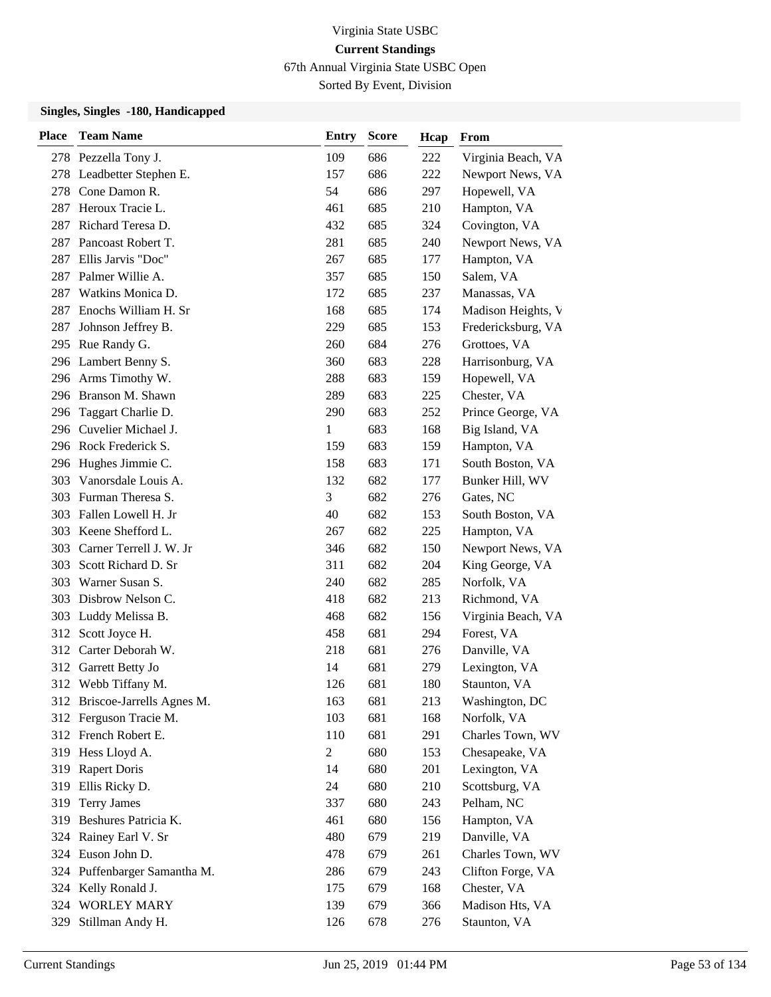67th Annual Virginia State USBC Open

Sorted By Event, Division

| <b>Place</b> | <b>Team Name</b>              | <b>Entry</b>   | <b>Score</b> | Hcap | From               |
|--------------|-------------------------------|----------------|--------------|------|--------------------|
|              | 278 Pezzella Tony J.          | 109            | 686          | 222  | Virginia Beach, VA |
|              | 278 Leadbetter Stephen E.     | 157            | 686          | 222  | Newport News, VA   |
|              | 278 Cone Damon R.             | 54             | 686          | 297  | Hopewell, VA       |
|              | 287 Heroux Tracie L.          | 461            | 685          | 210  | Hampton, VA        |
| 287          | Richard Teresa D.             | 432            | 685          | 324  | Covington, VA      |
| 287          | Pancoast Robert T.            | 281            | 685          | 240  | Newport News, VA   |
| 287          | Ellis Jarvis "Doc"            | 267            | 685          | 177  | Hampton, VA        |
|              | 287 Palmer Willie A.          | 357            | 685          | 150  | Salem, VA          |
| 287 -        | Watkins Monica D.             | 172            | 685          | 237  | Manassas, VA       |
| 287          | Enochs William H. Sr          | 168            | 685          | 174  | Madison Heights, V |
| 287          | Johnson Jeffrey B.            | 229            | 685          | 153  | Fredericksburg, VA |
|              | 295 Rue Randy G.              | 260            | 684          | 276  | Grottoes, VA       |
|              | 296 Lambert Benny S.          | 360            | 683          | 228  | Harrisonburg, VA   |
|              | 296 Arms Timothy W.           | 288            | 683          | 159  | Hopewell, VA       |
|              | 296 Branson M. Shawn          | 289            | 683          | 225  | Chester, VA        |
|              | 296 Taggart Charlie D.        | 290            | 683          | 252  | Prince George, VA  |
|              | 296 Cuvelier Michael J.       | 1              | 683          | 168  | Big Island, VA     |
|              | 296 Rock Frederick S.         | 159            | 683          | 159  | Hampton, VA        |
|              | 296 Hughes Jimmie C.          | 158            | 683          | 171  | South Boston, VA   |
| 303          | Vanorsdale Louis A.           | 132            | 682          | 177  | Bunker Hill, WV    |
|              | 303 Furman Theresa S.         | 3              | 682          | 276  | Gates, NC          |
| 303          | Fallen Lowell H. Jr           | 40             | 682          | 153  | South Boston, VA   |
|              | 303 Keene Shefford L.         | 267            | 682          | 225  | Hampton, VA        |
|              | 303 Carner Terrell J. W. Jr   | 346            | 682          | 150  | Newport News, VA   |
| 303          | Scott Richard D. Sr           | 311            | 682          | 204  | King George, VA    |
| 303          | Warner Susan S.               | 240            | 682          | 285  | Norfolk, VA        |
| 303          | Disbrow Nelson C.             | 418            | 682          | 213  | Richmond, VA       |
|              | 303 Luddy Melissa B.          | 468            | 682          | 156  | Virginia Beach, VA |
| 312          | Scott Joyce H.                | 458            | 681          | 294  | Forest, VA         |
|              | 312 Carter Deborah W.         | 218            | 681          | 276  | Danville, VA       |
| 312          | Garrett Betty Jo              | 14             | 681          | 279  | Lexington, VA      |
|              | 312 Webb Tiffany M.           | 126            | 681          | 180  | Staunton, VA       |
|              | 312 Briscoe-Jarrells Agnes M. | 163            | 681          | 213  | Washington, DC     |
|              | 312 Ferguson Tracie M.        | 103            | 681          | 168  | Norfolk, VA        |
|              | 312 French Robert E.          | 110            | 681          | 291  | Charles Town, WV   |
|              | 319 Hess Lloyd A.             | $\overline{c}$ | 680          | 153  | Chesapeake, VA     |
| 319          | <b>Rapert Doris</b>           | 14             | 680          | 201  | Lexington, VA      |
|              | 319 Ellis Ricky D.            | 24             | 680          | 210  | Scottsburg, VA     |
| 319          | <b>Terry James</b>            | 337            | 680          | 243  | Pelham, NC         |
| 319          | Beshures Patricia K.          | 461            | 680          | 156  | Hampton, VA        |
|              | 324 Rainey Earl V. Sr         | 480            | 679          | 219  | Danville, VA       |
| 324          | Euson John D.                 | 478            | 679          | 261  | Charles Town, WV   |
| 324          | Puffenbarger Samantha M.      | 286            | 679          | 243  | Clifton Forge, VA  |
|              | 324 Kelly Ronald J.           | 175            | 679          | 168  | Chester, VA        |
|              | 324 WORLEY MARY               | 139            | 679          | 366  | Madison Hts, VA    |
| 329          | Stillman Andy H.              | 126            | 678          | 276  | Staunton, VA       |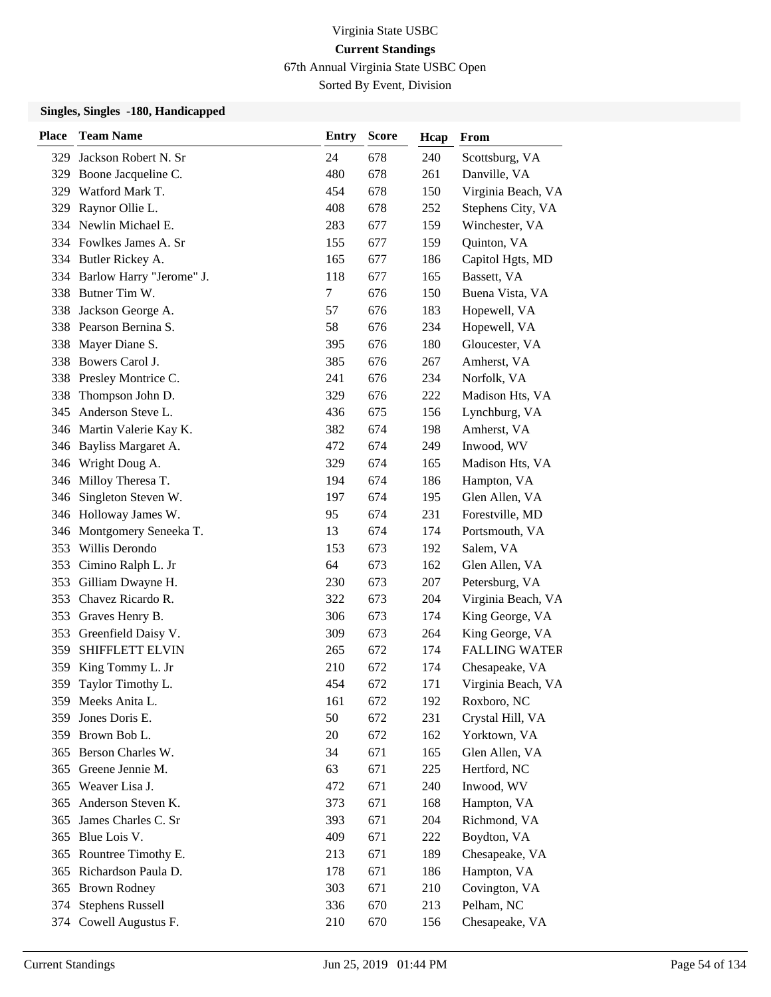67th Annual Virginia State USBC Open

Sorted By Event, Division

| <b>Place</b> | <b>Team Name</b>             | <b>Entry</b> | <b>Score</b> | Hcap | From                 |
|--------------|------------------------------|--------------|--------------|------|----------------------|
|              | 329 Jackson Robert N. Sr     | 24           | 678          | 240  | Scottsburg, VA       |
| 329          | Boone Jacqueline C.          | 480          | 678          | 261  | Danville, VA         |
| 329          | Watford Mark T.              | 454          | 678          | 150  | Virginia Beach, VA   |
| 329          | Raynor Ollie L.              | 408          | 678          | 252  | Stephens City, VA    |
|              | 334 Newlin Michael E.        | 283          | 677          | 159  | Winchester, VA       |
|              | 334 Fowlkes James A. Sr      | 155          | 677          | 159  | Quinton, VA          |
| 334          | Butler Rickey A.             | 165          | 677          | 186  | Capitol Hgts, MD     |
|              | 334 Barlow Harry "Jerome" J. | 118          | 677          | 165  | Bassett, VA          |
|              | 338 Butner Tim W.            | $\tau$       | 676          | 150  | Buena Vista, VA      |
| 338          | Jackson George A.            | 57           | 676          | 183  | Hopewell, VA         |
|              | 338 Pearson Bernina S.       | 58           | 676          | 234  | Hopewell, VA         |
| 338          | Mayer Diane S.               | 395          | 676          | 180  | Gloucester, VA       |
| 338          | Bowers Carol J.              | 385          | 676          | 267  | Amherst, VA          |
| 338          | Presley Montrice C.          | 241          | 676          | 234  | Norfolk, VA          |
| 338          | Thompson John D.             | 329          | 676          | 222  | Madison Hts, VA      |
| 345          | Anderson Steve L.            | 436          | 675          | 156  | Lynchburg, VA        |
|              | 346 Martin Valerie Kay K.    | 382          | 674          | 198  | Amherst, VA          |
|              | 346 Bayliss Margaret A.      | 472          | 674          | 249  | Inwood, WV           |
| 346          | Wright Doug A.               | 329          | 674          | 165  | Madison Hts, VA      |
|              | 346 Milloy Theresa T.        | 194          | 674          | 186  | Hampton, VA          |
| 346          | Singleton Steven W.          | 197          | 674          | 195  | Glen Allen, VA       |
|              | 346 Holloway James W.        | 95           | 674          | 231  | Forestville, MD      |
| 346          | Montgomery Seneeka T.        | 13           | 674          | 174  | Portsmouth, VA       |
|              | 353 Willis Derondo           | 153          | 673          | 192  | Salem, VA            |
| 353          | Cimino Ralph L. Jr           | 64           | 673          | 162  | Glen Allen, VA       |
| 353          | Gilliam Dwayne H.            | 230          | 673          | 207  | Petersburg, VA       |
| 353          | Chavez Ricardo R.            | 322          | 673          | 204  | Virginia Beach, VA   |
|              | 353 Graves Henry B.          | 306          | 673          | 174  | King George, VA      |
| 353          | Greenfield Daisy V.          | 309          | 673          | 264  | King George, VA      |
| 359          | SHIFFLETT ELVIN              | 265          | 672          | 174  | <b>FALLING WATER</b> |
| 359          | King Tommy L. Jr             | 210          | 672          | 174  | Chesapeake, VA       |
| 359          | Taylor Timothy L.            | 454          | 672          | 171  | Virginia Beach, VA   |
|              | 359 Meeks Anita L.           | 161          | 672          | 192  | Roxboro, NC          |
| 359          | Jones Doris E.               | 50           | 672          | 231  | Crystal Hill, VA     |
| 359          | Brown Bob L.                 | 20           | 672          | 162  | Yorktown, VA         |
|              | 365 Berson Charles W.        | 34           | 671          | 165  | Glen Allen, VA       |
|              | 365 Greene Jennie M.         | 63           | 671          | 225  | Hertford, NC         |
|              | 365 Weaver Lisa J.           | 472          | 671          | 240  | Inwood, WV           |
| 365          | Anderson Steven K.           | 373          | 671          | 168  | Hampton, VA          |
| 365          | James Charles C. Sr          | 393          | 671          | 204  | Richmond, VA         |
| 365          | Blue Lois V.                 | 409          | 671          | 222  | Boydton, VA          |
| 365          | Rountree Timothy E.          | 213          | 671          | 189  | Chesapeake, VA       |
| 365          | Richardson Paula D.          | 178          | 671          | 186  | Hampton, VA          |
| 365          | <b>Brown Rodney</b>          | 303          | 671          | 210  | Covington, VA        |
|              | 374 Stephens Russell         | 336          | 670          | 213  | Pelham, NC           |
|              | 374 Cowell Augustus F.       | 210          | 670          | 156  | Chesapeake, VA       |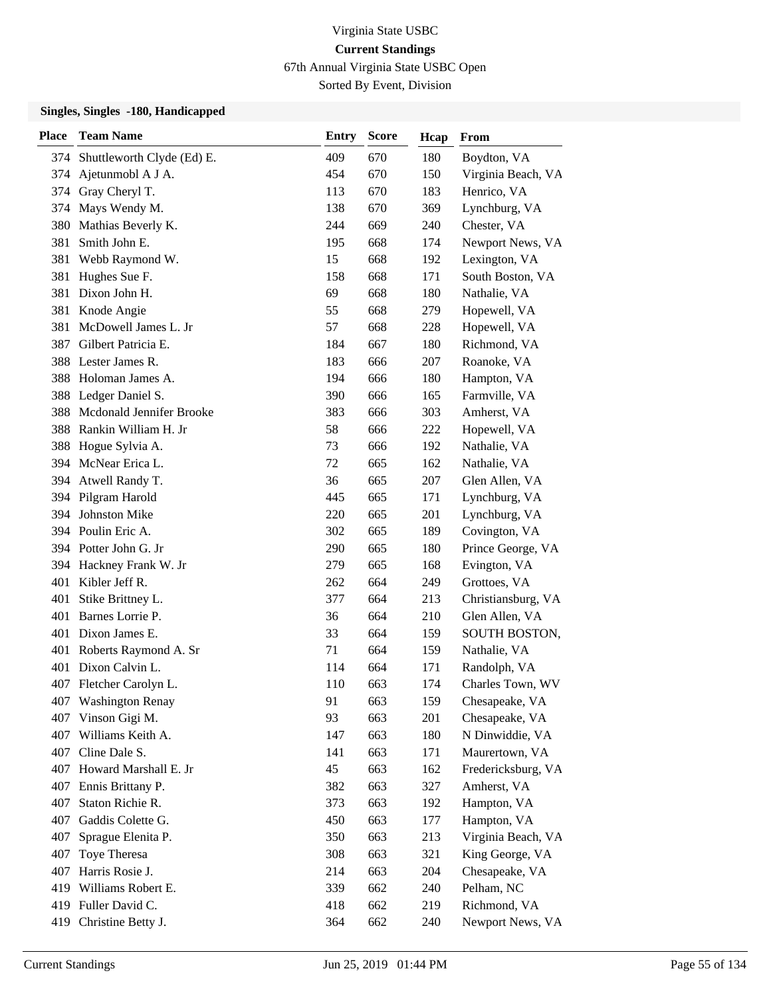67th Annual Virginia State USBC Open

Sorted By Event, Division

| <b>Place</b> | <b>Team Name</b>               | <b>Entry</b> | <b>Score</b> | Hcap | From               |
|--------------|--------------------------------|--------------|--------------|------|--------------------|
|              | 374 Shuttleworth Clyde (Ed) E. | 409          | 670          | 180  | Boydton, VA        |
| 374          | Ajetunmobl A J A.              | 454          | 670          | 150  | Virginia Beach, VA |
| 374          | Gray Cheryl T.                 | 113          | 670          | 183  | Henrico, VA        |
| 374          | Mays Wendy M.                  | 138          | 670          | 369  | Lynchburg, VA      |
| 380          | Mathias Beverly K.             | 244          | 669          | 240  | Chester, VA        |
| 381          | Smith John E.                  | 195          | 668          | 174  | Newport News, VA   |
| 381          | Webb Raymond W.                | 15           | 668          | 192  | Lexington, VA      |
| 381          | Hughes Sue F.                  | 158          | 668          | 171  | South Boston, VA   |
|              | 381 Dixon John H.              | 69           | 668          | 180  | Nathalie, VA       |
|              | 381 Knode Angie                | 55           | 668          | 279  | Hopewell, VA       |
| 381          | McDowell James L. Jr           | 57           | 668          | 228  | Hopewell, VA       |
| 387          | Gilbert Patricia E.            | 184          | 667          | 180  | Richmond, VA       |
| 388          | Lester James R.                | 183          | 666          | 207  | Roanoke, VA        |
| 388          | Holoman James A.               | 194          | 666          | 180  | Hampton, VA        |
| 388          | Ledger Daniel S.               | 390          | 666          | 165  | Farmville, VA      |
| 388          | Mcdonald Jennifer Brooke       | 383          | 666          | 303  | Amherst, VA        |
| 388          | Rankin William H. Jr           | 58           | 666          | 222  | Hopewell, VA       |
| 388          | Hogue Sylvia A.                | 73           | 666          | 192  | Nathalie, VA       |
| 394          | McNear Erica L.                | 72           | 665          | 162  | Nathalie, VA       |
|              | 394 Atwell Randy T.            | 36           | 665          | 207  | Glen Allen, VA     |
|              | 394 Pilgram Harold             | 445          | 665          | 171  | Lynchburg, VA      |
| 394          | Johnston Mike                  | 220          | 665          | 201  | Lynchburg, VA      |
|              | 394 Poulin Eric A.             | 302          | 665          | 189  | Covington, VA      |
|              | 394 Potter John G. Jr          | 290          | 665          | 180  | Prince George, VA  |
|              | 394 Hackney Frank W. Jr        | 279          | 665          | 168  | Evington, VA       |
| 401          | Kibler Jeff R.                 | 262          | 664          | 249  | Grottoes, VA       |
| 401          | Stike Brittney L.              | 377          | 664          | 213  | Christiansburg, VA |
| 401          | Barnes Lorrie P.               | 36           | 664          | 210  | Glen Allen, VA     |
|              | 401 Dixon James E.             | 33           | 664          | 159  | SOUTH BOSTON,      |
| 401          | Roberts Raymond A. Sr          | 71           | 664          | 159  | Nathalie, VA       |
| 401          | Dixon Calvin L.                | 114          | 664          | 171  | Randolph, VA       |
|              | 407 Fletcher Carolyn L.        | 110          | 663          | 174  | Charles Town, WV   |
|              | 407 Washington Renay           | 91           | 663          | 159  | Chesapeake, VA     |
| 407          | Vinson Gigi M.                 | 93           | 663          | 201  | Chesapeake, VA     |
| 407          | Williams Keith A.              | 147          | 663          | 180  | N Dinwiddie, VA    |
| 407          | Cline Dale S.                  | 141          | 663          | 171  | Maurertown, VA     |
|              | 407 Howard Marshall E. Jr      | 45           | 663          | 162  | Fredericksburg, VA |
| 407          | Ennis Brittany P.              | 382          | 663          | 327  | Amherst, VA        |
| 407          | Staton Richie R.               | 373          | 663          | 192  | Hampton, VA        |
| 407          | Gaddis Colette G.              | 450          | 663          | 177  | Hampton, VA        |
| 407          | Sprague Elenita P.             | 350          | 663          | 213  | Virginia Beach, VA |
| 407          | Toye Theresa                   | 308          | 663          | 321  | King George, VA    |
| 407          | Harris Rosie J.                | 214          | 663          | 204  | Chesapeake, VA     |
| 419          | Williams Robert E.             | 339          | 662          | 240  | Pelham, NC         |
|              | 419 Fuller David C.            | 418          | 662          | 219  | Richmond, VA       |
|              | 419 Christine Betty J.         | 364          | 662          | 240  | Newport News, VA   |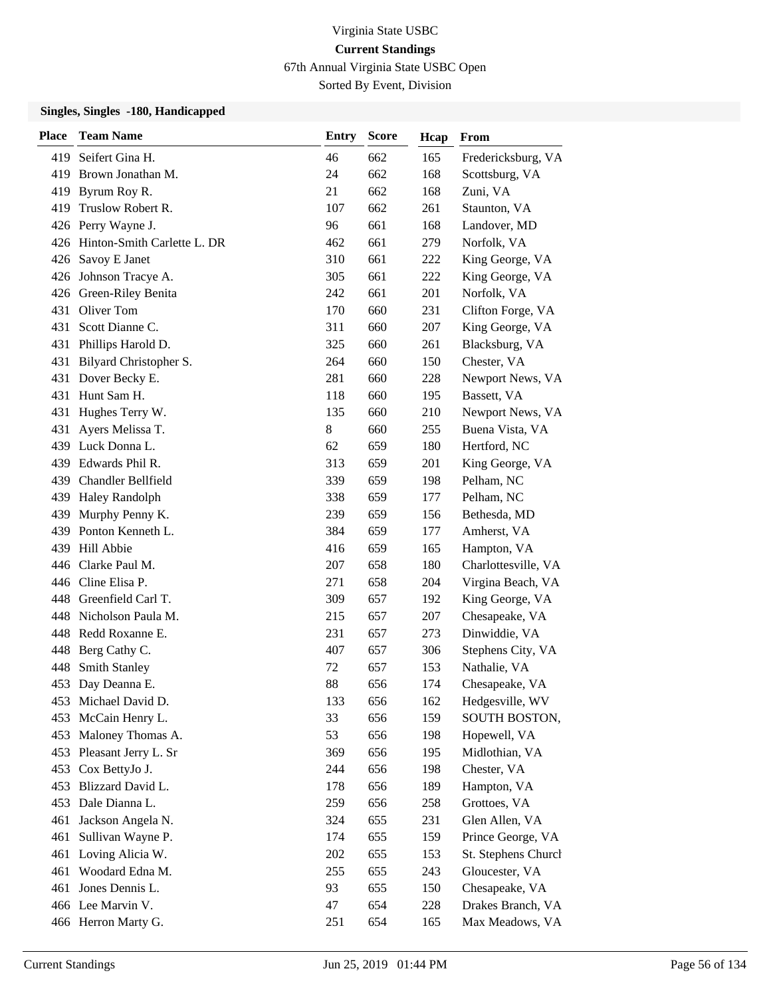67th Annual Virginia State USBC Open

Sorted By Event, Division

| <b>Place</b> | <b>Team Name</b>                | <b>Entry</b> | <b>Score</b> | Hcap | From                 |
|--------------|---------------------------------|--------------|--------------|------|----------------------|
| 419.         | Seifert Gina H.                 | 46           | 662          | 165  | Fredericksburg, VA   |
|              | 419 Brown Jonathan M.           | 24           | 662          | 168  | Scottsburg, VA       |
| 419          | Byrum Roy R.                    | 21           | 662          | 168  | Zuni, VA             |
|              | 419 Truslow Robert R.           | 107          | 662          | 261  | Staunton, VA         |
|              | 426 Perry Wayne J.              | 96           | 661          | 168  | Landover, MD         |
|              | 426 Hinton-Smith Carlette L. DR | 462          | 661          | 279  | Norfolk, VA          |
|              | 426 Savoy E Janet               | 310          | 661          | 222  | King George, VA      |
|              | 426 Johnson Tracye A.           | 305          | 661          | 222  | King George, VA      |
|              | 426 Green-Riley Benita          | 242          | 661          | 201  | Norfolk, VA          |
| 431          | Oliver Tom                      | 170          | 660          | 231  | Clifton Forge, VA    |
| 431          | Scott Dianne C.                 | 311          | 660          | 207  | King George, VA      |
|              | 431 Phillips Harold D.          | 325          | 660          | 261  | Blacksburg, VA       |
| 431          | Bilyard Christopher S.          | 264          | 660          | 150  | Chester, VA          |
| 431          | Dover Becky E.                  | 281          | 660          | 228  | Newport News, VA     |
| 431          | Hunt Sam H.                     | 118          | 660          | 195  | Bassett, VA          |
| 431          | Hughes Terry W.                 | 135          | 660          | 210  | Newport News, VA     |
| 431          | Ayers Melissa T.                | 8            | 660          | 255  | Buena Vista, VA      |
|              | 439 Luck Donna L.               | 62           | 659          | 180  | Hertford, NC         |
|              | 439 Edwards Phil R.             | 313          | 659          | 201  | King George, VA      |
|              | 439 Chandler Bellfield          | 339          | 659          | 198  | Pelham, NC           |
|              | 439 Haley Randolph              | 338          | 659          | 177  | Pelham, NC           |
| 439          | Murphy Penny K.                 | 239          | 659          | 156  | Bethesda, MD         |
|              | 439 Ponton Kenneth L.           | 384          | 659          | 177  | Amherst, VA          |
|              | 439 Hill Abbie                  | 416          | 659          | 165  | Hampton, VA          |
|              | 446 Clarke Paul M.              | 207          | 658          | 180  | Charlottesville, VA  |
|              | 446 Cline Elisa P.              | 271          | 658          | 204  | Virgina Beach, VA    |
|              | 448 Greenfield Carl T.          | 309          | 657          | 192  | King George, VA      |
|              | 448 Nicholson Paula M.          | 215          | 657          | 207  | Chesapeake, VA       |
| 448          | Redd Roxanne E.                 | 231          | 657          | 273  | Dinwiddie, VA        |
| 448          | Berg Cathy C.                   | 407          | 657          | 306  | Stephens City, VA    |
| 448          | Smith Stanley                   | 72           | 657          | 153  | Nathalie, VA         |
| 453          | Day Deanna E.                   | 88           | 656          | 174  | Chesapeake, VA       |
|              | 453 Michael David D.            | 133          | 656          | 162  | Hedgesville, WV      |
| 453          | McCain Henry L.                 | 33           | 656          | 159  | <b>SOUTH BOSTON,</b> |
| 453          | Maloney Thomas A.               | 53           | 656          | 198  | Hopewell, VA         |
| 453          | Pleasant Jerry L. Sr            | 369          | 656          | 195  | Midlothian, VA       |
| 453          | Cox BettyJo J.                  | 244          | 656          | 198  | Chester, VA          |
| 453          | Blizzard David L.               | 178          | 656          | 189  | Hampton, VA          |
| 453          | Dale Dianna L.                  | 259          | 656          | 258  | Grottoes, VA         |
| 461          | Jackson Angela N.               | 324          | 655          | 231  | Glen Allen, VA       |
| 461          | Sullivan Wayne P.               | 174          | 655          | 159  | Prince George, VA    |
| 461          | Loving Alicia W.                | 202          | 655          | 153  | St. Stephens Church  |
| 461          | Woodard Edna M.                 | 255          | 655          | 243  | Gloucester, VA       |
|              | 461 Jones Dennis L.             | 93           | 655          | 150  | Chesapeake, VA       |
|              | 466 Lee Marvin V.               | 47           | 654          | 228  | Drakes Branch, VA    |
|              | 466 Herron Marty G.             | 251          | 654          | 165  | Max Meadows, VA      |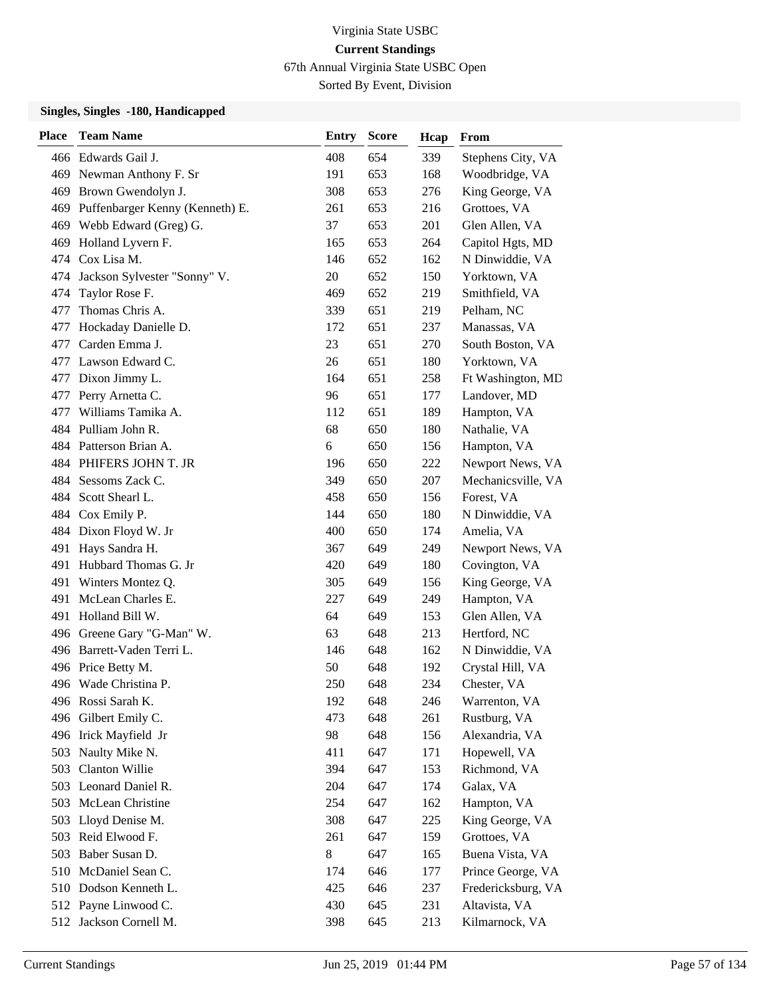67th Annual Virginia State USBC Open

Sorted By Event, Division

| <b>Place</b> | <b>Team Name</b>                    | Entry | <b>Score</b> | Hcap | From               |
|--------------|-------------------------------------|-------|--------------|------|--------------------|
|              | 466 Edwards Gail J.                 | 408   | 654          | 339  | Stephens City, VA  |
|              | 469 Newman Anthony F. Sr            | 191   | 653          | 168  | Woodbridge, VA     |
| 469          | Brown Gwendolyn J.                  | 308   | 653          | 276  | King George, VA    |
|              | 469 Puffenbarger Kenny (Kenneth) E. | 261   | 653          | 216  | Grottoes, VA       |
|              | 469 Webb Edward (Greg) G.           | 37    | 653          | 201  | Glen Allen, VA     |
| 469          | Holland Lyvern F.                   | 165   | 653          | 264  | Capitol Hgts, MD   |
| 474          | Cox Lisa M.                         | 146   | 652          | 162  | N Dinwiddie, VA    |
|              | 474 Jackson Sylvester "Sonny" V.    | 20    | 652          | 150  | Yorktown, VA       |
| 474          | Taylor Rose F.                      | 469   | 652          | 219  | Smithfield, VA     |
| 477          | Thomas Chris A.                     | 339   | 651          | 219  | Pelham, NC         |
| 477          | Hockaday Danielle D.                | 172   | 651          | 237  | Manassas, VA       |
| 477          | Carden Emma J.                      | 23    | 651          | 270  | South Boston, VA   |
| 477          | Lawson Edward C.                    | 26    | 651          | 180  | Yorktown, VA       |
| 477          | Dixon Jimmy L.                      | 164   | 651          | 258  | Ft Washington, MD  |
| 477          | Perry Arnetta C.                    | 96    | 651          | 177  | Landover, MD       |
| 477          | Williams Tamika A.                  | 112   | 651          | 189  | Hampton, VA        |
|              | 484 Pulliam John R.                 | 68    | 650          | 180  | Nathalie, VA       |
|              | 484 Patterson Brian A.              | 6     | 650          | 156  | Hampton, VA        |
|              | 484 PHIFERS JOHN T. JR              | 196   | 650          | 222  | Newport News, VA   |
|              | 484 Sessoms Zack C.                 | 349   | 650          | 207  | Mechanicsville, VA |
| 484          | Scott Shearl L.                     | 458   | 650          | 156  | Forest, VA         |
|              | 484 Cox Emily P.                    | 144   | 650          | 180  | N Dinwiddie, VA    |
|              | 484 Dixon Floyd W. Jr               | 400   | 650          | 174  | Amelia, VA         |
|              | 491 Hays Sandra H.                  | 367   | 649          | 249  | Newport News, VA   |
| 491          | Hubbard Thomas G. Jr                | 420   | 649          | 180  | Covington, VA      |
| 491          | Winters Montez Q.                   | 305   | 649          | 156  | King George, VA    |
| 491          | McLean Charles E.                   | 227   | 649          | 249  | Hampton, VA        |
|              | 491 Holland Bill W.                 | 64    | 649          | 153  | Glen Allen, VA     |
|              | 496 Greene Gary "G-Man" W.          | 63    | 648          | 213  | Hertford, NC       |
|              | 496 Barrett-Vaden Terri L.          | 146   | 648          | 162  | N Dinwiddie, VA    |
|              | 496 Price Betty M.                  | 50    | 648          | 192  | Crystal Hill, VA   |
|              | 496 Wade Christina P.               | 250   | 648          | 234  | Chester, VA        |
|              | 496 Rossi Sarah K.                  | 192   | 648          | 246  | Warrenton, VA      |
| 496          | Gilbert Emily C.                    | 473   | 648          | 261  | Rustburg, VA       |
|              | 496 Irick Mayfield Jr               | 98    | 648          | 156  | Alexandria, VA     |
| 503          | Naulty Mike N.                      | 411   | 647          | 171  | Hopewell, VA       |
| 503          | Clanton Willie                      | 394   | 647          | 153  | Richmond, VA       |
|              | 503 Leonard Daniel R.               | 204   | 647          | 174  | Galax, VA          |
| 503          | McLean Christine                    | 254   | 647          | 162  | Hampton, VA        |
|              | 503 Lloyd Denise M.                 | 308   | 647          | 225  | King George, VA    |
| 503          | Reid Elwood F.                      | 261   | 647          | 159  | Grottoes, VA       |
| 503          | Baber Susan D.                      | 8     | 647          | 165  | Buena Vista, VA    |
| 510          | McDaniel Sean C.                    | 174   | 646          | 177  | Prince George, VA  |
|              | 510 Dodson Kenneth L.               | 425   | 646          | 237  | Fredericksburg, VA |
|              | 512 Payne Linwood C.                | 430   | 645          | 231  | Altavista, VA      |
|              | 512 Jackson Cornell M.              | 398   | 645          | 213  | Kilmarnock, VA     |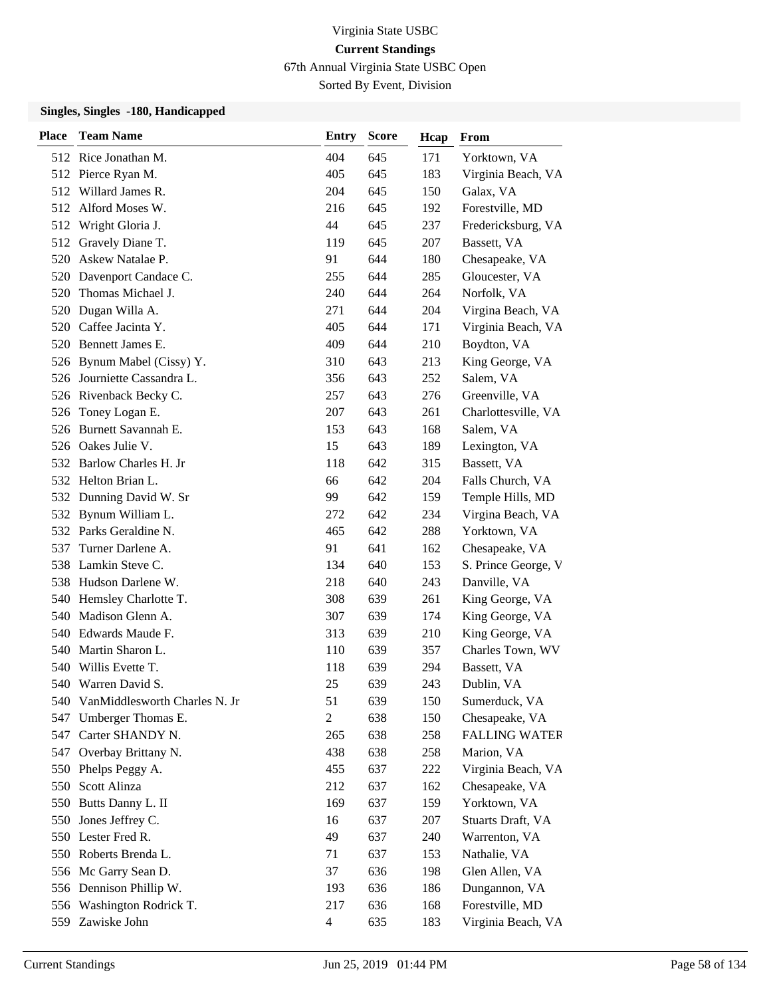67th Annual Virginia State USBC Open

Sorted By Event, Division

| <b>Place</b> | <b>Team Name</b>                  | <b>Entry</b>   | <b>Score</b> | Hcap | From                 |
|--------------|-----------------------------------|----------------|--------------|------|----------------------|
|              | 512 Rice Jonathan M.              | 404            | 645          | 171  | Yorktown, VA         |
|              | 512 Pierce Ryan M.                | 405            | 645          | 183  | Virginia Beach, VA   |
|              | 512 Willard James R.              | 204            | 645          | 150  | Galax, VA            |
|              | 512 Alford Moses W.               | 216            | 645          | 192  | Forestville, MD      |
|              | 512 Wright Gloria J.              | 44             | 645          | 237  | Fredericksburg, VA   |
| 512          | Gravely Diane T.                  | 119            | 645          | 207  | Bassett, VA          |
| 520          | Askew Natalae P.                  | 91             | 644          | 180  | Chesapeake, VA       |
|              | 520 Davenport Candace C.          | 255            | 644          | 285  | Gloucester, VA       |
|              | 520 Thomas Michael J.             | 240            | 644          | 264  | Norfolk, VA          |
| 520          | Dugan Willa A.                    | 271            | 644          | 204  | Virgina Beach, VA    |
| 520          | Caffee Jacinta Y.                 | 405            | 644          | 171  | Virginia Beach, VA   |
|              | 520 Bennett James E.              | 409            | 644          | 210  | Boydton, VA          |
|              | 526 Bynum Mabel (Cissy) Y.        | 310            | 643          | 213  | King George, VA      |
|              | 526 Journiette Cassandra L.       | 356            | 643          | 252  | Salem, VA            |
|              | 526 Rivenback Becky C.            | 257            | 643          | 276  | Greenville, VA       |
|              | 526 Toney Logan E.                | 207            | 643          | 261  | Charlottesville, VA  |
|              | 526 Burnett Savannah E.           | 153            | 643          | 168  | Salem, VA            |
|              | 526 Oakes Julie V.                | 15             | 643          | 189  | Lexington, VA        |
|              | 532 Barlow Charles H. Jr          | 118            | 642          | 315  | Bassett, VA          |
|              | 532 Helton Brian L.               | 66             | 642          | 204  | Falls Church, VA     |
|              | 532 Dunning David W. Sr           | 99             | 642          | 159  | Temple Hills, MD     |
|              | 532 Bynum William L.              | 272            | 642          | 234  | Virgina Beach, VA    |
|              | 532 Parks Geraldine N.            | 465            | 642          | 288  | Yorktown, VA         |
| 537          | Turner Darlene A.                 | 91             | 641          | 162  | Chesapeake, VA       |
|              | 538 Lamkin Steve C.               | 134            | 640          | 153  | S. Prince George, V  |
|              | 538 Hudson Darlene W.             | 218            | 640          | 243  | Danville, VA         |
|              | 540 Hemsley Charlotte T.          | 308            | 639          | 261  | King George, VA      |
|              | 540 Madison Glenn A.              | 307            | 639          | 174  | King George, VA      |
|              | 540 Edwards Maude F.              | 313            | 639          | 210  | King George, VA      |
| 540          | Martin Sharon L.                  | 110            | 639          | 357  | Charles Town, WV     |
|              | 540 Willis Evette T.              | 118            | 639          | 294  | Bassett, VA          |
|              | 540 Warren David S.               | 25             | 639          | 243  | Dublin, VA           |
|              | 540 VanMiddlesworth Charles N. Jr | 51             | 639          | 150  | Sumerduck, VA        |
| 547          | Umberger Thomas E.                | $\overline{2}$ | 638          | 150  | Chesapeake, VA       |
| 547          | Carter SHANDY N.                  | 265            | 638          | 258  | <b>FALLING WATER</b> |
|              | 547 Overbay Brittany N.           | 438            | 638          | 258  | Marion, VA           |
|              | 550 Phelps Peggy A.               | 455            | 637          | 222  | Virginia Beach, VA   |
|              | 550 Scott Alinza                  | 212            | 637          | 162  | Chesapeake, VA       |
| 550          | Butts Danny L. II                 | 169            | 637          | 159  | Yorktown, VA         |
|              | 550 Jones Jeffrey C.              | 16             | 637          | 207  | Stuarts Draft, VA    |
|              | 550 Lester Fred R.                | 49             | 637          | 240  | Warrenton, VA        |
|              | 550 Roberts Brenda L.             | 71             | 637          | 153  | Nathalie, VA         |
| 556          | Mc Garry Sean D.                  | 37             | 636          | 198  | Glen Allen, VA       |
|              | 556 Dennison Phillip W.           | 193            | 636          | 186  | Dungannon, VA        |
|              | 556 Washington Rodrick T.         | 217            | 636          | 168  | Forestville, MD      |
|              | 559 Zawiske John                  | $\overline{4}$ | 635          | 183  | Virginia Beach, VA   |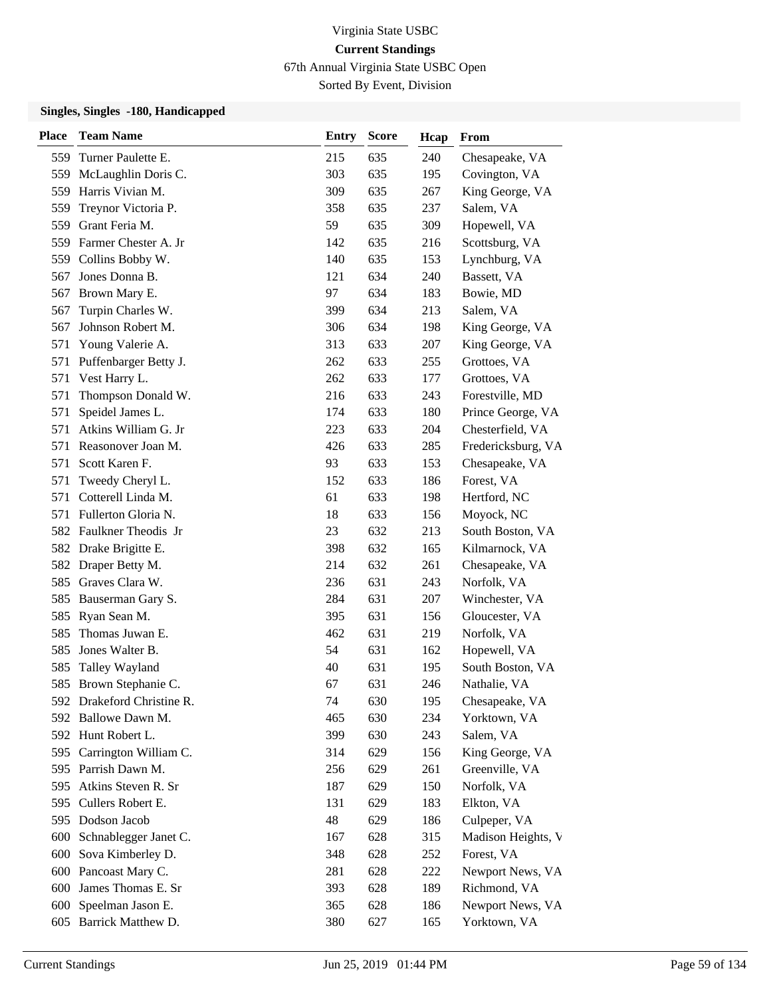67th Annual Virginia State USBC Open

Sorted By Event, Division

| <b>Place</b> | <b>Team Name</b>           | <b>Entry</b> | <b>Score</b> | Hcap | From               |
|--------------|----------------------------|--------------|--------------|------|--------------------|
| 559          | Turner Paulette E.         | 215          | 635          | 240  | Chesapeake, VA     |
| 559          | McLaughlin Doris C.        | 303          | 635          | 195  | Covington, VA      |
| 559          | Harris Vivian M.           | 309          | 635          | 267  | King George, VA    |
| 559          | Treynor Victoria P.        | 358          | 635          | 237  | Salem, VA          |
| 559          | Grant Feria M.             | 59           | 635          | 309  | Hopewell, VA       |
|              | 559 Farmer Chester A. Jr   | 142          | 635          | 216  | Scottsburg, VA     |
| 559          | Collins Bobby W.           | 140          | 635          | 153  | Lynchburg, VA      |
| 567          | Jones Donna B.             | 121          | 634          | 240  | Bassett, VA        |
| 567          | Brown Mary E.              | 97           | 634          | 183  | Bowie, MD          |
| 567          | Turpin Charles W.          | 399          | 634          | 213  | Salem, VA          |
| 567          | Johnson Robert M.          | 306          | 634          | 198  | King George, VA    |
| 571          | Young Valerie A.           | 313          | 633          | 207  | King George, VA    |
| 571          | Puffenbarger Betty J.      | 262          | 633          | 255  | Grottoes, VA       |
| 571          | Vest Harry L.              | 262          | 633          | 177  | Grottoes, VA       |
| 571          | Thompson Donald W.         | 216          | 633          | 243  | Forestville, MD    |
| 571          | Speidel James L.           | 174          | 633          | 180  | Prince George, VA  |
| 571          | Atkins William G. Jr       | 223          | 633          | 204  | Chesterfield, VA   |
| 571          | Reasonover Joan M.         | 426          | 633          | 285  | Fredericksburg, VA |
| 571          | Scott Karen F.             | 93           | 633          | 153  | Chesapeake, VA     |
| 571          | Tweedy Cheryl L.           | 152          | 633          | 186  | Forest, VA         |
| 571          | Cotterell Linda M.         | 61           | 633          | 198  | Hertford, NC       |
| 571          | Fullerton Gloria N.        | 18           | 633          | 156  | Moyock, NC         |
|              | 582 Faulkner Theodis Jr    | 23           | 632          | 213  | South Boston, VA   |
|              | 582 Drake Brigitte E.      | 398          | 632          | 165  | Kilmarnock, VA     |
| 582          | Draper Betty M.            | 214          | 632          | 261  | Chesapeake, VA     |
| 585          | Graves Clara W.            | 236          | 631          | 243  | Norfolk, VA        |
| 585          | Bauserman Gary S.          | 284          | 631          | 207  | Winchester, VA     |
| 585          | Ryan Sean M.               | 395          | 631          | 156  | Gloucester, VA     |
| 585          | Thomas Juwan E.            | 462          | 631          | 219  | Norfolk, VA        |
| 585          | Jones Walter B.            | 54           | 631          | 162  | Hopewell, VA       |
| 585          | Talley Wayland             | 40           | 631          | 195  | South Boston, VA   |
|              | 585 Brown Stephanie C.     | 67           | 631          | 246  | Nathalie, VA       |
|              | 592 Drakeford Christine R. | 74           | 630          | 195  | Chesapeake, VA     |
| 592.         | Ballowe Dawn M.            | 465          | 630          | 234  | Yorktown, VA       |
|              | 592 Hunt Robert L.         | 399          | 630          | 243  | Salem, VA          |
|              | 595 Carrington William C.  | 314          | 629          | 156  | King George, VA    |
|              | 595 Parrish Dawn M.        | 256          | 629          | 261  | Greenville, VA     |
| 595          | Atkins Steven R. Sr        | 187          | 629          | 150  | Norfolk, VA        |
| 595          | Cullers Robert E.          | 131          | 629          | 183  | Elkton, VA         |
|              | 595 Dodson Jacob           | 48           | 629          | 186  | Culpeper, VA       |
| 600          | Schnablegger Janet C.      | 167          | 628          | 315  | Madison Heights, V |
| 600          | Sova Kimberley D.          | 348          | 628          | 252  | Forest, VA         |
|              | 600 Pancoast Mary C.       | 281          | 628          | 222  | Newport News, VA   |
| 600          | James Thomas E. Sr         | 393          | 628          | 189  | Richmond, VA       |
| 600          | Speelman Jason E.          | 365          | 628          | 186  | Newport News, VA   |
|              | 605 Barrick Matthew D.     | 380          | 627          | 165  | Yorktown, VA       |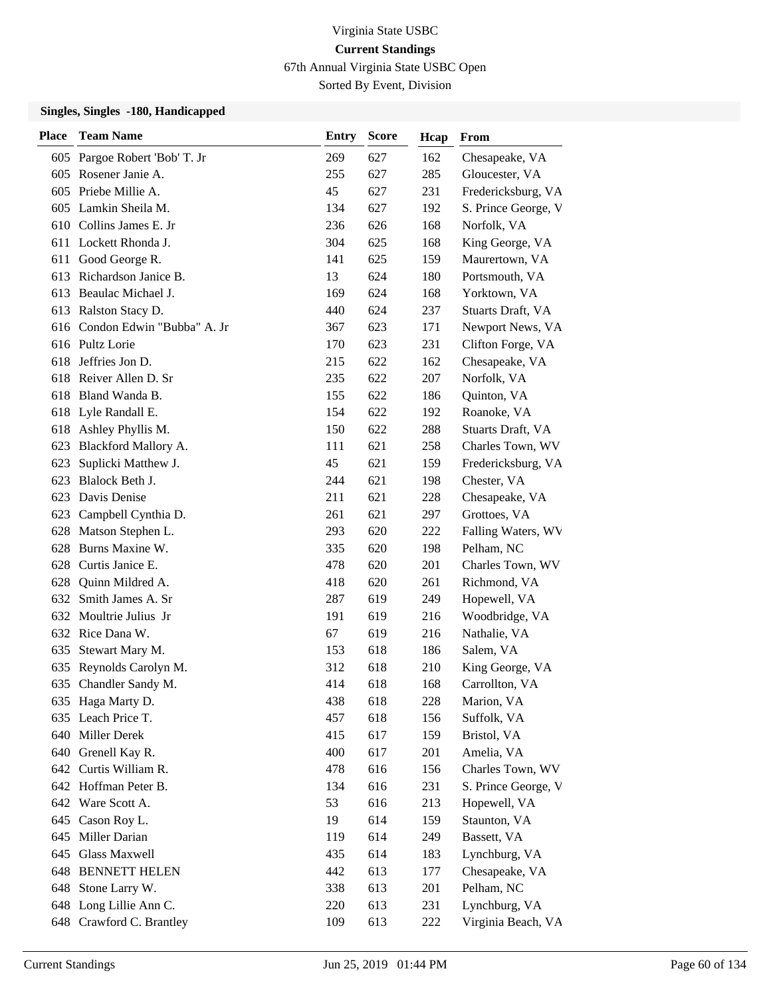67th Annual Virginia State USBC Open

Sorted By Event, Division

| <b>Place</b> | <b>Team Name</b>              | <b>Entry</b> | <b>Score</b> | Hcap | From                |
|--------------|-------------------------------|--------------|--------------|------|---------------------|
|              | 605 Pargoe Robert 'Bob' T. Jr | 269          | 627          | 162  | Chesapeake, VA      |
|              | 605 Rosener Janie A.          | 255          | 627          | 285  | Gloucester, VA      |
| 605          | Priebe Millie A.              | 45           | 627          | 231  | Fredericksburg, VA  |
|              | 605 Lamkin Sheila M.          | 134          | 627          | 192  | S. Prince George, V |
|              | 610 Collins James E. Jr       | 236          | 626          | 168  | Norfolk, VA         |
|              | 611 Lockett Rhonda J.         | 304          | 625          | 168  | King George, VA     |
| 611          | Good George R.                | 141          | 625          | 159  | Maurertown, VA      |
|              | 613 Richardson Janice B.      | 13           | 624          | 180  | Portsmouth, VA      |
|              | 613 Beaulac Michael J.        | 169          | 624          | 168  | Yorktown, VA        |
|              | 613 Ralston Stacy D.          | 440          | 624          | 237  | Stuarts Draft, VA   |
| 616          | Condon Edwin "Bubba" A. Jr    | 367          | 623          | 171  | Newport News, VA    |
|              | 616 Pultz Lorie               | 170          | 623          | 231  | Clifton Forge, VA   |
| 618          | Jeffries Jon D.               | 215          | 622          | 162  | Chesapeake, VA      |
| 618          | Reiver Allen D. Sr            | 235          | 622          | 207  | Norfolk, VA         |
| 618          | Bland Wanda B.                | 155          | 622          | 186  | Quinton, VA         |
|              | 618 Lyle Randall E.           | 154          | 622          | 192  | Roanoke, VA         |
|              | 618 Ashley Phyllis M.         | 150          | 622          | 288  | Stuarts Draft, VA   |
| 623          | Blackford Mallory A.          | 111          | 621          | 258  | Charles Town, WV    |
| 623          | Suplicki Matthew J.           | 45           | 621          | 159  | Fredericksburg, VA  |
| 623          | Blalock Beth J.               | 244          | 621          | 198  | Chester, VA         |
| 623          | Davis Denise                  | 211          | 621          | 228  | Chesapeake, VA      |
| 623          | Campbell Cynthia D.           | 261          | 621          | 297  | Grottoes, VA        |
| 628          | Matson Stephen L.             | 293          | 620          | 222  | Falling Waters, WV  |
| 628          | Burns Maxine W.               | 335          | 620          | 198  | Pelham, NC          |
|              | 628 Curtis Janice E.          | 478          | 620          | 201  | Charles Town, WV    |
| 628          | Quinn Mildred A.              | 418          | 620          | 261  | Richmond, VA        |
| 632          | Smith James A. Sr             | 287          | 619          | 249  | Hopewell, VA        |
| 632          | Moultrie Julius Jr            | 191          | 619          | 216  | Woodbridge, VA      |
|              | 632 Rice Dana W.              | 67           | 619          | 216  | Nathalie, VA        |
| 635          | Stewart Mary M.               | 153          | 618          | 186  | Salem, VA           |
| 635          | Reynolds Carolyn M.           | 312          | 618          | 210  | King George, VA     |
|              | 635 Chandler Sandy M.         | 414          | 618          | 168  | Carrollton, VA      |
|              | 635 Haga Marty D.             | 438          | 618          | 228  | Marion, VA          |
| 635          | Leach Price T.                | 457          | 618          | 156  | Suffolk, VA         |
| 640          | Miller Derek                  | 415          | 617          | 159  | Bristol, VA         |
|              | 640 Grenell Kay R.            | 400          | 617          | 201  | Amelia, VA          |
|              | 642 Curtis William R.         | 478          | 616          | 156  | Charles Town, WV    |
|              | 642 Hoffman Peter B.          | 134          | 616          | 231  | S. Prince George, V |
| 642          | Ware Scott A.                 | 53           | 616          | 213  | Hopewell, VA        |
|              | 645 Cason Roy L.              | 19           | 614          | 159  | Staunton, VA        |
| 645          | Miller Darian                 | 119          | 614          | 249  | Bassett, VA         |
| 645          | Glass Maxwell                 | 435          | 614          | 183  | Lynchburg, VA       |
| 648          | <b>BENNETT HELEN</b>          | 442          | 613          | 177  | Chesapeake, VA      |
|              | 648 Stone Larry W.            | 338          | 613          | 201  | Pelham, NC          |
|              | 648 Long Lillie Ann C.        | 220          | 613          | 231  | Lynchburg, VA       |
|              | 648 Crawford C. Brantley      | 109          | 613          | 222  | Virginia Beach, VA  |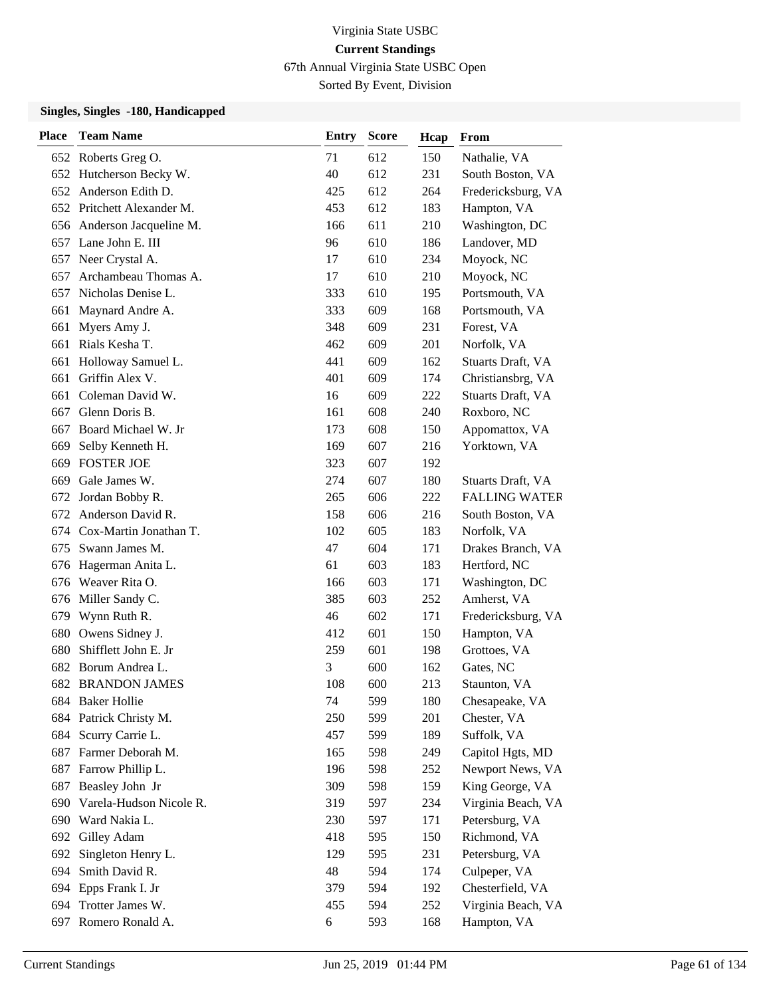67th Annual Virginia State USBC Open

Sorted By Event, Division

| <b>Place</b> | <b>Team Name</b>           | <b>Entry</b> | <b>Score</b> | Hcap | From                      |
|--------------|----------------------------|--------------|--------------|------|---------------------------|
|              | 652 Roberts Greg O.        | 71           | 612          | 150  | Nathalie, VA              |
|              | 652 Hutcherson Becky W.    | 40           | 612          | 231  | South Boston, VA          |
|              | 652 Anderson Edith D.      | 425          | 612          | 264  | Fredericksburg, VA        |
|              | 652 Pritchett Alexander M. | 453          | 612          | 183  | Hampton, VA               |
|              | 656 Anderson Jacqueline M. | 166          | 611          | 210  | Washington, DC            |
| 657          | Lane John E. III           | 96           | 610          | 186  | Landover, MD              |
|              | 657 Neer Crystal A.        | 17           | 610          | 234  | Moyock, NC                |
| 657          | Archambeau Thomas A.       | 17           | 610          | 210  | Moyock, NC                |
|              | 657 Nicholas Denise L.     | 333          | 610          | 195  | Portsmouth, VA            |
| 661          | Maynard Andre A.           | 333          | 609          | 168  | Portsmouth, VA            |
| 661          | Myers Amy J.               | 348          | 609          | 231  | Forest, VA                |
|              | 661 Rials Kesha T.         | 462          | 609          | 201  | Norfolk, VA               |
| 661          | Holloway Samuel L.         | 441          | 609          | 162  | Stuarts Draft, VA         |
| 661          | Griffin Alex V.            | 401          | 609          | 174  | Christiansbrg, VA         |
| 661          | Coleman David W.           | 16           | 609          | 222  | <b>Stuarts Draft</b> , VA |
|              | 667 Glenn Doris B.         | 161          | 608          | 240  | Roxboro, NC               |
| 667          | Board Michael W. Jr        | 173          | 608          | 150  | Appomattox, VA            |
| 669          | Selby Kenneth H.           | 169          | 607          | 216  | Yorktown, VA              |
| 669          | <b>FOSTER JOE</b>          | 323          | 607          | 192  |                           |
| 669          | Gale James W.              | 274          | 607          | 180  | Stuarts Draft, VA         |
| 672          | Jordan Bobby R.            | 265          | 606          | 222  | <b>FALLING WATER</b>      |
| 672          | Anderson David R.          | 158          | 606          | 216  | South Boston, VA          |
| 674          | Cox-Martin Jonathan T.     | 102          | 605          | 183  | Norfolk, VA               |
|              | 675 Swann James M.         | 47           | 604          | 171  | Drakes Branch, VA         |
| 676          | Hagerman Anita L.          | 61           | 603          | 183  | Hertford, NC              |
|              | 676 Weaver Rita O.         | 166          | 603          | 171  | Washington, DC            |
|              | 676 Miller Sandy C.        | 385          | 603          | 252  | Amherst, VA               |
|              | 679 Wynn Ruth R.           | 46           | 602          | 171  | Fredericksburg, VA        |
| 680          | Owens Sidney J.            | 412          | 601          | 150  | Hampton, VA               |
| 680          | Shifflett John E. Jr       | 259          | 601          | 198  | Grottoes, VA              |
| 682          | Borum Andrea L.            | 3            | 600          | 162  | Gates, NC                 |
|              | <b>682 BRANDON JAMES</b>   | 108          | 600          | 213  | Staunton, VA              |
|              | 684 Baker Hollie           | 74           | 599          | 180  | Chesapeake, VA            |
|              | 684 Patrick Christy M.     | 250          | 599          | 201  | Chester, VA               |
| 684          | Scurry Carrie L.           | 457          | 599          | 189  | Suffolk, VA               |
|              | 687 Farmer Deborah M.      | 165          | 598          | 249  | Capitol Hgts, MD          |
| 687          | Farrow Phillip L.          | 196          | 598          | 252  | Newport News, VA          |
| 687          | Beasley John Jr            | 309          | 598          | 159  | King George, VA           |
| 690          | Varela-Hudson Nicole R.    | 319          | 597          | 234  | Virginia Beach, VA        |
|              | 690 Ward Nakia L.          | 230          | 597          | 171  | Petersburg, VA            |
| 692          | Gilley Adam                | 418          | 595          | 150  | Richmond, VA              |
| 692          | Singleton Henry L.         | 129          | 595          | 231  | Petersburg, VA            |
| 694          | Smith David R.             | 48           | 594          | 174  | Culpeper, VA              |
|              | 694 Epps Frank I. Jr       | 379          | 594          | 192  | Chesterfield, VA          |
| 694          | Trotter James W.           | 455          | 594          | 252  | Virginia Beach, VA        |
| 697          | Romero Ronald A.           | 6            | 593          | 168  | Hampton, VA               |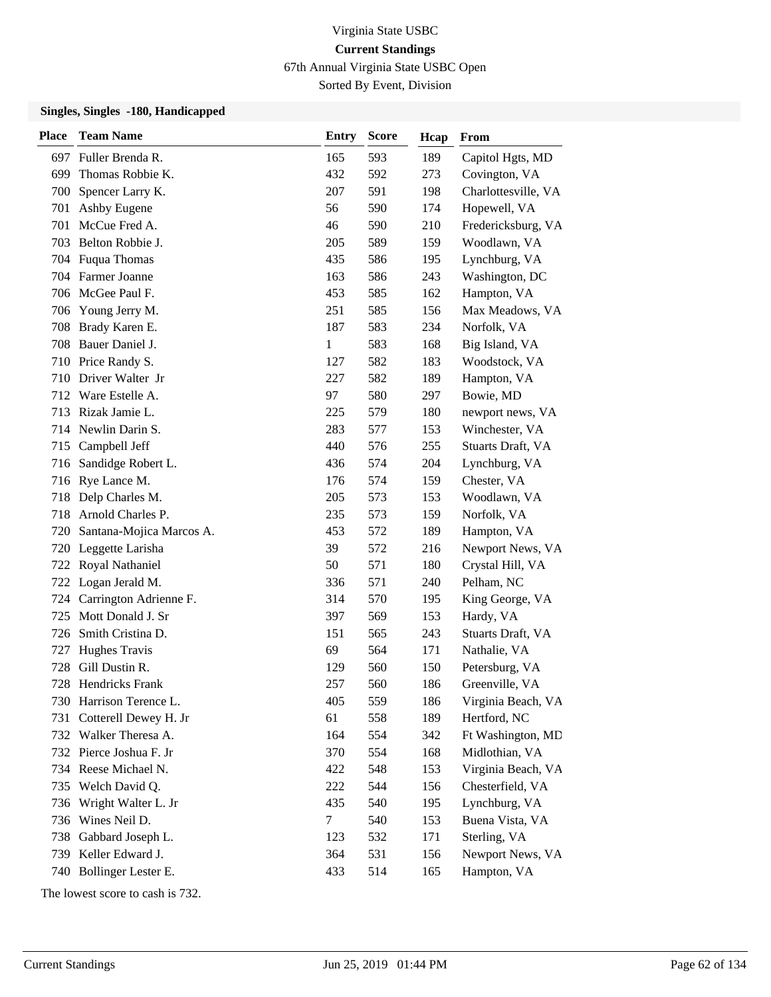67th Annual Virginia State USBC Open

Sorted By Event, Division

### **Singles, Singles -180, Handicapped**

| <b>Place</b> | <b>Team Name</b>           | <b>Entry</b> | <b>Score</b> | Hcap | From                |
|--------------|----------------------------|--------------|--------------|------|---------------------|
| 697          | Fuller Brenda R.           | 165          | 593          | 189  | Capitol Hgts, MD    |
| 699          | Thomas Robbie K.           | 432          | 592          | 273  | Covington, VA       |
| 700          | Spencer Larry K.           | 207          | 591          | 198  | Charlottesville, VA |
| 701          | Ashby Eugene               | 56           | 590          | 174  | Hopewell, VA        |
| 701          | McCue Fred A.              | 46           | 590          | 210  | Fredericksburg, VA  |
|              | 703 Belton Robbie J.       | 205          | 589          | 159  | Woodlawn, VA        |
|              | 704 Fuqua Thomas           | 435          | 586          | 195  | Lynchburg, VA       |
|              | 704 Farmer Joanne          | 163          | 586          | 243  | Washington, DC      |
|              | 706 McGee Paul F.          | 453          | 585          | 162  | Hampton, VA         |
| 706          | Young Jerry M.             | 251          | 585          | 156  | Max Meadows, VA     |
| 708          | Brady Karen E.             | 187          | 583          | 234  | Norfolk, VA         |
|              | 708 Bauer Daniel J.        | $\mathbf{1}$ | 583          | 168  | Big Island, VA      |
|              | 710 Price Randy S.         | 127          | 582          | 183  | Woodstock, VA       |
| 710          | Driver Walter Jr           | 227          | 582          | 189  | Hampton, VA         |
|              | 712 Ware Estelle A.        | 97           | 580          | 297  | Bowie, MD           |
|              | 713 Rizak Jamie L.         | 225          | 579          | 180  | newport news, VA    |
|              | 714 Newlin Darin S.        | 283          | 577          | 153  | Winchester, VA      |
| 715          | Campbell Jeff              | 440          | 576          | 255  | Stuarts Draft, VA   |
| 716          | Sandidge Robert L.         | 436          | 574          | 204  | Lynchburg, VA       |
|              | 716 Rye Lance M.           | 176          | 574          | 159  | Chester, VA         |
| 718          | Delp Charles M.            | 205          | 573          | 153  | Woodlawn, VA        |
| 718          | Arnold Charles P.          | 235          | 573          | 159  | Norfolk, VA         |
| 720          | Santana-Mojica Marcos A.   | 453          | 572          | 189  | Hampton, VA         |
|              | 720 Leggette Larisha       | 39           | 572          | 216  | Newport News, VA    |
|              | 722 Royal Nathaniel        | 50           | 571          | 180  | Crystal Hill, VA    |
|              | 722 Logan Jerald M.        | 336          | 571          | 240  | Pelham, NC          |
|              | 724 Carrington Adrienne F. | 314          | 570          | 195  | King George, VA     |
| 725          | Mott Donald J. Sr          | 397          | 569          | 153  | Hardy, VA           |
| 726          | Smith Cristina D.          | 151          | 565          | 243  | Stuarts Draft, VA   |
| 727          | Hughes Travis              | 69           | 564          | 171  | Nathalie, VA        |
| 728          | Gill Dustin R.             | 129          | 560          | 150  | Petersburg, VA      |
|              | 728 Hendricks Frank        | 257          | 560          | 186  | Greenville, VA      |
|              | 730 Harrison Terence L.    | 405          | 559          | 186  | Virginia Beach, VA  |
| 731          | Cotterell Dewey H. Jr      | 61           | 558          | 189  | Hertford, NC        |
|              | 732 Walker Theresa A.      | 164          | 554          | 342  | Ft Washington, MD   |
|              | 732 Pierce Joshua F. Jr    | 370          | 554          | 168  | Midlothian, VA      |
|              | 734 Reese Michael N.       | 422          | 548          | 153  | Virginia Beach, VA  |
|              | 735 Welch David Q.         | 222          | 544          | 156  | Chesterfield, VA    |
| 736          | Wright Walter L. Jr        | 435          | 540          | 195  | Lynchburg, VA       |
| 736          | Wines Neil D.              | 7            | 540          | 153  | Buena Vista, VA     |
| 738          | Gabbard Joseph L.          | 123          | 532          | 171  | Sterling, VA        |
| 739          | Keller Edward J.           | 364          | 531          | 156  | Newport News, VA    |
| 740          | Bollinger Lester E.        | 433          | 514          | 165  | Hampton, VA         |

The lowest score to cash is 732.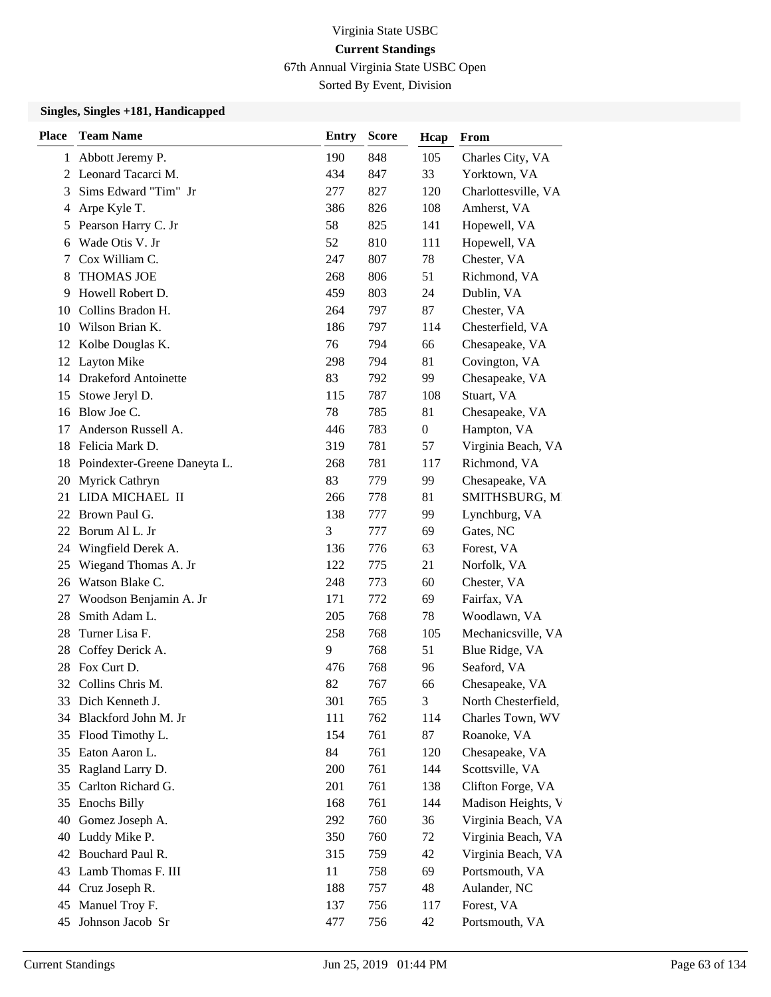67th Annual Virginia State USBC Open

Sorted By Event, Division

| <b>Place</b> | <b>Team Name</b>             | <b>Entry</b> | <b>Score</b> | Hcap             | From                |
|--------------|------------------------------|--------------|--------------|------------------|---------------------|
| $\mathbf{1}$ | Abbott Jeremy P.             | 190          | 848          | 105              | Charles City, VA    |
|              | 2 Leonard Tacarci M.         | 434          | 847          | 33               | Yorktown, VA        |
| 3            | Sims Edward "Tim" Jr         | 277          | 827          | 120              | Charlottesville, VA |
| 4            | Arpe Kyle T.                 | 386          | 826          | 108              | Amherst, VA         |
| 5            | Pearson Harry C. Jr          | 58           | 825          | 141              | Hopewell, VA        |
| 6            | Wade Otis V. Jr              | 52           | 810          | 111              | Hopewell, VA        |
| 7            | Cox William C.               | 247          | 807          | 78               | Chester, VA         |
| 8            | <b>THOMAS JOE</b>            | 268          | 806          | 51               | Richmond, VA        |
| 9            | Howell Robert D.             | 459          | 803          | 24               | Dublin, VA          |
| 10           | Collins Bradon H.            | 264          | 797          | 87               | Chester, VA         |
| 10           | Wilson Brian K.              | 186          | 797          | 114              | Chesterfield, VA    |
| 12           | Kolbe Douglas K.             | 76           | 794          | 66               | Chesapeake, VA      |
| 12           | <b>Layton Mike</b>           | 298          | 794          | 81               | Covington, VA       |
| 14           | <b>Drakeford Antoinette</b>  | 83           | 792          | 99               | Chesapeake, VA      |
| 15           | Stowe Jeryl D.               | 115          | 787          | 108              | Stuart, VA          |
| 16           | Blow Joe C.                  | 78           | 785          | 81               | Chesapeake, VA      |
| 17           | Anderson Russell A.          | 446          | 783          | $\boldsymbol{0}$ | Hampton, VA         |
| 18           | Felicia Mark D.              | 319          | 781          | 57               | Virginia Beach, VA  |
| 18           | Poindexter-Greene Daneyta L. | 268          | 781          | 117              | Richmond, VA        |
| 20           | Myrick Cathryn               | 83           | 779          | 99               | Chesapeake, VA      |
| 21           | LIDA MICHAEL II              | 266          | 778          | 81               | SMITHSBURG, M       |
| 22           | Brown Paul G.                | 138          | 777          | 99               | Lynchburg, VA       |
| 22           | Borum Al L. Jr               | 3            | 777          | 69               | Gates, NC           |
| 24           | Wingfield Derek A.           | 136          | 776          | 63               | Forest, VA          |
| 25           | Wiegand Thomas A. Jr         | 122          | 775          | 21               | Norfolk, VA         |
| 26           | Watson Blake C.              | 248          | 773          | 60               | Chester, VA         |
| 27           | Woodson Benjamin A. Jr       | 171          | 772          | 69               | Fairfax, VA         |
| 28           | Smith Adam L.                | 205          | 768          | 78               | Woodlawn, VA        |
| 28           | Turner Lisa F.               | 258          | 768          | 105              | Mechanicsville, VA  |
| 28           | Coffey Derick A.             | 9            | 768          | 51               | Blue Ridge, VA      |
| 28           | Fox Curt D.                  | 476          | 768          | 96               | Seaford, VA         |
| 32           | Collins Chris M.             | 82           | 767          | 66               | Chesapeake, VA      |
| 33           | Dich Kenneth J.              | 301          | 765          | 3                | North Chesterfield, |
| 34           | Blackford John M. Jr         | 111          | 762          | 114              | Charles Town, WV    |
| 35           | Flood Timothy L.             | 154          | 761          | 87               | Roanoke, VA         |
| 35           | Eaton Aaron L.               | 84           | 761          | 120              | Chesapeake, VA      |
| 35           | Ragland Larry D.             | 200          | 761          | 144              | Scottsville, VA     |
| 35           | Carlton Richard G.           | 201          | 761          | 138              | Clifton Forge, VA   |
| 35           | <b>Enochs Billy</b>          | 168          | 761          | 144              | Madison Heights, V  |
| 40           | Gomez Joseph A.              | 292          | 760          | 36               | Virginia Beach, VA  |
| 40           | Luddy Mike P.                | 350          | 760          | 72               | Virginia Beach, VA  |
| 42           | Bouchard Paul R.             | 315          | 759          | 42               | Virginia Beach, VA  |
| 43           | Lamb Thomas F. III           | 11           | 758          | 69               | Portsmouth, VA      |
| 44           | Cruz Joseph R.               | 188          | 757          | 48               | Aulander, NC        |
| 45           | Manuel Troy F.               | 137          | 756          | 117              | Forest, VA          |
| 45           | Johnson Jacob Sr             | 477          | 756          | 42               | Portsmouth, VA      |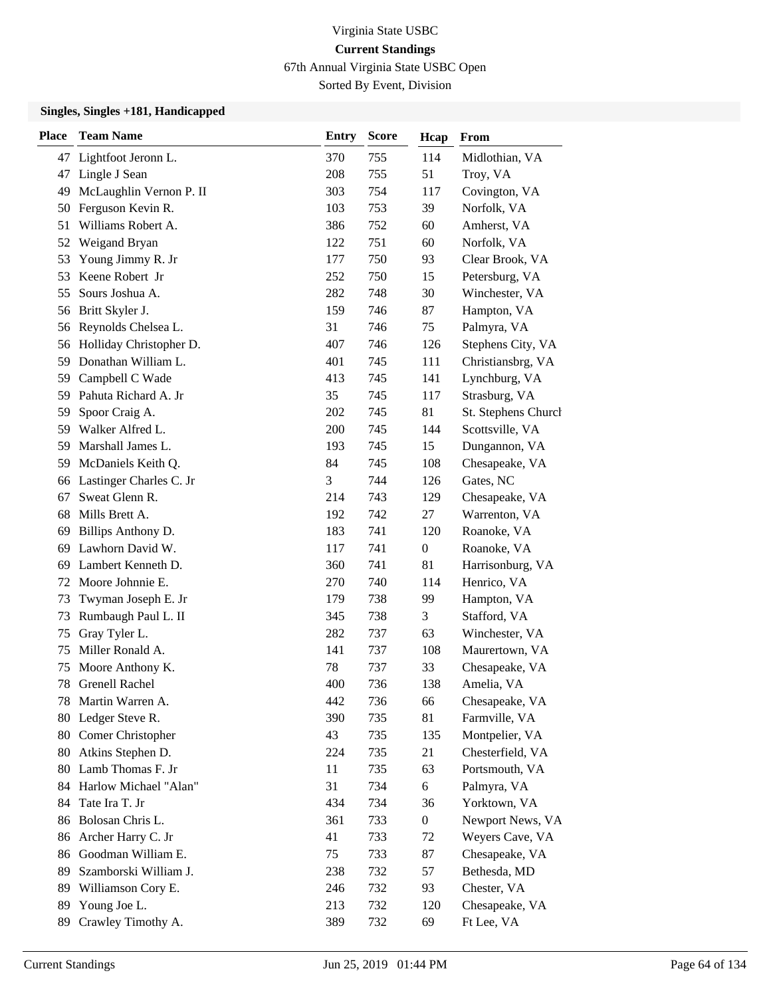67th Annual Virginia State USBC Open

Sorted By Event, Division

| <b>Place</b> | <b>Team Name</b>           | <b>Entry</b> | <b>Score</b> | Hcap             | From                |
|--------------|----------------------------|--------------|--------------|------------------|---------------------|
|              | 47 Lightfoot Jeronn L.     | 370          | 755          | 114              | Midlothian, VA      |
| 47           | Lingle J Sean              | 208          | 755          | 51               | Troy, VA            |
| 49           | McLaughlin Vernon P. II    | 303          | 754          | 117              | Covington, VA       |
| 50           | Ferguson Kevin R.          | 103          | 753          | 39               | Norfolk, VA         |
| 51           | Williams Robert A.         | 386          | 752          | 60               | Amherst, VA         |
| 52           | Weigand Bryan              | 122          | 751          | 60               | Norfolk, VA         |
| 53           | Young Jimmy R. Jr          | 177          | 750          | 93               | Clear Brook, VA     |
| 53           | Keene Robert Jr            | 252          | 750          | 15               | Petersburg, VA      |
| 55           | Sours Joshua A.            | 282          | 748          | 30               | Winchester, VA      |
| 56           | Britt Skyler J.            | 159          | 746          | 87               | Hampton, VA         |
| 56           | Reynolds Chelsea L.        | 31           | 746          | 75               | Palmyra, VA         |
|              | 56 Holliday Christopher D. | 407          | 746          | 126              | Stephens City, VA   |
| 59           | Donathan William L.        | 401          | 745          | 111              | Christiansbrg, VA   |
| 59           | Campbell C Wade            | 413          | 745          | 141              | Lynchburg, VA       |
| 59           | Pahuta Richard A. Jr       | 35           | 745          | 117              | Strasburg, VA       |
| 59           | Spoor Craig A.             | 202          | 745          | 81               | St. Stephens Church |
| 59           | Walker Alfred L.           | 200          | 745          | 144              | Scottsville, VA     |
| 59           | Marshall James L.          | 193          | 745          | 15               | Dungannon, VA       |
| 59           | McDaniels Keith Q.         | 84           | 745          | 108              | Chesapeake, VA      |
|              | 66 Lastinger Charles C. Jr | 3            | 744          | 126              | Gates, NC           |
| 67           | Sweat Glenn R.             | 214          | 743          | 129              | Chesapeake, VA      |
| 68           | Mills Brett A.             | 192          | 742          | 27               | Warrenton, VA       |
| 69           | Billips Anthony D.         | 183          | 741          | 120              | Roanoke, VA         |
| 69           | Lawhorn David W.           | 117          | 741          | $\boldsymbol{0}$ | Roanoke, VA         |
| 69           | Lambert Kenneth D.         | 360          | 741          | 81               | Harrisonburg, VA    |
| 72           | Moore Johnnie E.           | 270          | 740          | 114              | Henrico, VA         |
| 73           | Twyman Joseph E. Jr        | 179          | 738          | 99               | Hampton, VA         |
| 73           | Rumbaugh Paul L. II        | 345          | 738          | 3                | Stafford, VA        |
| 75           | Gray Tyler L.              | 282          | 737          | 63               | Winchester, VA      |
| 75           | Miller Ronald A.           | 141          | 737          | 108              | Maurertown, VA      |
| 75           | Moore Anthony K.           | 78           | 737          | 33               | Chesapeake, VA      |
| 78           | <b>Grenell Rachel</b>      | 400          | 736          | 138              | Amelia, VA          |
|              | 78 Martin Warren A.        | 442          | 736          | 66               | Chesapeake, VA      |
|              | 80 Ledger Steve R.         | 390          | 735          | 81               | Farmville, VA       |
| 80           | Comer Christopher          | 43           | 735          | 135              | Montpelier, VA      |
| 80           | Atkins Stephen D.          | 224          | 735          | 21               | Chesterfield, VA    |
|              | 80 Lamb Thomas F. Jr       | 11           | 735          | 63               | Portsmouth, VA      |
| 84           | Harlow Michael "Alan"      | 31           | 734          | 6                | Palmyra, VA         |
| 84           | Tate Ira T. Jr             | 434          | 734          | 36               | Yorktown, VA        |
| 86           | Bolosan Chris L.           | 361          | 733          | $\boldsymbol{0}$ | Newport News, VA    |
| 86           | Archer Harry C. Jr         | 41           | 733          | 72               | Weyers Cave, VA     |
| 86           | Goodman William E.         | 75           | 733          | 87               | Chesapeake, VA      |
| 89           | Szamborski William J.      | 238          | 732          | 57               | Bethesda, MD        |
| 89           | Williamson Cory E.         | 246          | 732          | 93               | Chester, VA         |
| 89           | Young Joe L.               | 213          | 732          | 120              | Chesapeake, VA      |
| 89           | Crawley Timothy A.         | 389          | 732          | 69               | Ft Lee, VA          |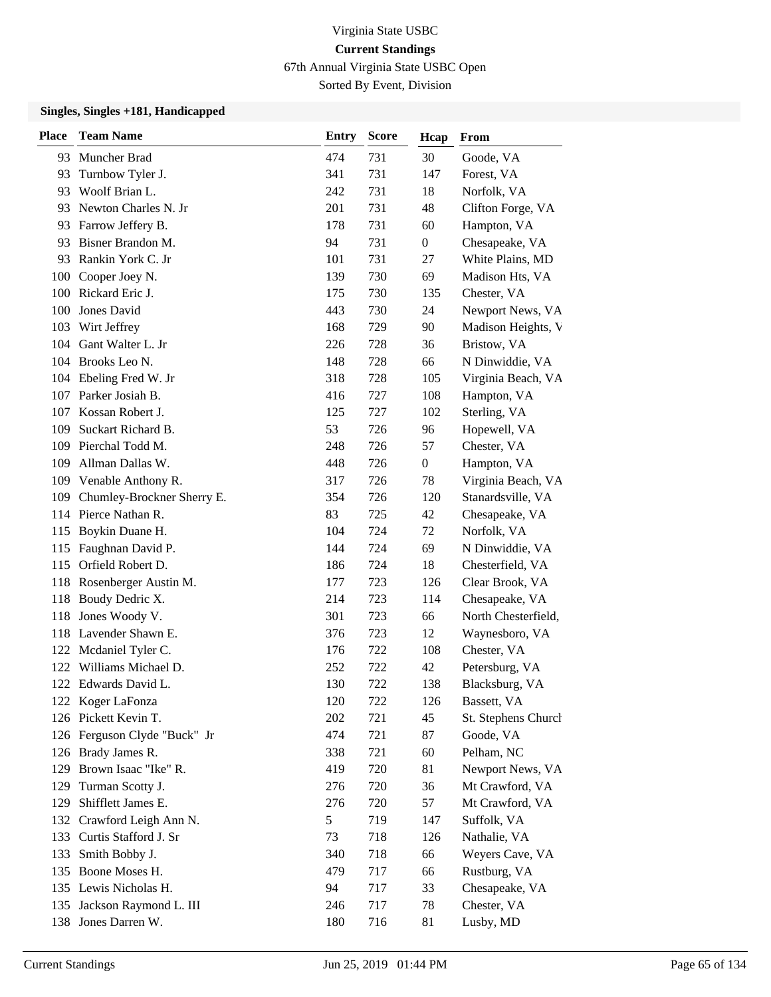67th Annual Virginia State USBC Open

Sorted By Event, Division

| <b>Place</b> | <b>Team Name</b>             | <b>Entry</b> | <b>Score</b> | Hcap             | From                |
|--------------|------------------------------|--------------|--------------|------------------|---------------------|
| 93.          | Muncher Brad                 | 474          | 731          | 30               | Goode, VA           |
| 93           | Turnbow Tyler J.             | 341          | 731          | 147              | Forest, VA          |
| 93           | Woolf Brian L.               | 242          | 731          | 18               | Norfolk, VA         |
|              | 93 Newton Charles N. Jr      | 201          | 731          | 48               | Clifton Forge, VA   |
| 93           | Farrow Jeffery B.            | 178          | 731          | 60               | Hampton, VA         |
| 93           | Bisner Brandon M.            | 94           | 731          | $\overline{0}$   | Chesapeake, VA      |
| 93           | Rankin York C. Jr            | 101          | 731          | 27               | White Plains, MD    |
|              | 100 Cooper Joey N.           | 139          | 730          | 69               | Madison Hts, VA     |
|              | 100 Rickard Eric J.          | 175          | 730          | 135              | Chester, VA         |
| 100          | Jones David                  | 443          | 730          | 24               | Newport News, VA    |
|              | 103 Wirt Jeffrey             | 168          | 729          | 90               | Madison Heights, V  |
|              | 104 Gant Walter L. Jr        | 226          | 728          | 36               | Bristow, VA         |
|              | 104 Brooks Leo N.            | 148          | 728          | 66               | N Dinwiddie, VA     |
| 104          | Ebeling Fred W. Jr           | 318          | 728          | 105              | Virginia Beach, VA  |
|              | 107 Parker Josiah B.         | 416          | 727          | 108              | Hampton, VA         |
|              | 107 Kossan Robert J.         | 125          | 727          | 102              | Sterling, VA        |
| 109          | Suckart Richard B.           | 53           | 726          | 96               | Hopewell, VA        |
|              | 109 Pierchal Todd M.         | 248          | 726          | 57               | Chester, VA         |
| 109          | Allman Dallas W.             | 448          | 726          | $\boldsymbol{0}$ | Hampton, VA         |
|              | 109 Venable Anthony R.       | 317          | 726          | 78               | Virginia Beach, VA  |
| 109          | Chumley-Brockner Sherry E.   | 354          | 726          | 120              | Stanardsville, VA   |
|              | 114 Pierce Nathan R.         | 83           | 725          | 42               | Chesapeake, VA      |
| 115          | Boykin Duane H.              | 104          | 724          | 72               | Norfolk, VA         |
| 115          | Faughnan David P.            | 144          | 724          | 69               | N Dinwiddie, VA     |
| 115          | Orfield Robert D.            | 186          | 724          | 18               | Chesterfield, VA    |
|              | 118 Rosenberger Austin M.    | 177          | 723          | 126              | Clear Brook, VA     |
| 118          | Boudy Dedric X.              | 214          | 723          | 114              | Chesapeake, VA      |
| 118          | Jones Woody V.               | 301          | 723          | 66               | North Chesterfield, |
|              | 118 Lavender Shawn E.        | 376          | 723          | 12               | Waynesboro, VA      |
| 122          | Mcdaniel Tyler C.            | 176          | 722          | 108              | Chester, VA         |
| 122          | Williams Michael D.          | 252          | 722          | 42               | Petersburg, VA      |
|              | 122 Edwards David L.         | 130          | 722          | 138              | Blacksburg, VA      |
|              | 122 Koger LaFonza            | 120          | 722          | 126              | Bassett, VA         |
|              | 126 Pickett Kevin T.         | 202          | 721          | 45               | St. Stephens Church |
|              | 126 Ferguson Clyde "Buck" Jr | 474          | 721          | 87               | Goode, VA           |
|              | 126 Brady James R.           | 338          | 721          | 60               | Pelham, NC          |
|              | 129 Brown Isaac "Ike" R.     | 419          | 720          | 81               | Newport News, VA    |
| 129          | Turman Scotty J.             | 276          | 720          | 36               | Mt Crawford, VA     |
| 129          | Shifflett James E.           | 276          | 720          | 57               | Mt Crawford, VA     |
|              | 132 Crawford Leigh Ann N.    | 5            | 719          | 147              | Suffolk, VA         |
| 133          | Curtis Stafford J. Sr        | 73           | 718          | 126              | Nathalie, VA        |
| 133          | Smith Bobby J.               | 340          | 718          | 66               | Weyers Cave, VA     |
|              | 135 Boone Moses H.           | 479          | 717          | 66               | Rustburg, VA        |
|              | 135 Lewis Nicholas H.        | 94           | 717          | 33               | Chesapeake, VA      |
|              | 135 Jackson Raymond L. III   | 246          | 717          | 78               | Chester, VA         |
|              | 138 Jones Darren W.          | 180          | 716          | 81               | Lusby, MD           |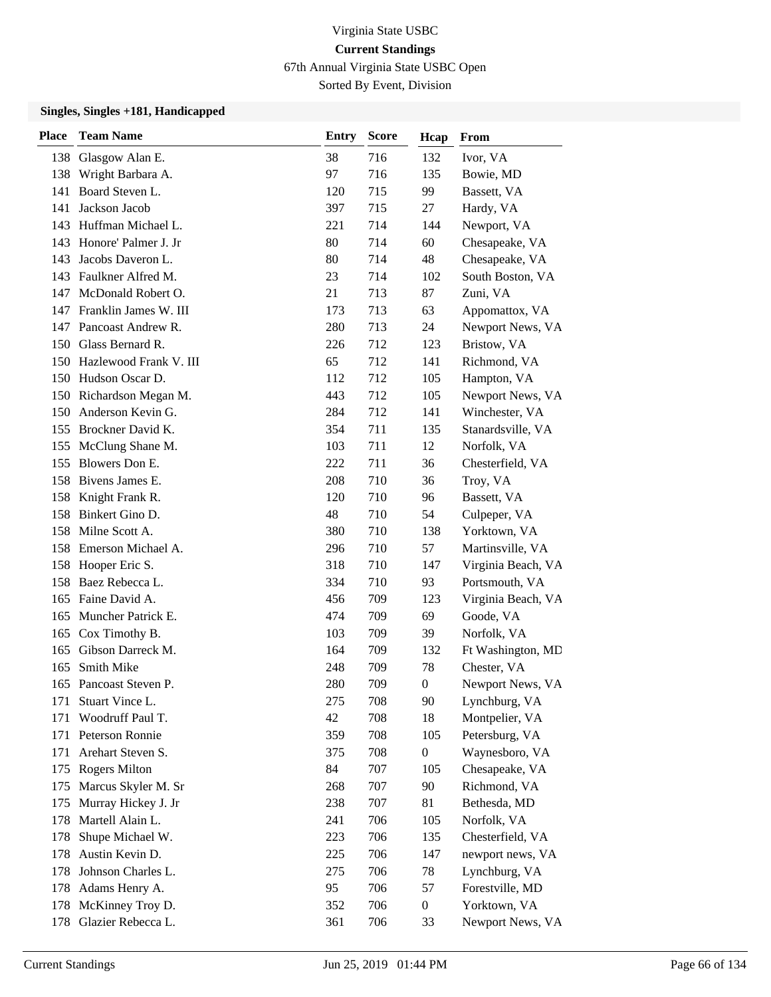67th Annual Virginia State USBC Open

Sorted By Event, Division

| <b>Place</b> | <b>Team Name</b>           | Entry | <b>Score</b> | Hcap             | From               |
|--------------|----------------------------|-------|--------------|------------------|--------------------|
|              | 138 Glasgow Alan E.        | 38    | 716          | 132              | Ivor, VA           |
|              | 138 Wright Barbara A.      | 97    | 716          | 135              | Bowie, MD          |
| 141          | Board Steven L.            | 120   | 715          | 99               | Bassett, VA        |
| 141          | Jackson Jacob              | 397   | 715          | 27               | Hardy, VA          |
|              | 143 Huffman Michael L.     | 221   | 714          | 144              | Newport, VA        |
| 143          | Honore' Palmer J. Jr       | 80    | 714          | 60               | Chesapeake, VA     |
| 143          | Jacobs Daveron L.          | 80    | 714          | 48               | Chesapeake, VA     |
| 143          | Faulkner Alfred M.         | 23    | 714          | 102              | South Boston, VA   |
| 147          | McDonald Robert O.         | 21    | 713          | 87               | Zuni, VA           |
| 147          | Franklin James W. III      | 173   | 713          | 63               | Appomattox, VA     |
| 147          | Pancoast Andrew R.         | 280   | 713          | 24               | Newport News, VA   |
|              | 150 Glass Bernard R.       | 226   | 712          | 123              | Bristow, VA        |
|              | 150 Hazlewood Frank V. III | 65    | 712          | 141              | Richmond, VA       |
|              | 150 Hudson Oscar D.        | 112   | 712          | 105              | Hampton, VA        |
|              | 150 Richardson Megan M.    | 443   | 712          | 105              | Newport News, VA   |
|              | 150 Anderson Kevin G.      | 284   | 712          | 141              | Winchester, VA     |
|              | 155 Brockner David K.      | 354   | 711          | 135              | Stanardsville, VA  |
|              | 155 McClung Shane M.       | 103   | 711          | 12               | Norfolk, VA        |
| 155          | Blowers Don E.             | 222   | 711          | 36               | Chesterfield, VA   |
|              | 158 Bivens James E.        | 208   | 710          | 36               | Troy, VA           |
|              | 158 Knight Frank R.        | 120   | 710          | 96               | Bassett, VA        |
| 158          | Binkert Gino D.            | 48    | 710          | 54               | Culpeper, VA       |
|              | 158 Milne Scott A.         | 380   | 710          | 138              | Yorktown, VA       |
|              | 158 Emerson Michael A.     | 296   | 710          | 57               | Martinsville, VA   |
|              | 158 Hooper Eric S.         | 318   | 710          | 147              | Virginia Beach, VA |
| 158          | Baez Rebecca L.            | 334   | 710          | 93               | Portsmouth, VA     |
| 165          | Faine David A.             | 456   | 709          | 123              | Virginia Beach, VA |
| 165          | Muncher Patrick E.         | 474   | 709          | 69               | Goode, VA          |
| 165          | Cox Timothy B.             | 103   | 709          | 39               | Norfolk, VA        |
| 165          | Gibson Darreck M.          | 164   | 709          | 132              | Ft Washington, MD  |
| 165          | Smith Mike                 | 248   | 709          | 78               | Chester, VA        |
|              | 165 Pancoast Steven P.     | 280   | 709          | $\boldsymbol{0}$ | Newport News, VA   |
| 171          | Stuart Vince L.            | 275   | 708          | 90               | Lynchburg, VA      |
| 171          | Woodruff Paul T.           | 42    | 708          | 18               | Montpelier, VA     |
| 171          | Peterson Ronnie            | 359   | 708          | 105              | Petersburg, VA     |
| 171          | Arehart Steven S.          | 375   | 708          | $\boldsymbol{0}$ | Waynesboro, VA     |
| 175          | <b>Rogers Milton</b>       | 84    | 707          | 105              | Chesapeake, VA     |
| 175          | Marcus Skyler M. Sr        | 268   | 707          | 90               | Richmond, VA       |
| 175          | Murray Hickey J. Jr        | 238   | 707          | 81               | Bethesda, MD       |
| 178          | Martell Alain L.           | 241   | 706          | 105              | Norfolk, VA        |
| 178          | Shupe Michael W.           | 223   | 706          | 135              | Chesterfield, VA   |
| 178          | Austin Kevin D.            | 225   | 706          | 147              | newport news, VA   |
| 178          | Johnson Charles L.         | 275   | 706          | 78               | Lynchburg, VA      |
| 178          | Adams Henry A.             | 95    | 706          | 57               | Forestville, MD    |
|              | 178 McKinney Troy D.       | 352   | 706          | $\boldsymbol{0}$ | Yorktown, VA       |
|              | 178 Glazier Rebecca L.     | 361   | 706          | 33               | Newport News, VA   |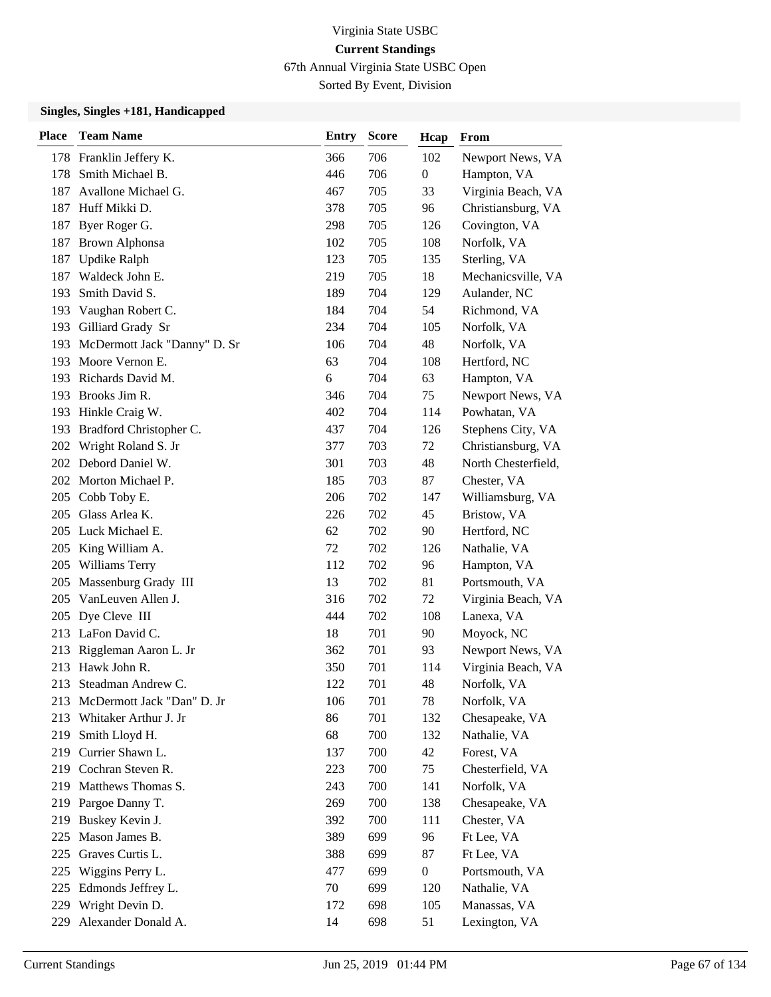67th Annual Virginia State USBC Open

Sorted By Event, Division

| <b>Place</b> | <b>Team Name</b>             | <b>Entry</b> | <b>Score</b> | Hcap             | From                |
|--------------|------------------------------|--------------|--------------|------------------|---------------------|
|              | 178 Franklin Jeffery K.      | 366          | 706          | 102              | Newport News, VA    |
| 178          | Smith Michael B.             | 446          | 706          | $\boldsymbol{0}$ | Hampton, VA         |
| 187          | Avallone Michael G.          | 467          | 705          | 33               | Virginia Beach, VA  |
| 187          | Huff Mikki D.                | 378          | 705          | 96               | Christiansburg, VA  |
| 187          | Byer Roger G.                | 298          | 705          | 126              | Covington, VA       |
| 187          | <b>Brown Alphonsa</b>        | 102          | 705          | 108              | Norfolk, VA         |
| 187          | <b>Updike Ralph</b>          | 123          | 705          | 135              | Sterling, VA        |
| 187          | Waldeck John E.              | 219          | 705          | 18               | Mechanicsville, VA  |
| 193          | Smith David S.               | 189          | 704          | 129              | Aulander, NC        |
| 193          | Vaughan Robert C.            | 184          | 704          | 54               | Richmond, VA        |
| 193          | Gilliard Grady Sr            | 234          | 704          | 105              | Norfolk, VA         |
| 193          | McDermott Jack "Danny" D. Sr | 106          | 704          | 48               | Norfolk, VA         |
| 193          | Moore Vernon E.              | 63           | 704          | 108              | Hertford, NC        |
| 193          | Richards David M.            | 6            | 704          | 63               | Hampton, VA         |
| 193          | Brooks Jim R.                | 346          | 704          | 75               | Newport News, VA    |
|              | 193 Hinkle Craig W.          | 402          | 704          | 114              | Powhatan, VA        |
|              | 193 Bradford Christopher C.  | 437          | 704          | 126              | Stephens City, VA   |
| 202          | Wright Roland S. Jr          | 377          | 703          | 72               | Christiansburg, VA  |
| 202          | Debord Daniel W.             | 301          | 703          | 48               | North Chesterfield, |
| 202          | Morton Michael P.            | 185          | 703          | 87               | Chester, VA         |
| 205          | Cobb Toby E.                 | 206          | 702          | 147              | Williamsburg, VA    |
| 205          | Glass Arlea K.               | 226          | 702          | 45               | Bristow, VA         |
| 205          | Luck Michael E.              | 62           | 702          | 90               | Hertford, NC        |
| 205          | King William A.              | 72           | 702          | 126              | Nathalie, VA        |
| 205          | Williams Terry               | 112          | 702          | 96               | Hampton, VA         |
| 205          | Massenburg Grady III         | 13           | 702          | 81               | Portsmouth, VA      |
| 205          | VanLeuven Allen J.           | 316          | 702          | 72               | Virginia Beach, VA  |
| 205          | Dye Cleve III                | 444          | 702          | 108              | Lanexa, VA          |
| 213          | LaFon David C.               | 18           | 701          | 90               | Moyock, NC          |
| 213          | Riggleman Aaron L. Jr        | 362          | 701          | 93               | Newport News, VA    |
| 213          | Hawk John R.                 | 350          | 701          | 114              | Virginia Beach, VA  |
| 213          | Steadman Andrew C.           | 122          | 701          | 48               | Norfolk, VA         |
| 213          | McDermott Jack "Dan" D. Jr   | 106          | 701          | 78               | Norfolk, VA         |
| 213          | Whitaker Arthur J. Jr        | 86           | 701          | 132              | Chesapeake, VA      |
| 219          | Smith Lloyd H.               | 68           | 700          | 132              | Nathalie, VA        |
|              | 219 Currier Shawn L.         | 137          | 700          | 42               | Forest, VA          |
|              | 219 Cochran Steven R.        | 223          | 700          | 75               | Chesterfield, VA    |
| 219          | Matthews Thomas S.           | 243          | 700          | 141              | Norfolk, VA         |
| 219          | Pargoe Danny T.              | 269          | 700          | 138              | Chesapeake, VA      |
| 219          | Buskey Kevin J.              | 392          | 700          | 111              | Chester, VA         |
| 225          | Mason James B.               | 389          | 699          | 96               | Ft Lee, VA          |
| 225          | Graves Curtis L.             | 388          | 699          | 87               | Ft Lee, VA          |
| 225          | Wiggins Perry L.             | 477          | 699          | $\boldsymbol{0}$ | Portsmouth, VA      |
| 225          | Edmonds Jeffrey L.           | 70           | 699          | 120              | Nathalie, VA        |
| 229          | Wright Devin D.              | 172          | 698          | 105              | Manassas, VA        |
| 229          | Alexander Donald A.          | 14           | 698          | 51               | Lexington, VA       |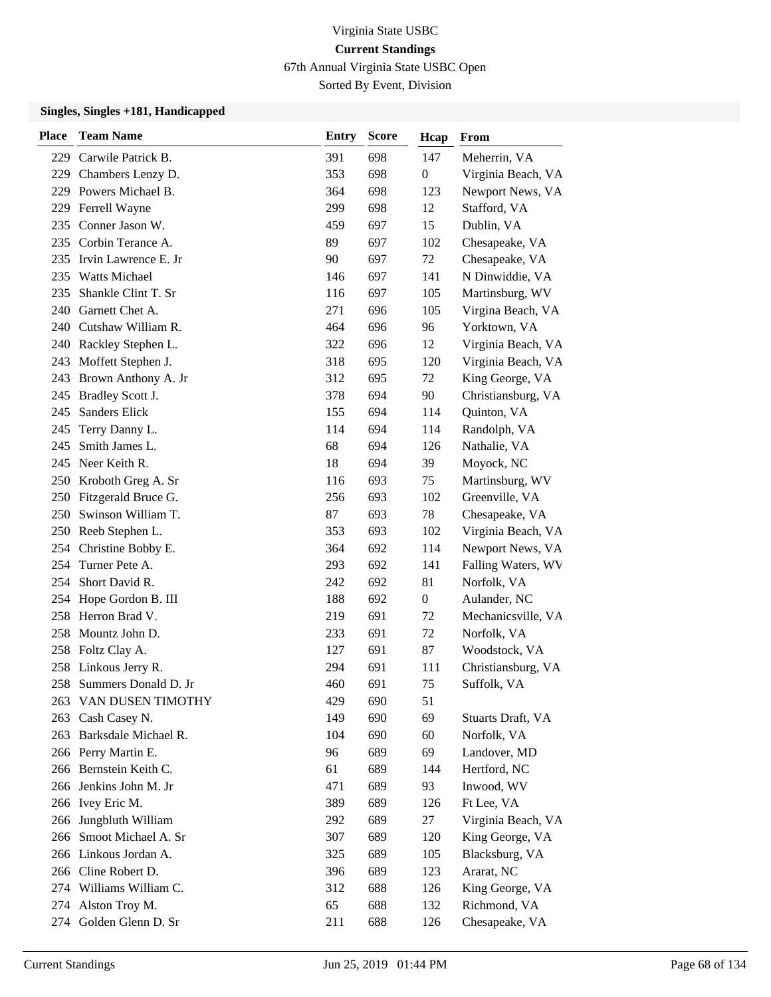67th Annual Virginia State USBC Open

Sorted By Event, Division

| <b>Place</b> | <b>Team Name</b>         | <b>Entry</b> | <b>Score</b> | Hcap             | From               |
|--------------|--------------------------|--------------|--------------|------------------|--------------------|
|              | 229 Carwile Patrick B.   | 391          | 698          | 147              | Meherrin, VA       |
|              | 229 Chambers Lenzy D.    | 353          | 698          | $\boldsymbol{0}$ | Virginia Beach, VA |
|              | 229 Powers Michael B.    | 364          | 698          | 123              | Newport News, VA   |
|              | 229 Ferrell Wayne        | 299          | 698          | 12               | Stafford, VA       |
| 235          | Conner Jason W.          | 459          | 697          | 15               | Dublin, VA         |
|              | 235 Corbin Terance A.    | 89           | 697          | 102              | Chesapeake, VA     |
|              | 235 Irvin Lawrence E. Jr | 90           | 697          | 72               | Chesapeake, VA     |
|              | 235 Watts Michael        | 146          | 697          | 141              | N Dinwiddie, VA    |
| 235          | Shankle Clint T. Sr      | 116          | 697          | 105              | Martinsburg, WV    |
| 240          | Garnett Chet A.          | 271          | 696          | 105              | Virgina Beach, VA  |
| 240          | Cutshaw William R.       | 464          | 696          | 96               | Yorktown, VA       |
|              | 240 Rackley Stephen L.   | 322          | 696          | 12               | Virginia Beach, VA |
| 243          | Moffett Stephen J.       | 318          | 695          | 120              | Virginia Beach, VA |
| 243          | Brown Anthony A. Jr      | 312          | 695          | 72               | King George, VA    |
| 245          | Bradley Scott J.         | 378          | 694          | 90               | Christiansburg, VA |
| 245          | Sanders Elick            | 155          | 694          | 114              | Quinton, VA        |
| 245          | Terry Danny L.           | 114          | 694          | 114              | Randolph, VA       |
| 245          | Smith James L.           | 68           | 694          | 126              | Nathalie, VA       |
| 245          | Neer Keith R.            | 18           | 694          | 39               | Moyock, NC         |
|              | 250 Kroboth Greg A. Sr   | 116          | 693          | 75               | Martinsburg, WV    |
|              | 250 Fitzgerald Bruce G.  | 256          | 693          | 102              | Greenville, VA     |
|              | 250 Swinson William T.   | 87           | 693          | 78               | Chesapeake, VA     |
|              | 250 Reeb Stephen L.      | 353          | 693          | 102              | Virginia Beach, VA |
|              | 254 Christine Bobby E.   | 364          | 692          | 114              | Newport News, VA   |
| 254          | Turner Pete A.           | 293          | 692          | 141              | Falling Waters, WV |
| 254          | Short David R.           | 242          | 692          | 81               | Norfolk, VA        |
| 254          | Hope Gordon B. III       | 188          | 692          | $\boldsymbol{0}$ | Aulander, NC       |
|              | 258 Herron Brad V.       | 219          | 691          | 72               | Mechanicsville, VA |
|              | 258 Mountz John D.       | 233          | 691          | 72               | Norfolk, VA        |
|              | 258 Foltz Clay A.        | 127          | 691          | 87               | Woodstock, VA      |
|              | 258 Linkous Jerry R.     | 294          | 691          | 111              | Christiansburg, VA |
|              | 258 Summers Donald D. Jr | 460          | 691          | 75               | Suffolk, VA        |
|              | 263 VAN DUSEN TIMOTHY    | 429          | 690          | 51               |                    |
| 263          | Cash Casey N.            | 149          | 690          | 69               | Stuarts Draft, VA  |
|              | 263 Barksdale Michael R. | 104          | 690          | 60               | Norfolk, VA        |
|              | 266 Perry Martin E.      | 96           | 689          | 69               | Landover, MD       |
|              | 266 Bernstein Keith C.   | 61           | 689          | 144              | Hertford, NC       |
|              | 266 Jenkins John M. Jr   | 471          | 689          | 93               | Inwood, WV         |
|              | 266 Ivey Eric M.         | 389          | 689          | 126              | Ft Lee, VA         |
|              | 266 Jungbluth William    | 292          | 689          | 27               | Virginia Beach, VA |
|              | 266 Smoot Michael A. Sr  | 307          | 689          | 120              | King George, VA    |
|              | 266 Linkous Jordan A.    | 325          | 689          | 105              | Blacksburg, VA     |
|              | 266 Cline Robert D.      | 396          | 689          | 123              | Ararat, NC         |
|              | 274 Williams William C.  | 312          | 688          | 126              | King George, VA    |
|              | 274 Alston Troy M.       | 65           | 688          | 132              | Richmond, VA       |
|              | 274 Golden Glenn D. Sr   | 211          | 688          | 126              | Chesapeake, VA     |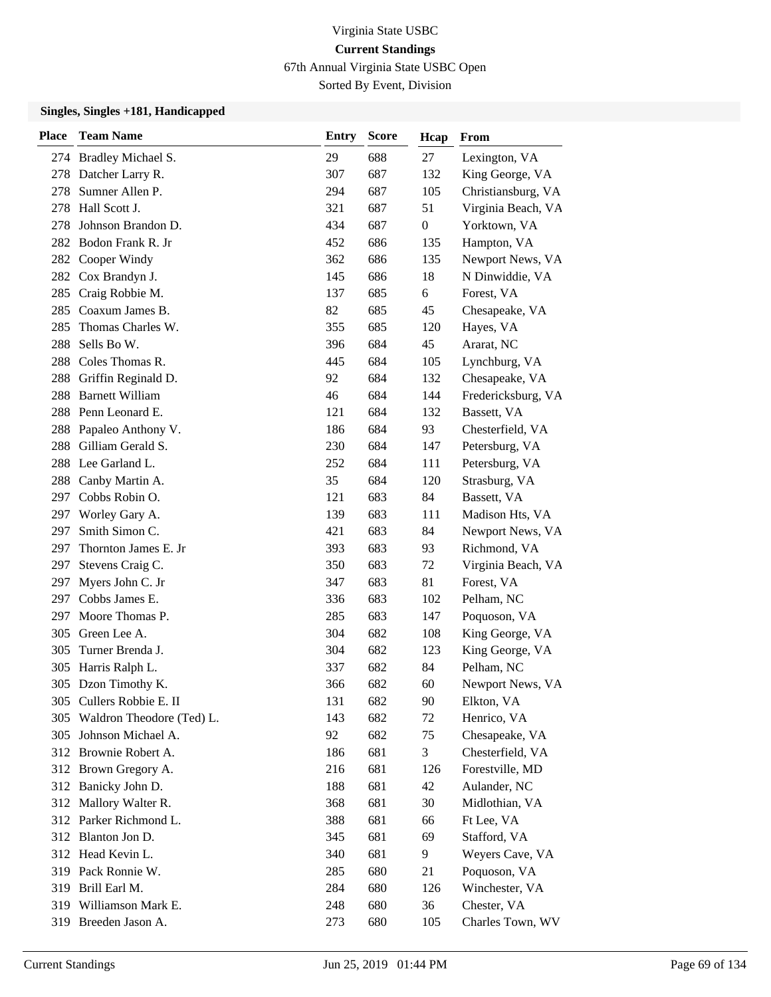67th Annual Virginia State USBC Open

Sorted By Event, Division

| <b>Place</b> | <b>Team Name</b>              | <b>Entry</b> | <b>Score</b> | Hcap           | From               |
|--------------|-------------------------------|--------------|--------------|----------------|--------------------|
|              | 274 Bradley Michael S.        | 29           | 688          | 27             | Lexington, VA      |
|              | 278 Datcher Larry R.          | 307          | 687          | 132            | King George, VA    |
| 278          | Sumner Allen P.               | 294          | 687          | 105            | Christiansburg, VA |
| 278          | Hall Scott J.                 | 321          | 687          | 51             | Virginia Beach, VA |
| 278          | Johnson Brandon D.            | 434          | 687          | $\overline{0}$ | Yorktown, VA       |
| 282          | Bodon Frank R. Jr             | 452          | 686          | 135            | Hampton, VA        |
|              | 282 Cooper Windy              | 362          | 686          | 135            | Newport News, VA   |
|              | 282 Cox Brandyn J.            | 145          | 686          | 18             | N Dinwiddie, VA    |
|              | 285 Craig Robbie M.           | 137          | 685          | 6              | Forest, VA         |
|              | 285 Coaxum James B.           | 82           | 685          | 45             | Chesapeake, VA     |
| 285          | Thomas Charles W.             | 355          | 685          | 120            | Hayes, VA          |
| 288          | Sells Bo W.                   | 396          | 684          | 45             | Ararat, NC         |
| 288          | Coles Thomas R.               | 445          | 684          | 105            | Lynchburg, VA      |
| 288          | Griffin Reginald D.           | 92           | 684          | 132            | Chesapeake, VA     |
| 288          | <b>Barnett William</b>        | 46           | 684          | 144            | Fredericksburg, VA |
|              | 288 Penn Leonard E.           | 121          | 684          | 132            | Bassett, VA        |
| 288          | Papaleo Anthony V.            | 186          | 684          | 93             | Chesterfield, VA   |
|              | 288 Gilliam Gerald S.         | 230          | 684          | 147            | Petersburg, VA     |
|              | 288 Lee Garland L.            | 252          | 684          | 111            | Petersburg, VA     |
|              | 288 Canby Martin A.           | 35           | 684          | 120            | Strasburg, VA      |
|              | 297 Cobbs Robin O.            | 121          | 683          | 84             | Bassett, VA        |
| 297          | Worley Gary A.                | 139          | 683          | 111            | Madison Hts, VA    |
| 297          | Smith Simon C.                | 421          | 683          | 84             | Newport News, VA   |
| 297          | Thornton James E. Jr          | 393          | 683          | 93             | Richmond, VA       |
| 297          | Stevens Craig C.              | 350          | 683          | 72             | Virginia Beach, VA |
| 297          | Myers John C. Jr              | 347          | 683          | 81             | Forest, VA         |
| 297          | Cobbs James E.                | 336          | 683          | 102            | Pelham, NC         |
|              | 297 Moore Thomas P.           | 285          | 683          | 147            | Poquoson, VA       |
| 305          | Green Lee A.                  | 304          | 682          | 108            | King George, VA    |
| 305          | Turner Brenda J.              | 304          | 682          | 123            | King George, VA    |
| 305          | Harris Ralph L.               | 337          | 682          | 84             | Pelham, NC         |
|              | 305 Dzon Timothy K.           | 366          | 682          | 60             | Newport News, VA   |
|              | 305 Cullers Robbie E. II      | 131          | 682          | 90             | Elkton, VA         |
|              | 305 Waldron Theodore (Ted) L. | 143          | 682          | 72             | Henrico, VA        |
|              | 305 Johnson Michael A.        | 92           | 682          | 75             | Chesapeake, VA     |
|              | 312 Brownie Robert A.         | 186          | 681          | 3              | Chesterfield, VA   |
|              | 312 Brown Gregory A.          | 216          | 681          | 126            | Forestville, MD    |
|              | 312 Banicky John D.           | 188          | 681          | 42             | Aulander, NC       |
|              | 312 Mallory Walter R.         | 368          | 681          | 30             | Midlothian, VA     |
|              | 312 Parker Richmond L.        | 388          | 681          | 66             | Ft Lee, VA         |
|              | 312 Blanton Jon D.            | 345          | 681          | 69             | Stafford, VA       |
|              | 312 Head Kevin L.             | 340          | 681          | 9              | Weyers Cave, VA    |
|              | 319 Pack Ronnie W.            | 285          | 680          | 21             | Poquoson, VA       |
|              | 319 Brill Earl M.             | 284          | 680          | 126            | Winchester, VA     |
|              | 319 Williamson Mark E.        | 248          | 680          | 36             | Chester, VA        |
|              | 319 Breeden Jason A.          | 273          | 680          | 105            | Charles Town, WV   |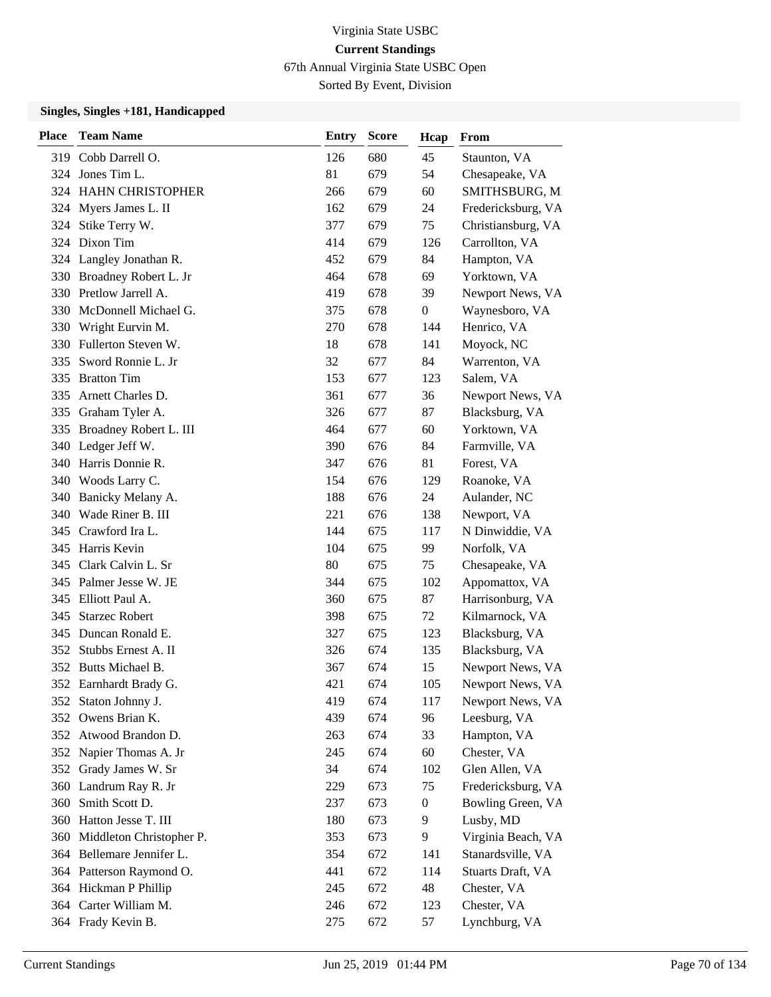67th Annual Virginia State USBC Open

Sorted By Event, Division

| <b>Place</b> | <b>Team Name</b>             | <b>Entry</b> | <b>Score</b> | Hcap             | From               |
|--------------|------------------------------|--------------|--------------|------------------|--------------------|
|              | 319 Cobb Darrell O.          | 126          | 680          | 45               | Staunton, VA       |
|              | 324 Jones Tim L.             | 81           | 679          | 54               | Chesapeake, VA     |
|              | 324 HAHN CHRISTOPHER         | 266          | 679          | 60               | SMITHSBURG, M      |
|              | 324 Myers James L. II        | 162          | 679          | 24               | Fredericksburg, VA |
|              | 324 Stike Terry W.           | 377          | 679          | 75               | Christiansburg, VA |
| 324          | Dixon Tim                    | 414          | 679          | 126              | Carrollton, VA     |
|              | 324 Langley Jonathan R.      | 452          | 679          | 84               | Hampton, VA        |
|              | 330 Broadney Robert L. Jr    | 464          | 678          | 69               | Yorktown, VA       |
|              | 330 Pretlow Jarrell A.       | 419          | 678          | 39               | Newport News, VA   |
| 330          | McDonnell Michael G.         | 375          | 678          | 0                | Waynesboro, VA     |
| 330          | Wright Eurvin M.             | 270          | 678          | 144              | Henrico, VA        |
| 330          | Fullerton Steven W.          | 18           | 678          | 141              | Moyock, NC         |
| 335          | Sword Ronnie L. Jr           | 32           | 677          | 84               | Warrenton, VA      |
| 335          | <b>Bratton Tim</b>           | 153          | 677          | 123              | Salem, VA          |
| 335          | Arnett Charles D.            | 361          | 677          | 36               | Newport News, VA   |
|              | 335 Graham Tyler A.          | 326          | 677          | 87               | Blacksburg, VA     |
|              | 335 Broadney Robert L. III   | 464          | 677          | 60               | Yorktown, VA       |
|              | 340 Ledger Jeff W.           | 390          | 676          | 84               | Farmville, VA      |
| 340          | Harris Donnie R.             | 347          | 676          | 81               | Forest, VA         |
|              | 340 Woods Larry C.           | 154          | 676          | 129              | Roanoke, VA        |
| 340          | Banicky Melany A.            | 188          | 676          | 24               | Aulander, NC       |
| 340          | Wade Riner B. III            | 221          | 676          | 138              | Newport, VA        |
|              | 345 Crawford Ira L.          | 144          | 675          | 117              | N Dinwiddie, VA    |
|              | 345 Harris Kevin             | 104          | 675          | 99               | Norfolk, VA        |
|              | 345 Clark Calvin L. Sr       | 80           | 675          | 75               | Chesapeake, VA     |
|              | 345 Palmer Jesse W. JE       | 344          | 675          | 102              | Appomattox, VA     |
|              | 345 Elliott Paul A.          | 360          | 675          | 87               | Harrisonburg, VA   |
| 345          | <b>Starzec Robert</b>        | 398          | 675          | 72               | Kilmarnock, VA     |
| 345          | Duncan Ronald E.             | 327          | 675          | 123              | Blacksburg, VA     |
|              | 352 Stubbs Ernest A. II      | 326          | 674          | 135              | Blacksburg, VA     |
|              | 352 Butts Michael B.         | 367          | 674          | 15               | Newport News, VA   |
|              | 352 Earnhardt Brady G.       | 421          | 674          | 105              | Newport News, VA   |
|              | 352 Staton Johnny J.         | 419          | 674          | 117              | Newport News, VA   |
|              | 352 Owens Brian K.           | 439          | 674          | 96               | Leesburg, VA       |
|              | 352 Atwood Brandon D.        | 263          | 674          | 33               | Hampton, VA        |
|              | 352 Napier Thomas A. Jr      | 245          | 674          | 60               | Chester, VA        |
|              | 352 Grady James W. Sr        | 34           | 674          | 102              | Glen Allen, VA     |
|              | 360 Landrum Ray R. Jr        | 229          | 673          | 75               | Fredericksburg, VA |
| 360          | Smith Scott D.               | 237          | 673          | $\boldsymbol{0}$ | Bowling Green, VA  |
|              | 360 Hatton Jesse T. III      | 180          | 673          | 9                | Lusby, MD          |
|              | 360 Middleton Christopher P. | 353          | 673          | 9                | Virginia Beach, VA |
|              | 364 Bellemare Jennifer L.    | 354          | 672          | 141              | Stanardsville, VA  |
|              | 364 Patterson Raymond O.     | 441          | 672          | 114              | Stuarts Draft, VA  |
|              | 364 Hickman P Phillip        | 245          | 672          | 48               | Chester, VA        |
|              | 364 Carter William M.        | 246          | 672          | 123              | Chester, VA        |
|              | 364 Frady Kevin B.           | 275          | 672          | 57               | Lynchburg, VA      |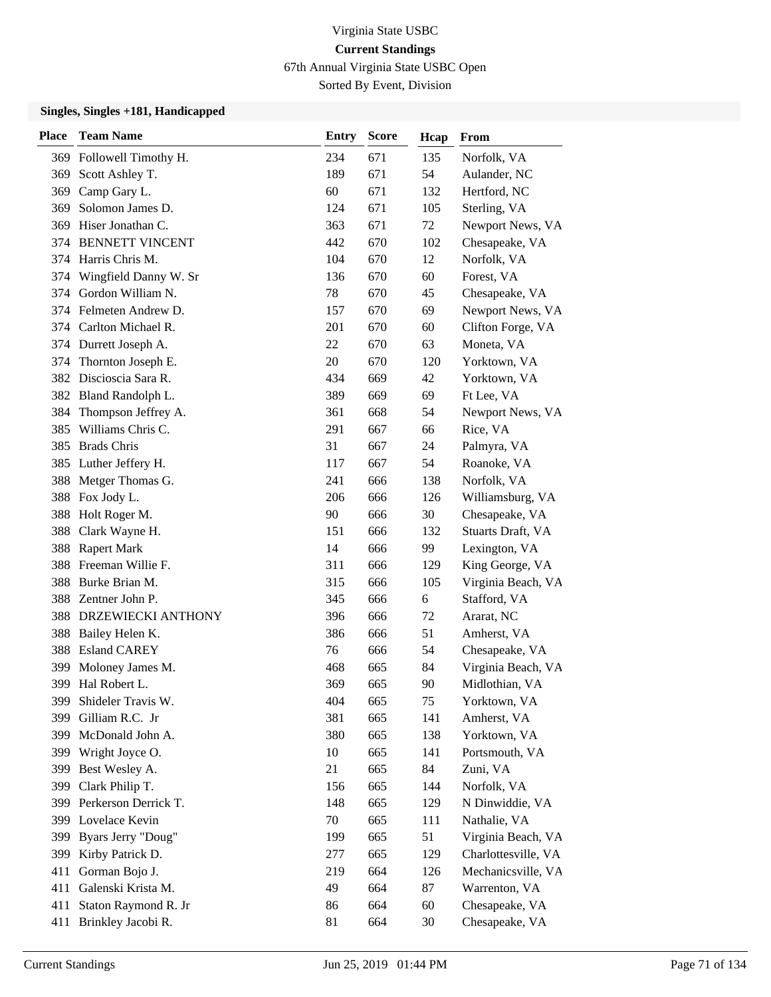67th Annual Virginia State USBC Open

Sorted By Event, Division

| <b>Place</b> | <b>Team Name</b>         | Entry | <b>Score</b> | Hcap | From                |
|--------------|--------------------------|-------|--------------|------|---------------------|
|              | 369 Followell Timothy H. | 234   | 671          | 135  | Norfolk, VA         |
|              | 369 Scott Ashley T.      | 189   | 671          | 54   | Aulander, NC        |
| 369          | Camp Gary L.             | 60    | 671          | 132  | Hertford, NC        |
| 369          | Solomon James D.         | 124   | 671          | 105  | Sterling, VA        |
| 369          | Hiser Jonathan C.        | 363   | 671          | 72   | Newport News, VA    |
| 374          | <b>BENNETT VINCENT</b>   | 442   | 670          | 102  | Chesapeake, VA      |
| 374          | Harris Chris M.          | 104   | 670          | 12   | Norfolk, VA         |
| 374          | Wingfield Danny W. Sr    | 136   | 670          | 60   | Forest, VA          |
|              | 374 Gordon William N.    | 78    | 670          | 45   | Chesapeake, VA      |
|              | 374 Felmeten Andrew D.   | 157   | 670          | 69   | Newport News, VA    |
| 374          | Carlton Michael R.       | 201   | 670          | 60   | Clifton Forge, VA   |
|              | 374 Durrett Joseph A.    | 22    | 670          | 63   | Moneta, VA          |
| 374          | Thornton Joseph E.       | 20    | 670          | 120  | Yorktown, VA        |
| 382          | Discioscia Sara R.       | 434   | 669          | 42   | Yorktown, VA        |
|              | 382 Bland Randolph L.    | 389   | 669          | 69   | Ft Lee, VA          |
| 384          | Thompson Jeffrey A.      | 361   | 668          | 54   | Newport News, VA    |
| 385          | Williams Chris C.        | 291   | 667          | 66   | Rice, VA            |
| 385          | <b>Brads Chris</b>       | 31    | 667          | 24   | Palmyra, VA         |
| 385          | Luther Jeffery H.        | 117   | 667          | 54   | Roanoke, VA         |
| 388          | Metger Thomas G.         | 241   | 666          | 138  | Norfolk, VA         |
| 388          | Fox Jody L.              | 206   | 666          | 126  | Williamsburg, VA    |
| 388          | Holt Roger M.            | 90    | 666          | 30   | Chesapeake, VA      |
| 388          | Clark Wayne H.           | 151   | 666          | 132  | Stuarts Draft, VA   |
| 388          | <b>Rapert Mark</b>       | 14    | 666          | 99   | Lexington, VA       |
| 388          | Freeman Willie F.        | 311   | 666          | 129  | King George, VA     |
| 388          | Burke Brian M.           | 315   | 666          | 105  | Virginia Beach, VA  |
| 388          | Zentner John P.          | 345   | 666          | 6    | Stafford, VA        |
| 388          | DRZEWIECKI ANTHONY       | 396   | 666          | 72   | Ararat, NC          |
| 388          | Bailey Helen K.          | 386   | 666          | 51   | Amherst, VA         |
| 388          | <b>Esland CAREY</b>      | 76    | 666          | 54   | Chesapeake, VA      |
| 399          | Moloney James M.         | 468   | 665          | 84   | Virginia Beach, VA  |
| 399          | Hal Robert L.            | 369   | 665          | 90   | Midlothian, VA      |
| 399          | Shideler Travis W.       | 404   | 665          | 75   | Yorktown, VA        |
| 399          | Gilliam R.C. Jr          | 381   | 665          | 141  | Amherst, VA         |
| 399          | McDonald John A.         | 380   | 665          | 138  | Yorktown, VA        |
|              | 399 Wright Joyce O.      | 10    | 665          | 141  | Portsmouth, VA      |
| 399          | Best Wesley A.           | 21    | 665          | 84   | Zuni, VA            |
| 399          | Clark Philip T.          | 156   | 665          | 144  | Norfolk, VA         |
| 399          | Perkerson Derrick T.     | 148   | 665          | 129  | N Dinwiddie, VA     |
|              | 399 Lovelace Kevin       | 70    | 665          | 111  | Nathalie, VA        |
| 399          | Byars Jerry "Doug"       | 199   | 665          | 51   | Virginia Beach, VA  |
| 399          | Kirby Patrick D.         | 277   | 665          | 129  | Charlottesville, VA |
| 411          | Gorman Bojo J.           | 219   | 664          | 126  | Mechanicsville, VA  |
| 411          | Galenski Krista M.       | 49    | 664          | 87   | Warrenton, VA       |
| 411          | Staton Raymond R. Jr     | 86    | 664          | 60   | Chesapeake, VA      |
| 411          | Brinkley Jacobi R.       | 81    | 664          | 30   | Chesapeake, VA      |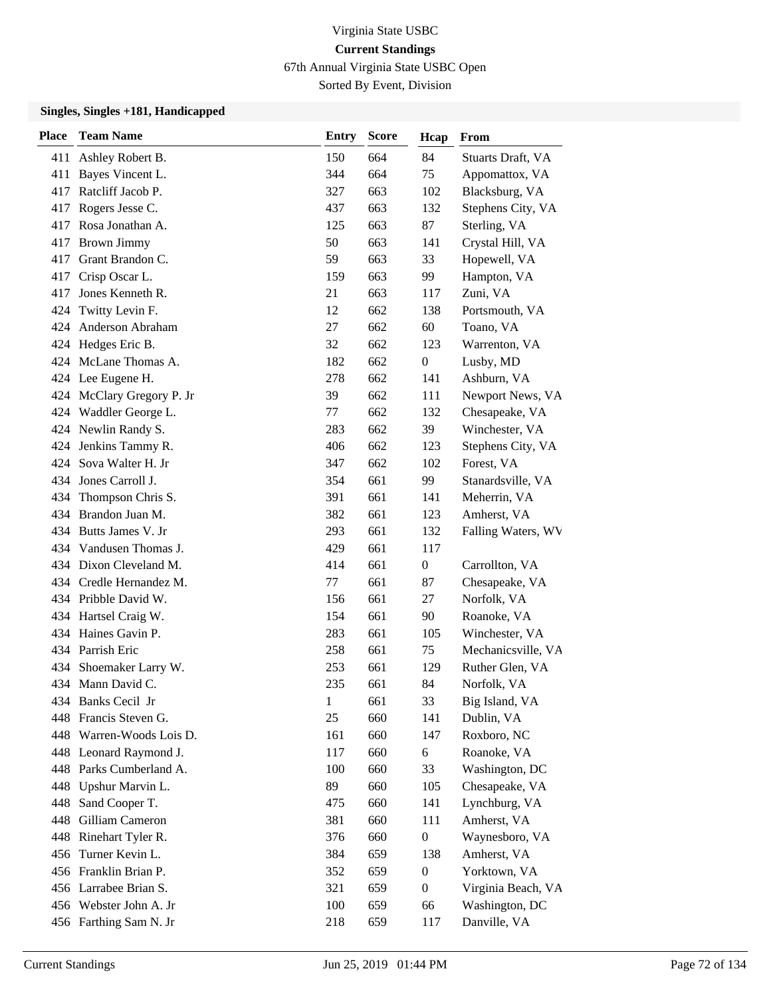67th Annual Virginia State USBC Open

Sorted By Event, Division

| <b>Place</b> | <b>Team Name</b>          | <b>Entry</b> | <b>Score</b> | Hcap             | From               |
|--------------|---------------------------|--------------|--------------|------------------|--------------------|
| 411          | Ashley Robert B.          | 150          | 664          | 84               | Stuarts Draft, VA  |
| 411          | Bayes Vincent L.          | 344          | 664          | 75               | Appomattox, VA     |
| 417          | Ratcliff Jacob P.         | 327          | 663          | 102              | Blacksburg, VA     |
|              | 417 Rogers Jesse C.       | 437          | 663          | 132              | Stephens City, VA  |
|              | 417 Rosa Jonathan A.      | 125          | 663          | 87               | Sterling, VA       |
| 417          | <b>Brown Jimmy</b>        | 50           | 663          | 141              | Crystal Hill, VA   |
| 417          | Grant Brandon C.          | 59           | 663          | 33               | Hopewell, VA       |
|              | 417 Crisp Oscar L.        | 159          | 663          | 99               | Hampton, VA        |
| 417          | Jones Kenneth R.          | 21           | 663          | 117              | Zuni, VA           |
| 424          | Twitty Levin F.           | 12           | 662          | 138              | Portsmouth, VA     |
| 424          | <b>Anderson Abraham</b>   | 27           | 662          | 60               | Toano, VA          |
|              | 424 Hedges Eric B.        | 32           | 662          | 123              | Warrenton, VA      |
|              | 424 McLane Thomas A.      | 182          | 662          | $\boldsymbol{0}$ | Lusby, MD          |
| 424          | Lee Eugene H.             | 278          | 662          | 141              | Ashburn, VA        |
|              | 424 McClary Gregory P. Jr | 39           | 662          | 111              | Newport News, VA   |
|              | 424 Waddler George L.     | 77           | 662          | 132              | Chesapeake, VA     |
|              | 424 Newlin Randy S.       | 283          | 662          | 39               | Winchester, VA     |
| 424          | Jenkins Tammy R.          | 406          | 662          | 123              | Stephens City, VA  |
|              | 424 Sova Walter H. Jr     | 347          | 662          | 102              | Forest, VA         |
|              | 434 Jones Carroll J.      | 354          | 661          | 99               | Stanardsville, VA  |
| 434          | Thompson Chris S.         | 391          | 661          | 141              | Meherrin, VA       |
| 434          | Brandon Juan M.           | 382          | 661          | 123              | Amherst, VA        |
|              | 434 Butts James V. Jr     | 293          | 661          | 132              | Falling Waters, WV |
|              | 434 Vandusen Thomas J.    | 429          | 661          | 117              |                    |
|              | 434 Dixon Cleveland M.    | 414          | 661          | $\mathbf{0}$     | Carrollton, VA     |
|              | 434 Credle Hernandez M.   | 77           | 661          | 87               | Chesapeake, VA     |
|              | 434 Pribble David W.      | 156          | 661          | 27               | Norfolk, VA        |
|              | 434 Hartsel Craig W.      | 154          | 661          | 90               | Roanoke, VA        |
|              | 434 Haines Gavin P.       | 283          | 661          | 105              | Winchester, VA     |
|              | 434 Parrish Eric          | 258          | 661          | 75               | Mechanicsville, VA |
| 434          | Shoemaker Larry W.        | 253          | 661          | 129              | Ruther Glen, VA    |
|              | 434 Mann David C.         | 235          | 661          | 84               | Norfolk, VA        |
|              | 434 Banks Cecil Jr        | $\mathbf{1}$ | 661          | 33               | Big Island, VA     |
| 448          | Francis Steven G.         | 25           | 660          | 141              | Dublin, VA         |
|              | 448 Warren-Woods Lois D.  | 161          | 660          | 147              | Roxboro, NC        |
|              | 448 Leonard Raymond J.    | 117          | 660          | 6                | Roanoke, VA        |
|              | 448 Parks Cumberland A.   | 100          | 660          | 33               | Washington, DC     |
| 448          | Upshur Marvin L.          | 89           | 660          | 105              | Chesapeake, VA     |
| 448          | Sand Cooper T.            | 475          | 660          | 141              | Lynchburg, VA      |
|              | 448 Gilliam Cameron       | 381          | 660          | 111              | Amherst, VA        |
|              | 448 Rinehart Tyler R.     | 376          | 660          | $\boldsymbol{0}$ | Waynesboro, VA     |
|              | 456 Turner Kevin L.       | 384          | 659          | 138              | Amherst, VA        |
|              | 456 Franklin Brian P.     | 352          | 659          | $\boldsymbol{0}$ | Yorktown, VA       |
|              | 456 Larrabee Brian S.     | 321          | 659          | $\boldsymbol{0}$ | Virginia Beach, VA |
|              | 456 Webster John A. Jr    | 100          | 659          | 66               | Washington, DC     |
|              | 456 Farthing Sam N. Jr    | 218          | 659          | 117              | Danville, VA       |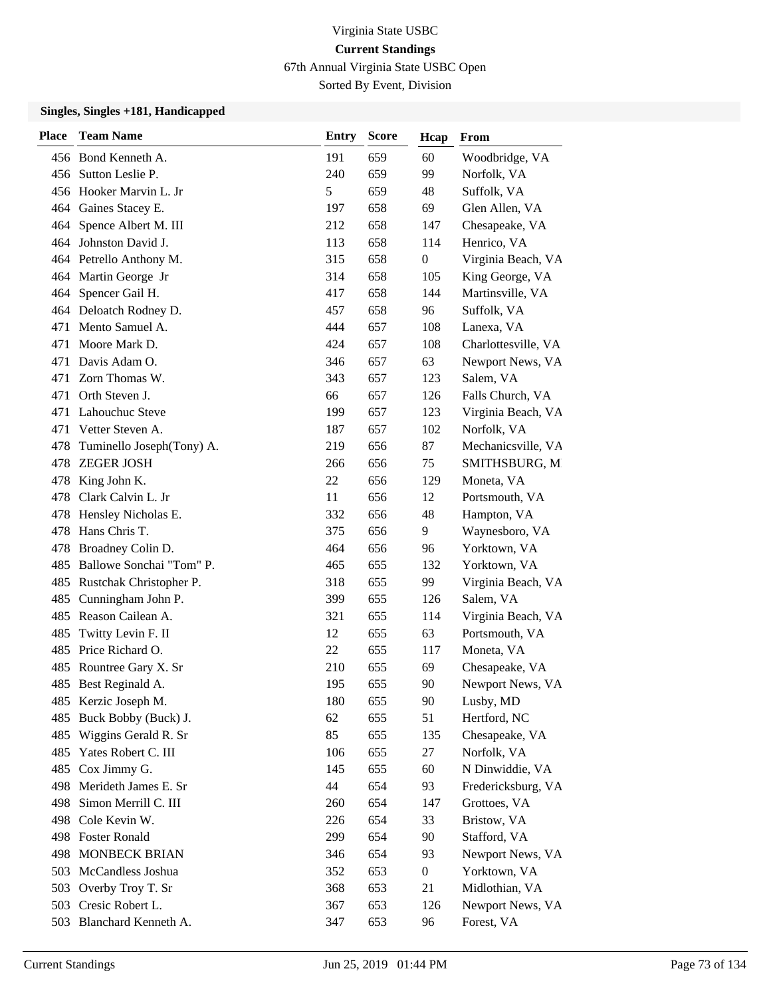67th Annual Virginia State USBC Open

Sorted By Event, Division

| <b>Place</b> | <b>Team Name</b>             | Entry | <b>Score</b> | Hcap             | From                |
|--------------|------------------------------|-------|--------------|------------------|---------------------|
|              | 456 Bond Kenneth A.          | 191   | 659          | 60               | Woodbridge, VA      |
|              | 456 Sutton Leslie P.         | 240   | 659          | 99               | Norfolk, VA         |
|              | 456 Hooker Marvin L. Jr      | 5     | 659          | 48               | Suffolk, VA         |
|              | 464 Gaines Stacey E.         | 197   | 658          | 69               | Glen Allen, VA      |
|              | 464 Spence Albert M. III     | 212   | 658          | 147              | Chesapeake, VA      |
| 464          | Johnston David J.            | 113   | 658          | 114              | Henrico, VA         |
|              | 464 Petrello Anthony M.      | 315   | 658          | $\boldsymbol{0}$ | Virginia Beach, VA  |
|              | 464 Martin George Jr         | 314   | 658          | 105              | King George, VA     |
|              | 464 Spencer Gail H.          | 417   | 658          | 144              | Martinsville, VA    |
|              | 464 Deloatch Rodney D.       | 457   | 658          | 96               | Suffolk, VA         |
| 471          | Mento Samuel A.              | 444   | 657          | 108              | Lanexa, VA          |
| 471          | Moore Mark D.                | 424   | 657          | 108              | Charlottesville, VA |
| 471          | Davis Adam O.                | 346   | 657          | 63               | Newport News, VA    |
| 471          | Zorn Thomas W.               | 343   | 657          | 123              | Salem, VA           |
| 471          | Orth Steven J.               | 66    | 657          | 126              | Falls Church, VA    |
| 471          | Lahouchuc Steve              | 199   | 657          | 123              | Virginia Beach, VA  |
| 471          | Vetter Steven A.             | 187   | 657          | 102              | Norfolk, VA         |
| 478          | Tuminello Joseph(Tony) A.    | 219   | 656          | 87               | Mechanicsville, VA  |
| 478          | <b>ZEGER JOSH</b>            | 266   | 656          | 75               | SMITHSBURG, M       |
| 478          | King John K.                 | 22    | 656          | 129              | Moneta, VA          |
|              | 478 Clark Calvin L. Jr       | 11    | 656          | 12               | Portsmouth, VA      |
| 478          | Hensley Nicholas E.          | 332   | 656          | 48               | Hampton, VA         |
| 478          | Hans Chris T.                | 375   | 656          | 9                | Waynesboro, VA      |
| 478          | Broadney Colin D.            | 464   | 656          | 96               | Yorktown, VA        |
|              | 485 Ballowe Sonchai "Tom" P. | 465   | 655          | 132              | Yorktown, VA        |
|              | 485 Rustchak Christopher P.  | 318   | 655          | 99               | Virginia Beach, VA  |
| 485          | Cunningham John P.           | 399   | 655          | 126              | Salem, VA           |
|              | 485 Reason Cailean A.        | 321   | 655          | 114              | Virginia Beach, VA  |
| 485          | Twitty Levin F. II           | 12    | 655          | 63               | Portsmouth, VA      |
| 485          | Price Richard O.             | 22    | 655          | 117              | Moneta, VA          |
| 485          | Rountree Gary X. Sr          | 210   | 655          | 69               | Chesapeake, VA      |
|              | 485 Best Reginald A.         | 195   | 655          | 90               | Newport News, VA    |
|              | 485 Kerzic Joseph M.         | 180   | 655          | 90               | Lusby, MD           |
| 485          | Buck Bobby (Buck) J.         | 62    | 655          | 51               | Hertford, NC        |
| 485          | Wiggins Gerald R. Sr         | 85    | 655          | 135              | Chesapeake, VA      |
| 485          | Yates Robert C. III          | 106   | 655          | 27               | Norfolk, VA         |
| 485          | Cox Jimmy G.                 | 145   | 655          | 60               | N Dinwiddie, VA     |
| 498          | Merideth James E. Sr         | 44    | 654          | 93               | Fredericksburg, VA  |
| 498          | Simon Merrill C. III         | 260   | 654          | 147              | Grottoes, VA        |
| 498          | Cole Kevin W.                | 226   | 654          | 33               | Bristow, VA         |
|              | 498 Foster Ronald            | 299   | 654          | 90               | Stafford, VA        |
| 498          | <b>MONBECK BRIAN</b>         | 346   | 654          | 93               | Newport News, VA    |
| 503          | McCandless Joshua            | 352   | 653          | $\boldsymbol{0}$ | Yorktown, VA        |
|              | 503 Overby Troy T. Sr        | 368   | 653          | 21               | Midlothian, VA      |
|              | 503 Cresic Robert L.         | 367   | 653          | 126              | Newport News, VA    |
|              | 503 Blanchard Kenneth A.     | 347   | 653          | 96               | Forest, VA          |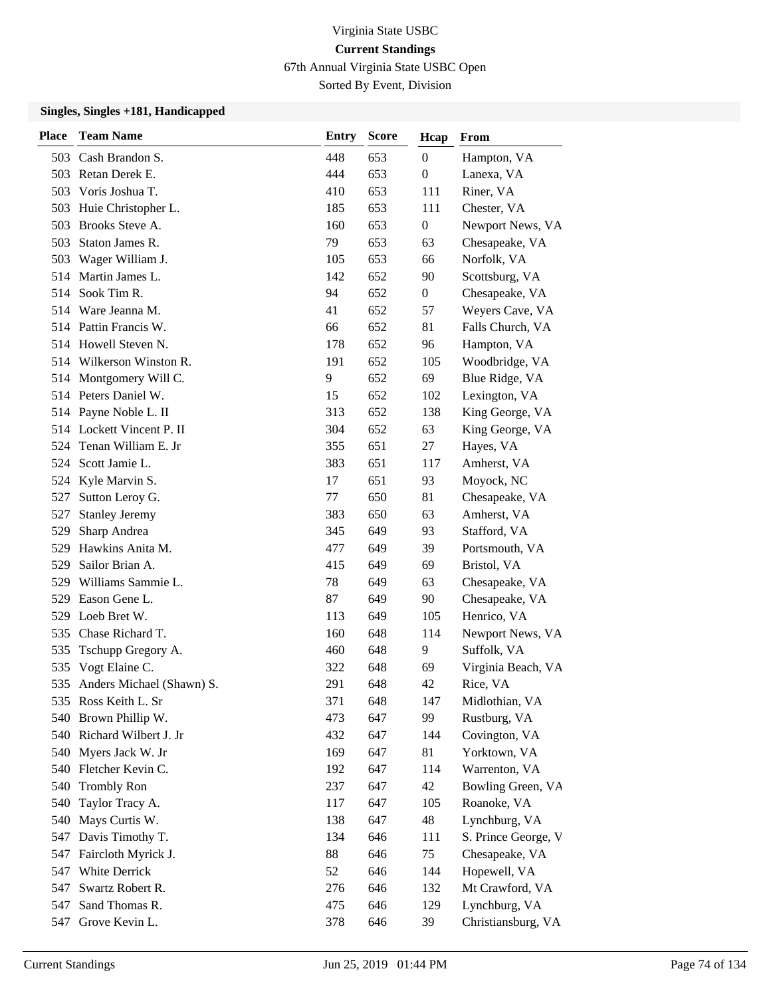67th Annual Virginia State USBC Open

Sorted By Event, Division

| <b>Place</b> | <b>Team Name</b>          | <b>Entry</b> | <b>Score</b> | Hcap             | From                |
|--------------|---------------------------|--------------|--------------|------------------|---------------------|
|              | 503 Cash Brandon S.       | 448          | 653          | $\boldsymbol{0}$ | Hampton, VA         |
|              | 503 Retan Derek E.        | 444          | 653          | $\boldsymbol{0}$ | Lanexa, VA          |
| 503          | Voris Joshua T.           | 410          | 653          | 111              | Riner, VA           |
| 503          | Huie Christopher L.       | 185          | 653          | 111              | Chester, VA         |
| 503          | Brooks Steve A.           | 160          | 653          | $\boldsymbol{0}$ | Newport News, VA    |
| 503          | Staton James R.           | 79           | 653          | 63               | Chesapeake, VA      |
| 503          | Wager William J.          | 105          | 653          | 66               | Norfolk, VA         |
| 514          | Martin James L.           | 142          | 652          | 90               | Scottsburg, VA      |
| 514          | Sook Tim R.               | 94           | 652          | $\boldsymbol{0}$ | Chesapeake, VA      |
| 514          | Ware Jeanna M.            | 41           | 652          | 57               | Weyers Cave, VA     |
|              | 514 Pattin Francis W.     | 66           | 652          | 81               | Falls Church, VA    |
|              | 514 Howell Steven N.      | 178          | 652          | 96               | Hampton, VA         |
|              | 514 Wilkerson Winston R.  | 191          | 652          | 105              | Woodbridge, VA      |
| 514          | Montgomery Will C.        | 9            | 652          | 69               | Blue Ridge, VA      |
|              | 514 Peters Daniel W.      | 15           | 652          | 102              | Lexington, VA       |
|              | 514 Payne Noble L. II     | 313          | 652          | 138              | King George, VA     |
|              | 514 Lockett Vincent P. II | 304          | 652          | 63               | King George, VA     |
| 524          | Tenan William E. Jr       | 355          | 651          | 27               | Hayes, VA           |
| 524          | Scott Jamie L.            | 383          | 651          | 117              | Amherst, VA         |
| 524          | Kyle Marvin S.            | 17           | 651          | 93               | Moyock, NC          |
| 527          | Sutton Leroy G.           | 77           | 650          | 81               | Chesapeake, VA      |
| 527          | <b>Stanley Jeremy</b>     | 383          | 650          | 63               | Amherst, VA         |
| 529          | Sharp Andrea              | 345          | 649          | 93               | Stafford, VA        |
| 529          | Hawkins Anita M.          | 477          | 649          | 39               | Portsmouth, VA      |
| 529          | Sailor Brian A.           | 415          | 649          | 69               | Bristol, VA         |
| 529          | Williams Sammie L.        | 78           | 649          | 63               | Chesapeake, VA      |
| 529          | Eason Gene L.             | 87           | 649          | 90               | Chesapeake, VA      |
| 529          | Loeb Bret W.              | 113          | 649          | 105              | Henrico, VA         |
| 535          | Chase Richard T.          | 160          | 648          | 114              | Newport News, VA    |
| 535          | Tschupp Gregory A.        | 460          | 648          | 9                | Suffolk, VA         |
| 535          | Vogt Elaine C.            | 322          | 648          | 69               | Virginia Beach, VA  |
| 535          | Anders Michael (Shawn) S. | 291          | 648          | 42               | Rice, VA            |
|              | 535 Ross Keith L. Sr      | 371          | 648          | 147              | Midlothian, VA      |
| 540          | Brown Phillip W.          | 473          | 647          | 99               | Rustburg, VA        |
|              | 540 Richard Wilbert J. Jr | 432          | 647          | 144              | Covington, VA       |
|              | 540 Myers Jack W. Jr      | 169          | 647          | 81               | Yorktown, VA        |
|              | 540 Fletcher Kevin C.     | 192          | 647          | 114              | Warrenton, VA       |
| 540          | <b>Trombly Ron</b>        | 237          | 647          | 42               | Bowling Green, VA   |
| 540          | Taylor Tracy A.           | 117          | 647          | 105              | Roanoke, VA         |
| 540          | Mays Curtis W.            | 138          | 647          | 48               | Lynchburg, VA       |
| 547          | Davis Timothy T.          | 134          | 646          | 111              | S. Prince George, V |
| 547          | Faircloth Myrick J.       | 88           | 646          | 75               | Chesapeake, VA      |
| 547          | White Derrick             | 52           | 646          | 144              | Hopewell, VA        |
| 547          | Swartz Robert R.          | 276          | 646          | 132              | Mt Crawford, VA     |
| 547          | Sand Thomas R.            | 475          | 646          | 129              | Lynchburg, VA       |
|              | 547 Grove Kevin L.        | 378          | 646          | 39               | Christiansburg, VA  |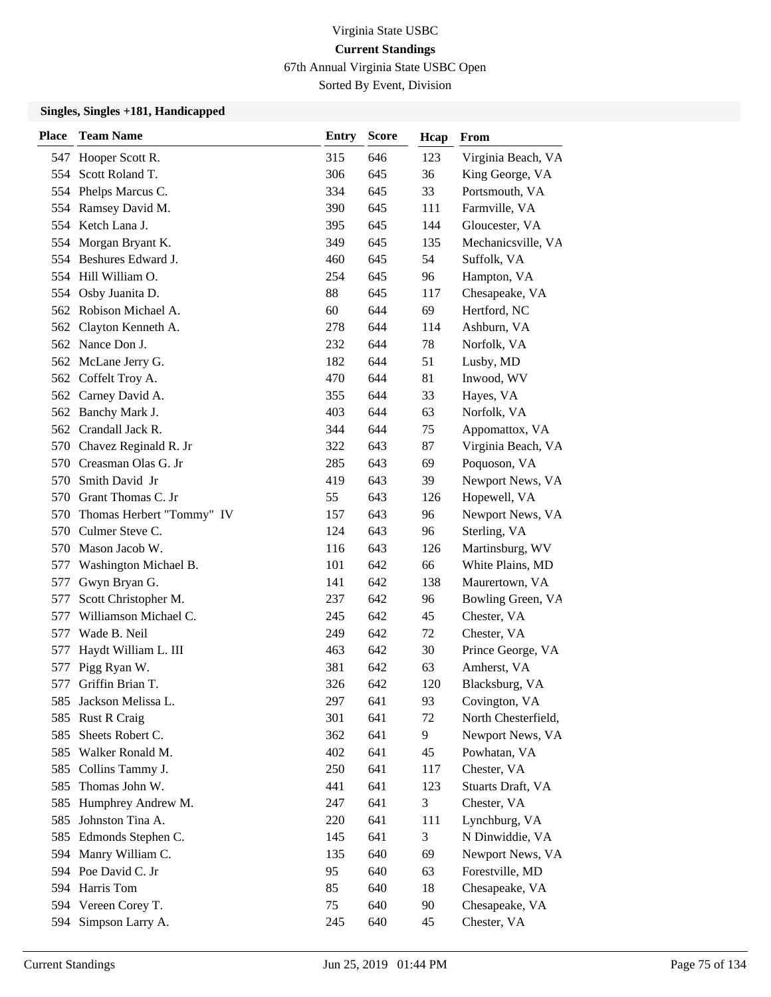67th Annual Virginia State USBC Open

Sorted By Event, Division

| <b>Place</b> | <b>Team Name</b>          | <b>Entry</b> | <b>Score</b> | Hcap | From                |
|--------------|---------------------------|--------------|--------------|------|---------------------|
| 547          | Hooper Scott R.           | 315          | 646          | 123  | Virginia Beach, VA  |
| 554          | Scott Roland T.           | 306          | 645          | 36   | King George, VA     |
|              | 554 Phelps Marcus C.      | 334          | 645          | 33   | Portsmouth, VA      |
|              | 554 Ramsey David M.       | 390          | 645          | 111  | Farmville, VA       |
|              | 554 Ketch Lana J.         | 395          | 645          | 144  | Gloucester, VA      |
| 554          | Morgan Bryant K.          | 349          | 645          | 135  | Mechanicsville, VA  |
|              | 554 Beshures Edward J.    | 460          | 645          | 54   | Suffolk, VA         |
|              | 554 Hill William O.       | 254          | 645          | 96   | Hampton, VA         |
| 554          | Osby Juanita D.           | 88           | 645          | 117  | Chesapeake, VA      |
|              | 562 Robison Michael A.    | 60           | 644          | 69   | Hertford, NC        |
| 562          | Clayton Kenneth A.        | 278          | 644          | 114  | Ashburn, VA         |
|              | 562 Nance Don J.          | 232          | 644          | 78   | Norfolk, VA         |
| 562          | McLane Jerry G.           | 182          | 644          | 51   | Lusby, MD           |
| 562          | Coffelt Troy A.           | 470          | 644          | 81   | Inwood, WV          |
|              | 562 Carney David A.       | 355          | 644          | 33   | Hayes, VA           |
|              | 562 Banchy Mark J.        | 403          | 644          | 63   | Norfolk, VA         |
| 562          | Crandall Jack R.          | 344          | 644          | 75   | Appomattox, VA      |
| 570          | Chavez Reginald R. Jr     | 322          | 643          | 87   | Virginia Beach, VA  |
| 570          | Creasman Olas G. Jr       | 285          | 643          | 69   | Poquoson, VA        |
| 570          | Smith David Jr            | 419          | 643          | 39   | Newport News, VA    |
| 570          | Grant Thomas C. Jr        | 55           | 643          | 126  | Hopewell, VA        |
| 570          | Thomas Herbert "Tommy" IV | 157          | 643          | 96   | Newport News, VA    |
| 570          | Culmer Steve C.           | 124          | 643          | 96   | Sterling, VA        |
| 570          | Mason Jacob W.            | 116          | 643          | 126  | Martinsburg, WV     |
| 577          | Washington Michael B.     | 101          | 642          | 66   | White Plains, MD    |
| 577          | Gwyn Bryan G.             | 141          | 642          | 138  | Maurertown, VA      |
| 577          | Scott Christopher M.      | 237          | 642          | 96   | Bowling Green, VA   |
| 577          | Williamson Michael C.     | 245          | 642          | 45   | Chester, VA         |
| 577          | Wade B. Neil              | 249          | 642          | 72   | Chester, VA         |
| 577          | Haydt William L. III      | 463          | 642          | 30   | Prince George, VA   |
| 577          | Pigg Ryan W.              | 381          | 642          | 63   | Amherst, VA         |
| 577          | Griffin Brian T.          | 326          | 642          | 120  | Blacksburg, VA      |
| 585          | Jackson Melissa L.        | 297          | 641          | 93   | Covington, VA       |
| 585          | <b>Rust R Craig</b>       | 301          | 641          | 72   | North Chesterfield, |
| 585          | Sheets Robert C.          | 362          | 641          | 9    | Newport News, VA    |
| 585          | Walker Ronald M.          | 402          | 641          | 45   | Powhatan, VA        |
| 585          | Collins Tammy J.          | 250          | 641          | 117  | Chester, VA         |
| 585          | Thomas John W.            | 441          | 641          | 123  | Stuarts Draft, VA   |
| 585          | Humphrey Andrew M.        | 247          | 641          | 3    | Chester, VA         |
| 585          | Johnston Tina A.          | 220          | 641          | 111  | Lynchburg, VA       |
| 585          | Edmonds Stephen C.        | 145          | 641          | 3    | N Dinwiddie, VA     |
| 594          | Manry William C.          | 135          | 640          | 69   | Newport News, VA    |
|              | 594 Poe David C. Jr       | 95           | 640          | 63   | Forestville, MD     |
|              | 594 Harris Tom            | 85           | 640          | 18   | Chesapeake, VA      |
|              | 594 Vereen Corey T.       | 75           | 640          | 90   | Chesapeake, VA      |
| 594          | Simpson Larry A.          | 245          | 640          | 45   | Chester, VA         |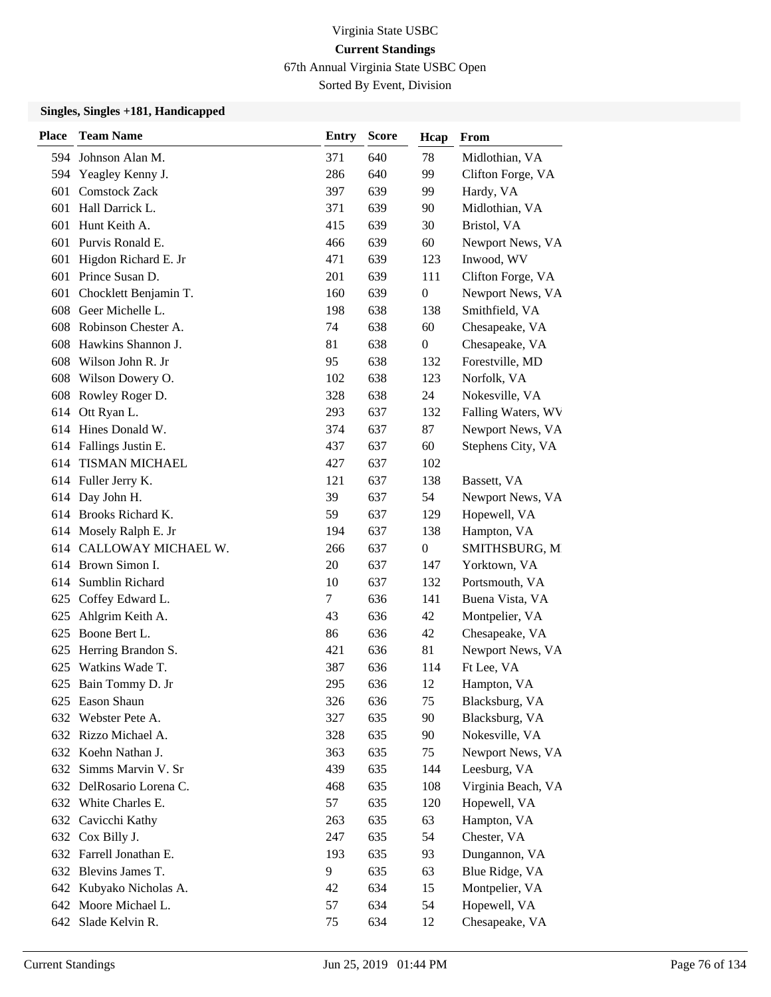67th Annual Virginia State USBC Open

Sorted By Event, Division

| <b>Place</b> | <b>Team Name</b>         | <b>Entry</b> | <b>Score</b> | Hcap             | <b>From</b>        |
|--------------|--------------------------|--------------|--------------|------------------|--------------------|
|              | 594 Johnson Alan M.      | 371          | 640          | 78               | Midlothian, VA     |
| 594          | Yeagley Kenny J.         | 286          | 640          | 99               | Clifton Forge, VA  |
| 601          | <b>Comstock Zack</b>     | 397          | 639          | 99               | Hardy, VA          |
| 601          | Hall Darrick L.          | 371          | 639          | 90               | Midlothian, VA     |
| 601          | Hunt Keith A.            | 415          | 639          | 30               | Bristol, VA        |
| 601          | Purvis Ronald E.         | 466          | 639          | 60               | Newport News, VA   |
| 601          | Higdon Richard E. Jr     | 471          | 639          | 123              | Inwood, WV         |
|              | 601 Prince Susan D.      | 201          | 639          | 111              | Clifton Forge, VA  |
| 601          | Chocklett Benjamin T.    | 160          | 639          | 0                | Newport News, VA   |
| 608          | Geer Michelle L.         | 198          | 638          | 138              | Smithfield, VA     |
|              | 608 Robinson Chester A.  | 74           | 638          | 60               | Chesapeake, VA     |
| 608          | Hawkins Shannon J.       | 81           | 638          | $\boldsymbol{0}$ | Chesapeake, VA     |
|              | 608 Wilson John R. Jr    | 95           | 638          | 132              | Forestville, MD    |
| 608          | Wilson Dowery O.         | 102          | 638          | 123              | Norfolk, VA        |
|              | 608 Rowley Roger D.      | 328          | 638          | 24               | Nokesville, VA     |
|              | 614 Ott Ryan L.          | 293          | 637          | 132              | Falling Waters, WV |
|              | 614 Hines Donald W.      | 374          | 637          | 87               | Newport News, VA   |
|              | 614 Fallings Justin E.   | 437          | 637          | 60               | Stephens City, VA  |
| 614          | <b>TISMAN MICHAEL</b>    | 427          | 637          | 102              |                    |
|              | 614 Fuller Jerry K.      | 121          | 637          | 138              | Bassett, VA        |
|              | 614 Day John H.          | 39           | 637          | 54               | Newport News, VA   |
| 614          | <b>Brooks Richard K.</b> | 59           | 637          | 129              | Hopewell, VA       |
|              | 614 Mosely Ralph E. Jr   | 194          | 637          | 138              | Hampton, VA        |
|              | 614 CALLOWAY MICHAEL W.  | 266          | 637          | 0                | SMITHSBURG, M      |
|              | 614 Brown Simon I.       | 20           | 637          | 147              | Yorktown, VA       |
| 614          | Sumblin Richard          | 10           | 637          | 132              | Portsmouth, VA     |
| 625          | Coffey Edward L.         | $\tau$       | 636          | 141              | Buena Vista, VA    |
|              | 625 Ahlgrim Keith A.     | 43           | 636          | 42               | Montpelier, VA     |
| 625          | Boone Bert L.            | 86           | 636          | 42               | Chesapeake, VA     |
| 625          | Herring Brandon S.       | 421          | 636          | 81               | Newport News, VA   |
| 625          | Watkins Wade T.          | 387          | 636          | 114              | Ft Lee, VA         |
|              | 625 Bain Tommy D. Jr     | 295          | 636          | 12               | Hampton, VA        |
|              | 625 Eason Shaun          | 326          | 636          | 75               | Blacksburg, VA     |
| 632          | Webster Pete A.          | 327          | 635          | 90               | Blacksburg, VA     |
|              | 632 Rizzo Michael A.     | 328          | 635          | 90               | Nokesville, VA     |
|              | 632 Koehn Nathan J.      | 363          | 635          | 75               | Newport News, VA   |
|              | 632 Simms Marvin V. Sr   | 439          | 635          | 144              | Leesburg, VA       |
|              | 632 DelRosario Lorena C. | 468          | 635          | 108              | Virginia Beach, VA |
|              | 632 White Charles E.     | 57           | 635          | 120              | Hopewell, VA       |
|              | 632 Cavicchi Kathy       | 263          | 635          | 63               | Hampton, VA        |
|              | 632 Cox Billy J.         | 247          | 635          | 54               | Chester, VA        |
|              | 632 Farrell Jonathan E.  | 193          | 635          | 93               | Dungannon, VA      |
|              | 632 Blevins James T.     | 9            | 635          | 63               | Blue Ridge, VA     |
|              | 642 Kubyako Nicholas A.  | 42           | 634          | 15               | Montpelier, VA     |
|              | 642 Moore Michael L.     | 57           | 634          | 54               | Hopewell, VA       |
|              | 642 Slade Kelvin R.      | 75           | 634          | 12               | Chesapeake, VA     |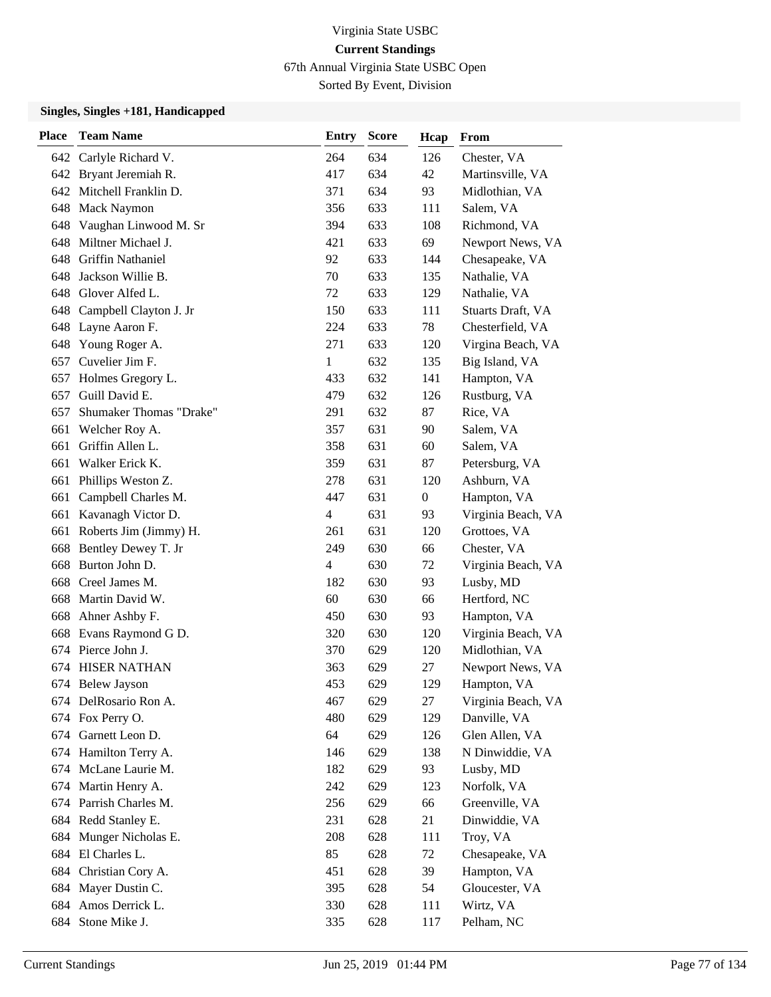67th Annual Virginia State USBC Open

Sorted By Event, Division

| <b>Place</b> | <b>Team Name</b>           | <b>Entry</b>   | <b>Score</b> | Hcap             | From               |
|--------------|----------------------------|----------------|--------------|------------------|--------------------|
|              | 642 Carlyle Richard V.     | 264            | 634          | 126              | Chester, VA        |
|              | 642 Bryant Jeremiah R.     | 417            | 634          | 42               | Martinsville, VA   |
|              | 642 Mitchell Franklin D.   | 371            | 634          | 93               | Midlothian, VA     |
|              | 648 Mack Naymon            | 356            | 633          | 111              | Salem, VA          |
|              | 648 Vaughan Linwood M. Sr  | 394            | 633          | 108              | Richmond, VA       |
| 648          | Miltner Michael J.         | 421            | 633          | 69               | Newport News, VA   |
|              | 648 Griffin Nathaniel      | 92             | 633          | 144              | Chesapeake, VA     |
|              | 648 Jackson Willie B.      | 70             | 633          | 135              | Nathalie, VA       |
|              | 648 Glover Alfed L.        | 72             | 633          | 129              | Nathalie, VA       |
|              | 648 Campbell Clayton J. Jr | 150            | 633          | 111              | Stuarts Draft, VA  |
|              | 648 Layne Aaron F.         | 224            | 633          | 78               | Chesterfield, VA   |
|              | 648 Young Roger A.         | 271            | 633          | 120              | Virgina Beach, VA  |
| 657          | Cuvelier Jim F.            | $\mathbf{1}$   | 632          | 135              | Big Island, VA     |
| 657          | Holmes Gregory L.          | 433            | 632          | 141              | Hampton, VA        |
| 657          | Guill David E.             | 479            | 632          | 126              | Rustburg, VA       |
| 657          | Shumaker Thomas "Drake"    | 291            | 632          | 87               | Rice, VA           |
| 661          | Welcher Roy A.             | 357            | 631          | 90               | Salem, VA          |
| 661          | Griffin Allen L.           | 358            | 631          | 60               | Salem, VA          |
| 661          | Walker Erick K.            | 359            | 631          | 87               | Petersburg, VA     |
| 661          | Phillips Weston Z.         | 278            | 631          | 120              | Ashburn, VA        |
| 661          | Campbell Charles M.        | 447            | 631          | $\boldsymbol{0}$ | Hampton, VA        |
| 661          | Kavanagh Victor D.         | 4              | 631          | 93               | Virginia Beach, VA |
|              | 661 Roberts Jim (Jimmy) H. | 261            | 631          | 120              | Grottoes, VA       |
|              | 668 Bentley Dewey T. Jr    | 249            | 630          | 66               | Chester, VA        |
| 668          | Burton John D.             | $\overline{4}$ | 630          | 72               | Virginia Beach, VA |
| 668          | Creel James M.             | 182            | 630          | 93               | Lusby, MD          |
| 668          | Martin David W.            | 60             | 630          | 66               | Hertford, NC       |
|              | 668 Ahner Ashby F.         | 450            | 630          | 93               | Hampton, VA        |
| 668          | Evans Raymond G D.         | 320            | 630          | 120              | Virginia Beach, VA |
|              | 674 Pierce John J.         | 370            | 629          | 120              | Midlothian, VA     |
|              | <b>674 HISER NATHAN</b>    | 363            | 629          | 27               | Newport News, VA   |
|              | 674 Belew Jayson           | 453            | 629          | 129              | Hampton, VA        |
|              | 674 DelRosario Ron A.      | 467            | 629          | 27               | Virginia Beach, VA |
|              | 674 Fox Perry O.           | 480            | 629          | 129              | Danville, VA       |
| 674          | Garnett Leon D.            | 64             | 629          | 126              | Glen Allen, VA     |
|              | 674 Hamilton Terry A.      | 146            | 629          | 138              | N Dinwiddie, VA    |
|              | 674 McLane Laurie M.       | 182            | 629          | 93               | Lusby, MD          |
|              | 674 Martin Henry A.        | 242            | 629          | 123              | Norfolk, VA        |
|              | 674 Parrish Charles M.     | 256            | 629          | 66               | Greenville, VA     |
|              | 684 Redd Stanley E.        | 231            | 628          | 21               | Dinwiddie, VA      |
| 684          | Munger Nicholas E.         | 208            | 628          | 111              | Troy, VA           |
| 684          | El Charles L.              | 85             | 628          | 72               | Chesapeake, VA     |
| 684          | Christian Cory A.          | 451            | 628          | 39               | Hampton, VA        |
|              | 684 Mayer Dustin C.        | 395            | 628          | 54               | Gloucester, VA     |
| 684          | Amos Derrick L.            | 330            | 628          | 111              | Wirtz, VA          |
| 684          | Stone Mike J.              | 335            | 628          | 117              | Pelham, NC         |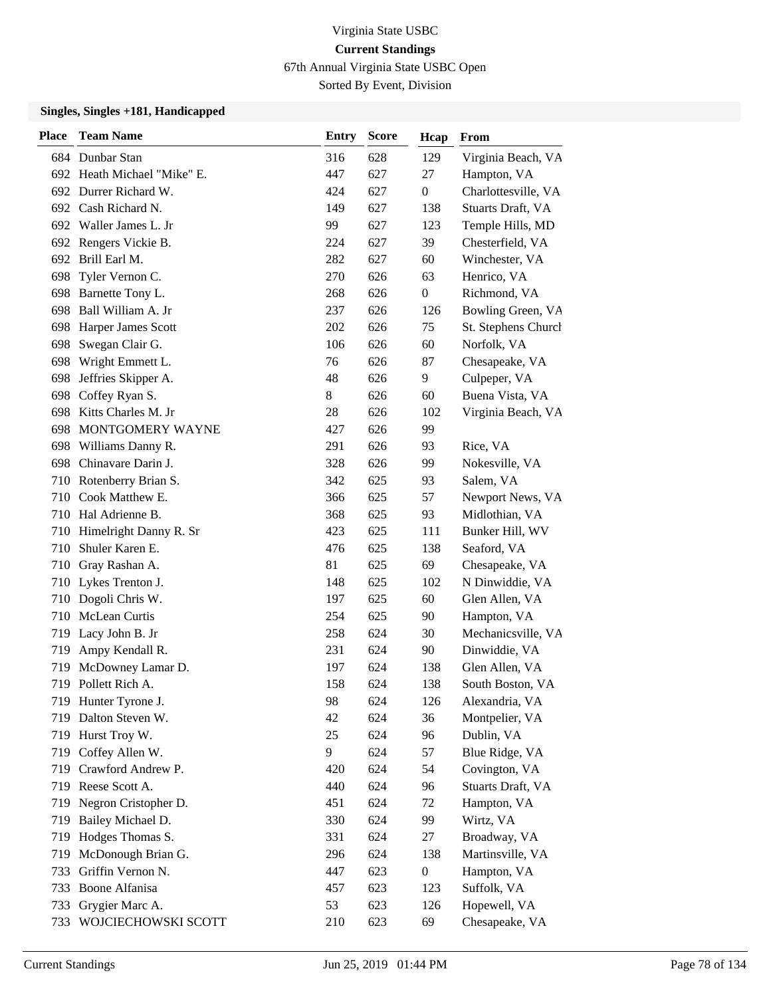67th Annual Virginia State USBC Open

Sorted By Event, Division

| <b>Place</b> | <b>Team Name</b>            | <b>Entry</b> | <b>Score</b> | Hcap             | From                |
|--------------|-----------------------------|--------------|--------------|------------------|---------------------|
|              | 684 Dunbar Stan             | 316          | 628          | 129              | Virginia Beach, VA  |
|              | 692 Heath Michael "Mike" E. | 447          | 627          | 27               | Hampton, VA         |
|              | 692 Durrer Richard W.       | 424          | 627          | $\boldsymbol{0}$ | Charlottesville, VA |
|              | 692 Cash Richard N.         | 149          | 627          | 138              | Stuarts Draft, VA   |
|              | 692 Waller James L. Jr      | 99           | 627          | 123              | Temple Hills, MD    |
|              | 692 Rengers Vickie B.       | 224          | 627          | 39               | Chesterfield, VA    |
|              | 692 Brill Earl M.           | 282          | 627          | 60               | Winchester, VA      |
|              | 698 Tyler Vernon C.         | 270          | 626          | 63               | Henrico, VA         |
| 698          | Barnette Tony L.            | 268          | 626          | $\boldsymbol{0}$ | Richmond, VA        |
| 698          | Ball William A. Jr          | 237          | 626          | 126              | Bowling Green, VA   |
| 698          | <b>Harper James Scott</b>   | 202          | 626          | 75               | St. Stephens Church |
| 698          | Swegan Clair G.             | 106          | 626          | 60               | Norfolk, VA         |
| 698          | Wright Emmett L.            | 76           | 626          | 87               | Chesapeake, VA      |
| 698          | Jeffries Skipper A.         | 48           | 626          | 9                | Culpeper, VA        |
| 698          | Coffey Ryan S.              | 8            | 626          | 60               | Buena Vista, VA     |
|              | 698 Kitts Charles M. Jr     | 28           | 626          | 102              | Virginia Beach, VA  |
| 698          | MONTGOMERY WAYNE            | 427          | 626          | 99               |                     |
| 698          | Williams Danny R.           | 291          | 626          | 93               | Rice, VA            |
|              | 698 Chinavare Darin J.      | 328          | 626          | 99               | Nokesville, VA      |
|              | 710 Rotenberry Brian S.     | 342          | 625          | 93               | Salem, VA           |
| 710          | Cook Matthew E.             | 366          | 625          | 57               | Newport News, VA    |
|              | 710 Hal Adrienne B.         | 368          | 625          | 93               | Midlothian, VA      |
| 710          | Himelright Danny R. Sr      | 423          | 625          | 111              | Bunker Hill, WV     |
| 710          | Shuler Karen E.             | 476          | 625          | 138              | Seaford, VA         |
| 710          | Gray Rashan A.              | 81           | 625          | 69               | Chesapeake, VA      |
|              | 710 Lykes Trenton J.        | 148          | 625          | 102              | N Dinwiddie, VA     |
|              | 710 Dogoli Chris W.         | 197          | 625          | 60               | Glen Allen, VA      |
|              | 710 McLean Curtis           | 254          | 625          | 90               | Hampton, VA         |
| 719          | Lacy John B. Jr             | 258          | 624          | 30               | Mechanicsville, VA  |
| 719          | Ampy Kendall R.             | 231          | 624          | 90               | Dinwiddie, VA       |
| 719          | McDowney Lamar D.           | 197          | 624          | 138              | Glen Allen, VA      |
|              | 719 Pollett Rich A.         | 158          | 624          | 138              | South Boston, VA    |
|              | 719 Hunter Tyrone J.        | 98           | 624          | 126              | Alexandria, VA      |
|              | 719 Dalton Steven W.        | 42           | 624          | 36               | Montpelier, VA      |
|              | 719 Hurst Troy W.           | 25           | 624          | 96               | Dublin, VA          |
|              | 719 Coffey Allen W.         | 9            | 624          | 57               | Blue Ridge, VA      |
| 719          | Crawford Andrew P.          | 420          | 624          | 54               | Covington, VA       |
|              | 719 Reese Scott A.          | 440          | 624          | 96               | Stuarts Draft, VA   |
| 719          | Negron Cristopher D.        | 451          | 624          | 72               | Hampton, VA         |
| 719          | Bailey Michael D.           | 330          | 624          | 99               | Wirtz, VA           |
| 719          | Hodges Thomas S.            | 331          | 624          | 27               | Broadway, VA        |
| 719          | McDonough Brian G.          | 296          | 624          | 138              | Martinsville, VA    |
| 733          | Griffin Vernon N.           | 447          | 623          | $\boldsymbol{0}$ | Hampton, VA         |
|              | 733 Boone Alfanisa          | 457          | 623          | 123              | Suffolk, VA         |
| 733          | Grygier Marc A.             | 53           | 623          | 126              | Hopewell, VA        |
| 733          | WOJCIECHOWSKI SCOTT         | 210          | 623          | 69               | Chesapeake, VA      |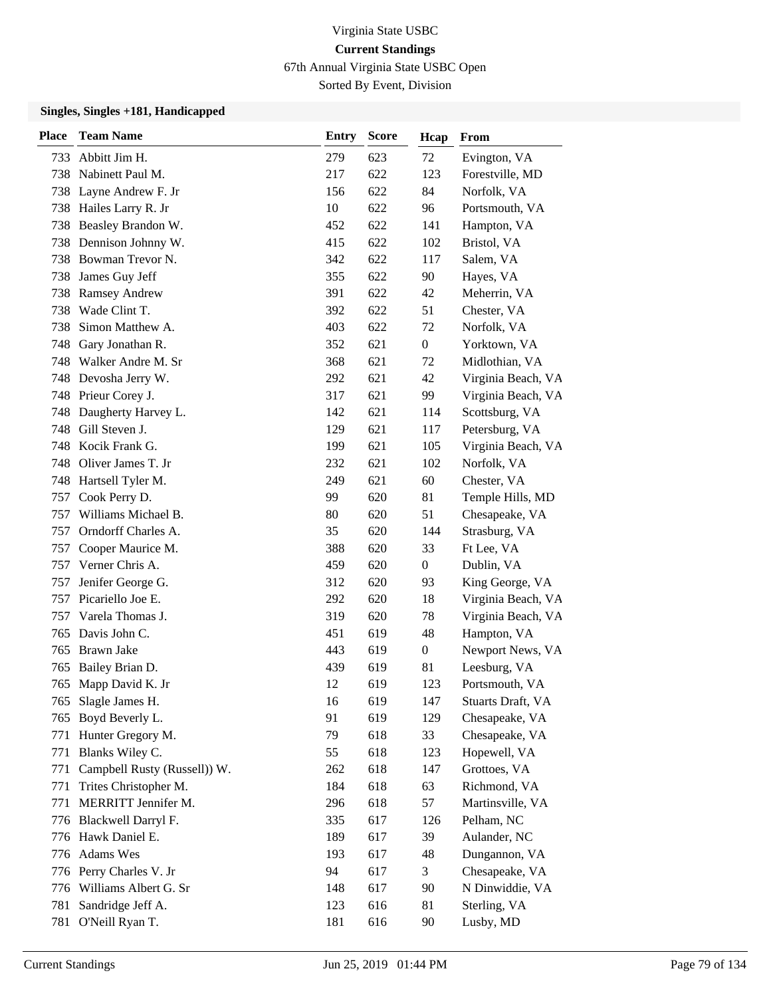67th Annual Virginia State USBC Open

Sorted By Event, Division

| <b>Place</b> | <b>Team Name</b>             | Entry | <b>Score</b> | Hcap             | From               |
|--------------|------------------------------|-------|--------------|------------------|--------------------|
| 733          | Abbitt Jim H.                | 279   | 623          | 72               | Evington, VA       |
|              | 738 Nabinett Paul M.         | 217   | 622          | 123              | Forestville, MD    |
| 738          | Layne Andrew F. Jr           | 156   | 622          | 84               | Norfolk, VA        |
| 738          | Hailes Larry R. Jr           | 10    | 622          | 96               | Portsmouth, VA     |
| 738          | Beasley Brandon W.           | 452   | 622          | 141              | Hampton, VA        |
| 738          | Dennison Johnny W.           | 415   | 622          | 102              | Bristol, VA        |
| 738          | Bowman Trevor N.             | 342   | 622          | 117              | Salem, VA          |
| 738          | James Guy Jeff               | 355   | 622          | 90               | Hayes, VA          |
| 738          | <b>Ramsey Andrew</b>         | 391   | 622          | 42               | Meherrin, VA       |
| 738          | Wade Clint T.                | 392   | 622          | 51               | Chester, VA        |
| 738          | Simon Matthew A.             | 403   | 622          | 72               | Norfolk, VA        |
| 748          | Gary Jonathan R.             | 352   | 621          | $\boldsymbol{0}$ | Yorktown, VA       |
| 748          | Walker Andre M. Sr           | 368   | 621          | 72               | Midlothian, VA     |
| 748          | Devosha Jerry W.             | 292   | 621          | 42               | Virginia Beach, VA |
| 748          | Prieur Corey J.              | 317   | 621          | 99               | Virginia Beach, VA |
| 748          | Daugherty Harvey L.          | 142   | 621          | 114              | Scottsburg, VA     |
| 748          | Gill Steven J.               | 129   | 621          | 117              | Petersburg, VA     |
| 748          | Kocik Frank G.               | 199   | 621          | 105              | Virginia Beach, VA |
| 748          | Oliver James T. Jr           | 232   | 621          | 102              | Norfolk, VA        |
| 748          | Hartsell Tyler M.            | 249   | 621          | 60               | Chester, VA        |
| 757          | Cook Perry D.                | 99    | 620          | 81               | Temple Hills, MD   |
| 757          | Williams Michael B.          | 80    | 620          | 51               | Chesapeake, VA     |
| 757          | Orndorff Charles A.          | 35    | 620          | 144              | Strasburg, VA      |
| 757          | Cooper Maurice M.            | 388   | 620          | 33               | Ft Lee, VA         |
| 757          | Verner Chris A.              | 459   | 620          | $\boldsymbol{0}$ | Dublin, VA         |
| 757          | Jenifer George G.            | 312   | 620          | 93               | King George, VA    |
| 757          | Picariello Joe E.            | 292   | 620          | 18               | Virginia Beach, VA |
| 757          | Varela Thomas J.             | 319   | 620          | 78               | Virginia Beach, VA |
| 765          | Davis John C.                | 451   | 619          | 48               | Hampton, VA        |
| 765          | Brawn Jake                   | 443   | 619          | $\mathbf{0}$     | Newport News, VA   |
| 765          | Bailey Brian D.              | 439   | 619          | 81               | Leesburg, VA       |
|              | 765 Mapp David K. Jr         | 12    | 619          | 123              | Portsmouth, VA     |
|              | 765 Slagle James H.          | 16    | 619          | 147              | Stuarts Draft, VA  |
| 765          | Boyd Beverly L.              | 91    | 619          | 129              | Chesapeake, VA     |
| 771          | Hunter Gregory M.            | 79    | 618          | 33               | Chesapeake, VA     |
| 771          | Blanks Wiley C.              | 55    | 618          | 123              | Hopewell, VA       |
| 771          | Campbell Rusty (Russell)) W. | 262   | 618          | 147              | Grottoes, VA       |
| 771          | Trites Christopher M.        | 184   | 618          | 63               | Richmond, VA       |
| 771          | MERRITT Jennifer M.          | 296   | 618          | 57               | Martinsville, VA   |
|              | 776 Blackwell Darryl F.      | 335   | 617          | 126              | Pelham, NC         |
|              | 776 Hawk Daniel E.           | 189   | 617          | 39               | Aulander, NC       |
|              | 776 Adams Wes                | 193   | 617          | 48               | Dungannon, VA      |
|              | 776 Perry Charles V. Jr      | 94    | 617          | 3                | Chesapeake, VA     |
|              | 776 Williams Albert G. Sr    | 148   | 617          | 90               | N Dinwiddie, VA    |
| 781          | Sandridge Jeff A.            | 123   | 616          | 81               | Sterling, VA       |
| 781          | O'Neill Ryan T.              | 181   | 616          | 90               | Lusby, MD          |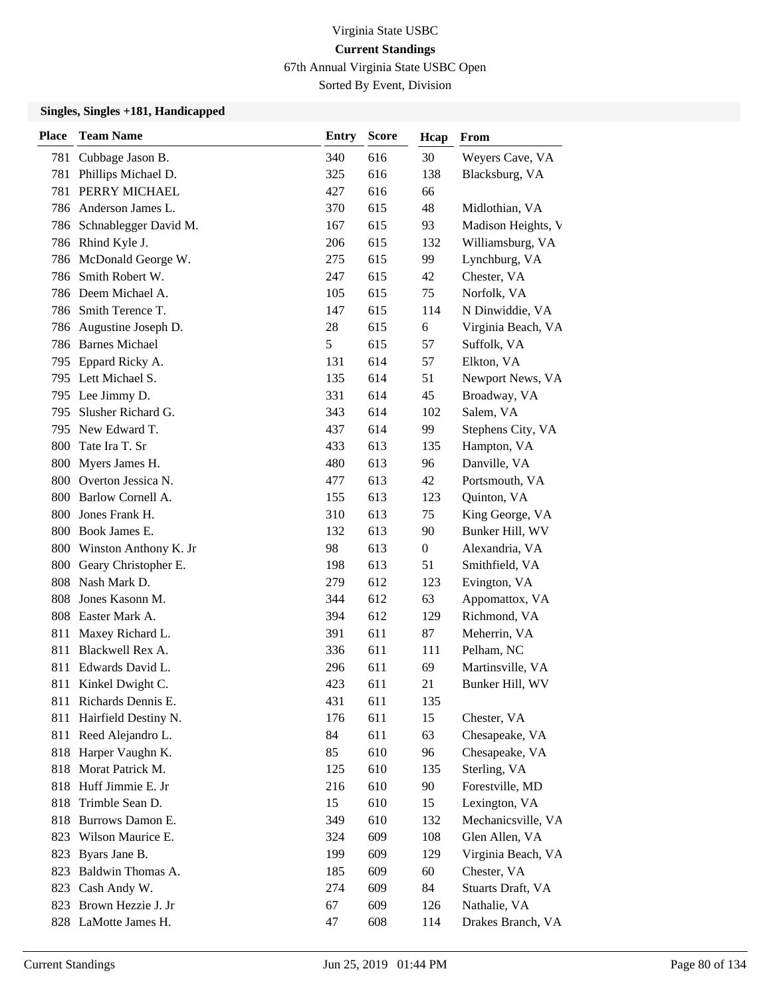67th Annual Virginia State USBC Open

Sorted By Event, Division

| <b>Place</b> | <b>Team Name</b>          | <b>Entry</b> | <b>Score</b> | Hcap             | From               |
|--------------|---------------------------|--------------|--------------|------------------|--------------------|
|              | 781 Cubbage Jason B.      | 340          | 616          | 30               | Weyers Cave, VA    |
| 781          | Phillips Michael D.       | 325          | 616          | 138              | Blacksburg, VA     |
| 781          | PERRY MICHAEL             | 427          | 616          | 66               |                    |
|              | 786 Anderson James L.     | 370          | 615          | 48               | Midlothian, VA     |
|              | 786 Schnablegger David M. | 167          | 615          | 93               | Madison Heights, V |
|              | 786 Rhind Kyle J.         | 206          | 615          | 132              | Williamsburg, VA   |
| 786          | McDonald George W.        | 275          | 615          | 99               | Lynchburg, VA      |
| 786          | Smith Robert W.           | 247          | 615          | 42               | Chester, VA        |
|              | 786 Deem Michael A.       | 105          | 615          | 75               | Norfolk, VA        |
|              | 786 Smith Terence T.      | 147          | 615          | 114              | N Dinwiddie, VA    |
| 786          | Augustine Joseph D.       | 28           | 615          | 6                | Virginia Beach, VA |
|              | 786 Barnes Michael        | 5            | 615          | 57               | Suffolk, VA        |
|              | 795 Eppard Ricky A.       | 131          | 614          | 57               | Elkton, VA         |
|              | 795 Lett Michael S.       | 135          | 614          | 51               | Newport News, VA   |
|              | 795 Lee Jimmy D.          | 331          | 614          | 45               | Broadway, VA       |
| 795          | Slusher Richard G.        | 343          | 614          | 102              | Salem, VA          |
| 795.         | New Edward T.             | 437          | 614          | 99               | Stephens City, VA  |
| 800          | Tate Ira T. Sr            | 433          | 613          | 135              | Hampton, VA        |
| 800          | Myers James H.            | 480          | 613          | 96               | Danville, VA       |
|              | 800 Overton Jessica N.    | 477          | 613          | 42               | Portsmouth, VA     |
| 800          | Barlow Cornell A.         | 155          | 613          | 123              | Quinton, VA        |
| 800          | Jones Frank H.            | 310          | 613          | 75               | King George, VA    |
| 800          | Book James E.             | 132          | 613          | 90               | Bunker Hill, WV    |
|              | 800 Winston Anthony K. Jr | 98           | 613          | $\boldsymbol{0}$ | Alexandria, VA     |
|              | 800 Geary Christopher E.  | 198          | 613          | 51               | Smithfield, VA     |
| 808          | Nash Mark D.              | 279          | 612          | 123              | Evington, VA       |
| 808          | Jones Kasonn M.           | 344          | 612          | 63               | Appomattox, VA     |
|              | 808 Easter Mark A.        | 394          | 612          | 129              | Richmond, VA       |
| 811          | Maxey Richard L.          | 391          | 611          | 87               | Meherrin, VA       |
| 811          | Blackwell Rex A.          | 336          | 611          | 111              | Pelham, NC         |
| 811          | Edwards David L.          | 296          | 611          | 69               | Martinsville, VA   |
| 811          | Kinkel Dwight C.          | 423          | 611          | 21               | Bunker Hill, WV    |
|              | 811 Richards Dennis E.    | 431          | 611          | 135              |                    |
| 811          | Hairfield Destiny N.      | 176          | 611          | 15               | Chester, VA        |
| 811          | Reed Alejandro L.         | 84           | 611          | 63               | Chesapeake, VA     |
|              | 818 Harper Vaughn K.      | 85           | 610          | 96               | Chesapeake, VA     |
|              | 818 Morat Patrick M.      | 125          | 610          | 135              | Sterling, VA       |
| 818          | Huff Jimmie E. Jr         | 216          | 610          | 90               | Forestville, MD    |
| 818          | Trimble Sean D.           | 15           | 610          | 15               | Lexington, VA      |
| 818          | Burrows Damon E.          | 349          | 610          | 132              | Mechanicsville, VA |
| 823          | Wilson Maurice E.         | 324          | 609          | 108              | Glen Allen, VA     |
| 823          | Byars Jane B.             | 199          | 609          | 129              | Virginia Beach, VA |
| 823          | Baldwin Thomas A.         | 185          | 609          | 60               | Chester, VA        |
|              | 823 Cash Andy W.          | 274          | 609          | 84               | Stuarts Draft, VA  |
|              | 823 Brown Hezzie J. Jr    | 67           | 609          | 126              | Nathalie, VA       |
|              | 828 LaMotte James H.      | 47           | 608          | 114              | Drakes Branch, VA  |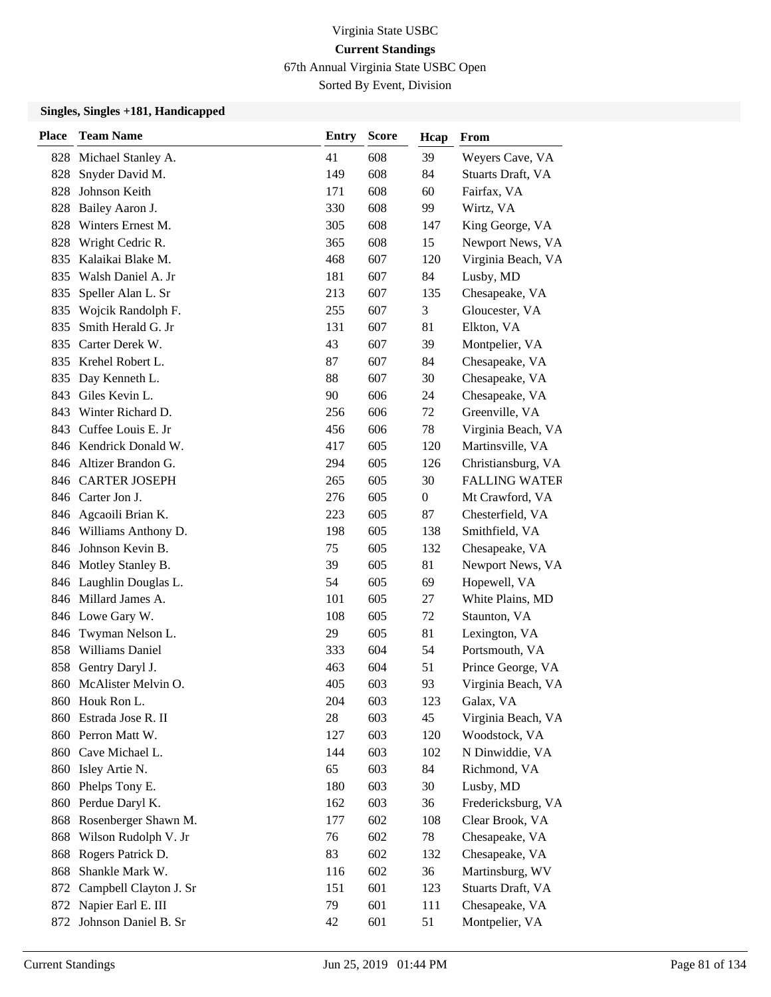67th Annual Virginia State USBC Open

Sorted By Event, Division

| <b>Place</b> | <b>Team Name</b>         | <b>Entry</b> | <b>Score</b> | Hcap         | From                 |
|--------------|--------------------------|--------------|--------------|--------------|----------------------|
|              | 828 Michael Stanley A.   | 41           | 608          | 39           | Weyers Cave, VA      |
| 828          | Snyder David M.          | 149          | 608          | 84           | Stuarts Draft, VA    |
| 828          | Johnson Keith            | 171          | 608          | 60           | Fairfax, VA          |
| 828          | Bailey Aaron J.          | 330          | 608          | 99           | Wirtz, VA            |
| 828          | Winters Ernest M.        | 305          | 608          | 147          | King George, VA      |
| 828          | Wright Cedric R.         | 365          | 608          | 15           | Newport News, VA     |
| 835          | Kalaikai Blake M.        | 468          | 607          | 120          | Virginia Beach, VA   |
| 835          | Walsh Daniel A. Jr       | 181          | 607          | 84           | Lusby, MD            |
| 835          | Speller Alan L. Sr       | 213          | 607          | 135          | Chesapeake, VA       |
|              | 835 Wojcik Randolph F.   | 255          | 607          | 3            | Gloucester, VA       |
| 835          | Smith Herald G. Jr       | 131          | 607          | 81           | Elkton, VA           |
|              | 835 Carter Derek W.      | 43           | 607          | 39           | Montpelier, VA       |
| 835          | Krehel Robert L.         | 87           | 607          | 84           | Chesapeake, VA       |
| 835          | Day Kenneth L.           | 88           | 607          | 30           | Chesapeake, VA       |
| 843          | Giles Kevin L.           | 90           | 606          | 24           | Chesapeake, VA       |
|              | 843 Winter Richard D.    | 256          | 606          | 72           | Greenville, VA       |
|              | 843 Cuffee Louis E. Jr   | 456          | 606          | 78           | Virginia Beach, VA   |
|              | 846 Kendrick Donald W.   | 417          | 605          | 120          | Martinsville, VA     |
|              | 846 Altizer Brandon G.   | 294          | 605          | 126          | Christiansburg, VA   |
|              | 846 CARTER JOSEPH        | 265          | 605          | 30           | <b>FALLING WATER</b> |
|              | 846 Carter Jon J.        | 276          | 605          | $\mathbf{0}$ | Mt Crawford, VA      |
|              | 846 Agcaoili Brian K.    | 223          | 605          | 87           | Chesterfield, VA     |
|              | 846 Williams Anthony D.  | 198          | 605          | 138          | Smithfield, VA       |
|              | 846 Johnson Kevin B.     | 75           | 605          | 132          | Chesapeake, VA       |
|              | 846 Motley Stanley B.    | 39           | 605          | 81           | Newport News, VA     |
|              | 846 Laughlin Douglas L.  | 54           | 605          | 69           | Hopewell, VA         |
|              | 846 Millard James A.     | 101          | 605          | 27           | White Plains, MD     |
|              | 846 Lowe Gary W.         | 108          | 605          | 72           | Staunton, VA         |
|              | 846 Twyman Nelson L.     | 29           | 605          | 81           | Lexington, VA        |
| 858          | <b>Williams Daniel</b>   | 333          | 604          | 54           | Portsmouth, VA       |
| 858          | Gentry Daryl J.          | 463          | 604          | 51           | Prince George, VA    |
|              | 860 McAlister Melvin O.  | 405          | 603          | 93           | Virginia Beach, VA   |
|              | 860 Houk Ron L.          | 204          | 603          | 123          | Galax, VA            |
| 860          | Estrada Jose R. II       | 28           | 603          | 45           | Virginia Beach, VA   |
|              | 860 Perron Matt W.       | 127          | 603          | 120          | Woodstock, VA        |
|              | 860 Cave Michael L.      | 144          | 603          | 102          | N Dinwiddie, VA      |
|              | 860 Isley Artie N.       | 65           | 603          | 84           | Richmond, VA         |
| 860          | Phelps Tony E.           | 180          | 603          | 30           | Lusby, MD            |
| 860          | Perdue Daryl K.          | 162          | 603          | 36           | Fredericksburg, VA   |
|              | 868 Rosenberger Shawn M. | 177          | 602          | 108          | Clear Brook, VA      |
| 868          | Wilson Rudolph V. Jr     | 76           | 602          | 78           | Chesapeake, VA       |
| 868          | Rogers Patrick D.        | 83           | 602          | 132          | Chesapeake, VA       |
| 868          | Shankle Mark W.          | 116          | 602          | 36           | Martinsburg, WV      |
| 872          | Campbell Clayton J. Sr   | 151          | 601          | 123          | Stuarts Draft, VA    |
|              | 872 Napier Earl E. III   | 79           | 601          | 111          | Chesapeake, VA       |
|              | 872 Johnson Daniel B. Sr | 42           | 601          | 51           | Montpelier, VA       |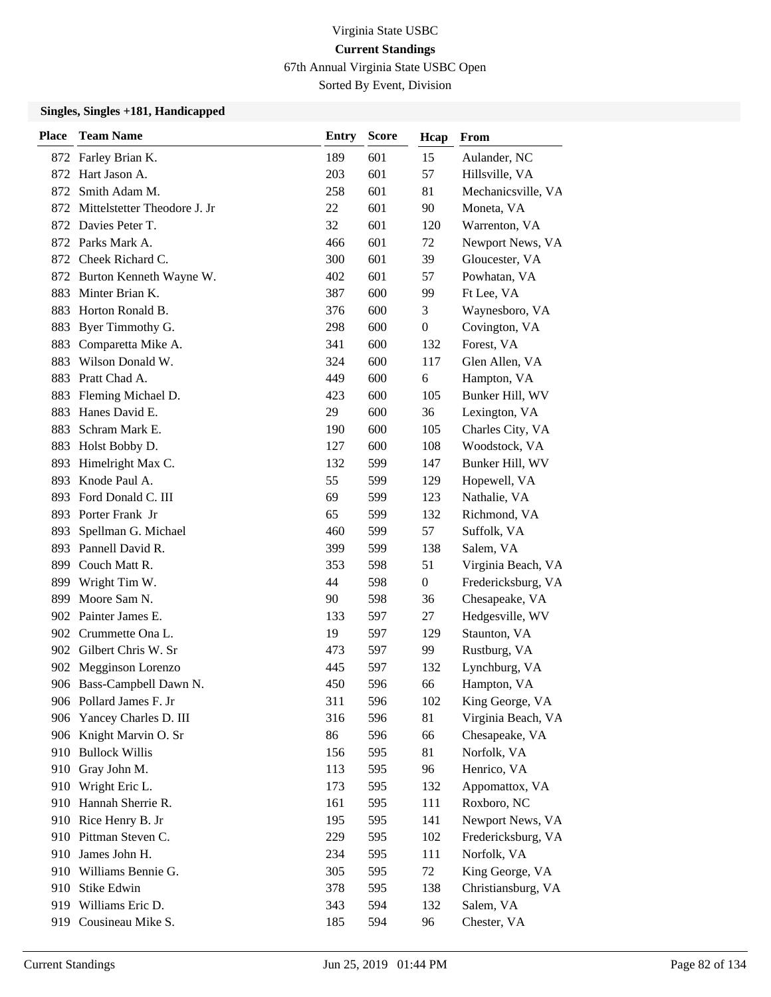67th Annual Virginia State USBC Open

Sorted By Event, Division

| <b>Place</b> | <b>Team Name</b>             | <b>Entry</b> | <b>Score</b> | Hcap             | From               |
|--------------|------------------------------|--------------|--------------|------------------|--------------------|
|              | 872 Farley Brian K.          | 189          | 601          | 15               | Aulander, NC       |
| 872          | Hart Jason A.                | 203          | 601          | 57               | Hillsville, VA     |
| 872          | Smith Adam M.                | 258          | 601          | 81               | Mechanicsville, VA |
| 872          | Mittelstetter Theodore J. Jr | 22           | 601          | 90               | Moneta, VA         |
|              | 872 Davies Peter T.          | 32           | 601          | 120              | Warrenton, VA      |
|              | 872 Parks Mark A.            | 466          | 601          | 72               | Newport News, VA   |
|              | 872 Cheek Richard C.         | 300          | 601          | 39               | Gloucester, VA     |
|              | 872 Burton Kenneth Wayne W.  | 402          | 601          | 57               | Powhatan, VA       |
| 883          | Minter Brian K.              | 387          | 600          | 99               | Ft Lee, VA         |
| 883          | Horton Ronald B.             | 376          | 600          | 3                | Waynesboro, VA     |
| 883          | Byer Timmothy G.             | 298          | 600          | $\boldsymbol{0}$ | Covington, VA      |
|              | 883 Comparetta Mike A.       | 341          | 600          | 132              | Forest, VA         |
| 883          | Wilson Donald W.             | 324          | 600          | 117              | Glen Allen, VA     |
| 883          | Pratt Chad A.                | 449          | 600          | 6                | Hampton, VA        |
| 883          | Fleming Michael D.           | 423          | 600          | 105              | Bunker Hill, WV    |
| 883          | Hanes David E.               | 29           | 600          | 36               | Lexington, VA      |
| 883          | Schram Mark E.               | 190          | 600          | 105              | Charles City, VA   |
| 883          | Holst Bobby D.               | 127          | 600          | 108              | Woodstock, VA      |
| 893          | Himelright Max C.            | 132          | 599          | 147              | Bunker Hill, WV    |
|              | 893 Knode Paul A.            | 55           | 599          | 129              | Hopewell, VA       |
| 893          | Ford Donald C. III           | 69           | 599          | 123              | Nathalie, VA       |
|              | 893 Porter Frank Jr          | 65           | 599          | 132              | Richmond, VA       |
| 893          | Spellman G. Michael          | 460          | 599          | 57               | Suffolk, VA        |
|              | 893 Pannell David R.         | 399          | 599          | 138              | Salem, VA          |
|              | 899 Couch Matt R.            | 353          | 598          | 51               | Virginia Beach, VA |
| 899          | Wright Tim W.                | 44           | 598          | $\mathbf{0}$     | Fredericksburg, VA |
| 899          | Moore Sam N.                 | 90           | 598          | 36               | Chesapeake, VA     |
|              | 902 Painter James E.         | 133          | 597          | 27               | Hedgesville, WV    |
|              | 902 Crummette Ona L.         | 19           | 597          | 129              | Staunton, VA       |
|              | 902 Gilbert Chris W. Sr      | 473          | 597          | 99               | Rustburg, VA       |
|              | 902 Megginson Lorenzo        | 445          | 597          | 132              | Lynchburg, VA      |
|              | 906 Bass-Campbell Dawn N.    | 450          | 596          | 66               | Hampton, VA        |
|              | 906 Pollard James F. Jr      | 311          | 596          | 102              | King George, VA    |
|              | 906 Yancey Charles D. III    | 316          | 596          | 81               | Virginia Beach, VA |
|              | 906 Knight Marvin O. Sr      | 86           | 596          | 66               | Chesapeake, VA     |
|              | 910 Bullock Willis           | 156          | 595          | 81               | Norfolk, VA        |
|              | 910 Gray John M.             | 113          | 595          | 96               | Henrico, VA        |
| 910          | Wright Eric L.               | 173          | 595          | 132              | Appomattox, VA     |
|              | 910 Hannah Sherrie R.        | 161          | 595          | 111              | Roxboro, NC        |
|              | 910 Rice Henry B. Jr         | 195          | 595          | 141              | Newport News, VA   |
|              | 910 Pittman Steven C.        | 229          | 595          | 102              | Fredericksburg, VA |
| 910          | James John H.                | 234          | 595          | 111              | Norfolk, VA        |
| 910          | Williams Bennie G.           | 305          | 595          | 72               | King George, VA    |
|              | 910 Stike Edwin              | 378          | 595          | 138              | Christiansburg, VA |
|              | 919 Williams Eric D.         | 343          | 594          | 132              | Salem, VA          |
|              | 919 Cousineau Mike S.        | 185          | 594          | 96               | Chester, VA        |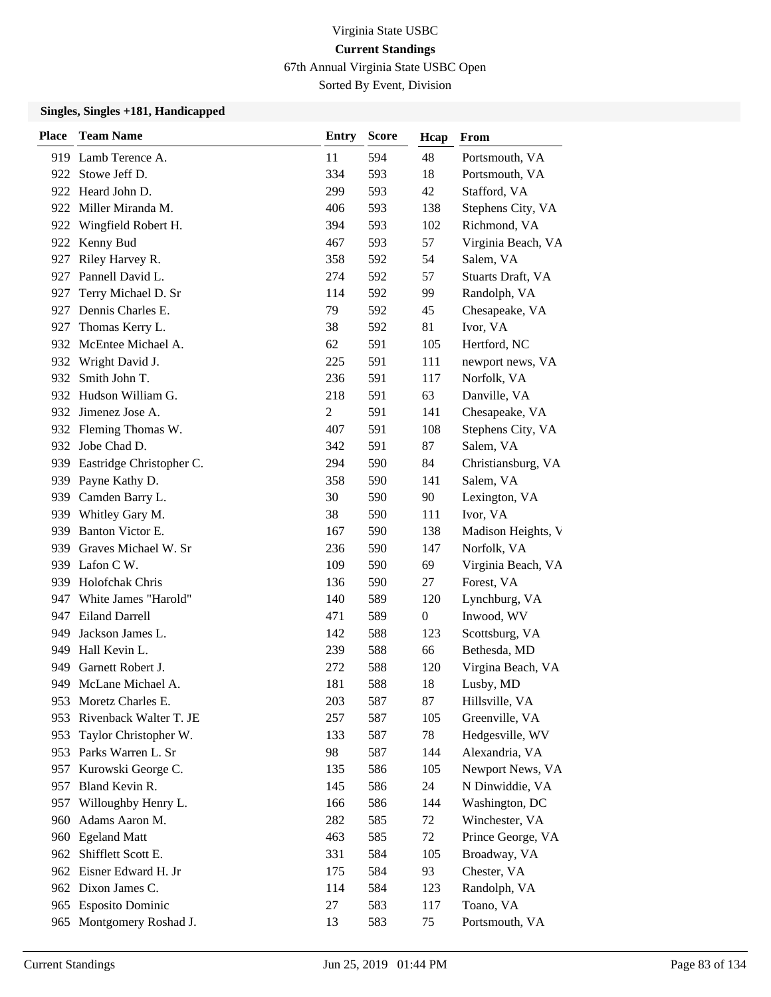67th Annual Virginia State USBC Open

Sorted By Event, Division

| <b>Place</b> | <b>Team Name</b>         | <b>Entry</b>   | <b>Score</b> | Hcap             | From               |
|--------------|--------------------------|----------------|--------------|------------------|--------------------|
|              | 919 Lamb Terence A.      | 11             | 594          | 48               | Portsmouth, VA     |
| 922 -        | Stowe Jeff D.            | 334            | 593          | 18               | Portsmouth, VA     |
|              | 922 Heard John D.        | 299            | 593          | 42               | Stafford, VA       |
|              | 922 Miller Miranda M.    | 406            | 593          | 138              | Stephens City, VA  |
|              | 922 Wingfield Robert H.  | 394            | 593          | 102              | Richmond, VA       |
| 922          | Kenny Bud                | 467            | 593          | 57               | Virginia Beach, VA |
| 927          | Riley Harvey R.          | 358            | 592          | 54               | Salem, VA          |
|              | 927 Pannell David L.     | 274            | 592          | 57               | Stuarts Draft, VA  |
| 927          | Terry Michael D. Sr      | 114            | 592          | 99               | Randolph, VA       |
| 927          | Dennis Charles E.        | 79             | 592          | 45               | Chesapeake, VA     |
| 927          | Thomas Kerry L.          | 38             | 592          | 81               | Ivor, VA           |
|              | 932 McEntee Michael A.   | 62             | 591          | 105              | Hertford, NC       |
|              | 932 Wright David J.      | 225            | 591          | 111              | newport news, VA   |
| 932          | Smith John T.            | 236            | 591          | 117              | Norfolk, VA        |
|              | 932 Hudson William G.    | 218            | 591          | 63               | Danville, VA       |
|              | 932 Jimenez Jose A.      | $\overline{2}$ | 591          | 141              | Chesapeake, VA     |
|              | 932 Fleming Thomas W.    | 407            | 591          | 108              | Stephens City, VA  |
| 932          | Jobe Chad D.             | 342            | 591          | 87               | Salem, VA          |
| 939          | Eastridge Christopher C. | 294            | 590          | 84               | Christiansburg, VA |
|              | 939 Payne Kathy D.       | 358            | 590          | 141              | Salem, VA          |
|              | 939 Camden Barry L.      | 30             | 590          | 90               | Lexington, VA      |
| 939          | Whitley Gary M.          | 38             | 590          | 111              | Ivor, VA           |
| 939          | Banton Victor E.         | 167            | 590          | 138              | Madison Heights, V |
|              | 939 Graves Michael W. Sr | 236            | 590          | 147              | Norfolk, VA        |
|              | 939 Lafon C W.           | 109            | 590          | 69               | Virginia Beach, VA |
| 939          | Holofchak Chris          | 136            | 590          | 27               | Forest, VA         |
| 947          | White James "Harold"     | 140            | 589          | 120              | Lynchburg, VA      |
|              | 947 Eiland Darrell       | 471            | 589          | $\boldsymbol{0}$ | Inwood, WV         |
| 949          | Jackson James L.         | 142            | 588          | 123              | Scottsburg, VA     |
| 949          | Hall Kevin L.            | 239            | 588          | 66               | Bethesda, MD       |
| 949          | Garnett Robert J.        | 272            | 588          | 120              | Virgina Beach, VA  |
|              | 949 McLane Michael A.    | 181            | 588          | 18               | Lusby, MD          |
|              | 953 Moretz Charles E.    | 203            | 587          | 87               | Hillsville, VA     |
| 953          | Rivenback Walter T. JE   | 257            | 587          | 105              | Greenville, VA     |
| 953          | Taylor Christopher W.    | 133            | 587          | 78               | Hedgesville, WV    |
|              | 953 Parks Warren L. Sr   | 98             | 587          | 144              | Alexandria, VA     |
| 957          | Kurowski George C.       | 135            | 586          | 105              | Newport News, VA   |
| 957          | Bland Kevin R.           | 145            | 586          | 24               | N Dinwiddie, VA    |
| 957          | Willoughby Henry L.      | 166            | 586          | 144              | Washington, DC     |
| 960          | Adams Aaron M.           | 282            | 585          | 72               | Winchester, VA     |
|              | 960 Egeland Matt         | 463            | 585          | 72               | Prince George, VA  |
| 962          | Shifflett Scott E.       | 331            | 584          | 105              | Broadway, VA       |
|              | 962 Eisner Edward H. Jr  | 175            | 584          | 93               | Chester, VA        |
|              | 962 Dixon James C.       | 114            | 584          | 123              | Randolph, VA       |
|              | 965 Esposito Dominic     | 27             | 583          | 117              | Toano, VA          |
|              | 965 Montgomery Roshad J. | 13             | 583          | 75               | Portsmouth, VA     |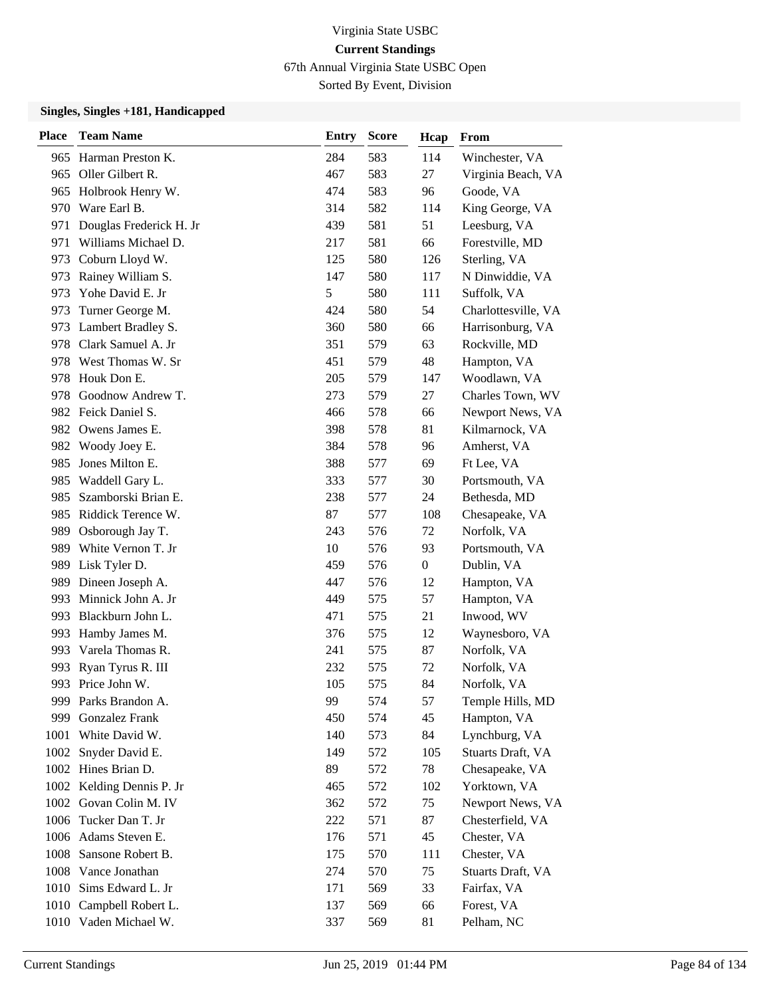67th Annual Virginia State USBC Open

Sorted By Event, Division

| <b>Place</b> | <b>Team Name</b>          | <b>Entry</b> | <b>Score</b> | Hcap           | From                |
|--------------|---------------------------|--------------|--------------|----------------|---------------------|
|              | 965 Harman Preston K.     | 284          | 583          | 114            | Winchester, VA      |
|              | 965 Oller Gilbert R.      | 467          | 583          | 27             | Virginia Beach, VA  |
|              | 965 Holbrook Henry W.     | 474          | 583          | 96             | Goode, VA           |
|              | 970 Ware Earl B.          | 314          | 582          | 114            | King George, VA     |
| 971          | Douglas Frederick H. Jr   | 439          | 581          | 51             | Leesburg, VA        |
| 971          | Williams Michael D.       | 217          | 581          | 66             | Forestville, MD     |
| 973          | Coburn Lloyd W.           | 125          | 580          | 126            | Sterling, VA        |
|              | 973 Rainey William S.     | 147          | 580          | 117            | N Dinwiddie, VA     |
| 973          | Yohe David E. Jr          | 5            | 580          | 111            | Suffolk, VA         |
| 973          | Turner George M.          | 424          | 580          | 54             | Charlottesville, VA |
| 973          | Lambert Bradley S.        | 360          | 580          | 66             | Harrisonburg, VA    |
|              | 978 Clark Samuel A. Jr    | 351          | 579          | 63             | Rockville, MD       |
|              | 978 West Thomas W. Sr     | 451          | 579          | 48             | Hampton, VA         |
| 978          | Houk Don E.               | 205          | 579          | 147            | Woodlawn, VA        |
| 978          | Goodnow Andrew T.         | 273          | 579          | 27             | Charles Town, WV    |
|              | 982 Feick Daniel S.       | 466          | 578          | 66             | Newport News, VA    |
|              | 982 Owens James E.        | 398          | 578          | 81             | Kilmarnock, VA      |
|              | 982 Woody Joey E.         | 384          | 578          | 96             | Amherst, VA         |
| 985          | Jones Milton E.           | 388          | 577          | 69             | Ft Lee, VA          |
|              | 985 Waddell Gary L.       | 333          | 577          | 30             | Portsmouth, VA      |
| 985          | Szamborski Brian E.       | 238          | 577          | 24             | Bethesda, MD        |
|              | 985 Riddick Terence W.    | 87           | 577          | 108            | Chesapeake, VA      |
| 989          | Osborough Jay T.          | 243          | 576          | 72             | Norfolk, VA         |
|              | 989 White Vernon T. Jr    | 10           | 576          | 93             | Portsmouth, VA      |
|              | 989 Lisk Tyler D.         | 459          | 576          | $\overline{0}$ | Dublin, VA          |
|              | 989 Dineen Joseph A.      | 447          | 576          | 12             | Hampton, VA         |
| 993          | Minnick John A. Jr        | 449          | 575          | 57             | Hampton, VA         |
|              | 993 Blackburn John L.     | 471          | 575          | 21             | Inwood, WV          |
|              | 993 Hamby James M.        | 376          | 575          | 12             | Waynesboro, VA      |
|              | 993 Varela Thomas R.      | 241          | 575          | 87             | Norfolk, VA         |
| 993          | Ryan Tyrus R. III         | 232          | 575          | 72             | Norfolk, VA         |
|              | 993 Price John W.         | 105          | 575          | 84             | Norfolk, VA         |
|              | 999 Parks Brandon A.      | 99           | 574          | 57             | Temple Hills, MD    |
| 999          | <b>Gonzalez Frank</b>     | 450          | 574          | 45             | Hampton, VA         |
| 1001         | White David W.            | 140          | 573          | 84             | Lynchburg, VA       |
|              | 1002 Snyder David E.      | 149          | 572          | 105            | Stuarts Draft, VA   |
|              | 1002 Hines Brian D.       | 89           | 572          | 78             | Chesapeake, VA      |
|              | 1002 Kelding Dennis P. Jr | 465          | 572          | 102            | Yorktown, VA        |
|              | 1002 Govan Colin M. IV    | 362          | 572          | 75             | Newport News, VA    |
|              | 1006 Tucker Dan T. Jr     | 222          | 571          | 87             | Chesterfield, VA    |
|              | 1006 Adams Steven E.      | 176          | 571          | 45             | Chester, VA         |
|              | 1008 Sansone Robert B.    | 175          | 570          | 111            | Chester, VA         |
|              | 1008 Vance Jonathan       | 274          | 570          | 75             | Stuarts Draft, VA   |
|              | 1010 Sims Edward L. Jr    | 171          | 569          | 33             | Fairfax, VA         |
|              | 1010 Campbell Robert L.   | 137          | 569          | 66             | Forest, VA          |
|              | 1010 Vaden Michael W.     | 337          | 569          | 81             | Pelham, NC          |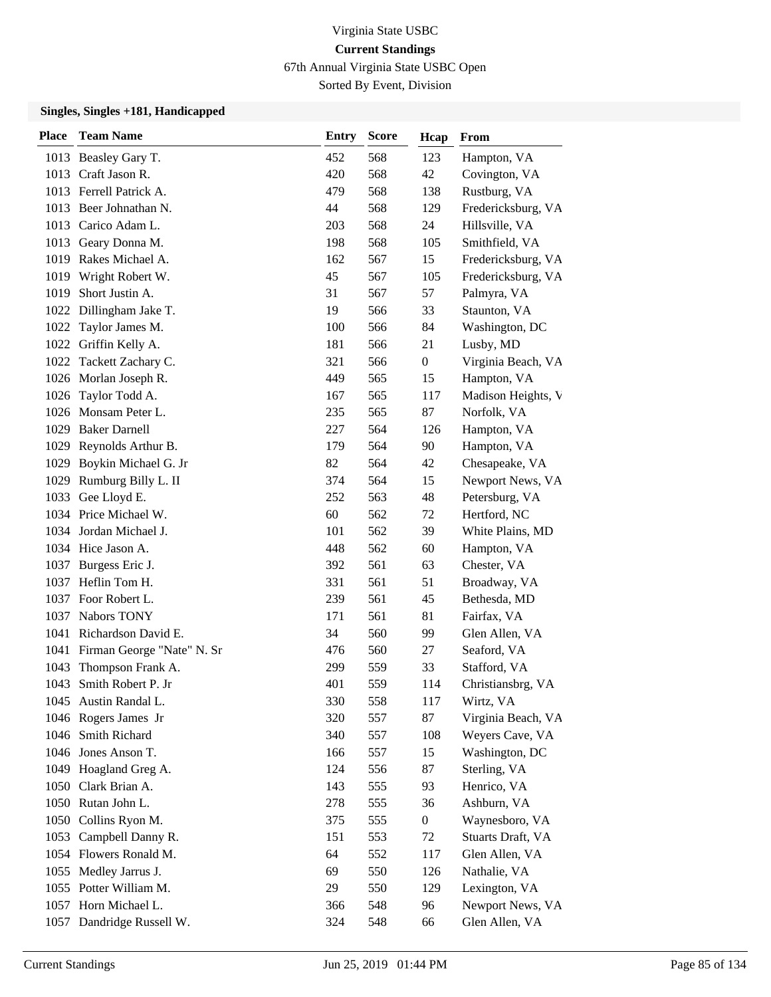67th Annual Virginia State USBC Open

Sorted By Event, Division

| <b>Place</b> | <b>Team Name</b>                | <b>Entry</b> | <b>Score</b> | Hcap             | From               |
|--------------|---------------------------------|--------------|--------------|------------------|--------------------|
|              | 1013 Beasley Gary T.            | 452          | 568          | 123              | Hampton, VA        |
|              | 1013 Craft Jason R.             | 420          | 568          | 42               | Covington, VA      |
|              | 1013 Ferrell Patrick A.         | 479          | 568          | 138              | Rustburg, VA       |
|              | 1013 Beer Johnathan N.          | 44           | 568          | 129              | Fredericksburg, VA |
|              | 1013 Carico Adam L.             | 203          | 568          | 24               | Hillsville, VA     |
|              | 1013 Geary Donna M.             | 198          | 568          | 105              | Smithfield, VA     |
|              | 1019 Rakes Michael A.           | 162          | 567          | 15               | Fredericksburg, VA |
|              | 1019 Wright Robert W.           | 45           | 567          | 105              | Fredericksburg, VA |
| 1019         | Short Justin A.                 | 31           | 567          | 57               | Palmyra, VA        |
| 1022         | Dillingham Jake T.              | 19           | 566          | 33               | Staunton, VA       |
| 1022         | Taylor James M.                 | 100          | 566          | 84               | Washington, DC     |
|              | 1022 Griffin Kelly A.           | 181          | 566          | 21               | Lusby, MD          |
|              | 1022 Tackett Zachary C.         | 321          | 566          | $\boldsymbol{0}$ | Virginia Beach, VA |
|              | 1026 Morlan Joseph R.           | 449          | 565          | 15               | Hampton, VA        |
| 1026         | Taylor Todd A.                  | 167          | 565          | 117              | Madison Heights, V |
|              | 1026 Monsam Peter L.            | 235          | 565          | 87               | Norfolk, VA        |
|              | 1029 Baker Darnell              | 227          | 564          | 126              | Hampton, VA        |
|              | 1029 Reynolds Arthur B.         | 179          | 564          | 90               | Hampton, VA        |
| 1029         | Boykin Michael G. Jr            | 82           | 564          | 42               | Chesapeake, VA     |
|              | 1029 Rumburg Billy L. II        | 374          | 564          | 15               | Newport News, VA   |
|              | 1033 Gee Lloyd E.               | 252          | 563          | 48               | Petersburg, VA     |
|              | 1034 Price Michael W.           | 60           | 562          | 72               | Hertford, NC       |
|              | 1034 Jordan Michael J.          | 101          | 562          | 39               | White Plains, MD   |
|              | 1034 Hice Jason A.              | 448          | 562          | 60               | Hampton, VA        |
|              | 1037 Burgess Eric J.            | 392          | 561          | 63               | Chester, VA        |
| 1037         | Heflin Tom H.                   | 331          | 561          | 51               | Broadway, VA       |
| 1037         | Foor Robert L.                  | 239          | 561          | 45               | Bethesda, MD       |
| 1037         | Nabors TONY                     | 171          | 561          | 81               | Fairfax, VA        |
|              | 1041 Richardson David E.        | 34           | 560          | 99               | Glen Allen, VA     |
|              | 1041 Firman George "Nate" N. Sr | 476          | 560          | 27               | Seaford, VA        |
| 1043         | Thompson Frank A.               | 299          | 559          | 33               | Stafford, VA       |
| 1043         | Smith Robert P. Jr              | 401          | 559          | 114              | Christiansbrg, VA  |
|              | 1045 Austin Randal L.           | 330          | 558          | 117              | Wirtz, VA          |
|              | 1046 Rogers James Jr            | 320          | 557          | 87               | Virginia Beach, VA |
| 1046         | Smith Richard                   | 340          | 557          | 108              | Weyers Cave, VA    |
|              | 1046 Jones Anson T.             | 166          | 557          | 15               | Washington, DC     |
|              | 1049 Hoagland Greg A.           | 124          | 556          | 87               | Sterling, VA       |
|              | 1050 Clark Brian A.             | 143          | 555          | 93               | Henrico, VA        |
|              | 1050 Rutan John L.              | 278          | 555          | 36               | Ashburn, VA        |
|              | 1050 Collins Ryon M.            | 375          | 555          | $\boldsymbol{0}$ | Waynesboro, VA     |
| 1053         | Campbell Danny R.               | 151          | 553          | 72               | Stuarts Draft, VA  |
|              | 1054 Flowers Ronald M.          | 64           | 552          | 117              | Glen Allen, VA     |
| 1055         | Medley Jarrus J.                | 69           | 550          | 126              | Nathalie, VA       |
|              | 1055 Potter William M.          | 29           | 550          | 129              | Lexington, VA      |
| 1057         | Horn Michael L.                 | 366          | 548          | 96               | Newport News, VA   |
| 1057         | Dandridge Russell W.            | 324          | 548          | 66               | Glen Allen, VA     |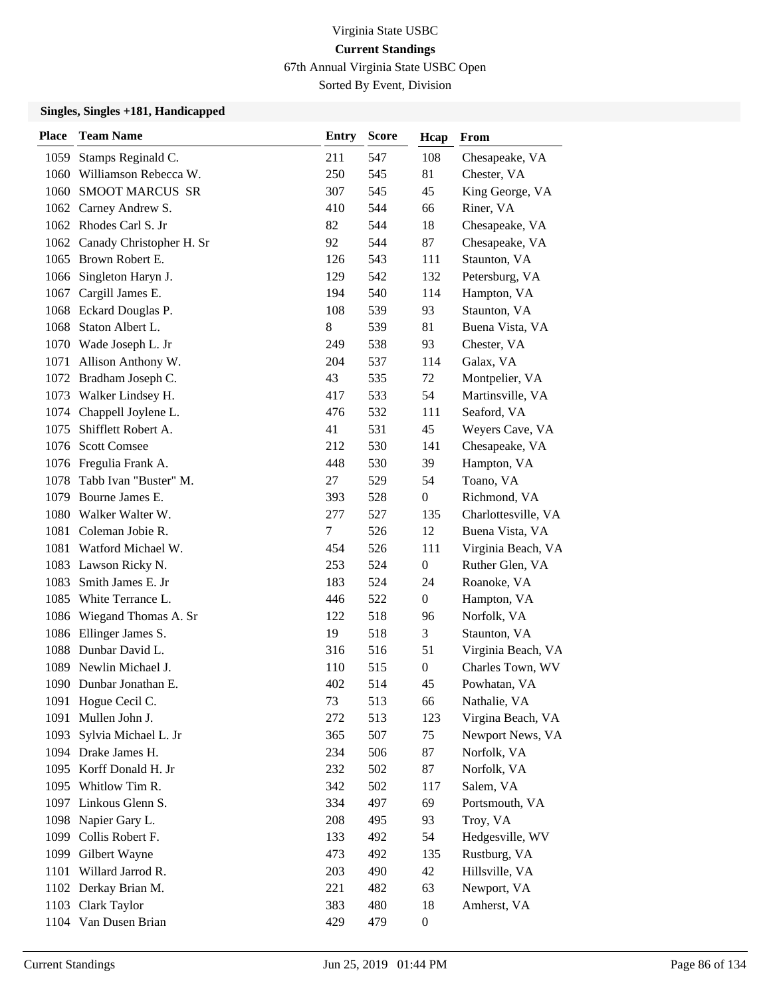67th Annual Virginia State USBC Open

Sorted By Event, Division

| <b>Place</b> | <b>Team Name</b>              | <b>Entry</b> | <b>Score</b> | Hcap             | From                |
|--------------|-------------------------------|--------------|--------------|------------------|---------------------|
| 1059         | Stamps Reginald C.            | 211          | 547          | 108              | Chesapeake, VA      |
| 1060         | Williamson Rebecca W.         | 250          | 545          | 81               | Chester, VA         |
|              | 1060 SMOOT MARCUS SR          | 307          | 545          | 45               | King George, VA     |
|              | 1062 Carney Andrew S.         | 410          | 544          | 66               | Riner, VA           |
|              | 1062 Rhodes Carl S. Jr        | 82           | 544          | 18               | Chesapeake, VA      |
|              | 1062 Canady Christopher H. Sr | 92           | 544          | 87               | Chesapeake, VA      |
|              | 1065 Brown Robert E.          | 126          | 543          | 111              | Staunton, VA        |
|              | 1066 Singleton Haryn J.       | 129          | 542          | 132              | Petersburg, VA      |
|              | 1067 Cargill James E.         | 194          | 540          | 114              | Hampton, VA         |
|              | 1068 Eckard Douglas P.        | 108          | 539          | 93               | Staunton, VA        |
| 1068         | Staton Albert L.              | 8            | 539          | 81               | Buena Vista, VA     |
|              | 1070 Wade Joseph L. Jr        | 249          | 538          | 93               | Chester, VA         |
| 1071         | Allison Anthony W.            | 204          | 537          | 114              | Galax, VA           |
|              | 1072 Bradham Joseph C.        | 43           | 535          | 72               | Montpelier, VA      |
| 1073         | Walker Lindsey H.             | 417          | 533          | 54               | Martinsville, VA    |
|              | 1074 Chappell Joylene L.      | 476          | 532          | 111              | Seaford, VA         |
| 1075         | Shifflett Robert A.           | 41           | 531          | 45               | Weyers Cave, VA     |
|              | 1076 Scott Comsee             | 212          | 530          | 141              | Chesapeake, VA      |
|              | 1076 Fregulia Frank A.        | 448          | 530          | 39               | Hampton, VA         |
|              | 1078 Tabb Ivan "Buster" M.    | 27           | 529          | 54               | Toano, VA           |
| 1079         | Bourne James E.               | 393          | 528          | $\mathbf{0}$     | Richmond, VA        |
|              | 1080 Walker Walter W.         | 277          | 527          | 135              | Charlottesville, VA |
|              | 1081 Coleman Jobie R.         | 7            | 526          | 12               | Buena Vista, VA     |
|              | 1081 Watford Michael W.       | 454          | 526          | 111              | Virginia Beach, VA  |
|              | 1083 Lawson Ricky N.          | 253          | 524          | $\mathbf{0}$     | Ruther Glen, VA     |
| 1083         | Smith James E. Jr             | 183          | 524          | 24               | Roanoke, VA         |
| 1085         | White Terrance L.             | 446          | 522          | $\boldsymbol{0}$ | Hampton, VA         |
|              | 1086 Wiegand Thomas A. Sr     | 122          | 518          | 96               | Norfolk, VA         |
|              | 1086 Ellinger James S.        | 19           | 518          | 3                | Staunton, VA        |
|              | 1088 Dunbar David L.          | 316          | 516          | 51               | Virginia Beach, VA  |
| 1089         | Newlin Michael J.             | 110          | 515          | $\mathbf{0}$     | Charles Town, WV    |
|              | 1090 Dunbar Jonathan E.       | 402          | 514          | 45               | Powhatan, VA        |
|              | 1091 Hogue Cecil C.           | 73           | 513          | 66               | Nathalie, VA        |
| 1091         | Mullen John J.                | 272          | 513          | 123              | Virgina Beach, VA   |
| 1093         | Sylvia Michael L. Jr          | 365          | 507          | 75               | Newport News, VA    |
|              | 1094 Drake James H.           | 234          | 506          | 87               | Norfolk, VA         |
|              | 1095 Korff Donald H. Jr       | 232          | 502          | 87               | Norfolk, VA         |
|              | 1095 Whitlow Tim R.           | 342          | 502          | 117              | Salem, VA           |
|              | 1097 Linkous Glenn S.         | 334          | 497          | 69               | Portsmouth, VA      |
|              | 1098 Napier Gary L.           | 208          | 495          | 93               | Troy, VA            |
|              | 1099 Collis Robert F.         | 133          | 492          | 54               | Hedgesville, WV     |
|              | 1099 Gilbert Wayne            | 473          | 492          | 135              | Rustburg, VA        |
| 1101         | Willard Jarrod R.             | 203          | 490          | 42               | Hillsville, VA      |
|              | 1102 Derkay Brian M.          | 221          | 482          | 63               | Newport, VA         |
|              | 1103 Clark Taylor             | 383          | 480          | 18               | Amherst, VA         |
|              | 1104 Van Dusen Brian          | 429          | 479          | $\boldsymbol{0}$ |                     |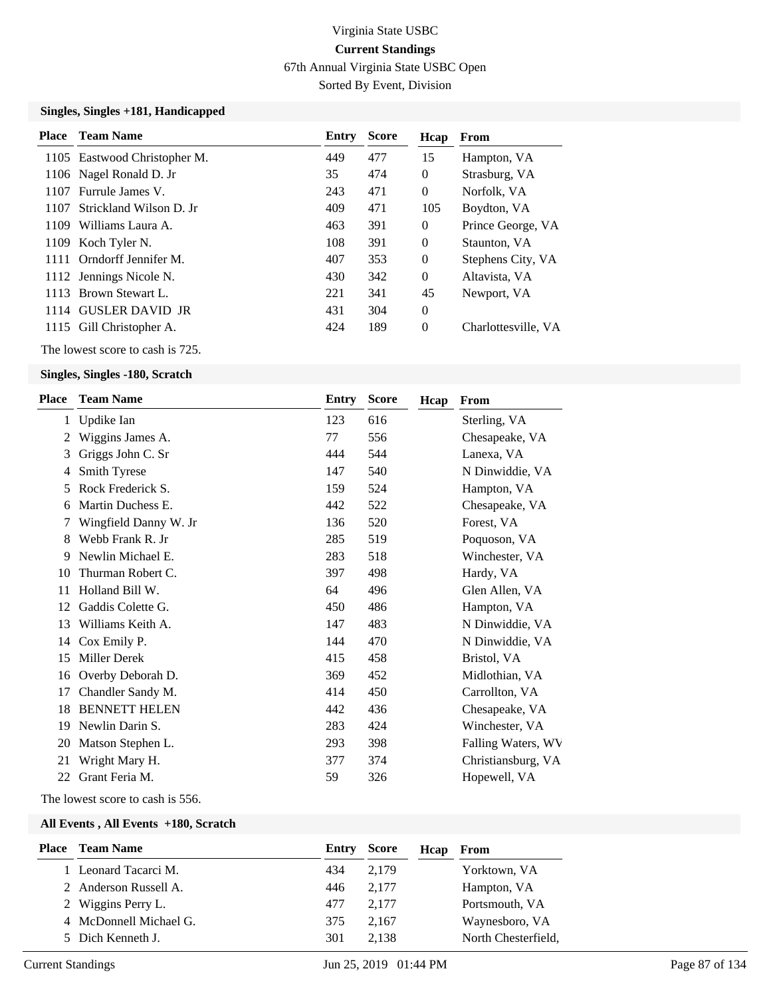67th Annual Virginia State USBC Open

Sorted By Event, Division

#### **Singles, Singles +181, Handicapped**

|      | <b>Place</b> Team Name           | Entry | <b>Score</b> | Hcap           | From                |
|------|----------------------------------|-------|--------------|----------------|---------------------|
|      | 1105 Eastwood Christopher M.     | 449   | 477          | 15             | Hampton, VA         |
|      | 1106 Nagel Ronald D. Jr          | 35    | 474          | $\overline{0}$ | Strasburg, VA       |
| 1107 | Furrule James V.                 | 243   | 471          | $\overline{0}$ | Norfolk, VA         |
| 1107 | Strickland Wilson D. Jr.         | 409   | 471          | 105            | Boydton, VA         |
| 1109 | Williams Laura A.                | 463   | 391          | $\overline{0}$ | Prince George, VA   |
|      | 1109 Koch Tyler N.               | 108   | 391          | $\overline{0}$ | Staunton, VA        |
|      | 1111 Orndorff Jennifer M.        | 407   | 353          | $\overline{0}$ | Stephens City, VA   |
|      | 1112 Jennings Nicole N.          | 430   | 342          | $\Omega$       | Altavista, VA       |
| 1113 | Brown Stewart L.                 | 221   | 341          | 45             | Newport, VA         |
|      | 1114 GUSLER DAVID JR             | 431   | 304          | $\overline{0}$ |                     |
|      | 1115 Gill Christopher A.         | 424   | 189          | $\overline{0}$ | Charlottesville, VA |
|      | The lowest score to cash is 725. |       |              |                |                     |

#### **Singles, Singles -180, Scratch**

| Place | <b>Team Name</b>      | Entry | <b>Score</b> | Hcap | From               |
|-------|-----------------------|-------|--------------|------|--------------------|
| 1     | Updike Ian            | 123   | 616          |      | Sterling, VA       |
|       | Wiggins James A.      | 77    | 556          |      | Chesapeake, VA     |
| 3     | Griggs John C. Sr     | 444   | 544          |      | Lanexa, VA         |
| 4     | Smith Tyrese          | 147   | 540          |      | N Dinwiddie, VA    |
| 5     | Rock Frederick S.     | 159   | 524          |      | Hampton, VA        |
| 6     | Martin Duchess E.     | 442   | 522          |      | Chesapeake, VA     |
|       | Wingfield Danny W. Jr | 136   | 520          |      | Forest, VA         |
| 8     | Webb Frank R. Jr.     | 285   | 519          |      | Poquoson, VA       |
| 9     | Newlin Michael E.     | 283   | 518          |      | Winchester, VA     |
| 10    | Thurman Robert C.     | 397   | 498          |      | Hardy, VA          |
| 11    | Holland Bill W.       | 64    | 496          |      | Glen Allen, VA     |
| 12    | Gaddis Colette G.     | 450   | 486          |      | Hampton, VA        |
| 13    | Williams Keith A.     | 147   | 483          |      | N Dinwiddie, VA    |
| 14    | Cox Emily P.          | 144   | 470          |      | N Dinwiddie, VA    |
| 15    | <b>Miller Derek</b>   | 415   | 458          |      | Bristol, VA        |
| 16    | Overby Deborah D.     | 369   | 452          |      | Midlothian, VA     |
| 17    | Chandler Sandy M.     | 414   | 450          |      | Carrollton, VA     |
| 18    | <b>BENNETT HELEN</b>  | 442   | 436          |      | Chesapeake, VA     |
| 19    | Newlin Darin S.       | 283   | 424          |      | Winchester, VA     |
| 20    | Matson Stephen L.     | 293   | 398          |      | Falling Waters, WV |
| 21    | Wright Mary H.        | 377   | 374          |      | Christiansburg, VA |
| 22    | Grant Feria M.        | 59    | 326          |      | Hopewell, VA       |
|       |                       |       |              |      |                    |

The lowest score to cash is 556.

|                        | <b>Place</b> Team Name |     | <b>Entry Score</b> | Hcap | From                |
|------------------------|------------------------|-----|--------------------|------|---------------------|
| 1 Leonard Tacarci M.   |                        | 434 | 2,179              |      | Yorktown, VA        |
| 2 Anderson Russell A.  |                        | 446 | 2,177              |      | Hampton, VA         |
| 2 Wiggins Perry L.     |                        | 477 | 2.177              |      | Portsmouth, VA      |
| 4 McDonnell Michael G. |                        | 375 | 2.167              |      | Waynesboro, VA      |
| 5 Dich Kenneth J.      |                        | 301 | 2.138              |      | North Chesterfield, |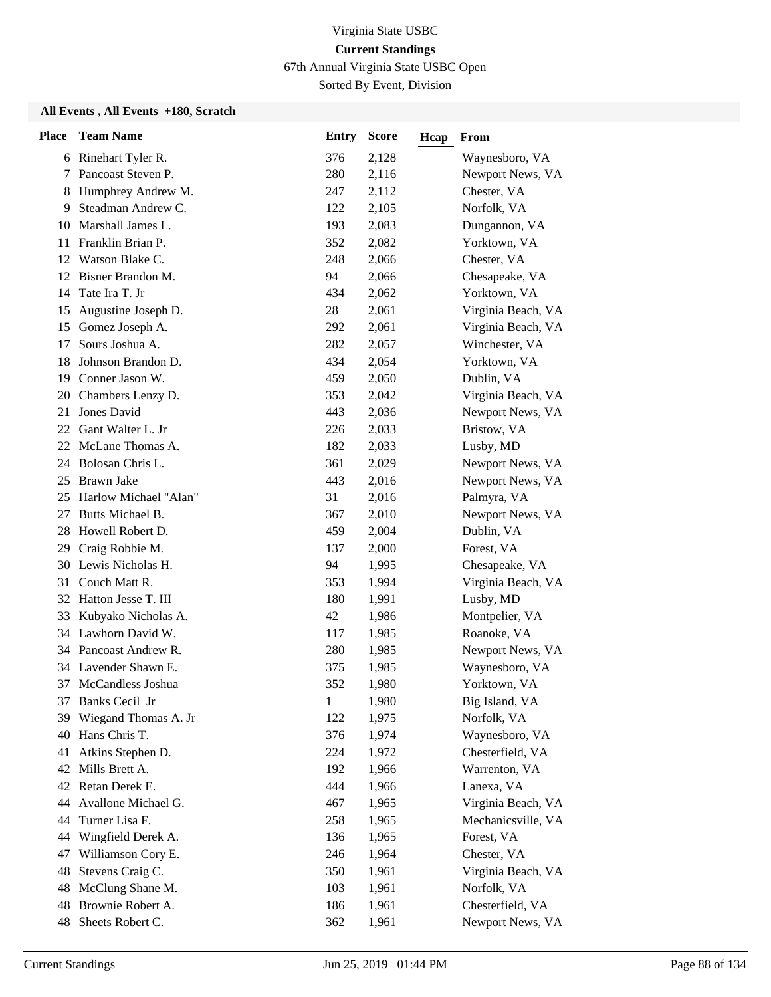67th Annual Virginia State USBC Open

Sorted By Event, Division

| <b>Place</b> | <b>Team Name</b>        | <b>Entry</b> | <b>Score</b> | Hcap | From               |
|--------------|-------------------------|--------------|--------------|------|--------------------|
|              | 6 Rinehart Tyler R.     | 376          | 2,128        |      | Waynesboro, VA     |
| 7            | Pancoast Steven P.      | 280          | 2,116        |      | Newport News, VA   |
| 8            | Humphrey Andrew M.      | 247          | 2,112        |      | Chester, VA        |
| 9            | Steadman Andrew C.      | 122          | 2,105        |      | Norfolk, VA        |
| 10           | Marshall James L.       | 193          | 2,083        |      | Dungannon, VA      |
| 11           | Franklin Brian P.       | 352          | 2,082        |      | Yorktown, VA       |
| 12           | Watson Blake C.         | 248          | 2,066        |      | Chester, VA        |
| 12           | Bisner Brandon M.       | 94           | 2,066        |      | Chesapeake, VA     |
| 14           | Tate Ira T. Jr          | 434          | 2,062        |      | Yorktown, VA       |
| 15           | Augustine Joseph D.     | 28           | 2,061        |      | Virginia Beach, VA |
| 15           | Gomez Joseph A.         | 292          | 2,061        |      | Virginia Beach, VA |
| 17           | Sours Joshua A.         | 282          | 2,057        |      | Winchester, VA     |
| 18           | Johnson Brandon D.      | 434          | 2,054        |      | Yorktown, VA       |
| 19           | Conner Jason W.         | 459          | 2,050        |      | Dublin, VA         |
| 20           | Chambers Lenzy D.       | 353          | 2,042        |      | Virginia Beach, VA |
| 21           | Jones David             | 443          | 2,036        |      | Newport News, VA   |
| 22           | Gant Walter L. Jr       | 226          | 2,033        |      | Bristow, VA        |
| 22           | McLane Thomas A.        | 182          | 2,033        |      | Lusby, MD          |
| 24           | Bolosan Chris L.        | 361          | 2,029        |      | Newport News, VA   |
| 25           | <b>Brawn Jake</b>       | 443          | 2,016        |      | Newport News, VA   |
| 25           | Harlow Michael "Alan"   | 31           | 2,016        |      | Palmyra, VA        |
| 27           | Butts Michael B.        | 367          | 2,010        |      | Newport News, VA   |
| 28           | Howell Robert D.        | 459          | 2,004        |      | Dublin, VA         |
| 29           | Craig Robbie M.         | 137          | 2,000        |      | Forest, VA         |
| 30           | Lewis Nicholas H.       | 94           | 1,995        |      | Chesapeake, VA     |
| 31           | Couch Matt R.           | 353          | 1,994        |      | Virginia Beach, VA |
|              | 32 Hatton Jesse T. III  | 180          | 1,991        |      | Lusby, MD          |
| 33           | Kubyako Nicholas A.     | 42           | 1,986        |      | Montpelier, VA     |
|              | 34 Lawhorn David W.     | 117          | 1,985        |      | Roanoke, VA        |
| 34           | Pancoast Andrew R.      | 280          | 1,985        |      | Newport News, VA   |
| 34           | Lavender Shawn E.       | 375          | 1,985        |      | Waynesboro, VA     |
| 37           | McCandless Joshua       | 352          | 1,980        |      | Yorktown, VA       |
|              | 37 Banks Cecil Jr       | $\mathbf{1}$ | 1,980        |      | Big Island, VA     |
|              | 39 Wiegand Thomas A. Jr | 122          | 1,975        |      | Norfolk, VA        |
| 40           | Hans Chris T.           | 376          | 1,974        |      | Waynesboro, VA     |
| 41           | Atkins Stephen D.       | 224          | 1,972        |      | Chesterfield, VA   |
|              | 42 Mills Brett A.       | 192          | 1,966        |      | Warrenton, VA      |
|              | 42 Retan Derek E.       | 444          | 1,966        |      | Lanexa, VA         |
| 44           | Avallone Michael G.     | 467          | 1,965        |      | Virginia Beach, VA |
| 44           | Turner Lisa F.          | 258          | 1,965        |      | Mechanicsville, VA |
| 44           | Wingfield Derek A.      | 136          | 1,965        |      | Forest, VA         |
| 47           | Williamson Cory E.      | 246          | 1,964        |      | Chester, VA        |
| 48           | Stevens Craig C.        | 350          | 1,961        |      | Virginia Beach, VA |
| 48           | McClung Shane M.        | 103          | 1,961        |      | Norfolk, VA        |
| 48           | Brownie Robert A.       | 186          | 1,961        |      | Chesterfield, VA   |
| 48           | Sheets Robert C.        | 362          | 1,961        |      | Newport News, VA   |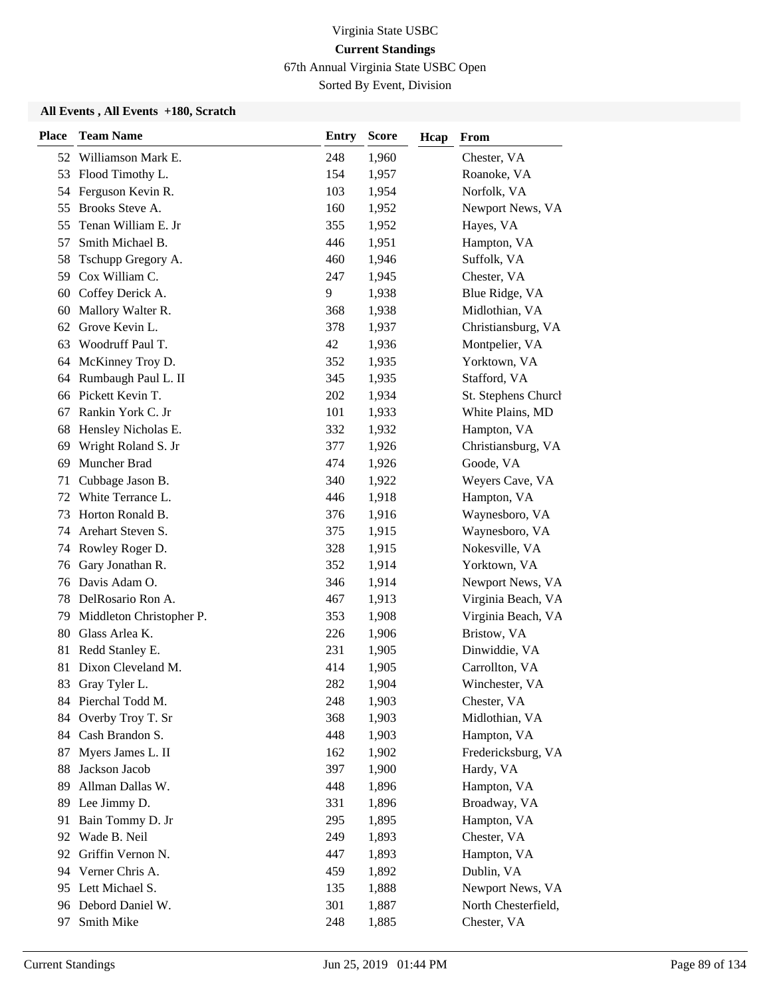67th Annual Virginia State USBC Open

Sorted By Event, Division

| <b>Place</b> | <b>Team Name</b>         | <b>Entry</b> | <b>Score</b> | Hcap | From                |
|--------------|--------------------------|--------------|--------------|------|---------------------|
|              | 52 Williamson Mark E.    | 248          | 1,960        |      | Chester, VA         |
| 53           | Flood Timothy L.         | 154          | 1,957        |      | Roanoke, VA         |
| 54           | Ferguson Kevin R.        | 103          | 1,954        |      | Norfolk, VA         |
| 55           | Brooks Steve A.          | 160          | 1,952        |      | Newport News, VA    |
| 55           | Tenan William E. Jr      | 355          | 1,952        |      | Hayes, VA           |
| 57           | Smith Michael B.         | 446          | 1,951        |      | Hampton, VA         |
| 58           | Tschupp Gregory A.       | 460          | 1,946        |      | Suffolk, VA         |
| 59           | Cox William C.           | 247          | 1,945        |      | Chester, VA         |
|              | 60 Coffey Derick A.      | 9            | 1,938        |      | Blue Ridge, VA      |
| 60           | Mallory Walter R.        | 368          | 1,938        |      | Midlothian, VA      |
| 62           | Grove Kevin L.           | 378          | 1,937        |      | Christiansburg, VA  |
| 63           | Woodruff Paul T.         | 42           | 1,936        |      | Montpelier, VA      |
|              | 64 McKinney Troy D.      | 352          | 1,935        |      | Yorktown, VA        |
| 64           | Rumbaugh Paul L. II      | 345          | 1,935        |      | Stafford, VA        |
| 66           | Pickett Kevin T.         | 202          | 1,934        |      | St. Stephens Church |
| 67           | Rankin York C. Jr        | 101          | 1,933        |      | White Plains, MD    |
| 68           | Hensley Nicholas E.      | 332          | 1,932        |      | Hampton, VA         |
| 69           | Wright Roland S. Jr      | 377          | 1,926        |      | Christiansburg, VA  |
| 69           | Muncher Brad             | 474          | 1,926        |      | Goode, VA           |
| 71           | Cubbage Jason B.         | 340          | 1,922        |      | Weyers Cave, VA     |
| 72           | White Terrance L.        | 446          | 1,918        |      | Hampton, VA         |
| 73           | Horton Ronald B.         | 376          | 1,916        |      | Waynesboro, VA      |
| 74           | Arehart Steven S.        | 375          | 1,915        |      | Waynesboro, VA      |
| 74           | Rowley Roger D.          | 328          | 1,915        |      | Nokesville, VA      |
| 76           | Gary Jonathan R.         | 352          | 1,914        |      | Yorktown, VA        |
| 76           | Davis Adam O.            | 346          | 1,914        |      | Newport News, VA    |
| 78           | DelRosario Ron A.        | 467          | 1,913        |      | Virginia Beach, VA  |
| 79           | Middleton Christopher P. | 353          | 1,908        |      | Virginia Beach, VA  |
| 80           | Glass Arlea K.           | 226          | 1,906        |      | Bristow, VA         |
| 81           | Redd Stanley E.          | 231          | 1,905        |      | Dinwiddie, VA       |
| 81           | Dixon Cleveland M.       | 414          | 1,905        |      | Carrollton, VA      |
| 83           | Gray Tyler L.            | 282          | 1,904        |      | Winchester, VA      |
|              | 84 Pierchal Todd M.      | 248          | 1,903        |      | Chester, VA         |
|              | 84 Overby Troy T. Sr     | 368          | 1,903        |      | Midlothian, VA      |
|              | 84 Cash Brandon S.       | 448          | 1,903        |      | Hampton, VA         |
| 87           | Myers James L. II        | 162          | 1,902        |      | Fredericksburg, VA  |
| 88           | Jackson Jacob            | 397          | 1,900        |      | Hardy, VA           |
| 89           | Allman Dallas W.         | 448          | 1,896        |      | Hampton, VA         |
| 89           | Lee Jimmy D.             | 331          | 1,896        |      | Broadway, VA        |
| 91           | Bain Tommy D. Jr         | 295          | 1,895        |      | Hampton, VA         |
|              | 92 Wade B. Neil          | 249          | 1,893        |      | Chester, VA         |
| 92           | Griffin Vernon N.        | 447          | 1,893        |      | Hampton, VA         |
|              | 94 Verner Chris A.       | 459          | 1,892        |      | Dublin, VA          |
| 95           | Lett Michael S.          | 135          | 1,888        |      | Newport News, VA    |
|              | 96 Debord Daniel W.      | 301          | 1,887        |      | North Chesterfield, |
| 97           | Smith Mike               | 248          | 1,885        |      | Chester, VA         |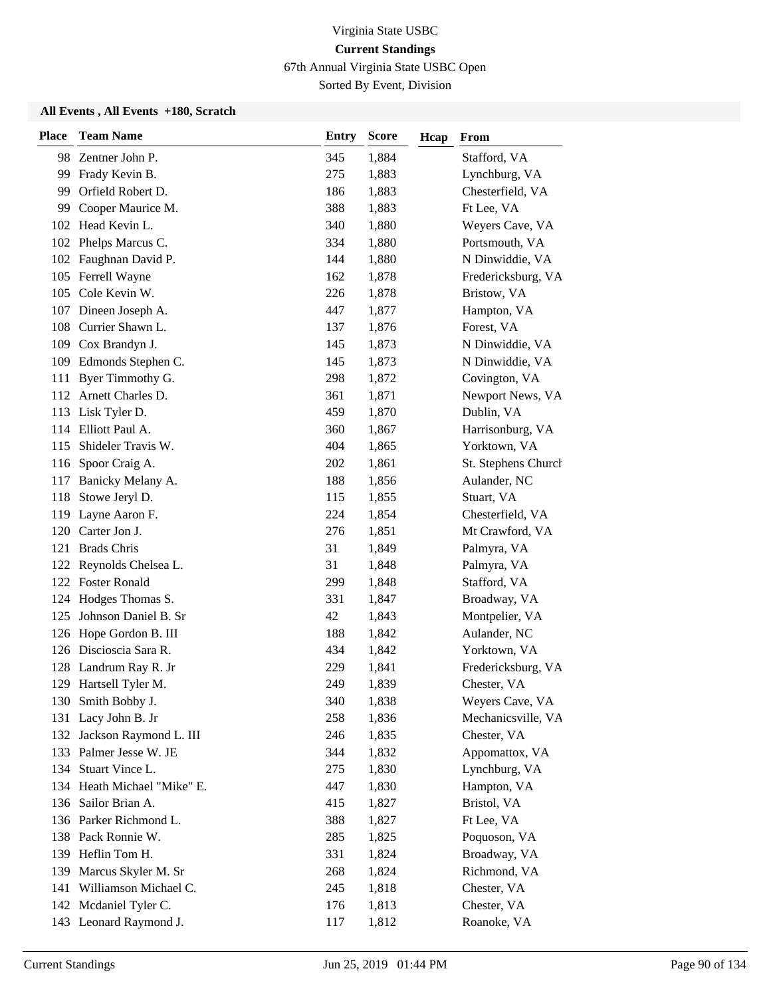67th Annual Virginia State USBC Open

Sorted By Event, Division

| <b>Place</b> | <b>Team Name</b>            | <b>Entry</b> | <b>Score</b> | Hcap | From                |
|--------------|-----------------------------|--------------|--------------|------|---------------------|
|              | 98 Zentner John P.          | 345          | 1,884        |      | Stafford, VA        |
| 99           | Frady Kevin B.              | 275          | 1,883        |      | Lynchburg, VA       |
| 99           | Orfield Robert D.           | 186          | 1,883        |      | Chesterfield, VA    |
|              | 99 Cooper Maurice M.        | 388          | 1,883        |      | Ft Lee, VA          |
|              | 102 Head Kevin L.           | 340          | 1,880        |      | Weyers Cave, VA     |
| 102          | Phelps Marcus C.            | 334          | 1,880        |      | Portsmouth, VA      |
|              | 102 Faughnan David P.       | 144          | 1,880        |      | N Dinwiddie, VA     |
|              | 105 Ferrell Wayne           | 162          | 1,878        |      | Fredericksburg, VA  |
|              | 105 Cole Kevin W.           | 226          | 1,878        |      | Bristow, VA         |
| 107          | Dineen Joseph A.            | 447          | 1,877        |      | Hampton, VA         |
| 108          | Currier Shawn L.            | 137          | 1,876        |      | Forest, VA          |
|              | 109 Cox Brandyn J.          | 145          | 1,873        |      | N Dinwiddie, VA     |
|              | 109 Edmonds Stephen C.      | 145          | 1,873        |      | N Dinwiddie, VA     |
| 111          | Byer Timmothy G.            | 298          | 1,872        |      | Covington, VA       |
|              | 112 Arnett Charles D.       | 361          | 1,871        |      | Newport News, VA    |
|              | 113 Lisk Tyler D.           | 459          | 1,870        |      | Dublin, VA          |
|              | 114 Elliott Paul A.         | 360          | 1,867        |      | Harrisonburg, VA    |
|              | 115 Shideler Travis W.      | 404          | 1,865        |      | Yorktown, VA        |
|              | 116 Spoor Craig A.          | 202          | 1,861        |      | St. Stephens Church |
|              | 117 Banicky Melany A.       | 188          | 1,856        |      | Aulander, NC        |
| 118          | Stowe Jeryl D.              | 115          | 1,855        |      | Stuart, VA          |
| 119          | Layne Aaron F.              | 224          | 1,854        |      | Chesterfield, VA    |
|              | 120 Carter Jon J.           | 276          | 1,851        |      | Mt Crawford, VA     |
| 121          | <b>Brads Chris</b>          | 31           | 1,849        |      | Palmyra, VA         |
|              | 122 Reynolds Chelsea L.     | 31           | 1,848        |      | Palmyra, VA         |
|              | 122 Foster Ronald           | 299          | 1,848        |      | Stafford, VA        |
| 124          | Hodges Thomas S.            | 331          | 1,847        |      | Broadway, VA        |
| 125          | Johnson Daniel B. Sr        | 42           | 1,843        |      | Montpelier, VA      |
|              | 126 Hope Gordon B. III      | 188          | 1,842        |      | Aulander, NC        |
|              | 126 Discioscia Sara R.      | 434          | 1,842        |      | Yorktown, VA        |
|              | 128 Landrum Ray R. Jr       | 229          | 1,841        |      | Fredericksburg, VA  |
|              | 129 Hartsell Tyler M.       | 249          | 1,839        |      | Chester, VA         |
|              | 130 Smith Bobby J.          | 340          | 1,838        |      | Weyers Cave, VA     |
|              | 131 Lacy John B. Jr         | 258          | 1,836        |      | Mechanicsville, VA  |
|              | 132 Jackson Raymond L. III  | 246          | 1,835        |      | Chester, VA         |
|              | 133 Palmer Jesse W. JE      | 344          | 1,832        |      | Appomattox, VA      |
|              | 134 Stuart Vince L.         | 275          | 1,830        |      | Lynchburg, VA       |
|              | 134 Heath Michael "Mike" E. | 447          | 1,830        |      | Hampton, VA         |
|              | 136 Sailor Brian A.         | 415          | 1,827        |      | Bristol, VA         |
|              | 136 Parker Richmond L.      | 388          | 1,827        |      | Ft Lee, VA          |
|              | 138 Pack Ronnie W.          | 285          | 1,825        |      | Poquoson, VA        |
|              | 139 Heflin Tom H.           | 331          | 1,824        |      | Broadway, VA        |
| 139          | Marcus Skyler M. Sr         | 268          | 1,824        |      | Richmond, VA        |
|              | 141 Williamson Michael C.   | 245          | 1,818        |      | Chester, VA         |
|              | 142 Mcdaniel Tyler C.       | 176          | 1,813        |      | Chester, VA         |
|              | 143 Leonard Raymond J.      | 117          | 1,812        |      | Roanoke, VA         |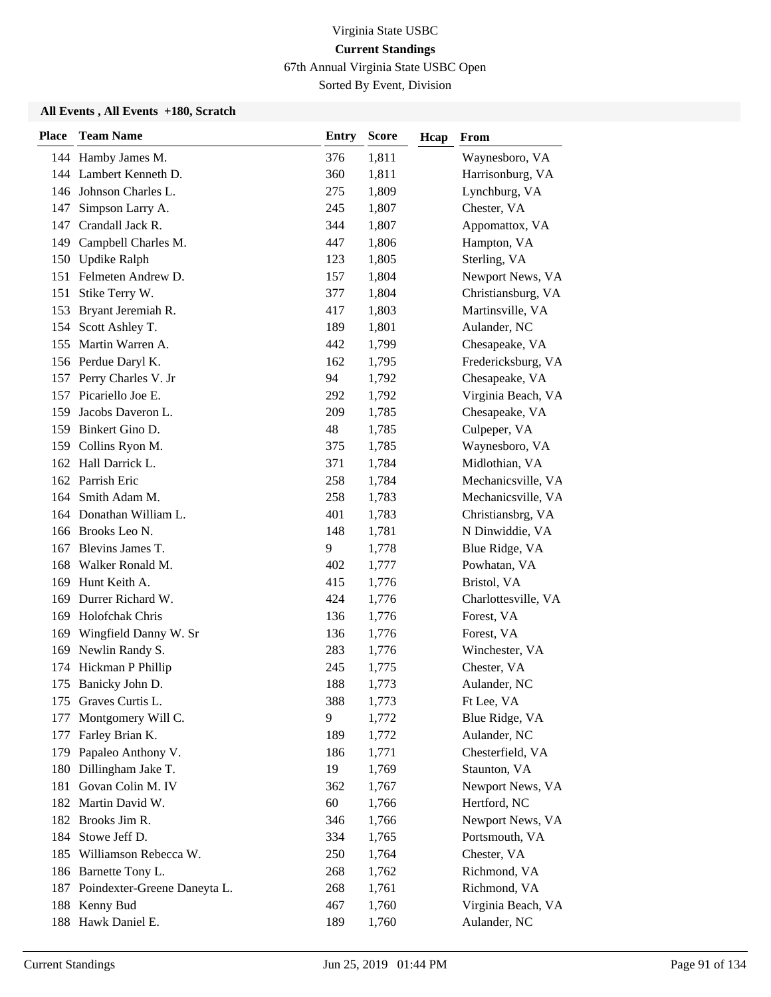67th Annual Virginia State USBC Open

Sorted By Event, Division

| <b>Place</b> | <b>Team Name</b>                 | <b>Entry</b> | <b>Score</b> | Hcap | From                |
|--------------|----------------------------------|--------------|--------------|------|---------------------|
|              | 144 Hamby James M.               | 376          | 1,811        |      | Waynesboro, VA      |
|              | 144 Lambert Kenneth D.           | 360          | 1,811        |      | Harrisonburg, VA    |
|              | 146 Johnson Charles L.           | 275          | 1,809        |      | Lynchburg, VA       |
| 147          | Simpson Larry A.                 | 245          | 1,807        |      | Chester, VA         |
| 147          | Crandall Jack R.                 | 344          | 1,807        |      | Appomattox, VA      |
| 149          | Campbell Charles M.              | 447          | 1,806        |      | Hampton, VA         |
| 150          | <b>Updike Ralph</b>              | 123          | 1,805        |      | Sterling, VA        |
|              | 151 Felmeten Andrew D.           | 157          | 1,804        |      | Newport News, VA    |
| 151          | Stike Terry W.                   | 377          | 1,804        |      | Christiansburg, VA  |
| 153          | Bryant Jeremiah R.               | 417          | 1,803        |      | Martinsville, VA    |
| 154          | Scott Ashley T.                  | 189          | 1,801        |      | Aulander, NC        |
|              | 155 Martin Warren A.             | 442          | 1,799        |      | Chesapeake, VA      |
|              | 156 Perdue Daryl K.              | 162          | 1,795        |      | Fredericksburg, VA  |
|              | 157 Perry Charles V. Jr          | 94           | 1,792        |      | Chesapeake, VA      |
|              | 157 Picariello Joe E.            | 292          | 1,792        |      | Virginia Beach, VA  |
| 159          | Jacobs Daveron L.                | 209          | 1,785        |      | Chesapeake, VA      |
|              | 159 Binkert Gino D.              | 48           | 1,785        |      | Culpeper, VA        |
| 159          | Collins Ryon M.                  | 375          | 1,785        |      | Waynesboro, VA      |
|              | 162 Hall Darrick L.              | 371          | 1,784        |      | Midlothian, VA      |
|              | 162 Parrish Eric                 | 258          | 1,784        |      | Mechanicsville, VA  |
| 164          | Smith Adam M.                    | 258          | 1,783        |      | Mechanicsville, VA  |
|              | 164 Donathan William L.          | 401          | 1,783        |      | Christiansbrg, VA   |
|              | 166 Brooks Leo N.                | 148          | 1,781        |      | N Dinwiddie, VA     |
|              | 167 Blevins James T.             | 9            | 1,778        |      | Blue Ridge, VA      |
| 168          | Walker Ronald M.                 | 402          | 1,777        |      | Powhatan, VA        |
| 169          | Hunt Keith A.                    | 415          | 1,776        |      | Bristol, VA         |
| 169          | Durrer Richard W.                | 424          | 1,776        |      | Charlottesville, VA |
| 169          | Holofchak Chris                  | 136          | 1,776        |      | Forest, VA          |
| 169          | Wingfield Danny W. Sr            | 136          | 1,776        |      | Forest, VA          |
| 169          | Newlin Randy S.                  | 283          | 1,776        |      | Winchester, VA      |
| 174          | Hickman P Phillip                | 245          | 1,775        |      | Chester, VA         |
|              | 175 Banicky John D.              | 188          | 1,773        |      | Aulander, NC        |
|              | 175 Graves Curtis L.             | 388          | 1,773        |      | Ft Lee, VA          |
| 177          | Montgomery Will C.               | 9            | 1,772        |      | Blue Ridge, VA      |
| 177          | Farley Brian K.                  | 189          | 1,772        |      | Aulander, NC        |
|              | 179 Papaleo Anthony V.           | 186          | 1,771        |      | Chesterfield, VA    |
| 180          | Dillingham Jake T.               | 19           | 1,769        |      | Staunton, VA        |
| 181          | Govan Colin M. IV                | 362          | 1,767        |      | Newport News, VA    |
|              | 182 Martin David W.              | 60           | 1,766        |      | Hertford, NC        |
|              | 182 Brooks Jim R.                | 346          | 1,766        |      | Newport News, VA    |
| 184          | Stowe Jeff D.                    | 334          | 1,765        |      | Portsmouth, VA      |
| 185          | Williamson Rebecca W.            | 250          | 1,764        |      | Chester, VA         |
|              | 186 Barnette Tony L.             | 268          | 1,762        |      | Richmond, VA        |
|              | 187 Poindexter-Greene Daneyta L. | 268          | 1,761        |      | Richmond, VA        |
|              | 188 Kenny Bud                    | 467          | 1,760        |      | Virginia Beach, VA  |
|              | 188 Hawk Daniel E.               | 189          | 1,760        |      | Aulander, NC        |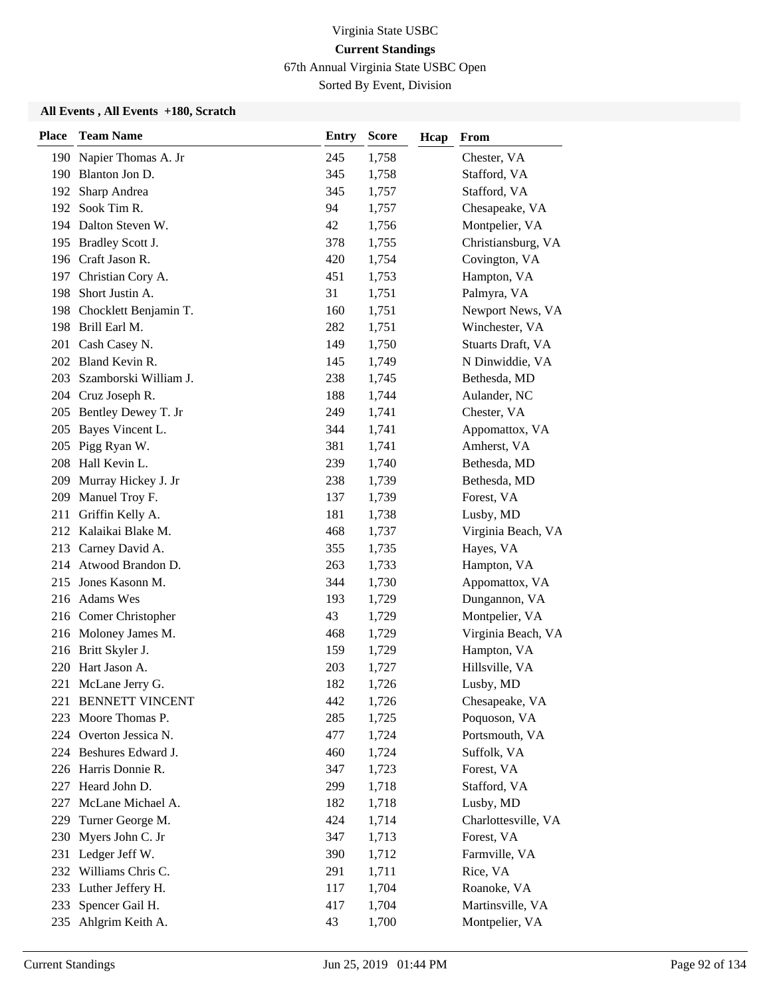67th Annual Virginia State USBC Open

Sorted By Event, Division

| <b>Place</b> | <b>Team Name</b>          | <b>Entry</b> | <b>Score</b> | Hcap | From                |
|--------------|---------------------------|--------------|--------------|------|---------------------|
|              | 190 Napier Thomas A. Jr   | 245          | 1,758        |      | Chester, VA         |
|              | 190 Blanton Jon D.        | 345          | 1,758        |      | Stafford, VA        |
| 192          | Sharp Andrea              | 345          | 1,757        |      | Stafford, VA        |
| 192          | Sook Tim R.               | 94           | 1,757        |      | Chesapeake, VA      |
|              | 194 Dalton Steven W.      | 42           | 1,756        |      | Montpelier, VA      |
| 195          | Bradley Scott J.          | 378          | 1,755        |      | Christiansburg, VA  |
| 196          | Craft Jason R.            | 420          | 1,754        |      | Covington, VA       |
|              | 197 Christian Cory A.     | 451          | 1,753        |      | Hampton, VA         |
| 198          | Short Justin A.           | 31           | 1,751        |      | Palmyra, VA         |
|              | 198 Chocklett Benjamin T. | 160          | 1,751        |      | Newport News, VA    |
|              | 198 Brill Earl M.         | 282          | 1,751        |      | Winchester, VA      |
|              | 201 Cash Casey N.         | 149          | 1,750        |      | Stuarts Draft, VA   |
|              | 202 Bland Kevin R.        | 145          | 1,749        |      | N Dinwiddie, VA     |
| 203          | Szamborski William J.     | 238          | 1,745        |      | Bethesda, MD        |
| 204          | Cruz Joseph R.            | 188          | 1,744        |      | Aulander, NC        |
|              | 205 Bentley Dewey T. Jr   | 249          | 1,741        |      | Chester, VA         |
|              | 205 Bayes Vincent L.      | 344          | 1,741        |      | Appomattox, VA      |
| 205          | Pigg Ryan W.              | 381          | 1,741        |      | Amherst, VA         |
|              | 208 Hall Kevin L.         | 239          | 1,740        |      | Bethesda, MD        |
| 209          | Murray Hickey J. Jr       | 238          | 1,739        |      | Bethesda, MD        |
| 209          | Manuel Troy F.            | 137          | 1,739        |      | Forest, VA          |
| 211          | Griffin Kelly A.          | 181          | 1,738        |      | Lusby, MD           |
|              | 212 Kalaikai Blake M.     | 468          | 1,737        |      | Virginia Beach, VA  |
|              | 213 Carney David A.       | 355          | 1,735        |      | Hayes, VA           |
|              | 214 Atwood Brandon D.     | 263          | 1,733        |      | Hampton, VA         |
| 215          | Jones Kasonn M.           | 344          | 1,730        |      | Appomattox, VA      |
|              | 216 Adams Wes             | 193          | 1,729        |      | Dungannon, VA       |
|              | 216 Comer Christopher     | 43           | 1,729        |      | Montpelier, VA      |
|              | 216 Moloney James M.      | 468          | 1,729        |      | Virginia Beach, VA  |
|              | 216 Britt Skyler J.       | 159          | 1,729        |      | Hampton, VA         |
| 220          | Hart Jason A.             | 203          | 1,727        |      | Hillsville, VA      |
| 221          | McLane Jerry G.           | 182          | 1,726        |      | Lusby, MD           |
|              | 221 BENNETT VINCENT       | 442          | 1,726        |      | Chesapeake, VA      |
| 223          | Moore Thomas P.           | 285          | 1,725        |      | Poquoson, VA        |
|              | 224 Overton Jessica N.    | 477          | 1,724        |      | Portsmouth, VA      |
|              | 224 Beshures Edward J.    | 460          | 1,724        |      | Suffolk, VA         |
|              | 226 Harris Donnie R.      | 347          | 1,723        |      | Forest, VA          |
| 227          | Heard John D.             | 299          | 1,718        |      | Stafford, VA        |
| 227          | McLane Michael A.         | 182          | 1,718        |      | Lusby, MD           |
| 229          | Turner George M.          | 424          | 1,714        |      | Charlottesville, VA |
| 230          | Myers John C. Jr          | 347          | 1,713        |      | Forest, VA          |
| 231          | Ledger Jeff W.            | 390          | 1,712        |      | Farmville, VA       |
| 232          | Williams Chris C.         | 291          | 1,711        |      | Rice, VA            |
| 233          | Luther Jeffery H.         | 117          | 1,704        |      | Roanoke, VA         |
| 233          | Spencer Gail H.           | 417          | 1,704        |      | Martinsville, VA    |
| 235          | Ahlgrim Keith A.          | 43           | 1,700        |      | Montpelier, VA      |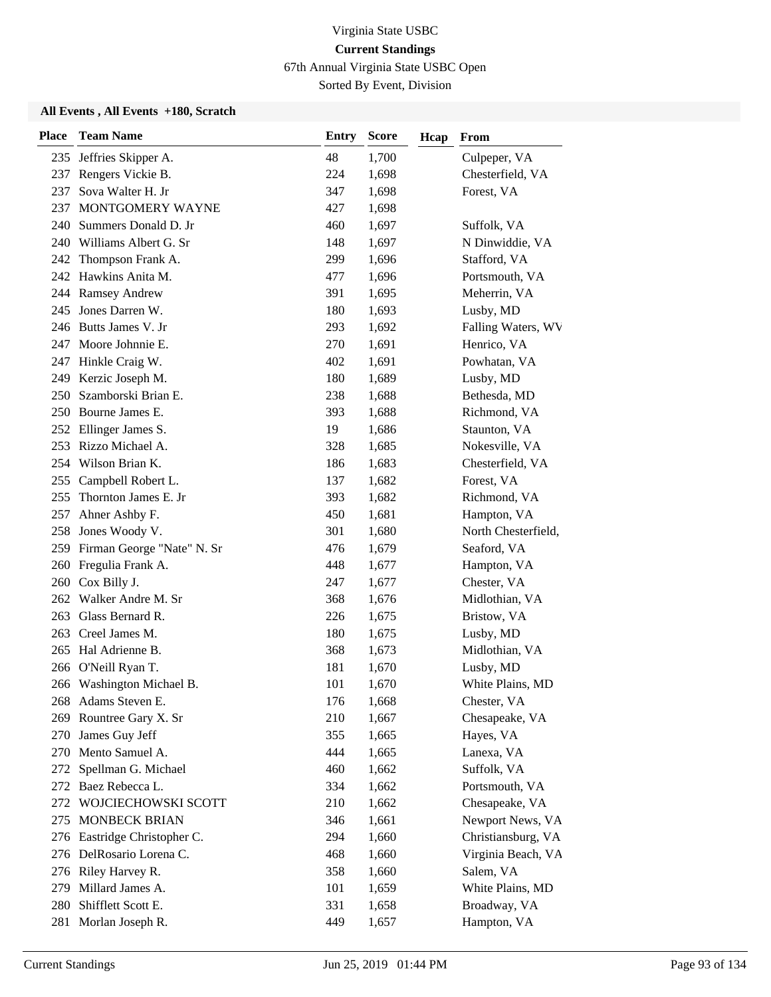67th Annual Virginia State USBC Open

Sorted By Event, Division

| <b>Place</b> | <b>Team Name</b>               | <b>Entry</b> | <b>Score</b><br>Hcap | From                |
|--------------|--------------------------------|--------------|----------------------|---------------------|
| 235          | Jeffries Skipper A.            | 48           | 1,700                | Culpeper, VA        |
| 237          | Rengers Vickie B.              | 224          | 1,698                | Chesterfield, VA    |
| 237          | Sova Walter H. Jr              | 347          | 1,698                | Forest, VA          |
| 237          | MONTGOMERY WAYNE               | 427          | 1,698                |                     |
| 240          | Summers Donald D. Jr           | 460          | 1,697                | Suffolk, VA         |
| 240          | Williams Albert G. Sr          | 148          | 1,697                | N Dinwiddie, VA     |
| 242          | Thompson Frank A.              | 299          | 1,696                | Stafford, VA        |
|              | 242 Hawkins Anita M.           | 477          | 1,696                | Portsmouth, VA      |
|              | 244 Ramsey Andrew              | 391          | 1,695                | Meherrin, VA        |
| 245          | Jones Darren W.                | 180          | 1,693                | Lusby, MD           |
|              | 246 Butts James V. Jr          | 293          | 1,692                | Falling Waters, WV  |
|              | 247 Moore Johnnie E.           | 270          | 1,691                | Henrico, VA         |
| 247          | Hinkle Craig W.                | 402          | 1,691                | Powhatan, VA        |
| 249          | Kerzic Joseph M.               | 180          | 1,689                | Lusby, MD           |
| 250          | Szamborski Brian E.            | 238          | 1,688                | Bethesda, MD        |
|              | 250 Bourne James E.            | 393          | 1,688                | Richmond, VA        |
|              | 252 Ellinger James S.          | 19           | 1,686                | Staunton, VA        |
| 253          | Rizzo Michael A.               | 328          | 1,685                | Nokesville, VA      |
| 254          | Wilson Brian K.                | 186          | 1,683                | Chesterfield, VA    |
|              | 255 Campbell Robert L.         | 137          | 1,682                | Forest, VA          |
| 255          | Thornton James E. Jr           | 393          | 1,682                | Richmond, VA        |
| 257          | Ahner Ashby F.                 | 450          | 1,681                | Hampton, VA         |
| 258          | Jones Woody V.                 | 301          | 1,680                | North Chesterfield, |
|              | 259 Firman George "Nate" N. Sr | 476          | 1,679                | Seaford, VA         |
|              | 260 Fregulia Frank A.          | 448          | 1,677                | Hampton, VA         |
|              | 260 Cox Billy J.               | 247          | 1,677                | Chester, VA         |
| 262          | Walker Andre M. Sr             | 368          | 1,676                | Midlothian, VA      |
| 263          | Glass Bernard R.               | 226          | 1,675                | Bristow, VA         |
| 263          | Creel James M.                 | 180          | 1,675                | Lusby, MD           |
| 265          | Hal Adrienne B.                | 368          | 1,673                | Midlothian, VA      |
| 266          | O'Neill Ryan T.                | 181          | 1,670                | Lusby, MD           |
|              | 266 Washington Michael B.      | 101          | 1,670                | White Plains, MD    |
|              | 268 Adams Steven E.            | 176          | 1,668                | Chester, VA         |
| 269          | Rountree Gary X. Sr            | 210          | 1,667                | Chesapeake, VA      |
| 270          | James Guy Jeff                 | 355          | 1,665                | Hayes, VA           |
| 270          | Mento Samuel A.                | 444          | 1,665                | Lanexa, VA          |
| 272          | Spellman G. Michael            | 460          | 1,662                | Suffolk, VA         |
| 272          | Baez Rebecca L.                | 334          | 1,662                | Portsmouth, VA      |
| 272          | WOJCIECHOWSKI SCOTT            | 210          | 1,662                | Chesapeake, VA      |
| 275          | MONBECK BRIAN                  | 346          | 1,661                | Newport News, VA    |
| 276          | Eastridge Christopher C.       | 294          | 1,660                | Christiansburg, VA  |
| 276          | DelRosario Lorena C.           | 468          | 1,660                | Virginia Beach, VA  |
|              | 276 Riley Harvey R.            | 358          | 1,660                | Salem, VA           |
| 279          | Millard James A.               | 101          | 1,659                | White Plains, MD    |
| 280          | Shifflett Scott E.             | 331          | 1,658                | Broadway, VA        |
|              | 281 Morlan Joseph R.           | 449          | 1,657                | Hampton, VA         |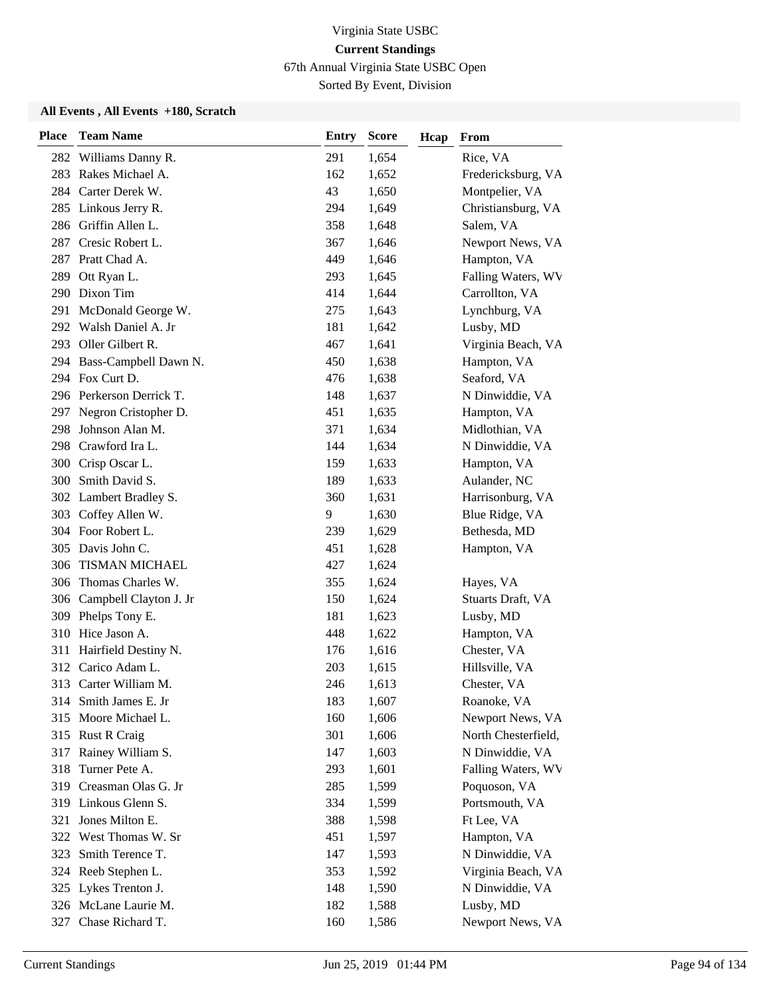67th Annual Virginia State USBC Open

Sorted By Event, Division

| <b>Place</b> | <b>Team Name</b>           | <b>Entry</b> | <b>Score</b><br>Hcap | From                |
|--------------|----------------------------|--------------|----------------------|---------------------|
| 282          | Williams Danny R.          | 291          | 1,654                | Rice, VA            |
| 283          | Rakes Michael A.           | 162          | 1,652                | Fredericksburg, VA  |
| 284          | Carter Derek W.            | 43           | 1,650                | Montpelier, VA      |
|              | 285 Linkous Jerry R.       | 294          | 1,649                | Christiansburg, VA  |
|              | 286 Griffin Allen L.       | 358          | 1,648                | Salem, VA           |
| 287          | Cresic Robert L.           | 367          | 1,646                | Newport News, VA    |
| 287          | Pratt Chad A.              | 449          | 1,646                | Hampton, VA         |
|              | 289 Ott Ryan L.            | 293          | 1,645                | Falling Waters, WV  |
|              | 290 Dixon Tim              | 414          | 1,644                | Carrollton, VA      |
| 291          | McDonald George W.         | 275          | 1,643                | Lynchburg, VA       |
| 292          | Walsh Daniel A. Jr         | 181          | 1,642                | Lusby, MD           |
|              | 293 Oller Gilbert R.       | 467          | 1,641                | Virginia Beach, VA  |
|              | 294 Bass-Campbell Dawn N.  | 450          | 1,638                | Hampton, VA         |
|              | 294 Fox Curt D.            | 476          | 1,638                | Seaford, VA         |
|              | 296 Perkerson Derrick T.   | 148          | 1,637                | N Dinwiddie, VA     |
|              | 297 Negron Cristopher D.   | 451          | 1,635                | Hampton, VA         |
| 298          | Johnson Alan M.            | 371          | 1,634                | Midlothian, VA      |
| 298          | Crawford Ira L.            | 144          | 1,634                | N Dinwiddie, VA     |
|              | 300 Crisp Oscar L.         | 159          | 1,633                | Hampton, VA         |
|              | 300 Smith David S.         | 189          | 1,633                | Aulander, NC        |
|              | 302 Lambert Bradley S.     | 360          | 1,631                | Harrisonburg, VA    |
| 303          | Coffey Allen W.            | 9            | 1,630                | Blue Ridge, VA      |
|              | 304 Foor Robert L.         | 239          | 1,629                | Bethesda, MD        |
|              | 305 Davis John C.          | 451          | 1,628                | Hampton, VA         |
| 306          | TISMAN MICHAEL             | 427          | 1,624                |                     |
| 306          | Thomas Charles W.          | 355          | 1,624                | Hayes, VA           |
|              | 306 Campbell Clayton J. Jr | 150          | 1,624                | Stuarts Draft, VA   |
|              | 309 Phelps Tony E.         | 181          | 1,623                | Lusby, MD           |
|              | 310 Hice Jason A.          | 448          | 1,622                | Hampton, VA         |
| 311          | Hairfield Destiny N.       | 176          | 1,616                | Chester, VA         |
| 312          | Carico Adam L.             | 203          | 1,615                | Hillsville, VA      |
|              | 313 Carter William M.      | 246          | 1,613                | Chester, VA         |
|              | 314 Smith James E. Jr      | 183          | 1,607                | Roanoke, VA         |
| 315          | Moore Michael L.           | 160          | 1,606                | Newport News, VA    |
| 315          | <b>Rust R Craig</b>        | 301          | 1,606                | North Chesterfield, |
| 317          | Rainey William S.          | 147          | 1,603                | N Dinwiddie, VA     |
| 318          | Turner Pete A.             | 293          | 1,601                | Falling Waters, WV  |
|              | 319 Creasman Olas G. Jr    | 285          | 1,599                | Poquoson, VA        |
|              | 319 Linkous Glenn S.       | 334          | 1,599                | Portsmouth, VA      |
| 321          | Jones Milton E.            | 388          | 1,598                | Ft Lee, VA          |
|              | 322 West Thomas W. Sr      | 451          | 1,597                | Hampton, VA         |
| 323          | Smith Terence T.           | 147          | 1,593                | N Dinwiddie, VA     |
| 324          | Reeb Stephen L.            | 353          | 1,592                | Virginia Beach, VA  |
|              | 325 Lykes Trenton J.       | 148          | 1,590                | N Dinwiddie, VA     |
|              | 326 McLane Laurie M.       | 182          | 1,588                | Lusby, MD           |
|              | 327 Chase Richard T.       | 160          | 1,586                | Newport News, VA    |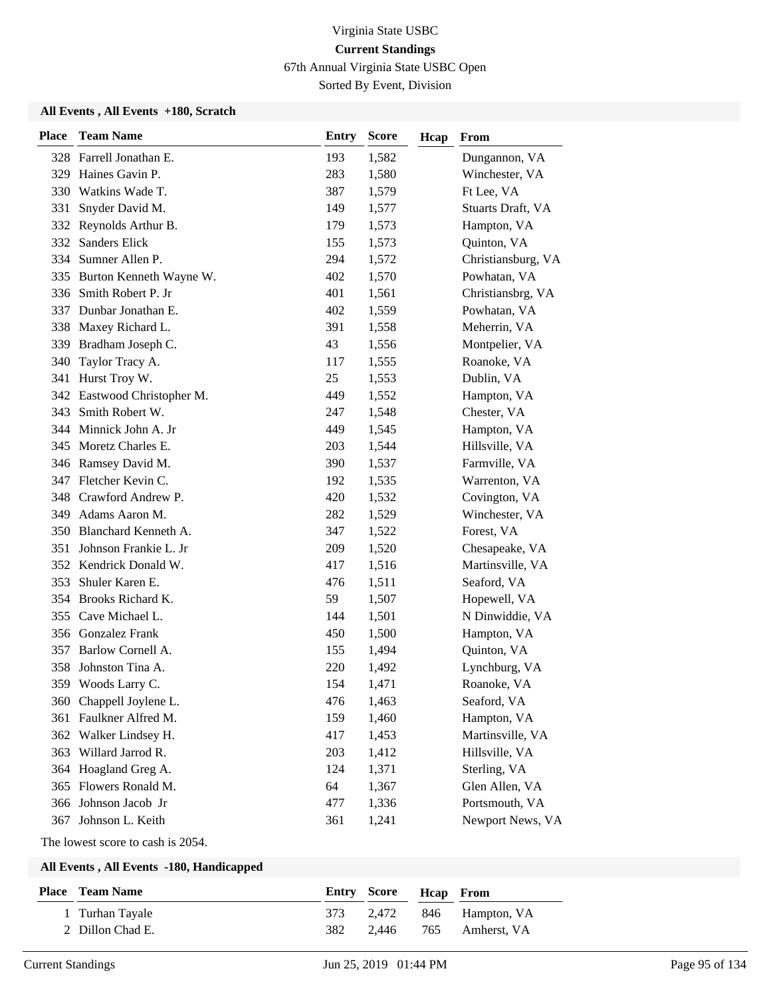67th Annual Virginia State USBC Open

Sorted By Event, Division

#### **All Events , All Events +180, Scratch**

| <b>Place</b> | <b>Team Name</b>        | <b>Entry</b> | <b>Score</b> | Hcap | From               |
|--------------|-------------------------|--------------|--------------|------|--------------------|
|              | 328 Farrell Jonathan E. | 193          | 1,582        |      | Dungannon, VA      |
| 329          | Haines Gavin P.         | 283          | 1,580        |      | Winchester, VA     |
| 330          | Watkins Wade T.         | 387          | 1,579        |      | Ft Lee, VA         |
| 331          | Snyder David M.         | 149          | 1,577        |      | Stuarts Draft, VA  |
| 332          | Reynolds Arthur B.      | 179          | 1,573        |      | Hampton, VA        |
| 332          | <b>Sanders Elick</b>    | 155          | 1,573        |      | Quinton, VA        |
| 334          | Sumner Allen P.         | 294          | 1,572        |      | Christiansburg, VA |
| 335          | Burton Kenneth Wayne W. | 402          | 1,570        |      | Powhatan, VA       |
| 336          | Smith Robert P. Jr      | 401          | 1,561        |      | Christiansbrg, VA  |
| 337          | Dunbar Jonathan E.      | 402          | 1,559        |      | Powhatan, VA       |
| 338          | Maxey Richard L.        | 391          | 1,558        |      | Meherrin, VA       |
|              | 339 Bradham Joseph C.   | 43           | 1,556        |      | Montpelier, VA     |
| 340          | Taylor Tracy A.         | 117          | 1,555        |      | Roanoke, VA        |
| 341          | Hurst Troy W.           | 25           | 1,553        |      | Dublin, VA         |
| 342          | Eastwood Christopher M. | 449          | 1,552        |      | Hampton, VA        |
| 343          | Smith Robert W.         | 247          | 1,548        |      | Chester, VA        |
| 344          | Minnick John A. Jr      | 449          | 1,545        |      | Hampton, VA        |
| 345          | Moretz Charles E.       | 203          | 1,544        |      | Hillsville, VA     |
| 346          | Ramsey David M.         | 390          | 1,537        |      | Farmville, VA      |
| 347          | Fletcher Kevin C.       | 192          | 1,535        |      | Warrenton, VA      |
| 348          | Crawford Andrew P.      | 420          | 1,532        |      | Covington, VA      |
| 349          | Adams Aaron M.          | 282          | 1,529        |      | Winchester, VA     |
| 350          | Blanchard Kenneth A.    | 347          | 1,522        |      | Forest, VA         |
| 351          | Johnson Frankie L. Jr   | 209          | 1,520        |      | Chesapeake, VA     |
| 352          | Kendrick Donald W.      | 417          | 1,516        |      | Martinsville, VA   |
| 353          | Shuler Karen E.         | 476          | 1,511        |      | Seaford, VA        |
| 354          | Brooks Richard K.       | 59           | 1,507        |      | Hopewell, VA       |
| 355          | Cave Michael L.         | 144          | 1,501        |      | N Dinwiddie, VA    |
| 356          | <b>Gonzalez Frank</b>   | 450          | 1,500        |      | Hampton, VA        |
| 357          | Barlow Cornell A.       | 155          | 1,494        |      | Quinton, VA        |
| 358          | Johnston Tina A.        | 220          | 1,492        |      | Lynchburg, VA      |
|              | 359 Woods Larry C.      | 154          | 1,471        |      | Roanoke, VA        |
|              | 360 Chappell Joylene L. | 476          | 1,463        |      | Seaford, VA        |
| 361          | Faulkner Alfred M.      | 159          | 1,460        |      | Hampton, VA        |
| 362          | Walker Lindsey H.       | 417          | 1,453        |      | Martinsville, VA   |
| 363          | Willard Jarrod R.       | 203          | 1,412        |      | Hillsville, VA     |
| 364          | Hoagland Greg A.        | 124          | 1,371        |      | Sterling, VA       |
| 365          | Flowers Ronald M.       | 64           | 1,367        |      | Glen Allen, VA     |
| 366          | Johnson Jacob Jr        | 477          | 1,336        |      | Portsmouth, VA     |
| 367          | Johnson L. Keith        | 361          | 1,241        |      | Newport News, VA   |

The lowest score to cash is 2054.

| <b>Place</b> Team Name |     | Entry Score Heap From |                           |
|------------------------|-----|-----------------------|---------------------------|
| 1 Turhan Tayale        |     |                       | 373 2,472 846 Hampton, VA |
| 2 Dillon Chad E.       | 382 |                       | 2,446 765 Amherst, VA     |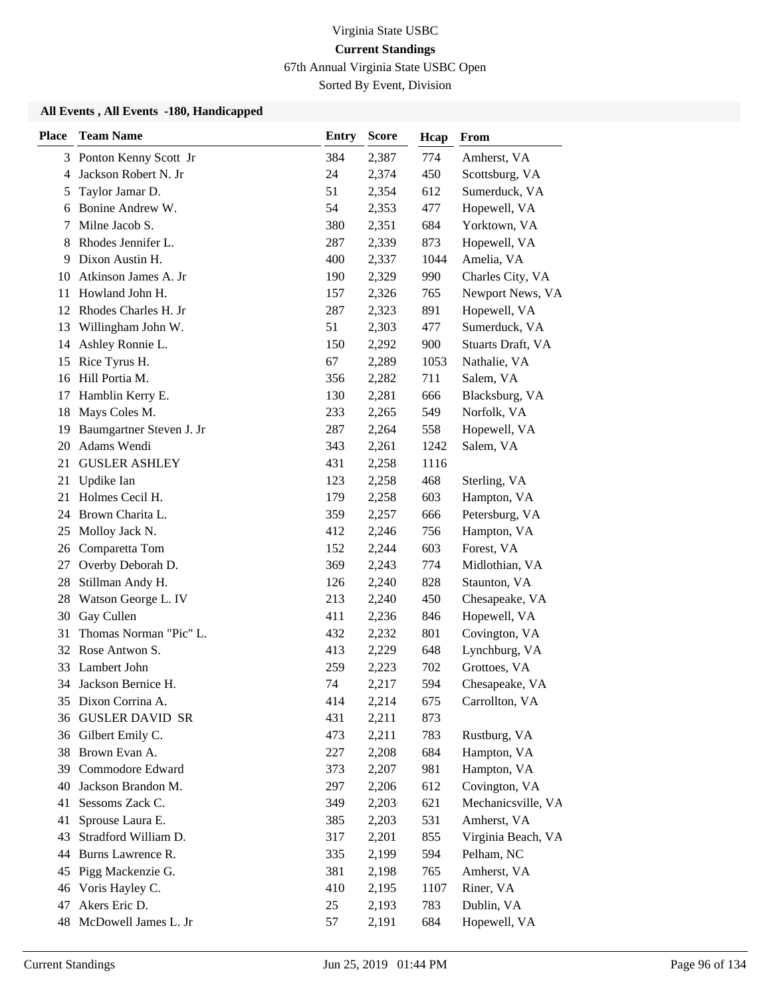67th Annual Virginia State USBC Open

Sorted By Event, Division

| <b>Place</b> | <b>Team Name</b>         | <b>Entry</b> | <b>Score</b> | Hcap | From               |
|--------------|--------------------------|--------------|--------------|------|--------------------|
|              | 3 Ponton Kenny Scott Jr  | 384          | 2,387        | 774  | Amherst, VA        |
| 4            | Jackson Robert N. Jr     | 24           | 2,374        | 450  | Scottsburg, VA     |
| 5            | Taylor Jamar D.          | 51           | 2,354        | 612  | Sumerduck, VA      |
| 6            | Bonine Andrew W.         | 54           | 2,353        | 477  | Hopewell, VA       |
| 7            | Milne Jacob S.           | 380          | 2,351        | 684  | Yorktown, VA       |
| 8            | Rhodes Jennifer L.       | 287          | 2,339        | 873  | Hopewell, VA       |
| 9            | Dixon Austin H.          | 400          | 2,337        | 1044 | Amelia, VA         |
| 10           | Atkinson James A. Jr     | 190          | 2,329        | 990  | Charles City, VA   |
| 11           | Howland John H.          | 157          | 2,326        | 765  | Newport News, VA   |
| 12           | Rhodes Charles H. Jr     | 287          | 2,323        | 891  | Hopewell, VA       |
| 13           | Willingham John W.       | 51           | 2,303        | 477  | Sumerduck, VA      |
| 14           | Ashley Ronnie L.         | 150          | 2,292        | 900  | Stuarts Draft, VA  |
| 15           | Rice Tyrus H.            | 67           | 2,289        | 1053 | Nathalie, VA       |
| 16           | Hill Portia M.           | 356          | 2,282        | 711  | Salem, VA          |
| 17           | Hamblin Kerry E.         | 130          | 2,281        | 666  | Blacksburg, VA     |
| 18           | Mays Coles M.            | 233          | 2,265        | 549  | Norfolk, VA        |
| 19           | Baumgartner Steven J. Jr | 287          | 2,264        | 558  | Hopewell, VA       |
| 20           | Adams Wendi              | 343          | 2,261        | 1242 | Salem, VA          |
| 21           | <b>GUSLER ASHLEY</b>     | 431          | 2,258        | 1116 |                    |
| 21           | Updike Ian               | 123          | 2,258        | 468  | Sterling, VA       |
| 21           | Holmes Cecil H.          | 179          | 2,258        | 603  | Hampton, VA        |
| 24           | Brown Charita L.         | 359          | 2,257        | 666  | Petersburg, VA     |
| 25           | Molloy Jack N.           | 412          | 2,246        | 756  | Hampton, VA        |
| 26           | Comparetta Tom           | 152          | 2,244        | 603  | Forest, VA         |
| 27           | Overby Deborah D.        | 369          | 2,243        | 774  | Midlothian, VA     |
| 28           | Stillman Andy H.         | 126          | 2,240        | 828  | Staunton, VA       |
| 28           | Watson George L. IV      | 213          | 2,240        | 450  | Chesapeake, VA     |
| 30           | Gay Cullen               | 411          | 2,236        | 846  | Hopewell, VA       |
| 31           | Thomas Norman "Pic" L.   | 432          | 2,232        | 801  | Covington, VA      |
| 32           | Rose Antwon S.           | 413          | 2,229        | 648  | Lynchburg, VA      |
| 33           | Lambert John             | 259          | 2,223        | 702  | Grottoes, VA       |
|              | 34 Jackson Bernice H.    | 74           | 2,217        | 594  | Chesapeake, VA     |
| 35           | Dixon Corrina A.         | 414          | 2,214        | 675  | Carrollton, VA     |
| 36           | <b>GUSLER DAVID SR</b>   | 431          | 2,211        | 873  |                    |
| 36           | Gilbert Emily C.         | 473          | 2,211        | 783  | Rustburg, VA       |
| 38           | Brown Evan A.            | 227          | 2,208        | 684  | Hampton, VA        |
| 39           | Commodore Edward         | 373          | 2,207        | 981  | Hampton, VA        |
| 40           | Jackson Brandon M.       | 297          | 2,206        | 612  | Covington, VA      |
| 41           | Sessoms Zack C.          | 349          | 2,203        | 621  | Mechanicsville, VA |
| 41           | Sprouse Laura E.         | 385          | 2,203        | 531  | Amherst, VA        |
| 43           | Stradford William D.     | 317          | 2,201        | 855  | Virginia Beach, VA |
| 44           | Burns Lawrence R.        | 335          | 2,199        | 594  | Pelham, NC         |
| 45           | Pigg Mackenzie G.        | 381          | 2,198        | 765  | Amherst, VA        |
| 46           | Voris Hayley C.          | 410          | 2,195        | 1107 | Riner, VA          |
| 47           | Akers Eric D.            | 25           | 2,193        | 783  | Dublin, VA         |
| 48           | McDowell James L. Jr     | 57           | 2,191        | 684  | Hopewell, VA       |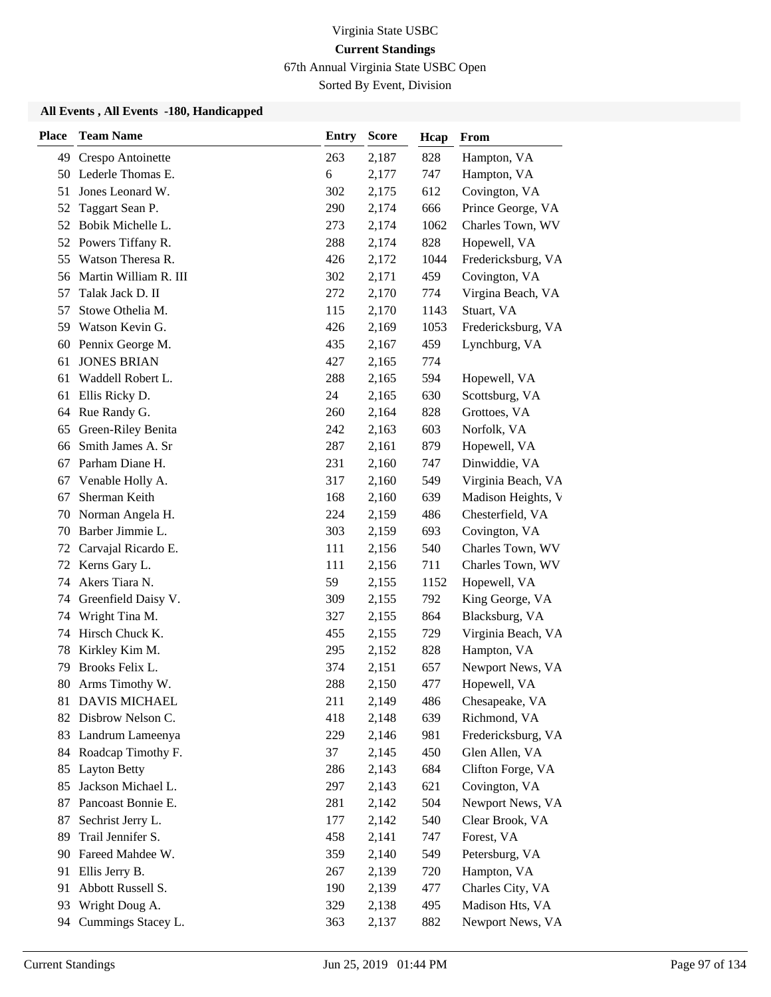67th Annual Virginia State USBC Open

Sorted By Event, Division

| <b>Place</b> | <b>Team Name</b>      | <b>Entry</b> | <b>Score</b> | Hcap | From               |
|--------------|-----------------------|--------------|--------------|------|--------------------|
| 49           | Crespo Antoinette     | 263          | 2,187        | 828  | Hampton, VA        |
|              | 50 Lederle Thomas E.  | 6            | 2,177        | 747  | Hampton, VA        |
| 51           | Jones Leonard W.      | 302          | 2,175        | 612  | Covington, VA      |
| 52           | Taggart Sean P.       | 290          | 2,174        | 666  | Prince George, VA  |
| 52           | Bobik Michelle L.     | 273          | 2,174        | 1062 | Charles Town, WV   |
| 52           | Powers Tiffany R.     | 288          | 2,174        | 828  | Hopewell, VA       |
| 55           | Watson Theresa R.     | 426          | 2,172        | 1044 | Fredericksburg, VA |
| 56           | Martin William R. III | 302          | 2,171        | 459  | Covington, VA      |
| 57           | Talak Jack D. II      | 272          | 2,170        | 774  | Virgina Beach, VA  |
| 57           | Stowe Othelia M.      | 115          | 2,170        | 1143 | Stuart, VA         |
| 59           | Watson Kevin G.       | 426          | 2,169        | 1053 | Fredericksburg, VA |
| 60           | Pennix George M.      | 435          | 2,167        | 459  | Lynchburg, VA      |
| 61           | <b>JONES BRIAN</b>    | 427          | 2,165        | 774  |                    |
| 61           | Waddell Robert L.     | 288          | 2,165        | 594  | Hopewell, VA       |
| 61           | Ellis Ricky D.        | 24           | 2,165        | 630  | Scottsburg, VA     |
| 64           | Rue Randy G.          | 260          | 2,164        | 828  | Grottoes, VA       |
| 65           | Green-Riley Benita    | 242          | 2,163        | 603  | Norfolk, VA        |
| 66           | Smith James A. Sr     | 287          | 2,161        | 879  | Hopewell, VA       |
| 67           | Parham Diane H.       | 231          | 2,160        | 747  | Dinwiddie, VA      |
| 67           | Venable Holly A.      | 317          | 2,160        | 549  | Virginia Beach, VA |
| 67           | Sherman Keith         | 168          | 2,160        | 639  | Madison Heights, V |
| 70           | Norman Angela H.      | 224          | 2,159        | 486  | Chesterfield, VA   |
| 70           | Barber Jimmie L.      | 303          | 2,159        | 693  | Covington, VA      |
| 72           | Carvajal Ricardo E.   | 111          | 2,156        | 540  | Charles Town, WV   |
| 72           | Kerns Gary L.         | 111          | 2,156        | 711  | Charles Town, WV   |
| 74           | Akers Tiara N.        | 59           | 2,155        | 1152 | Hopewell, VA       |
| 74           | Greenfield Daisy V.   | 309          | 2,155        | 792  | King George, VA    |
| 74           | Wright Tina M.        | 327          | 2,155        | 864  | Blacksburg, VA     |
| 74           | Hirsch Chuck K.       | 455          | 2,155        | 729  | Virginia Beach, VA |
| 78           | Kirkley Kim M.        | 295          | 2,152        | 828  | Hampton, VA        |
| 79           | Brooks Felix L.       | 374          | 2,151        | 657  | Newport News, VA   |
| 80           | Arms Timothy W.       | 288          | 2,150        | 477  | Hopewell, VA       |
| 81           | <b>DAVIS MICHAEL</b>  | 211          | 2,149        | 486  | Chesapeake, VA     |
| 82           | Disbrow Nelson C.     | 418          | 2,148        | 639  | Richmond, VA       |
| 83           | Landrum Lameenya      | 229          | 2,146        | 981  | Fredericksburg, VA |
|              | 84 Roadcap Timothy F. | 37           | 2,145        | 450  | Glen Allen, VA     |
| 85           | <b>Layton Betty</b>   | 286          | 2,143        | 684  | Clifton Forge, VA  |
| 85           | Jackson Michael L.    | 297          | 2,143        | 621  | Covington, VA      |
| 87           | Pancoast Bonnie E.    | 281          | 2,142        | 504  | Newport News, VA   |
| 87           | Sechrist Jerry L.     | 177          | 2,142        | 540  | Clear Brook, VA    |
| 89           | Trail Jennifer S.     | 458          | 2,141        | 747  | Forest, VA         |
| 90           | Fareed Mahdee W.      | 359          | 2,140        | 549  | Petersburg, VA     |
| 91           | Ellis Jerry B.        | 267          | 2,139        | 720  | Hampton, VA        |
| 91           | Abbott Russell S.     | 190          | 2,139        | 477  | Charles City, VA   |
| 93           | Wright Doug A.        | 329          | 2,138        | 495  | Madison Hts, VA    |
| 94           | Cummings Stacey L.    | 363          | 2,137        | 882  | Newport News, VA   |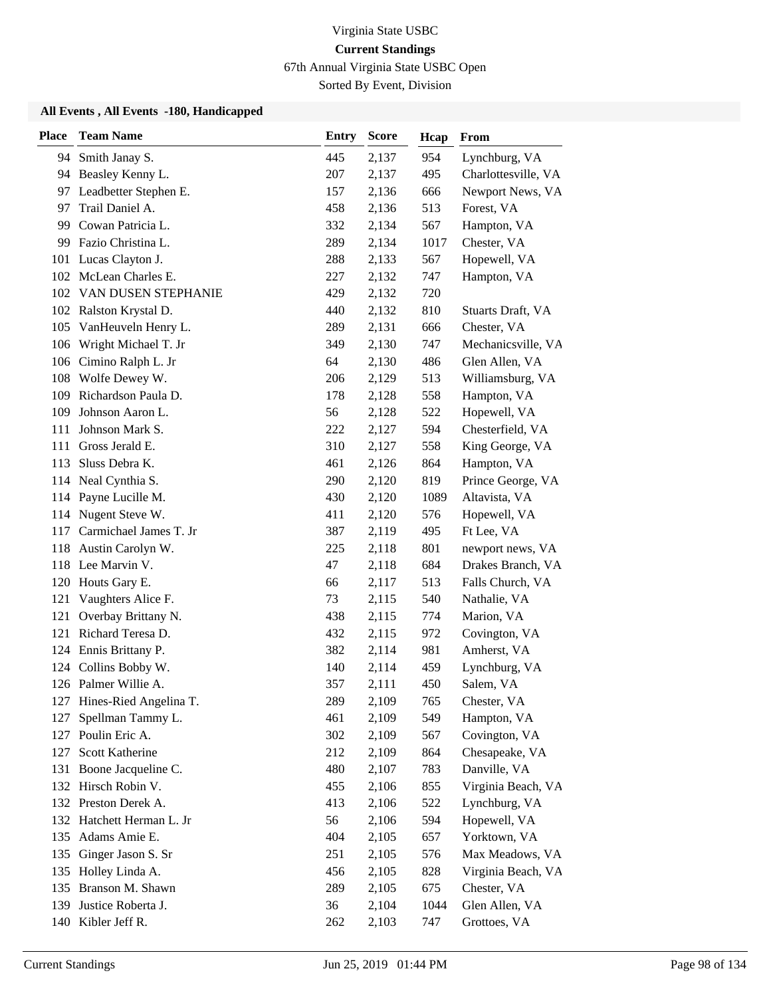67th Annual Virginia State USBC Open

Sorted By Event, Division

| <b>Place</b> | <b>Team Name</b>          | <b>Entry</b> | <b>Score</b> | Hcap | From                |
|--------------|---------------------------|--------------|--------------|------|---------------------|
|              | 94 Smith Janay S.         | 445          | 2,137        | 954  | Lynchburg, VA       |
|              | 94 Beasley Kenny L.       | 207          | 2,137        | 495  | Charlottesville, VA |
|              | 97 Leadbetter Stephen E.  | 157          | 2,136        | 666  | Newport News, VA    |
| 97           | Trail Daniel A.           | 458          | 2,136        | 513  | Forest, VA          |
| 99           | Cowan Patricia L.         | 332          | 2,134        | 567  | Hampton, VA         |
| 99           | Fazio Christina L.        | 289          | 2,134        | 1017 | Chester, VA         |
|              | 101 Lucas Clayton J.      | 288          | 2,133        | 567  | Hopewell, VA        |
|              | 102 McLean Charles E.     | 227          | 2,132        | 747  | Hampton, VA         |
|              | 102 VAN DUSEN STEPHANIE   | 429          | 2,132        | 720  |                     |
|              | 102 Ralston Krystal D.    | 440          | 2,132        | 810  | Stuarts Draft, VA   |
| 105          | VanHeuveln Henry L.       | 289          | 2,131        | 666  | Chester, VA         |
| 106          | Wright Michael T. Jr      | 349          | 2,130        | 747  | Mechanicsville, VA  |
| 106          | Cimino Ralph L. Jr        | 64           | 2,130        | 486  | Glen Allen, VA      |
|              | 108 Wolfe Dewey W.        | 206          | 2,129        | 513  | Williamsburg, VA    |
| 109          | Richardson Paula D.       | 178          | 2,128        | 558  | Hampton, VA         |
| 109          | Johnson Aaron L.          | 56           | 2,128        | 522  | Hopewell, VA        |
| 111          | Johnson Mark S.           | 222          | 2,127        | 594  | Chesterfield, VA    |
| 111          | Gross Jerald E.           | 310          | 2,127        | 558  | King George, VA     |
| 113          | Sluss Debra K.            | 461          | 2,126        | 864  | Hampton, VA         |
|              | 114 Neal Cynthia S.       | 290          | 2,120        | 819  | Prince George, VA   |
|              | 114 Payne Lucille M.      | 430          | 2,120        | 1089 | Altavista, VA       |
|              | 114 Nugent Steve W.       | 411          | 2,120        | 576  | Hopewell, VA        |
| 117          | Carmichael James T. Jr    | 387          | 2,119        | 495  | Ft Lee, VA          |
| 118          | Austin Carolyn W.         | 225          | 2,118        | 801  | newport news, VA    |
|              | 118 Lee Marvin V.         | 47           | 2,118        | 684  | Drakes Branch, VA   |
|              | 120 Houts Gary E.         | 66           | 2,117        | 513  | Falls Church, VA    |
| 121          | Vaughters Alice F.        | 73           | 2,115        | 540  | Nathalie, VA        |
|              | 121 Overbay Brittany N.   | 438          | 2,115        | 774  | Marion, VA          |
| 121          | Richard Teresa D.         | 432          | 2,115        | 972  | Covington, VA       |
|              | 124 Ennis Brittany P.     | 382          | 2,114        | 981  | Amherst, VA         |
| 124          | Collins Bobby W.          | 140          | 2,114        | 459  | Lynchburg, VA       |
|              | 126 Palmer Willie A.      | 357          | 2,111        | 450  | Salem, VA           |
| 127          | Hines-Ried Angelina T.    | 289          | 2,109        | 765  | Chester, VA         |
| 127          | Spellman Tammy L.         | 461          | 2,109        | 549  | Hampton, VA         |
| 127          | Poulin Eric A.            | 302          | 2,109        | 567  | Covington, VA       |
| 127          | Scott Katherine           | 212          | 2,109        | 864  | Chesapeake, VA      |
| 131          | Boone Jacqueline C.       | 480          | 2,107        | 783  | Danville, VA        |
|              | 132 Hirsch Robin V.       | 455          | 2,106        | 855  | Virginia Beach, VA  |
|              | 132 Preston Derek A.      | 413          | 2,106        | 522  | Lynchburg, VA       |
|              | 132 Hatchett Herman L. Jr | 56           | 2,106        | 594  | Hopewell, VA        |
| 135          | Adams Amie E.             | 404          | 2,105        | 657  | Yorktown, VA        |
| 135          | Ginger Jason S. Sr        | 251          | 2,105        | 576  | Max Meadows, VA     |
| 135          | Holley Linda A.           | 456          | 2,105        | 828  | Virginia Beach, VA  |
| 135          | Branson M. Shawn          | 289          | 2,105        | 675  | Chester, VA         |
| 139          | Justice Roberta J.        | 36           | 2,104        | 1044 | Glen Allen, VA      |
|              | 140 Kibler Jeff R.        | 262          | 2,103        | 747  | Grottoes, VA        |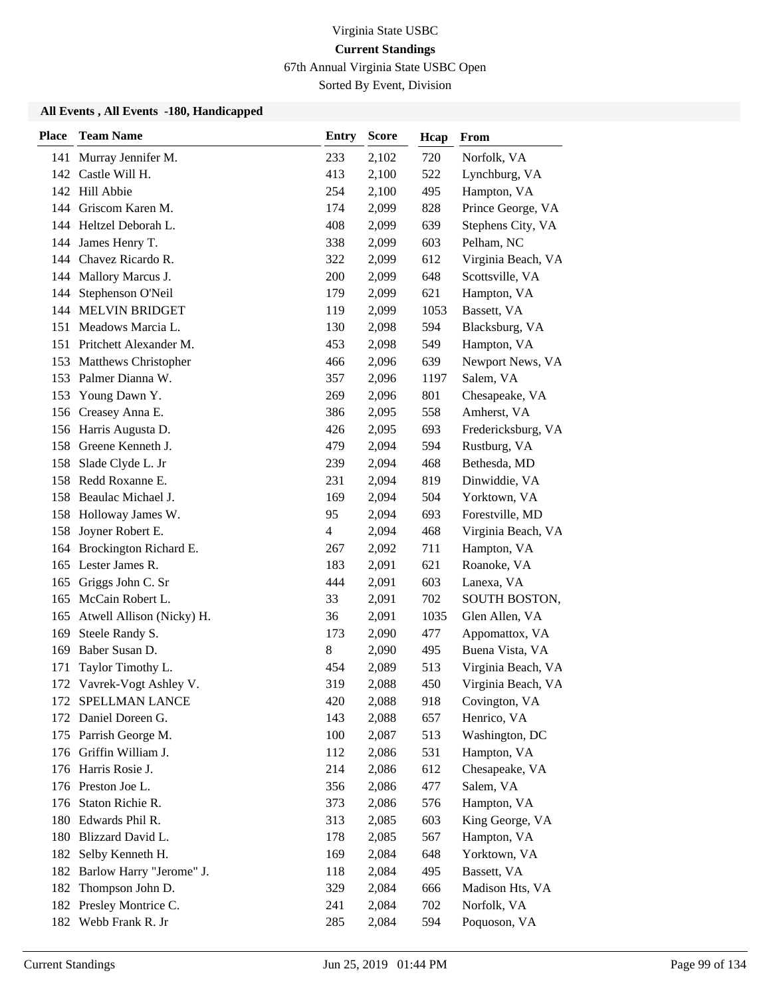67th Annual Virginia State USBC Open

Sorted By Event, Division

| <b>Place</b> | <b>Team Name</b>           | <b>Entry</b>             | <b>Score</b> | Hcap | From               |
|--------------|----------------------------|--------------------------|--------------|------|--------------------|
| 141          | Murray Jennifer M.         | 233                      | 2,102        | 720  | Norfolk, VA        |
| 142          | Castle Will H.             | 413                      | 2,100        | 522  | Lynchburg, VA      |
| 142          | Hill Abbie                 | 254                      | 2,100        | 495  | Hampton, VA        |
|              | 144 Griscom Karen M.       | 174                      | 2,099        | 828  | Prince George, VA  |
| 144          | Heltzel Deborah L.         | 408                      | 2,099        | 639  | Stephens City, VA  |
| 144          | James Henry T.             | 338                      | 2,099        | 603  | Pelham, NC         |
| 144          | Chavez Ricardo R.          | 322                      | 2,099        | 612  | Virginia Beach, VA |
|              | 144 Mallory Marcus J.      | 200                      | 2,099        | 648  | Scottsville, VA    |
| 144          | Stephenson O'Neil          | 179                      | 2,099        | 621  | Hampton, VA        |
| 144          | <b>MELVIN BRIDGET</b>      | 119                      | 2,099        | 1053 | Bassett, VA        |
| 151          | Meadows Marcia L.          | 130                      | 2,098        | 594  | Blacksburg, VA     |
|              | 151 Pritchett Alexander M. | 453                      | 2,098        | 549  | Hampton, VA        |
| 153          | Matthews Christopher       | 466                      | 2,096        | 639  | Newport News, VA   |
|              | 153 Palmer Dianna W.       | 357                      | 2,096        | 1197 | Salem, VA          |
| 153          | Young Dawn Y.              | 269                      | 2,096        | 801  | Chesapeake, VA     |
| 156          | Creasey Anna E.            | 386                      | 2,095        | 558  | Amherst, VA        |
|              | 156 Harris Augusta D.      | 426                      | 2,095        | 693  | Fredericksburg, VA |
| 158          | Greene Kenneth J.          | 479                      | 2,094        | 594  | Rustburg, VA       |
| 158          | Slade Clyde L. Jr          | 239                      | 2,094        | 468  | Bethesda, MD       |
|              | 158 Redd Roxanne E.        | 231                      | 2,094        | 819  | Dinwiddie, VA      |
| 158          | Beaulac Michael J.         | 169                      | 2,094        | 504  | Yorktown, VA       |
|              | 158 Holloway James W.      | 95                       | 2,094        | 693  | Forestville, MD    |
| 158          | Joyner Robert E.           | $\overline{\mathcal{L}}$ | 2,094        | 468  | Virginia Beach, VA |
|              | 164 Brockington Richard E. | 267                      | 2,092        | 711  | Hampton, VA        |
|              | 165 Lester James R.        | 183                      | 2,091        | 621  | Roanoke, VA        |
| 165          | Griggs John C. Sr          | 444                      | 2,091        | 603  | Lanexa, VA         |
| 165          | McCain Robert L.           | 33                       | 2,091        | 702  | SOUTH BOSTON,      |
| 165          | Atwell Allison (Nicky) H.  | 36                       | 2,091        | 1035 | Glen Allen, VA     |
| 169          | Steele Randy S.            | 173                      | 2,090        | 477  | Appomattox, VA     |
| 169          | Baber Susan D.             | 8                        | 2,090        | 495  | Buena Vista, VA    |
| 171          | Taylor Timothy L.          | 454                      | 2,089        | 513  | Virginia Beach, VA |
|              | 172 Vavrek-Vogt Ashley V.  | 319                      | 2,088        | 450  | Virginia Beach, VA |
| 172          | SPELLMAN LANCE             | 420                      | 2,088        | 918  | Covington, VA      |
| 172          | Daniel Doreen G.           | 143                      | 2,088        | 657  | Henrico, VA        |
| 175          | Parrish George M.          | 100                      | 2,087        | 513  | Washington, DC     |
|              | 176 Griffin William J.     | 112                      | 2,086        | 531  | Hampton, VA        |
|              | 176 Harris Rosie J.        | 214                      | 2,086        | 612  | Chesapeake, VA     |
|              | 176 Preston Joe L.         | 356                      | 2,086        | 477  | Salem, VA          |
| 176          | Staton Richie R.           | 373                      | 2,086        | 576  | Hampton, VA        |
|              | 180 Edwards Phil R.        | 313                      | 2,085        | 603  | King George, VA    |
| 180          | Blizzard David L.          | 178                      | 2,085        | 567  | Hampton, VA        |
| 182          | Selby Kenneth H.           | 169                      | 2,084        | 648  | Yorktown, VA       |
| 182          | Barlow Harry "Jerome" J.   | 118                      | 2,084        | 495  | Bassett, VA        |
| 182          | Thompson John D.           | 329                      | 2,084        | 666  | Madison Hts, VA    |
| 182          | Presley Montrice C.        | 241                      | 2,084        | 702  | Norfolk, VA        |
|              | 182 Webb Frank R. Jr       | 285                      | 2,084        | 594  | Poquoson, VA       |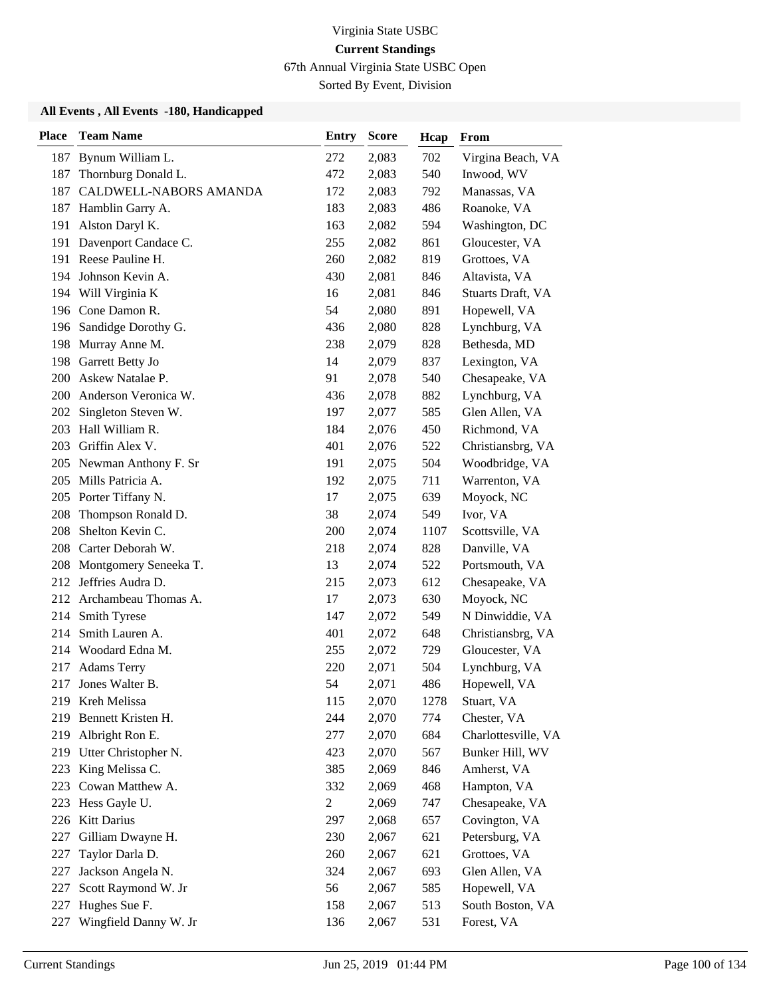67th Annual Virginia State USBC Open

Sorted By Event, Division

| <b>Place</b> | <b>Team Name</b>          | <b>Entry</b>   | <b>Score</b> | Hcap | From                |
|--------------|---------------------------|----------------|--------------|------|---------------------|
|              | 187 Bynum William L.      | 272            | 2,083        | 702  | Virgina Beach, VA   |
| 187          | Thornburg Donald L.       | 472            | 2,083        | 540  | Inwood, WV          |
| 187          | CALDWELL-NABORS AMANDA    | 172            | 2,083        | 792  | Manassas, VA        |
|              | 187 Hamblin Garry A.      | 183            | 2,083        | 486  | Roanoke, VA         |
| 191          | Alston Daryl K.           | 163            | 2,082        | 594  | Washington, DC      |
|              | 191 Davenport Candace C.  | 255            | 2,082        | 861  | Gloucester, VA      |
|              | 191 Reese Pauline H.      | 260            | 2,082        | 819  | Grottoes, VA        |
|              | 194 Johnson Kevin A.      | 430            | 2,081        | 846  | Altavista, VA       |
|              | 194 Will Virginia K       | 16             | 2,081        | 846  | Stuarts Draft, VA   |
|              | 196 Cone Damon R.         | 54             | 2,080        | 891  | Hopewell, VA        |
| 196          | Sandidge Dorothy G.       | 436            | 2,080        | 828  | Lynchburg, VA       |
|              | 198 Murray Anne M.        | 238            | 2,079        | 828  | Bethesda, MD        |
| 198          | Garrett Betty Jo          | 14             | 2,079        | 837  | Lexington, VA       |
| 200          | Askew Natalae P.          | 91             | 2,078        | 540  | Chesapeake, VA      |
| 200          | Anderson Veronica W.      | 436            | 2,078        | 882  | Lynchburg, VA       |
| 202          | Singleton Steven W.       | 197            | 2,077        | 585  | Glen Allen, VA      |
|              | 203 Hall William R.       | 184            | 2,076        | 450  | Richmond, VA        |
| 203          | Griffin Alex V.           | 401            | 2,076        | 522  | Christiansbrg, VA   |
|              | 205 Newman Anthony F. Sr  | 191            | 2,075        | 504  | Woodbridge, VA      |
|              | 205 Mills Patricia A.     | 192            | 2,075        | 711  | Warrenton, VA       |
|              | 205 Porter Tiffany N.     | 17             | 2,075        | 639  | Moyock, NC          |
| 208          | Thompson Ronald D.        | 38             | 2,074        | 549  | Ivor, VA            |
| 208          | Shelton Kevin C.          | 200            | 2,074        | 1107 | Scottsville, VA     |
|              | 208 Carter Deborah W.     | 218            | 2,074        | 828  | Danville, VA        |
|              | 208 Montgomery Seneeka T. | 13             | 2,074        | 522  | Portsmouth, VA      |
|              | 212 Jeffries Audra D.     | 215            | 2,073        | 612  | Chesapeake, VA      |
|              | 212 Archambeau Thomas A.  | 17             | 2,073        | 630  | Moyock, NC          |
| 214          | Smith Tyrese              | 147            | 2,072        | 549  | N Dinwiddie, VA     |
| 214          | Smith Lauren A.           | 401            | 2,072        | 648  | Christiansbrg, VA   |
|              | 214 Woodard Edna M.       | 255            | 2,072        | 729  | Gloucester, VA      |
| 217          | <b>Adams Terry</b>        | 220            | 2,071        | 504  | Lynchburg, VA       |
| 217          | Jones Walter B.           | 54             | 2,071        | 486  | Hopewell, VA        |
|              | 219 Kreh Melissa          | 115            | 2,070        | 1278 | Stuart, VA          |
| 219          | Bennett Kristen H.        | 244            | 2,070        | 774  | Chester, VA         |
| 219          | Albright Ron E.           | 277            | 2,070        | 684  | Charlottesville, VA |
|              | 219 Utter Christopher N.  | 423            | 2,070        | 567  | Bunker Hill, WV     |
| 223          | King Melissa C.           | 385            | 2,069        | 846  | Amherst, VA         |
| 223          | Cowan Matthew A.          | 332            | 2,069        | 468  | Hampton, VA         |
| 223          | Hess Gayle U.             | $\overline{c}$ | 2,069        | 747  | Chesapeake, VA      |
|              | 226 Kitt Darius           | 297            | 2,068        | 657  | Covington, VA       |
| 227          | Gilliam Dwayne H.         | 230            | 2,067        | 621  | Petersburg, VA      |
| 227          | Taylor Darla D.           | 260            | 2,067        | 621  | Grottoes, VA        |
| 227          | Jackson Angela N.         | 324            | 2,067        | 693  | Glen Allen, VA      |
| 227          | Scott Raymond W. Jr       | 56             | 2,067        | 585  | Hopewell, VA        |
| 227          | Hughes Sue F.             | 158            | 2,067        | 513  | South Boston, VA    |
| 227          | Wingfield Danny W. Jr     | 136            | 2,067        | 531  | Forest, VA          |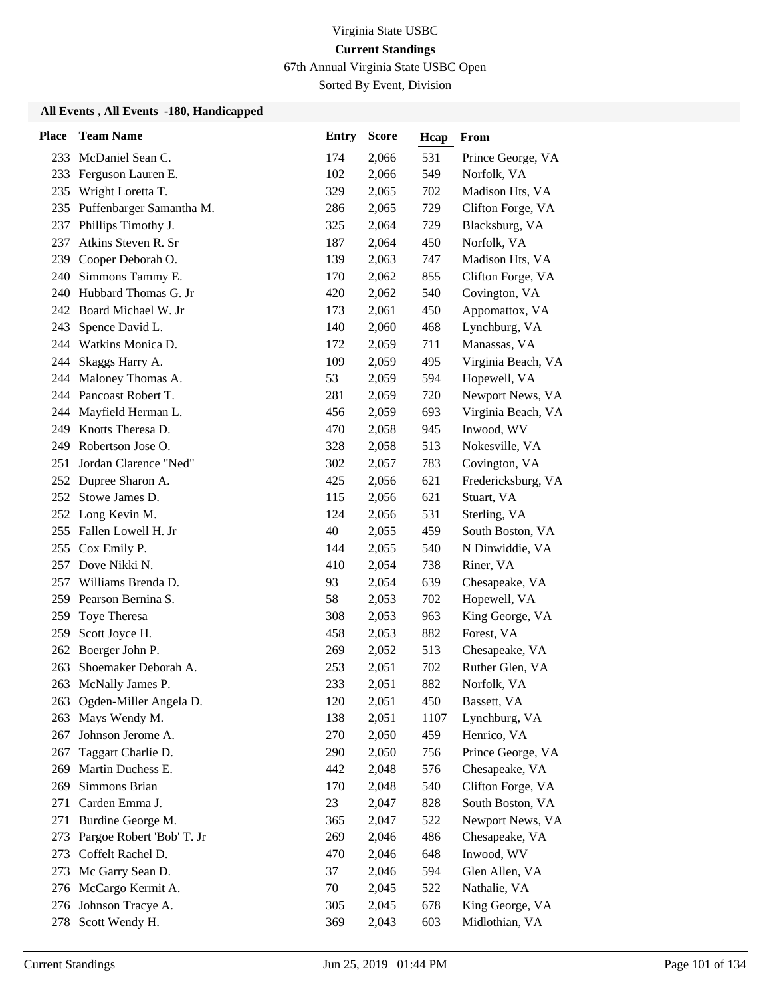67th Annual Virginia State USBC Open

Sorted By Event, Division

| <b>Place</b> | <b>Team Name</b>             | <b>Entry</b> | <b>Score</b> | Hcap | From               |
|--------------|------------------------------|--------------|--------------|------|--------------------|
| 233          | McDaniel Sean C.             | 174          | 2,066        | 531  | Prince George, VA  |
| 233          | Ferguson Lauren E.           | 102          | 2,066        | 549  | Norfolk, VA        |
| 235          | Wright Loretta T.            | 329          | 2,065        | 702  | Madison Hts, VA    |
|              | 235 Puffenbarger Samantha M. | 286          | 2,065        | 729  | Clifton Forge, VA  |
| 237          | Phillips Timothy J.          | 325          | 2,064        | 729  | Blacksburg, VA     |
| 237          | Atkins Steven R. Sr          | 187          | 2,064        | 450  | Norfolk, VA        |
| 239          | Cooper Deborah O.            | 139          | 2,063        | 747  | Madison Hts, VA    |
|              | 240 Simmons Tammy E.         | 170          | 2,062        | 855  | Clifton Forge, VA  |
|              | 240 Hubbard Thomas G. Jr     | 420          | 2,062        | 540  | Covington, VA      |
| 242          | Board Michael W. Jr          | 173          | 2,061        | 450  | Appomattox, VA     |
| 243          | Spence David L.              | 140          | 2,060        | 468  | Lynchburg, VA      |
|              | 244 Watkins Monica D.        | 172          | 2,059        | 711  | Manassas, VA       |
| 244          | Skaggs Harry A.              | 109          | 2,059        | 495  | Virginia Beach, VA |
| 244          | Maloney Thomas A.            | 53           | 2,059        | 594  | Hopewell, VA       |
| 244          | Pancoast Robert T.           | 281          | 2,059        | 720  | Newport News, VA   |
| 244          | Mayfield Herman L.           | 456          | 2,059        | 693  | Virginia Beach, VA |
| 249          | Knotts Theresa D.            | 470          | 2,058        | 945  | Inwood, WV         |
| 249          | Robertson Jose O.            | 328          | 2,058        | 513  | Nokesville, VA     |
| 251          | Jordan Clarence "Ned"        | 302          | 2,057        | 783  | Covington, VA      |
|              | 252 Dupree Sharon A.         | 425          | 2,056        | 621  | Fredericksburg, VA |
| 252          | Stowe James D.               | 115          | 2,056        | 621  | Stuart, VA         |
| 252          | Long Kevin M.                | 124          | 2,056        | 531  | Sterling, VA       |
| 255          | Fallen Lowell H. Jr          | 40           | 2,055        | 459  | South Boston, VA   |
|              | 255 Cox Emily P.             | 144          | 2,055        | 540  | N Dinwiddie, VA    |
| 257          | Dove Nikki N.                | 410          | 2,054        | 738  | Riner, VA          |
| 257          | Williams Brenda D.           | 93           | 2,054        | 639  | Chesapeake, VA     |
| 259          | Pearson Bernina S.           | 58           | 2,053        | 702  | Hopewell, VA       |
| 259          | Toye Theresa                 | 308          | 2,053        | 963  | King George, VA    |
| 259          | Scott Joyce H.               | 458          | 2,053        | 882  | Forest, VA         |
| 262          | Boerger John P.              | 269          | 2,052        | 513  | Chesapeake, VA     |
| 263          | Shoemaker Deborah A.         | 253          | 2,051        | 702  | Ruther Glen, VA    |
|              | 263 McNally James P.         | 233          | 2,051        | 882  | Norfolk, VA        |
| 263          | Ogden-Miller Angela D.       | 120          | 2,051        | 450  | Bassett, VA        |
| 263          | Mays Wendy M.                | 138          | 2,051        | 1107 | Lynchburg, VA      |
| 267          | Johnson Jerome A.            | 270          | 2,050        | 459  | Henrico, VA        |
| 267          | Taggart Charlie D.           | 290          | 2,050        | 756  | Prince George, VA  |
| 269          | Martin Duchess E.            | 442          | 2,048        | 576  | Chesapeake, VA     |
| 269          | Simmons Brian                | 170          | 2,048        | 540  | Clifton Forge, VA  |
| 271          | Carden Emma J.               | 23           | 2,047        | 828  | South Boston, VA   |
| 271          | Burdine George M.            | 365          | 2,047        | 522  | Newport News, VA   |
| 273          | Pargoe Robert 'Bob' T. Jr    | 269          | 2,046        | 486  | Chesapeake, VA     |
| 273          | Coffelt Rachel D.            | 470          | 2,046        | 648  | Inwood, WV         |
| 273          | Mc Garry Sean D.             | 37           | 2,046        | 594  | Glen Allen, VA     |
| 276          | McCargo Kermit A.            | 70           | 2,045        | 522  | Nathalie, VA       |
| 276          | Johnson Tracye A.            | 305          | 2,045        | 678  | King George, VA    |
|              | 278 Scott Wendy H.           | 369          | 2,043        | 603  | Midlothian, VA     |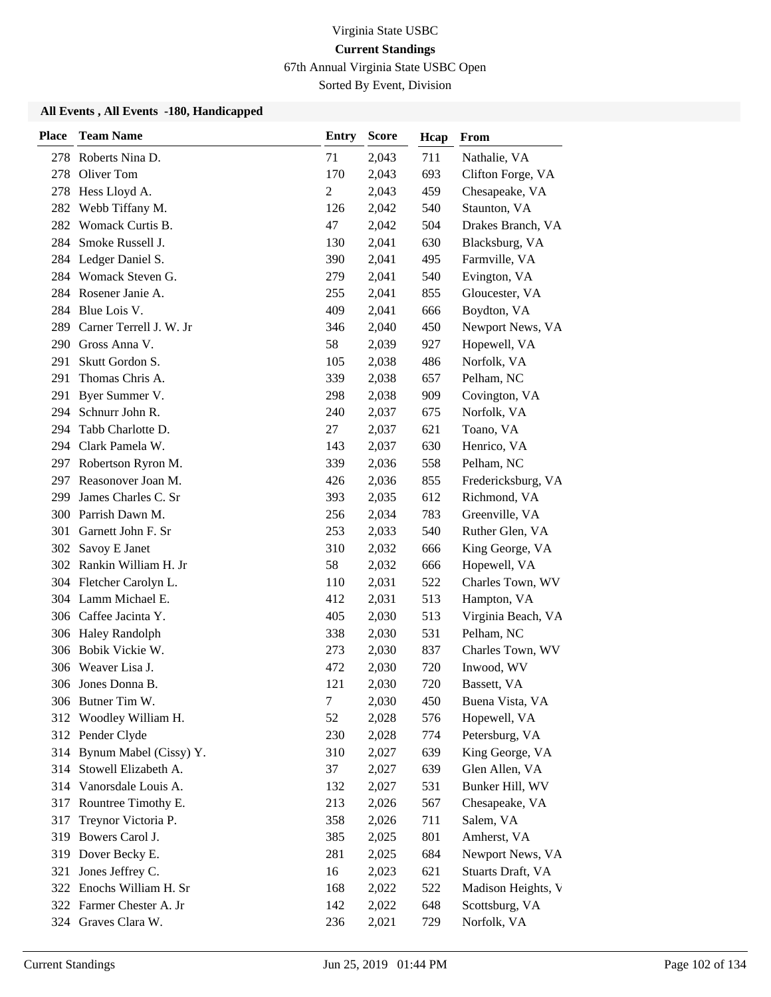67th Annual Virginia State USBC Open

Sorted By Event, Division

| <b>Place</b> | <b>Team Name</b>           | <b>Entry</b>   | <b>Score</b> | Hcap | From               |
|--------------|----------------------------|----------------|--------------|------|--------------------|
|              | 278 Roberts Nina D.        | 71             | 2,043        | 711  | Nathalie, VA       |
| 278          | Oliver Tom                 | 170            | 2,043        | 693  | Clifton Forge, VA  |
|              | 278 Hess Lloyd A.          | $\overline{2}$ | 2,043        | 459  | Chesapeake, VA     |
| 282          | Webb Tiffany M.            | 126            | 2,042        | 540  | Staunton, VA       |
| 282          | Womack Curtis B.           | 47             | 2,042        | 504  | Drakes Branch, VA  |
| 284          | Smoke Russell J.           | 130            | 2,041        | 630  | Blacksburg, VA     |
|              | 284 Ledger Daniel S.       | 390            | 2,041        | 495  | Farmville, VA      |
|              | 284 Womack Steven G.       | 279            | 2,041        | 540  | Evington, VA       |
| 284          | Rosener Janie A.           | 255            | 2,041        | 855  | Gloucester, VA     |
| 284          | Blue Lois V.               | 409            | 2,041        | 666  | Boydton, VA        |
| 289          | Carner Terrell J. W. Jr    | 346            | 2,040        | 450  | Newport News, VA   |
| 290          | Gross Anna V.              | 58             | 2,039        | 927  | Hopewell, VA       |
| 291          | Skutt Gordon S.            | 105            | 2,038        | 486  | Norfolk, VA        |
| 291          | Thomas Chris A.            | 339            | 2,038        | 657  | Pelham, NC         |
| 291          | Byer Summer V.             | 298            | 2,038        | 909  | Covington, VA      |
|              | 294 Schnurr John R.        | 240            | 2,037        | 675  | Norfolk, VA        |
| 294          | Tabb Charlotte D.          | 27             | 2,037        | 621  | Toano, VA          |
| 294          | Clark Pamela W.            | 143            | 2,037        | 630  | Henrico, VA        |
|              | 297 Robertson Ryron M.     | 339            | 2,036        | 558  | Pelham, NC         |
| 297          | Reasonover Joan M.         | 426            | 2,036        | 855  | Fredericksburg, VA |
| 299          | James Charles C. Sr        | 393            | 2,035        | 612  | Richmond, VA       |
| 300          | Parrish Dawn M.            | 256            | 2,034        | 783  | Greenville, VA     |
| 301          | Garnett John F. Sr         | 253            | 2,033        | 540  | Ruther Glen, VA    |
| 302          | Savoy E Janet              | 310            | 2,032        | 666  | King George, VA    |
| 302          | Rankin William H. Jr       | 58             | 2,032        | 666  | Hopewell, VA       |
|              | 304 Fletcher Carolyn L.    | 110            | 2,031        | 522  | Charles Town, WV   |
|              | 304 Lamm Michael E.        | 412            | 2,031        | 513  | Hampton, VA        |
|              | 306 Caffee Jacinta Y.      | 405            | 2,030        | 513  | Virginia Beach, VA |
| 306          | <b>Haley Randolph</b>      | 338            | 2,030        | 531  | Pelham, NC         |
| 306          | Bobik Vickie W.            | 273            | 2,030        | 837  | Charles Town, WV   |
| 306          | Weaver Lisa J.             | 472            | 2,030        | 720  | Inwood, WV         |
|              | 306 Jones Donna B.         | 121            | 2,030        | 720  | Bassett, VA        |
|              | 306 Butner Tim W.          | $\tau$         | 2,030        | 450  | Buena Vista, VA    |
| 312          | Woodley William H.         | 52             | 2,028        | 576  | Hopewell, VA       |
|              | 312 Pender Clyde           | 230            | 2,028        | 774  | Petersburg, VA     |
|              | 314 Bynum Mabel (Cissy) Y. | 310            | 2,027        | 639  | King George, VA    |
|              | 314 Stowell Elizabeth A.   | 37             | 2,027        | 639  | Glen Allen, VA     |
| 314          | Vanorsdale Louis A.        | 132            | 2,027        | 531  | Bunker Hill, WV    |
| 317          | Rountree Timothy E.        | 213            | 2,026        | 567  | Chesapeake, VA     |
| 317          | Treynor Victoria P.        | 358            | 2,026        | 711  | Salem, VA          |
| 319          | Bowers Carol J.            | 385            | 2,025        | 801  | Amherst, VA        |
| 319          | Dover Becky E.             | 281            | 2,025        | 684  | Newport News, VA   |
| 321          | Jones Jeffrey C.           | 16             | 2,023        | 621  | Stuarts Draft, VA  |
|              | 322 Enochs William H. Sr   | 168            | 2,022        | 522  | Madison Heights, V |
|              | 322 Farmer Chester A. Jr   | 142            | 2,022        | 648  | Scottsburg, VA     |
|              | 324 Graves Clara W.        | 236            | 2,021        | 729  | Norfolk, VA        |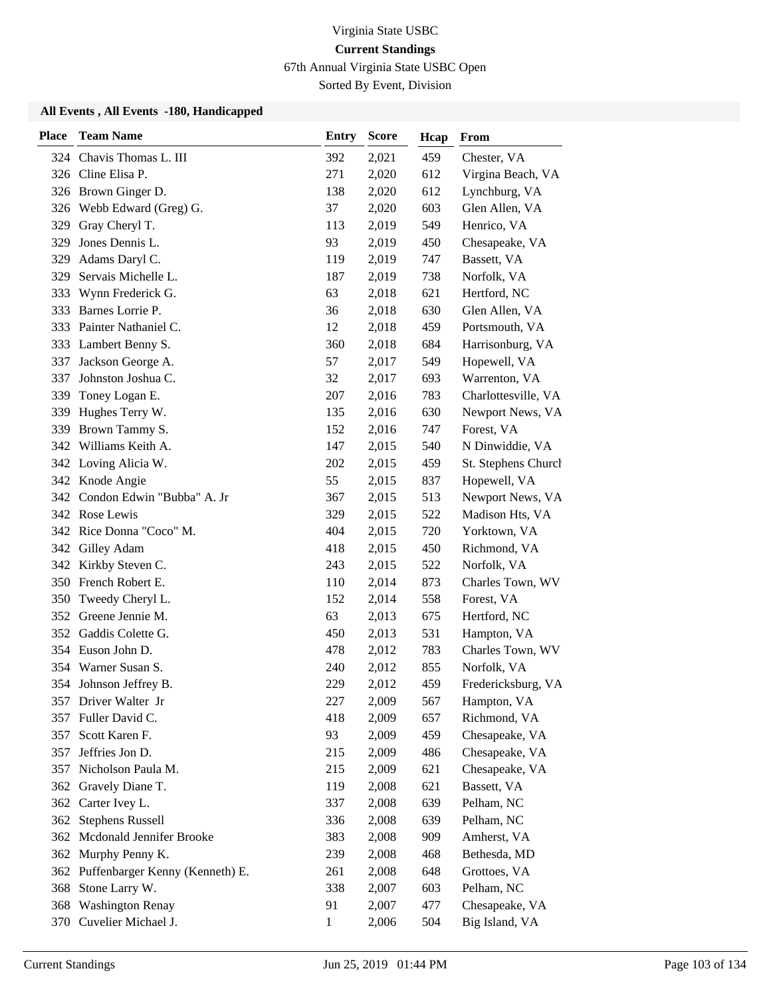67th Annual Virginia State USBC Open

Sorted By Event, Division

| <b>Place</b> | <b>Team Name</b>                    | <b>Entry</b> | <b>Score</b> | Hcap | From                |
|--------------|-------------------------------------|--------------|--------------|------|---------------------|
|              | 324 Chavis Thomas L. III            | 392          | 2,021        | 459  | Chester, VA         |
|              | 326 Cline Elisa P.                  | 271          | 2,020        | 612  | Virgina Beach, VA   |
|              | 326 Brown Ginger D.                 | 138          | 2,020        | 612  | Lynchburg, VA       |
|              | 326 Webb Edward (Greg) G.           | 37           | 2,020        | 603  | Glen Allen, VA      |
| 329          | Gray Cheryl T.                      | 113          | 2,019        | 549  | Henrico, VA         |
| 329          | Jones Dennis L.                     | 93           | 2,019        | 450  | Chesapeake, VA      |
| 329          | Adams Daryl C.                      | 119          | 2,019        | 747  | Bassett, VA         |
| 329          | Servais Michelle L.                 | 187          | 2,019        | 738  | Norfolk, VA         |
|              | 333 Wynn Frederick G.               | 63           | 2,018        | 621  | Hertford, NC        |
| 333          | Barnes Lorrie P.                    | 36           | 2,018        | 630  | Glen Allen, VA      |
|              | 333 Painter Nathaniel C.            | 12           | 2,018        | 459  | Portsmouth, VA      |
|              | 333 Lambert Benny S.                | 360          | 2,018        | 684  | Harrisonburg, VA    |
| 337          | Jackson George A.                   | 57           | 2,017        | 549  | Hopewell, VA        |
| 337          | Johnston Joshua C.                  | 32           | 2,017        | 693  | Warrenton, VA       |
| 339          | Toney Logan E.                      | 207          | 2,016        | 783  | Charlottesville, VA |
| 339          | Hughes Terry W.                     | 135          | 2,016        | 630  | Newport News, VA    |
|              | 339 Brown Tammy S.                  | 152          | 2,016        | 747  | Forest, VA          |
|              | 342 Williams Keith A.               | 147          | 2,015        | 540  | N Dinwiddie, VA     |
|              | 342 Loving Alicia W.                | 202          | 2,015        | 459  | St. Stephens Church |
|              | 342 Knode Angie                     | 55           | 2,015        | 837  | Hopewell, VA        |
|              | 342 Condon Edwin "Bubba" A. Jr      | 367          | 2,015        | 513  | Newport News, VA    |
|              | 342 Rose Lewis                      | 329          | 2,015        | 522  | Madison Hts, VA     |
|              | 342 Rice Donna "Coco" M.            | 404          | 2,015        | 720  | Yorktown, VA        |
|              | 342 Gilley Adam                     | 418          | 2,015        | 450  | Richmond, VA        |
|              | 342 Kirkby Steven C.                | 243          | 2,015        | 522  | Norfolk, VA         |
|              | 350 French Robert E.                | 110          | 2,014        | 873  | Charles Town, WV    |
| 350          | Tweedy Cheryl L.                    | 152          | 2,014        | 558  | Forest, VA          |
|              | 352 Greene Jennie M.                | 63           | 2,013        | 675  | Hertford, NC        |
|              | 352 Gaddis Colette G.               | 450          | 2,013        | 531  | Hampton, VA         |
| 354          | Euson John D.                       | 478          | 2,012        | 783  | Charles Town, WV    |
|              | 354 Warner Susan S.                 | 240          | 2,012        | 855  | Norfolk, VA         |
|              | 354 Johnson Jeffrey B.              | 229          | 2,012        | 459  | Fredericksburg, VA  |
|              | 357 Driver Walter Jr                | 227          | 2,009        | 567  | Hampton, VA         |
| 357          | Fuller David C.                     | 418          | 2,009        | 657  | Richmond, VA        |
| 357          | Scott Karen F.                      | 93           | 2,009        | 459  | Chesapeake, VA      |
| 357          | Jeffries Jon D.                     | 215          | 2,009        | 486  | Chesapeake, VA      |
| 357          | Nicholson Paula M.                  | 215          | 2,009        | 621  | Chesapeake, VA      |
| 362          | Gravely Diane T.                    | 119          | 2,008        | 621  | Bassett, VA         |
|              | 362 Carter Ivey L.                  | 337          | 2,008        | 639  | Pelham, NC          |
|              | 362 Stephens Russell                | 336          | 2,008        | 639  | Pelham, NC          |
|              | 362 Mcdonald Jennifer Brooke        | 383          | 2,008        | 909  | Amherst, VA         |
| 362          | Murphy Penny K.                     | 239          | 2,008        | 468  | Bethesda, MD        |
|              | 362 Puffenbarger Kenny (Kenneth) E. | 261          | 2,008        | 648  | Grottoes, VA        |
|              | 368 Stone Larry W.                  | 338          | 2,007        | 603  | Pelham, NC          |
|              | 368 Washington Renay                | 91           | 2,007        | 477  | Chesapeake, VA      |
|              | 370 Cuvelier Michael J.             | 1            | 2,006        | 504  | Big Island, VA      |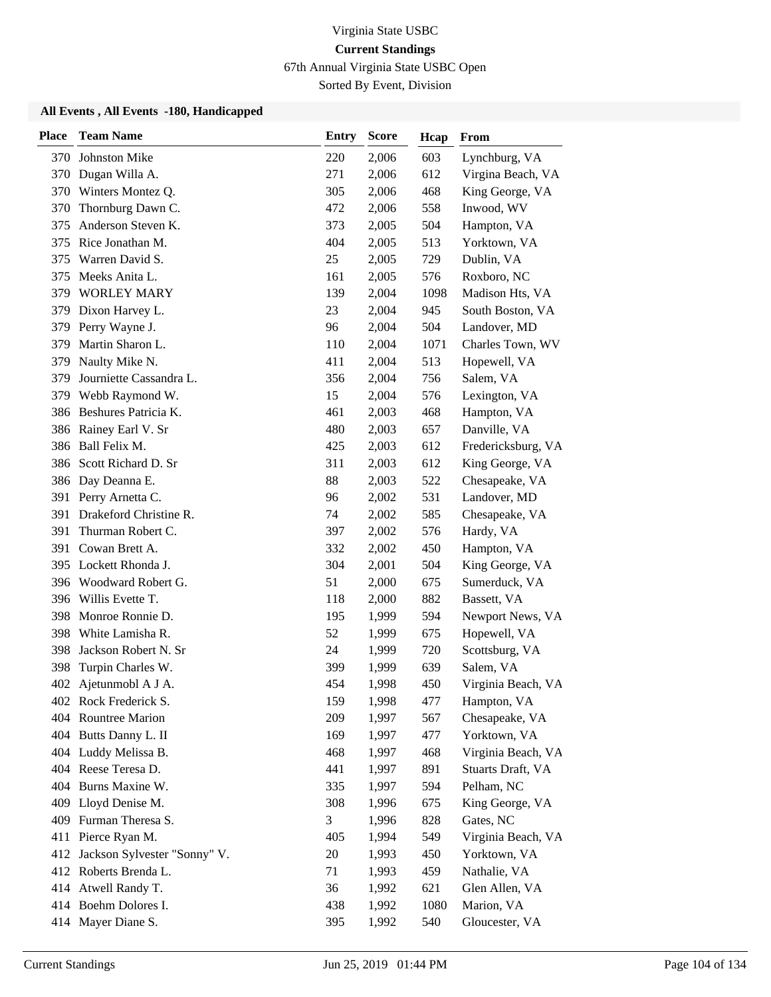67th Annual Virginia State USBC Open

Sorted By Event, Division

| <b>Place</b> | <b>Team Name</b>             | <b>Entry</b> | <b>Score</b> | Hcap | From               |
|--------------|------------------------------|--------------|--------------|------|--------------------|
| 370          | <b>Johnston Mike</b>         | 220          | 2,006        | 603  | Lynchburg, VA      |
| 370          | Dugan Willa A.               | 271          | 2,006        | 612  | Virgina Beach, VA  |
| 370          | Winters Montez Q.            | 305          | 2,006        | 468  | King George, VA    |
| 370          | Thornburg Dawn C.            | 472          | 2,006        | 558  | Inwood, WV         |
| 375          | Anderson Steven K.           | 373          | 2,005        | 504  | Hampton, VA        |
| 375          | Rice Jonathan M.             | 404          | 2,005        | 513  | Yorktown, VA       |
| 375          | Warren David S.              | 25           | 2,005        | 729  | Dublin, VA         |
| 375          | Meeks Anita L.               | 161          | 2,005        | 576  | Roxboro, NC        |
|              | 379 WORLEY MARY              | 139          | 2,004        | 1098 | Madison Hts, VA    |
| 379          | Dixon Harvey L.              | 23           | 2,004        | 945  | South Boston, VA   |
| 379          | Perry Wayne J.               | 96           | 2,004        | 504  | Landover, MD       |
| 379          | Martin Sharon L.             | 110          | 2,004        | 1071 | Charles Town, WV   |
| 379          | Naulty Mike N.               | 411          | 2,004        | 513  | Hopewell, VA       |
| 379          | Journiette Cassandra L.      | 356          | 2,004        | 756  | Salem, VA          |
| 379          | Webb Raymond W.              | 15           | 2,004        | 576  | Lexington, VA      |
|              | 386 Beshures Patricia K.     | 461          | 2,003        | 468  | Hampton, VA        |
| 386          | Rainey Earl V. Sr            | 480          | 2,003        | 657  | Danville, VA       |
|              | 386 Ball Felix M.            | 425          | 2,003        | 612  | Fredericksburg, VA |
| 386          | Scott Richard D. Sr          | 311          | 2,003        | 612  | King George, VA    |
|              | 386 Day Deanna E.            | 88           | 2,003        | 522  | Chesapeake, VA     |
|              | 391 Perry Arnetta C.         | 96           | 2,002        | 531  | Landover, MD       |
| 391          | Drakeford Christine R.       | 74           | 2,002        | 585  | Chesapeake, VA     |
| 391          | Thurman Robert C.            | 397          | 2,002        | 576  | Hardy, VA          |
|              | 391 Cowan Brett A.           | 332          | 2,002        | 450  | Hampton, VA        |
|              | 395 Lockett Rhonda J.        | 304          | 2,001        | 504  | King George, VA    |
|              | 396 Woodward Robert G.       | 51           | 2,000        | 675  | Sumerduck, VA      |
| 396          | Willis Evette T.             | 118          | 2,000        | 882  | Bassett, VA        |
| 398          | Monroe Ronnie D.             | 195          | 1,999        | 594  | Newport News, VA   |
| 398          | White Lamisha R.             | 52           | 1,999        | 675  | Hopewell, VA       |
| 398          | Jackson Robert N. Sr         | 24           | 1,999        | 720  | Scottsburg, VA     |
| 398          | Turpin Charles W.            | 399          | 1,999        | 639  | Salem, VA          |
| 402          | Ajetunmobl A J A.            | 454          | 1,998        | 450  | Virginia Beach, VA |
|              | 402 Rock Frederick S.        | 159          | 1,998        | 477  | Hampton, VA        |
|              | 404 Rountree Marion          | 209          | 1,997        | 567  | Chesapeake, VA     |
|              | 404 Butts Danny L. II        | 169          | 1,997        | 477  | Yorktown, VA       |
|              | 404 Luddy Melissa B.         | 468          | 1,997        | 468  | Virginia Beach, VA |
|              | 404 Reese Teresa D.          | 441          | 1,997        | 891  | Stuarts Draft, VA  |
|              | 404 Burns Maxine W.          | 335          | 1,997        | 594  | Pelham, NC         |
| 409          | Lloyd Denise M.              | 308          | 1,996        | 675  | King George, VA    |
|              | 409 Furman Theresa S.        | 3            | 1,996        | 828  | Gates, NC          |
|              | 411 Pierce Ryan M.           | 405          | 1,994        | 549  | Virginia Beach, VA |
| 412          | Jackson Sylvester "Sonny" V. | 20           | 1,993        | 450  | Yorktown, VA       |
|              | 412 Roberts Brenda L.        | 71           | 1,993        | 459  | Nathalie, VA       |
|              | 414 Atwell Randy T.          | 36           | 1,992        | 621  | Glen Allen, VA     |
|              | 414 Boehm Dolores I.         | 438          | 1,992        | 1080 | Marion, VA         |
| 414          | Mayer Diane S.               | 395          | 1,992        | 540  | Gloucester, VA     |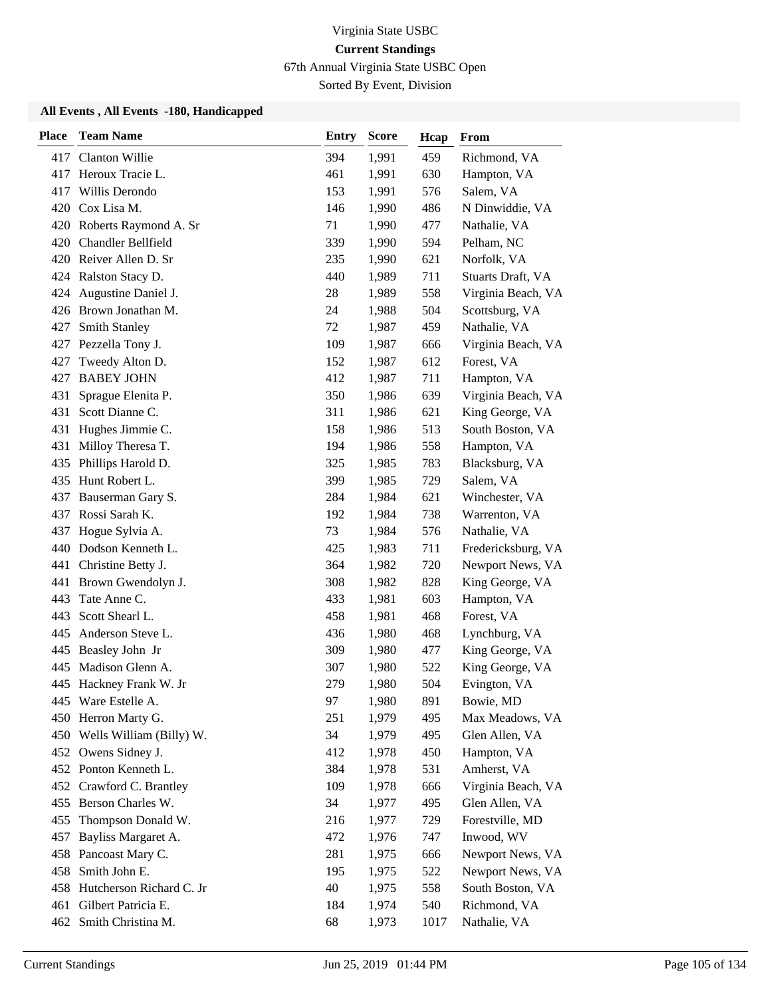67th Annual Virginia State USBC Open

Sorted By Event, Division

| <b>Place</b> | <b>Team Name</b>             | <b>Entry</b> | <b>Score</b> | Hcap | From               |
|--------------|------------------------------|--------------|--------------|------|--------------------|
|              | 417 Clanton Willie           | 394          | 1,991        | 459  | Richmond, VA       |
| 417          | Heroux Tracie L.             | 461          | 1,991        | 630  | Hampton, VA        |
| 417          | Willis Derondo               | 153          | 1,991        | 576  | Salem, VA          |
|              | 420 Cox Lisa M.              | 146          | 1,990        | 486  | N Dinwiddie, VA    |
|              | 420 Roberts Raymond A. Sr    | 71           | 1,990        | 477  | Nathalie, VA       |
| 420          | Chandler Bellfield           | 339          | 1,990        | 594  | Pelham, NC         |
|              | 420 Reiver Allen D. Sr       | 235          | 1,990        | 621  | Norfolk, VA        |
|              | 424 Ralston Stacy D.         | 440          | 1,989        | 711  | Stuarts Draft, VA  |
| 424          | Augustine Daniel J.          | 28           | 1,989        | 558  | Virginia Beach, VA |
|              | 426 Brown Jonathan M.        | 24           | 1,988        | 504  | Scottsburg, VA     |
| 427          | Smith Stanley                | 72           | 1,987        | 459  | Nathalie, VA       |
|              | 427 Pezzella Tony J.         | 109          | 1,987        | 666  | Virginia Beach, VA |
| 427          | Tweedy Alton D.              | 152          | 1,987        | 612  | Forest, VA         |
| 427          | <b>BABEY JOHN</b>            | 412          | 1,987        | 711  | Hampton, VA        |
| 431          | Sprague Elenita P.           | 350          | 1,986        | 639  | Virginia Beach, VA |
| 431          | Scott Dianne C.              | 311          | 1,986        | 621  | King George, VA    |
| 431          | Hughes Jimmie C.             | 158          | 1,986        | 513  | South Boston, VA   |
| 431          | Milloy Theresa T.            | 194          | 1,986        | 558  | Hampton, VA        |
| 435          | Phillips Harold D.           | 325          | 1,985        | 783  | Blacksburg, VA     |
|              | 435 Hunt Robert L.           | 399          | 1,985        | 729  | Salem, VA          |
| 437          | Bauserman Gary S.            | 284          | 1,984        | 621  | Winchester, VA     |
| 437          | Rossi Sarah K.               | 192          | 1,984        | 738  | Warrenton, VA      |
| 437          | Hogue Sylvia A.              | 73           | 1,984        | 576  | Nathalie, VA       |
|              | 440 Dodson Kenneth L.        | 425          | 1,983        | 711  | Fredericksburg, VA |
|              | 441 Christine Betty J.       | 364          | 1,982        | 720  | Newport News, VA   |
|              | 441 Brown Gwendolyn J.       | 308          | 1,982        | 828  | King George, VA    |
| 443          | Tate Anne C.                 | 433          | 1,981        | 603  | Hampton, VA        |
| 443          | Scott Shearl L.              | 458          | 1,981        | 468  | Forest, VA         |
| 445          | Anderson Steve L.            | 436          | 1,980        | 468  | Lynchburg, VA      |
| 445          | Beasley John Jr              | 309          | 1,980        | 477  | King George, VA    |
| 445          | Madison Glenn A.             | 307          | 1,980        | 522  | King George, VA    |
|              | 445 Hackney Frank W. Jr      | 279          | 1,980        | 504  | Evington, VA       |
|              | 445 Ware Estelle A.          | 97           | 1,980        | 891  | Bowie, MD          |
|              | 450 Herron Marty G.          | 251          | 1,979        | 495  | Max Meadows, VA    |
|              | 450 Wells William (Billy) W. | 34           | 1,979        | 495  | Glen Allen, VA     |
|              | 452 Owens Sidney J.          | 412          | 1,978        | 450  | Hampton, VA        |
|              | 452 Ponton Kenneth L.        | 384          | 1,978        | 531  | Amherst, VA        |
| 452          | Crawford C. Brantley         | 109          | 1,978        | 666  | Virginia Beach, VA |
|              | 455 Berson Charles W.        | 34           | 1,977        | 495  | Glen Allen, VA     |
| 455          | Thompson Donald W.           | 216          | 1,977        | 729  | Forestville, MD    |
| 457          | Bayliss Margaret A.          | 472          | 1,976        | 747  | Inwood, WV         |
| 458          | Pancoast Mary C.             | 281          | 1,975        | 666  | Newport News, VA   |
| 458          | Smith John E.                | 195          | 1,975        | 522  | Newport News, VA   |
|              | 458 Hutcherson Richard C. Jr | 40           | 1,975        | 558  | South Boston, VA   |
| 461          | Gilbert Patricia E.          | 184          | 1,974        | 540  | Richmond, VA       |
|              | 462 Smith Christina M.       | 68           | 1,973        | 1017 | Nathalie, VA       |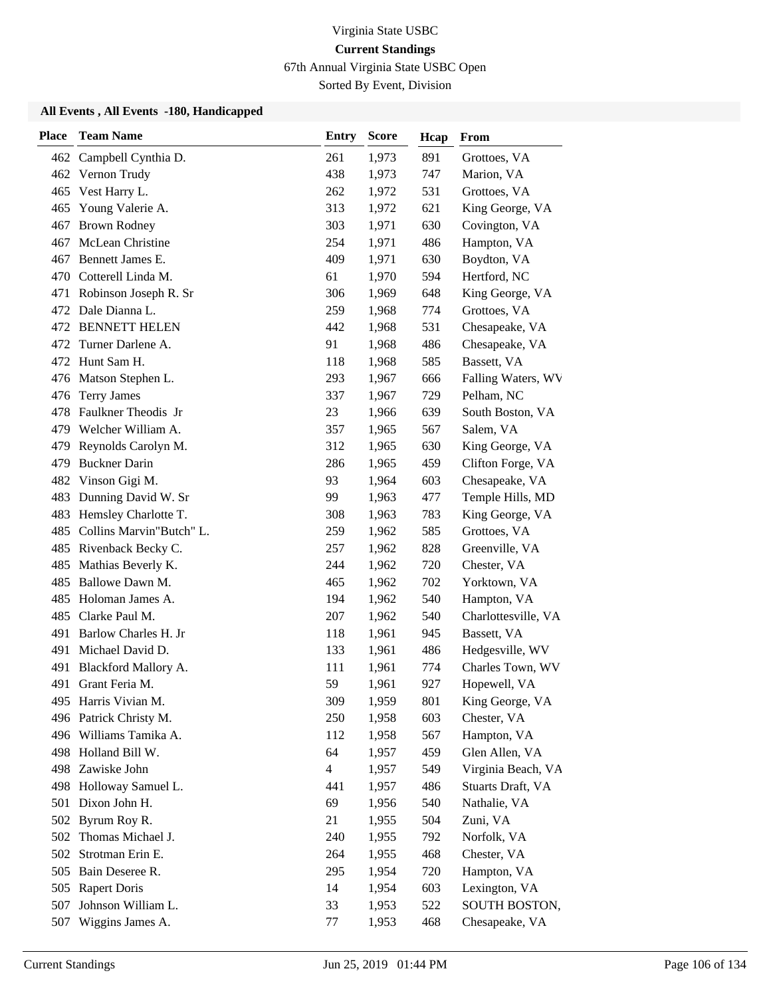67th Annual Virginia State USBC Open

Sorted By Event, Division

| <b>Place</b> | <b>Team Name</b>         | <b>Entry</b>   | <b>Score</b> | Hcap | From                |
|--------------|--------------------------|----------------|--------------|------|---------------------|
|              | 462 Campbell Cynthia D.  | 261            | 1,973        | 891  | Grottoes, VA        |
|              | 462 Vernon Trudy         | 438            | 1,973        | 747  | Marion, VA          |
|              | 465 Vest Harry L.        | 262            | 1,972        | 531  | Grottoes, VA        |
| 465          | Young Valerie A.         | 313            | 1,972        | 621  | King George, VA     |
| 467          | <b>Brown Rodney</b>      | 303            | 1,971        | 630  | Covington, VA       |
| 467          | McLean Christine         | 254            | 1,971        | 486  | Hampton, VA         |
| 467          | Bennett James E.         | 409            | 1,971        | 630  | Boydton, VA         |
| 470          | Cotterell Linda M.       | 61             | 1,970        | 594  | Hertford, NC        |
| 471          | Robinson Joseph R. Sr    | 306            | 1,969        | 648  | King George, VA     |
| 472          | Dale Dianna L.           | 259            | 1,968        | 774  | Grottoes, VA        |
| 472          | <b>BENNETT HELEN</b>     | 442            | 1,968        | 531  | Chesapeake, VA      |
| 472          | Turner Darlene A.        | 91             | 1,968        | 486  | Chesapeake, VA      |
| 472          | Hunt Sam H.              | 118            | 1,968        | 585  | Bassett, VA         |
| 476          | Matson Stephen L.        | 293            | 1,967        | 666  | Falling Waters, WV  |
| 476          | <b>Terry James</b>       | 337            | 1,967        | 729  | Pelham, NC          |
| 478          | Faulkner Theodis Jr      | 23             | 1,966        | 639  | South Boston, VA    |
|              | 479 Welcher William A.   | 357            | 1,965        | 567  | Salem, VA           |
| 479.         | Reynolds Carolyn M.      | 312            | 1,965        | 630  | King George, VA     |
| 479          | <b>Buckner Darin</b>     | 286            | 1,965        | 459  | Clifton Forge, VA   |
| 482          | Vinson Gigi M.           | 93             | 1,964        | 603  | Chesapeake, VA      |
| 483          | Dunning David W. Sr      | 99             | 1,963        | 477  | Temple Hills, MD    |
| 483          | Hemsley Charlotte T.     | 308            | 1,963        | 783  | King George, VA     |
| 485          | Collins Marvin"Butch" L. | 259            | 1,962        | 585  | Grottoes, VA        |
|              | 485 Rivenback Becky C.   | 257            | 1,962        | 828  | Greenville, VA      |
| 485          | Mathias Beverly K.       | 244            | 1,962        | 720  | Chester, VA         |
| 485          | Ballowe Dawn M.          | 465            | 1,962        | 702  | Yorktown, VA        |
| 485          | Holoman James A.         | 194            | 1,962        | 540  | Hampton, VA         |
| 485          | Clarke Paul M.           | 207            | 1,962        | 540  | Charlottesville, VA |
| 491          | Barlow Charles H. Jr     | 118            | 1,961        | 945  | Bassett, VA         |
| 491          | Michael David D.         | 133            | 1,961        | 486  | Hedgesville, WV     |
| 491          | Blackford Mallory A.     | 111            | 1,961        | 774  | Charles Town, WV    |
| 491          | Grant Feria M.           | 59             | 1,961        | 927  | Hopewell, VA        |
|              | 495 Harris Vivian M.     | 309            | 1,959        | 801  | King George, VA     |
| 496          | Patrick Christy M.       | 250            | 1,958        | 603  | Chester, VA         |
| 496          | Williams Tamika A.       | 112            | 1,958        | 567  | Hampton, VA         |
| 498          | Holland Bill W.          | 64             | 1,957        | 459  | Glen Allen, VA      |
| 498          | Zawiske John             | $\overline{4}$ | 1,957        | 549  | Virginia Beach, VA  |
| 498          | Holloway Samuel L.       | 441            | 1,957        | 486  | Stuarts Draft, VA   |
| 501          | Dixon John H.            | 69             | 1,956        | 540  | Nathalie, VA        |
|              | 502 Byrum Roy R.         | 21             | 1,955        | 504  | Zuni, VA            |
| 502          | Thomas Michael J.        | 240            | 1,955        | 792  | Norfolk, VA         |
| 502          | Strotman Erin E.         | 264            | 1,955        | 468  | Chester, VA         |
| 505          | Bain Deseree R.          | 295            | 1,954        | 720  | Hampton, VA         |
| 505          | <b>Rapert Doris</b>      | 14             | 1,954        | 603  | Lexington, VA       |
| 507          | Johnson William L.       | 33             | 1,953        | 522  | SOUTH BOSTON,       |
| 507          | Wiggins James A.         | 77             | 1,953        | 468  | Chesapeake, VA      |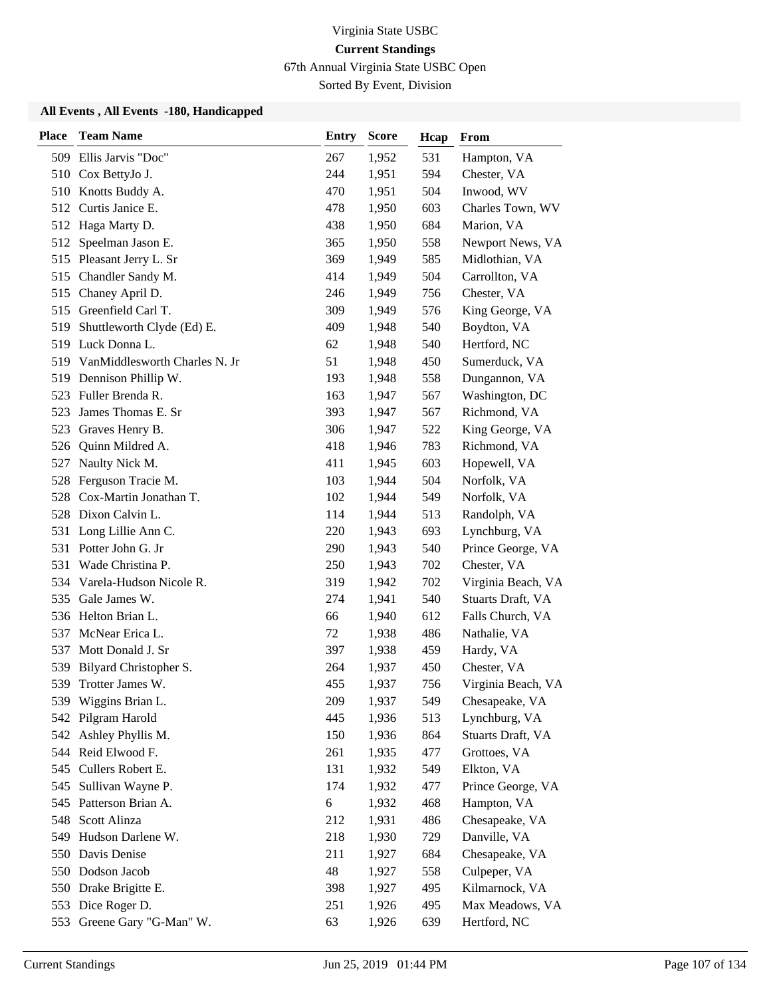67th Annual Virginia State USBC Open

Sorted By Event, Division

| <b>Place</b> | <b>Team Name</b>                  | Entry | Score | Hcap | From               |
|--------------|-----------------------------------|-------|-------|------|--------------------|
|              | 509 Ellis Jarvis "Doc"            | 267   | 1,952 | 531  | Hampton, VA        |
|              | 510 Cox BettyJo J.                | 244   | 1,951 | 594  | Chester, VA        |
|              | 510 Knotts Buddy A.               | 470   | 1,951 | 504  | Inwood, WV         |
|              | 512 Curtis Janice E.              | 478   | 1,950 | 603  | Charles Town, WV   |
| 512          | Haga Marty D.                     | 438   | 1,950 | 684  | Marion, VA         |
| 512          | Speelman Jason E.                 | 365   | 1,950 | 558  | Newport News, VA   |
|              | 515 Pleasant Jerry L. Sr          | 369   | 1,949 | 585  | Midlothian, VA     |
|              | 515 Chandler Sandy M.             | 414   | 1,949 | 504  | Carrollton, VA     |
|              | 515 Chaney April D.               | 246   | 1,949 | 756  | Chester, VA        |
| 515          | Greenfield Carl T.                | 309   | 1,949 | 576  | King George, VA    |
| 519          | Shuttleworth Clyde (Ed) E.        | 409   | 1,948 | 540  | Boydton, VA        |
|              | 519 Luck Donna L.                 | 62    | 1,948 | 540  | Hertford, NC       |
|              | 519 VanMiddlesworth Charles N. Jr | 51    | 1,948 | 450  | Sumerduck, VA      |
| 519          | Dennison Phillip W.               | 193   | 1,948 | 558  | Dungannon, VA      |
| 523          | Fuller Brenda R.                  | 163   | 1,947 | 567  | Washington, DC     |
| 523          | James Thomas E. Sr                | 393   | 1,947 | 567  | Richmond, VA       |
| 523          | Graves Henry B.                   | 306   | 1,947 | 522  | King George, VA    |
| 526          | Quinn Mildred A.                  | 418   | 1,946 | 783  | Richmond, VA       |
| 527          | Naulty Nick M.                    | 411   | 1,945 | 603  | Hopewell, VA       |
|              | 528 Ferguson Tracie M.            | 103   | 1,944 | 504  | Norfolk, VA        |
| 528          | Cox-Martin Jonathan T.            | 102   | 1,944 | 549  | Norfolk, VA        |
|              | 528 Dixon Calvin L.               | 114   | 1,944 | 513  | Randolph, VA       |
| 531          | Long Lillie Ann C.                | 220   | 1,943 | 693  | Lynchburg, VA      |
|              | 531 Potter John G. Jr             | 290   | 1,943 | 540  | Prince George, VA  |
| 531          | Wade Christina P.                 | 250   | 1,943 | 702  | Chester, VA        |
| 534          | Varela-Hudson Nicole R.           | 319   | 1,942 | 702  | Virginia Beach, VA |
| 535          | Gale James W.                     | 274   | 1,941 | 540  | Stuarts Draft, VA  |
|              | 536 Helton Brian L.               | 66    | 1,940 | 612  | Falls Church, VA   |
| 537          | McNear Erica L.                   | 72    | 1,938 | 486  | Nathalie, VA       |
| 537          | Mott Donald J. Sr                 | 397   | 1,938 | 459  | Hardy, VA          |
| 539          | Bilyard Christopher S.            | 264   | 1,937 | 450  | Chester, VA        |
| 539          | Trotter James W.                  | 455   | 1,937 | 756  | Virginia Beach, VA |
|              | 539 Wiggins Brian L.              | 209   | 1,937 | 549  | Chesapeake, VA     |
| 542          | Pilgram Harold                    | 445   | 1,936 | 513  | Lynchburg, VA      |
| 542          | Ashley Phyllis M.                 | 150   | 1,936 | 864  | Stuarts Draft, VA  |
|              | 544 Reid Elwood F.                | 261   | 1,935 | 477  | Grottoes, VA       |
|              | 545 Cullers Robert E.             | 131   | 1,932 | 549  | Elkton, VA         |
| 545          | Sullivan Wayne P.                 | 174   | 1,932 | 477  | Prince George, VA  |
| 545          | Patterson Brian A.                | 6     | 1,932 | 468  | Hampton, VA        |
|              | 548 Scott Alinza                  | 212   | 1,931 | 486  | Chesapeake, VA     |
| 549          | Hudson Darlene W.                 | 218   | 1,930 | 729  | Danville, VA       |
|              | 550 Davis Denise                  | 211   | 1,927 | 684  | Chesapeake, VA     |
|              | 550 Dodson Jacob                  | 48    | 1,927 | 558  | Culpeper, VA       |
|              | 550 Drake Brigitte E.             | 398   | 1,927 | 495  | Kilmarnock, VA     |
|              | 553 Dice Roger D.                 | 251   | 1,926 | 495  | Max Meadows, VA    |
|              | 553 Greene Gary "G-Man" W.        | 63    | 1,926 | 639  | Hertford, NC       |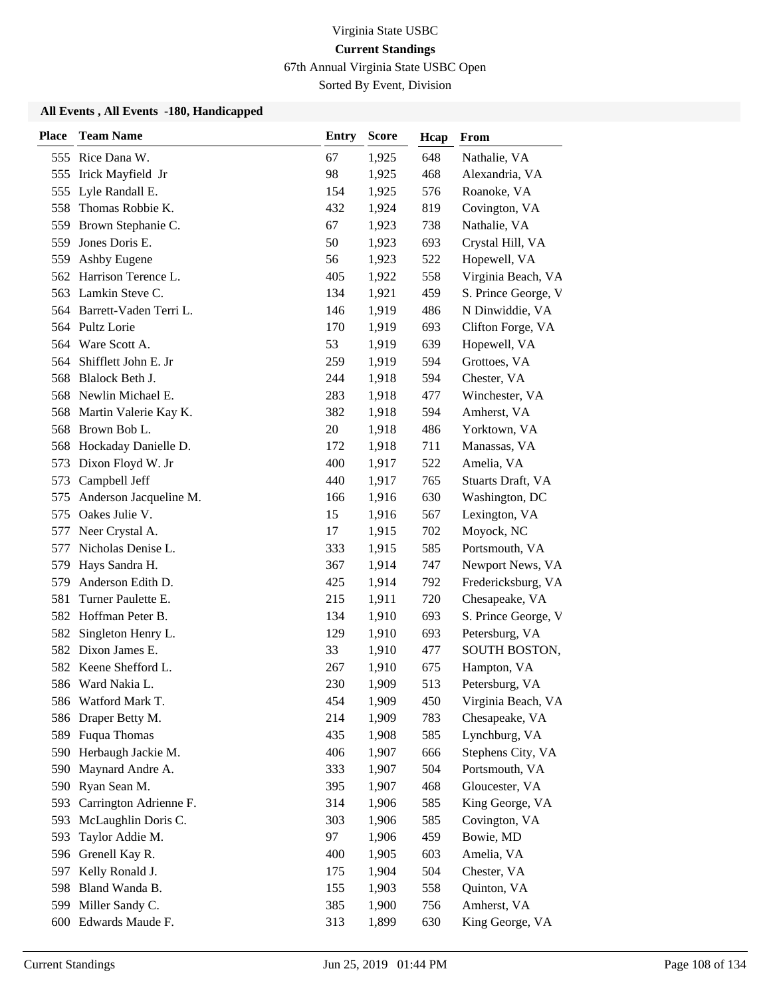67th Annual Virginia State USBC Open

Sorted By Event, Division

| <b>Place</b> | <b>Team Name</b>           | <b>Entry</b> | <b>Score</b> | Hcap | From                |
|--------------|----------------------------|--------------|--------------|------|---------------------|
|              | 555 Rice Dana W.           | 67           | 1,925        | 648  | Nathalie, VA        |
| 555          | Irick Mayfield Jr          | 98           | 1,925        | 468  | Alexandria, VA      |
|              | 555 Lyle Randall E.        | 154          | 1,925        | 576  | Roanoke, VA         |
| 558          | Thomas Robbie K.           | 432          | 1,924        | 819  | Covington, VA       |
| 559          | Brown Stephanie C.         | 67           | 1,923        | 738  | Nathalie, VA        |
| 559          | Jones Doris E.             | 50           | 1,923        | 693  | Crystal Hill, VA    |
| 559          | Ashby Eugene               | 56           | 1,923        | 522  | Hopewell, VA        |
| 562          | Harrison Terence L.        | 405          | 1,922        | 558  | Virginia Beach, VA  |
| 563          | Lamkin Steve C.            | 134          | 1,921        | 459  | S. Prince George, V |
|              | 564 Barrett-Vaden Terri L. | 146          | 1,919        | 486  | N Dinwiddie, VA     |
|              | 564 Pultz Lorie            | 170          | 1,919        | 693  | Clifton Forge, VA   |
|              | 564 Ware Scott A.          | 53           | 1,919        | 639  | Hopewell, VA        |
| 564          | Shifflett John E. Jr       | 259          | 1,919        | 594  | Grottoes, VA        |
| 568          | Blalock Beth J.            | 244          | 1,918        | 594  | Chester, VA         |
| 568          | Newlin Michael E.          | 283          | 1,918        | 477  | Winchester, VA      |
|              | 568 Martin Valerie Kay K.  | 382          | 1,918        | 594  | Amherst, VA         |
| 568          | Brown Bob L.               | 20           | 1,918        | 486  | Yorktown, VA        |
| 568          | Hockaday Danielle D.       | 172          | 1,918        | 711  | Manassas, VA        |
| 573          | Dixon Floyd W. Jr          | 400          | 1,917        | 522  | Amelia, VA          |
| 573          | Campbell Jeff              | 440          | 1,917        | 765  | Stuarts Draft, VA   |
| 575          | Anderson Jacqueline M.     | 166          | 1,916        | 630  | Washington, DC      |
| 575          | Oakes Julie V.             | 15           | 1,916        | 567  | Lexington, VA       |
| 577          | Neer Crystal A.            | 17           | 1,915        | 702  | Moyock, NC          |
| 577          | Nicholas Denise L.         | 333          | 1,915        | 585  | Portsmouth, VA      |
| 579          | Hays Sandra H.             | 367          | 1,914        | 747  | Newport News, VA    |
| 579          | Anderson Edith D.          | 425          | 1,914        | 792  | Fredericksburg, VA  |
| 581          | Turner Paulette E.         | 215          | 1,911        | 720  | Chesapeake, VA      |
| 582          | Hoffman Peter B.           | 134          | 1,910        | 693  | S. Prince George, V |
| 582          | Singleton Henry L.         | 129          | 1,910        | 693  | Petersburg, VA      |
| 582          | Dixon James E.             | 33           | 1,910        | 477  | SOUTH BOSTON,       |
| 582          | Keene Shefford L.          | 267          | 1,910        | 675  | Hampton, VA         |
|              | 586 Ward Nakia L.          | 230          | 1,909        | 513  | Petersburg, VA      |
|              | 586 Watford Mark T.        | 454          | 1,909        | 450  | Virginia Beach, VA  |
| 586          | Draper Betty M.            | 214          | 1,909        | 783  | Chesapeake, VA      |
| 589          | Fuqua Thomas               | 435          | 1,908        | 585  | Lynchburg, VA       |
| 590          | Herbaugh Jackie M.         | 406          | 1,907        | 666  | Stephens City, VA   |
| 590          | Maynard Andre A.           | 333          | 1,907        | 504  | Portsmouth, VA      |
| 590          | Ryan Sean M.               | 395          | 1,907        | 468  | Gloucester, VA      |
| 593          | Carrington Adrienne F.     | 314          | 1,906        | 585  | King George, VA     |
| 593          | McLaughlin Doris C.        | 303          | 1,906        | 585  | Covington, VA       |
| 593          | Taylor Addie M.            | 97           | 1,906        | 459  | Bowie, MD           |
| 596          | Grenell Kay R.             | 400          | 1,905        | 603  | Amelia, VA          |
| 597          | Kelly Ronald J.            | 175          | 1,904        | 504  | Chester, VA         |
| 598          | Bland Wanda B.             | 155          | 1,903        | 558  | Quinton, VA         |
| 599          | Miller Sandy C.            | 385          | 1,900        | 756  | Amherst, VA         |
|              | 600 Edwards Maude F.       | 313          | 1,899        | 630  | King George, VA     |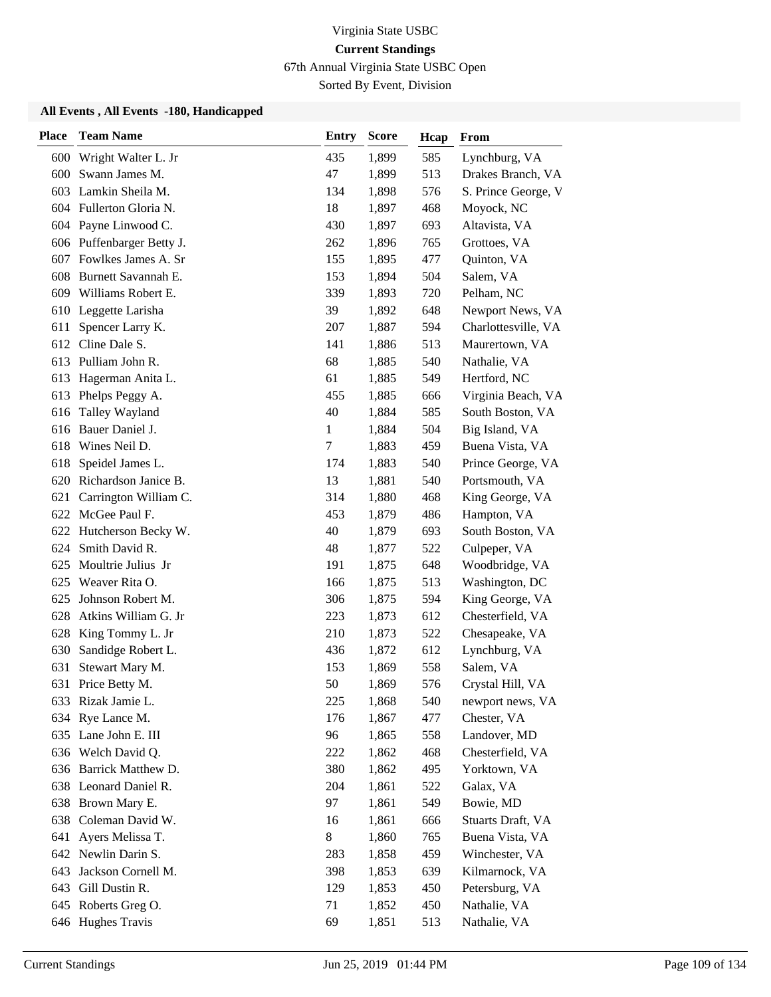67th Annual Virginia State USBC Open

Sorted By Event, Division

| <b>Place</b> | <b>Team Name</b>          | <b>Entry</b> | <b>Score</b> | Hcap | From                |
|--------------|---------------------------|--------------|--------------|------|---------------------|
| 600          | Wright Walter L. Jr       | 435          | 1,899        | 585  | Lynchburg, VA       |
| 600          | Swann James M.            | 47           | 1,899        | 513  | Drakes Branch, VA   |
| 603          | Lamkin Sheila M.          | 134          | 1,898        | 576  | S. Prince George, V |
|              | 604 Fullerton Gloria N.   | 18           | 1,897        | 468  | Moyock, NC          |
|              | 604 Payne Linwood C.      | 430          | 1,897        | 693  | Altavista, VA       |
|              | 606 Puffenbarger Betty J. | 262          | 1,896        | 765  | Grottoes, VA        |
|              | 607 Fowlkes James A. Sr   | 155          | 1,895        | 477  | Quinton, VA         |
| 608          | Burnett Savannah E.       | 153          | 1,894        | 504  | Salem, VA           |
| 609          | Williams Robert E.        | 339          | 1,893        | 720  | Pelham, NC          |
| 610          | Leggette Larisha          | 39           | 1,892        | 648  | Newport News, VA    |
| 611          | Spencer Larry K.          | 207          | 1,887        | 594  | Charlottesville, VA |
| 612          | Cline Dale S.             | 141          | 1,886        | 513  | Maurertown, VA      |
| 613          | Pulliam John R.           | 68           | 1,885        | 540  | Nathalie, VA        |
| 613          | Hagerman Anita L.         | 61           | 1,885        | 549  | Hertford, NC        |
| 613          | Phelps Peggy A.           | 455          | 1,885        | 666  | Virginia Beach, VA  |
| 616          | Talley Wayland            | 40           | 1,884        | 585  | South Boston, VA    |
| 616          | Bauer Daniel J.           | 1            | 1,884        | 504  | Big Island, VA      |
| 618          | Wines Neil D.             | 7            | 1,883        | 459  | Buena Vista, VA     |
| 618          | Speidel James L.          | 174          | 1,883        | 540  | Prince George, VA   |
|              | 620 Richardson Janice B.  | 13           | 1,881        | 540  | Portsmouth, VA      |
| 621          | Carrington William C.     | 314          | 1,880        | 468  | King George, VA     |
|              | 622 McGee Paul F.         | 453          | 1,879        | 486  | Hampton, VA         |
|              | 622 Hutcherson Becky W.   | 40           | 1,879        | 693  | South Boston, VA    |
| 624          | Smith David R.            | 48           | 1,877        | 522  | Culpeper, VA        |
| 625          | Moultrie Julius Jr        | 191          | 1,875        | 648  | Woodbridge, VA      |
| 625          | Weaver Rita O.            | 166          | 1,875        | 513  | Washington, DC      |
| 625          | Johnson Robert M.         | 306          | 1,875        | 594  | King George, VA     |
| 628          | Atkins William G. Jr      | 223          | 1,873        | 612  | Chesterfield, VA    |
| 628          | King Tommy L. Jr          | 210          | 1,873        | 522  | Chesapeake, VA      |
| 630          | Sandidge Robert L.        | 436          | 1,872        | 612  | Lynchburg, VA       |
| 631          | Stewart Mary M.           | 153          | 1,869        | 558  | Salem, VA           |
| 631          | Price Betty M.            | 50           | 1,869        | 576  | Crystal Hill, VA    |
|              | 633 Rizak Jamie L.        | 225          | 1,868        | 540  | newport news, VA    |
| 634          | Rye Lance M.              | 176          | 1,867        | 477  | Chester, VA         |
|              | 635 Lane John E. III      | 96           | 1,865        | 558  | Landover, MD        |
|              | 636 Welch David Q.        | 222          | 1,862        | 468  | Chesterfield, VA    |
|              | 636 Barrick Matthew D.    | 380          | 1,862        | 495  | Yorktown, VA        |
| 638          | Leonard Daniel R.         | 204          | 1,861        | 522  | Galax, VA           |
| 638          | Brown Mary E.             | 97           | 1,861        | 549  | Bowie, MD           |
| 638          | Coleman David W.          | 16           | 1,861        | 666  | Stuarts Draft, VA   |
| 641          | Ayers Melissa T.          | 8            | 1,860        | 765  | Buena Vista, VA     |
|              | 642 Newlin Darin S.       | 283          | 1,858        | 459  | Winchester, VA      |
| 643          | Jackson Cornell M.        | 398          | 1,853        | 639  | Kilmarnock, VA      |
| 643          | Gill Dustin R.            | 129          | 1,853        | 450  | Petersburg, VA      |
|              | 645 Roberts Greg O.       | 71           | 1,852        | 450  | Nathalie, VA        |
|              | 646 Hughes Travis         | 69           | 1,851        | 513  | Nathalie, VA        |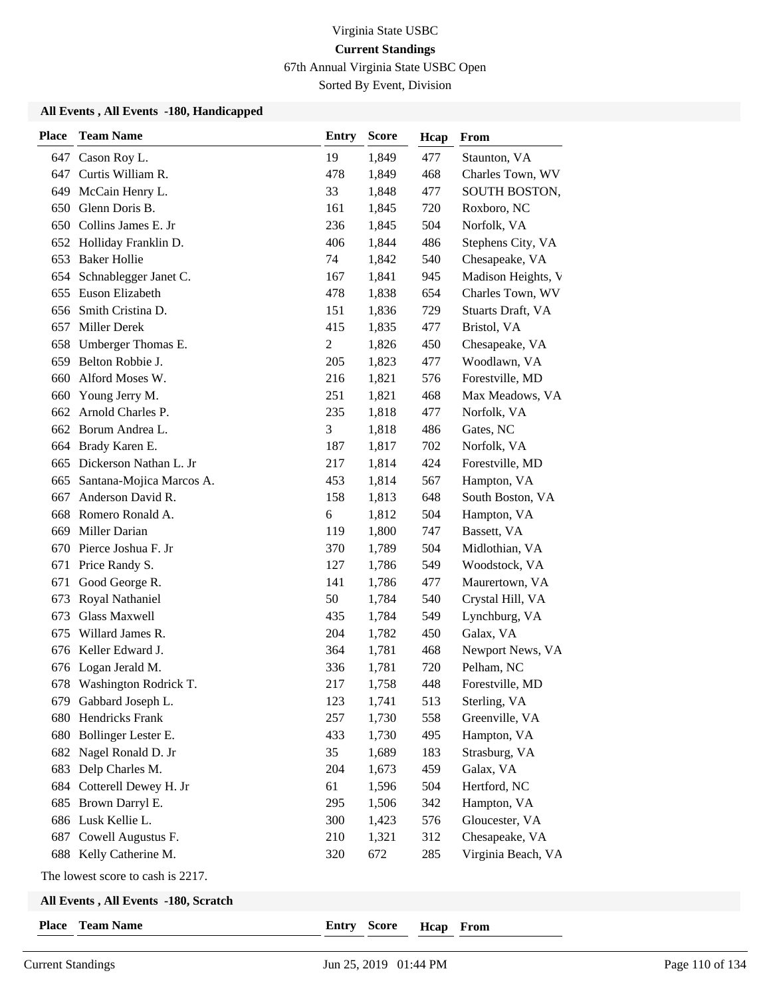67th Annual Virginia State USBC Open

Sorted By Event, Division

#### **All Events , All Events -180, Handicapped**

| <b>Place</b> | <b>Team Name</b>                  | <b>Entry</b> | <b>Score</b> | Hcap | From               |
|--------------|-----------------------------------|--------------|--------------|------|--------------------|
| 647          | Cason Roy L.                      | 19           | 1,849        | 477  | Staunton, VA       |
| 647          | Curtis William R.                 | 478          | 1,849        | 468  | Charles Town, WV   |
| 649          | McCain Henry L.                   | 33           | 1,848        | 477  | SOUTH BOSTON,      |
| 650          | Glenn Doris B.                    | 161          | 1,845        | 720  | Roxboro, NC        |
| 650          | Collins James E. Jr               | 236          | 1,845        | 504  | Norfolk, VA        |
|              | 652 Holliday Franklin D.          | 406          | 1,844        | 486  | Stephens City, VA  |
| 653          | <b>Baker Hollie</b>               | 74           | 1,842        | 540  | Chesapeake, VA     |
| 654          | Schnablegger Janet C.             | 167          | 1,841        | 945  | Madison Heights, V |
| 655          | Euson Elizabeth                   | 478          | 1,838        | 654  | Charles Town, WV   |
| 656          | Smith Cristina D.                 | 151          | 1,836        | 729  | Stuarts Draft, VA  |
| 657          | Miller Derek                      | 415          | 1,835        | 477  | Bristol, VA        |
| 658          | Umberger Thomas E.                | 2            | 1,826        | 450  | Chesapeake, VA     |
| 659          | Belton Robbie J.                  | 205          | 1,823        | 477  | Woodlawn, VA       |
| 660          | Alford Moses W.                   | 216          | 1,821        | 576  | Forestville, MD    |
| 660          | Young Jerry M.                    | 251          | 1,821        | 468  | Max Meadows, VA    |
| 662          | Arnold Charles P.                 | 235          | 1,818        | 477  | Norfolk, VA        |
| 662          | Borum Andrea L.                   | 3            | 1,818        | 486  | Gates, NC          |
| 664          | Brady Karen E.                    | 187          | 1,817        | 702  | Norfolk, VA        |
| 665          | Dickerson Nathan L. Jr            | 217          | 1,814        | 424  | Forestville, MD    |
| 665          | Santana-Mojica Marcos A.          | 453          | 1,814        | 567  | Hampton, VA        |
| 667          | Anderson David R.                 | 158          | 1,813        | 648  | South Boston, VA   |
| 668          | Romero Ronald A.                  | 6            | 1,812        | 504  | Hampton, VA        |
| 669          | Miller Darian                     | 119          | 1,800        | 747  | Bassett, VA        |
| 670          | Pierce Joshua F. Jr               | 370          | 1,789        | 504  | Midlothian, VA     |
| 671          | Price Randy S.                    | 127          | 1,786        | 549  | Woodstock, VA      |
| 671          | Good George R.                    | 141          | 1,786        | 477  | Maurertown, VA     |
| 673          | Royal Nathaniel                   | 50           | 1,784        | 540  | Crystal Hill, VA   |
| 673          | <b>Glass Maxwell</b>              | 435          | 1,784        | 549  | Lynchburg, VA      |
| 675          | Willard James R.                  | 204          | 1,782        | 450  | Galax, VA          |
| 676          | Keller Edward J.                  | 364          | 1,781        | 468  | Newport News, VA   |
|              | 676 Logan Jerald M.               | 336          | 1,781        | 720  | Pelham, NC         |
|              | 678 Washington Rodrick T.         | 217          | 1,758        | 448  | Forestville, MD    |
|              | 679 Gabbard Joseph L.             | 123          | 1,741        | 513  | Sterling, VA       |
| 680          | Hendricks Frank                   | 257          | 1,730        | 558  | Greenville, VA     |
| 680          | Bollinger Lester E.               | 433          | 1,730        | 495  | Hampton, VA        |
| 682          | Nagel Ronald D. Jr                | 35           | 1,689        | 183  | Strasburg, VA      |
| 683          | Delp Charles M.                   | 204          | 1,673        | 459  | Galax, VA          |
| 684          | Cotterell Dewey H. Jr             | 61           | 1,596        | 504  | Hertford, NC       |
|              | 685 Brown Darryl E.               | 295          | 1,506        | 342  | Hampton, VA        |
|              | 686 Lusk Kellie L.                | 300          | 1,423        | 576  | Gloucester, VA     |
| 687          | Cowell Augustus F.                | 210          | 1,321        | 312  | Chesapeake, VA     |
|              | 688 Kelly Catherine M.            | 320          | 672          | 285  | Virginia Beach, VA |
|              | The lowest score to cash is 2217. |              |              |      |                    |

#### **All Events , All Events -180, Scratch**

| Place |  | <b>Team Name</b> |
|-------|--|------------------|
|-------|--|------------------|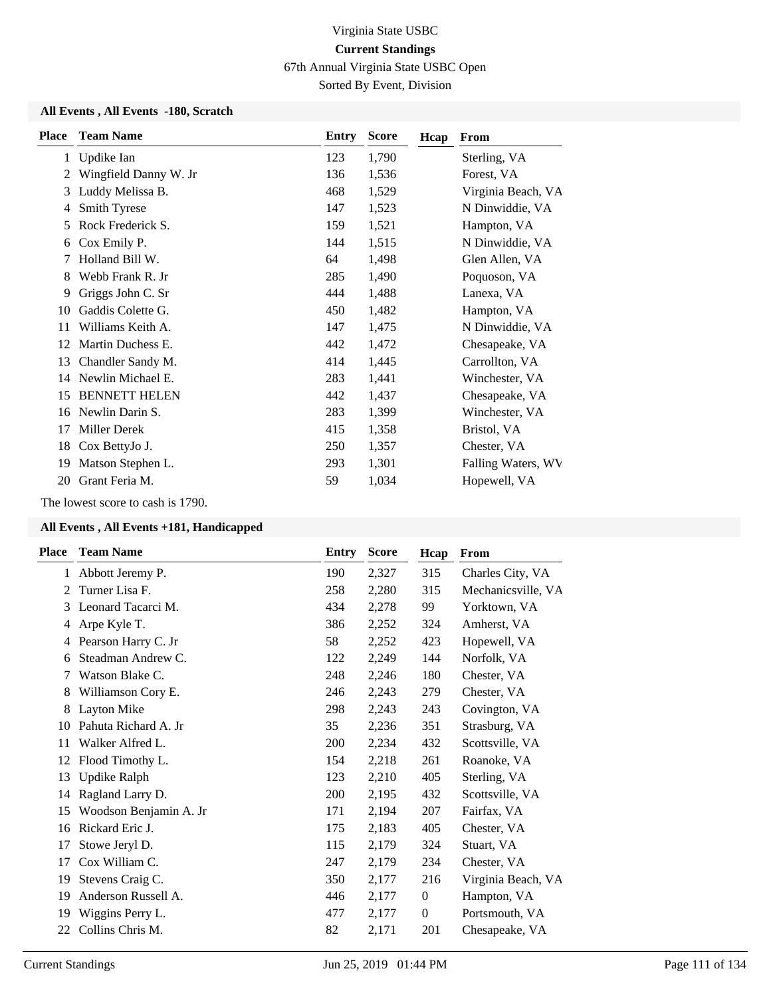67th Annual Virginia State USBC Open

Sorted By Event, Division

#### **All Events , All Events -180, Scratch**

| <b>Place</b> | <b>Team Name</b>      | Entry | <b>Score</b> | Hcap | From               |
|--------------|-----------------------|-------|--------------|------|--------------------|
| $\mathbf{1}$ | Updike Ian            | 123   | 1,790        |      | Sterling, VA       |
| 2            | Wingfield Danny W. Jr | 136   | 1,536        |      | Forest, VA         |
| 3            | Luddy Melissa B.      | 468   | 1,529        |      | Virginia Beach, VA |
| 4            | Smith Tyrese          | 147   | 1,523        |      | N Dinwiddie, VA    |
| 5            | Rock Frederick S.     | 159   | 1,521        |      | Hampton, VA        |
| 6            | Cox Emily P.          | 144   | 1,515        |      | N Dinwiddie, VA    |
| 7            | Holland Bill W.       | 64    | 1,498        |      | Glen Allen, VA     |
| 8            | Webb Frank R. Jr      | 285   | 1,490        |      | Poquoson, VA       |
| 9            | Griggs John C. Sr     | 444   | 1,488        |      | Lanexa, VA         |
| 10           | Gaddis Colette G.     | 450   | 1,482        |      | Hampton, VA        |
| 11           | Williams Keith A.     | 147   | 1,475        |      | N Dinwiddie, VA    |
| 12           | Martin Duchess E.     | 442   | 1,472        |      | Chesapeake, VA     |
| 13           | Chandler Sandy M.     | 414   | 1,445        |      | Carrollton, VA     |
| 14           | Newlin Michael E.     | 283   | 1,441        |      | Winchester, VA     |
| 15           | <b>BENNETT HELEN</b>  | 442   | 1,437        |      | Chesapeake, VA     |
| 16           | Newlin Darin S.       | 283   | 1,399        |      | Winchester, VA     |
| 17           | Miller Derek          | 415   | 1,358        |      | Bristol, VA        |
| 18           | Cox BettyJo J.        | 250   | 1,357        |      | Chester, VA        |
| 19           | Matson Stephen L.     | 293   | 1,301        |      | Falling Waters, WV |
| 20           | Grant Feria M.        | 59    | 1,034        |      | Hopewell, VA       |

The lowest score to cash is 1790.

| Place        | <b>Team Name</b>       | Entry | <b>Score</b> | Hcap             | From               |
|--------------|------------------------|-------|--------------|------------------|--------------------|
| $\mathbf{1}$ | Abbott Jeremy P.       | 190   | 2,327        | 315              | Charles City, VA   |
| 2            | Turner Lisa F.         | 258   | 2,280        | 315              | Mechanicsville, VA |
| 3            | Leonard Tacarci M.     | 434   | 2,278        | 99               | Yorktown, VA       |
| 4            | Arpe Kyle T.           | 386   | 2,252        | 324              | Amherst, VA        |
| 4            | Pearson Harry C. Jr    | 58    | 2,252        | 423              | Hopewell, VA       |
| 6            | Steadman Andrew C.     | 122   | 2,249        | 144              | Norfolk, VA        |
| 7            | Watson Blake C.        | 248   | 2,246        | 180              | Chester, VA        |
| 8            | Williamson Cory E.     | 246   | 2,243        | 279              | Chester, VA        |
| 8            | Layton Mike            | 298   | 2,243        | 243              | Covington, VA      |
| 10           | Pahuta Richard A. Jr   | 35    | 2,236        | 351              | Strasburg, VA      |
| 11           | Walker Alfred L.       | 200   | 2,234        | 432              | Scottsville, VA    |
| 12           | Flood Timothy L.       | 154   | 2,218        | 261              | Roanoke, VA        |
| 13           | Updike Ralph           | 123   | 2,210        | 405              | Sterling, VA       |
| 14           | Ragland Larry D.       | 200   | 2,195        | 432              | Scottsville, VA    |
| 15           | Woodson Benjamin A. Jr | 171   | 2,194        | 207              | Fairfax, VA        |
| 16           | Rickard Eric J.        | 175   | 2,183        | 405              | Chester, VA        |
| 17           | Stowe Jeryl D.         | 115   | 2,179        | 324              | Stuart, VA         |
| 17           | Cox William C.         | 247   | 2,179        | 234              | Chester, VA        |
| 19           | Stevens Craig C.       | 350   | 2,177        | 216              | Virginia Beach, VA |
| 19           | Anderson Russell A.    | 446   | 2,177        | $\boldsymbol{0}$ | Hampton, VA        |
| 19           | Wiggins Perry L.       | 477   | 2,177        | $\boldsymbol{0}$ | Portsmouth, VA     |
| 22           | Collins Chris M.       | 82    | 2,171        | 201              | Chesapeake, VA     |
|              |                        |       |              |                  |                    |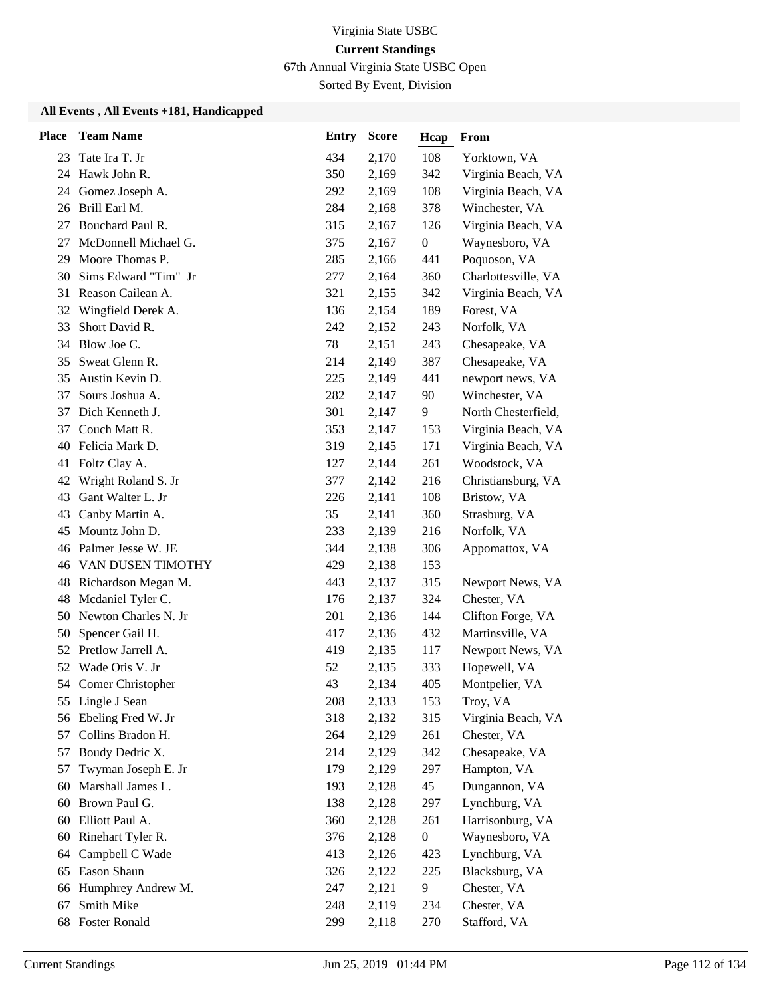67th Annual Virginia State USBC Open

Sorted By Event, Division

| <b>Place</b> | <b>Team Name</b>                         | <b>Entry</b> | <b>Score</b>   | Hcap             | From                           |
|--------------|------------------------------------------|--------------|----------------|------------------|--------------------------------|
| 23           | Tate Ira T. Jr                           | 434          | 2,170          | 108              | Yorktown, VA                   |
|              | 24 Hawk John R.                          | 350          | 2,169          | 342              | Virginia Beach, VA             |
| 24           | Gomez Joseph A.                          | 292          | 2,169          | 108              | Virginia Beach, VA             |
| 26           | Brill Earl M.                            | 284          | 2,168          | 378              | Winchester, VA                 |
| 27           | Bouchard Paul R.                         | 315          | 2,167          | 126              | Virginia Beach, VA             |
| 27           | McDonnell Michael G.                     | 375          | 2,167          | $\boldsymbol{0}$ | Waynesboro, VA                 |
| 29           | Moore Thomas P.                          | 285          | 2,166          | 441              | Poquoson, VA                   |
| 30           | Sims Edward "Tim" Jr                     | 277          | 2,164          | 360              | Charlottesville, VA            |
| 31           | Reason Cailean A.                        | 321          | 2,155          | 342              | Virginia Beach, VA             |
| 32           | Wingfield Derek A.                       | 136          | 2,154          | 189              | Forest, VA                     |
| 33           | Short David R.                           | 242          | 2,152          | 243              | Norfolk, VA                    |
| 34           | Blow Joe C.                              | 78           | 2,151          | 243              | Chesapeake, VA                 |
| 35           | Sweat Glenn R.                           | 214          | 2,149          | 387              | Chesapeake, VA                 |
| 35           | Austin Kevin D.                          | 225          | 2,149          | 441              | newport news, VA               |
| 37           | Sours Joshua A.                          | 282          | 2,147          | 90               | Winchester, VA                 |
| 37           | Dich Kenneth J.                          | 301          | 2,147          | 9                | North Chesterfield,            |
| 37           | Couch Matt R.                            | 353          | 2,147          | 153              | Virginia Beach, VA             |
| 40           | Felicia Mark D.                          | 319          | 2,145          | 171              | Virginia Beach, VA             |
| 41           | Foltz Clay A.                            | 127          | 2,144          | 261              | Woodstock, VA                  |
| 42           | Wright Roland S. Jr                      | 377          | 2,142          | 216              | Christiansburg, VA             |
| 43           | Gant Walter L. Jr                        | 226          | 2,141          | 108              | Bristow, VA                    |
| 43           | Canby Martin A.                          | 35           | 2,141          | 360              | Strasburg, VA                  |
| 45           | Mountz John D.                           | 233          | 2,139          | 216              | Norfolk, VA                    |
|              | 46 Palmer Jesse W. JE                    | 344          | 2,138          | 306              | Appomattox, VA                 |
|              | <b>46 VAN DUSEN TIMOTHY</b>              | 429          | 2,138          | 153              |                                |
|              | 48 Richardson Megan M.                   | 443          | 2,137          | 315              | Newport News, VA               |
| 48           | Mcdaniel Tyler C.                        | 176          | 2,137          | 324              | Chester, VA                    |
| 50           | Newton Charles N. Jr                     | 201          | 2,136          | 144              | Clifton Forge, VA              |
| 50           | Spencer Gail H.                          | 417          | 2,136          | 432              | Martinsville, VA               |
| 52           | Pretlow Jarrell A.<br>Wade Otis V. Jr    | 419          | 2,135          | 117<br>333       | Newport News, VA               |
| 52           |                                          | 52<br>43     | 2,135<br>2,134 | 405              | Hopewell, VA<br>Montpelier, VA |
|              | 54 Comer Christopher<br>55 Lingle J Sean | 208          | 2,133          | 153              | Troy, VA                       |
| 56           | Ebeling Fred W. Jr                       | 318          | 2,132          | 315              | Virginia Beach, VA             |
| 57           | Collins Bradon H.                        | 264          | 2,129          | 261              | Chester, VA                    |
| 57           | Boudy Dedric X.                          | 214          | 2,129          | 342              | Chesapeake, VA                 |
| 57           | Twyman Joseph E. Jr                      | 179          | 2,129          | 297              | Hampton, VA                    |
| 60           | Marshall James L.                        | 193          | 2,128          | 45               | Dungannon, VA                  |
| 60           | Brown Paul G.                            | 138          | 2,128          | 297              | Lynchburg, VA                  |
| 60           | Elliott Paul A.                          | 360          | 2,128          | 261              | Harrisonburg, VA               |
| 60           | Rinehart Tyler R.                        | 376          | 2,128          | $\boldsymbol{0}$ | Waynesboro, VA                 |
| 64           | Campbell C Wade                          | 413          | 2,126          | 423              | Lynchburg, VA                  |
| 65           | Eason Shaun                              | 326          | 2,122          | 225              | Blacksburg, VA                 |
| 66           | Humphrey Andrew M.                       | 247          | 2,121          | 9                | Chester, VA                    |
| 67           | Smith Mike                               | 248          | 2,119          | 234              | Chester, VA                    |
| 68           | <b>Foster Ronald</b>                     | 299          | 2,118          | 270              | Stafford, VA                   |
|              |                                          |              |                |                  |                                |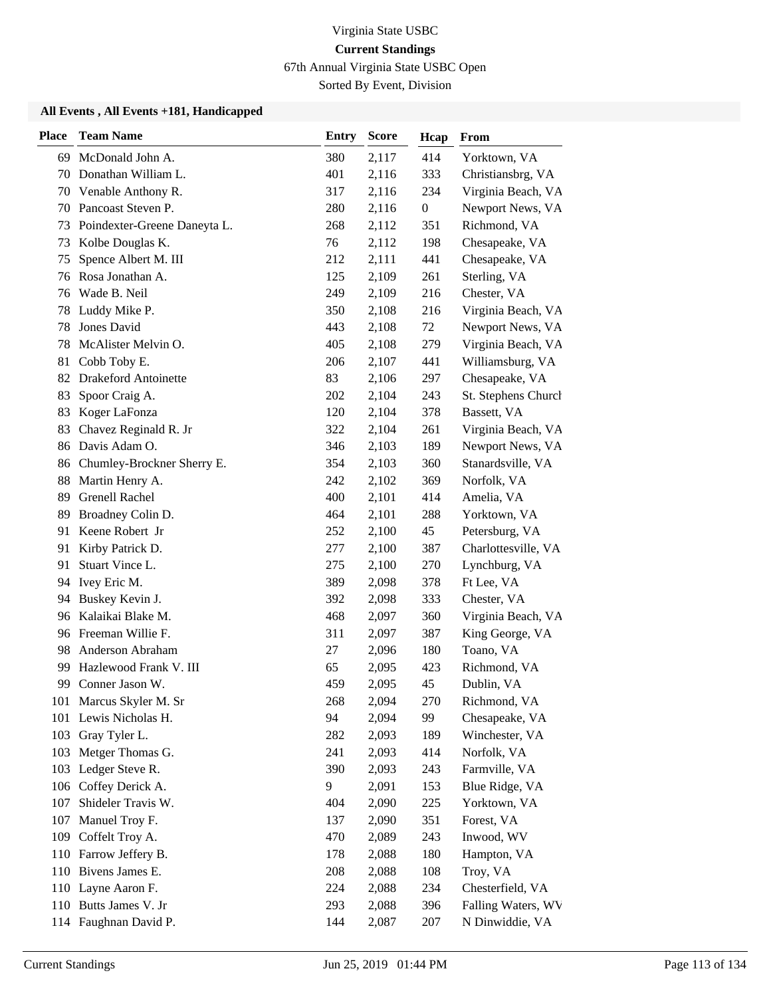67th Annual Virginia State USBC Open

Sorted By Event, Division

| <b>Place</b> | <b>Team Name</b>             | <b>Entry</b> | <b>Score</b> | Hcap         | From                |
|--------------|------------------------------|--------------|--------------|--------------|---------------------|
|              | 69 McDonald John A.          | 380          | 2,117        | 414          | Yorktown, VA        |
|              | 70 Donathan William L.       | 401          | 2,116        | 333          | Christiansbrg, VA   |
| 70           | Venable Anthony R.           | 317          | 2,116        | 234          | Virginia Beach, VA  |
|              | 70 Pancoast Steven P.        | 280          | 2,116        | $\mathbf{0}$ | Newport News, VA    |
| 73           | Poindexter-Greene Daneyta L. | 268          | 2,112        | 351          | Richmond, VA        |
| 73           | Kolbe Douglas K.             | 76           | 2,112        | 198          | Chesapeake, VA      |
| 75           | Spence Albert M. III         | 212          | 2,111        | 441          | Chesapeake, VA      |
| 76           | Rosa Jonathan A.             | 125          | 2,109        | 261          | Sterling, VA        |
| 76           | Wade B. Neil                 | 249          | 2,109        | 216          | Chester, VA         |
| 78           | Luddy Mike P.                | 350          | 2,108        | 216          | Virginia Beach, VA  |
| 78           | Jones David                  | 443          | 2,108        | 72           | Newport News, VA    |
| 78           | McAlister Melvin O.          | 405          | 2,108        | 279          | Virginia Beach, VA  |
| 81           | Cobb Toby E.                 | 206          | 2,107        | 441          | Williamsburg, VA    |
| 82           | <b>Drakeford Antoinette</b>  | 83           | 2,106        | 297          | Chesapeake, VA      |
| 83           | Spoor Craig A.               | 202          | 2,104        | 243          | St. Stephens Church |
| 83           | Koger LaFonza                | 120          | 2,104        | 378          | Bassett, VA         |
| 83           | Chavez Reginald R. Jr        | 322          | 2,104        | 261          | Virginia Beach, VA  |
|              | 86 Davis Adam O.             | 346          | 2,103        | 189          | Newport News, VA    |
| 86           | Chumley-Brockner Sherry E.   | 354          | 2,103        | 360          | Stanardsville, VA   |
| 88           | Martin Henry A.              | 242          | 2,102        | 369          | Norfolk, VA         |
| 89           | <b>Grenell Rachel</b>        | 400          | 2,101        | 414          | Amelia, VA          |
| 89           | Broadney Colin D.            | 464          | 2,101        | 288          | Yorktown, VA        |
| 91           | Keene Robert Jr              | 252          | 2,100        | 45           | Petersburg, VA      |
| 91           | Kirby Patrick D.             | 277          | 2,100        | 387          | Charlottesville, VA |
| 91           | Stuart Vince L.              | 275          | 2,100        | 270          | Lynchburg, VA       |
| 94           | Ivey Eric M.                 | 389          | 2,098        | 378          | Ft Lee, VA          |
| 94           | Buskey Kevin J.              | 392          | 2,098        | 333          | Chester, VA         |
|              | 96 Kalaikai Blake M.         | 468          | 2,097        | 360          | Virginia Beach, VA  |
|              | 96 Freeman Willie F.         | 311          | 2,097        | 387          | King George, VA     |
| 98           | Anderson Abraham             | 27           | 2,096        | 180          | Toano, VA           |
| 99           | Hazlewood Frank V. III       | 65           | 2,095        | 423          | Richmond, VA        |
| 99           | Conner Jason W.              | 459          | 2,095        | 45           | Dublin, VA          |
|              | 101 Marcus Skyler M. Sr      | 268          | 2,094        | 270          | Richmond, VA        |
|              | 101 Lewis Nicholas H.        | 94           | 2,094        | 99           | Chesapeake, VA      |
| 103          | Gray Tyler L.                | 282          | 2,093        | 189          | Winchester, VA      |
|              | 103 Metger Thomas G.         | 241          | 2,093        | 414          | Norfolk, VA         |
|              | 103 Ledger Steve R.          | 390          | 2,093        | 243          | Farmville, VA       |
|              | 106 Coffey Derick A.         | 9            | 2,091        | 153          | Blue Ridge, VA      |
| 107          | Shideler Travis W.           | 404          | 2,090        | 225          | Yorktown, VA        |
| 107          | Manuel Troy F.               | 137          | 2,090        | 351          | Forest, VA          |
| 109          | Coffelt Troy A.              | 470          | 2,089        | 243          | Inwood, WV          |
|              | 110 Farrow Jeffery B.        | 178          | 2,088        | 180          | Hampton, VA         |
|              | 110 Bivens James E.          | 208          | 2,088        | 108          | Troy, VA            |
|              | 110 Layne Aaron F.           | 224          | 2,088        | 234          | Chesterfield, VA    |
|              | 110 Butts James V. Jr        | 293          | 2,088        | 396          | Falling Waters, WV  |
|              | 114 Faughnan David P.        | 144          | 2,087        | 207          | N Dinwiddie, VA     |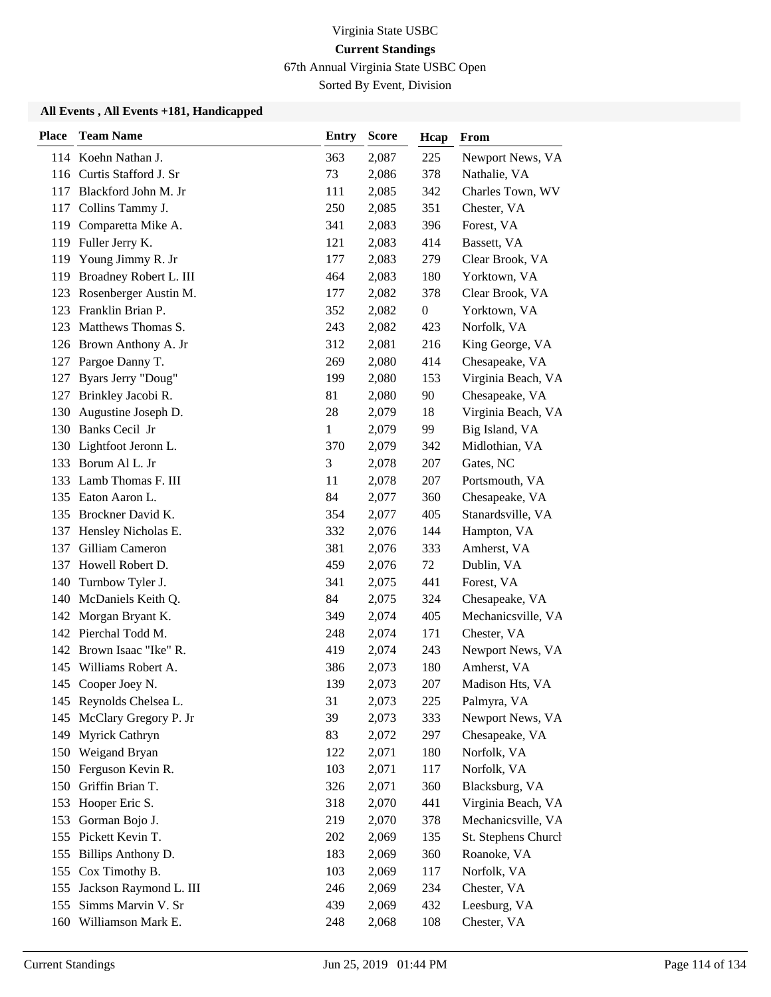67th Annual Virginia State USBC Open

Sorted By Event, Division

| <b>Place</b> | <b>Team Name</b>           | <b>Entry</b> | <b>Score</b> | Hcap             | From                |
|--------------|----------------------------|--------------|--------------|------------------|---------------------|
|              | 114 Koehn Nathan J.        | 363          | 2,087        | 225              | Newport News, VA    |
|              | 116 Curtis Stafford J. Sr  | 73           | 2,086        | 378              | Nathalie, VA        |
| 117          | Blackford John M. Jr       | 111          | 2,085        | 342              | Charles Town, WV    |
|              | 117 Collins Tammy J.       | 250          | 2,085        | 351              | Chester, VA         |
| 119          | Comparetta Mike A.         | 341          | 2,083        | 396              | Forest, VA          |
|              | 119 Fuller Jerry K.        | 121          | 2,083        | 414              | Bassett, VA         |
| 119          | Young Jimmy R. Jr          | 177          | 2,083        | 279              | Clear Brook, VA     |
|              | 119 Broadney Robert L. III | 464          | 2,083        | 180              | Yorktown, VA        |
|              | 123 Rosenberger Austin M.  | 177          | 2,082        | 378              | Clear Brook, VA     |
| 123          | Franklin Brian P.          | 352          | 2,082        | $\boldsymbol{0}$ | Yorktown, VA        |
| 123          | Matthews Thomas S.         | 243          | 2,082        | 423              | Norfolk, VA         |
|              | 126 Brown Anthony A. Jr    | 312          | 2,081        | 216              | King George, VA     |
|              | 127 Pargoe Danny T.        | 269          | 2,080        | 414              | Chesapeake, VA      |
| 127          | Byars Jerry "Doug"         | 199          | 2,080        | 153              | Virginia Beach, VA  |
| 127          | Brinkley Jacobi R.         | 81           | 2,080        | 90               | Chesapeake, VA      |
| 130          | Augustine Joseph D.        | 28           | 2,079        | 18               | Virginia Beach, VA  |
|              | 130 Banks Cecil Jr         | 1            | 2,079        | 99               | Big Island, VA      |
|              | 130 Lightfoot Jeronn L.    | 370          | 2,079        | 342              | Midlothian, VA      |
|              | 133 Borum Al L. Jr         | 3            | 2,078        | 207              | Gates, NC           |
|              | 133 Lamb Thomas F. III     | 11           | 2,078        | 207              | Portsmouth, VA      |
| 135          | Eaton Aaron L.             | 84           | 2,077        | 360              | Chesapeake, VA      |
| 135          | Brockner David K.          | 354          | 2,077        | 405              | Stanardsville, VA   |
| 137          | Hensley Nicholas E.        | 332          | 2,076        | 144              | Hampton, VA         |
|              | 137 Gilliam Cameron        | 381          | 2,076        | 333              | Amherst, VA         |
| 137          | Howell Robert D.           | 459          | 2,076        | 72               | Dublin, VA          |
| 140          | Turnbow Tyler J.           | 341          | 2,075        | 441              | Forest, VA          |
| 140          | McDaniels Keith Q.         | 84           | 2,075        | 324              | Chesapeake, VA      |
|              | 142 Morgan Bryant K.       | 349          | 2,074        | 405              | Mechanicsville, VA  |
|              | 142 Pierchal Todd M.       | 248          | 2,074        | 171              | Chester, VA         |
| 142          | Brown Isaac "Ike" R.       | 419          | 2,074        | 243              | Newport News, VA    |
| 145          | Williams Robert A.         | 386          | 2,073        | 180              | Amherst, VA         |
|              | 145 Cooper Joey N.         | 139          | 2,073        | 207              | Madison Hts, VA     |
|              | 145 Reynolds Chelsea L.    | 31           | 2,073        | 225              | Palmyra, VA         |
| 145          | McClary Gregory P. Jr      | 39           | 2,073        | 333              | Newport News, VA    |
| 149          | Myrick Cathryn             | 83           | 2,072        | 297              | Chesapeake, VA      |
|              | 150 Weigand Bryan          | 122          | 2,071        | 180              | Norfolk, VA         |
|              | 150 Ferguson Kevin R.      | 103          | 2,071        | 117              | Norfolk, VA         |
| 150          | Griffin Brian T.           | 326          | 2,071        | 360              | Blacksburg, VA      |
| 153          | Hooper Eric S.             | 318          | 2,070        | 441              | Virginia Beach, VA  |
|              | 153 Gorman Bojo J.         | 219          | 2,070        | 378              | Mechanicsville, VA  |
|              | 155 Pickett Kevin T.       | 202          | 2,069        | 135              | St. Stephens Church |
| 155          | Billips Anthony D.         | 183          | 2,069        | 360              | Roanoke, VA         |
| 155          | Cox Timothy B.             | 103          | 2,069        | 117              | Norfolk, VA         |
|              | 155 Jackson Raymond L. III | 246          | 2,069        | 234              | Chester, VA         |
| 155          | Simms Marvin V. Sr         | 439          | 2,069        | 432              | Leesburg, VA        |
|              | 160 Williamson Mark E.     | 248          | 2,068        | 108              | Chester, VA         |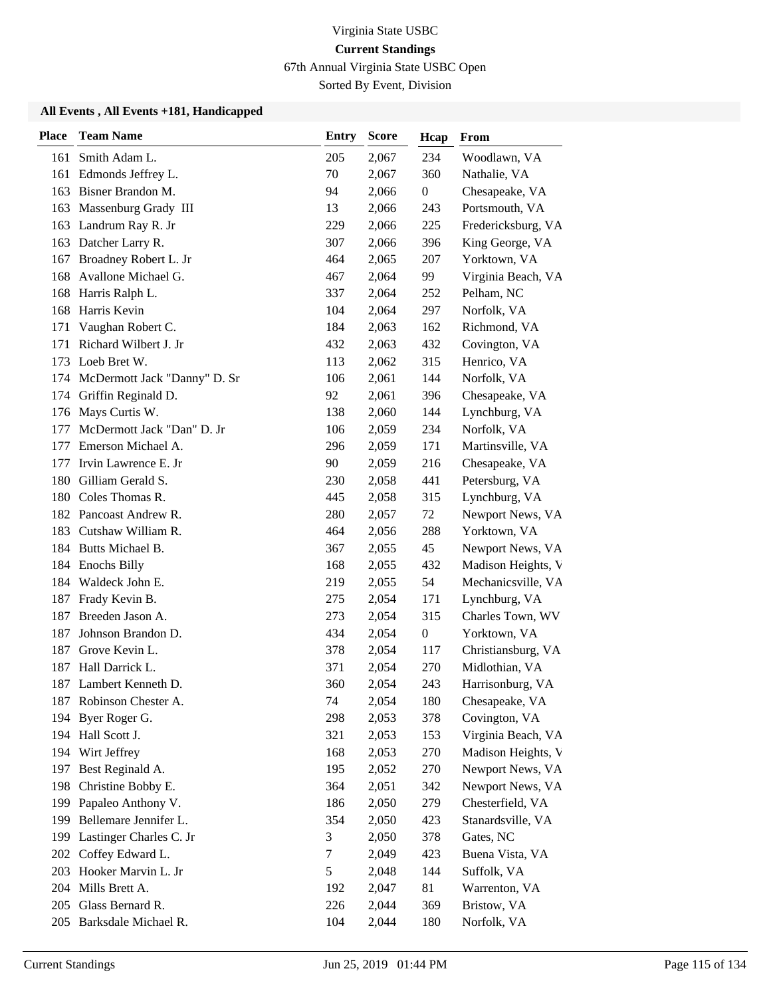67th Annual Virginia State USBC Open

Sorted By Event, Division

| <b>Place</b> | <b>Team Name</b>             | <b>Entry</b>  | <b>Score</b> | Hcap             | From               |
|--------------|------------------------------|---------------|--------------|------------------|--------------------|
| 161          | Smith Adam L.                | 205           | 2,067        | 234              | Woodlawn, VA       |
|              | 161 Edmonds Jeffrey L.       | 70            | 2,067        | 360              | Nathalie, VA       |
| 163          | Bisner Brandon M.            | 94            | 2,066        | $\boldsymbol{0}$ | Chesapeake, VA     |
| 163          | Massenburg Grady III         | 13            | 2,066        | 243              | Portsmouth, VA     |
| 163          | Landrum Ray R. Jr            | 229           | 2,066        | 225              | Fredericksburg, VA |
| 163          | Datcher Larry R.             | 307           | 2,066        | 396              | King George, VA    |
| 167          | Broadney Robert L. Jr        | 464           | 2,065        | 207              | Yorktown, VA       |
| 168          | Avallone Michael G.          | 467           | 2,064        | 99               | Virginia Beach, VA |
| 168          | Harris Ralph L.              | 337           | 2,064        | 252              | Pelham, NC         |
| 168          | Harris Kevin                 | 104           | 2,064        | 297              | Norfolk, VA        |
| 171          | Vaughan Robert C.            | 184           | 2,063        | 162              | Richmond, VA       |
| 171          | Richard Wilbert J. Jr        | 432           | 2,063        | 432              | Covington, VA      |
| 173          | Loeb Bret W.                 | 113           | 2,062        | 315              | Henrico, VA        |
| 174          | McDermott Jack "Danny" D. Sr | 106           | 2,061        | 144              | Norfolk, VA        |
| 174          | Griffin Reginald D.          | 92            | 2,061        | 396              | Chesapeake, VA     |
| 176          | Mays Curtis W.               | 138           | 2,060        | 144              | Lynchburg, VA      |
| 177          | McDermott Jack "Dan" D. Jr   | 106           | 2,059        | 234              | Norfolk, VA        |
| 177          | Emerson Michael A.           | 296           | 2,059        | 171              | Martinsville, VA   |
| 177          | Irvin Lawrence E. Jr         | 90            | 2,059        | 216              | Chesapeake, VA     |
| 180          | Gilliam Gerald S.            | 230           | 2,058        | 441              | Petersburg, VA     |
| 180          | Coles Thomas R.              | 445           | 2,058        | 315              | Lynchburg, VA      |
| 182          | Pancoast Andrew R.           | 280           | 2,057        | 72               | Newport News, VA   |
| 183          | Cutshaw William R.           | 464           | 2,056        | 288              | Yorktown, VA       |
|              | 184 Butts Michael B.         | 367           | 2,055        | 45               | Newport News, VA   |
| 184          | <b>Enochs Billy</b>          | 168           | 2,055        | 432              | Madison Heights, V |
| 184          | Waldeck John E.              | 219           | 2,055        | 54               | Mechanicsville, VA |
| 187          | Frady Kevin B.               | 275           | 2,054        | 171              | Lynchburg, VA      |
| 187          | Breeden Jason A.             | 273           | 2,054        | 315              | Charles Town, WV   |
| 187          | Johnson Brandon D.           | 434           | 2,054        | $\boldsymbol{0}$ | Yorktown, VA       |
| 187          | Grove Kevin L.               | 378           | 2,054        | 117              | Christiansburg, VA |
| 187          | Hall Darrick L.              | 371           | 2,054        | 270              | Midlothian, VA     |
| 187          | Lambert Kenneth D.           | 360           | 2,054        | 243              | Harrisonburg, VA   |
| 187          | Robinson Chester A.          | 74            | 2,054        | 180              | Chesapeake, VA     |
| 194          | Byer Roger G.                | 298           | 2,053        | 378              | Covington, VA      |
| 194          | Hall Scott J.                | 321           | 2,053        | 153              | Virginia Beach, VA |
|              | 194 Wirt Jeffrey             | 168           | 2,053        | 270              | Madison Heights, V |
| 197          | Best Reginald A.             | 195           | 2,052        | 270              | Newport News, VA   |
| 198          | Christine Bobby E.           | 364           | 2,051        | 342              | Newport News, VA   |
| 199          | Papaleo Anthony V.           | 186           | 2,050        | 279              | Chesterfield, VA   |
| 199          | Bellemare Jennifer L.        | 354           | 2,050        | 423              | Stanardsville, VA  |
| 199          | Lastinger Charles C. Jr      | 3             | 2,050        | 378              | Gates, NC          |
| 202          | Coffey Edward L.             | 7             | 2,049        | 423              | Buena Vista, VA    |
| 203          | Hooker Marvin L. Jr          | $\mathfrak s$ | 2,048        | 144              | Suffolk, VA        |
|              | 204 Mills Brett A.           | 192           | 2,047        | 81               | Warrenton, VA      |
| 205          | Glass Bernard R.             | 226           | 2,044        | 369              | Bristow, VA        |
|              | 205 Barksdale Michael R.     | 104           | 2,044        | 180              | Norfolk, VA        |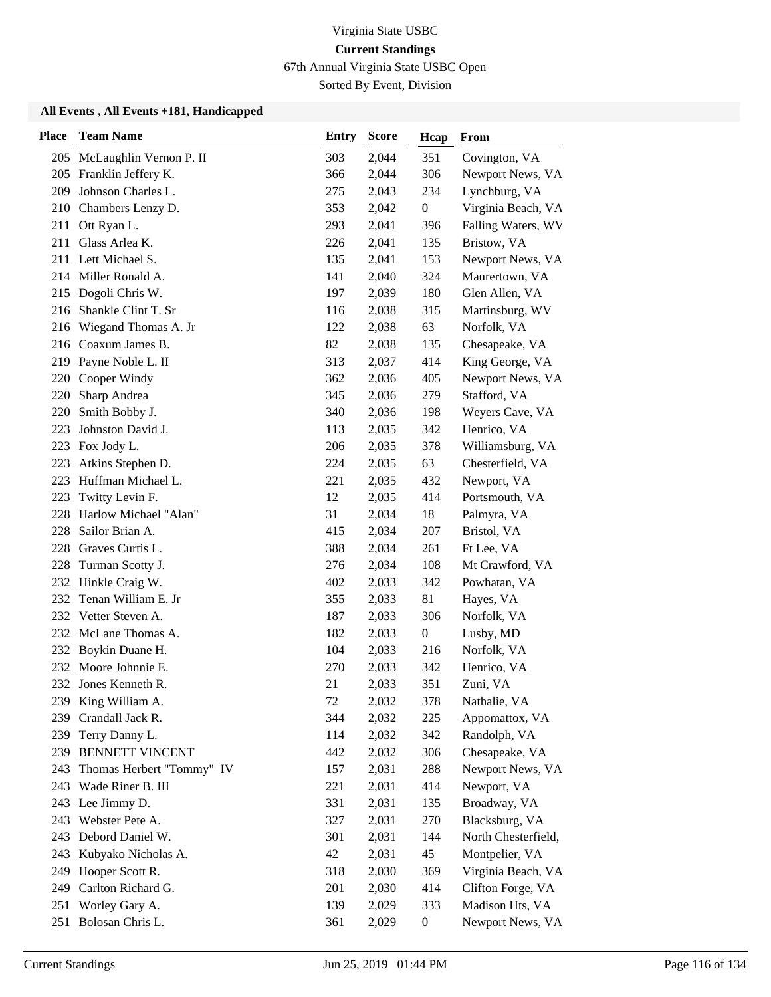67th Annual Virginia State USBC Open

Sorted By Event, Division

| <b>Place</b> | <b>Team Name</b>            | <b>Entry</b> | <b>Score</b> | Hcap             | From                |
|--------------|-----------------------------|--------------|--------------|------------------|---------------------|
|              | 205 McLaughlin Vernon P. II | 303          | 2,044        | 351              | Covington, VA       |
|              | 205 Franklin Jeffery K.     | 366          | 2,044        | 306              | Newport News, VA    |
| 209          | Johnson Charles L.          | 275          | 2,043        | 234              | Lynchburg, VA       |
|              | 210 Chambers Lenzy D.       | 353          | 2,042        | $\boldsymbol{0}$ | Virginia Beach, VA  |
| 211          | Ott Ryan L.                 | 293          | 2,041        | 396              | Falling Waters, WV  |
| 211          | Glass Arlea K.              | 226          | 2,041        | 135              | Bristow, VA         |
|              | 211 Lett Michael S.         | 135          | 2,041        | 153              | Newport News, VA    |
|              | 214 Miller Ronald A.        | 141          | 2,040        | 324              | Maurertown, VA      |
|              | 215 Dogoli Chris W.         | 197          | 2,039        | 180              | Glen Allen, VA      |
|              | 216 Shankle Clint T. Sr     | 116          | 2,038        | 315              | Martinsburg, WV     |
| 216          | Wiegand Thomas A. Jr        | 122          | 2,038        | 63               | Norfolk, VA         |
|              | 216 Coaxum James B.         | 82           | 2,038        | 135              | Chesapeake, VA      |
| 219          | Payne Noble L. II           | 313          | 2,037        | 414              | King George, VA     |
| 220          | Cooper Windy                | 362          | 2,036        | 405              | Newport News, VA    |
| 220          | Sharp Andrea                | 345          | 2,036        | 279              | Stafford, VA        |
| 220          | Smith Bobby J.              | 340          | 2,036        | 198              | Weyers Cave, VA     |
| 223          | Johnston David J.           | 113          | 2,035        | 342              | Henrico, VA         |
|              | 223 Fox Jody L.             | 206          | 2,035        | 378              | Williamsburg, VA    |
| 223          | Atkins Stephen D.           | 224          | 2,035        | 63               | Chesterfield, VA    |
| 223          | Huffman Michael L.          | 221          | 2,035        | 432              | Newport, VA         |
| 223          | Twitty Levin F.             | 12           | 2,035        | 414              | Portsmouth, VA      |
| 228          | Harlow Michael "Alan"       | 31           | 2,034        | 18               | Palmyra, VA         |
| 228          | Sailor Brian A.             | 415          | 2,034        | 207              | Bristol, VA         |
| 228          | Graves Curtis L.            | 388          | 2,034        | 261              | Ft Lee, VA          |
| 228          | Turman Scotty J.            | 276          | 2,034        | 108              | Mt Crawford, VA     |
| 232          | Hinkle Craig W.             | 402          | 2,033        | 342              | Powhatan, VA        |
| 232          | Tenan William E. Jr         | 355          | 2,033        | 81               | Hayes, VA           |
| 232          | Vetter Steven A.            | 187          | 2,033        | 306              | Norfolk, VA         |
|              | 232 McLane Thomas A.        | 182          | 2,033        | $\boldsymbol{0}$ | Lusby, MD           |
| 232          | Boykin Duane H.             | 104          | 2,033        | 216              | Norfolk, VA         |
| 232          | Moore Johnnie E.            | 270          | 2,033        | 342              | Henrico, VA         |
|              | 232 Jones Kenneth R.        | 21           | 2,033        | 351              | Zuni, VA            |
|              | 239 King William A.         | 72           | 2,032        | 378              | Nathalie, VA        |
| 239          | Crandall Jack R.            | 344          | 2,032        | 225              | Appomattox, VA      |
| 239          | Terry Danny L.              | 114          | 2,032        | 342              | Randolph, VA        |
| 239          | <b>BENNETT VINCENT</b>      | 442          | 2,032        | 306              | Chesapeake, VA      |
| 243          | Thomas Herbert "Tommy" IV   | 157          | 2,031        | 288              | Newport News, VA    |
|              | 243 Wade Riner B. III       | 221          | 2,031        | 414              | Newport, VA         |
|              | 243 Lee Jimmy D.            | 331          | 2,031        | 135              | Broadway, VA        |
|              | 243 Webster Pete A.         | 327          | 2,031        | 270              | Blacksburg, VA      |
|              | 243 Debord Daniel W.        | 301          | 2,031        | 144              | North Chesterfield, |
| 243          | Kubyako Nicholas A.         | 42           | 2,031        | 45               | Montpelier, VA      |
| 249          | Hooper Scott R.             | 318          | 2,030        | 369              | Virginia Beach, VA  |
| 249          | Carlton Richard G.          | 201          | 2,030        | 414              | Clifton Forge, VA   |
| 251          | Worley Gary A.              | 139          | 2,029        | 333              | Madison Hts, VA     |
|              | 251 Bolosan Chris L.        | 361          | 2,029        | $\boldsymbol{0}$ | Newport News, VA    |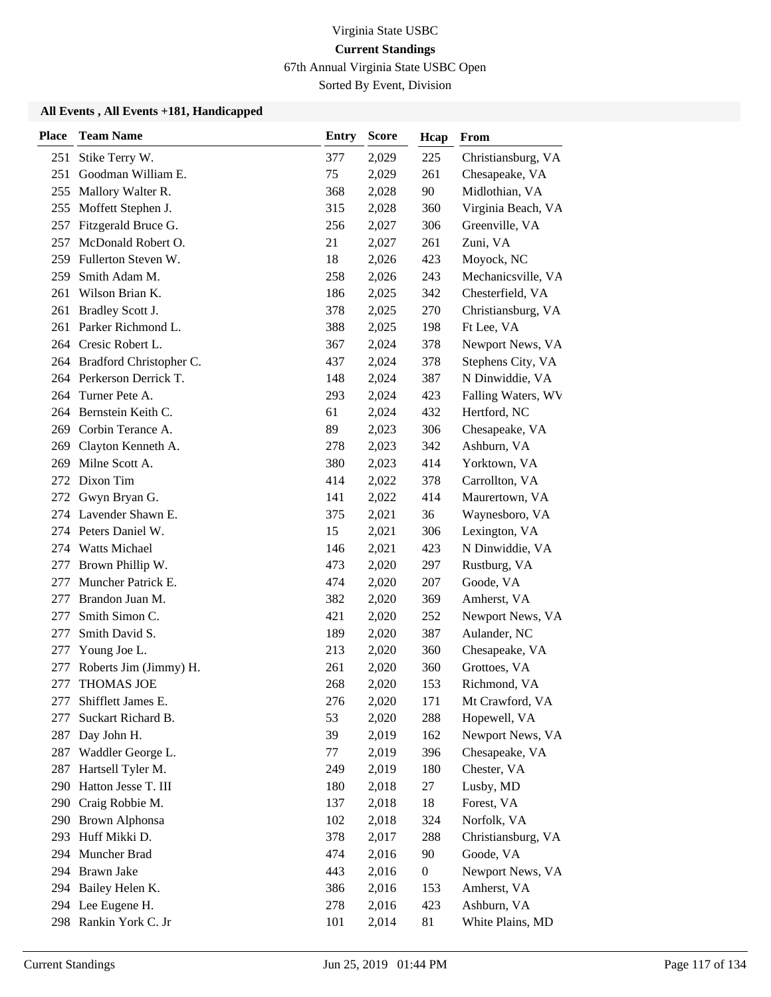67th Annual Virginia State USBC Open

Sorted By Event, Division

| <b>Place</b> | <b>Team Name</b>         | <b>Entry</b> | <b>Score</b> | Hcap             | From               |
|--------------|--------------------------|--------------|--------------|------------------|--------------------|
| 251          | Stike Terry W.           | 377          | 2,029        | 225              | Christiansburg, VA |
| 251          | Goodman William E.       | 75           | 2,029        | 261              | Chesapeake, VA     |
| 255          | Mallory Walter R.        | 368          | 2,028        | 90               | Midlothian, VA     |
| 255          | Moffett Stephen J.       | 315          | 2,028        | 360              | Virginia Beach, VA |
| 257          | Fitzgerald Bruce G.      | 256          | 2,027        | 306              | Greenville, VA     |
| 257          | McDonald Robert O.       | 21           | 2,027        | 261              | Zuni, VA           |
| 259          | Fullerton Steven W.      | 18           | 2,026        | 423              | Moyock, NC         |
| 259          | Smith Adam M.            | 258          | 2,026        | 243              | Mechanicsville, VA |
| 261          | Wilson Brian K.          | 186          | 2,025        | 342              | Chesterfield, VA   |
| 261          | Bradley Scott J.         | 378          | 2,025        | 270              | Christiansburg, VA |
| 261          | Parker Richmond L.       | 388          | 2,025        | 198              | Ft Lee, VA         |
|              | 264 Cresic Robert L.     | 367          | 2,024        | 378              | Newport News, VA   |
| 264          | Bradford Christopher C.  | 437          | 2,024        | 378              | Stephens City, VA  |
|              | 264 Perkerson Derrick T. | 148          | 2,024        | 387              | N Dinwiddie, VA    |
| 264          | Turner Pete A.           | 293          | 2,024        | 423              | Falling Waters, WV |
|              | 264 Bernstein Keith C.   | 61           | 2,024        | 432              | Hertford, NC       |
| 269          | Corbin Terance A.        | 89           | 2,023        | 306              | Chesapeake, VA     |
| 269          | Clayton Kenneth A.       | 278          | 2,023        | 342              | Ashburn, VA        |
| 269          | Milne Scott A.           | 380          | 2,023        | 414              | Yorktown, VA       |
| 272          | Dixon Tim                | 414          | 2,022        | 378              | Carrollton, VA     |
| 272          | Gwyn Bryan G.            | 141          | 2,022        | 414              | Maurertown, VA     |
| 274          | Lavender Shawn E.        | 375          | 2,021        | 36               | Waynesboro, VA     |
| 274          | Peters Daniel W.         | 15           | 2,021        | 306              | Lexington, VA      |
|              | 274 Watts Michael        | 146          | 2,021        | 423              | N Dinwiddie, VA    |
| 277          | Brown Phillip W.         | 473          | 2,020        | 297              | Rustburg, VA       |
| 277          | Muncher Patrick E.       | 474          | 2,020        | 207              | Goode, VA          |
| 277          | Brandon Juan M.          | 382          | 2,020        | 369              | Amherst, VA        |
| 277          | Smith Simon C.           | 421          | 2,020        | 252              | Newport News, VA   |
| 277          | Smith David S.           | 189          | 2,020        | 387              | Aulander, NC       |
| 277          | Young Joe L.             | 213          | 2,020        | 360              | Chesapeake, VA     |
| 277          | Roberts Jim (Jimmy) H.   | 261          | 2,020        | 360              | Grottoes, VA       |
| 277          | <b>THOMAS JOE</b>        | 268          | 2,020        | 153              | Richmond, VA       |
| 277          | Shifflett James E.       | 276          | 2,020        | 171              | Mt Crawford, VA    |
| 277          | Suckart Richard B.       | 53           | 2,020        | 288              | Hopewell, VA       |
| 287          | Day John H.              | 39           | 2,019        | 162              | Newport News, VA   |
| 287          | Waddler George L.        | 77           | 2,019        | 396              | Chesapeake, VA     |
| 287          | Hartsell Tyler M.        | 249          | 2,019        | 180              | Chester, VA        |
| 290          | Hatton Jesse T. III      | 180          | 2,018        | 27               | Lusby, MD          |
| 290          | Craig Robbie M.          | 137          | 2,018        | 18               | Forest, VA         |
|              | 290 Brown Alphonsa       | 102          | 2,018        | 324              | Norfolk, VA        |
| 293          | Huff Mikki D.            | 378          | 2,017        | 288              | Christiansburg, VA |
| 294          | Muncher Brad             | 474          | 2,016        | 90               | Goode, VA          |
| 294          | Brawn Jake               | 443          | 2,016        | $\boldsymbol{0}$ | Newport News, VA   |
|              | 294 Bailey Helen K.      | 386          | 2,016        | 153              | Amherst, VA        |
|              | 294 Lee Eugene H.        | 278          | 2,016        | 423              | Ashburn, VA        |
|              | 298 Rankin York C. Jr    | 101          | 2,014        | 81               | White Plains, MD   |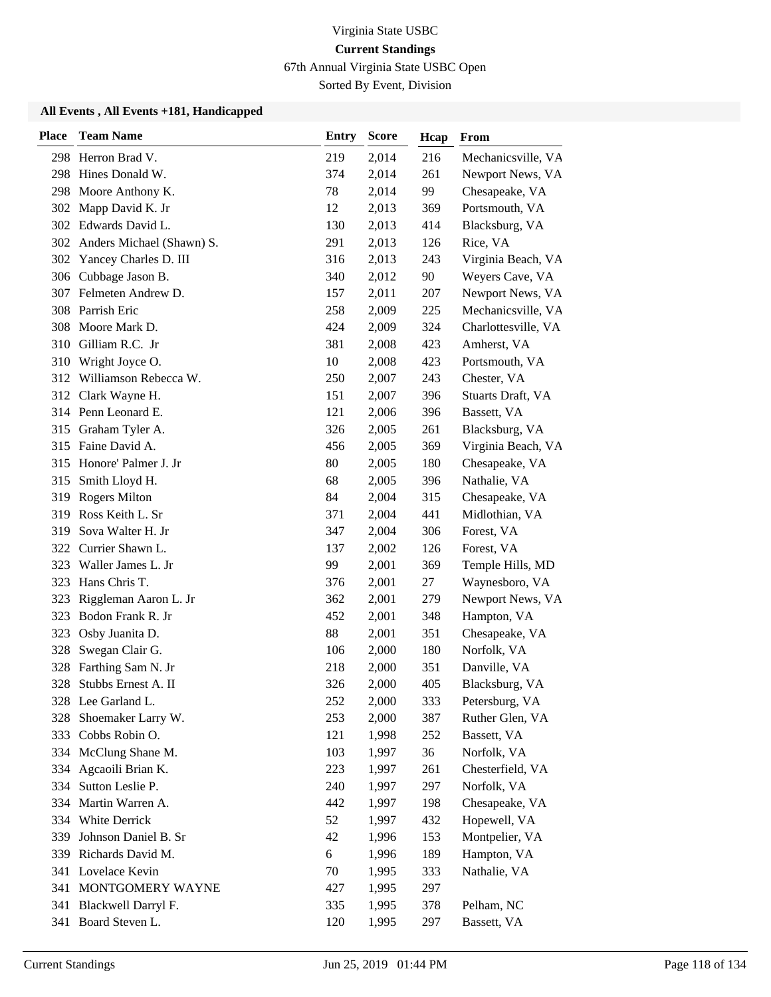67th Annual Virginia State USBC Open

Sorted By Event, Division

| <b>Place</b> | <b>Team Name</b>              | <b>Entry</b> | <b>Score</b> | Hcap | From                |
|--------------|-------------------------------|--------------|--------------|------|---------------------|
|              | 298 Herron Brad V.            | 219          | 2,014        | 216  | Mechanicsville, VA  |
| 298          | Hines Donald W.               | 374          | 2,014        | 261  | Newport News, VA    |
| 298          | Moore Anthony K.              | 78           | 2,014        | 99   | Chesapeake, VA      |
|              | 302 Mapp David K. Jr          | 12           | 2,013        | 369  | Portsmouth, VA      |
|              | 302 Edwards David L.          | 130          | 2,013        | 414  | Blacksburg, VA      |
|              | 302 Anders Michael (Shawn) S. | 291          | 2,013        | 126  | Rice, VA            |
|              | 302 Yancey Charles D. III     | 316          | 2,013        | 243  | Virginia Beach, VA  |
|              | 306 Cubbage Jason B.          | 340          | 2,012        | 90   | Weyers Cave, VA     |
|              | 307 Felmeten Andrew D.        | 157          | 2,011        | 207  | Newport News, VA    |
|              | 308 Parrish Eric              | 258          | 2,009        | 225  | Mechanicsville, VA  |
| 308          | Moore Mark D.                 | 424          | 2,009        | 324  | Charlottesville, VA |
|              | 310 Gilliam R.C. Jr           | 381          | 2,008        | 423  | Amherst, VA         |
| 310          | Wright Joyce O.               | 10           | 2,008        | 423  | Portsmouth, VA      |
|              | 312 Williamson Rebecca W.     | 250          | 2,007        | 243  | Chester, VA         |
|              | 312 Clark Wayne H.            | 151          | 2,007        | 396  | Stuarts Draft, VA   |
|              | 314 Penn Leonard E.           | 121          | 2,006        | 396  | Bassett, VA         |
|              | 315 Graham Tyler A.           | 326          | 2,005        | 261  | Blacksburg, VA      |
|              | 315 Faine David A.            | 456          | 2,005        | 369  | Virginia Beach, VA  |
|              | 315 Honore' Palmer J. Jr      | 80           | 2,005        | 180  | Chesapeake, VA      |
|              | 315 Smith Lloyd H.            | 68           | 2,005        | 396  | Nathalie, VA        |
| 319          | <b>Rogers Milton</b>          | 84           | 2,004        | 315  | Chesapeake, VA      |
| 319          | Ross Keith L. Sr              | 371          | 2,004        | 441  | Midlothian, VA      |
| 319          | Sova Walter H. Jr             | 347          | 2,004        | 306  | Forest, VA          |
|              | 322 Currier Shawn L.          | 137          | 2,002        | 126  | Forest, VA          |
| 323          | Waller James L. Jr            | 99           | 2,001        | 369  | Temple Hills, MD    |
| 323          | Hans Chris T.                 | 376          | 2,001        | 27   | Waynesboro, VA      |
| 323          | Riggleman Aaron L. Jr         | 362          | 2,001        | 279  | Newport News, VA    |
|              | 323 Bodon Frank R. Jr         | 452          | 2,001        | 348  | Hampton, VA         |
| 323          | Osby Juanita D.               | 88           | 2,001        | 351  | Chesapeake, VA      |
| 328          | Swegan Clair G.               | 106          | 2,000        | 180  | Norfolk, VA         |
| 328          | Farthing Sam N. Jr            | 218          | 2,000        | 351  | Danville, VA        |
| 328          | Stubbs Ernest A. II           | 326          | 2,000        | 405  | Blacksburg, VA      |
|              | 328 Lee Garland L.            | 252          | 2,000        | 333  | Petersburg, VA      |
| 328          | Shoemaker Larry W.            | 253          | 2,000        | 387  | Ruther Glen, VA     |
|              | 333 Cobbs Robin O.            | 121          | 1,998        | 252  | Bassett, VA         |
|              | 334 McClung Shane M.          | 103          | 1,997        | 36   | Norfolk, VA         |
| 334          | Agcaoili Brian K.             | 223          | 1,997        | 261  | Chesterfield, VA    |
|              | 334 Sutton Leslie P.          | 240          | 1,997        | 297  | Norfolk, VA         |
| 334          | Martin Warren A.              | 442          | 1,997        | 198  | Chesapeake, VA      |
|              | 334 White Derrick             | 52           | 1,997        | 432  | Hopewell, VA        |
| 339          | Johnson Daniel B. Sr          | 42           | 1,996        | 153  | Montpelier, VA      |
|              | 339 Richards David M.         | 6            | 1,996        | 189  | Hampton, VA         |
|              | 341 Lovelace Kevin            | 70           | 1,995        | 333  | Nathalie, VA        |
|              | 341 MONTGOMERY WAYNE          | 427          | 1,995        | 297  |                     |
|              | 341 Blackwell Darryl F.       | 335          | 1,995        | 378  | Pelham, NC          |
|              | 341 Board Steven L.           | 120          | 1,995        | 297  | Bassett, VA         |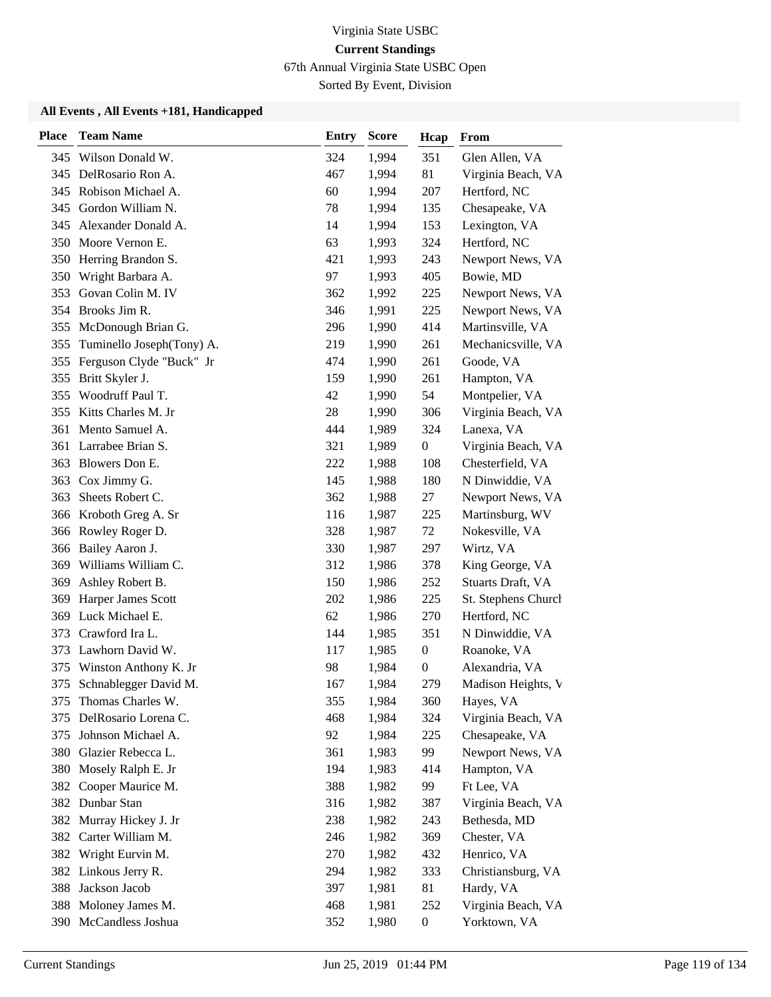67th Annual Virginia State USBC Open

Sorted By Event, Division

| <b>Place</b> | <b>Team Name</b>              | <b>Entry</b> | <b>Score</b> | Hcap             | From                |
|--------------|-------------------------------|--------------|--------------|------------------|---------------------|
|              | 345 Wilson Donald W.          | 324          | 1,994        | 351              | Glen Allen, VA      |
|              | 345 DelRosario Ron A.         | 467          | 1,994        | 81               | Virginia Beach, VA  |
| 345          | Robison Michael A.            | 60           | 1,994        | 207              | Hertford, NC        |
|              | 345 Gordon William N.         | 78           | 1,994        | 135              | Chesapeake, VA      |
| 345          | Alexander Donald A.           | 14           | 1,994        | 153              | Lexington, VA       |
| 350          | Moore Vernon E.               | 63           | 1,993        | 324              | Hertford, NC        |
|              | 350 Herring Brandon S.        | 421          | 1,993        | 243              | Newport News, VA    |
|              | 350 Wright Barbara A.         | 97           | 1,993        | 405              | Bowie, MD           |
| 353          | Govan Colin M. IV             | 362          | 1,992        | 225              | Newport News, VA    |
|              | 354 Brooks Jim R.             | 346          | 1,991        | 225              | Newport News, VA    |
|              | 355 McDonough Brian G.        | 296          | 1,990        | 414              | Martinsville, VA    |
|              | 355 Tuminello Joseph(Tony) A. | 219          | 1,990        | 261              | Mechanicsville, VA  |
| 355          | Ferguson Clyde "Buck" Jr      | 474          | 1,990        | 261              | Goode, VA           |
| 355          | Britt Skyler J.               | 159          | 1,990        | 261              | Hampton, VA         |
| 355          | Woodruff Paul T.              | 42           | 1,990        | 54               | Montpelier, VA      |
|              | 355 Kitts Charles M. Jr       | $28\,$       | 1,990        | 306              | Virginia Beach, VA  |
|              | 361 Mento Samuel A.           | 444          | 1,989        | 324              | Lanexa, VA          |
|              | 361 Larrabee Brian S.         | 321          | 1,989        | $\boldsymbol{0}$ | Virginia Beach, VA  |
| 363          | Blowers Don E.                | 222          | 1,988        | 108              | Chesterfield, VA    |
|              | 363 Cox Jimmy G.              | 145          | 1,988        | 180              | N Dinwiddie, VA     |
| 363          | Sheets Robert C.              | 362          | 1,988        | 27               | Newport News, VA    |
|              | 366 Kroboth Greg A. Sr        | 116          | 1,987        | 225              | Martinsburg, WV     |
|              | 366 Rowley Roger D.           | 328          | 1,987        | 72               | Nokesville, VA      |
|              | 366 Bailey Aaron J.           | 330          | 1,987        | 297              | Wirtz, VA           |
|              | 369 Williams William C.       | 312          | 1,986        | 378              | King George, VA     |
| 369          | Ashley Robert B.              | 150          | 1,986        | 252              | Stuarts Draft, VA   |
| 369          | Harper James Scott            | 202          | 1,986        | 225              | St. Stephens Church |
| 369          | Luck Michael E.               | 62           | 1,986        | 270              | Hertford, NC        |
| 373          | Crawford Ira L.               | 144          | 1,985        | 351              | N Dinwiddie, VA     |
| 373          | Lawhorn David W.              | 117          | 1,985        | $\boldsymbol{0}$ | Roanoke, VA         |
| 375          | Winston Anthony K. Jr         | 98           | 1,984        | $\boldsymbol{0}$ | Alexandria, VA      |
| 375          | Schnablegger David M.         | 167          | 1,984        | 279              | Madison Heights, V  |
| 375          | Thomas Charles W.             | 355          | 1,984        | 360              | Hayes, VA           |
| 375          | DelRosario Lorena C.          | 468          | 1,984        | 324              | Virginia Beach, VA  |
| 375          | Johnson Michael A.            | 92           | 1,984        | 225              | Chesapeake, VA      |
|              | 380 Glazier Rebecca L.        | 361          | 1,983        | 99               | Newport News, VA    |
|              | 380 Mosely Ralph E. Jr        | 194          | 1,983        | 414              | Hampton, VA         |
| 382          | Cooper Maurice M.             | 388          | 1,982        | 99               | Ft Lee, VA          |
|              | 382 Dunbar Stan               | 316          | 1,982        | 387              | Virginia Beach, VA  |
|              | 382 Murray Hickey J. Jr       | 238          | 1,982        | 243              | Bethesda, MD        |
|              | 382 Carter William M.         | 246          | 1,982        | 369              | Chester, VA         |
|              | 382 Wright Eurvin M.          | 270          | 1,982        | 432              | Henrico, VA         |
|              | 382 Linkous Jerry R.          | 294          | 1,982        | 333              | Christiansburg, VA  |
|              | 388 Jackson Jacob             | 397          | 1,981        | 81               | Hardy, VA           |
|              | 388 Moloney James M.          | 468          | 1,981        | 252              | Virginia Beach, VA  |
|              | 390 McCandless Joshua         | 352          | 1,980        | $\boldsymbol{0}$ | Yorktown, VA        |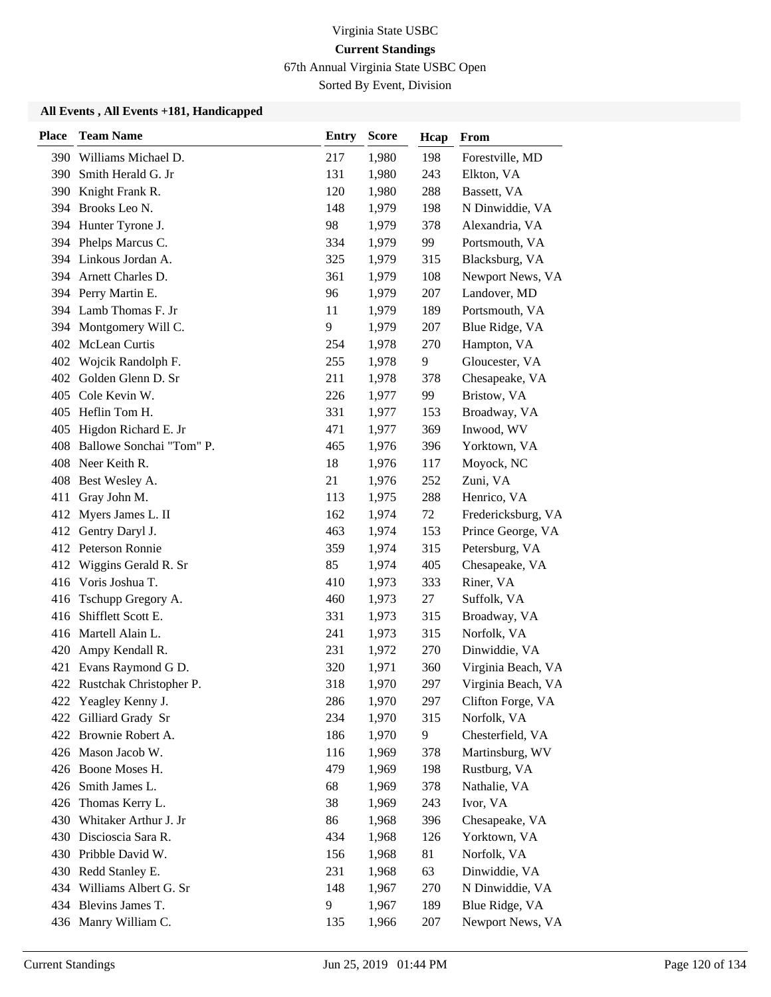67th Annual Virginia State USBC Open

Sorted By Event, Division

| <b>Place</b> | <b>Team Name</b>             | <b>Entry</b> | <b>Score</b> | Hcap | From               |
|--------------|------------------------------|--------------|--------------|------|--------------------|
|              | 390 Williams Michael D.      | 217          | 1,980        | 198  | Forestville, MD    |
|              | 390 Smith Herald G. Jr       | 131          | 1,980        | 243  | Elkton, VA         |
|              | 390 Knight Frank R.          | 120          | 1,980        | 288  | Bassett, VA        |
|              | 394 Brooks Leo N.            | 148          | 1,979        | 198  | N Dinwiddie, VA    |
|              | 394 Hunter Tyrone J.         | 98           | 1,979        | 378  | Alexandria, VA     |
| 394          | Phelps Marcus C.             | 334          | 1,979        | 99   | Portsmouth, VA     |
|              | 394 Linkous Jordan A.        | 325          | 1,979        | 315  | Blacksburg, VA     |
|              | 394 Arnett Charles D.        | 361          | 1,979        | 108  | Newport News, VA   |
|              | 394 Perry Martin E.          | 96           | 1,979        | 207  | Landover, MD       |
|              | 394 Lamb Thomas F. Jr        | 11           | 1,979        | 189  | Portsmouth, VA     |
|              | 394 Montgomery Will C.       | 9            | 1,979        | 207  | Blue Ridge, VA     |
|              | 402 McLean Curtis            | 254          | 1,978        | 270  | Hampton, VA        |
|              | 402 Wojcik Randolph F.       | 255          | 1,978        | 9    | Gloucester, VA     |
| 402          | Golden Glenn D. Sr           | 211          | 1,978        | 378  | Chesapeake, VA     |
| 405          | Cole Kevin W.                | 226          | 1,977        | 99   | Bristow, VA        |
|              | 405 Heflin Tom H.            | 331          | 1,977        | 153  | Broadway, VA       |
|              | 405 Higdon Richard E. Jr     | 471          | 1,977        | 369  | Inwood, WV         |
|              | 408 Ballowe Sonchai "Tom" P. | 465          | 1,976        | 396  | Yorktown, VA       |
|              | 408 Neer Keith R.            | 18           | 1,976        | 117  | Moyock, NC         |
|              | 408 Best Wesley A.           | 21           | 1,976        | 252  | Zuni, VA           |
| 411          | Gray John M.                 | 113          | 1,975        | 288  | Henrico, VA        |
| 412          | Myers James L. II            | 162          | 1,974        | 72   | Fredericksburg, VA |
| 412          | Gentry Daryl J.              | 463          | 1,974        | 153  | Prince George, VA  |
|              | 412 Peterson Ronnie          | 359          | 1,974        | 315  | Petersburg, VA     |
| 412          | Wiggins Gerald R. Sr         | 85           | 1,974        | 405  | Chesapeake, VA     |
|              | 416 Voris Joshua T.          | 410          | 1,973        | 333  | Riner, VA          |
| 416          | Tschupp Gregory A.           | 460          | 1,973        | 27   | Suffolk, VA        |
| 416          | Shifflett Scott E.           | 331          | 1,973        | 315  | Broadway, VA       |
|              | 416 Martell Alain L.         | 241          | 1,973        | 315  | Norfolk, VA        |
| 420          | Ampy Kendall R.              | 231          | 1,972        | 270  | Dinwiddie, VA      |
| 421          | Evans Raymond G D.           | 320          | 1,971        | 360  | Virginia Beach, VA |
|              | 422 Rustchak Christopher P.  | 318          | 1,970        | 297  | Virginia Beach, VA |
|              | 422 Yeagley Kenny J.         | 286          | 1,970        | 297  | Clifton Forge, VA  |
| 422          | Gilliard Grady Sr            | 234          | 1,970        | 315  | Norfolk, VA        |
|              | 422 Brownie Robert A.        | 186          | 1,970        | 9    | Chesterfield, VA   |
|              | 426 Mason Jacob W.           | 116          | 1,969        | 378  | Martinsburg, WV    |
|              | 426 Boone Moses H.           | 479          | 1,969        | 198  | Rustburg, VA       |
|              | 426 Smith James L.           | 68           | 1,969        | 378  | Nathalie, VA       |
| 426          | Thomas Kerry L.              | 38           | 1,969        | 243  | Ivor, VA           |
|              | 430 Whitaker Arthur J. Jr    | 86           | 1,968        | 396  | Chesapeake, VA     |
|              | 430 Discioscia Sara R.       | 434          | 1,968        | 126  | Yorktown, VA       |
|              | 430 Pribble David W.         | 156          | 1,968        | 81   | Norfolk, VA        |
|              | 430 Redd Stanley E.          | 231          | 1,968        | 63   | Dinwiddie, VA      |
|              | 434 Williams Albert G. Sr    | 148          | 1,967        | 270  | N Dinwiddie, VA    |
|              | 434 Blevins James T.         | 9            | 1,967        | 189  | Blue Ridge, VA     |
|              | 436 Manry William C.         | 135          | 1,966        | 207  | Newport News, VA   |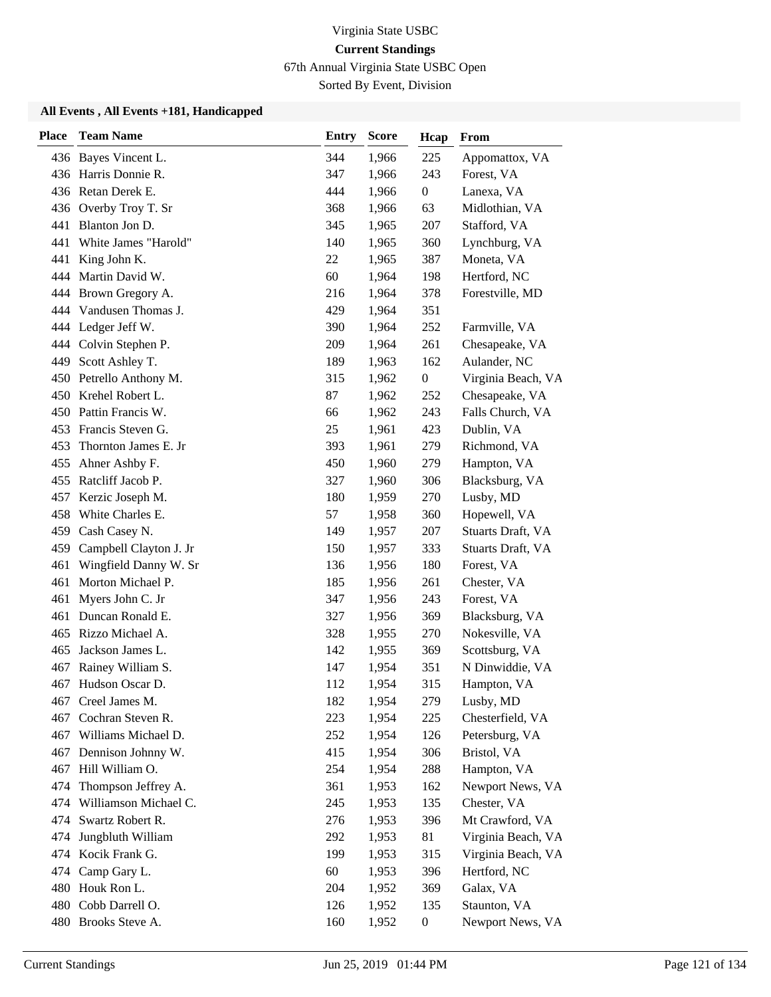67th Annual Virginia State USBC Open

Sorted By Event, Division

| <b>Place</b> | <b>Team Name</b>           | <b>Entry</b> | <b>Score</b> | Hcap             | From               |
|--------------|----------------------------|--------------|--------------|------------------|--------------------|
|              | 436 Bayes Vincent L.       | 344          | 1,966        | 225              | Appomattox, VA     |
|              | 436 Harris Donnie R.       | 347          | 1,966        | 243              | Forest, VA         |
|              | 436 Retan Derek E.         | 444          | 1,966        | $\boldsymbol{0}$ | Lanexa, VA         |
|              | 436 Overby Troy T. Sr      | 368          | 1,966        | 63               | Midlothian, VA     |
| 441          | Blanton Jon D.             | 345          | 1,965        | 207              | Stafford, VA       |
| 441          | White James "Harold"       | 140          | 1,965        | 360              | Lynchburg, VA      |
| 441          | King John K.               | 22           | 1,965        | 387              | Moneta, VA         |
|              | 444 Martin David W.        | 60           | 1,964        | 198              | Hertford, NC       |
|              | 444 Brown Gregory A.       | 216          | 1,964        | 378              | Forestville, MD    |
| 444          | Vandusen Thomas J.         | 429          | 1,964        | 351              |                    |
|              | 444 Ledger Jeff W.         | 390          | 1,964        | 252              | Farmville, VA      |
|              | 444 Colvin Stephen P.      | 209          | 1,964        | 261              | Chesapeake, VA     |
| 449          | Scott Ashley T.            | 189          | 1,963        | 162              | Aulander, NC       |
|              | 450 Petrello Anthony M.    | 315          | 1,962        | $\boldsymbol{0}$ | Virginia Beach, VA |
|              | 450 Krehel Robert L.       | 87           | 1,962        | 252              | Chesapeake, VA     |
|              | 450 Pattin Francis W.      | 66           | 1,962        | 243              | Falls Church, VA   |
| 453          | Francis Steven G.          | 25           | 1,961        | 423              | Dublin, VA         |
| 453          | Thornton James E. Jr       | 393          | 1,961        | 279              | Richmond, VA       |
| 455          | Ahner Ashby F.             | 450          | 1,960        | 279              | Hampton, VA        |
| 455          | Ratcliff Jacob P.          | 327          | 1,960        | 306              | Blacksburg, VA     |
| 457          | Kerzic Joseph M.           | 180          | 1,959        | 270              | Lusby, MD          |
| 458          | White Charles E.           | 57           | 1,958        | 360              | Hopewell, VA       |
| 459          | Cash Casey N.              | 149          | 1,957        | 207              | Stuarts Draft, VA  |
|              | 459 Campbell Clayton J. Jr | 150          | 1,957        | 333              | Stuarts Draft, VA  |
| 461          | Wingfield Danny W. Sr      | 136          | 1,956        | 180              | Forest, VA         |
| 461          | Morton Michael P.          | 185          | 1,956        | 261              | Chester, VA        |
| 461          | Myers John C. Jr           | 347          | 1,956        | 243              | Forest, VA         |
|              | 461 Duncan Ronald E.       | 327          | 1,956        | 369              | Blacksburg, VA     |
| 465          | Rizzo Michael A.           | 328          | 1,955        | 270              | Nokesville, VA     |
| 465          | Jackson James L.           | 142          | 1,955        | 369              | Scottsburg, VA     |
| 467          | Rainey William S.          | 147          | 1,954        | 351              | N Dinwiddie, VA    |
| 467          | Hudson Oscar D.            | 112          | 1,954        | 315              | Hampton, VA        |
| 467          | Creel James M.             | 182          | 1,954        | 279              | Lusby, MD          |
| 467          | Cochran Steven R.          | 223          | 1,954        | 225              | Chesterfield, VA   |
| 467          | Williams Michael D.        | 252          | 1,954        | 126              | Petersburg, VA     |
| 467          | Dennison Johnny W.         | 415          | 1,954        | 306              | Bristol, VA        |
| 467          | Hill William O.            | 254          | 1,954        | 288              | Hampton, VA        |
| 474          | Thompson Jeffrey A.        | 361          | 1,953        | 162              | Newport News, VA   |
| 474          | Williamson Michael C.      | 245          | 1,953        | 135              | Chester, VA        |
| 474          | Swartz Robert R.           | 276          | 1,953        | 396              | Mt Crawford, VA    |
| 474          | Jungbluth William          | 292          | 1,953        | 81               | Virginia Beach, VA |
|              | 474 Kocik Frank G.         | 199          | 1,953        | 315              | Virginia Beach, VA |
| 474          | Camp Gary L.               | 60           | 1,953        | 396              | Hertford, NC       |
|              | 480 Houk Ron L.            | 204          | 1,952        | 369              | Galax, VA          |
|              | 480 Cobb Darrell O.        | 126          | 1,952        | 135              | Staunton, VA       |
|              | 480 Brooks Steve A.        | 160          | 1,952        | $\boldsymbol{0}$ | Newport News, VA   |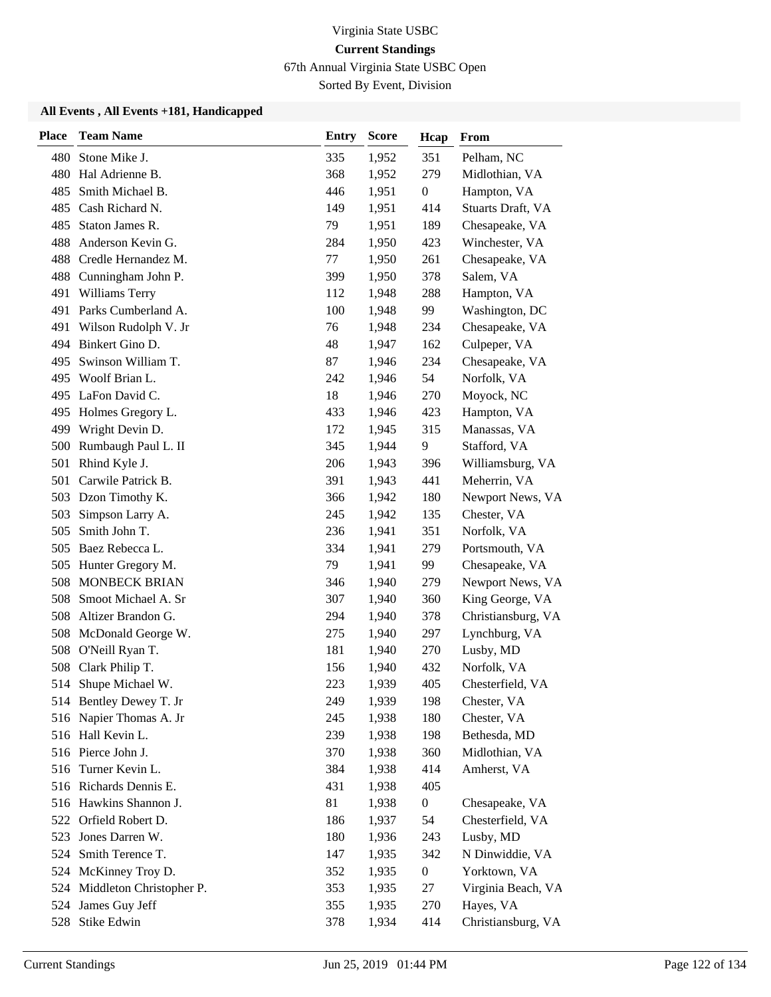67th Annual Virginia State USBC Open

Sorted By Event, Division

| <b>Place</b> | <b>Team Name</b>             | <b>Entry</b> | <b>Score</b> | Hcap             | From               |
|--------------|------------------------------|--------------|--------------|------------------|--------------------|
| 480          | Stone Mike J.                | 335          | 1,952        | 351              | Pelham, NC         |
| 480          | Hal Adrienne B.              | 368          | 1,952        | 279              | Midlothian, VA     |
| 485          | Smith Michael B.             | 446          | 1,951        | $\boldsymbol{0}$ | Hampton, VA        |
| 485          | Cash Richard N.              | 149          | 1,951        | 414              | Stuarts Draft, VA  |
| 485          | Staton James R.              | 79           | 1,951        | 189              | Chesapeake, VA     |
| 488          | Anderson Kevin G.            | 284          | 1,950        | 423              | Winchester, VA     |
| 488          | Credle Hernandez M.          | 77           | 1,950        | 261              | Chesapeake, VA     |
| 488          | Cunningham John P.           | 399          | 1,950        | 378              | Salem, VA          |
| 491          | Williams Terry               | 112          | 1,948        | 288              | Hampton, VA        |
| 491          | Parks Cumberland A.          | 100          | 1,948        | 99               | Washington, DC     |
| 491          | Wilson Rudolph V. Jr         | 76           | 1,948        | 234              | Chesapeake, VA     |
|              | 494 Binkert Gino D.          | 48           | 1,947        | 162              | Culpeper, VA       |
| 495          | Swinson William T.           | 87           | 1,946        | 234              | Chesapeake, VA     |
| 495          | Woolf Brian L.               | 242          | 1,946        | 54               | Norfolk, VA        |
| 495          | LaFon David C.               | 18           | 1,946        | 270              | Moyock, NC         |
| 495          | Holmes Gregory L.            | 433          | 1,946        | 423              | Hampton, VA        |
| 499          | Wright Devin D.              | 172          | 1,945        | 315              | Manassas, VA       |
| 500          | Rumbaugh Paul L. II          | 345          | 1,944        | 9                | Stafford, VA       |
| 501          | Rhind Kyle J.                | 206          | 1,943        | 396              | Williamsburg, VA   |
| 501          | Carwile Patrick B.           | 391          | 1,943        | 441              | Meherrin, VA       |
| 503          | Dzon Timothy K.              | 366          | 1,942        | 180              | Newport News, VA   |
| 503          | Simpson Larry A.             | 245          | 1,942        | 135              | Chester, VA        |
| 505          | Smith John T.                | 236          | 1,941        | 351              | Norfolk, VA        |
| 505          | Baez Rebecca L.              | 334          | 1,941        | 279              | Portsmouth, VA     |
| 505          | Hunter Gregory M.            | 79           | 1,941        | 99               | Chesapeake, VA     |
| 508          | <b>MONBECK BRIAN</b>         | 346          | 1,940        | 279              | Newport News, VA   |
| 508          | Smoot Michael A. Sr          | 307          | 1,940        | 360              | King George, VA    |
| 508          | Altizer Brandon G.           | 294          | 1,940        | 378              | Christiansburg, VA |
| 508          | McDonald George W.           | 275          | 1,940        | 297              | Lynchburg, VA      |
| 508          | O'Neill Ryan T.              | 181          | 1,940        | 270              | Lusby, MD          |
| 508          | Clark Philip T.              | 156          | 1,940        | 432              | Norfolk, VA        |
|              | 514 Shupe Michael W.         | 223          | 1,939        | 405              | Chesterfield, VA   |
|              | 514 Bentley Dewey T. Jr      | 249          | 1,939        | 198              | Chester, VA        |
|              | 516 Napier Thomas A. Jr      | 245          | 1,938        | 180              | Chester, VA        |
|              | 516 Hall Kevin L.            | 239          | 1,938        | 198              | Bethesda, MD       |
|              | 516 Pierce John J.           | 370          | 1,938        | 360              | Midlothian, VA     |
|              | 516 Turner Kevin L.          | 384          | 1,938        | 414              | Amherst, VA        |
|              | 516 Richards Dennis E.       | 431          | 1,938        | 405              |                    |
|              | 516 Hawkins Shannon J.       | 81           | 1,938        | $\boldsymbol{0}$ | Chesapeake, VA     |
|              | 522 Orfield Robert D.        | 186          | 1,937        | 54               | Chesterfield, VA   |
| 523          | Jones Darren W.              | 180          | 1,936        | 243              | Lusby, MD          |
| 524          | Smith Terence T.             | 147          | 1,935        | 342              | N Dinwiddie, VA    |
| 524          | McKinney Troy D.             | 352          | 1,935        | $\boldsymbol{0}$ | Yorktown, VA       |
|              | 524 Middleton Christopher P. | 353          | 1,935        | 27               | Virginia Beach, VA |
| 524          | James Guy Jeff               | 355          | 1,935        | 270              | Hayes, VA          |
|              | 528 Stike Edwin              | 378          | 1,934        | 414              | Christiansburg, VA |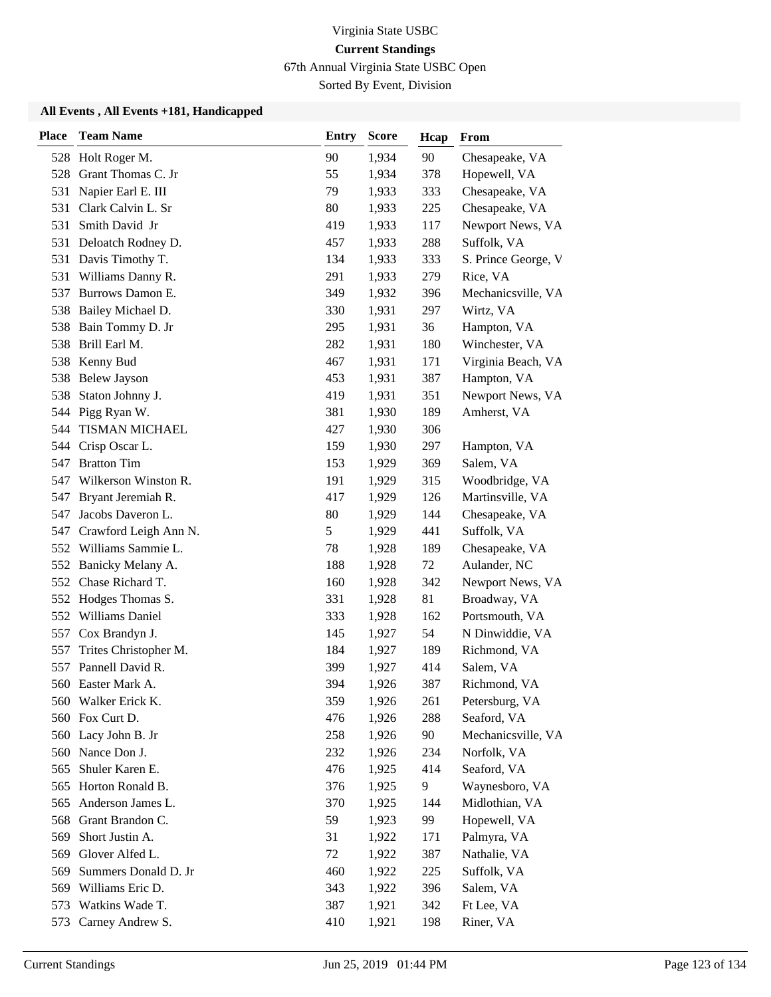67th Annual Virginia State USBC Open

Sorted By Event, Division

| <b>Place</b> | <b>Team Name</b>      | <b>Entry</b> | <b>Score</b> | Hcap | From                |
|--------------|-----------------------|--------------|--------------|------|---------------------|
| 528          | Holt Roger M.         | 90           | 1,934        | 90   | Chesapeake, VA      |
| 528          | Grant Thomas C. Jr    | 55           | 1,934        | 378  | Hopewell, VA        |
| 531          | Napier Earl E. III    | 79           | 1,933        | 333  | Chesapeake, VA      |
| 531          | Clark Calvin L. Sr    | 80           | 1,933        | 225  | Chesapeake, VA      |
| 531          | Smith David Jr        | 419          | 1,933        | 117  | Newport News, VA    |
| 531          | Deloatch Rodney D.    | 457          | 1,933        | 288  | Suffolk, VA         |
| 531          | Davis Timothy T.      | 134          | 1,933        | 333  | S. Prince George, V |
| 531          | Williams Danny R.     | 291          | 1,933        | 279  | Rice, VA            |
| 537          | Burrows Damon E.      | 349          | 1,932        | 396  | Mechanicsville, VA  |
| 538          | Bailey Michael D.     | 330          | 1,931        | 297  | Wirtz, VA           |
| 538          | Bain Tommy D. Jr      | 295          | 1,931        | 36   | Hampton, VA         |
| 538          | Brill Earl M.         | 282          | 1,931        | 180  | Winchester, VA      |
| 538          | Kenny Bud             | 467          | 1,931        | 171  | Virginia Beach, VA  |
| 538          | <b>Belew Jayson</b>   | 453          | 1,931        | 387  | Hampton, VA         |
| 538          | Staton Johnny J.      | 419          | 1,931        | 351  | Newport News, VA    |
|              | 544 Pigg Ryan W.      | 381          | 1,930        | 189  | Amherst, VA         |
| 544          | TISMAN MICHAEL        | 427          | 1,930        | 306  |                     |
| 544          | Crisp Oscar L.        | 159          | 1,930        | 297  | Hampton, VA         |
| 547          | <b>Bratton Tim</b>    | 153          | 1,929        | 369  | Salem, VA           |
| 547          | Wilkerson Winston R.  | 191          | 1,929        | 315  | Woodbridge, VA      |
| 547          | Bryant Jeremiah R.    | 417          | 1,929        | 126  | Martinsville, VA    |
| 547          | Jacobs Daveron L.     | 80           | 1,929        | 144  | Chesapeake, VA      |
| 547          | Crawford Leigh Ann N. | 5            | 1,929        | 441  | Suffolk, VA         |
| 552          | Williams Sammie L.    | 78           | 1,928        | 189  | Chesapeake, VA      |
| 552          | Banicky Melany A.     | 188          | 1,928        | 72   | Aulander, NC        |
| 552          | Chase Richard T.      | 160          | 1,928        | 342  | Newport News, VA    |
| 552          | Hodges Thomas S.      | 331          | 1,928        | 81   | Broadway, VA        |
| 552          | Williams Daniel       | 333          | 1,928        | 162  | Portsmouth, VA      |
| 557          | Cox Brandyn J.        | 145          | 1,927        | 54   | N Dinwiddie, VA     |
| 557          | Trites Christopher M. | 184          | 1,927        | 189  | Richmond, VA        |
| 557          | Pannell David R.      | 399          | 1,927        | 414  | Salem, VA           |
|              | 560 Easter Mark A.    | 394          | 1,926        | 387  | Richmond, VA        |
|              | 560 Walker Erick K.   | 359          | 1,926        | 261  | Petersburg, VA      |
|              | 560 Fox Curt D.       | 476          | 1,926        | 288  | Seaford, VA         |
| 560          | Lacy John B. Jr       | 258          | 1,926        | 90   | Mechanicsville, VA  |
|              | 560 Nance Don J.      | 232          | 1,926        | 234  | Norfolk, VA         |
| 565          | Shuler Karen E.       | 476          | 1,925        | 414  | Seaford, VA         |
| 565          | Horton Ronald B.      | 376          | 1,925        | 9    | Waynesboro, VA      |
| 565          | Anderson James L.     | 370          | 1,925        | 144  | Midlothian, VA      |
| 568          | Grant Brandon C.      | 59           | 1,923        | 99   | Hopewell, VA        |
| 569          | Short Justin A.       | 31           | 1,922        | 171  | Palmyra, VA         |
| 569          | Glover Alfed L.       | 72           | 1,922        | 387  | Nathalie, VA        |
| 569          | Summers Donald D. Jr  | 460          | 1,922        | 225  | Suffolk, VA         |
|              | 569 Williams Eric D.  | 343          | 1,922        | 396  | Salem, VA           |
| 573          | Watkins Wade T.       | 387          | 1,921        | 342  | Ft Lee, VA          |
| 573          | Carney Andrew S.      | 410          | 1,921        | 198  | Riner, VA           |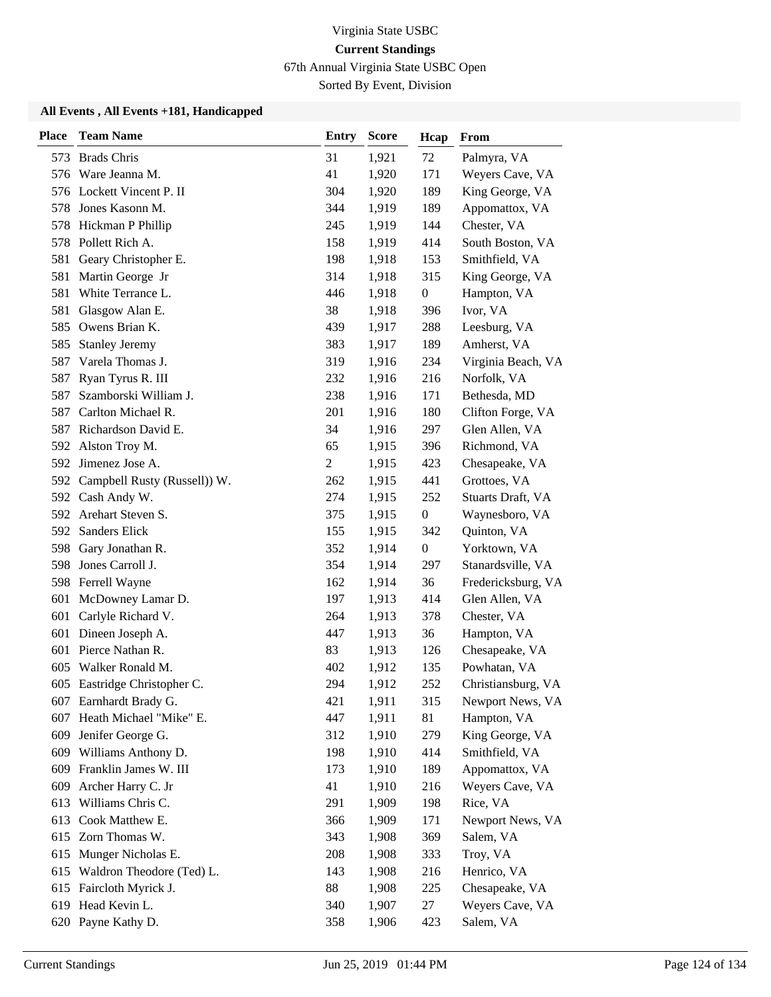67th Annual Virginia State USBC Open

Sorted By Event, Division

| <b>Place</b> | <b>Team Name</b>                 | Entry | <b>Score</b> | Hcap             | From               |
|--------------|----------------------------------|-------|--------------|------------------|--------------------|
| 573          | <b>Brads Chris</b>               | 31    | 1,921        | 72               | Palmyra, VA        |
|              | 576 Ware Jeanna M.               | 41    | 1,920        | 171              | Weyers Cave, VA    |
|              | 576 Lockett Vincent P. II        | 304   | 1,920        | 189              | King George, VA    |
| 578          | Jones Kasonn M.                  | 344   | 1,919        | 189              | Appomattox, VA     |
| 578          | Hickman P Phillip                | 245   | 1,919        | 144              | Chester, VA        |
| 578          | Pollett Rich A.                  | 158   | 1,919        | 414              | South Boston, VA   |
| 581          | Geary Christopher E.             | 198   | 1,918        | 153              | Smithfield, VA     |
| 581          | Martin George Jr                 | 314   | 1,918        | 315              | King George, VA    |
| 581          | White Terrance L.                | 446   | 1,918        | $\boldsymbol{0}$ | Hampton, VA        |
| 581          | Glasgow Alan E.                  | 38    | 1,918        | 396              | Ivor, VA           |
| 585          | Owens Brian K.                   | 439   | 1,917        | 288              | Leesburg, VA       |
| 585          | <b>Stanley Jeremy</b>            | 383   | 1,917        | 189              | Amherst, VA        |
| 587          | Varela Thomas J.                 | 319   | 1,916        | 234              | Virginia Beach, VA |
| 587          | Ryan Tyrus R. III                | 232   | 1,916        | 216              | Norfolk, VA        |
| 587          | Szamborski William J.            | 238   | 1,916        | 171              | Bethesda, MD       |
|              | 587 Carlton Michael R.           | 201   | 1,916        | 180              | Clifton Forge, VA  |
|              | 587 Richardson David E.          | 34    | 1,916        | 297              | Glen Allen, VA     |
| 592          | Alston Troy M.                   | 65    | 1,915        | 396              | Richmond, VA       |
|              | 592 Jimenez Jose A.              | 2     | 1,915        | 423              | Chesapeake, VA     |
|              | 592 Campbell Rusty (Russell)) W. | 262   | 1,915        | 441              | Grottoes, VA       |
|              | 592 Cash Andy W.                 | 274   | 1,915        | 252              | Stuarts Draft, VA  |
| 592          | Arehart Steven S.                | 375   | 1,915        | $\boldsymbol{0}$ | Waynesboro, VA     |
| 592          | Sanders Elick                    | 155   | 1,915        | 342              | Quinton, VA        |
|              | 598 Gary Jonathan R.             | 352   | 1,914        | $\boldsymbol{0}$ | Yorktown, VA       |
| 598          | Jones Carroll J.                 | 354   | 1,914        | 297              | Stanardsville, VA  |
|              | 598 Ferrell Wayne                | 162   | 1,914        | 36               | Fredericksburg, VA |
| 601          | McDowney Lamar D.                | 197   | 1,913        | 414              | Glen Allen, VA     |
|              | 601 Carlyle Richard V.           | 264   | 1,913        | 378              | Chester, VA        |
| 601          | Dineen Joseph A.                 | 447   | 1,913        | 36               | Hampton, VA        |
| 601          | Pierce Nathan R.                 | 83    | 1,913        | 126              | Chesapeake, VA     |
| 605          | Walker Ronald M.                 | 402   | 1,912        | 135              | Powhatan, VA       |
|              | 605 Eastridge Christopher C.     | 294   | 1,912        | 252              | Christiansburg, VA |
|              | 607 Earnhardt Brady G.           | 421   | 1,911        | 315              | Newport News, VA   |
| 607          | Heath Michael "Mike" E.          | 447   | 1,911        | 81               | Hampton, VA        |
| 609          | Jenifer George G.                | 312   | 1,910        | 279              | King George, VA    |
|              | 609 Williams Anthony D.          | 198   | 1,910        | 414              | Smithfield, VA     |
|              | 609 Franklin James W. III        | 173   | 1,910        | 189              | Appomattox, VA     |
| 609          | Archer Harry C. Jr               | 41    | 1,910        | 216              | Weyers Cave, VA    |
| 613          | Williams Chris C.                | 291   | 1,909        | 198              | Rice, VA           |
|              | 613 Cook Matthew E.              | 366   | 1,909        | 171              | Newport News, VA   |
|              | 615 Zorn Thomas W.               | 343   | 1,908        | 369              | Salem, VA          |
| 615          | Munger Nicholas E.               | 208   | 1,908        | 333              | Troy, VA           |
| 615          | Waldron Theodore (Ted) L.        | 143   | 1,908        | 216              | Henrico, VA        |
|              | 615 Faircloth Myrick J.          | 88    | 1,908        | 225              | Chesapeake, VA     |
|              | 619 Head Kevin L.                | 340   | 1,907        | 27               | Weyers Cave, VA    |
|              | 620 Payne Kathy D.               | 358   | 1,906        | 423              | Salem, VA          |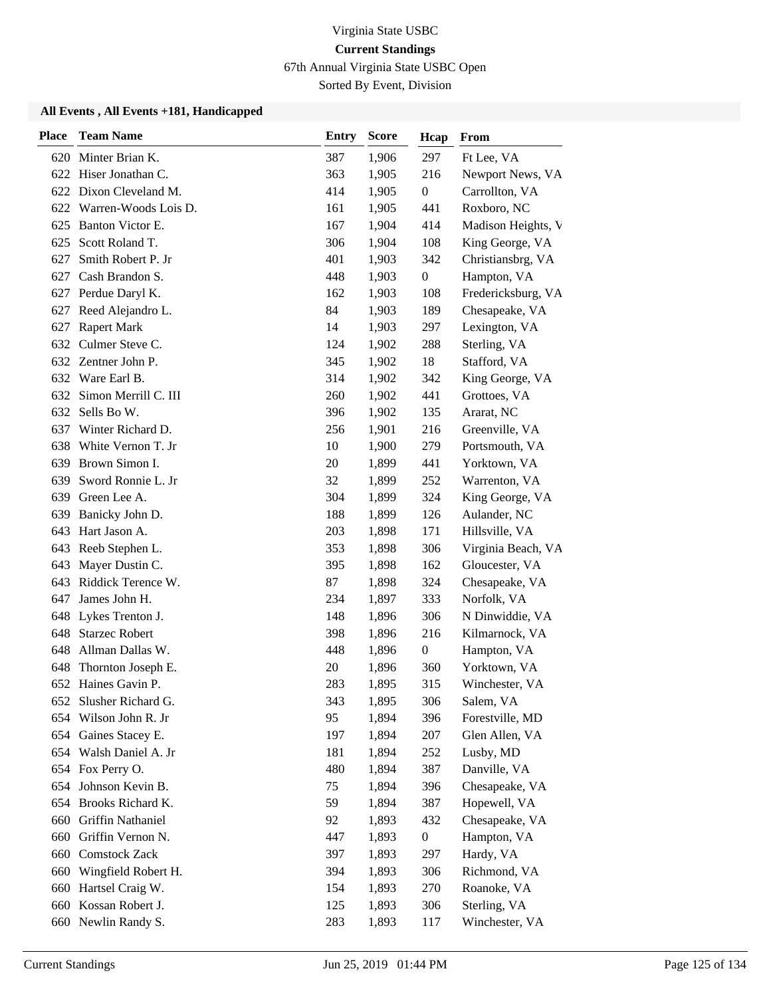67th Annual Virginia State USBC Open

Sorted By Event, Division

| <b>Place</b> | <b>Team Name</b>         | <b>Entry</b> | <b>Score</b> | Hcap             | From               |
|--------------|--------------------------|--------------|--------------|------------------|--------------------|
| 620          | Minter Brian K.          | 387          | 1,906        | 297              | Ft Lee, VA         |
| 622          | Hiser Jonathan C.        | 363          | 1,905        | 216              | Newport News, VA   |
|              | 622 Dixon Cleveland M.   | 414          | 1,905        | $\boldsymbol{0}$ | Carrollton, VA     |
|              | 622 Warren-Woods Lois D. | 161          | 1,905        | 441              | Roxboro, NC        |
| 625          | Banton Victor E.         | 167          | 1,904        | 414              | Madison Heights, V |
| 625          | Scott Roland T.          | 306          | 1,904        | 108              | King George, VA    |
| 627          | Smith Robert P. Jr       | 401          | 1,903        | 342              | Christiansbrg, VA  |
|              | 627 Cash Brandon S.      | 448          | 1,903        | $\boldsymbol{0}$ | Hampton, VA        |
| 627          | Perdue Daryl K.          | 162          | 1,903        | 108              | Fredericksburg, VA |
| 627          | Reed Alejandro L.        | 84           | 1,903        | 189              | Chesapeake, VA     |
| 627          | <b>Rapert Mark</b>       | 14           | 1,903        | 297              | Lexington, VA      |
|              | 632 Culmer Steve C.      | 124          | 1,902        | 288              | Sterling, VA       |
|              | 632 Zentner John P.      | 345          | 1,902        | 18               | Stafford, VA       |
| 632          | Ware Earl B.             | 314          | 1,902        | 342              | King George, VA    |
| 632          | Simon Merrill C. III     | 260          | 1,902        | 441              | Grottoes, VA       |
|              | 632 Sells Bo W.          | 396          | 1,902        | 135              | Ararat, NC         |
| 637          | Winter Richard D.        | 256          | 1,901        | 216              | Greenville, VA     |
| 638          | White Vernon T. Jr       | 10           | 1,900        | 279              | Portsmouth, VA     |
| 639          | Brown Simon I.           | 20           | 1,899        | 441              | Yorktown, VA       |
| 639          | Sword Ronnie L. Jr       | 32           | 1,899        | 252              | Warrenton, VA      |
| 639          | Green Lee A.             | 304          | 1,899        | 324              | King George, VA    |
| 639          | Banicky John D.          | 188          | 1,899        | 126              | Aulander, NC       |
| 643          | Hart Jason A.            | 203          | 1,898        | 171              | Hillsville, VA     |
|              | 643 Reeb Stephen L.      | 353          | 1,898        | 306              | Virginia Beach, VA |
| 643          | Mayer Dustin C.          | 395          | 1,898        | 162              | Gloucester, VA     |
| 643          | Riddick Terence W.       | 87           | 1,898        | 324              | Chesapeake, VA     |
| 647          | James John H.            | 234          | 1,897        | 333              | Norfolk, VA        |
|              | 648 Lykes Trenton J.     | 148          | 1,896        | 306              | N Dinwiddie, VA    |
| 648          | <b>Starzec Robert</b>    | 398          | 1,896        | 216              | Kilmarnock, VA     |
| 648          | Allman Dallas W.         | 448          | 1,896        | $\boldsymbol{0}$ | Hampton, VA        |
| 648          | Thornton Joseph E.       | 20           | 1,896        | 360              | Yorktown, VA       |
|              | 652 Haines Gavin P.      | 283          | 1,895        | 315              | Winchester, VA     |
| 652          | Slusher Richard G.       | 343          | 1,895        | 306              | Salem, VA          |
| 654          | Wilson John R. Jr        | 95           | 1,894        | 396              | Forestville, MD    |
| 654          | Gaines Stacey E.         | 197          | 1,894        | 207              | Glen Allen, VA     |
|              | 654 Walsh Daniel A. Jr   | 181          | 1,894        | 252              | Lusby, MD          |
|              | 654 Fox Perry O.         | 480          | 1,894        | 387              | Danville, VA       |
| 654          | Johnson Kevin B.         | 75           | 1,894        | 396              | Chesapeake, VA     |
| 654          | Brooks Richard K.        | 59           | 1,894        | 387              | Hopewell, VA       |
|              | 660 Griffin Nathaniel    | 92           | 1,893        | 432              | Chesapeake, VA     |
|              | 660 Griffin Vernon N.    | 447          | 1,893        | $\boldsymbol{0}$ | Hampton, VA        |
|              | 660 Comstock Zack        | 397          | 1,893        | 297              | Hardy, VA          |
| 660          | Wingfield Robert H.      | 394          | 1,893        | 306              | Richmond, VA       |
| 660          | Hartsel Craig W.         | 154          | 1,893        | 270              | Roanoke, VA        |
| 660          | Kossan Robert J.         | 125          | 1,893        | 306              | Sterling, VA       |
|              | 660 Newlin Randy S.      | 283          | 1,893        | 117              | Winchester, VA     |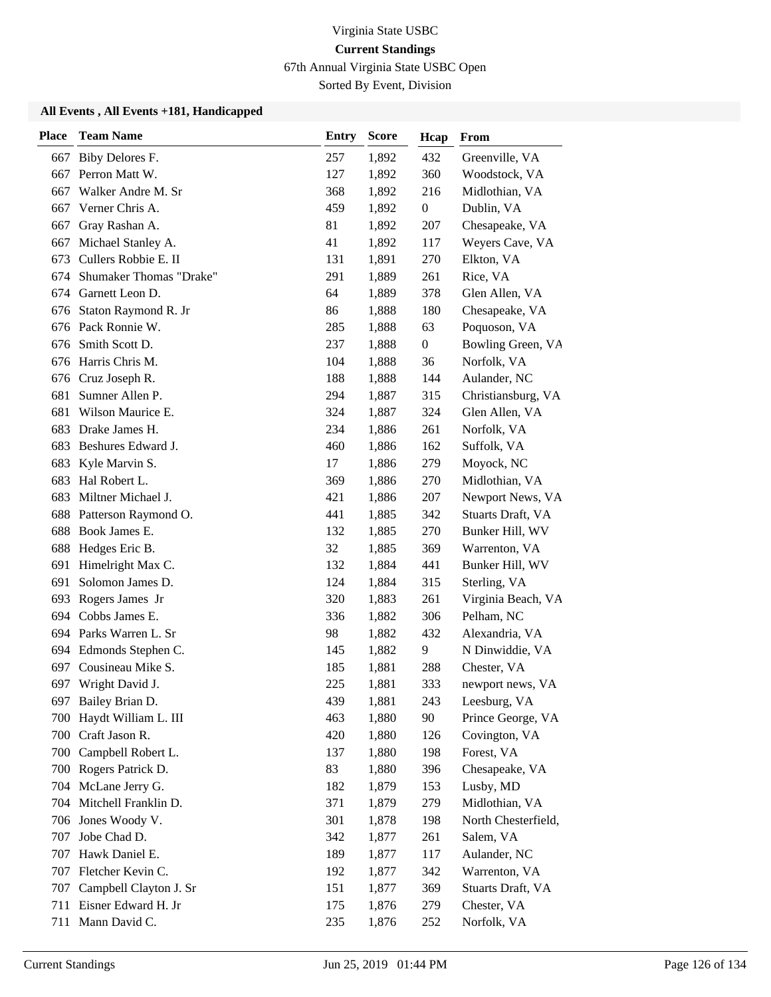67th Annual Virginia State USBC Open

Sorted By Event, Division

| <b>Place</b> | <b>Team Name</b>           | <b>Entry</b> | <b>Score</b> | Hcap             | From                |
|--------------|----------------------------|--------------|--------------|------------------|---------------------|
| 667          | Biby Delores F.            | 257          | 1,892        | 432              | Greenville, VA      |
| 667          | Perron Matt W.             | 127          | 1,892        | 360              | Woodstock, VA       |
| 667          | Walker Andre M. Sr         | 368          | 1,892        | 216              | Midlothian, VA      |
| 667          | Verner Chris A.            | 459          | 1,892        | $\boldsymbol{0}$ | Dublin, VA          |
| 667          | Gray Rashan A.             | 81           | 1,892        | 207              | Chesapeake, VA      |
| 667          | Michael Stanley A.         | 41           | 1,892        | 117              | Weyers Cave, VA     |
| 673          | Cullers Robbie E. II       | 131          | 1,891        | 270              | Elkton, VA          |
| 674          | Shumaker Thomas "Drake"    | 291          | 1,889        | 261              | Rice, VA            |
|              | 674 Garnett Leon D.        | 64           | 1,889        | 378              | Glen Allen, VA      |
| 676          | Staton Raymond R. Jr       | 86           | 1,888        | 180              | Chesapeake, VA      |
| 676          | Pack Ronnie W.             | 285          | 1,888        | 63               | Poquoson, VA        |
| 676          | Smith Scott D.             | 237          | 1,888        | $\boldsymbol{0}$ | Bowling Green, VA   |
| 676          | Harris Chris M.            | 104          | 1,888        | 36               | Norfolk, VA         |
| 676          | Cruz Joseph R.             | 188          | 1,888        | 144              | Aulander, NC        |
| 681          | Sumner Allen P.            | 294          | 1,887        | 315              | Christiansburg, VA  |
| 681          | Wilson Maurice E.          | 324          | 1,887        | 324              | Glen Allen, VA      |
| 683          | Drake James H.             | 234          | 1,886        | 261              | Norfolk, VA         |
| 683          | Beshures Edward J.         | 460          | 1,886        | 162              | Suffolk, VA         |
| 683          | Kyle Marvin S.             | 17           | 1,886        | 279              | Moyock, NC          |
| 683          | Hal Robert L.              | 369          | 1,886        | 270              | Midlothian, VA      |
| 683          | Miltner Michael J.         | 421          | 1,886        | 207              | Newport News, VA    |
| 688          | Patterson Raymond O.       | 441          | 1,885        | 342              | Stuarts Draft, VA   |
| 688          | Book James E.              | 132          | 1,885        | 270              | Bunker Hill, WV     |
|              | 688 Hedges Eric B.         | 32           | 1,885        | 369              | Warrenton, VA       |
| 691          | Himelright Max C.          | 132          | 1,884        | 441              | Bunker Hill, WV     |
| 691          | Solomon James D.           | 124          | 1,884        | 315              | Sterling, VA        |
| 693          | Rogers James Jr            | 320          | 1,883        | 261              | Virginia Beach, VA  |
|              | 694 Cobbs James E.         | 336          | 1,882        | 306              | Pelham, NC          |
|              | 694 Parks Warren L. Sr     | 98           | 1,882        | 432              | Alexandria, VA      |
| 694          | Edmonds Stephen C.         | 145          | 1,882        | 9                | N Dinwiddie, VA     |
| 697          | Cousineau Mike S.          | 185          | 1,881        | 288              | Chester, VA         |
|              | 697 Wright David J.        | 225          | 1,881        | 333              | newport news, VA    |
|              | 697 Bailey Brian D.        | 439          | 1,881        | 243              | Leesburg, VA        |
| 700          | Haydt William L. III       | 463          | 1,880        | 90               | Prince George, VA   |
| 700          | Craft Jason R.             | 420          | 1,880        | 126              | Covington, VA       |
|              | 700 Campbell Robert L.     | 137          | 1,880        | 198              | Forest, VA          |
|              | 700 Rogers Patrick D.      | 83           | 1,880        | 396              | Chesapeake, VA      |
|              | 704 McLane Jerry G.        | 182          | 1,879        | 153              | Lusby, MD           |
| 704          | Mitchell Franklin D.       | 371          | 1,879        | 279              | Midlothian, VA      |
|              | 706 Jones Woody V.         | 301          | 1,878        | 198              | North Chesterfield, |
| 707          | Jobe Chad D.               | 342          | 1,877        | 261              | Salem, VA           |
| 707          | Hawk Daniel E.             | 189          | 1,877        | 117              | Aulander, NC        |
| 707          | Fletcher Kevin C.          | 192          | 1,877        | 342              | Warrenton, VA       |
|              | 707 Campbell Clayton J. Sr | 151          | 1,877        | 369              | Stuarts Draft, VA   |
|              | 711 Eisner Edward H. Jr    | 175          | 1,876        | 279              | Chester, VA         |
|              | 711 Mann David C.          | 235          | 1,876        | 252              | Norfolk, VA         |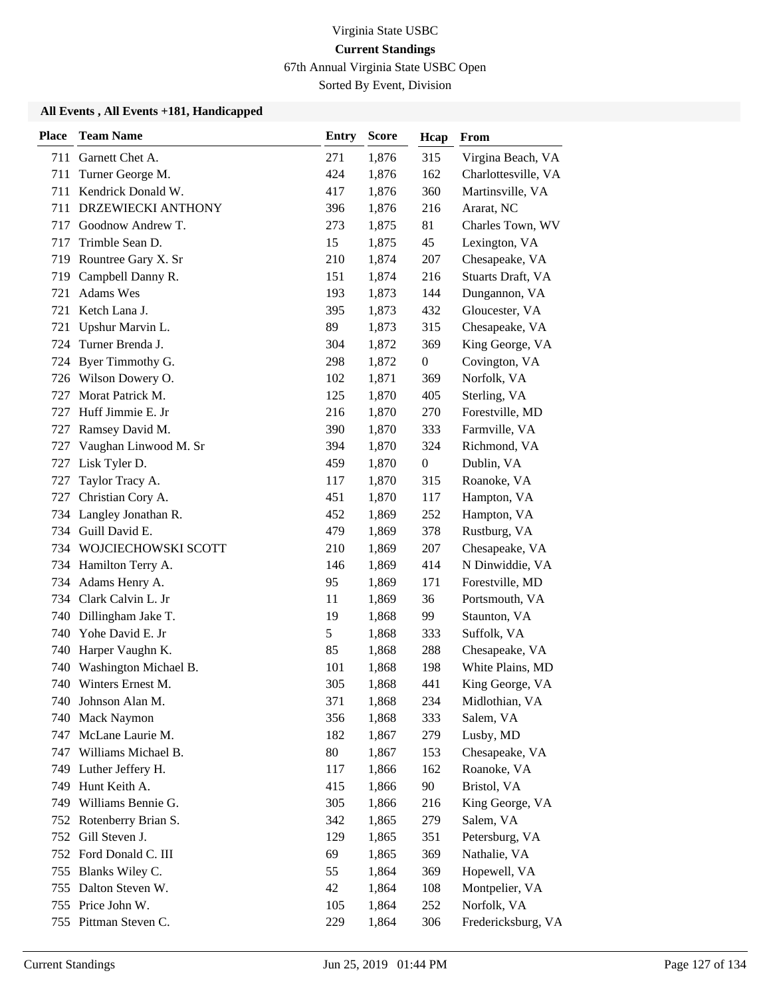67th Annual Virginia State USBC Open

Sorted By Event, Division

| <b>Place</b> | <b>Team Name</b>        | <b>Entry</b> | <b>Score</b> | Hcap             | From                |
|--------------|-------------------------|--------------|--------------|------------------|---------------------|
|              | 711 Garnett Chet A.     | 271          | 1,876        | 315              | Virgina Beach, VA   |
| 711          | Turner George M.        | 424          | 1,876        | 162              | Charlottesville, VA |
| 711          | Kendrick Donald W.      | 417          | 1,876        | 360              | Martinsville, VA    |
| 711          | DRZEWIECKI ANTHONY      | 396          | 1,876        | 216              | Ararat, NC          |
| 717          | Goodnow Andrew T.       | 273          | 1,875        | 81               | Charles Town, WV    |
| 717          | Trimble Sean D.         | 15           | 1,875        | 45               | Lexington, VA       |
| 719          | Rountree Gary X. Sr     | 210          | 1,874        | 207              | Chesapeake, VA      |
|              | 719 Campbell Danny R.   | 151          | 1,874        | 216              | Stuarts Draft, VA   |
| 721          | <b>Adams Wes</b>        | 193          | 1,873        | 144              | Dungannon, VA       |
| 721          | Ketch Lana J.           | 395          | 1,873        | 432              | Gloucester, VA      |
| 721          | Upshur Marvin L.        | 89           | 1,873        | 315              | Chesapeake, VA      |
|              | 724 Turner Brenda J.    | 304          | 1,872        | 369              | King George, VA     |
|              | 724 Byer Timmothy G.    | 298          | 1,872        | $\boldsymbol{0}$ | Covington, VA       |
| 726          | Wilson Dowery O.        | 102          | 1,871        | 369              | Norfolk, VA         |
| 727          | Morat Patrick M.        | 125          | 1,870        | 405              | Sterling, VA        |
| 727          | Huff Jimmie E. Jr       | 216          | 1,870        | 270              | Forestville, MD     |
| 727          | Ramsey David M.         | 390          | 1,870        | 333              | Farmville, VA       |
| 727          | Vaughan Linwood M. Sr   | 394          | 1,870        | 324              | Richmond, VA        |
| 727          | Lisk Tyler D.           | 459          | 1,870        | $\boldsymbol{0}$ | Dublin, VA          |
| 727          | Taylor Tracy A.         | 117          | 1,870        | 315              | Roanoke, VA         |
| 727          | Christian Cory A.       | 451          | 1,870        | 117              | Hampton, VA         |
| 734          | Langley Jonathan R.     | 452          | 1,869        | 252              | Hampton, VA         |
|              | 734 Guill David E.      | 479          | 1,869        | 378              | Rustburg, VA        |
|              | 734 WOJCIECHOWSKI SCOTT | 210          | 1,869        | 207              | Chesapeake, VA      |
|              | 734 Hamilton Terry A.   | 146          | 1,869        | 414              | N Dinwiddie, VA     |
|              | 734 Adams Henry A.      | 95           | 1,869        | 171              | Forestville, MD     |
| 734          | Clark Calvin L. Jr      | 11           | 1,869        | 36               | Portsmouth, VA      |
|              | 740 Dillingham Jake T.  | 19           | 1,868        | 99               | Staunton, VA        |
| 740          | Yohe David E. Jr        | 5            | 1,868        | 333              | Suffolk, VA         |
| 740          | Harper Vaughn K.        | 85           | 1,868        | 288              | Chesapeake, VA      |
| 740          | Washington Michael B.   | 101          | 1,868        | 198              | White Plains, MD    |
|              | 740 Winters Ernest M.   | 305          | 1,868        | 441              | King George, VA     |
|              | 740 Johnson Alan M.     | 371          | 1,868        | 234              | Midlothian, VA      |
| 740          | <b>Mack Naymon</b>      | 356          | 1,868        | 333              | Salem, VA           |
| 747          | McLane Laurie M.        | 182          | 1,867        | 279              | Lusby, MD           |
|              | 747 Williams Michael B. | 80           | 1,867        | 153              | Chesapeake, VA      |
|              | 749 Luther Jeffery H.   | 117          | 1,866        | 162              | Roanoke, VA         |
|              | 749 Hunt Keith A.       | 415          | 1,866        | 90               | Bristol, VA         |
| 749          | Williams Bennie G.      | 305          | 1,866        | 216              | King George, VA     |
|              | 752 Rotenberry Brian S. | 342          | 1,865        | 279              | Salem, VA           |
|              | 752 Gill Steven J.      | 129          | 1,865        | 351              | Petersburg, VA      |
|              | 752 Ford Donald C. III  | 69           | 1,865        | 369              | Nathalie, VA        |
| 755          | Blanks Wiley C.         | 55           | 1,864        | 369              | Hopewell, VA        |
|              | 755 Dalton Steven W.    | 42           | 1,864        | 108              | Montpelier, VA      |
|              | 755 Price John W.       | 105          | 1,864        | 252              | Norfolk, VA         |
|              | 755 Pittman Steven C.   | 229          | 1,864        | 306              | Fredericksburg, VA  |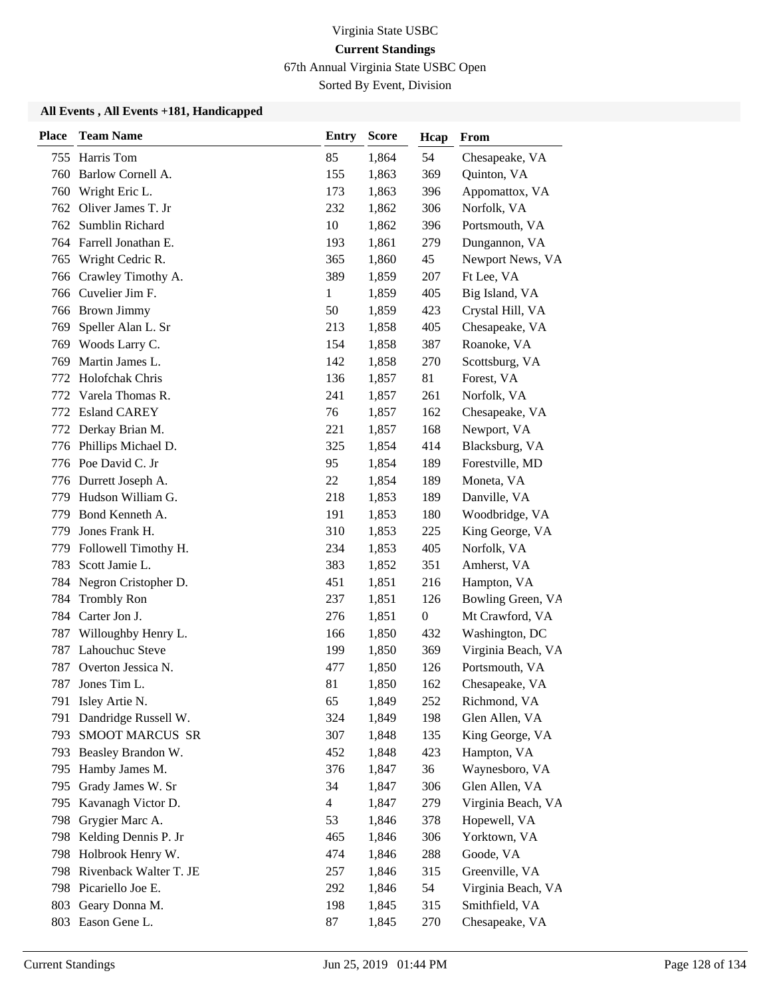67th Annual Virginia State USBC Open

Sorted By Event, Division

| <b>Place</b> | <b>Team Name</b>           | <b>Entry</b>   | <b>Score</b> | Hcap           | From               |
|--------------|----------------------------|----------------|--------------|----------------|--------------------|
|              | 755 Harris Tom             | 85             | 1,864        | 54             | Chesapeake, VA     |
| 760          | Barlow Cornell A.          | 155            | 1,863        | 369            | Quinton, VA        |
| 760          | Wright Eric L.             | 173            | 1,863        | 396            | Appomattox, VA     |
|              | 762 Oliver James T. Jr     | 232            | 1,862        | 306            | Norfolk, VA        |
| 762          | Sumblin Richard            | 10             | 1,862        | 396            | Portsmouth, VA     |
| 764          | Farrell Jonathan E.        | 193            | 1,861        | 279            | Dungannon, VA      |
| 765          | Wright Cedric R.           | 365            | 1,860        | 45             | Newport News, VA   |
| 766          | Crawley Timothy A.         | 389            | 1,859        | 207            | Ft Lee, VA         |
|              | 766 Cuvelier Jim F.        | $\mathbf{1}$   | 1,859        | 405            | Big Island, VA     |
|              | 766 Brown Jimmy            | 50             | 1,859        | 423            | Crystal Hill, VA   |
| 769          | Speller Alan L. Sr         | 213            | 1,858        | 405            | Chesapeake, VA     |
|              | 769 Woods Larry C.         | 154            | 1,858        | 387            | Roanoke, VA        |
| 769          | Martin James L.            | 142            | 1,858        | 270            | Scottsburg, VA     |
| 772          | Holofchak Chris            | 136            | 1,857        | 81             | Forest, VA         |
| 772          | Varela Thomas R.           | 241            | 1,857        | 261            | Norfolk, VA        |
|              | 772 Esland CAREY           | 76             | 1,857        | 162            | Chesapeake, VA     |
|              | 772 Derkay Brian M.        | 221            | 1,857        | 168            | Newport, VA        |
|              | 776 Phillips Michael D.    | 325            | 1,854        | 414            | Blacksburg, VA     |
|              | 776 Poe David C. Jr        | 95             | 1,854        | 189            | Forestville, MD    |
| 776          | Durrett Joseph A.          | 22             | 1,854        | 189            | Moneta, VA         |
| 779          | Hudson William G.          | 218            | 1,853        | 189            | Danville, VA       |
| 779          | Bond Kenneth A.            | 191            | 1,853        | 180            | Woodbridge, VA     |
| 779          | Jones Frank H.             | 310            | 1,853        | 225            | King George, VA    |
|              | 779 Followell Timothy H.   | 234            | 1,853        | 405            | Norfolk, VA        |
| 783          | Scott Jamie L.             | 383            | 1,852        | 351            | Amherst, VA        |
| 784          | Negron Cristopher D.       | 451            | 1,851        | 216            | Hampton, VA        |
| 784          | <b>Trombly Ron</b>         | 237            | 1,851        | 126            | Bowling Green, VA  |
|              | 784 Carter Jon J.          | 276            | 1,851        | $\overline{0}$ | Mt Crawford, VA    |
| 787          | Willoughby Henry L.        | 166            | 1,850        | 432            | Washington, DC     |
| 787          | Lahouchuc Steve            | 199            | 1,850        | 369            | Virginia Beach, VA |
| 787          | Overton Jessica N.         | 477            | 1,850        | 126            | Portsmouth, VA     |
| 787          | Jones Tim L.               | 81             | 1,850        | 162            | Chesapeake, VA     |
|              | 791 Isley Artie N.         | 65             | 1,849        | 252            | Richmond, VA       |
| 791          | Dandridge Russell W.       | 324            | 1,849        | 198            | Glen Allen, VA     |
| 793          | <b>SMOOT MARCUS SR</b>     | 307            | 1,848        | 135            | King George, VA    |
|              | 793 Beasley Brandon W.     | 452            | 1,848        | 423            | Hampton, VA        |
| 795          | Hamby James M.             | 376            | 1,847        | 36             | Waynesboro, VA     |
| 795          | Grady James W. Sr          | 34             | 1,847        | 306            | Glen Allen, VA     |
| 795          | Kavanagh Victor D.         | $\overline{4}$ | 1,847        | 279            | Virginia Beach, VA |
|              | 798 Grygier Marc A.        | 53             | 1,846        | 378            | Hopewell, VA       |
| 798          | Kelding Dennis P. Jr       | 465            | 1,846        | 306            | Yorktown, VA       |
| 798          | Holbrook Henry W.          | 474            | 1,846        | 288            | Goode, VA          |
|              | 798 Rivenback Walter T. JE | 257            | 1,846        | 315            | Greenville, VA     |
|              | 798 Picariello Joe E.      | 292            | 1,846        | 54             | Virginia Beach, VA |
|              | 803 Geary Donna M.         | 198            | 1,845        | 315            | Smithfield, VA     |
|              | 803 Eason Gene L.          | 87             | 1,845        | 270            | Chesapeake, VA     |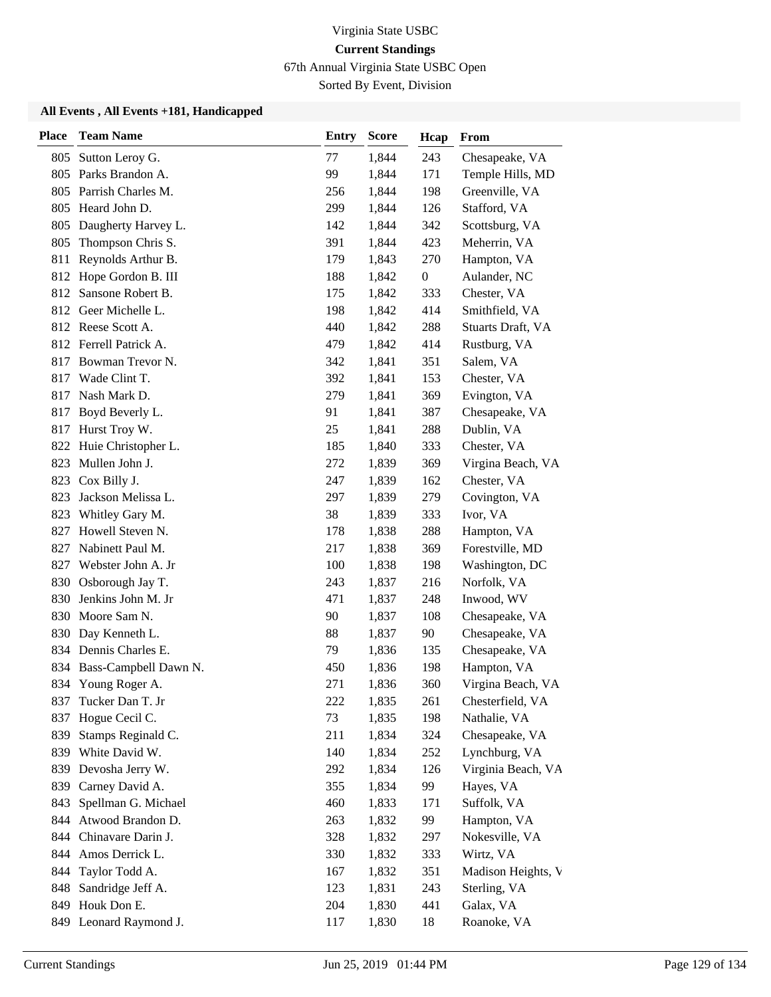67th Annual Virginia State USBC Open

Sorted By Event, Division

| <b>Place</b> | <b>Team Name</b>       | <b>Entry</b> | <b>Score</b> | Hcap             | From               |
|--------------|------------------------|--------------|--------------|------------------|--------------------|
| 805          | Sutton Leroy G.        | 77           | 1,844        | 243              | Chesapeake, VA     |
| 805          | Parks Brandon A.       | 99           | 1,844        | 171              | Temple Hills, MD   |
| 805          | Parrish Charles M.     | 256          | 1,844        | 198              | Greenville, VA     |
|              | 805 Heard John D.      | 299          | 1,844        | 126              | Stafford, VA       |
| 805          | Daugherty Harvey L.    | 142          | 1,844        | 342              | Scottsburg, VA     |
| 805          | Thompson Chris S.      | 391          | 1,844        | 423              | Meherrin, VA       |
| 811          | Reynolds Arthur B.     | 179          | 1,843        | 270              | Hampton, VA        |
|              | 812 Hope Gordon B. III | 188          | 1,842        | $\boldsymbol{0}$ | Aulander, NC       |
| 812          | Sansone Robert B.      | 175          | 1,842        | 333              | Chester, VA        |
| 812          | Geer Michelle L.       | 198          | 1,842        | 414              | Smithfield, VA     |
|              | 812 Reese Scott A.     | 440          | 1,842        | 288              | Stuarts Draft, VA  |
|              | 812 Ferrell Patrick A. | 479          | 1,842        | 414              | Rustburg, VA       |
| 817          | Bowman Trevor N.       | 342          | 1,841        | 351              | Salem, VA          |
| 817          | Wade Clint T.          | 392          | 1,841        | 153              | Chester, VA        |
| 817          | Nash Mark D.           | 279          | 1,841        | 369              | Evington, VA       |
| 817          | Boyd Beverly L.        | 91           | 1,841        | 387              | Chesapeake, VA     |
| 817          | Hurst Troy W.          | 25           | 1,841        | 288              | Dublin, VA         |
| 822          | Huie Christopher L.    | 185          | 1,840        | 333              | Chester, VA        |
| 823          | Mullen John J.         | 272          | 1,839        | 369              | Virgina Beach, VA  |
| 823          | Cox Billy J.           | 247          | 1,839        | 162              | Chester, VA        |
| 823          | Jackson Melissa L.     | 297          | 1,839        | 279              | Covington, VA      |
| 823          | Whitley Gary M.        | 38           | 1,839        | 333              | Ivor, VA           |
| 827          | Howell Steven N.       | 178          | 1,838        | 288              | Hampton, VA        |
| 827          | Nabinett Paul M.       | 217          | 1,838        | 369              | Forestville, MD    |
| 827          | Webster John A. Jr     | 100          | 1,838        | 198              | Washington, DC     |
| 830          | Osborough Jay T.       | 243          | 1,837        | 216              | Norfolk, VA        |
| 830          | Jenkins John M. Jr     | 471          | 1,837        | 248              | Inwood, WV         |
| 830          | Moore Sam N.           | 90           | 1,837        | 108              | Chesapeake, VA     |
| 830          | Day Kenneth L.         | 88           | 1,837        | 90               | Chesapeake, VA     |
|              | 834 Dennis Charles E.  | 79           | 1,836        | 135              | Chesapeake, VA     |
| 834          | Bass-Campbell Dawn N.  | 450          | 1,836        | 198              | Hampton, VA        |
|              | 834 Young Roger A.     | 271          | 1,836        | 360              | Virgina Beach, VA  |
| 837          | Tucker Dan T. Jr       | 222          | 1,835        | 261              | Chesterfield, VA   |
| 837          | Hogue Cecil C.         | 73           | 1,835        | 198              | Nathalie, VA       |
| 839          | Stamps Reginald C.     | 211          | 1,834        | 324              | Chesapeake, VA     |
|              | 839 White David W.     | 140          | 1,834        | 252              | Lynchburg, VA      |
| 839          | Devosha Jerry W.       | 292          | 1,834        | 126              | Virginia Beach, VA |
| 839          | Carney David A.        | 355          | 1,834        | 99               | Hayes, VA          |
| 843          | Spellman G. Michael    | 460          | 1,833        | 171              | Suffolk, VA        |
| 844          | Atwood Brandon D.      | 263          | 1,832        | 99               | Hampton, VA        |
| 844          | Chinavare Darin J.     | 328          | 1,832        | 297              | Nokesville, VA     |
| 844          | Amos Derrick L.        | 330          | 1,832        | 333              | Wirtz, VA          |
| 844          | Taylor Todd A.         | 167          | 1,832        | 351              | Madison Heights, V |
| 848          | Sandridge Jeff A.      | 123          | 1,831        | 243              | Sterling, VA       |
|              | 849 Houk Don E.        | 204          | 1,830        | 441              | Galax, VA          |
|              | 849 Leonard Raymond J. | 117          | 1,830        | 18               | Roanoke, VA        |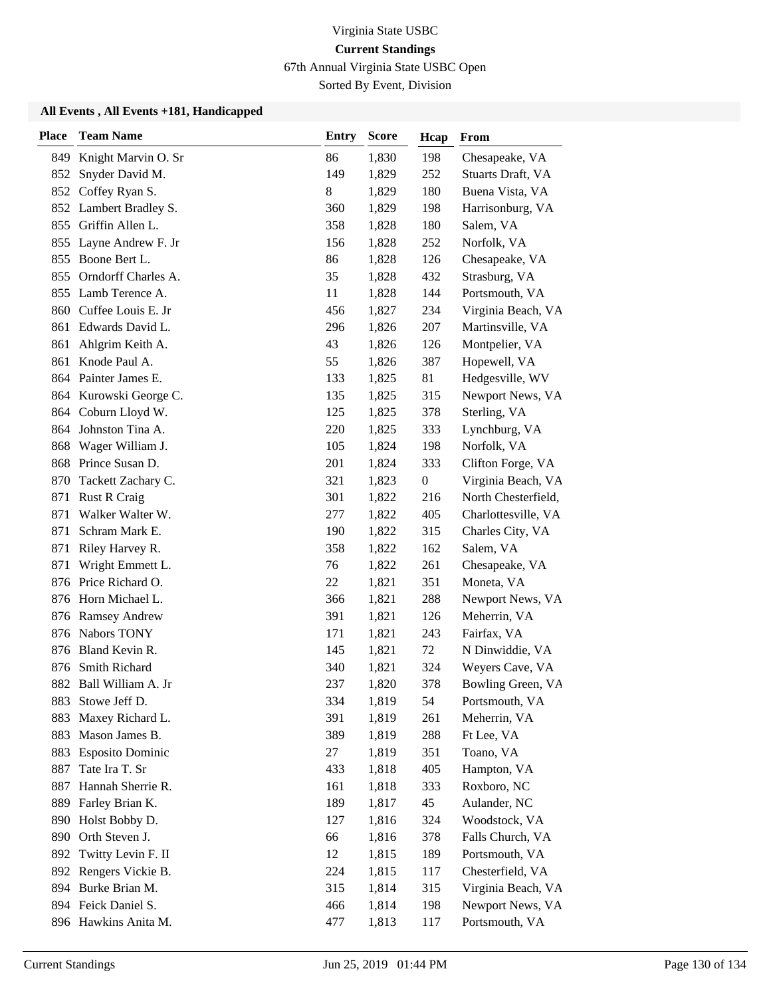67th Annual Virginia State USBC Open

Sorted By Event, Division

| <b>Place</b> | <b>Team Name</b>        | <b>Entry</b> | <b>Score</b> | Hcap             | From                |
|--------------|-------------------------|--------------|--------------|------------------|---------------------|
| 849          | Knight Marvin O. Sr     | 86           | 1,830        | 198              | Chesapeake, VA      |
| 852          | Snyder David M.         | 149          | 1,829        | 252              | Stuarts Draft, VA   |
| 852          | Coffey Ryan S.          | 8            | 1,829        | 180              | Buena Vista, VA     |
| 852          | Lambert Bradley S.      | 360          | 1,829        | 198              | Harrisonburg, VA    |
| 855          | Griffin Allen L.        | 358          | 1,828        | 180              | Salem, VA           |
| 855          | Layne Andrew F. Jr      | 156          | 1,828        | 252              | Norfolk, VA         |
| 855          | Boone Bert L.           | 86           | 1,828        | 126              | Chesapeake, VA      |
| 855          | Orndorff Charles A.     | 35           | 1,828        | 432              | Strasburg, VA       |
| 855          | Lamb Terence A.         | 11           | 1,828        | 144              | Portsmouth, VA      |
| 860          | Cuffee Louis E. Jr      | 456          | 1,827        | 234              | Virginia Beach, VA  |
| 861          | Edwards David L.        | 296          | 1,826        | 207              | Martinsville, VA    |
| 861          | Ahlgrim Keith A.        | 43           | 1,826        | 126              | Montpelier, VA      |
| 861          | Knode Paul A.           | 55           | 1,826        | 387              | Hopewell, VA        |
| 864          | Painter James E.        | 133          | 1,825        | 81               | Hedgesville, WV     |
|              | 864 Kurowski George C.  | 135          | 1,825        | 315              | Newport News, VA    |
|              | 864 Coburn Lloyd W.     | 125          | 1,825        | 378              | Sterling, VA        |
| 864          | Johnston Tina A.        | 220          | 1,825        | 333              | Lynchburg, VA       |
| 868          | Wager William J.        | 105          | 1,824        | 198              | Norfolk, VA         |
| 868          | Prince Susan D.         | 201          | 1,824        | 333              | Clifton Forge, VA   |
| 870          | Tackett Zachary C.      | 321          | 1,823        | $\boldsymbol{0}$ | Virginia Beach, VA  |
| 871          | <b>Rust R Craig</b>     | 301          | 1,822        | 216              | North Chesterfield, |
| 871          | Walker Walter W.        | 277          | 1,822        | 405              | Charlottesville, VA |
| 871          | Schram Mark E.          | 190          | 1,822        | 315              | Charles City, VA    |
| 871          | Riley Harvey R.         | 358          | 1,822        | 162              | Salem, VA           |
| 871          | Wright Emmett L.        | 76           | 1,822        | 261              | Chesapeake, VA      |
| 876          | Price Richard O.        | 22           | 1,821        | 351              | Moneta, VA          |
| 876          | Horn Michael L.         | 366          | 1,821        | 288              | Newport News, VA    |
| 876          | <b>Ramsey Andrew</b>    | 391          | 1,821        | 126              | Meherrin, VA        |
| 876          | Nabors TONY             | 171          | 1,821        | 243              | Fairfax, VA         |
| 876          | Bland Kevin R.          | 145          | 1,821        | 72               | N Dinwiddie, VA     |
| 876          | Smith Richard           | 340          | 1,821        | 324              | Weyers Cave, VA     |
| 882          | Ball William A. Jr      | 237          | 1,820        | 378              | Bowling Green, VA   |
| 883          | Stowe Jeff D.           | 334          | 1,819        | 54               | Portsmouth, VA      |
| 883          | Maxey Richard L.        | 391          | 1,819        | 261              | Meherrin, VA        |
| 883          | Mason James B.          | 389          | 1,819        | 288              | Ft Lee, VA          |
| 883          | <b>Esposito Dominic</b> | 27           | 1,819        | 351              | Toano, VA           |
| 887          | Tate Ira T. Sr          | 433          | 1,818        | 405              | Hampton, VA         |
| 887          | Hannah Sherrie R.       | 161          | 1,818        | 333              | Roxboro, NC         |
| 889          | Farley Brian K.         | 189          | 1,817        | 45               | Aulander, NC        |
| 890          | Holst Bobby D.          | 127          | 1,816        | 324              | Woodstock, VA       |
| 890          | Orth Steven J.          | 66           | 1,816        | 378              | Falls Church, VA    |
| 892          | Twitty Levin F. II      | 12           | 1,815        | 189              | Portsmouth, VA      |
| 892          | Rengers Vickie B.       | 224          | 1,815        | 117              | Chesterfield, VA    |
|              | 894 Burke Brian M.      | 315          | 1,814        | 315              | Virginia Beach, VA  |
|              | 894 Feick Daniel S.     | 466          | 1,814        | 198              | Newport News, VA    |
|              | 896 Hawkins Anita M.    | 477          | 1,813        | 117              | Portsmouth, VA      |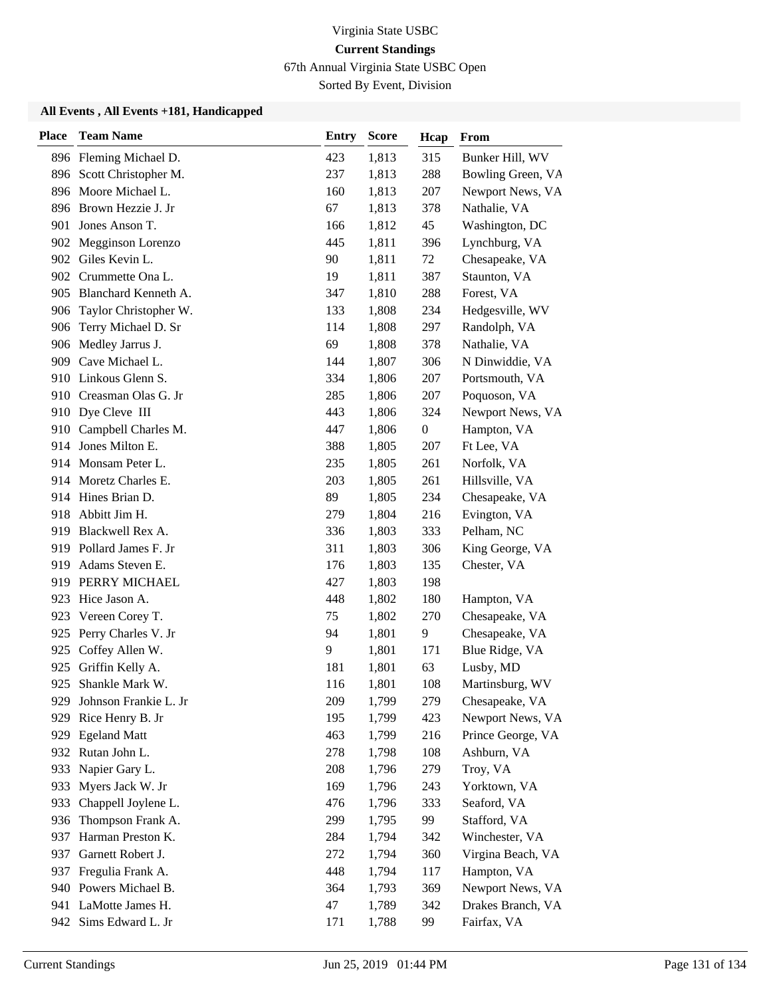67th Annual Virginia State USBC Open

Sorted By Event, Division

| <b>Place</b> | <b>Team Name</b>         | <b>Entry</b> | <b>Score</b> | Hcap             | From              |
|--------------|--------------------------|--------------|--------------|------------------|-------------------|
|              | 896 Fleming Michael D.   | 423          | 1,813        | 315              | Bunker Hill, WV   |
|              | 896 Scott Christopher M. | 237          | 1,813        | 288              | Bowling Green, VA |
| 896          | Moore Michael L.         | 160          | 1,813        | 207              | Newport News, VA  |
|              | 896 Brown Hezzie J. Jr   | 67           | 1,813        | 378              | Nathalie, VA      |
| 901          | Jones Anson T.           | 166          | 1,812        | 45               | Washington, DC    |
| 902          | Megginson Lorenzo        | 445          | 1,811        | 396              | Lynchburg, VA     |
|              | 902 Giles Kevin L.       | 90           | 1,811        | 72               | Chesapeake, VA    |
|              | 902 Crummette Ona L.     | 19           | 1,811        | 387              | Staunton, VA      |
|              | 905 Blanchard Kenneth A. | 347          | 1,810        | 288              | Forest, VA        |
| 906          | Taylor Christopher W.    | 133          | 1,808        | 234              | Hedgesville, WV   |
| 906          | Terry Michael D. Sr      | 114          | 1,808        | 297              | Randolph, VA      |
|              | 906 Medley Jarrus J.     | 69           | 1,808        | 378              | Nathalie, VA      |
|              | 909 Cave Michael L.      | 144          | 1,807        | 306              | N Dinwiddie, VA   |
|              | 910 Linkous Glenn S.     | 334          | 1,806        | 207              | Portsmouth, VA    |
|              | 910 Creasman Olas G. Jr  | 285          | 1,806        | 207              | Poquoson, VA      |
|              | 910 Dye Cleve III        | 443          | 1,806        | 324              | Newport News, VA  |
|              | 910 Campbell Charles M.  | 447          | 1,806        | $\boldsymbol{0}$ | Hampton, VA       |
|              | 914 Jones Milton E.      | 388          | 1,805        | 207              | Ft Lee, VA        |
|              | 914 Monsam Peter L.      | 235          | 1,805        | 261              | Norfolk, VA       |
|              | 914 Moretz Charles E.    | 203          | 1,805        | 261              | Hillsville, VA    |
|              | 914 Hines Brian D.       | 89           | 1,805        | 234              | Chesapeake, VA    |
| 918          | Abbitt Jim H.            | 279          | 1,804        | 216              | Evington, VA      |
| 919          | Blackwell Rex A.         | 336          | 1,803        | 333              | Pelham, NC        |
|              | 919 Pollard James F. Jr  | 311          | 1,803        | 306              | King George, VA   |
| 919          | Adams Steven E.          | 176          | 1,803        | 135              | Chester, VA       |
|              | 919 PERRY MICHAEL        | 427          | 1,803        | 198              |                   |
| 923          | Hice Jason A.            | 448          | 1,802        | 180              | Hampton, VA       |
| 923          | Vereen Corey T.          | 75           | 1,802        | 270              | Chesapeake, VA    |
| 925          | Perry Charles V. Jr      | 94           | 1,801        | 9                | Chesapeake, VA    |
| 925          | Coffey Allen W.          | 9            | 1,801        | 171              | Blue Ridge, VA    |
| 925          | Griffin Kelly A.         | 181          | 1,801        | 63               | Lusby, MD         |
| 925          | Shankle Mark W.          | 116          | 1,801        | 108              | Martinsburg, WV   |
| 929.         | Johnson Frankie L. Jr    | 209          | 1,799        | 279              | Chesapeake, VA    |
| 929          | Rice Henry B. Jr         | 195          | 1,799        | 423              | Newport News, VA  |
| 929          | <b>Egeland Matt</b>      | 463          | 1,799        | 216              | Prince George, VA |
| 932          | Rutan John L.            | 278          | 1,798        | 108              | Ashburn, VA       |
| 933          | Napier Gary L.           | 208          | 1,796        | 279              | Troy, VA          |
| 933          | Myers Jack W. Jr         | 169          | 1,796        | 243              | Yorktown, VA      |
| 933          | Chappell Joylene L.      | 476          | 1,796        | 333              | Seaford, VA       |
| 936          | Thompson Frank A.        | 299          | 1,795        | 99               | Stafford, VA      |
| 937          | Harman Preston K.        | 284          | 1,794        | 342              | Winchester, VA    |
| 937          | Garnett Robert J.        | 272          | 1,794        | 360              | Virgina Beach, VA |
| 937          | Fregulia Frank A.        | 448          | 1,794        | 117              | Hampton, VA       |
|              | 940 Powers Michael B.    | 364          | 1,793        | 369              | Newport News, VA  |
|              | 941 LaMotte James H.     | 47           | 1,789        | 342              | Drakes Branch, VA |
| 942          | Sims Edward L. Jr        | 171          | 1,788        | 99               | Fairfax, VA       |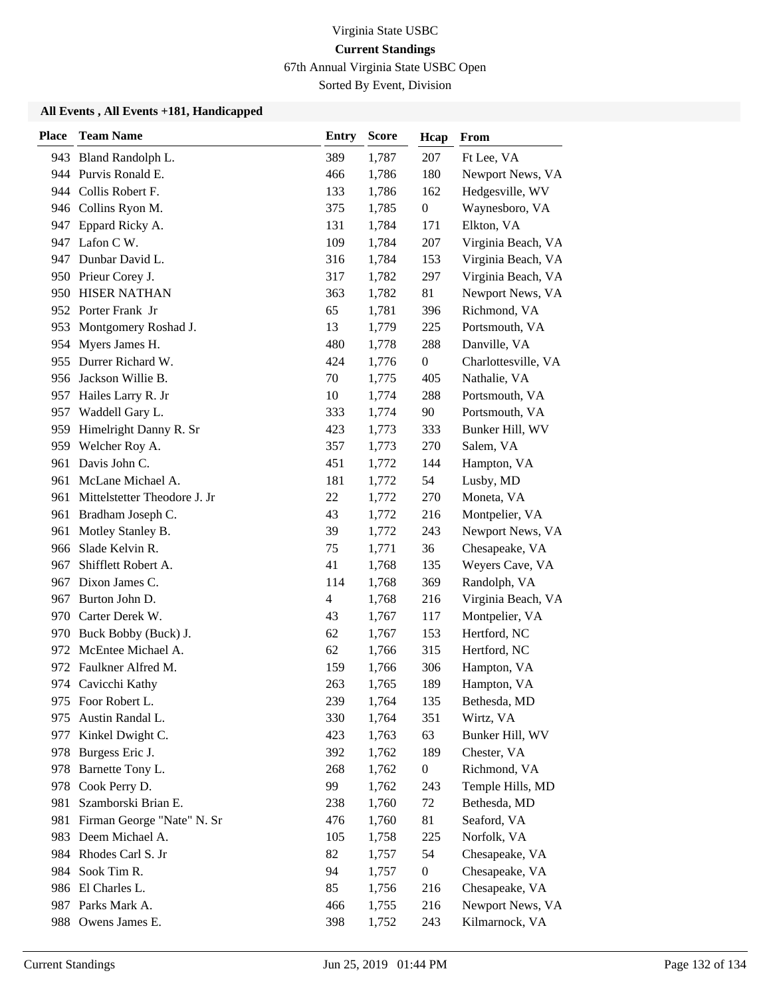67th Annual Virginia State USBC Open

Sorted By Event, Division

| <b>Place</b> | <b>Team Name</b>             | <b>Entry</b> | <b>Score</b> | Hcap             | From                |
|--------------|------------------------------|--------------|--------------|------------------|---------------------|
|              | 943 Bland Randolph L.        | 389          | 1,787        | 207              | Ft Lee, VA          |
|              | 944 Purvis Ronald E.         | 466          | 1,786        | 180              | Newport News, VA    |
|              | 944 Collis Robert F.         | 133          | 1,786        | 162              | Hedgesville, WV     |
|              | 946 Collins Ryon M.          | 375          | 1,785        | $\boldsymbol{0}$ | Waynesboro, VA      |
| 947          | Eppard Ricky A.              | 131          | 1,784        | 171              | Elkton, VA          |
| 947          | Lafon C W.                   | 109          | 1,784        | 207              | Virginia Beach, VA  |
|              | 947 Dunbar David L.          | 316          | 1,784        | 153              | Virginia Beach, VA  |
|              | 950 Prieur Corey J.          | 317          | 1,782        | 297              | Virginia Beach, VA  |
|              | 950 HISER NATHAN             | 363          | 1,782        | 81               | Newport News, VA    |
|              | 952 Porter Frank Jr          | 65           | 1,781        | 396              | Richmond, VA        |
| 953          | Montgomery Roshad J.         | 13           | 1,779        | 225              | Portsmouth, VA      |
|              | 954 Myers James H.           | 480          | 1,778        | 288              | Danville, VA        |
| 955          | Durrer Richard W.            | 424          | 1,776        | $\boldsymbol{0}$ | Charlottesville, VA |
| 956          | Jackson Willie B.            | 70           | 1,775        | 405              | Nathalie, VA        |
| 957          | Hailes Larry R. Jr           | 10           | 1,774        | 288              | Portsmouth, VA      |
|              | 957 Waddell Gary L.          | 333          | 1,774        | 90               | Portsmouth, VA      |
|              | 959 Himelright Danny R. Sr   | 423          | 1,773        | 333              | Bunker Hill, WV     |
|              | 959 Welcher Roy A.           | 357          | 1,773        | 270              | Salem, VA           |
| 961          | Davis John C.                | 451          | 1,772        | 144              | Hampton, VA         |
| 961          | McLane Michael A.            | 181          | 1,772        | 54               | Lusby, MD           |
| 961          | Mittelstetter Theodore J. Jr | 22           | 1,772        | 270              | Moneta, VA          |
| 961          | Bradham Joseph C.            | 43           | 1,772        | 216              | Montpelier, VA      |
| 961          | Motley Stanley B.            | 39           | 1,772        | 243              | Newport News, VA    |
| 966          | Slade Kelvin R.              | 75           | 1,771        | 36               | Chesapeake, VA      |
| 967          | Shifflett Robert A.          | 41           | 1,768        | 135              | Weyers Cave, VA     |
| 967          | Dixon James C.               | 114          | 1,768        | 369              | Randolph, VA        |
| 967          | Burton John D.               | 4            | 1,768        | 216              | Virginia Beach, VA  |
| 970          | Carter Derek W.              | 43           | 1,767        | 117              | Montpelier, VA      |
| 970          | Buck Bobby (Buck) J.         | 62           | 1,767        | 153              | Hertford, NC        |
| 972          | McEntee Michael A.           | 62           | 1,766        | 315              | Hertford, NC        |
|              | 972 Faulkner Alfred M.       | 159          | 1,766        | 306              | Hampton, VA         |
|              | 974 Cavicchi Kathy           | 263          | 1,765        | 189              | Hampton, VA         |
|              | 975 Foor Robert L.           | 239          | 1,764        | 135              | Bethesda, MD        |
| 975          | Austin Randal L.             | 330          | 1,764        | 351              | Wirtz, VA           |
| 977          | Kinkel Dwight C.             | 423          | 1,763        | 63               | Bunker Hill, WV     |
| 978          | Burgess Eric J.              | 392          | 1,762        | 189              | Chester, VA         |
| 978          | Barnette Tony L.             | 268          | 1,762        | $\boldsymbol{0}$ | Richmond, VA        |
| 978          | Cook Perry D.                | 99           | 1,762        | 243              | Temple Hills, MD    |
| 981          | Szamborski Brian E.          | 238          | 1,760        | 72               | Bethesda, MD        |
| 981          | Firman George "Nate" N. Sr   | 476          | 1,760        | 81               | Seaford, VA         |
|              | 983 Deem Michael A.          | 105          | 1,758        | 225              | Norfolk, VA         |
|              | 984 Rhodes Carl S. Jr        | 82           | 1,757        | 54               | Chesapeake, VA      |
| 984          | Sook Tim R.                  | 94           | 1,757        | $\boldsymbol{0}$ | Chesapeake, VA      |
|              | 986 El Charles L.            | 85           | 1,756        | 216              | Chesapeake, VA      |
|              | 987 Parks Mark A.            | 466          | 1,755        | 216              | Newport News, VA    |
| 988          | Owens James E.               | 398          | 1,752        | 243              | Kilmarnock, VA      |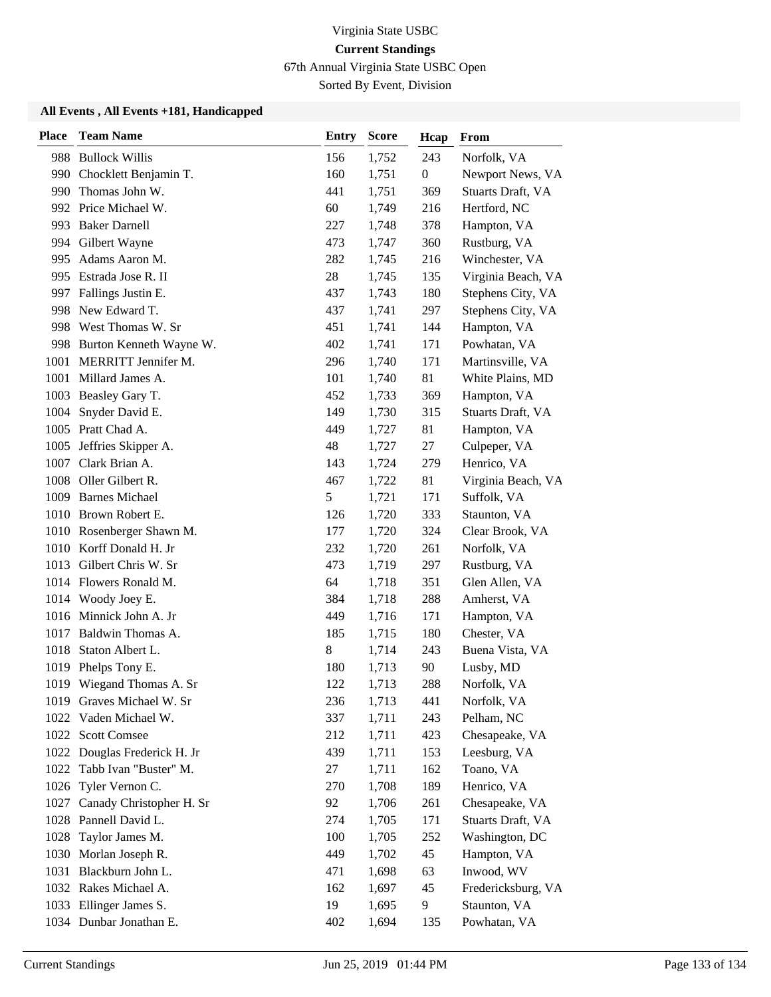67th Annual Virginia State USBC Open

Sorted By Event, Division

| <b>Place</b> | <b>Team Name</b>             | <b>Entry</b> | <b>Score</b> | Hcap             | From               |
|--------------|------------------------------|--------------|--------------|------------------|--------------------|
|              | 988 Bullock Willis           | 156          | 1,752        | 243              | Norfolk, VA        |
|              | 990 Chocklett Benjamin T.    | 160          | 1,751        | $\boldsymbol{0}$ | Newport News, VA   |
| 990          | Thomas John W.               | 441          | 1,751        | 369              | Stuarts Draft, VA  |
|              | 992 Price Michael W.         | 60           | 1,749        | 216              | Hertford, NC       |
|              | 993 Baker Darnell            | 227          | 1,748        | 378              | Hampton, VA        |
|              | 994 Gilbert Wayne            | 473          | 1,747        | 360              | Rustburg, VA       |
| 995          | Adams Aaron M.               | 282          | 1,745        | 216              | Winchester, VA     |
|              | 995 Estrada Jose R. II       | 28           | 1,745        | 135              | Virginia Beach, VA |
|              | 997 Fallings Justin E.       | 437          | 1,743        | 180              | Stephens City, VA  |
| 998          | New Edward T.                | 437          | 1,741        | 297              | Stephens City, VA  |
| 998          | West Thomas W. Sr            | 451          | 1,741        | 144              | Hampton, VA        |
|              | 998 Burton Kenneth Wayne W.  | 402          | 1,741        | 171              | Powhatan, VA       |
| 1001         | MERRITT Jennifer M.          | 296          | 1,740        | 171              | Martinsville, VA   |
| 1001         | Millard James A.             | 101          | 1,740        | 81               | White Plains, MD   |
|              | 1003 Beasley Gary T.         | 452          | 1,733        | 369              | Hampton, VA        |
|              | 1004 Snyder David E.         | 149          | 1,730        | 315              | Stuarts Draft, VA  |
|              | 1005 Pratt Chad A.           | 449          | 1,727        | 81               | Hampton, VA        |
|              | 1005 Jeffries Skipper A.     | 48           | 1,727        | 27               | Culpeper, VA       |
|              | 1007 Clark Brian A.          | 143          | 1,724        | 279              | Henrico, VA        |
|              | 1008 Oller Gilbert R.        | 467          | 1,722        | 81               | Virginia Beach, VA |
|              | 1009 Barnes Michael          | 5            | 1,721        | 171              | Suffolk, VA        |
|              | 1010 Brown Robert E.         | 126          | 1,720        | 333              | Staunton, VA       |
|              | 1010 Rosenberger Shawn M.    | 177          | 1,720        | 324              | Clear Brook, VA    |
|              | 1010 Korff Donald H. Jr      | 232          | 1,720        | 261              | Norfolk, VA        |
|              | 1013 Gilbert Chris W. Sr     | 473          | 1,719        | 297              | Rustburg, VA       |
|              | 1014 Flowers Ronald M.       | 64           | 1,718        | 351              | Glen Allen, VA     |
|              | 1014 Woody Joey E.           | 384          | 1,718        | 288              | Amherst, VA        |
|              | 1016 Minnick John A. Jr      | 449          | 1,716        | 171              | Hampton, VA        |
| 1017         | Baldwin Thomas A.            | 185          | 1,715        | 180              | Chester, VA        |
| 1018         | Staton Albert L.             | $8\,$        | 1,714        | 243              | Buena Vista, VA    |
| 1019         | Phelps Tony E.               | 180          | 1,713        | 90               | Lusby, MD          |
|              | 1019 Wiegand Thomas A. Sr    | 122          | 1,713        | 288              | Norfolk, VA        |
|              | 1019 Graves Michael W. Sr    | 236          | 1,713        | 441              | Norfolk, VA        |
|              | 1022 Vaden Michael W.        | 337          | 1,711        | 243              | Pelham, NC         |
| 1022         | <b>Scott Comsee</b>          | 212          | 1,711        | 423              | Chesapeake, VA     |
|              | 1022 Douglas Frederick H. Jr | 439          | 1,711        | 153              | Leesburg, VA       |
|              | 1022 Tabb Ivan "Buster" M.   | 27           | 1,711        | 162              | Toano, VA          |
|              | 1026 Tyler Vernon C.         | 270          | 1,708        | 189              | Henrico, VA        |
| 1027         | Canady Christopher H. Sr     | 92           | 1,706        | 261              | Chesapeake, VA     |
|              | 1028 Pannell David L.        | 274          | 1,705        | 171              | Stuarts Draft, VA  |
| 1028         | Taylor James M.              | 100          | 1,705        | 252              | Washington, DC     |
| 1030         | Morlan Joseph R.             | 449          | 1,702        | 45               | Hampton, VA        |
| 1031         | Blackburn John L.            | 471          | 1,698        | 63               | Inwood, WV         |
|              | 1032 Rakes Michael A.        | 162          | 1,697        | 45               | Fredericksburg, VA |
|              | 1033 Ellinger James S.       | 19           | 1,695        | 9                | Staunton, VA       |
|              | 1034 Dunbar Jonathan E.      | 402          | 1,694        | 135              | Powhatan, VA       |